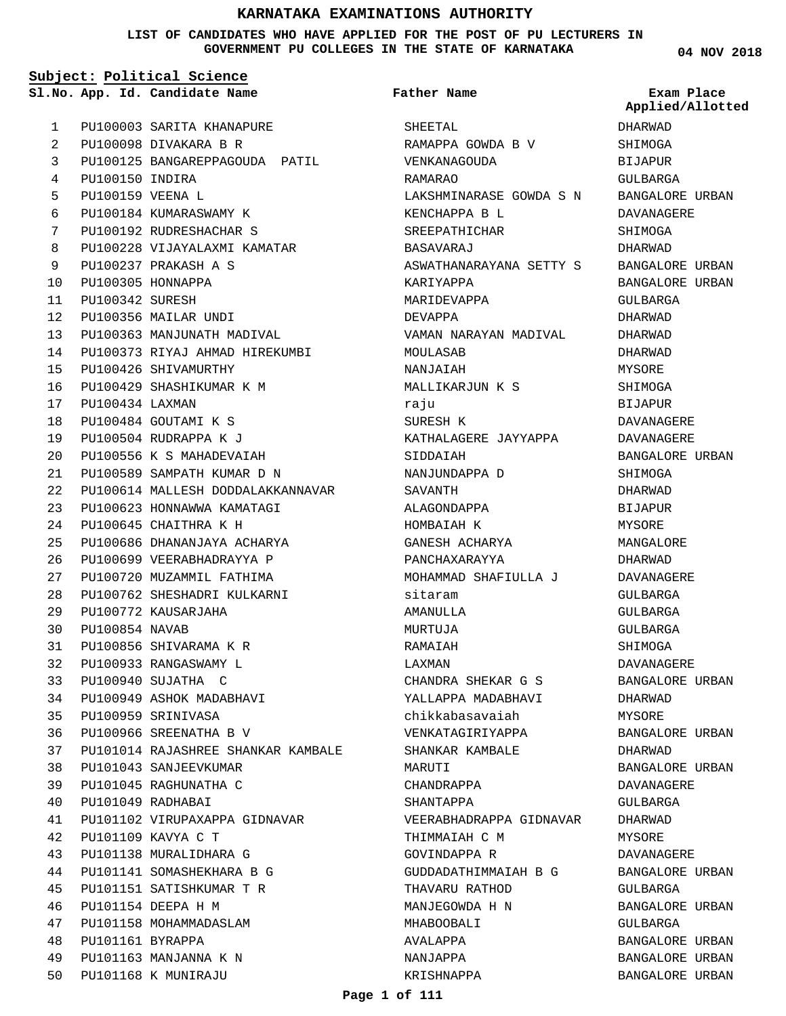#### **LIST OF CANDIDATES WHO HAVE APPLIED FOR THE POST OF PU LECTURERS IN GOVERNMENT PU COLLEGES IN THE STATE OF KARNATAKA**

**Subject: Political Science**

**App. Id. Candidate Name Sl.No. Exam Place**

**Father Name**

**04 NOV 2018 Applied/Allotted**

| $\mathbf{1}$ |                      | PU100003 SARITA KHANAPURE          |
|--------------|----------------------|------------------------------------|
| 2            |                      | PU100098 DIVAKARA B R              |
| 3            |                      | PU100125 BANGAREPPAGOUDA PATIL     |
|              | 4 PU100150 INDIRA    |                                    |
| 5            | PU100159 VEENA L     |                                    |
| 6            |                      | PU100184 KUMARASWAMY K             |
| 7            |                      | PU100192 RUDRESHACHAR S            |
| 8            |                      | PU100228 VIJAYALAXMI KAMATAR       |
| 9            |                      | PU100237 PRAKASH A S               |
|              | 10 PU100305 HONNAPPA |                                    |
|              | 11 PU100342 SURESH   |                                    |
|              |                      | 12 PU100356 MAILAR UNDI            |
|              |                      | 13 PU100363 MANJUNATH MADIVAL      |
| 14           |                      | PU100373 RIYAJ AHMAD HIREKUMBI     |
|              |                      | 15 PU100426 SHIVAMURTHY            |
|              |                      | 16 PU100429 SHASHIKUMAR K M        |
|              | 17 PU100434 LAXMAN   |                                    |
|              |                      | 18 PU100484 GOUTAMI K S            |
|              |                      | 19 PU100504 RUDRAPPA K J           |
|              |                      | 20 PU100556 K S MAHADEVAIAH        |
|              |                      | 21 PU100589 SAMPATH KUMAR D N      |
| 22           |                      | PU100614 MALLESH DODDALAKKANNAVAR  |
|              |                      | 23 PU100623 HONNAWWA KAMATAGI      |
|              |                      | 24 PU100645 CHAITHRA K H           |
|              |                      | 25 PU100686 DHANANJAYA ACHARYA     |
| 26           |                      | PU100699 VEERABHADRAYYA P          |
|              |                      | 27 PU100720 MUZAMMIL FATHIMA       |
| 28           |                      | PU100762 SHESHADRI KULKARNI        |
| 29           |                      | PU100772 KAUSARJAHA                |
| 30           | PU100854 NAVAB       |                                    |
|              |                      | 31 PU100856 SHIVARAMA K R          |
|              |                      | 32 PU100933 RANGASWAMY L           |
|              |                      | 33 PU100940 SUJATHA C              |
| 34           | PU100949             | ASHOK MADABHAVI                    |
| 35           |                      | PU100959 SRINIVASA                 |
| 36           |                      | PU100966 SREENATHA B V             |
| 37           |                      | PU101014 RAJASHREE SHANKAR KAMBALE |
| 38           |                      | PU101043 SANJEEVKUMAR              |
| 39           |                      | PU101045 RAGHUNATHA C              |
| 40           | PU101049             | RADHABAI                           |
| 41           |                      | PU101102 VIRUPAXAPPA GIDNAVAR      |
| 42           | PU101109             | KAVYA C T                          |
| 43           |                      | PU101138 MURALIDHARA G             |
| 44           |                      | PU101141 SOMASHEKHARA B G          |
| 45           |                      | PU101151 SATISHKUMAR T R           |
| 46           |                      | PU101154 DEEPA H M                 |
| 47           |                      | PU101158 MOHAMMADASLAM             |
| 48           | PU101161 BYRAPPA     |                                    |
| 49           |                      | PU101163 MANJANNA K N              |
| 50           |                      | PU101168 K MUNIRAJU                |
|              |                      |                                    |

| SHEETAL                 |
|-------------------------|
| RAMAPPA GOWDA B V       |
| VENKANAGOUDA            |
| <b>RAMARAO</b>          |
| LAKSHMINARASE GOWDA S N |
| KENCHAPPA B L           |
| SREEPATHICHAR           |
| <b>BASAVARAJ</b>        |
| ASWATHANARAYANA SETTY S |
| KARIYAPPA               |
| MARIDEVAPPA             |
| DEVAPPA                 |
| VAMAN NARAYAN MADIVAL   |
| MOULASAB                |
| NANJAIAH                |
| MALLIKARJUN K S         |
| raju                    |
| SURESH K                |
| KATHALAGERE JAYYAPPA    |
| SIDDAIAH                |
| NANJUNDAPPA D           |
| SAVANTH                 |
| ALAGONDAPPA             |
| HOMBAIAH K              |
| GANESH ACHARYA          |
| PANCHAXARAYYA           |
| MOHAMMAD SHAFIULLA J    |
| sitaram                 |
| AMANULLA                |
| MURTUJA                 |
| RAMAIAH                 |
| LAXMAN                  |
| CHANDRA SHEKAR G S      |
| YALLAPPA MADABHAVI      |
| chikkabasavaiah         |
| VENKATAGIRIYAPPA        |
| SHANKAR KAMBALE         |
| MARUTI                  |
| CHANDRAPPA              |
| SHANTAPPA               |
| VEERABHADRAPPA GIDNAVAR |
| THIMMAIAH C M           |
| GOVINDAPPA R            |
| GUDDADATHIMMAIAH B G    |
| THAVARU RATHOD          |
| MANJEGOWDA H N          |
| MHABOOBALI              |
| AVALAPPA                |
| NANJAPPA                |
| KRISHNAPPA              |

DHARWAD SHIMOGA BIJAPUR GULBARGA BANGALORE URBAN DAVANAGERE SHIMOGA DHARWAD BANGALORE URBAN BANGALORE URBAN GULBARGA DHARWAD DHARWAD DHARWAD MYSORE SHIMOGA BIJAPUR DAVANAGERE DAVANAGERE BANGALORE URBAN SHIMOGA DHARWAD BIJAPUR MYSORE MANGALORE DHARWAD DAVANAGERE GULBARGA GULBARGA GULBARGA SHIMOGA DAVANAGERE BANGALORE URBAN DHARWAD MYSORE BANGALORE URBAN DHARWAD BANGALORE URBAN DAVANAGERE GULBARGA DHARWAD MYSORE DAVANAGERE BANGALORE URBAN GULBARGA BANGALORE URBAN GULBARGA BANGALORE URBAN BANGALORE URBAN

BANGALORE URBAN

**Page 1 of 111**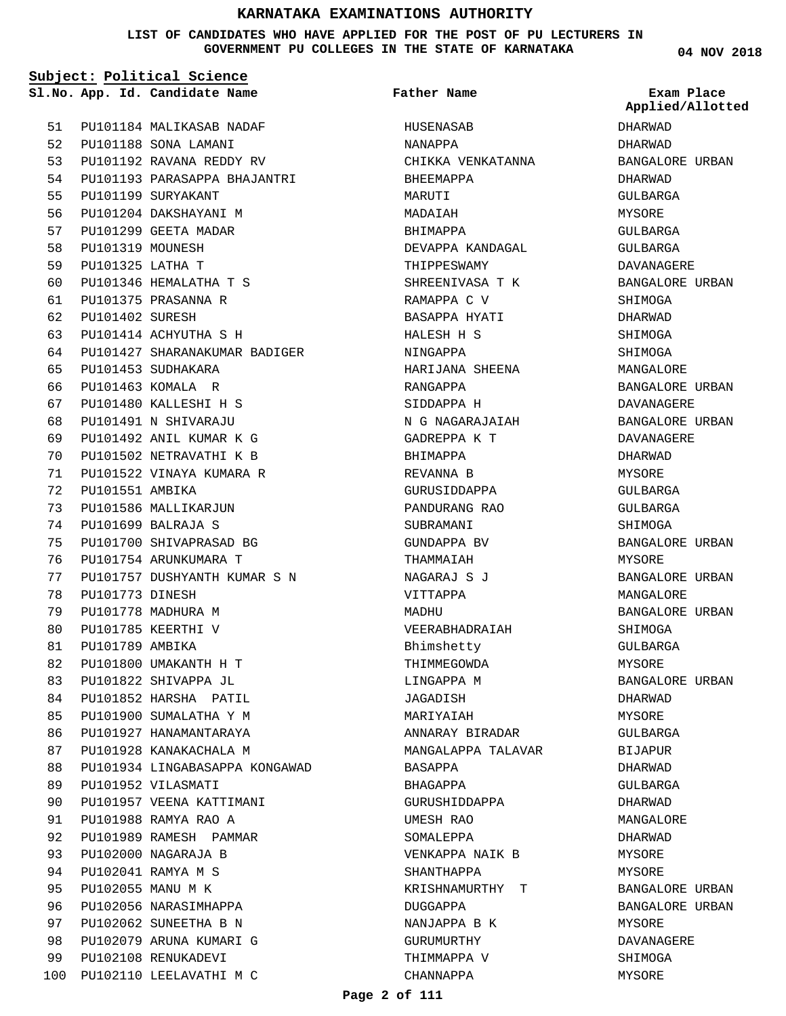#### **LIST OF CANDIDATES WHO HAVE APPLIED FOR THE POST OF PU LECTURERS IN GOVERNMENT PU COLLEGES IN THE STATE OF KARNATAKA**

**Subject: Political Science**

**App. Id. Candidate Name Sl.No. Exam Place**

**Father Name**

PU101184 MALIKASAB NADAF PU101188 SONA LAMANI 52 PU101192 RAVANA REDDY RV 53 PU101193 PARASAPPA BHAJANTRI PU101199 SURYAKANT PU101204 DAKSHAYANI M PU101299 GEETA MADAR PU101319 MOUNESH PU101325 LATHA T PU101346 HEMALATHA T S PU101375 PRASANNA R PU101402 SURESH PU101414 ACHYUTHA S H PU101427 SHARANAKUMAR BADIGER PU101453 SUDHAKARA PU101463 KOMALA R PU101480 KALLESHI H S PU101491 N SHIVARAJU PU101492 ANIL KUMAR K G PU101502 NETRAVATHI K B PU101522 VINAYA KUMARA R PU101551 AMBIKA PU101586 MALLIKARJUN PU101699 BALRAJA S PU101700 SHIVAPRASAD BG PU101754 ARUNKUMARA T PU101757 DUSHYANTH KUMAR S N PU101773 DINESH PU101778 MADHURA M PU101785 KEERTHI V PU101789 AMBIKA PU101800 UMAKANTH H T PU101822 SHIVAPPA JL PU101852 HARSHA PATIL PU101900 SUMALATHA Y M PU101927 HANAMANTARAYA PU101928 KANAKACHALA M PU101934 LINGABASAPPA KONGAWAD PU101952 VILASMATI PU101957 VEENA KATTIMANI PU101988 RAMYA RAO A PU101989 RAMESH PAMMAR PU102000 NAGARAJA B PU102041 RAMYA M S PU102055 MANU M K PU102056 NARASIMHAPPA PU102062 SUNEETHA B N PU102079 ARUNA KUMARI G PU102108 RENUKADEVI 100 PU102110 LEELAVATHI M C 51 54 55 56 57 58 59  $60$ 61 62 63 64 65 66 67  $68$ 69  $70$ 71 72 73 74 75 76 77 78 79 80 81 82 83 84 85  $86$ 87 **88** 89 90 91  $92$ 93 94  $95$ 96 97 98 99

HUSENASAB NANAPPA CHIKKA VENKATANNA BHEEMAPPA MARUTI MADAIAH BHIMAPPA DEVAPPA KANDAGAL THIPPESWAMY SHREENIVASA T K RAMAPPA C V BASAPPA HYATI HALESH H S NINGAPPA HARIJANA SHEENA RANGAPPA SIDDAPPA H N G NAGARAJAIAH GADREPPA K T BHIMAPPA REVANNA B GURUSIDDAPPA PANDURANG RAO SUBRAMANI GUNDAPPA BV THAMMAIAH NAGARAJ S J VITTAPPA MADHII VEERABHADRAIAH Bhimshetty THIMMEGOWDA LINGAPPA M JAGADISH MARIYAIAH ANNARAY BIRADAR MANGALAPPA TALAVAR BASAPPA BHAGAPPA GURUSHIDDAPPA UMESH RAO SOMALEPPA VENKAPPA NAIK B SHANTHAPPA KRISHNAMURTHY T DUGGAPPA NANJAPPA B K GURUMURTHY THIMMAPPA V CHANNAPPA

**04 NOV 2018**

DHARWAD DHARWAD BANGALORE URBAN DHARWAD GULBARGA MYSORE GULBARGA GULBARGA DAVANAGERE BANGALORE URBAN SHIMOGA DHARWAD SHIMOGA SHIMOGA MANGALORE BANGALORE URBAN DAVANAGERE BANGALORE URBAN DAVANAGERE DHARWAD MYSORE GULBARGA GULBARGA SHIMOGA BANGALORE URBAN MYSORE BANGALORE URBAN MANGALORE BANGALORE URBAN SHIMOGA GULBARGA MYSORE BANGALORE URBAN DHARWAD MYSORE GULBARGA **BIJAPUR** DHARWAD GULBARGA DHARWAD MANGALORE DHARWAD MYSORE MYSORE BANGALORE URBAN BANGALORE URBAN MYSORE DAVANAGERE SHIMOGA MYSORE **Applied/Allotted**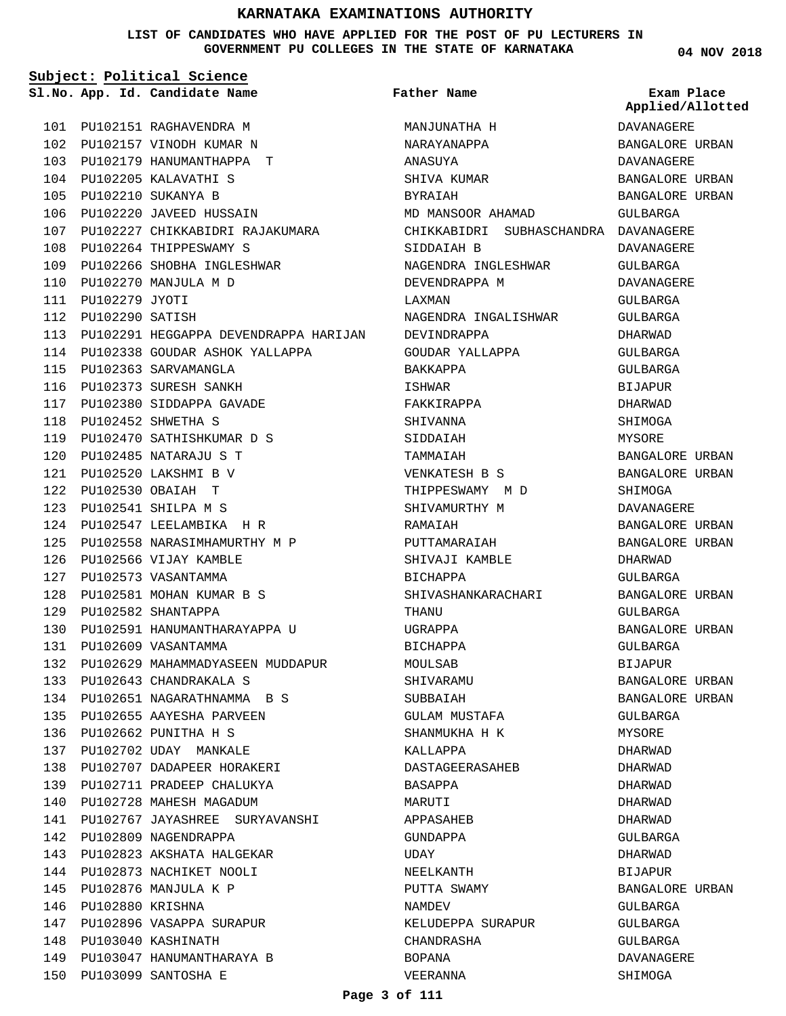**LIST OF CANDIDATES WHO HAVE APPLIED FOR THE POST OF PU LECTURERS IN GOVERNMENT PU COLLEGES IN THE STATE OF KARNATAKA**

**04 NOV 2018**

|     |                      | Sl.No. App. Id. Candidate Name            | <b>Father Name</b>                   | Exam Place<br>Applied/Allotted |
|-----|----------------------|-------------------------------------------|--------------------------------------|--------------------------------|
|     |                      | 101 PU102151 RAGHAVENDRA M                | MANJUNATHA H                         | DAVANAGERE                     |
|     |                      | 102 PU102157 VINODH KUMAR N               | NARAYANAPPA                          | BANGALORE URBAN                |
|     |                      | 103 PU102179 HANUMANTHAPPA T              | ANASUYA                              | DAVANAGERE                     |
|     |                      | 104 PU102205 KALAVATHI S                  | SHIVA KUMAR                          | BANGALORE URBAN                |
|     |                      | 105 PU102210 SUKANYA B                    | BYRAIAH                              | BANGALORE URBAN                |
|     |                      | 106 PU102220 JAVEED HUSSAIN               | MD MANSOOR AHAMAD                    | GULBARGA                       |
| 107 |                      | PU102227 CHIKKABIDRI RAJAKUMARA           | CHIKKABIDRI SUBHASCHANDRA DAVANAGERE |                                |
|     |                      | 108 PU102264 THIPPESWAMY S                | SIDDAIAH B                           | DAVANAGERE                     |
|     |                      | 109 PU102266 SHOBHA INGLESHWAR            | NAGENDRA INGLESHWAR                  | GULBARGA                       |
|     |                      | 110 PU102270 MANJULA M D                  | DEVENDRAPPA M                        | DAVANAGERE                     |
|     | 111 PU102279 JYOTI   |                                           | LAXMAN                               | GULBARGA                       |
|     | 112 PU102290 SATISH  |                                           | NAGENDRA INGALISHWAR                 | GULBARGA                       |
|     |                      | 113 PU102291 HEGGAPPA DEVENDRAPPA HARIJAN | DEVINDRAPPA                          | DHARWAD                        |
|     |                      | 114 PU102338 GOUDAR ASHOK YALLAPPA        | GOUDAR YALLAPPA                      | GULBARGA                       |
|     |                      | 115 PU102363 SARVAMANGLA                  | BAKKAPPA                             | GULBARGA                       |
|     |                      | 116 PU102373 SURESH SANKH                 | ISHWAR                               | <b>BIJAPUR</b>                 |
|     |                      | 117 PU102380 SIDDAPPA GAVADE              | FAKKIRAPPA                           | DHARWAD                        |
|     |                      | 118 PU102452 SHWETHA S                    | SHIVANNA                             | SHIMOGA                        |
| 119 |                      | PU102470 SATHISHKUMAR D S                 | SIDDAIAH                             | <b>MYSORE</b>                  |
| 120 |                      | PU102485 NATARAJU S T                     | TAMMAIAH                             | BANGALORE URBAN                |
|     |                      | 121 PU102520 LAKSHMI B V                  | VENKATESH B S                        | BANGALORE URBAN                |
|     |                      | 122 PU102530 OBAIAH T                     | THIPPESWAMY M D                      | SHIMOGA                        |
| 123 |                      | PU102541 SHILPA M S                       | SHIVAMURTHY M                        | DAVANAGERE                     |
|     |                      | 124 PU102547 LEELAMBIKA HR                | RAMAIAH                              | BANGALORE URBAN                |
|     |                      | 125 PU102558 NARASIMHAMURTHY M P          | PUTTAMARAIAH                         | BANGALORE URBAN                |
|     |                      | 126 PU102566 VIJAY KAMBLE                 | SHIVAJI KAMBLE                       | DHARWAD                        |
| 127 |                      | PU102573 VASANTAMMA                       | BICHAPPA                             | GULBARGA                       |
| 128 |                      | PU102581 MOHAN KUMAR B S                  | SHIVASHANKARACHARI                   | BANGALORE URBAN                |
|     |                      | 129 PU102582 SHANTAPPA                    | THANU                                | GULBARGA                       |
|     |                      | 130 PU102591 HANUMANTHARAYAPPA U          | UGRAPPA                              | BANGALORE URBAN                |
| 131 |                      | PU102609 VASANTAMMA                       | BICHAPPA                             | GULBARGA                       |
| 132 |                      | PU102629 MAHAMMADYASEEN MUDDAPUR          | MOULSAB                              | BIJAPUR                        |
|     |                      | 133 PU102643 CHANDRAKALA S                | SHIVARAMU                            | BANGALORE URBAN                |
|     |                      | 134 PU102651 NAGARATHNAMMA BS             | SUBBAIAH                             | BANGALORE URBAN                |
|     |                      | 135 PU102655 AAYESHA PARVEEN              | GULAM MUSTAFA                        | GULBARGA                       |
|     |                      | 136 PU102662 PUNITHA H S                  | SHANMUKHA H K                        | MYSORE                         |
|     |                      | 137 PU102702 UDAY MANKALE                 | KALLAPPA                             | DHARWAD                        |
|     |                      | 138 PU102707 DADAPEER HORAKERI            | DASTAGEERASAHEB                      | DHARWAD                        |
| 139 |                      | PU102711 PRADEEP CHALUKYA                 | BASAPPA                              | DHARWAD                        |
| 140 |                      | PU102728 MAHESH MAGADUM                   | MARUTI                               | DHARWAD                        |
|     |                      | 141 PU102767 JAYASHREE SURYAVANSHI        | APPASAHEB                            | DHARWAD                        |
|     |                      | 142 PU102809 NAGENDRAPPA                  | GUNDAPPA                             | GULBARGA                       |
| 143 |                      | PU102823 AKSHATA HALGEKAR                 | UDAY                                 | DHARWAD                        |
|     |                      | 144 PU102873 NACHIKET NOOLI               | NEELKANTH                            | BIJAPUR                        |
|     |                      | 145 PU102876 MANJULA K P                  | PUTTA SWAMY                          | BANGALORE URBAN                |
|     | 146 PU102880 KRISHNA |                                           | NAMDEV                               | GULBARGA                       |
| 147 |                      | PU102896 VASAPPA SURAPUR                  | KELUDEPPA SURAPUR                    | GULBARGA                       |
| 148 |                      | PU103040 KASHINATH                        | CHANDRASHA                           | GULBARGA                       |
|     |                      | 149 PU103047 HANUMANTHARAYA B             | BOPANA                               | DAVANAGERE                     |
|     |                      | 150 PU103099 SANTOSHA E                   | VEERANNA                             | SHIMOGA                        |

PU103099 SANTOSHA E 150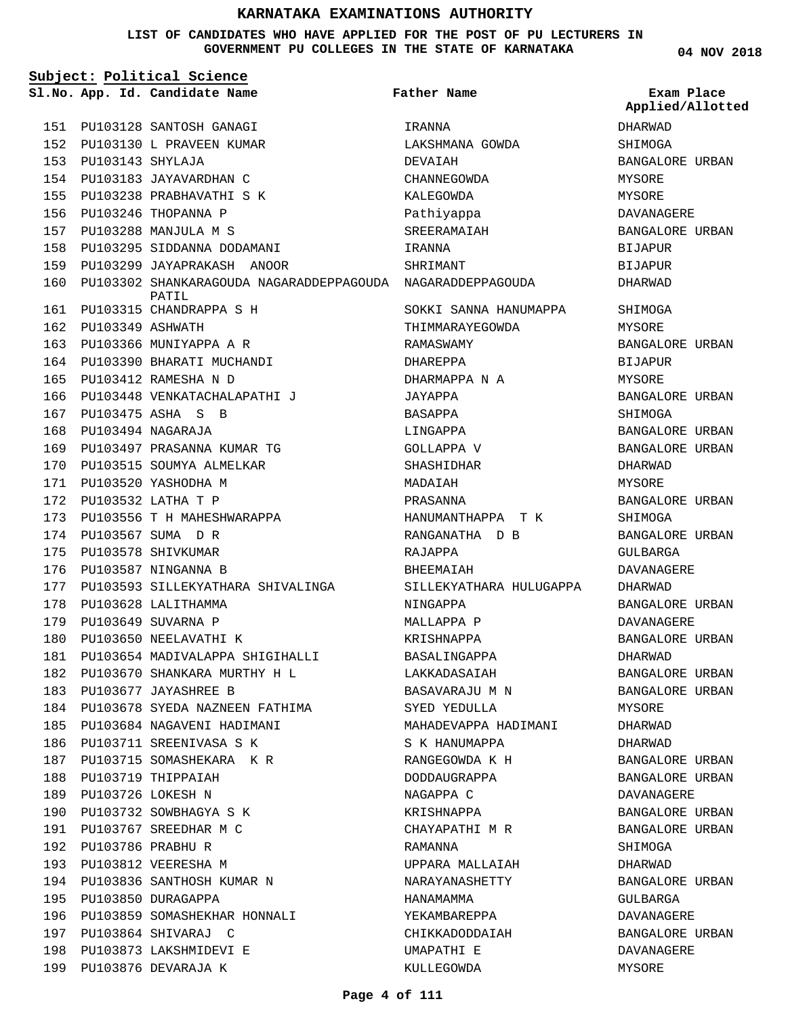### **LIST OF CANDIDATES WHO HAVE APPLIED FOR THE POST OF PU LECTURERS IN GOVERNMENT PU COLLEGES IN THE STATE OF KARNATAKA**

|     |                      | Subject: Political Science                                          |                                                      |                                |
|-----|----------------------|---------------------------------------------------------------------|------------------------------------------------------|--------------------------------|
|     |                      | Sl.No. App. Id. Candidate Name                                      | <b>Father Name</b>                                   | Exam Place<br>Applied/Allotted |
|     |                      | 151 PU103128 SANTOSH GANAGI                                         | IRANNA                                               | DHARWAD                        |
|     |                      | 152 PU103130 L PRAVEEN KUMAR                                        | LAKSHMANA GOWDA                                      | SHIMOGA                        |
|     | 153 PU103143 SHYLAJA |                                                                     | DEVAIAH                                              | BANGALORE URBAN                |
|     |                      | 154 PU103183 JAYAVARDHAN C                                          | CHANNEGOWDA                                          | MYSORE                         |
| 155 |                      | PU103238 PRABHAVATHI S K                                            | KALEGOWDA                                            | MYSORE                         |
|     |                      | 156 PU103246 THOPANNA P                                             | Pathiyappa                                           | DAVANAGERE                     |
|     |                      | 157 PU103288 MANJULA M S                                            | SREERAMAIAH                                          | BANGALORE URBAN                |
|     |                      | 158 PU103295 SIDDANNA DODAMANI                                      | IRANNA                                               | BIJAPUR                        |
|     |                      | 159 PU103299 JAYAPRAKASH ANOOR                                      | SHRIMANT                                             | <b>BIJAPUR</b>                 |
| 160 |                      | PU103302 SHANKARAGOUDA NAGARADDEPPAGOUDA NAGARADDEPPAGOUDA<br>PATIL |                                                      | DHARWAD                        |
| 161 |                      | PU103315 CHANDRAPPA S H                                             | SOKKI SANNA HANUMAPPA                                | SHIMOGA                        |
|     | 162 PU103349 ASHWATH |                                                                     | THIMMARAYEGOWDA                                      | MYSORE                         |
|     |                      | 163 PU103366 MUNIYAPPA A R                                          | RAMASWAMY                                            | BANGALORE URBAN                |
|     |                      | 164 PU103390 BHARATI MUCHANDI                                       | DHAREPPA                                             | <b>BIJAPUR</b>                 |
| 165 |                      | PU103412 RAMESHA N D                                                | DHARMAPPA N A                                        | MYSORE                         |
| 166 |                      | PU103448 VENKATACHALAPATHI J                                        | JAYAPPA                                              | BANGALORE URBAN                |
| 167 |                      | PU103475 ASHA S B                                                   | BASAPPA                                              | SHIMOGA                        |
|     |                      | 168 PU103494 NAGARAJA                                               | LINGAPPA                                             | BANGALORE URBAN                |
|     |                      | 169 PU103497 PRASANNA KUMAR TG                                      | GOLLAPPA V                                           | BANGALORE URBAN                |
|     |                      | 170 PU103515 SOUMYA ALMELKAR                                        | SHASHIDHAR                                           | DHARWAD                        |
| 171 |                      | PU103520 YASHODHA M                                                 | MADAIAH                                              | MYSORE                         |
|     |                      | 172 PU103532 LATHA T P                                              | PRASANNA                                             | BANGALORE URBAN                |
| 173 |                      | PU103556 T H MAHESHWARAPPA                                          | HANUMANTHAPPA T K                                    | SHIMOGA                        |
| 174 |                      | PU103567 SUMA D R                                                   | RANGANATHA D B                                       | BANGALORE URBAN                |
| 175 |                      | PU103578 SHIVKUMAR                                                  | RAJAPPA                                              | GULBARGA                       |
|     |                      | 176 PU103587 NINGANNA B                                             | BHEEMAIAH                                            | DAVANAGERE                     |
|     |                      | 177 PU103593 SILLEKYATHARA SHIVALINGA                               | SILLEKYATHARA HULUGAPPA                              | DHARWAD                        |
| 178 |                      | PU103628 LALITHAMMA                                                 | NINGAPPA                                             | BANGALORE URBAN                |
| 179 |                      | PU103649 SUVARNA P                                                  | MALLAPPA P                                           | <b>DAVANAGERE</b>              |
|     |                      | 180 PU103650 NEELAVATHI K                                           | KRISHNAPPA                                           | BANGALORE URBAN                |
|     |                      | 181 PU103654 MADIVALAPPA SHIGIHALLI                                 | BASALINGAPPA                                         | DHARWAD                        |
|     |                      | 182 PU103670 SHANKARA MURTHY H L LAKKADASAIAH                       |                                                      | BANGALORE URBAN                |
|     |                      | 183 PU103677 JAYASHREE B                                            | BASAVARAJU M N                       BANGALORE URBAN |                                |
|     |                      | 184 PU103678 SYEDA NAZNEEN FATHIMA SYED YEDULLA MYSORE              |                                                      |                                |
|     |                      | 185 PU103684 NAGAVENI HADIMANI                                      | MAHADEVAPPA HADIMANI                                 | DHARWAD                        |
|     |                      | 186 PU103711 SREENIVASA S K                                         | S K HANUMAPPA                                        | DHARWAD                        |
|     |                      | 187 PU103715 SOMASHEKARA K R                                        | RANGEGOWDA K H                                       | BANGALORE URBAN                |
|     |                      | 188 PU103719 THIPPAIAH                                              | DODDAUGRAPPA                                         | BANGALORE URBAN                |
|     |                      | 189 PU103726 LOKESH N                                               | NAGAPPA C                                            | DAVANAGERE                     |
|     |                      | 190 PU103732 SOWBHAGYA S K                                          | KRISHNAPPA                                           | BANGALORE URBAN                |
|     |                      | 191 PU103767 SREEDHAR M C                                           | CHAYAPATHI M R                                       | BANGALORE URBAN                |
|     |                      | 192 PU103786 PRABHU R                                               | RAMANNA                                              | SHIMOGA                        |
|     |                      | 193 PU103812 VEERESHA M                                             | UPPARA MALLAIAH                                      | DHARWAD                        |
|     |                      | 194 PU103836 SANTHOSH KUMAR N                                       | NARAYANASHETTY                                       | BANGALORE URBAN                |
|     |                      | 195 PU103850 DURAGAPPA                                              | HANAMAMMA                                            | GULBARGA                       |
|     |                      | 196 PU103859 SOMASHEKHAR HONNALI                                    | YEKAMBAREPPA                                         | DAVANAGERE                     |
|     |                      | 197 PU103864 SHIVARAJ C                                             | CHIKKADODDAIAH                                       | BANGALORE URBAN                |
|     |                      | 198 PU103873 LAKSHMIDEVI E                                          | UMAPATHI E                                           | DAVANAGERE                     |
|     |                      | 199 PU103876 DEVARAJA K                                             | KULLEGOWDA                                           | MYSORE                         |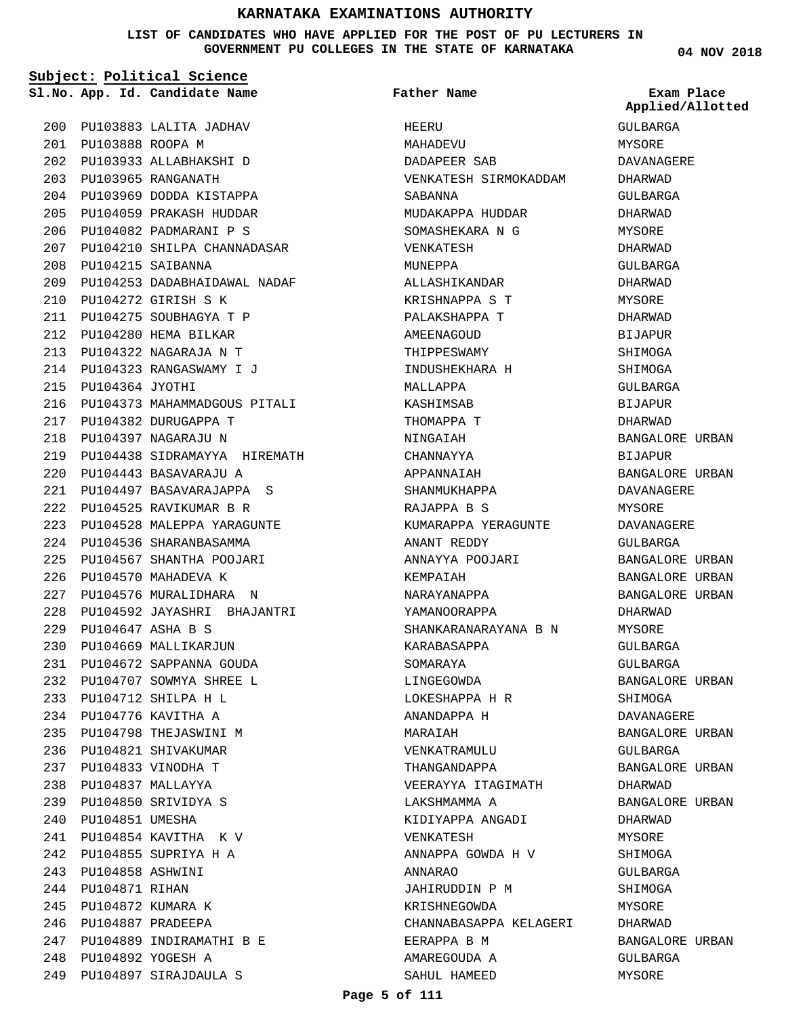#### **LIST OF CANDIDATES WHO HAVE APPLIED FOR THE POST OF PU LECTURERS IN GOVERNMENT PU COLLEGES IN THE STATE OF KARNATAKA**

**Subject: Political Science**

**App. Id. Candidate Name Sl.No. Exam Place**

PU103888 ROOPA M 201

PU103883 LALITA JADHAV 200

PU103933 ALLABHAKSHI D 202 PU103965 RANGANATH 203

PU103969 DODDA KISTAPPA 204 PU104059 PRAKASH HUDDAR 205 PU104082 PADMARANI P S 206

PU104210 SHILPA CHANNADASAR 207

**Father Name**

VENKATESH SIRMOKADDAM

MUDAKAPPA HUDDAR SOMASHEKARA N G

KUMARAPPA YERAGUNTE

SHANKARANARAYANA B N

VEERAYYA ITAGIMATH

KIDIYAPPA ANGADI

ANNAPPA GOWDA H V

CHANNABASAPPA KELAGERI

JAHIRUDDIN P M KRISHNEGOWDA

EERAPPA B M AMAREGOUDA A SAHUL HAMEED

ANNAYYA POOJARI

ANANT REDDY

KARABASAPPA SOMARAYA LINGEGOWDA LOKESHAPPA H R ANANDAPPA H

MARAIAH

VENKATRAMULU THANGANDAPPA

LAKSHMAMMA A

VENKATESH

ANNARAO

KEMPAIAH NARAYANAPPA YAMANOORAPPA

HEERU MAHADEVU DADAPEER SAB

SABANNA

VENKATESH MINEPPA

MALLAPPA KASHIMSAB THOMAPPA T NINGAIAH CHANNAYYA APPANNAIAH SHANMUKHAPPA RAJAPPA B S

ALLASHIKANDAR KRISHNAPPA S T PALAKSHAPPA T AMEENAGOUD THIPPESWAMY INDUSHEKHARA H

GULBARGA MYSORE DAVANAGERE DHARWAD GULBARGA DHARWAD MYSORE DHARWAD GULBARGA DHARWAD MYSORE DHARWAD BIJAPUR SHIMOGA SHIMOGA GULBARGA BIJAPUR DHARWAD BANGALORE URBAN BIJAPUR BANGALORE URBAN DAVANAGERE MYSORE DAVANAGERE GULBARGA BANGALORE URBAN BANGALORE URBAN BANGALORE URBAN DHARWAD MYSORE GULBARGA GULBARGA BANGALORE URBAN SHIMOGA DAVANAGERE BANGALORE URBAN GULBARGA BANGALORE URBAN DHARWAD BANGALORE URBAN DHARWAD MYSORE SHIMOGA GULBARGA **SHIMOGA** MYSORE DHARWAD **Applied/Allotted**

BANGALORE URBAN

GULBARGA MYSORE

PU104215 SAIBANNA 208 PU104253 DADABHAIDAWAL NADAF 209 PU104272 GIRISH S K 210 PU104275 SOUBHAGYA T P 211 PU104280 HEMA BILKAR 212 PU104322 NAGARAJA N T 213 PU104323 RANGASWAMY I J 214 PU104364 JYOTHI 215 PU104373 MAHAMMADGOUS PITALI 216 PU104382 DURUGAPPA T 217 PU104397 NAGARAJU N 218 PU104438 SIDRAMAYYA HIREMATH 219 PU104443 BASAVARAJU A 220 PU104497 BASAVARAJAPPA S 221 PU104525 RAVIKUMAR B R 222 PU104528 MALEPPA YARAGUNTE 223 PU104536 SHARANBASAMMA 224 PU104567 SHANTHA POOJARI 225 226 PU104570 MAHADEVA K PU104576 MURALIDHARA N 227 PU104592 JAYASHRI BHAJANTRI 228 PU104647 ASHA B S 229 PU104669 MALLIKARJUN 230 PU104672 SAPPANNA GOUDA 231 PU104707 SOWMYA SHREE L 232 PU104712 SHILPA H L 233 PU104776 KAVITHA A 234 235 PU104798 THEJASWINI M PU104821 SHIVAKUMAR 236 PU104833 VINODHA T 237 PU104837 MALLAYYA 238 PU104850 SRIVIDYA S 239 240 PU104851 UMESHA PU104854 KAVITHA K V 241 PU104855 SUPRIYA H A 242 PU104858 ASHWINI 243 244 PU104871 RIHAN PU104872 KUMARA K 245 PU104887 PRADEEPA 246 PU104889 INDIRAMATHI B E 247 PU104892 YOGESH A 248 PU104897 SIRAJDAULA S 249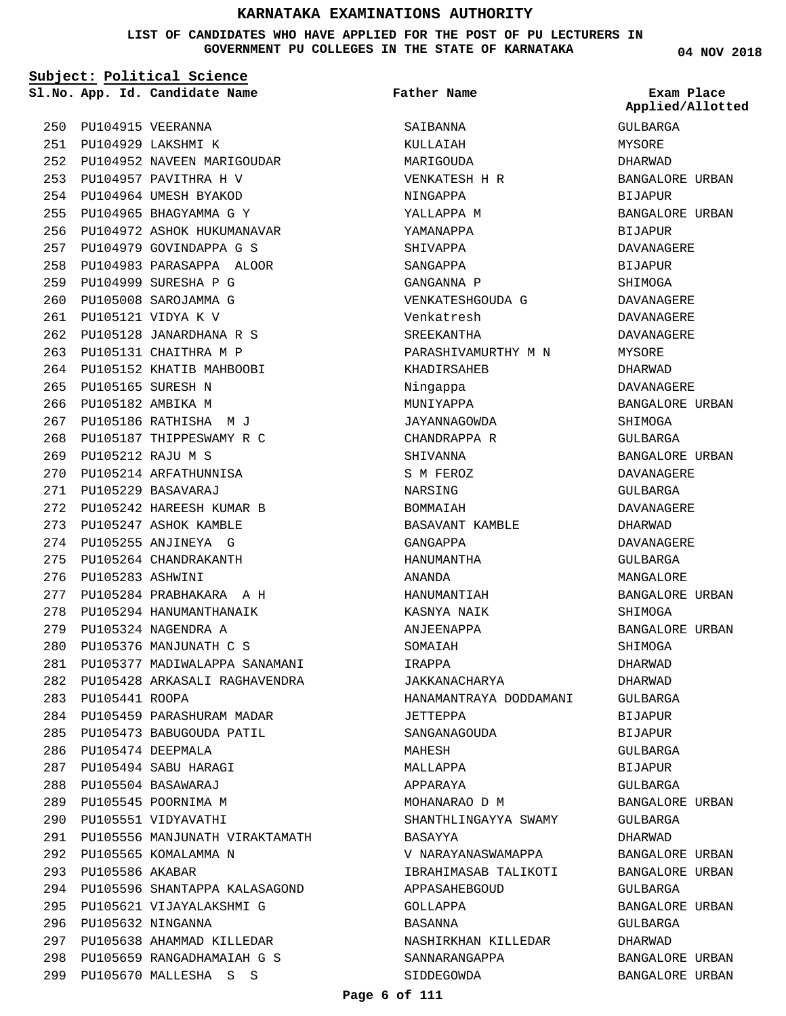#### **LIST OF CANDIDATES WHO HAVE APPLIED FOR THE POST OF PU LECTURERS IN GOVERNMENT PU COLLEGES IN THE STATE OF KARNATAKA**

**Subject: Political Science**

**App. Id. Candidate Name Sl.No. Exam Place**

PU104957 PAVITHRA H V 253 PU104964 UMESH BYAKOD 254 PU104965 BHAGYAMMA G Y 255 PU104972 ASHOK HUKUMANAVAR 256 PU104979 GOVINDAPPA G S 257 PU104983 PARASAPPA ALOOR 258

PU104999 SURESHA P G 259 PU105008 SAROJAMMA G 260 PU105121 VIDYA K V 261

PU105165 SURESH N 265 266 PU105182 AMBIKA M

PU105212 RAJU M S 269 270 PU105214 ARFATHUNNISA PU105229 BASAVARAJ 271

PU105283 ASHWINI 276

283 PU105441 ROOPA

PU105474 DEEPMALA 286 PU105494 SABU HARAGI 287 PU105504 BASAWARAJ 288 289 PU105545 POORNIMA M PU105551 VIDYAVATHI 290

292 PU105565 KOMALAMMA N

PU105586 AKABAR 293

296 PU105632 NINGANNA

PU105128 JANARDHANA R S 262 PU105131 CHAITHRA M P 263 264 PU105152 KHATIB MAHBOOBI

PU105186 RATHISHA M J 267 PU105187 THIPPESWAMY R C 268

PU105242 HAREESH KUMAR B 272 273 PU105247 ASHOK KAMBLE PU105255 ANJINEYA G 274 275 PU105264 CHANDRAKANTH

PU105284 PRABHAKARA A H 277 278 PU105294 HANUMANTHANAIK PU105324 NAGENDRA A 279 PU105376 MANJUNATH C S 280

PU105377 MADIWALAPPA SANAMANI 281 PU105428 ARKASALI RAGHAVENDRA 282

PU105556 MANJUNATH VIRAKTAMATH 291

PU105596 SHANTAPPA KALASAGOND 294

PU105621 VIJAYALAKSHMI G 295

PU105638 AHAMMAD KILLEDAR 297 PU105659 RANGADHAMAIAH G S 298 PU105670 MALLESHA S S 299

284 PU105459 PARASHURAM MADAR PU105473 BABUGOUDA PATIL 285

PU104952 NAVEEN MARIGOUDAR 252

PU104915 VEERANNA 250 PU104929 LAKSHMI K 251 **Father Name**

SAIRANNA KULLAIAH MARIGOUDA VENKATESH H R NINGAPPA YALLAPPA M YAMANAPPA SHIVAPPA SANGAPPA GANGANNA P VENKATESHGOUDA G Venkatresh SREEKANTHA PARASHIVAMURTHY M N KHADIRSAHEB Ningappa MUNIYAPPA JAYANNAGOWDA CHANDRAPPA R SHIVANNA S M FEROZ NARSING BOMMAIAH BASAVANT KAMBLE GANGAPPA HANUMANTHA ANANDA HANUMANTIAH KASNYA NAIK ANJEENAPPA SOMAIAH IRAPPA JAKKANACHARYA HANAMANTRAYA DODDAMANI JETTEPPA SANGANAGOUDA MAHESH MALLAPPA APPARAYA MOHANARAO D M SHANTHLINGAYYA SWAMY BASAYYA V NARAYANASWAMAPPA IBRAHIMASAB TALIKOTI APPASAHEBGOUD GOLLAPPA BASANNA NASHIRKHAN KILLEDAR SANNARANGAPPA

**04 NOV 2018**

GULBARGA MYSORE DHARWAD BANGALORE URBAN BIJAPUR BANGALORE URBAN BIJAPUR DAVANAGERE **BIJAPUR SHIMOGA** DAVANAGERE DAVANAGERE DAVANAGERE MYSORE DHARWAD DAVANAGERE BANGALORE URBAN **SHIMOGA** GULBARGA BANGALORE URBAN DAVANAGERE GULBARGA DAVANAGERE DHARWAD DAVANAGERE GULBARGA MANGALORE BANGALORE URBAN SHIMOGA BANGALORE URBAN SHIMOGA DHARWAD DHARWAD GULBARGA **BIJAPUR** BIJAPUR GULBARGA BIJAPUR GULBARGA BANGALORE URBAN GULBARGA DHARWAD BANGALORE URBAN BANGALORE URBAN GULBARGA BANGALORE URBAN GULBARGA DHARWAD BANGALORE URBAN BANGALORE URBAN **Applied/Allotted**

SIDDEGOWDA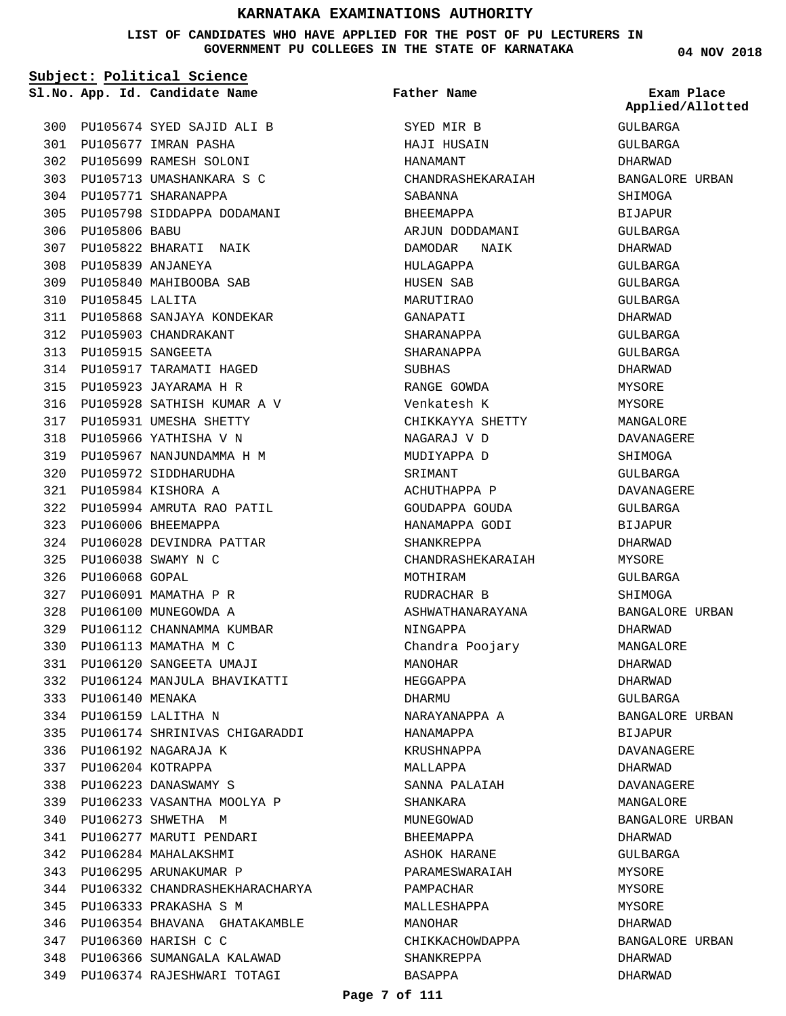### **LIST OF CANDIDATES WHO HAVE APPLIED FOR THE POST OF PU LECTURERS IN GOVERNMENT PU COLLEGES IN THE STATE OF KARNATAKA**

|     | Subject: Political Science |                                    |                             |                                |  |  |
|-----|----------------------------|------------------------------------|-----------------------------|--------------------------------|--|--|
|     |                            | Sl.No. App. Id. Candidate Name     | <b>Father Name</b>          | Exam Place<br>Applied/Allotted |  |  |
|     |                            | 300 PU105674 SYED SAJID ALI B      | SYED MIR B                  | GULBARGA                       |  |  |
|     |                            | 301 PU105677 IMRAN PASHA           | HAJI HUSAIN                 | GULBARGA                       |  |  |
|     |                            | 302 PU105699 RAMESH SOLONI         | HANAMANT                    | DHARWAD                        |  |  |
|     |                            | 303 PU105713 UMASHANKARA S C       | CHANDRASHEKARAIAH           | BANGALORE URBAN                |  |  |
|     |                            | 304 PU105771 SHARANAPPA            | SABANNA                     | SHIMOGA                        |  |  |
|     |                            | 305 PU105798 SIDDAPPA DODAMANI     | BHEEMAPPA                   | BIJAPUR                        |  |  |
|     | 306 PU105806 BABU          |                                    | ARJUN DODDAMANI             | GULBARGA                       |  |  |
| 307 |                            | PU105822 BHARATI NAIK              | DAMODAR<br>NAIK             | DHARWAD                        |  |  |
|     |                            | 308 PU105839 ANJANEYA              | HULAGAPPA                   | GULBARGA                       |  |  |
|     |                            | 309 PU105840 MAHIBOOBA SAB         | HUSEN SAB                   | GULBARGA                       |  |  |
| 310 | PU105845 LALITA            |                                    | MARUTIRAO                   | GULBARGA                       |  |  |
| 311 |                            | PU105868 SANJAYA KONDEKAR          | GANAPATI                    | DHARWAD                        |  |  |
|     |                            | 312 PU105903 CHANDRAKANT           | SHARANAPPA                  | GULBARGA                       |  |  |
|     | 313 PU105915 SANGEETA      |                                    | SHARANAPPA                  | GULBARGA                       |  |  |
|     |                            | 314 PU105917 TARAMATI HAGED        | SUBHAS                      | DHARWAD                        |  |  |
| 315 |                            | PU105923 JAYARAMA H R              | RANGE GOWDA                 | MYSORE                         |  |  |
|     |                            | 316 PU105928 SATHISH KUMAR A V     | Venkatesh K                 | MYSORE                         |  |  |
|     |                            | 317 PU105931 UMESHA SHETTY         | CHIKKAYYA SHETTY            | MANGALORE                      |  |  |
| 318 |                            | PU105966 YATHISHA V N              | NAGARAJ V D                 | DAVANAGERE                     |  |  |
| 319 |                            | PU105967 NANJUNDAMMA H M           | MUDIYAPPA D                 | SHIMOGA                        |  |  |
| 320 |                            | PU105972 SIDDHARUDHA               | SRIMANT                     | GULBARGA                       |  |  |
| 321 |                            | PU105984 KISHORA A                 | ACHUTHAPPA P                | DAVANAGERE                     |  |  |
| 322 |                            | PU105994 AMRUTA RAO PATIL          | GOUDAPPA GOUDA              | GULBARGA                       |  |  |
| 323 |                            | PU106006 BHEEMAPPA                 | HANAMAPPA GODI              | <b>BIJAPUR</b>                 |  |  |
|     |                            | 324 PU106028 DEVINDRA PATTAR       | SHANKREPPA                  | DHARWAD                        |  |  |
|     |                            | 325 PU106038 SWAMY N C             | CHANDRASHEKARAIAH           | MYSORE                         |  |  |
| 326 | PU106068 GOPAL             |                                    | MOTHIRAM                    | GULBARGA                       |  |  |
| 327 |                            | PU106091 MAMATHA P R               | RUDRACHAR B                 | SHIMOGA                        |  |  |
| 328 |                            | PU106100 MUNEGOWDA A               | ASHWATHANARAYANA            | BANGALORE URBAN                |  |  |
| 329 |                            | PU106112 CHANNAMMA KUMBAR          |                             |                                |  |  |
| 330 |                            | PU106113 MAMATHA M C               | NINGAPPA<br>Chandra Poojary | DHARWAD                        |  |  |
|     |                            |                                    |                             | MANGALORE                      |  |  |
| 331 |                            | PU106120 SANGEETA UMAJI            | MANOHAR                     | DHARWAD                        |  |  |
| 332 |                            | PU106124 MANJULA BHAVIKATTI        | HEGGAPPA                    | DHARWAD                        |  |  |
| 333 | PU106140 MENAKA            |                                    | DHARMU                      | GULBARGA                       |  |  |
| 334 |                            | PU106159 LALITHA N                 | NARAYANAPPA A               | BANGALORE URBAN                |  |  |
| 335 |                            | PU106174 SHRINIVAS CHIGARADDI      | HANAMAPPA                   | <b>BIJAPUR</b>                 |  |  |
|     |                            | 336 PU106192 NAGARAJA K            | KRUSHNAPPA                  | DAVANAGERE                     |  |  |
| 337 |                            | PU106204 KOTRAPPA                  | MALLAPPA                    | DHARWAD                        |  |  |
| 338 |                            | PU106223 DANASWAMY S               | SANNA PALAIAH               | DAVANAGERE                     |  |  |
| 339 |                            | PU106233 VASANTHA MOOLYA P         | SHANKARA                    | MANGALORE                      |  |  |
| 340 |                            | PU106273 SHWETHA M                 | MUNEGOWAD                   | BANGALORE URBAN                |  |  |
| 341 |                            | PU106277 MARUTI PENDARI            | BHEEMAPPA                   | DHARWAD                        |  |  |
| 342 |                            | PU106284 MAHALAKSHMI               | ASHOK HARANE                | GULBARGA                       |  |  |
| 343 |                            | PU106295 ARUNAKUMAR P              | PARAMESWARAIAH              | MYSORE                         |  |  |
|     |                            | 344 PU106332 CHANDRASHEKHARACHARYA | PAMPACHAR                   | MYSORE                         |  |  |
| 345 |                            | PU106333 PRAKASHA S M              | MALLESHAPPA                 | MYSORE                         |  |  |
| 346 |                            | PU106354 BHAVANA GHATAKAMBLE       | MANOHAR                     | DHARWAD                        |  |  |
| 347 |                            | PU106360 HARISH C C                | CHIKKACHOWDAPPA             | BANGALORE URBAN                |  |  |
| 348 |                            | PU106366 SUMANGALA KALAWAD         | SHANKREPPA                  | DHARWAD                        |  |  |
|     |                            | 349 PU106374 RAJESHWARI TOTAGI     | BASAPPA                     | DHARWAD                        |  |  |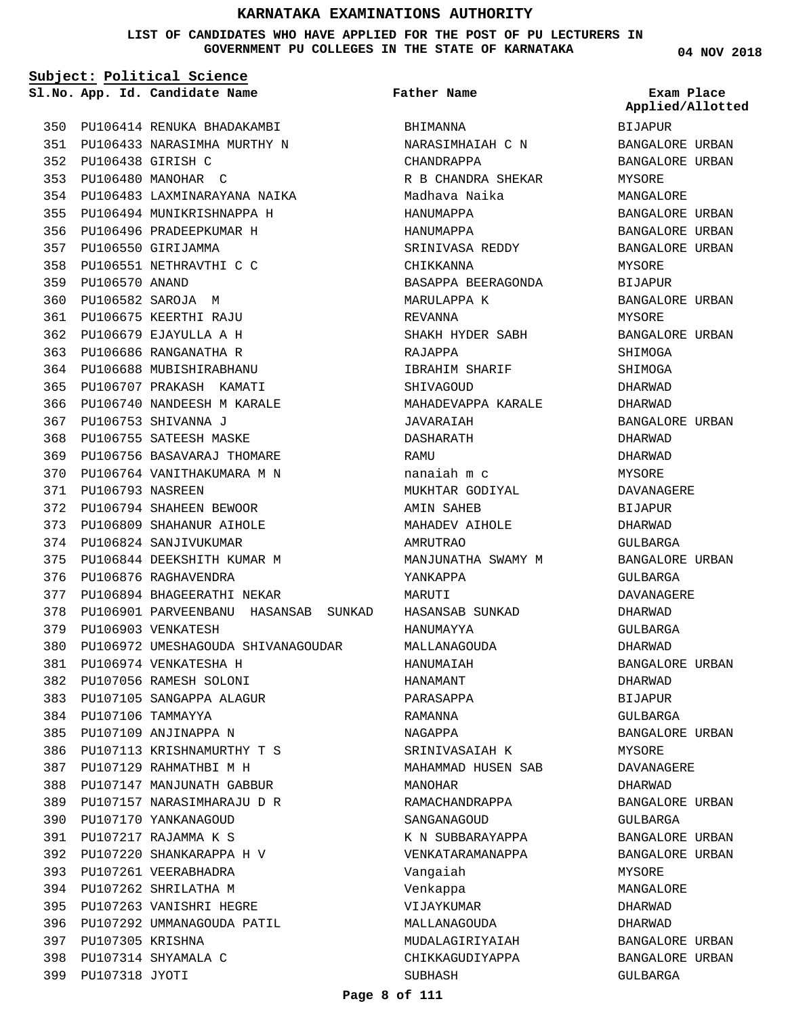**LIST OF CANDIDATES WHO HAVE APPLIED FOR THE POST OF PU LECTURERS IN GOVERNMENT PU COLLEGES IN THE STATE OF KARNATAKA**

**Subject: Political Science**

**App. Id. Candidate Name Sl.No. Exam Place**

PU106414 RENUKA BHADAKAMBI 350 PU106433 NARASIMHA MURTHY N 351 PU106438 GIRISH C 352 PU106480 MANOHAR C 353 PU106483 LAXMINARAYANA NAIKA 354 PU106494 MUNIKRISHNAPPA H 355 PU106496 PRADEEPKUMAR H 356 PU106550 GIRIJAMMA 357 PU106551 NETHRAVTHI C C 358 359 PU106570 ANAND PU106582 SAROJA M 360 PU106675 KEERTHI RAJU 361 PU106679 EJAYULLA A H 362 PU106686 RANGANATHA R 363 PU106688 MUBISHIRABHANU 364 PU106707 PRAKASH KAMATI 365 PU106740 NANDEESH M KARALE 366 PU106753 SHIVANNA J 367 368 PU106755 SATEESH MASKE PU106756 BASAVARAJ THOMARE 369 PU106764 VANITHAKUMARA M N 370 PU106793 NASREEN 371 PU106794 SHAHEEN BEWOOR 372 PU106809 SHAHANUR AIHOLE 373 374 PU106824 SANJIVUKUMAR PU106844 DEEKSHITH KUMAR M 375 376 PU106876 RAGHAVENDRA PU106894 BHAGEERATHI NEKAR 377 PU106901 PARVEENBANU HASANSAB SUNKAD 378 379 PU106903 VENKATESH PU106972 UMESHAGOUDA SHIVANAGOUDAR 380 PU106974 VENKATESHA H 381 PU107056 RAMESH SOLONI 382 PU107105 SANGAPPA ALAGUR 383 PU107106 TAMMAYYA 384 PU107109 ANJINAPPA N 385 PU107113 KRISHNAMURTHY T S 386 PU107129 RAHMATHBI M H 387 PU107147 MANJUNATH GABBUR 388 PU107157 NARASIMHARAJU D R 389 390 PU107170 YANKANAGOUD PU107217 RAJAMMA K S 391 PU107220 SHANKARAPPA H V 392 393 PU107261 VEERABHADRA PU107262 SHRILATHA M 394 PU107263 VANISHRI HEGRE 395 396 PU107292 UMMANAGOUDA PATIL 397 PU107305 KRISHNA PU107314 SHYAMALA C 398 399 PU107318 JYOTI

# **Father Name**

**BHIMANNA** NARASIMHAIAH C N CHANDRAPPA R B CHANDRA SHEKAR Madhava Naika HANUMAPPA HANUMAPPA SRINIVASA REDDY **CHIKKANNA** BASAPPA BEERAGONDA MARULAPPA K REVANNA SHAKH HYDER SABH RAJAPPA IBRAHIM SHARIF **SHIVAGOUD** MAHADEVAPPA KARALE JAVARAIAH DASHARATH **RAMIT** nanaiah m c MUKHTAR GODIYAL AMIN SAHEB MAHADEV AIHOLE AMRUTRAO MANJUNATHA SWAMY M YANKAPPA MARUTI HASANSAB SUNKAD HANUMAYYA MALLANAGOUDA HANUMAIAH HANAMANT PARASAPPA RAMANNA NAGAPPA SRINIVASAIAH K MAHAMMAD HUSEN SAB MANOHAR RAMACHANDRAPPA SANGANAGOUD K N SUBBARAYAPPA VENKATARAMANAPPA Vangaiah Venkappa VIJAYKUMAR MALLANAGOUDA MUDALAGIRIYAIAH CHIKKAGUDIYAPPA SUBHASH

**04 NOV 2018**

BIJAPUR BANGALORE URBAN BANGALORE URBAN MYSORE MANGALORE BANGALORE URBAN BANGALORE URBAN BANGALORE URBAN MYSORE BIJAPUR BANGALORE URBAN MYSORE BANGALORE URBAN SHIMOGA SHIMOGA DHARWAD DHARWAD BANGALORE URBAN DHARWAD DHARWAD MYSORE. DAVANAGERE BIJAPUR DHARWAD GULBARGA BANGALORE URBAN GULBARGA DAVANAGERE DHARWAD GULBARGA DHARWAD BANGALORE URBAN DHARWAD BIJAPUR GULBARGA BANGALORE URBAN MYSORE DAVANAGERE DHARWAD BANGALORE URBAN GULBARGA BANGALORE URBAN BANGALORE URBAN MYSORE MANGALORE DHARWAD DHARWAD BANGALORE URBAN BANGALORE URBAN GULBARGA **Applied/Allotted**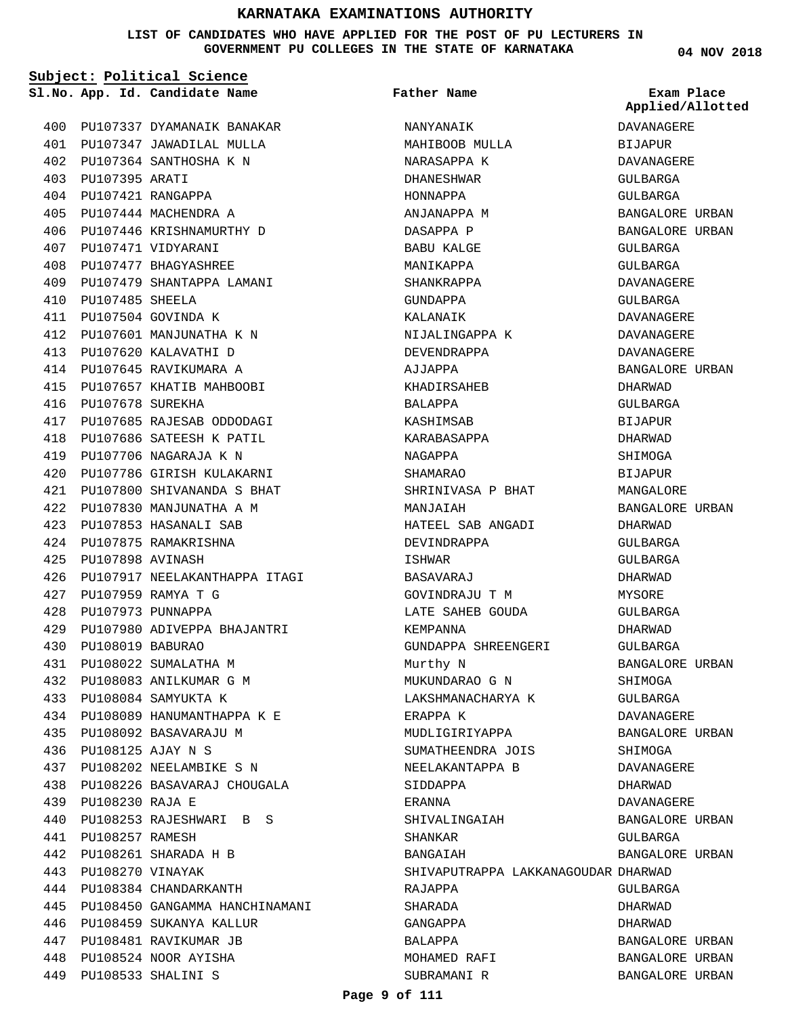**LIST OF CANDIDATES WHO HAVE APPLIED FOR THE POST OF PU LECTURERS IN GOVERNMENT PU COLLEGES IN THE STATE OF KARNATAKA**

|     | Subject: Political Science |                                |                                     |                                |  |
|-----|----------------------------|--------------------------------|-------------------------------------|--------------------------------|--|
|     |                            | Sl.No. App. Id. Candidate Name | Father Name                         | Exam Place<br>Applied/Allotted |  |
|     |                            | 400 PU107337 DYAMANAIK BANAKAR | NANYANAIK                           | DAVANAGERE                     |  |
|     |                            | 401 PU107347 JAWADILAL MULLA   | MAHIBOOB MULLA                      | BIJAPUR                        |  |
|     |                            | 402 PU107364 SANTHOSHA K N     | NARASAPPA K                         | DAVANAGERE                     |  |
|     | 403 PU107395 ARATI         |                                | DHANESHWAR                          | GULBARGA                       |  |
|     |                            | 404 PU107421 RANGAPPA          | HONNAPPA                            | GULBARGA                       |  |
|     |                            | 405 PU107444 MACHENDRA A       | ANJANAPPA M                         | BANGALORE URBAN                |  |
|     |                            | 406 PU107446 KRISHNAMURTHY D   | DASAPPA P                           | BANGALORE URBAN                |  |
|     |                            | 407 PU107471 VIDYARANI         | BABU KALGE                          | GULBARGA                       |  |
|     |                            | 408 PU107477 BHAGYASHREE       | MANIKAPPA                           | GULBARGA                       |  |
|     |                            | 409 PU107479 SHANTAPPA LAMANI  | SHANKRAPPA                          | DAVANAGERE                     |  |
| 410 | PU107485 SHEELA            |                                | GUNDAPPA                            | GULBARGA                       |  |
|     |                            | 411 PU107504 GOVINDA K         | KALANAIK                            | DAVANAGERE                     |  |
|     |                            | 412 PU107601 MANJUNATHA K N    | NIJALINGAPPA K                      | DAVANAGERE                     |  |
|     |                            | 413 PU107620 KALAVATHI D       | DEVENDRAPPA                         | DAVANAGERE                     |  |
|     |                            | 414 PU107645 RAVIKUMARA A      | AJJAPPA                             | BANGALORE URBAN                |  |
|     |                            | 415 PU107657 KHATIB MAHBOOBI   | KHADIRSAHEB                         | DHARWAD                        |  |
|     | 416 PU107678 SUREKHA       |                                | <b>BALAPPA</b>                      | GULBARGA                       |  |
|     |                            | 417 PU107685 RAJESAB ODDODAGI  | KASHIMSAB                           | <b>BIJAPUR</b>                 |  |
| 418 |                            | PU107686 SATEESH K PATIL       | KARABASAPPA                         | DHARWAD                        |  |
|     |                            | 419 PU107706 NAGARAJA K N      | NAGAPPA                             | SHIMOGA                        |  |
|     |                            | 420 PU107786 GIRISH KULAKARNI  | SHAMARAO                            | BIJAPUR                        |  |
|     |                            | 421 PU107800 SHIVANANDA S BHAT | SHRINIVASA P BHAT                   | MANGALORE                      |  |
|     |                            | 422 PU107830 MANJUNATHA A M    | MANJAIAH                            | BANGALORE URBAN                |  |
|     |                            | 423 PU107853 HASANALI SAB      | HATEEL SAB ANGADI                   | DHARWAD                        |  |
|     |                            | 424 PU107875 RAMAKRISHNA       | DEVINDRAPPA                         | GULBARGA                       |  |
| 425 | PU107898 AVINASH           |                                | ISHWAR                              | GULBARGA                       |  |
| 426 |                            | PU107917 NEELAKANTHAPPA ITAGI  | BASAVARAJ                           | DHARWAD                        |  |
| 427 |                            | PU107959 RAMYA T G             | GOVINDRAJU T M                      | MYSORE                         |  |
| 428 | PU107973 PUNNAPPA          |                                | LATE SAHEB GOUDA                    | GULBARGA                       |  |
| 429 |                            | PU107980 ADIVEPPA BHAJANTRI    | KEMPANNA                            | <b>DHARWAD</b>                 |  |
| 430 | PU108019 BABURAO           |                                | GUNDAPPA SHREENGERI                 | GULBARGA                       |  |
|     |                            | 431 PU108022 SUMALATHA M       | Murthy N                            | BANGALORE URBAN                |  |
|     |                            | 432 PU108083 ANILKUMAR G M     | MUKUNDARAO G N                      | SHIMOGA                        |  |
| 433 |                            | PU108084 SAMYUKTA K            | LAKSHMANACHARYA K                   | GULBARGA                       |  |
| 434 |                            | PU108089 HANUMANTHAPPA K E     | ERAPPA K                            | DAVANAGERE                     |  |
| 435 |                            | PU108092 BASAVARAJU M          | MUDLIGIRIYAPPA                      | BANGALORE URBAN                |  |
| 436 | PU108125 AJAY N S          |                                | SUMATHEENDRA JOIS                   | SHIMOGA                        |  |
| 437 |                            | PU108202 NEELAMBIKE S N        | NEELAKANTAPPA B                     | DAVANAGERE                     |  |
| 438 |                            | PU108226 BASAVARAJ CHOUGALA    | SIDDAPPA                            | DHARWAD                        |  |
| 439 | <b>PU108230 RAJA E</b>     |                                |                                     |                                |  |
| 440 |                            |                                | ERANNA                              | DAVANAGERE                     |  |
|     |                            | PU108253 RAJESHWARI B S        | SHIVALINGAIAH                       | BANGALORE URBAN                |  |
| 441 | PU108257 RAMESH            |                                | SHANKAR                             | GULBARGA                       |  |
| 442 |                            | PU108261 SHARADA H B           | BANGAIAH                            | BANGALORE URBAN                |  |
| 443 | PU108270 VINAYAK           |                                | SHIVAPUTRAPPA LAKKANAGOUDAR DHARWAD |                                |  |
| 444 |                            | PU108384 CHANDARKANTH          | RAJAPPA                             | GULBARGA                       |  |
| 445 |                            | PU108450 GANGAMMA HANCHINAMANI | SHARADA                             | DHARWAD                        |  |
| 446 |                            | PU108459 SUKANYA KALLUR        | GANGAPPA                            | DHARWAD                        |  |
| 447 |                            | PU108481 RAVIKUMAR JB          | BALAPPA                             | BANGALORE URBAN                |  |
| 448 |                            | PU108524 NOOR AYISHA           | MOHAMED RAFI                        | BANGALORE URBAN                |  |
| 449 |                            | PU108533 SHALINI S             | SUBRAMANI R                         | BANGALORE URBAN                |  |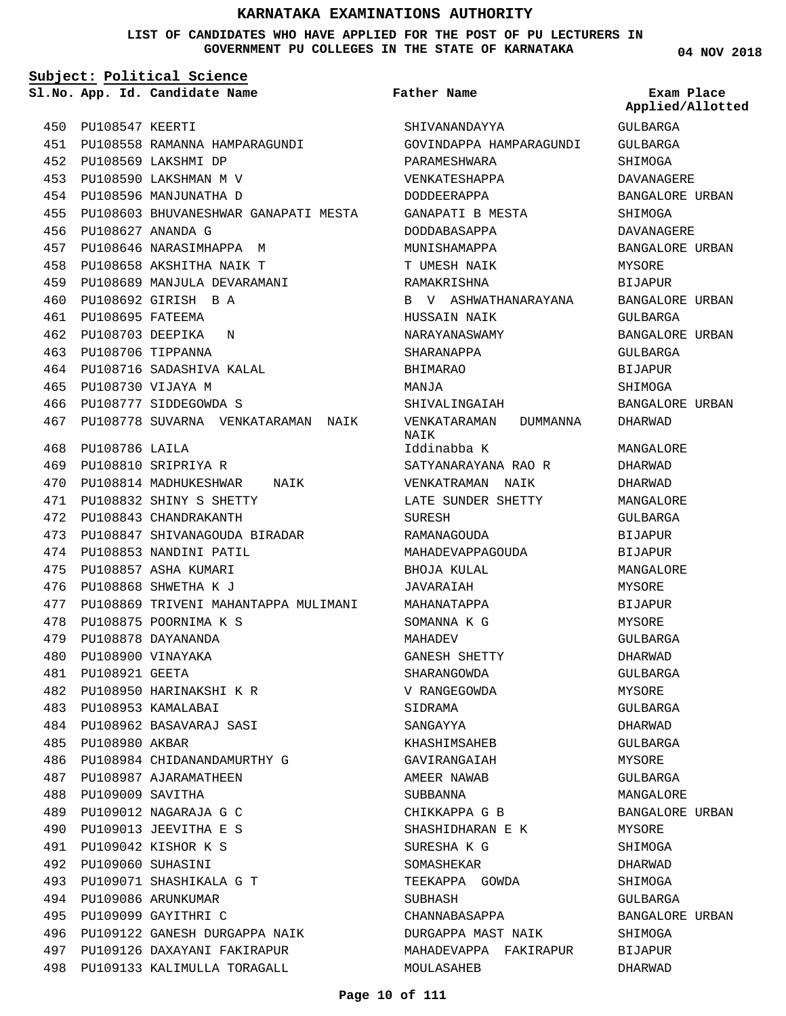**LIST OF CANDIDATES WHO HAVE APPLIED FOR THE POST OF PU LECTURERS IN GOVERNMENT PU COLLEGES IN THE STATE OF KARNATAKA**

**Subject: Political Science**

**App. Id. Candidate Name Sl.No. Exam Place**

**Father Name**

450 PU108547 KEERTI PU108558 RAMANNA HAMPARAGUNDI 451 PU108569 LAKSHMI DP 452 PU108590 LAKSHMAN M V 453 454 PU108596 MANJUNATHA D PU108603 BHUVANESHWAR GANAPATI MESTA 455 PU108627 ANANDA G 456 PU108646 NARASIMHAPPA M 457 PU108658 AKSHITHA NAIK T 458 PU108689 MANJULA DEVARAMANI 459 PU108692 GIRISH B A 460 PU108695 FATEEMA 461 PU108703 DEEPIKA N 462 PU108706 TIPPANNA 463 PU108716 SADASHIVA KALAL 464 PU108730 VIJAYA M 465 466 PU108777 SIDDEGOWDA S 467 PU108778 SUVARNA VENKATARAMAN NAIK PU108786 LAILA 468 PU108810 SRIPRIYA R 469 470 PU108814 MADHUKESHWAR NAIK PU108832 SHINY S SHETTY 471 PU108843 CHANDRAKANTH 472 PU108847 SHIVANAGOUDA BIRADAR 473 474 PU108853 NANDINI PATIL PU108857 ASHA KUMARI 475 PU108868 SHWETHA K J 476 477 PU108869 TRIVENI MAHANTAPPA MULIMANI PU108875 POORNIMA K S 478 PU108878 DAYANANDA 479 PU108900 VINAYAKA 480 PU108921 GEETA 481 PU108950 HARINAKSHI K R 482 PU108953 KAMALABAI 483 PU108962 BASAVARAJ SASI 484 485 PU108980 AKBAR PU108984 CHIDANANDAMURTHY G 486 487 PU108987 AJARAMATHEEN PU109009 SAVITHA 488 PU109012 NAGARAJA G C 489 PU109013 JEEVITHA E S 490 PU109042 KISHOR K S 491 PU109060 SUHASINI 492 PU109071 SHASHIKALA G T 493 PU109086 ARUNKUMAR 494 PU109099 GAYITHRI C 495 PU109122 GANESH DURGAPPA NAIK 496 PU109126 DAXAYANI FAKIRAPUR 497 PU109133 KALIMULLA TORAGALL 498 MOULASAHEB

SHIVANANDAYYA GOVINDAPPA HAMPARAGUNDI PARAMESHWARA VENKATESHAPPA DODDEERAPPA GANAPATI B MESTA DODDABASAPPA MUNISHAMAPPA T UMESH NAIK RAMAKRISHNA B V ASHWATHANARAYANA HUSSAIN NAIK NARAYANASWAMY SHARANAPPA BHIMARAO MANJA SHIVALINGAIAH VENKATARAMAN DUMMANNA NAIK Iddinabba K SATYANARAYANA RAO R VENKATRAMAN NAIK LATE SUNDER SHETTY SURESH RAMANAGOUDA MAHADEVAPPAGOUDA BHOJA KULAL JAVARAIAH MAHANATAPPA SOMANNA K G MAHADEV GANESH SHETTY SHARANGOWDA V RANGEGOWDA SIDRAMA SANGAYYA KHASHIMSAHEB GAVIRANGAIAH AMEER NAWAB SUBBANNA CHIKKAPPA G B SHASHIDHARAN E K SURESHA K G SOMASHEKAR TEEKAPPA GOWDA SUBHASH CHANNABASAPPA DURGAPPA MAST NAIK MAHADEVAPPA FAKIRAPUR

**04 NOV 2018**

GULBARGA GULBARGA **SHIMOGA** DAVANAGERE BANGALORE URBAN SHIMOGA DAVANAGERE BANGALORE URBAN MYSORE BIJAPUR BANGALORE URBAN GULBARGA BANGALORE URBAN GULBARGA BIJAPUR SHIMOGA BANGALORE URBAN DHARWAD MANGALORE. DHARWAD DHARWAD MANGALORE GULBARGA BIJAPUR BIJAPUR MANGALORE MYSORE BIJAPUR MYSORE GULBARGA DHARWAD GULBARGA MYSORE GULBARGA DHARWAD GULBARGA MYSORE GULBARGA MANGALORE BANGALORE URBAN MYSORE SHIMOGA DHARWAD SHIMOGA GULBARGA BANGALORE URBAN SHIMOGA BIJAPUR DHARWAD **Applied/Allotted**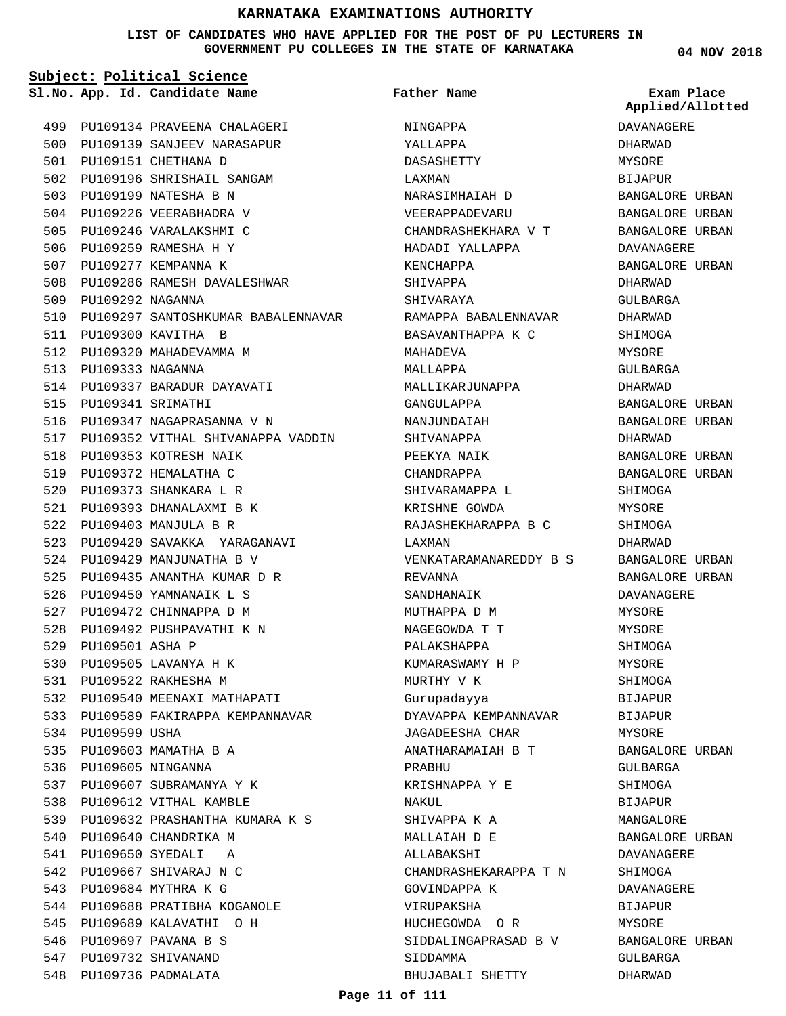#### **LIST OF CANDIDATES WHO HAVE APPLIED FOR THE POST OF PU LECTURERS IN GOVERNMENT PU COLLEGES IN THE STATE OF KARNATAKA**

**Subject: Political Science**

**App. Id. Candidate Name Sl.No. Exam Place**

PU109151 CHETHANA D 501

503 PU109199 NATESHA B N 504 PU109226 VEERABHADRA V 505 PU109246 VARALAKSHMI C 506 PU109259 RAMESHA H Y 507 PU109277 KEMPANNA K

509 PU109292 NAGANNA

PU109333 NAGANNA 513

515 PU109341 SRIMATHI

PU109300 KAVITHA B 511 512 PU109320 MAHADEVAMMA M

PU109134 PRAVEENA CHALAGERI 499 500 PU109139 SANJEEV NARASAPUR

502 PU109196 SHRISHAIL SANGAM

PU109286 RAMESH DAVALESHWAR 508

514 PU109337 BARADUR DAYAVATI

516 PU109347 NAGAPRASANNA V N

PU109420 SAVAKKA YARAGANAVI 523

524 PU109429 MANJUNATHA B V PU109435 ANANTHA KUMAR D R 525 526 PU109450 YAMNANAIK L S 527 PU109472 CHINNAPPA D M 528 PU109492 PUSHPAVATHI K N

529 PU109501 ASHA P

534 PU109599 USHA

PU109505 LAVANYA H K 530 PU109522 RAKHESHA M 531

535 PU109603 MAMATHA B A 536 PU109605 NINGANNA

540 PU109640 CHANDRIKA M PU109650 SYEDALI A 541 542 PU109667 SHIVARAJ N C 543 PU109684 MYTHRA K G

537 PU109607 SUBRAMANYA Y K 538 PU109612 VITHAL KAMBLE

PU109632 PRASHANTHA KUMARA K S 539

544 PU109688 PRATIBHA KOGANOLE 545 PU109689 KALAVATHI O H 546 PU109697 PAVANA B S 547 PU109732 SHIVANAND 548 PU109736 PADMALATA

532 PU109540 MEENAXI MATHAPATI 533 PU109589 FAKIRAPPA KEMPANNAVAR

518 PU109353 KOTRESH NAIK PU109372 HEMALATHA C 519 520 PU109373 SHANKARA L R PU109393 DHANALAXMI B K 521 PU109403 MANJULA B R 522

510 PU109297 SANTOSHKUMAR BABALENNAVAR

517 PU109352 VITHAL SHIVANAPPA VADDIN

```
Father Name
```
NINGAPPA YALLAPPA DASASHETTY LAXMAN NARASIMHAIAH D VEERAPPADEVARU CHANDRASHEKHARA V T HADADI YALLAPPA KENCHAPPA SHIVAPPA **SHIVARAYA** RAMAPPA BABALENNAVAR BASAVANTHAPPA K C MAHADEVA MALLAPPA MALLIKARJUNAPPA GANGULAPPA NANJUNDAIAH SHIVANAPPA PEEKYA NAIK CHANDRAPPA SHIVARAMAPPA L KRISHNE GOWDA RAJASHEKHARAPPA B C LAXMAN VENKATARAMANAREDDY B S REVANNA SANDHANAIK MUTHAPPA D M NAGEGOWDA T T PALAKSHAPPA KUMARASWAMY H P MURTHY V K Gurupadayya DYAVAPPA KEMPANNAVAR JAGADEESHA CHAR ANATHARAMAIAH B T PRABHU KRISHNAPPA Y E NAKUL SHIVAPPA K A MALLAIAH D E ALLABAKSHI CHANDRASHEKARAPPA T N GOVINDAPPA K VIRUPAKSHA HUCHEGOWDA O R SIDDALINGAPRASAD B V SIDDAMMA BHUJABALI SHETTY

**04 NOV 2018**

DAVANAGERE DHARWAD MYSORE BIJAPUR BANGALORE URBAN BANGALORE URBAN BANGALORE URBAN DAVANAGERE BANGALORE URBAN DHARWAD GULBARGA DHARWAD SHIMOGA MYSORE GULBARGA DHARWAD BANGALORE URBAN BANGALORE URBAN DHARWAD BANGALORE URBAN BANGALORE URBAN SHIMOGA MYSORE SHIMOGA DHARWAD BANGALORE URBAN BANGALORE URBAN DAVANAGERE MYSORE MYSORE SHIMOGA MYSORE SHIMOGA BIJAPUR BIJAPUR MYSORE BANGALORE URBAN GULBARGA SHIMOGA BIJAPUR MANGALORE BANGALORE URBAN DAVANAGERE SHIMOGA DAVANAGERE BIJAPUR MYSORE BANGALORE URBAN GULBARGA DHARWAD **Applied/Allotted**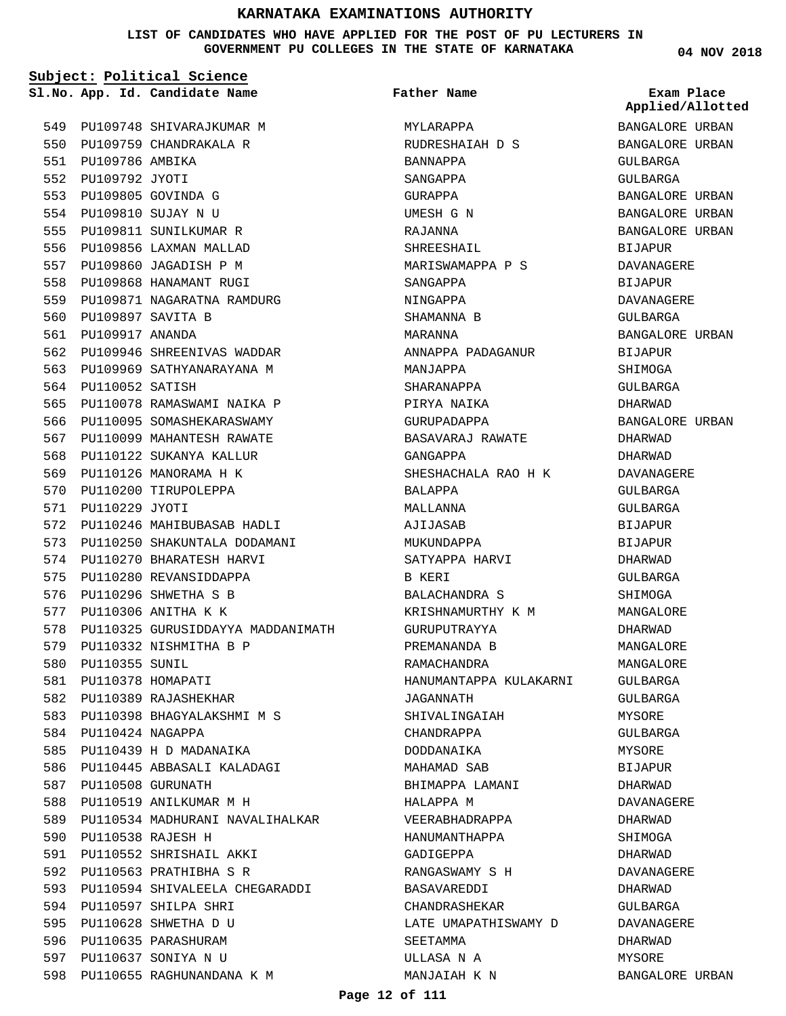**LIST OF CANDIDATES WHO HAVE APPLIED FOR THE POST OF PU LECTURERS IN GOVERNMENT PU COLLEGES IN THE STATE OF KARNATAKA**

**Subject: Political Science**

551 PU109786 AMBIKA 552 PU109792 JYOTI PU109805 GOVINDA G 553 PU109810 SUJAY N U 554 555 PU109811 SUNILKUMAR R 556 PU109856 LAXMAN MALLAD 557 PU109860 JAGADISH P M 558 PU109868 HANAMANT RUGI 559 PU109871 NAGARATNA RAMDURG

PU109897 SAVITA B 560 PU109917 ANANDA 561

564 PU110052 SATISH

571 PU110229 JYOTI

580 PU110355 SUNIL 581 PU110378 HOMAPATI 582 PU110389 RAJASHEKHAR

PU110424 NAGAPPA 584

587 PU110508 GURUNATH

PU110538 RAJESH H 590

562 PU109946 SHREENIVAS WADDAR 563 PU109969 SATHYANARAYANA M

PU110078 RAMASWAMI NAIKA P 565 566 PU110095 SOMASHEKARASWAMY PU110099 MAHANTESH RAWATE 567 568 PU110122 SUKANYA KALLUR 569 PU110126 MANORAMA H K 570 PU110200 TIRUPOLEPPA

PU110246 MAHIBUBASAB HADLI 572 573 PU110250 SHAKUNTALA DODAMANI 574 PU110270 BHARATESH HARVI 575 PU110280 REVANSIDDAPPA 576 PU110296 SHWETHA S B 577 PU110306 ANITHA K K

579 PU110332 NISHMITHA B P

585 PU110439 H D MADANAIKA PU110445 ABBASALI KALADAGI 586

588 PU110519 ANILKUMAR M H

PU110552 SHRISHAIL AKKI 591 592 PU110563 PRATHIBHA S R

598 PU110655 RAGHUNANDANA K M

PU110597 SHILPA SHRI 594 PU110628 SHWETHA D U 595 596 PU110635 PARASHURAM PU110637 SONIYA N U 597

589 PU110534 MADHURANI NAVALIHALKAR

593 PU110594 SHIVALEELA CHEGARADDI

PU110398 BHAGYALAKSHMI M S 583

578 PU110325 GURUSIDDAYYA MADDANIMATH

549 PU109748 SHIVARAJKUMAR M 550 PU109759 CHANDRAKALA R

**Father Name**

MYLARAPPA RUDRESHAIAH D S BANNAPPA SANGAPPA GURAPPA UMESH G N RAJANNA SHREESHAIL MARISWAMAPPA P S SANGAPPA NINGAPPA SHAMANNA B MARANNA ANNAPPA PADAGANUR MANJAPPA SHARANAPPA PIRYA NAIKA GURUPADAPPA BASAVARAJ RAWATE GANGAPPA SHESHACHALA RAO H K BALAPPA MALLANNA AJIJASAB MUKUNDAPPA SATYAPPA HARVI B KERI BALACHANDRA S KRISHNAMURTHY K M GURUPUTRAYYA PREMANANDA B RAMACHANDRA HANUMANTAPPA KULAKARNI JAGANNATH SHIVALINGAIAH CHANDRAPPA DODDANAIKA MAHAMAD SAB BHIMAPPA LAMANI HALAPPA M VEERABHADRAPPA HANUMANTHAPPA GADIGEPPA RANGASWAMY S H BASAVAREDDI CHANDRASHEKAR LATE UMAPATHISWAMY D SEETAMMA ULLASA N A MANJAIAH K N

**04 NOV 2018**

**App. Id. Candidate Name Sl.No. Exam Place** BANGALORE URBAN BANGALORE URBAN GULBARGA GULBARGA BANGALORE URBAN BANGALORE URBAN BANGALORE URBAN BIJAPUR DAVANAGERE BIJAPUR DAVANAGERE GULBARGA BANGALORE URBAN BIJAPUR SHIMOGA GULBARGA DHARWAD BANGALORE URBAN DHARWAD DHARWAD DAVANAGERE GULBARGA GULBARGA BIJAPUR BIJAPUR DHARWAD CIII.RARCA SHIMOGA MANGALORE DHARWAD MANGALORE MANGALORE GULBARGA GULBARGA MYSORE GULBARGA MYSORE BIJAPUR DHARWAD DAVANAGERE DHARWAD SHIMOGA DHARWAD DAVANAGERE DHARWAD GULBARGA DAVANAGERE DHARWAD MYSORE BANGALORE URBAN **Applied/Allotted**

### **Page 12 of 111**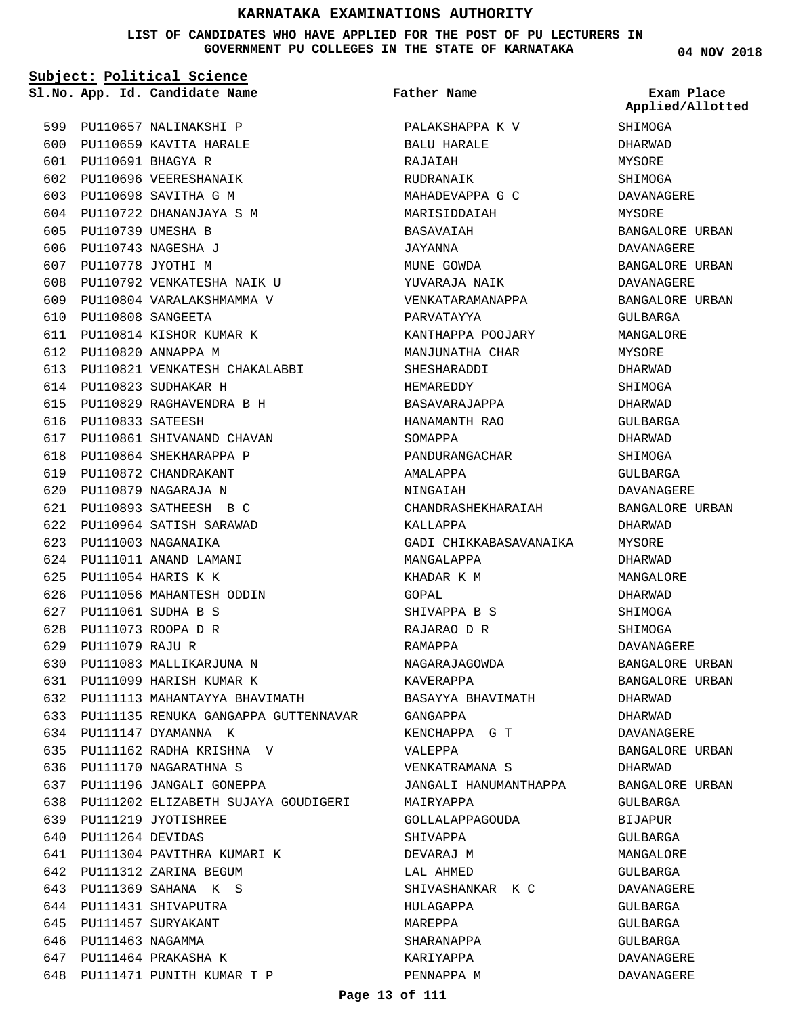**LIST OF CANDIDATES WHO HAVE APPLIED FOR THE POST OF PU LECTURERS IN GOVERNMENT PU COLLEGES IN THE STATE OF KARNATAKA**

**04 NOV 2018**

|     |                       | Subject: Political Science<br>Sl.No. App. Id. Candidate Name | Father Name            | Exam Place<br>Applied/Allotted |
|-----|-----------------------|--------------------------------------------------------------|------------------------|--------------------------------|
|     |                       | 599 PU110657 NALINAKSHI P                                    | PALAKSHAPPA K V        | SHIMOGA                        |
|     |                       | 600 PU110659 KAVITA HARALE                                   | BALU HARALE            | DHARWAD                        |
|     |                       | 601 PU110691 BHAGYA R                                        | RAJAIAH                | MYSORE                         |
|     |                       | 602 PU110696 VEERESHANAIK                                    | RUDRANAIK              | SHIMOGA                        |
|     |                       | 603 PU110698 SAVITHA G M                                     | MAHADEVAPPA G C        | DAVANAGERE                     |
|     |                       | 604 PU110722 DHANANJAYA S M                                  | MARISIDDAIAH           | MYSORE                         |
| 605 | PU110739 UMESHA B     |                                                              | BASAVAIAH              | BANGALORE URBAN                |
|     |                       | 606 PU110743 NAGESHA J                                       | JAYANNA                | DAVANAGERE                     |
|     | 607 PU110778 JYOTHI M |                                                              | MUNE GOWDA             | BANGALORE URBAN                |
|     |                       | 608 PU110792 VENKATESHA NAIK U                               | YUVARAJA NAIK          | DAVANAGERE                     |
|     |                       | 609 PU110804 VARALAKSHMAMMA V                                | VENKATARAMANAPPA       | BANGALORE URBAN                |
| 610 |                       | PU110808 SANGEETA                                            | PARVATAYYA             | GULBARGA                       |
| 611 |                       | PU110814 KISHOR KUMAR K                                      | KANTHAPPA POOJARY      | MANGALORE                      |
|     |                       | 612 PU110820 ANNAPPA M                                       | MANJUNATHA CHAR        | MYSORE                         |
|     |                       | 613 PU110821 VENKATESH CHAKALABBI                            | SHESHARADDI            | DHARWAD                        |
|     |                       | 614 PU110823 SUDHAKAR H                                      | HEMAREDDY              | SHIMOGA                        |
|     |                       | 615 PU110829 RAGHAVENDRA B H                                 | BASAVARAJAPPA          | DHARWAD                        |
|     | 616 PU110833 SATEESH  |                                                              | HANAMANTH RAO          | GULBARGA                       |
|     |                       | 617 PU110861 SHIVANAND CHAVAN                                | SOMAPPA                | DHARWAD                        |
|     |                       | 618 PU110864 SHEKHARAPPA P                                   | PANDURANGACHAR         | SHIMOGA                        |
| 619 |                       | PU110872 CHANDRAKANT                                         | AMALAPPA               | GULBARGA                       |
|     |                       | 620 PU110879 NAGARAJA N                                      | NINGAIAH               | DAVANAGERE                     |
|     |                       | 621 PU110893 SATHEESH B C                                    | CHANDRASHEKHARAIAH     | BANGALORE URBAN                |
|     |                       | 622 PU110964 SATISH SARAWAD                                  | KALLAPPA               | DHARWAD                        |
|     |                       | 623 PU111003 NAGANAIKA                                       | GADI CHIKKABASAVANAIKA | MYSORE                         |
|     |                       | 624 PU111011 ANAND LAMANI                                    | MANGALAPPA             | DHARWAD                        |
| 625 |                       | PU111054 HARIS K K                                           | KHADAR K M             | MANGALORE                      |
| 626 |                       | PU111056 MAHANTESH ODDIN                                     | GOPAL                  | DHARWAD                        |
| 627 |                       | PU111061 SUDHA B S                                           | SHIVAPPA B S           | SHIMOGA                        |
|     |                       | 628 PU111073 ROOPA D R                                       | RAJARAO D R            | SHIMOGA                        |
|     | 629 PU111079 RAJU R   |                                                              | RAMAPPA                | DAVANAGERE                     |
|     |                       | 630 PU111083 MALLIKARJUNA N                                  | NAGARAJAGOWDA          | BANGALORE URBAN                |
|     |                       | 631 PU111099 HARISH KUMAR K                                  | KAVERAPPA              | BANGALORE URBAN                |
|     |                       | 632 PU111113 MAHANTAYYA BHAVIMATH                            | BASAYYA BHAVIMATH      | DHARWAD                        |
|     |                       | 633 PU111135 RENUKA GANGAPPA GUTTENNAVAR                     | GANGAPPA               | DHARWAD                        |
|     |                       | 634 PU111147 DYAMANNA K                                      | KENCHAPPA G T          | DAVANAGERE                     |
|     |                       | 635 PU111162 RADHA KRISHNA V                                 | VALEPPA                | BANGALORE URBAN                |
|     |                       | 636 PU111170 NAGARATHNA S                                    | VENKATRAMANA S         | DHARWAD                        |
|     |                       | 637 PU111196 JANGALI GONEPPA                                 | JANGALI HANUMANTHAPPA  | BANGALORE URBAN                |
|     |                       | 638 PU111202 ELIZABETH SUJAYA GOUDIGERI                      | MAIRYAPPA              | GULBARGA                       |
|     |                       | 639 PU111219 JYOTISHREE                                      | GOLLALAPPAGOUDA        | BIJAPUR                        |
|     | 640 PU111264 DEVIDAS  |                                                              | SHIVAPPA               | GULBARGA                       |
|     |                       | 641 PU111304 PAVITHRA KUMARI K                               | DEVARAJ M              | MANGALORE                      |
|     |                       | 642 PU111312 ZARINA BEGUM                                    | LAL AHMED              | GULBARGA                       |
|     |                       | 643 PU111369 SAHANA K S                                      | SHIVASHANKAR K C       | DAVANAGERE                     |
|     |                       | 644 PU111431 SHIVAPUTRA                                      | HULAGAPPA              | GULBARGA                       |
|     |                       | 645 PU111457 SURYAKANT                                       | MAREPPA                | GULBARGA                       |
|     | 646 PU111463 NAGAMMA  |                                                              | SHARANAPPA             | GULBARGA                       |
|     |                       | 647 PU111464 PRAKASHA K                                      | KARIYAPPA              | DAVANAGERE                     |
|     |                       | 648 PU111471 PUNITH KUMAR T P                                | PENNAPPA M             | DAVANAGERE                     |

648 PU111471 PUNITH KUMAR T P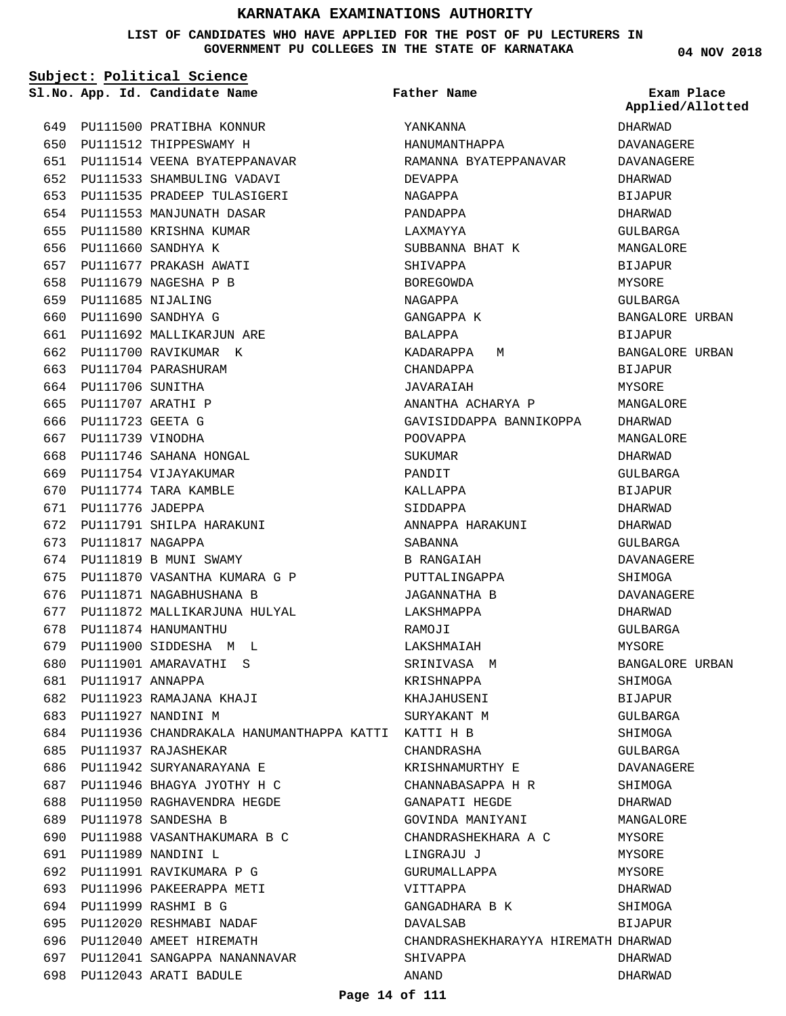**LIST OF CANDIDATES WHO HAVE APPLIED FOR THE POST OF PU LECTURERS IN GOVERNMENT PU COLLEGES IN THE STATE OF KARNATAKA**

**04 NOV 2018**

|     |                      | Subject: Political Science                             |                                     |                                |
|-----|----------------------|--------------------------------------------------------|-------------------------------------|--------------------------------|
|     |                      | Sl.No. App. Id. Candidate Name                         | Father Name                         | Exam Place<br>Applied/Allotted |
|     |                      | 649 PU111500 PRATIBHA KONNUR                           | YANKANNA                            | DHARWAD                        |
| 650 |                      | PU111512 THIPPESWAMY H                                 | HANUMANTHAPPA                       | DAVANAGERE                     |
| 651 |                      | PU111514 VEENA BYATEPPANAVAR                           | RAMANNA BYATEPPANAVAR               | DAVANAGERE                     |
| 652 |                      | PU111533 SHAMBULING VADAVI                             | DEVAPPA                             | DHARWAD                        |
| 653 |                      | PU111535 PRADEEP TULASIGERI                            | NAGAPPA                             | <b>BIJAPUR</b>                 |
| 654 |                      | PU111553 MANJUNATH DASAR                               | PANDAPPA                            | DHARWAD                        |
| 655 |                      | PU111580 KRISHNA KUMAR                                 | LAXMAYYA                            | GULBARGA                       |
| 656 |                      | PU111660 SANDHYA K                                     | SUBBANNA BHAT K                     | MANGALORE                      |
| 657 |                      | PU111677 PRAKASH AWATI                                 | SHIVAPPA                            | <b>BIJAPUR</b>                 |
| 658 |                      | PU111679 NAGESHA P B                                   | <b>BOREGOWDA</b>                    | MYSORE                         |
| 659 | PU111685 NIJALING    |                                                        | NAGAPPA                             | GULBARGA                       |
| 660 |                      | PU111690 SANDHYA G                                     | GANGAPPA K                          | BANGALORE URBAN                |
| 661 |                      | PU111692 MALLIKARJUN ARE                               | BALAPPA                             | <b>BIJAPUR</b>                 |
| 662 |                      | PU111700 RAVIKUMAR K                                   | KADARAPPA<br>M                      | BANGALORE URBAN                |
| 663 |                      | PU111704 PARASHURAM                                    | CHANDAPPA                           | BIJAPUR                        |
| 664 | PU111706 SUNITHA     |                                                        | JAVARAIAH                           | MYSORE                         |
| 665 | PU111707 ARATHI P    |                                                        | ANANTHA ACHARYA P                   | MANGALORE                      |
| 666 | PU111723 GEETA G     |                                                        | GAVISIDDAPPA BANNIKOPPA             | DHARWAD                        |
|     | 667 PU111739 VINODHA |                                                        | POOVAPPA                            | MANGALORE                      |
| 668 |                      | PU111746 SAHANA HONGAL                                 | SUKUMAR                             | DHARWAD                        |
| 669 |                      | PU111754 VIJAYAKUMAR                                   | PANDIT                              | GULBARGA                       |
| 670 |                      | PU111774 TARA KAMBLE                                   | KALLAPPA                            | <b>BIJAPUR</b>                 |
| 671 | PU111776 JADEPPA     |                                                        | SIDDAPPA                            | DHARWAD                        |
| 672 |                      | PU111791 SHILPA HARAKUNI                               | ANNAPPA HARAKUNI                    | DHARWAD                        |
| 673 | PU111817 NAGAPPA     |                                                        | SABANNA                             | GULBARGA                       |
| 674 |                      | PU111819 B MUNI SWAMY                                  | B RANGAIAH                          | DAVANAGERE                     |
| 675 |                      | PU111870 VASANTHA KUMARA G P                           | PUTTALINGAPPA                       | SHIMOGA                        |
| 676 |                      | PU111871 NAGABHUSHANA B                                | JAGANNATHA B                        | DAVANAGERE                     |
| 677 |                      | PU111872 MALLIKARJUNA HULYAL                           | LAKSHMAPPA                          | DHARWAD                        |
| 678 |                      | PU111874 HANUMANTHU                                    | RAMOJI                              | <b>GULBARGA</b>                |
|     |                      | 679 PU111900 SIDDESHA M L                              | LAKSHMAIAH                          | MYSORE                         |
|     |                      | 680 PU111901 AMARAVATHI S                              | SRINIVASA M                         | BANGALORE URBAN                |
|     | 681 PU111917 ANNAPPA |                                                        | KRISHNAPPA                          | SHIMOGA                        |
| 682 |                      | PU111923 RAMAJANA KHAJI                                | KHAJAHUSENI                         | BIJAPUR                        |
|     |                      | 683 PU111927 NANDINI M                                 | SURYAKANT M                         | GULBARGA                       |
|     |                      | 684 PU111936 CHANDRAKALA HANUMANTHAPPA KATTI KATTI H B |                                     | SHIMOGA                        |
| 685 |                      | PU111937 RAJASHEKAR                                    | CHANDRASHA                          | GULBARGA                       |
| 686 |                      | PU111942 SURYANARAYANA E                               | KRISHNAMURTHY E                     | DAVANAGERE                     |
|     |                      | 687 PU111946 BHAGYA JYOTHY H C                         | CHANNABASAPPA H R                   | SHIMOGA                        |
|     |                      | 688 PU111950 RAGHAVENDRA HEGDE                         | GANAPATI HEGDE                      | DHARWAD                        |
|     |                      | 689 PU111978 SANDESHA B                                | GOVINDA MANIYANI                    | MANGALORE                      |
| 690 |                      | PU111988 VASANTHAKUMARA B C                            | CHANDRASHEKHARA A C                 | MYSORE                         |
| 691 |                      | PU111989 NANDINI L                                     | LINGRAJU J                          | MYSORE                         |
| 692 |                      | PU111991 RAVIKUMARA P G                                | GURUMALLAPPA                        | MYSORE                         |
| 693 |                      | PU111996 PAKEERAPPA METI                               | VITTAPPA                            | DHARWAD                        |
|     |                      | 694 PU111999 RASHMI B G                                | GANGADHARA B K                      | SHIMOGA                        |
|     |                      | 695 PU112020 RESHMABI NADAF                            | DAVALSAB                            | BIJAPUR                        |
| 696 |                      | PU112040 AMEET HIREMATH                                | CHANDRASHEKHARAYYA HIREMATH DHARWAD |                                |
| 697 |                      | PU112041 SANGAPPA NANANNAVAR                           | SHIVAPPA                            | DHARWAD                        |

**Page 14 of 111**

ANAND

DHARWAD

698 PU112043 ARATI BADULE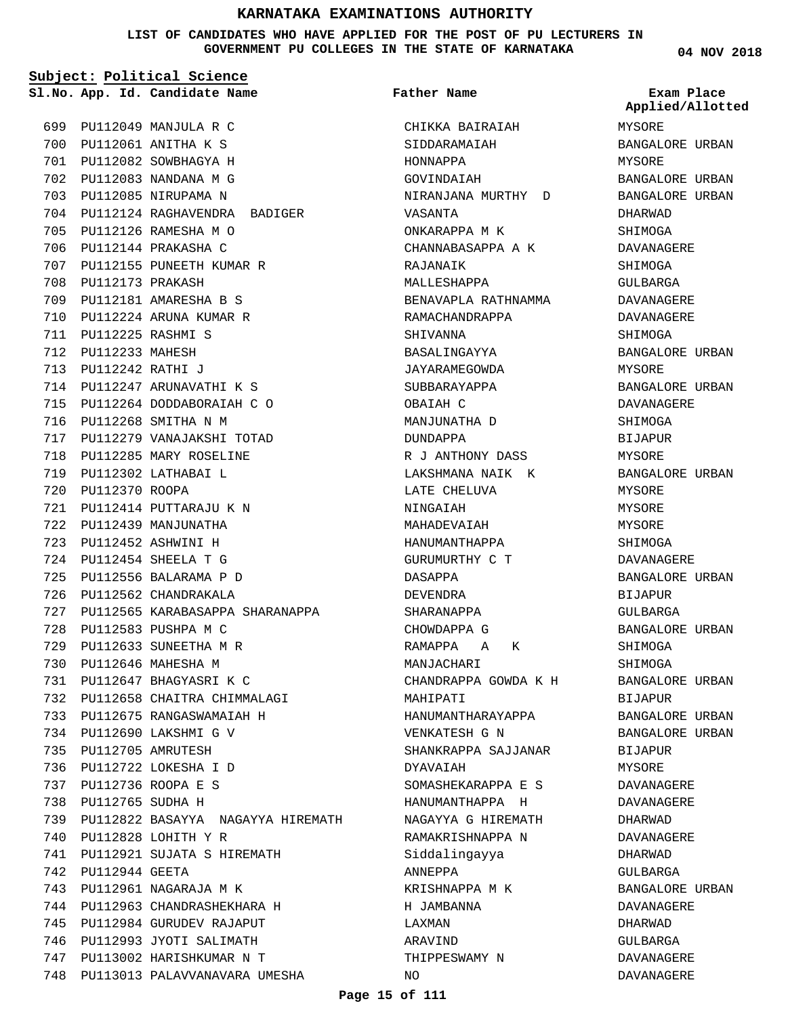**LIST OF CANDIDATES WHO HAVE APPLIED FOR THE POST OF PU LECTURERS IN GOVERNMENT PU COLLEGES IN THE STATE OF KARNATAKA**

**Subject: Political Science**

PU112049 MANJULA R C 699 PU112061 ANITHA K S 700 PU112082 SOWBHAGYA H 701 PU112083 NANDANA M G 702 703 PU112085 NIRUPAMA N 704 PU112124 RAGHAVENDRA BADIGER PU112126 RAMESHA M O 705 706 PU112144 PRAKASHA C 707 PU112155 PUNEETH KUMAR R 708 PU112173 PRAKASH PU112181 AMARESHA B S 709 PU112224 ARUNA KUMAR R 710 PU112225 RASHMI S 711 PU112233 MAHESH 712 PU112242 RATHI J 713 PU112247 ARUNAVATHI K S 714 715 PU112264 DODDABORAIAH C O PU112268 SMITHA N M 716 PU112279 VANAJAKSHI TOTAD 717 718 PU112285 MARY ROSELINE PU112302 LATHABAI L 719 720 PU112370 ROOPA PU112414 PUTTARAJU K N 721 722 PU112439 MANJUNATHA PU112452 ASHWINI H 723 PU112454 SHEELA T G 724 PU112556 BALARAMA P D 725 726 PU112562 CHANDRAKALA 727 PU112565 KARABASAPPA SHARANAPPA PU112583 PUSHPA M C 728 PU112633 SUNEETHA M R 729 PU112646 MAHESHA M 730 PU112647 BHAGYASRI K C 731 PU112658 CHAITRA CHIMMALAGI 732 PU112675 RANGASWAMAIAH H 733 PU112690 LAKSHMI G V 734 PU112705 AMRUTESH 735 PU112722 LOKESHA I D 736 PU112736 ROOPA E S 737 PU112765 SUDHA H 738 PU112822 BASAYYA NAGAYYA HIREMATH 739 PU112828 LOHITH Y R 740 PU112921 SUJATA S HIREMATH 741 PU112944 GEETA 742 PU112961 NAGARAJA M K 743 PU112963 CHANDRASHEKHARA H 744 PU112984 GURUDEV RAJAPUT 745 746 PU112993 JYOTI SALIMATH PU113002 HARISHKUMAR N T 747 748 PU113013 PALAVVANAVARA UMESHA

**App. Id. Candidate Name Sl.No. Exam Place** CHIKKA BAIRAIAH SIDDARAMAIAH HONNAPPA GOVINDAIAH NIRANJANA MURTHY D VASANTA ONKARAPPA M K CHANNABASAPPA A K RAJANAIK MALLESHAPPA BENAVAPLA RATHNAMMA RAMACHANDRAPPA SHIVANNA BASALINGAYYA JAYARAMEGOWDA SUBBARAYAPPA OBAIAH C MANJUNATHA D DUNDAPPA R J ANTHONY DASS LAKSHMANA NAIK K LATE CHELUVA NINGAIAH MAHADEVAIAH HANUMANTHAPPA GURUMURTHY C T DASAPPA DEVENDRA SHARANAPPA CHOWDAPPA G RAMAPPA A K MANJACHARI CHANDRAPPA GOWDA K H MAHIPATI HANUMANTHARAYAPPA VENKATESH G N SHANKRAPPA SAJJANAR DYAVAIAH SOMASHEKARAPPA E S HANUMANTHAPPA H NAGAYYA G HIREMATH RAMAKRISHNAPPA N Siddalingayya ANNEPPA KRISHNAPPA M K H JAMBANNA LAXMAN ARAVIND THIPPESWAMY N  $\overline{M}$ **Father Name**

**04 NOV 2018**

MYSORE BANGALORE URBAN MYSORE BANGALORE URBAN BANGALORE URBAN DHARWAD SHIMOGA DAVANAGERE SHIMOGA GULBARGA DAVANAGERE DAVANAGERE SHIMOGA BANGALORE URBAN MYSORE BANGALORE URBAN DAVANAGERE **SHIMOGA BIJAPUR** MYSORE BANGALORE URBAN MYSORE MYSORE MYSORE SHIMOGA DAVANAGERE BANGALORE URBAN BIJAPUR GULBARGA BANGALORE URBAN SHIMOGA SHIMOGA BANGALORE URBAN BIJAPUR BANGALORE URBAN BANGALORE URBAN BIJAPUR MYSORE DAVANAGERE DAVANAGERE DHARWAD DAVANAGERE DHARWAD GULBARGA BANGALORE URBAN DAVANAGERE DHARWAD GULBARGA DAVANAGERE DAVANAGERE **Applied/Allotted**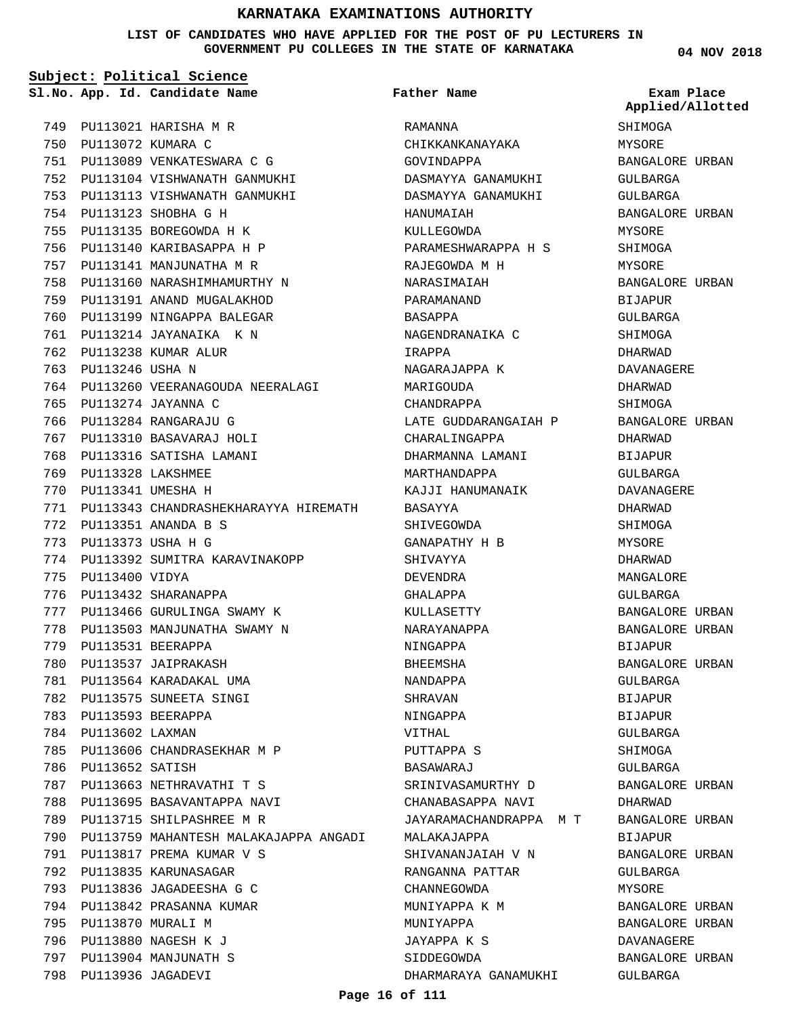**LIST OF CANDIDATES WHO HAVE APPLIED FOR THE POST OF PU LECTURERS IN GOVERNMENT PU COLLEGES IN THE STATE OF KARNATAKA**

**Subject: Political Science**

**App. Id. Candidate Name Sl.No. Exam Place**

**Father Name**

PU113021 HARISHA M R 749 750 PU113072 KUMARA C PU113089 VENKATESWARA C G 751 PU113104 VISHWANATH GANMUKHI 752 PU113113 VISHWANATH GANMUKHI 753 PU113123 SHOBHA G H 754 PU113135 BOREGOWDA H K 755 756 PU113140 KARIBASAPPA H P 757 PU113141 MANJUNATHA M R 758 PU113160 NARASHIMHAMURTHY N PU113191 ANAND MUGALAKHOD 759 760 PU113199 NINGAPPA BALEGAR PU113214 JAYANAIKA K N 761 762 PU113238 KUMAR ALUR 763 PU113246 USHA N 764 PU113260 VEERANAGOUDA NEERALAGI PU113274 JAYANNA C 765 PU113284 RANGARAJU G 766 PU113310 BASAVARAJ HOLI 767 768 PU113316 SATISHA LAMANI PU113328 LAKSHMEE 769 PU113341 UMESHA H 770 PU113343 CHANDRASHEKHARAYYA HIREMATH 771 PU113351 ANANDA B S 772 PU113373 USHA H G 773 774 PU113392 SUMITRA KARAVINAKOPP 775 PU113400 VIDYA 776 PU113432 SHARANAPPA PU113466 GURULINGA SWAMY K 777 778 PU113503 MANJUNATHA SWAMY N PU113531 BEERAPPA 779 780 PU113537 JAIPRAKASH PU113564 KARADAKAL UMA 781 782 PU113575 SUNEETA SINGI PU113593 BEERAPPA 783 784 PU113602 LAXMAN PU113606 CHANDRASEKHAR M P 785 786 PU113652 SATISH PU113663 NETHRAVATHI T S 787 788 PU113695 BASAVANTAPPA NAVI 789 PU113715 SHILPASHREE M R 790 PU113759 MAHANTESH MALAKAJAPPA ANGADI PU113817 PREMA KUMAR V S 791 792 PU113835 KARUNASAGAR PU113836 JAGADEESHA G C 793 794 PU113842 PRASANNA KUMAR 795 PU113870 MURALI M PU113880 NAGESH K J 796 797 PU113904 MANJUNATH S PU113936 JAGADEVI 798

RAMANNA CHIKKANKANAYAKA GOVINDAPPA DASMAYYA GANAMUKHI DASMAYYA GANAMUKHI HANUMAIAH KULLEGOWDA PARAMESHWARAPPA H S RAJEGOWDA M H NARASIMAIAH PARAMANAND BASAPPA NAGENDRANAIKA C IRAPPA NAGARAJAPPA K MARIGOUDA CHANDRAPPA LATE GUDDARANGAIAH P CHARALINGAPPA DHARMANNA LAMANI MARTHANDAPPA KAJJI HANUMANAIK BASAYYA SHIVEGOWDA GANAPATHY H B SHIVAYYA DEVENDRA GHALAPPA KULLASETTY NARAYANAPPA NINGAPPA BHEEMSHA NANDAPPA SHRAVAN NINGAPPA VITHAL PUTTAPPA S BASAWARAJ SRINIVASAMURTHY D CHANABASAPPA NAVI JAYARAMACHANDRAPPA M T MALAKAJAPPA SHIVANANJAIAH V N RANGANNA PATTAR CHANNEGOWDA MUNIYAPPA K M MUNIYAPPA JAYAPPA K S SIDDEGOWDA DHARMARAYA GANAMUKHI **04 NOV 2018**

**SHIMOGA** MYSORE BANGALORE URBAN GULBARGA GULBARGA BANGALORE URBAN MYSORE SHIMOGA MYSORE BANGALORE URBAN **BIJAPUR** GULBARGA SHIMOGA DHARWAD DAVANAGERE DHARWAD SHIMOGA BANGALORE URBAN DHARWAD BIJAPUR GULBARGA DAVANAGERE DHARWAD SHIMOGA MYSORE DHARWAD MANGALORE GULBARGA BANGALORE URBAN BANGALORE URBAN BIJAPUR BANGALORE URBAN GULBARGA BIJAPUR BIJAPUR GULBARGA SHIMOGA GULBARGA BANGALORE URBAN DHARWAD BANGALORE URBAN BIJAPUR BANGALORE URBAN GULBARGA MYSORE BANGALORE URBAN BANGALORE URBAN DAVANAGERE BANGALORE URBAN GULBARGA **Applied/Allotted**

#### **Page 16 of 111**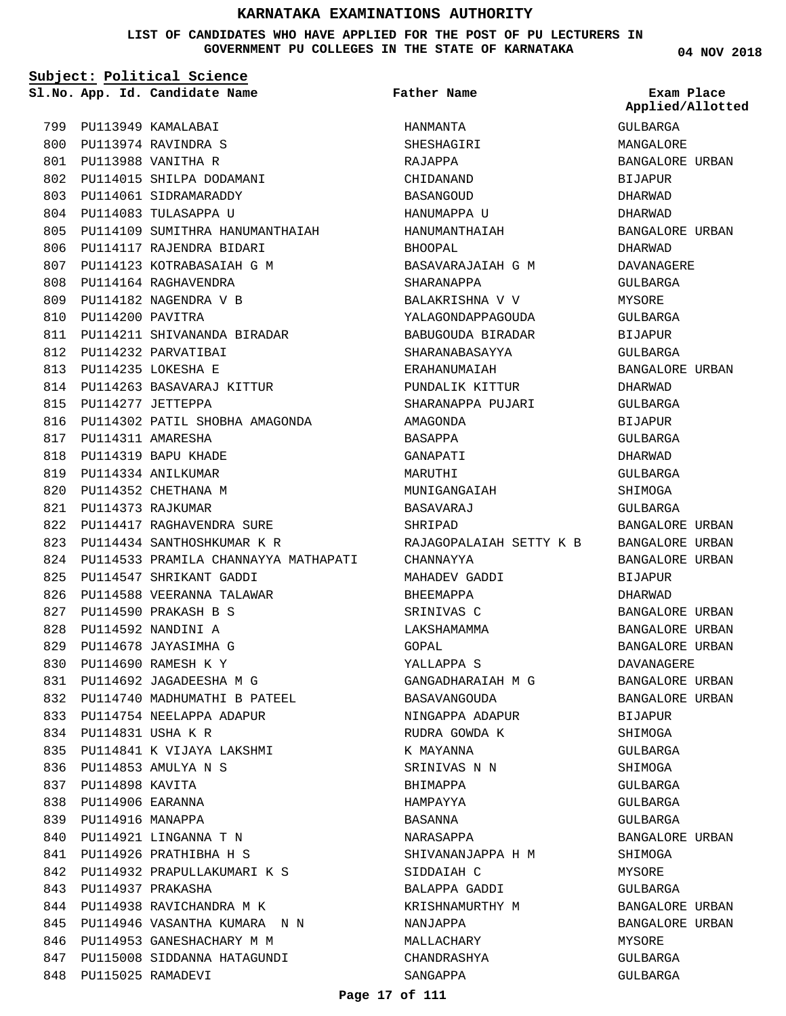**LIST OF CANDIDATES WHO HAVE APPLIED FOR THE POST OF PU LECTURERS IN GOVERNMENT PU COLLEGES IN THE STATE OF KARNATAKA**

|     | Subject: Political Science |                                          |                         |                                |  |  |
|-----|----------------------------|------------------------------------------|-------------------------|--------------------------------|--|--|
|     |                            | Sl.No. App. Id. Candidate Name           | Father Name             | Exam Place<br>Applied/Allotted |  |  |
| 799 |                            | PU113949 KAMALABAI                       | HANMANTA                | GULBARGA                       |  |  |
| 800 |                            | PU113974 RAVINDRA S                      | SHESHAGIRI              | MANGALORE                      |  |  |
|     |                            | 801 PU113988 VANITHA R                   | RAJAPPA                 | BANGALORE URBAN                |  |  |
| 802 |                            | PU114015 SHILPA DODAMANI                 | CHIDANAND               | BIJAPUR                        |  |  |
| 803 |                            | PU114061 SIDRAMARADDY                    | <b>BASANGOUD</b>        | DHARWAD                        |  |  |
|     |                            | 804 PU114083 TULASAPPA U                 | HANUMAPPA U             | DHARWAD                        |  |  |
| 805 |                            | PU114109 SUMITHRA HANUMANTHAIAH          | HANUMANTHAIAH           | BANGALORE URBAN                |  |  |
| 806 |                            | PU114117 RAJENDRA BIDARI                 | BHOOPAL                 | DHARWAD                        |  |  |
| 807 |                            | PU114123 KOTRABASAIAH G M                | BASAVARAJAIAH G M       | DAVANAGERE                     |  |  |
| 808 |                            | PU114164 RAGHAVENDRA                     | SHARANAPPA              | GULBARGA                       |  |  |
| 809 |                            | PU114182 NAGENDRA V B                    | BALAKRISHNA V V         | MYSORE                         |  |  |
| 810 | PU114200 PAVITRA           |                                          | YALAGONDAPPAGOUDA       | GULBARGA                       |  |  |
| 811 |                            | PU114211 SHIVANANDA BIRADAR              | BABUGOUDA BIRADAR       | BIJAPUR                        |  |  |
|     |                            | 812 PU114232 PARVATIBAI                  | SHARANABASAYYA          | GULBARGA                       |  |  |
| 813 |                            | PU114235 LOKESHA E                       | ERAHANUMAIAH            | BANGALORE URBAN                |  |  |
| 814 |                            | PU114263 BASAVARAJ KITTUR                | PUNDALIK KITTUR         | DHARWAD                        |  |  |
| 815 |                            | PU114277 JETTEPPA                        | SHARANAPPA PUJARI       | GULBARGA                       |  |  |
|     |                            | 816 PU114302 PATIL SHOBHA AMAGONDA       | AMAGONDA                | BIJAPUR                        |  |  |
|     | 817 PU114311 AMARESHA      |                                          | BASAPPA                 | GULBARGA                       |  |  |
| 818 |                            | PU114319 BAPU KHADE                      | GANAPATI                | DHARWAD                        |  |  |
| 819 |                            | PU114334 ANILKUMAR                       | MARUTHI                 | GULBARGA                       |  |  |
| 820 |                            | PU114352 CHETHANA M                      | MUNIGANGAIAH            | SHIMOGA                        |  |  |
| 821 |                            | PU114373 RAJKUMAR                        | BASAVARAJ               | GULBARGA                       |  |  |
| 822 |                            | PU114417 RAGHAVENDRA SURE                | SHRIPAD                 | BANGALORE URBAN                |  |  |
| 823 |                            | PU114434 SANTHOSHKUMAR K R               | RAJAGOPALAIAH SETTY K B | BANGALORE URBAN                |  |  |
|     |                            | 824 PU114533 PRAMILA CHANNAYYA MATHAPATI | CHANNAYYA               | BANGALORE URBAN                |  |  |
| 825 |                            | PU114547 SHRIKANT GADDI                  | MAHADEV GADDI           | BIJAPUR                        |  |  |
| 826 |                            | PU114588 VEERANNA TALAWAR                | BHEEMAPPA               | DHARWAD                        |  |  |
| 827 |                            | PU114590 PRAKASH B S                     | SRINIVAS C              | BANGALORE URBAN                |  |  |
| 828 |                            | PU114592 NANDINI A                       | LAKSHAMAMMA             | BANGALORE URBAN                |  |  |
|     |                            | 829 PU114678 JAYASIMHA G                 | GOPAL                   | BANGALORE URBAN                |  |  |
| 830 |                            | PU114690 RAMESH K Y                      | YALLAPPA S              | DAVANAGERE                     |  |  |
| 831 |                            | PU114692 JAGADEESHA M G                  | GANGADHARAIAH M G       | BANGALORE URBAN                |  |  |
|     |                            | 832 PU114740 MADHUMATHI B PATEEL         | BASAVANGOUDA            | BANGALORE URBAN                |  |  |
| 833 |                            | PU114754 NEELAPPA ADAPUR                 | NINGAPPA ADAPUR         | BIJAPUR                        |  |  |
|     | 834 PU114831 USHA K R      |                                          | RUDRA GOWDA K           | SHIMOGA                        |  |  |
| 835 |                            | PU114841 K VIJAYA LAKSHMI                | K MAYANNA               | GULBARGA                       |  |  |
|     |                            | 836 PU114853 AMULYA N S                  | SRINIVAS N N            | SHIMOGA                        |  |  |
| 837 | PU114898 KAVITA            |                                          | BHIMAPPA                | GULBARGA                       |  |  |
| 838 | PU114906 EARANNA           |                                          | HAMPAYYA                | GULBARGA                       |  |  |
| 839 | PU114916 MANAPPA           |                                          | BASANNA                 | GULBARGA                       |  |  |
| 840 |                            | PU114921 LINGANNA T N                    | NARASAPPA               | BANGALORE URBAN                |  |  |
| 841 |                            | PU114926 PRATHIBHA H S                   | SHIVANANJAPPA H M       | SHIMOGA                        |  |  |
| 842 |                            | PU114932 PRAPULLAKUMARI K S              | SIDDAIAH C              | MYSORE                         |  |  |
| 843 |                            | PU114937 PRAKASHA                        | BALAPPA GADDI           | GULBARGA                       |  |  |
|     |                            | 844 PU114938 RAVICHANDRA M K             | KRISHNAMURTHY M         |                                |  |  |
| 845 |                            | PU114946 VASANTHA KUMARA N N             |                         | BANGALORE URBAN                |  |  |
| 846 |                            | PU114953 GANESHACHARY M M                | NANJAPPA<br>MALLACHARY  | BANGALORE URBAN<br>MYSORE      |  |  |
| 847 |                            | PU115008 SIDDANNA HATAGUNDI              | CHANDRASHYA             |                                |  |  |
|     |                            |                                          |                         | GULBARGA                       |  |  |
| 848 |                            | PU115025 RAMADEVI                        | SANGAPPA                | GULBARGA                       |  |  |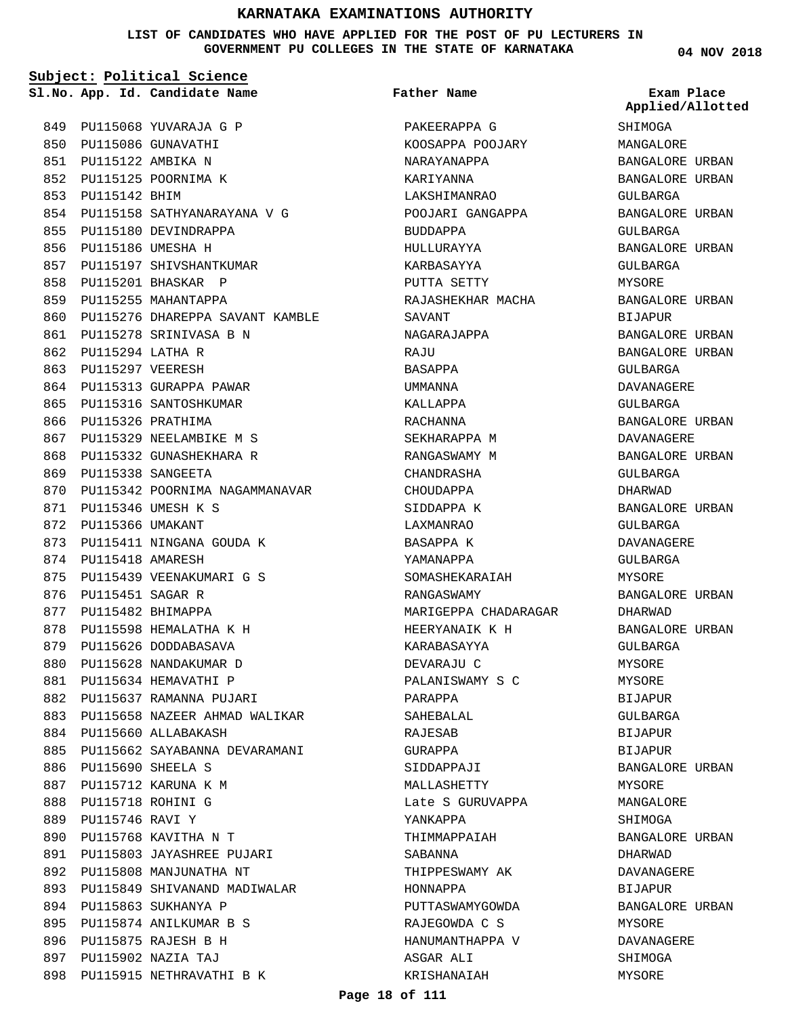**LIST OF CANDIDATES WHO HAVE APPLIED FOR THE POST OF PU LECTURERS IN GOVERNMENT PU COLLEGES IN THE STATE OF KARNATAKA**

**Subject: Political Science**

**App. Id. Candidate Name Sl.No. Exam Place**

849 PU115068 YUVARAJA G P 850 PU115086 GUNAVATHI PU115122 AMBIKA N 851 852 PU115125 POORNIMA K 853 PU115142 BHIM PU115158 SATHYANARAYANA V G 854 855 PU115180 DEVINDRAPPA 856 PU115186 UMESHA H 857 PU115197 SHIVSHANTKUMAR PU115201 BHASKAR P 858 859 PU115255 MAHANTAPPA 860 PU115276 DHAREPPA SAVANT KAMBLE 861 PU115278 SRINIVASA B N PU115294 LATHA R 862 863 PU115297 VEERESH 864 PU115313 GURAPPA PAWAR 865 PU115316 SANTOSHKUMAR 866 PU115326 PRATHIMA 867 PU115329 NEELAMBIKE M S 868 PU115332 GUNASHEKHARA R PU115338 SANGEETA 869 870 PU115342 POORNIMA NAGAMMANAVAR PU115346 UMESH K S 871 872 PU115366 UMAKANT 873 PU115411 NINGANA GOUDA K 874 PU115418 AMARESH PU115439 VEENAKUMARI G S 875 876 PU115451 SAGAR R 877 PU115482 BHIMAPPA 878 PU115598 HEMALATHA K H 879 PU115626 DODDABASAVA 880 PU115628 NANDAKUMAR D 881 PU115634 HEMAVATHI P 882 PU115637 RAMANNA PUJARI 883 PU115658 NAZEER AHMAD WALIKAR 884 PU115660 ALLABAKASH 885 PU115662 SAYABANNA DEVARAMANI PU115690 SHEELA S 886 887 PU115712 KARUNA K M 888 PU115718 ROHINI G PU115746 RAVI Y 889 PU115768 KAVITHA N T 890 PU115803 JAYASHREE PUJARI 891 892 PU115808 MANJUNATHA NT 893 PU115849 SHIVANAND MADIWALAR PU115863 SUKHANYA P 894 895 PU115874 ANILKUMAR B S PU115875 RAJESH B H 896 PU115902 NAZIA TAJ 897 898 PU115915 NETHRAVATHI B K

PAKEERAPPA G KOOSAPPA POOJARY NARAYANAPPA KARIYANNA LAKSHIMANRAO POOJARI GANGAPPA BUDDAPPA HULLURAYYA KARBASAYYA PUTTA SETTY RAJASHEKHAR MACHA SAVANT NAGARAJAPPA **RAJU** BASAPPA UMMANNA KALLAPPA RACHANNA SEKHARAPPA M RANGASWAMY M CHANDRASHA CHOUDAPPA SIDDAPPA K LAXMANRAO BASAPPA K YAMANAPPA SOMASHEKARAIAH RANGASWAMY MARIGEPPA CHADARAGAR HEERYANAIK K H KARABASAYYA DEVARAJU C PALANISWAMY S C PARAPPA SAHEBALAL RAJESAB GURAPPA SIDDAPPAJI MALLASHETTY Late S GURUVAPPA YANKAPPA THIMMAPPAIAH SABANNA THIPPESWAMY AK HONNAPPA PUTTASWAMYGOWDA RAJEGOWDA C S HANUMANTHAPPA V ASGAR ALI KRISHANAIAH **Father Name**

**04 NOV 2018**

**SHIMOGA** MANGALORE BANGALORE URBAN BANGALORE URBAN GULBARGA BANGALORE URBAN GULBARGA BANGALORE URBAN GULBARGA MYSORE BANGALORE URBAN BIJAPUR BANGALORE URBAN BANGALORE URBAN GULBARGA DAVANAGERE GULBARGA BANGALORE URBAN DAVANAGERE BANGALORE URBAN GULBARGA DHARWAD BANGALORE URBAN GULBARGA DAVANAGERE GULBARGA MYSORE BANGALORE URBAN DHARWAD BANGALORE URBAN GULBARGA MYSORE MYSORE BIJAPUR GULBARGA BIJAPUR **BIJAPUR** BANGALORE URBAN MYSORE MANGALORE SHIMOGA BANGALORE URBAN DHARWAD DAVANAGERE BIJAPUR BANGALORE URBAN MYSORE DAVANAGERE SHIMOGA MYSORE **Applied/Allotted**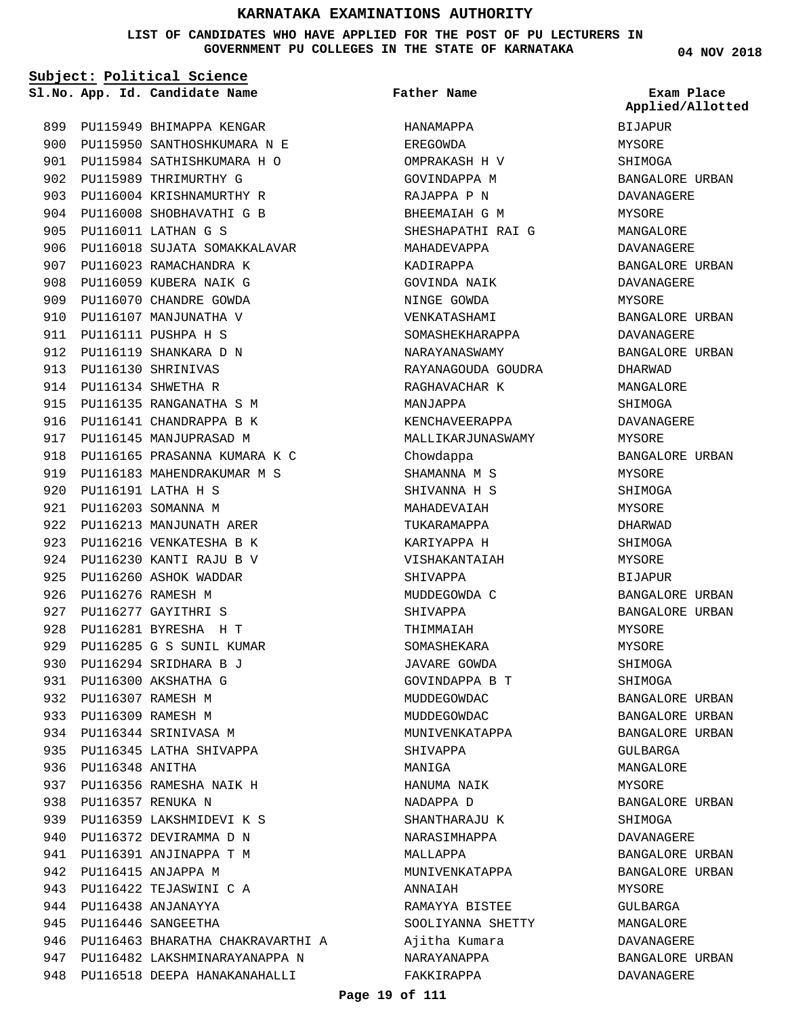**LIST OF CANDIDATES WHO HAVE APPLIED FOR THE POST OF PU LECTURERS IN GOVERNMENT PU COLLEGES IN THE STATE OF KARNATAKA**

**Subject: Political Science**

**App. Id. Candidate Name Sl.No. Exam Place**

902 PU115989 THRIMURTHY G 903 PU116004 KRISHNAMURTHY R 904 PU116008 SHOBHAVATHI G B

PU116011 LATHAN G S 905

907 PU116023 RAMACHANDRA K 908 PU116059 KUBERA NAIK G 909 PU116070 CHANDRE GOWDA 910 PU116107 MANJUNATHA V 911 **PU116111 PUSHPA H S** 912 PU116119 SHANKARA D N PU116130 SHRINIVAS 913 PU116134 SHWETHA R 914

915 PU116135 RANGANATHA S M 916 PU116141 CHANDRAPPA B K 917 PU116145 MANJUPRASAD M

922 PU116213 MANJUNATH ARER 923 PU116216 VENKATESHA B K PU116230 KANTI RAJU B V 924 925 PU116260 ASHOK WADDAR 926 PU116276 RAMESH M 927 PU116277 GAYITHRI S PU116281 BYRESHA H T 928 929 PU116285 G S SUNIL KUMAR PU116294 SRIDHARA B J 930 PU116300 AKSHATHA G 931 PU116307 RAMESH M 932 PU116309 RAMESH M 933 934 PU116344 SRINIVASA M 935 PU116345 LATHA SHIVAPPA

PU116191 LATHA H S 920 PU116203 SOMANNA M 921

936 PU116348 ANITHA

PU116357 RENUKA N 938

937 PU116356 RAMESHA NAIK H

939 PU116359 LAKSHMIDEVI K S 940 PU116372 DEVIRAMMA D N 941 PU116391 ANJINAPPA T M 942 PU116415 ANJAPPA M PU116422 TEJASWINI C A 943 PU116438 ANJANAYYA 944 945 PU116446 SANGEETHA

946 PU116463 BHARATHA CHAKRAVARTHI A 947 PU116482 LAKSHMINARAYANAPPA N 948 PU116518 DEEPA HANAKANAHALLI

918 PU116165 PRASANNA KUMARA K C 919 PU116183 MAHENDRAKUMAR M S

906 PU116018 SUJATA SOMAKKALAVAR

899 PU115949 BHIMAPPA KENGAR 900 PU115950 SANTHOSHKUMARA N E 901 PU115984 SATHISHKUMARA H O

**Father Name**

HANAMAPPA EREGOWDA OMPRAKASH H V GOVINDAPPA M RAJAPPA P N BHEEMAIAH G M SHESHAPATHI RAI G MAHADEVAPPA KADIRAPPA GOVINDA NAIK NINGE GOWDA VENKATASHAMI SOMASHEKHARAPPA NARAYANASWAMY RAYANAGOUDA GOUDRA RAGHAVACHAR K MANJAPPA KENCHAVEERAPPA MALLIKARJUNASWAMY Chowdappa SHAMANNA M S SHIVANNA H S MAHADEVAIAH TUKARAMAPPA KARIYAPPA H VISHAKANTAIAH SHIVAPPA MUDDEGOWDA C SHIVAPPA THIMMAIAH SOMASHEKARA JAVARE GOWDA GOVINDAPPA B T MUDDEGOWDAC MUDDEGOWDAC MUNIVENKATAPPA SHIVAPPA MANIGA HANUMA NAIK NADAPPA D SHANTHARAJU K NARASIMHAPPA MALLAPPA MUNIVENKATAPPA **ANNATAH** RAMAYYA BISTEE SOOLIYANNA SHETTY Ajitha Kumara NARAYANAPPA FAKKIRAPPA

**04 NOV 2018**

BIJAPUR MYSORE SHIMOGA BANGALORE URBAN DAVANAGERE MYSORE MANGALORE DAVANAGERE BANGALORE URBAN DAVANAGERE MYSORE BANGALORE URBAN DAVANAGERE BANGALORE URBAN DHARWAD MANGALORE SHIMOGA DAVANAGERE MYSORE BANGALORE URBAN MYSORE SHIMOGA MYSORE DHARWAD SHIMOGA MYSORE **BIJAPUR** BANGALORE URBAN BANGALORE URBAN MYSORE MYSORE SHIMOGA SHIMOGA BANGALORE URBAN BANGALORE URBAN BANGALORE URBAN GULBARGA MANGALORE MYSORE BANGALORE URBAN SHIMOGA DAVANAGERE BANGALORE URBAN BANGALORE URBAN MYSORE GULBARGA MANGALORE DAVANAGERE BANGALORE URBAN DAVANAGERE **Applied/Allotted**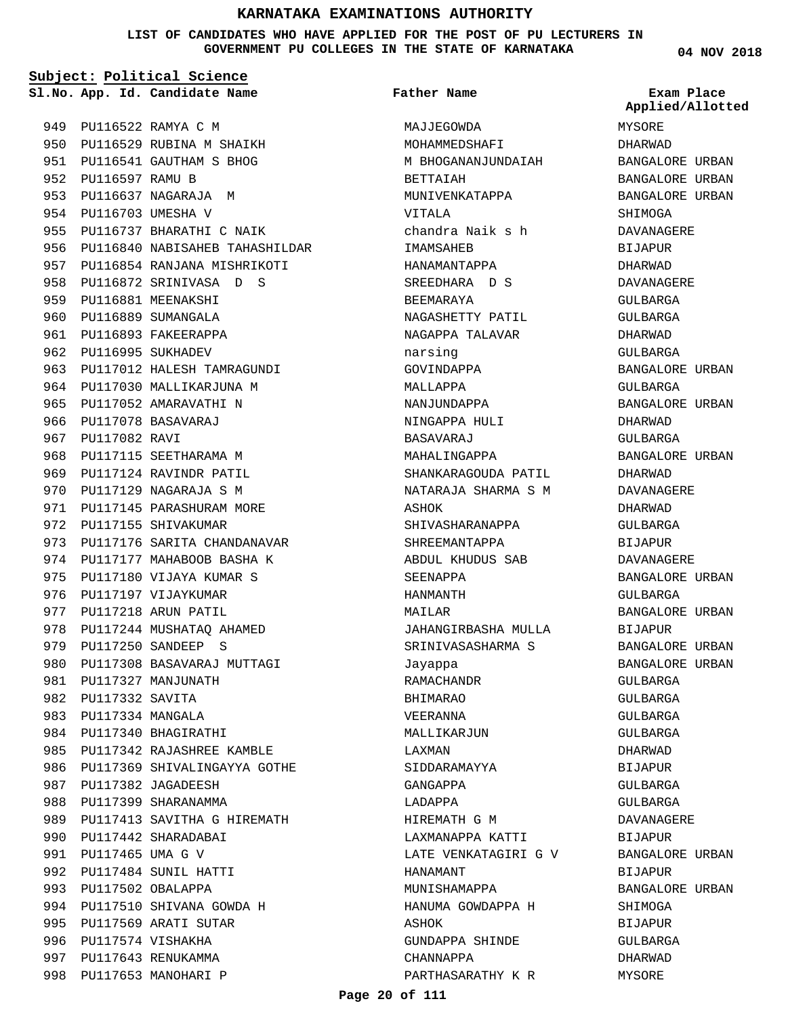**LIST OF CANDIDATES WHO HAVE APPLIED FOR THE POST OF PU LECTURERS IN GOVERNMENT PU COLLEGES IN THE STATE OF KARNATAKA**

**Subject: Political Science**

**App. Id. Candidate Name Sl.No. Exam Place**

PU116522 RAMYA C M 949 950 PU116529 RUBINA M SHAIKH PU116541 GAUTHAM S BHOG 951 952 PU116597 RAMU B 953 PU116637 NAGARAJA M 954 PU116703 UMESHA V 955 PU116737 BHARATHI C NAIK 956 PU116840 NABISAHEB TAHASHILDAR 957 PU116854 RANJANA MISHRIKOTI 958 PU116872 SRINIVASA D S 959 PU116881 MEENAKSHI 960 PU116889 SUMANGALA 961 PU116893 FAKEERAPPA 962 PU116995 SUKHADEV 963 PU117012 HALESH TAMRAGUNDI 964 PU117030 MALLIKARJUNA M 965 PU117052 AMARAVATHI N 966 PU117078 BASAVARAJ 967 PU117082 RAVI 968 PU117115 SEETHARAMA M 969 PU117124 RAVINDR PATIL 970 PU117129 NAGARAJA S M 971 PU117145 PARASHURAM MORE 972 PU117155 SHIVAKUMAR 973 PU117176 SARITA CHANDANAVAR 974 PU117177 MAHABOOB BASHA K 975 PU117180 VIJAYA KUMAR S 976 PU117197 VIJAYKUMAR 977 PU117218 ARUN PATIL 978 PU117244 MUSHATAQ AHAMED PU117250 SANDEEP S 979 980 PU117308 BASAVARAJ MUTTAGI 981 PU117327 MANJUNATH 982 PU117332 SAVITA PU117334 MANGALA 983 984 PU117340 BHAGIRATHI 985 PU117342 RAJASHREE KAMBLE 986 PU117369 SHIVALINGAYYA GOTHE 987 PU117382 JAGADEESH 988 PU117399 SHARANAMMA 989 PU117413 SAVITHA G HIREMATH 990 PU117442 SHARADABAI PU117465 UMA G V 991 PU117484 SUNIL HATTI 992 993 PU117502 OBALAPPA 994 PU117510 SHIVANA GOWDA H 995 PU117569 ARATI SUTAR 996 PU117574 VISHAKHA 997 PU117643 RENUKAMMA 998 PU117653 MANOHARI P

MAJJEGOWDA MOHAMMEDSHAFI M BHOGANANJUNDAIAH BETTAIAH MUNIVENKATAPPA VITALA chandra Naik s h IMAMSAHEB HANAMANTAPPA SREEDHARA D S BEEMARAYA NAGASHETTY PATIL NAGAPPA TALAVAR narsing GOVINDAPPA MALLAPPA NANJUNDAPPA NINGAPPA HULI BASAVARAJ MAHALINGAPPA SHANKARAGOUDA PATIL NATARAJA SHARMA S M ASHOK SHIVASHARANAPPA SHREEMANTAPPA ABDUL KHUDUS SAB SEENAPPA HANMANTH MAILAR JAHANGIRBASHA MULLA SRINIVASASHARMA S Jayappa RAMACHANDR BHIMARAO VEERANNA MALLIKARJUN LAXMAN SIDDARAMAYYA GANGAPPA LADAPPA HIREMATH G M LAXMANAPPA KATTI LATE VENKATAGIRI G V HANAMANT MUNISHAMAPPA HANUMA GOWDAPPA H ASHOK GUNDAPPA SHINDE CHANNAPPA PARTHASARATHY K R **Father Name**

**04 NOV 2018**

MYSORE DHARWAD BANGALORE URBAN BANGALORE URBAN BANGALORE URBAN SHIMOGA DAVANAGERE BIJAPUR DHARWAD DAVANAGERE GULBARGA GULBARGA DHARWAD GULBARGA BANGALORE URBAN GULBARGA BANGALORE URBAN DHARWAD GULBARGA BANGALORE URBAN DHARWAD DAVANAGERE DHARWAD GULBARGA BIJAPUR DAVANAGERE BANGALORE URBAN GULBARGA BANGALORE URBAN BIJAPUR BANGALORE URBAN BANGALORE URBAN GULBARGA GULBARGA GULBARGA GULBARGA DHARWAD BIJAPUR GULBARGA GULBARGA DAVANAGERE BIJAPUR BANGALORE URBAN BIJAPUR BANGALORE URBAN SHIMOGA BIJAPUR GULBARGA DHARWAD MYSORE **Applied/Allotted**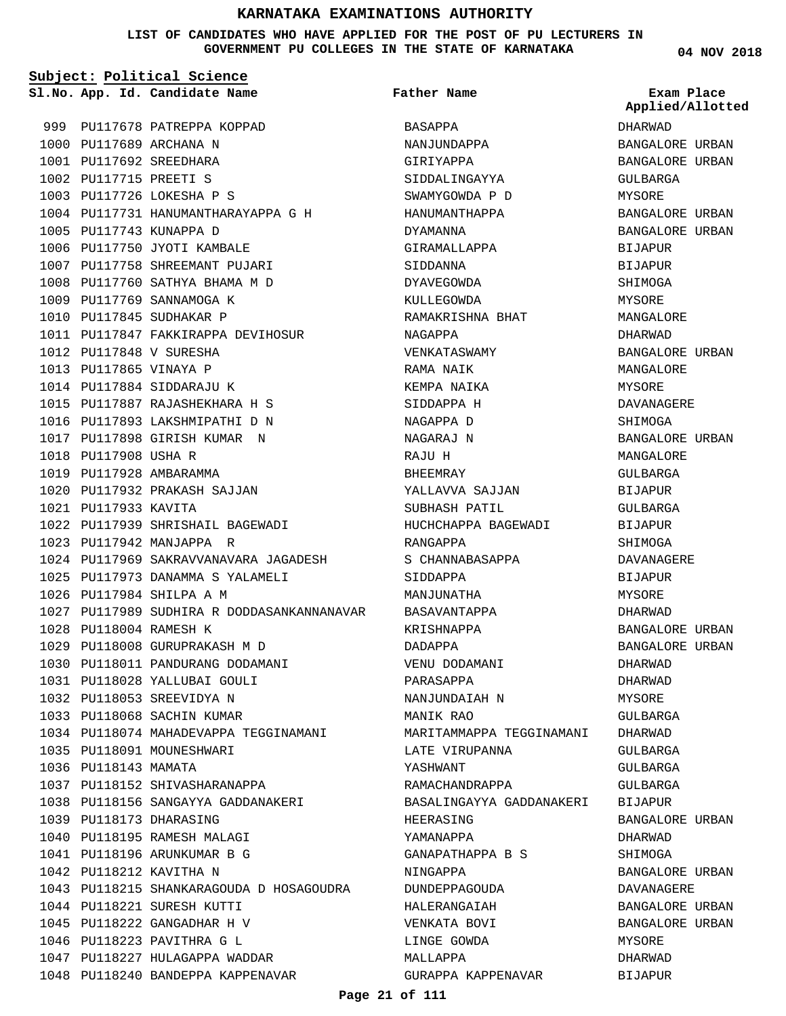**LIST OF CANDIDATES WHO HAVE APPLIED FOR THE POST OF PU LECTURERS IN GOVERNMENT PU COLLEGES IN THE STATE OF KARNATAKA**

**Subject: Political Science**

**Father Name**

999 PU117678 PATREPPA KOPPAD 1000 PU117689 ARCHANA N PU117692 SREEDHARA 1001 PU117715 PREETI S 1002 1003 PU117726 LOKESHA P S 1004 PU117731 HANUMANTHARAYAPPA G H 1005 PU117743 KUNAPPA D 1006 PU117750 JYOTI KAMBALE 1007 PU117758 SHREEMANT PUJARI PU117760 SATHYA BHAMA M D 1008 1009 PU117769 SANNAMOGA K 1010 PU117845 SUDHAKAR P 1011 PU117847 FAKKIRAPPA DEVIHOSUR 1012 PU117848 V SURESHA 1013 PU117865 VINAYA P 1014 PU117884 SIDDARAJU K PU117887 RAJASHEKHARA H S 1015 1016 PU117893 LAKSHMIPATHI D N 1017 PU117898 GIRISH KUMAR N 1018 PU117908 USHA R 1019 PU117928 AMBARAMMA 1020 PU117932 PRAKASH SAJJAN 1021 PU117933 KAVITA PU117939 SHRISHAIL BAGEWADI 1022 1023 PU117942 MANJAPPA R 1024 PU117969 SAKRAVVANAVARA JAGADESH PU117973 DANAMMA S YALAMELI 1025 1026 PU117984 SHILPA A M 1027 PU117989 SUDHIRA R DODDASANKANNANAVAR PU118004 RAMESH K 1028 1029 PU118008 GURUPRAKASH M D 1030 PU118011 PANDURANG DODAMANI 1031 PU118028 YALLUBAI GOULI 1032 PU118053 SREEVIDYA N 1033 PU118068 SACHIN KUMAR 1034 PU118074 MAHADEVAPPA TEGGINAMANI 1035 PU118091 MOUNESHWARI 1036 PU118143 MAMATA 1037 PU118152 SHIVASHARANAPPA 1038 PU118156 SANGAYYA GADDANAKERI 1039 PU118173 DHARASING 1040 PU118195 RAMESH MALAGI PU118196 ARUNKUMAR B G 1041 1042 PU118212 KAVITHA N PU118215 SHANKARAGOUDA D HOSAGOUDRA 1043 1044 PU118221 SURESH KUTTI PU118222 GANGADHAR H V 1045 1046 PU118223 PAVITHRA G L 1047 PU118227 HULAGAPPA WADDAR 1048 PU118240 BANDEPPA KAPPENAVAR

**App. Id. Candidate Name Sl.No. Exam Place** BASAPPA NANJUNDAPPA GIRIYAPPA SIDDALINGAYYA SWAMYGOWDA P D HANUMANTHAPPA DYAMANNA GIRAMALLAPPA SIDDANNA DYAVEGOWDA KULLEGOWDA RAMAKRISHNA BHAT NAGAPPA VENKATASWAMY RAMA NAIK KEMPA NAIKA SIDDAPPA H NAGAPPA D NAGARAJ N RAJU H BHEEMRAY YALLAVVA SAJJAN SUBHASH PATIL HUCHCHAPPA BAGEWADI RANGAPPA S CHANNABASAPPA SIDDAPPA MANJIINATHA BASAVANTAPPA KRISHNAPPA DADAPPA VENU DODAMANI PARASAPPA NANJUNDAIAH N MANIK RAO MARITAMMAPPA TEGGINAMANI LATE VIRUPANNA YASHWANT RAMACHANDRAPPA BASALINGAYYA GADDANAKERI HEERASING YAMANAPPA GANAPATHAPPA B S NINGAPPA DUNDEPPAGOUDA HALERANGAIAH VENKATA BOVI LINGE GOWDA MALLAPPA GURAPPA KAPPENAVAR

**04 NOV 2018**

DHARWAD BANGALORE URBAN BANGALORE URBAN GULBARGA MYSORE BANGALORE URBAN BANGALORE URBAN BIJAPUR **BIJAPUR** SHIMOGA **MYSORE** MANGALORE DHARWAD BANGALORE URBAN MANGALORE MYSORE DAVANAGERE **SHIMOGA** BANGALORE URBAN MANGALORE GULBARGA BIJAPUR GULBARGA BIJAPUR SHIMOGA DAVANAGERE BIJAPUR MYSORE DHARWAD BANGALORE URBAN BANGALORE URBAN DHARWAD DHARWAD MYSORE GULBARGA DHARWAD GULBARGA GULBARGA GULBARGA BIJAPUR BANGALORE URBAN DHARWAD SHIMOGA BANGALORE URBAN DAVANAGERE BANGALORE URBAN BANGALORE URBAN MYSORE DHARWAD BIJAPUR **Applied/Allotted**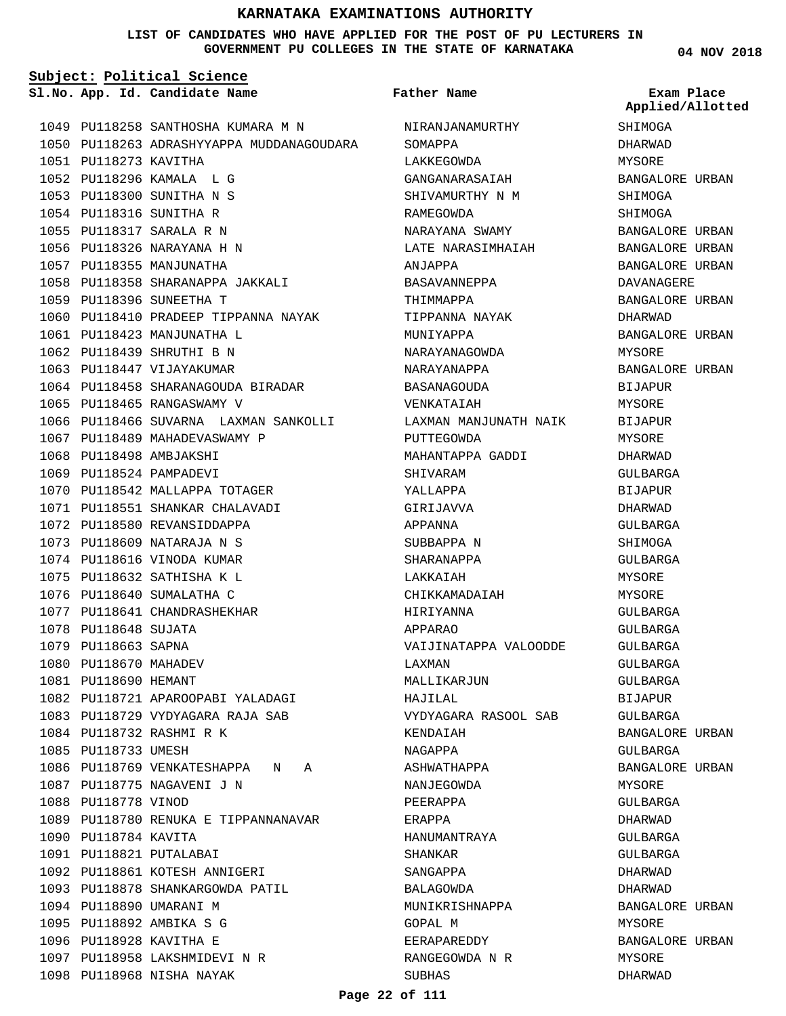#### **LIST OF CANDIDATES WHO HAVE APPLIED FOR THE POST OF PU LECTURERS IN GOVERNMENT PU COLLEGES IN THE STATE OF KARNATAKA**

**Subject: Political Science**

1049 PU118258 SANTHOSHA KUMARA M N 1050 PU118263 ADRASHYYAPPA MUDDANAGOUDARA 1051 PU118273 KAVITHA PU118296 KAMALA L G 1052 PU118300 SUNITHA N S 1053 1054 PU118316 SUNITHA R PU118317 SARALA R N 1055 1056 PU118326 NARAYANA H N 1057 PU118355 MANJUNATHA 1058 PU118358 SHARANAPPA JAKKALI 1059 PU118396 SUNEETHA T 1060 PU118410 PRADEEP TIPPANNA NAYAK PU118423 MANJUNATHA L 1061 1062 PU118439 SHRUTHI B N 1063 PU118447 VIJAYAKUMAR 1064 PU118458 SHARANAGOUDA BIRADAR 1065 PU118465 RANGASWAMY V 1066 PU118466 SUVARNA LAXMAN SANKOLLI 1067 PU118489 MAHADEVASWAMY P 1068 PU118498 AMBJAKSHI 1069 PU118524 PAMPADEVI 1070 PU118542 MALLAPPA TOTAGER PU118551 SHANKAR CHALAVADI 1071 1072 PU118580 REVANSIDDAPPA PU118609 NATARAJA N S 1073 1074 PU118616 VINODA KUMAR 1075 PU118632 SATHISHA K L 1076 PU118640 SUMALATHA C 1077 PU118641 CHANDRASHEKHAR 1078 PU118648 SUJATA 1079 PU118663 SAPNA 1080 PU118670 MAHADEV 1081 PU118690 HEMANT 1082 PU118721 APAROOPABI YALADAGI PU118729 VYDYAGARA RAJA SAB 1083 1084 PU118732 RASHMI R K 1085 PU118733 UMESH 1086 PU118769 VENKATESHAPPA N A 1087 PU118775 NAGAVENI J N 1088 PU118778 VINOD 1089 PU118780 RENUKA E TIPPANNANAVAR 1090 PU118784 KAVITA 1091 PU118821 PUTALABAI 1092 PU118861 KOTESH ANNIGERI 1093 PU118878 SHANKARGOWDA PATIL 1094 PU118890 UMARANI M PU118892 AMBIKA S G 1095 1096 PU118928 KAVITHA E 1097 PU118958 LAKSHMIDEVI N R 1098 PU118968 NISHA NAYAK

**App. Id. Candidate Name Sl.No. Exam Place** NIRANJANAMURTHY SOMAPPA LAKKEGOWDA GANGANARASAIAH SHIVAMURTHY N M RAMEGOWDA NARAYANA SWAMY LATE NARASIMHAIAH ANJAPPA BASAVANNEPPA THIMMAPPA TIPPANNA NAYAK MUNIYAPPA NARAYANAGOWDA NARAYANAPPA BASANAGOUDA VENKATAIAH LAXMAN MANJUNATH NAIK PUTTEGOWDA MAHANTAPPA GADDI SHIVARAM YALLAPPA GIRIJAVVA APPANNA SUBBAPPA N SHARANAPPA LAKKAIAH CHIKKAMADAIAH HIRIYANNA APPARAO VAIJINATAPPA VALOODDE LAXMAN MALLIKARJUN HAJILAL VYDYAGARA RASOOL SAB KENDAIAH NAGAPPA ASHWATHAPPA NANJEGOWDA PEERAPPA ERAPPA HANUMANTRAYA SHANKAR SANGAPPA BALAGOWDA MUNIKRISHNAPPA GOPAL M EERAPAREDDY RANGEGOWDA N R SUBHAS **Father Name**

**04 NOV 2018**

**SHIMOGA** DHARWAD MYSORE BANGALORE URBAN SHIMOGA SHIMOGA BANGALORE URBAN BANGALORE URBAN BANGALORE URBAN DAVANAGERE BANGALORE URBAN DHARWAD BANGALORE URBAN MYSORE BANGALORE URBAN BIJAPUR MYSORE BIJAPUR MYSORE DHARWAD GULBARGA BIJAPUR DHARWAD GULBARGA SHIMOGA GULBARGA **MYSORE** MYSORE GULBARGA GULBARGA GULBARGA GULBARGA GULBARGA BIJAPUR GULBARGA BANGALORE URBAN GULBARGA BANGALORE URBAN MYSORE GULBARGA DHARWAD GULBARGA GULBARGA DHARWAD DHARWAD BANGALORE URBAN MYSORE BANGALORE URBAN MYSORE DHARWAD **Applied/Allotted**

#### **Page 22 of 111**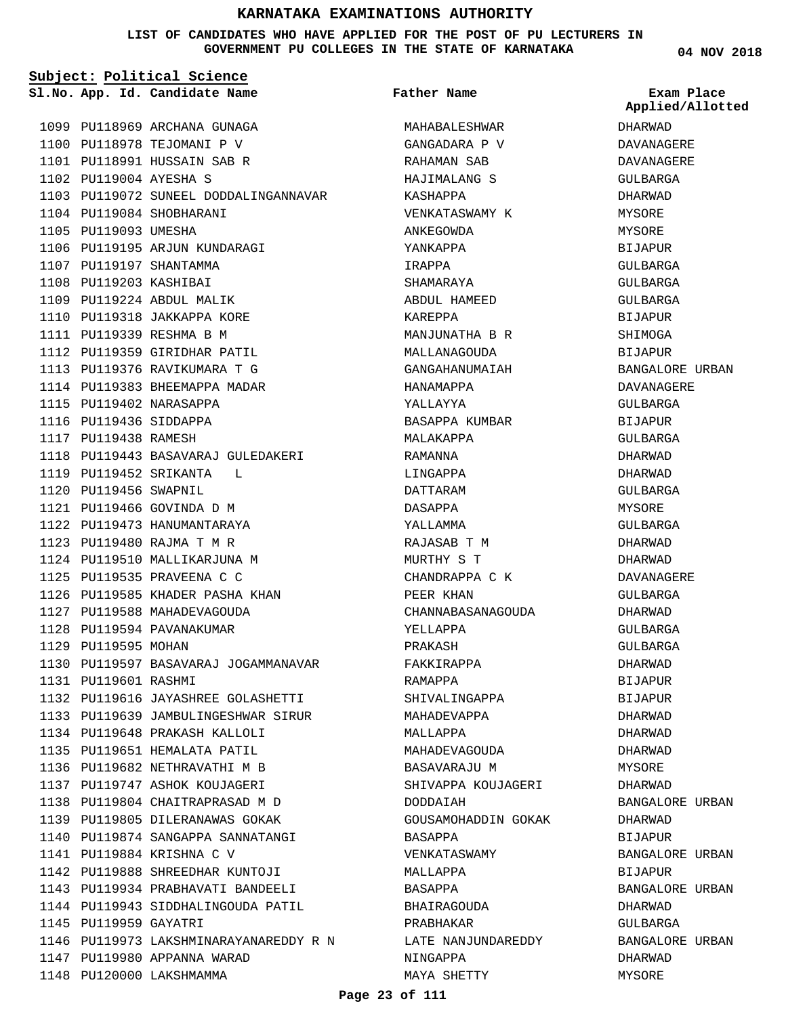### **LIST OF CANDIDATES WHO HAVE APPLIED FOR THE POST OF PU LECTURERS IN GOVERNMENT PU COLLEGES IN THE STATE OF KARNATAKA**

|                        | Subject: Political Science             |                     |                                |
|------------------------|----------------------------------------|---------------------|--------------------------------|
|                        | Sl.No. App. Id. Candidate Name         | Father Name         | Exam Place<br>Applied/Allotted |
|                        | 1099 PU118969 ARCHANA GUNAGA           | MAHABALESHWAR       | DHARWAD                        |
|                        | 1100 PU118978 TEJOMANI P V             | GANGADARA P V       | DAVANAGERE                     |
|                        | 1101 PU118991 HUSSAIN SAB R            | RAHAMAN SAB         | DAVANAGERE                     |
| 1102 PU119004 AYESHA S |                                        | HAJIMALANG S        | GULBARGA                       |
|                        | 1103 PU119072 SUNEEL DODDALINGANNAVAR  | KASHAPPA            | DHARWAD                        |
|                        | 1104 PU119084 SHOBHARANI               | VENKATASWAMY K      | MYSORE                         |
| 1105 PU119093 UMESHA   |                                        | ANKEGOWDA           | MYSORE                         |
|                        | 1106 PU119195 ARJUN KUNDARAGI          | YANKAPPA            | BIJAPUR                        |
|                        | 1107 PU119197 SHANTAMMA                | IRAPPA              | GULBARGA                       |
| 1108 PU119203 KASHIBAI |                                        | SHAMARAYA           | GULBARGA                       |
|                        | 1109 PU119224 ABDUL MALIK              | ABDUL HAMEED        | GULBARGA                       |
|                        | 1110 PU119318 JAKKAPPA KORE            | KAREPPA             | BIJAPUR                        |
|                        | 1111 PU119339 RESHMA B M               | MANJUNATHA B R      | SHIMOGA                        |
|                        | 1112 PU119359 GIRIDHAR PATIL           | MALLANAGOUDA        | BIJAPUR                        |
|                        | 1113 PU119376 RAVIKUMARA T G           | GANGAHANUMAIAH      | BANGALORE URBAN                |
|                        | 1114 PU119383 BHEEMAPPA MADAR          | HANAMAPPA           | DAVANAGERE                     |
|                        | 1115 PU119402 NARASAPPA                | YALLAYYA            | GULBARGA                       |
| 1116 PU119436 SIDDAPPA |                                        | BASAPPA KUMBAR      | BIJAPUR                        |
| 1117 PU119438 RAMESH   |                                        | MALAKAPPA           | GULBARGA                       |
|                        | 1118 PU119443 BASAVARAJ GULEDAKERI     | RAMANNA             | DHARWAD                        |
|                        | 1119 PU119452 SRIKANTA L               | LINGAPPA            | DHARWAD                        |
| 1120 PU119456 SWAPNIL  |                                        | DATTARAM            | GULBARGA                       |
|                        | 1121 PU119466 GOVINDA D M              | DASAPPA             | MYSORE                         |
|                        | 1122 PU119473 HANUMANTARAYA            | YALLAMMA            | GULBARGA                       |
|                        | 1123 PU119480 RAJMA T M R              | RAJASAB T M         | DHARWAD                        |
|                        | 1124 PU119510 MALLIKARJUNA M           | MURTHY S T          | DHARWAD                        |
|                        | 1125 PU119535 PRAVEENA C C             | CHANDRAPPA C K      | DAVANAGERE                     |
|                        | 1126 PU119585 KHADER PASHA KHAN        | PEER KHAN           | GULBARGA                       |
|                        | 1127 PU119588 MAHADEVAGOUDA            | CHANNABASANAGOUDA   | DHARWAD                        |
|                        | 1128 PU119594 PAVANAKUMAR              | YELLAPPA            | GULBARGA                       |
| 1129 PU119595 MOHAN    |                                        | PRAKASH             | GULBARGA                       |
|                        | 1130 PU119597 BASAVARAJ JOGAMMANAVAR   | FAKKIRAPPA          | DHARWAD                        |
| 1131 PU119601 RASHMI   |                                        | RAMAPPA             | BIJAPUR                        |
|                        | 1132 PU119616 JAYASHREE GOLASHETTI     | SHIVALINGAPPA       | BIJAPUR                        |
|                        | 1133 PU119639 JAMBULINGESHWAR SIRUR    | MAHADEVAPPA         | DHARWAD                        |
|                        | 1134 PU119648 PRAKASH KALLOLI          | MALLAPPA            | DHARWAD                        |
|                        | 1135 PU119651 HEMALATA PATIL           | MAHADEVAGOUDA       | DHARWAD                        |
|                        | 1136 PU119682 NETHRAVATHI M B          | BASAVARAJU M        | MYSORE                         |
|                        | 1137 PU119747 ASHOK KOUJAGERI          | SHIVAPPA KOUJAGERI  | DHARWAD                        |
|                        | 1138 PU119804 CHAITRAPRASAD M D        | DODDAIAH            | BANGALORE URBAN                |
|                        | 1139 PU119805 DILERANAWAS GOKAK        | GOUSAMOHADDIN GOKAK | DHARWAD                        |
|                        | 1140 PU119874 SANGAPPA SANNATANGI      | BASAPPA             | BIJAPUR                        |
|                        | 1141 PU119884 KRISHNA C V              | VENKATASWAMY        | BANGALORE URBAN                |
|                        | 1142 PU119888 SHREEDHAR KUNTOJI        | MALLAPPA            | BIJAPUR                        |
|                        | 1143 PU119934 PRABHAVATI BANDEELI      | BASAPPA             | BANGALORE URBAN                |
|                        | 1144 PU119943 SIDDHALINGOUDA PATIL     | BHAIRAGOUDA         | DHARWAD                        |
| 1145 PU119959 GAYATRI  |                                        | PRABHAKAR           | GULBARGA                       |
|                        | 1146 PU119973 LAKSHMINARAYANAREDDY R N | LATE NANJUNDAREDDY  | BANGALORE URBAN                |
|                        | 1147 PU119980 APPANNA WARAD            | NINGAPPA            | DHARWAD                        |
|                        | 1148 PU120000 LAKSHMAMMA               | MAYA SHETTY         | MYSORE                         |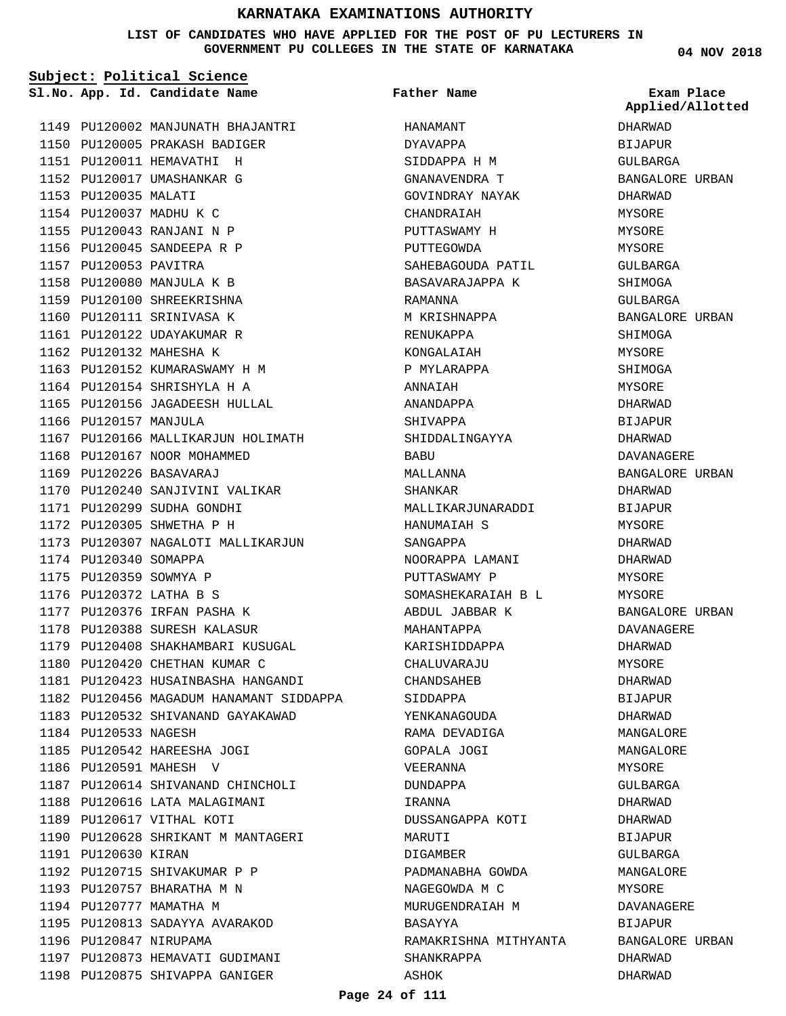#### **LIST OF CANDIDATES WHO HAVE APPLIED FOR THE POST OF PU LECTURERS IN GOVERNMENT PU COLLEGES IN THE STATE OF KARNATAKA**

**Subject: Political Science**

1149 PU120002 MANJUNATH BHAJANTRI 1150 PU120005 PRAKASH BADIGER 1151 PU120011 HEMAVATHI H 1152 PU120017 UMASHANKAR G 1153 PU120035 MALATI 1154 PU120037 MADHU K C 1155 PU120043 RANJANI N P 1156 PU120045 SANDEEPA R P 1157 PU120053 PAVITRA PU120080 MANJULA K B 1158 1159 PU120100 SHREEKRISHNA 1160 PU120111 SRINIVASA K 1161 PU120122 UDAYAKUMAR R 1162 PU120132 MAHESHA K 1163 PU120152 KUMARASWAMY H M 1164 PU120154 SHRISHYLA H A 1165 PU120156 JAGADEESH HULLAL 1166 PU120157 MANJULA 1167 PU120166 MALLIKARJUN HOLIMATH 1168 PU120167 NOOR MOHAMMED PU120226 BASAVARAJ 1169 1170 PU120240 SANJIVINI VALIKAR PU120299 SUDHA GONDHI 1171 1172 PU120305 SHWETHA P H 1173 PU120307 NAGALOTI MALLIKARJUN 1174 PU120340 SOMAPPA 1175 PU120359 SOWMYA P PU120372 LATHA B S 1176 1177 PU120376 IRFAN PASHA K 1178 PU120388 SURESH KALASUR 1179 PU120408 SHAKHAMBARI KUSUGAL 1180 PU120420 CHETHAN KUMAR C PU120423 HUSAINBASHA HANGANDI 1181 1182 PU120456 MAGADUM HANAMANT SIDDAPPA 1183 PU120532 SHIVANAND GAYAKAWAD 1184 PU120533 NAGESH PU120542 HAREESHA JOGI 1185 1186 PU120591 MAHESH V 1187 PU120614 SHIVANAND CHINCHOLI 1188 PU120616 LATA MALAGIMANI 1189 PU120617 VITHAL KOTI 1190 PU120628 SHRIKANT M MANTAGERI 1191 PU120630 KIRAN 1192 PU120715 SHIVAKUMAR P P 1193 PU120757 BHARATHA M N 1194 PU120777 MAMATHA M 1195 PU120813 SADAYYA AVARAKOD 1196 PU120847 NIRUPAMA 1197 PU120873 HEMAVATI GUDIMANI 1198 PU120875 SHIVAPPA GANIGER

**App. Id. Candidate Name Sl.No. Exam Place** HANAMANT DYAVAPPA SIDDAPPA H M GNANAVENDRA T GOVINDRAY NAYAK CHANDRAIAH PUTTASWAMY H PUTTEGOWDA SAHEBAGOUDA PATIL BASAVARAJAPPA K RAMANNA M KRISHNAPPA RENUKAPPA KONGALAIAH P MYLARAPPA ANNAIAH ANANDAPPA SHIVAPPA SHIDDALINGAYYA **BABU** MALLANNA SHANKAR MALLIKARJUNARADDI HANUMAIAH S SANGAPPA NOORAPPA LAMANI PUTTASWAMY P SOMASHEKARAIAH B L ABDUL JABBAR K MAHANTAPPA KARISHIDDAPPA CHALUVARAJU CHANDSAHEB SIDDAPPA YENKANAGOUDA RAMA DEVADIGA GOPALA JOGI VEERANNA DUNDAPPA IRANNA DUSSANGAPPA KOTI MARUTI DIGAMBER PADMANABHA GOWDA NAGEGOWDA M C MURUGENDRAIAH M BASAYYA RAMAKRISHNA MITHYANTA SHANKRAPPA ASHOK **Father Name**

**04 NOV 2018**

DHARWAD BIJAPUR GULBARGA BANGALORE URBAN DHARWAD MYSORE MYSORE MYSORE GULBARGA SHIMOGA GULBARGA BANGALORE URBAN SHIMOGA MYSORE SHIMOGA MYSORE DHARWAD **BIJAPUR** DHARWAD DAVANAGERE BANGALORE URBAN DHARWAD BIJAPUR MYSORE DHARWAD DHARWAD MYSORE MYSORE BANGALORE URBAN DAVANAGERE DHARWAD MYSORE DHARWAD BIJAPUR DHARWAD MANGALORE MANGALORE MYSORE GULBARGA DHARWAD DHARWAD BIJAPUR GULBARGA MANGALORE MYSORE DAVANAGERE BIJAPUR BANGALORE URBAN DHARWAD DHARWAD **Applied/Allotted**

#### **Page 24 of 111**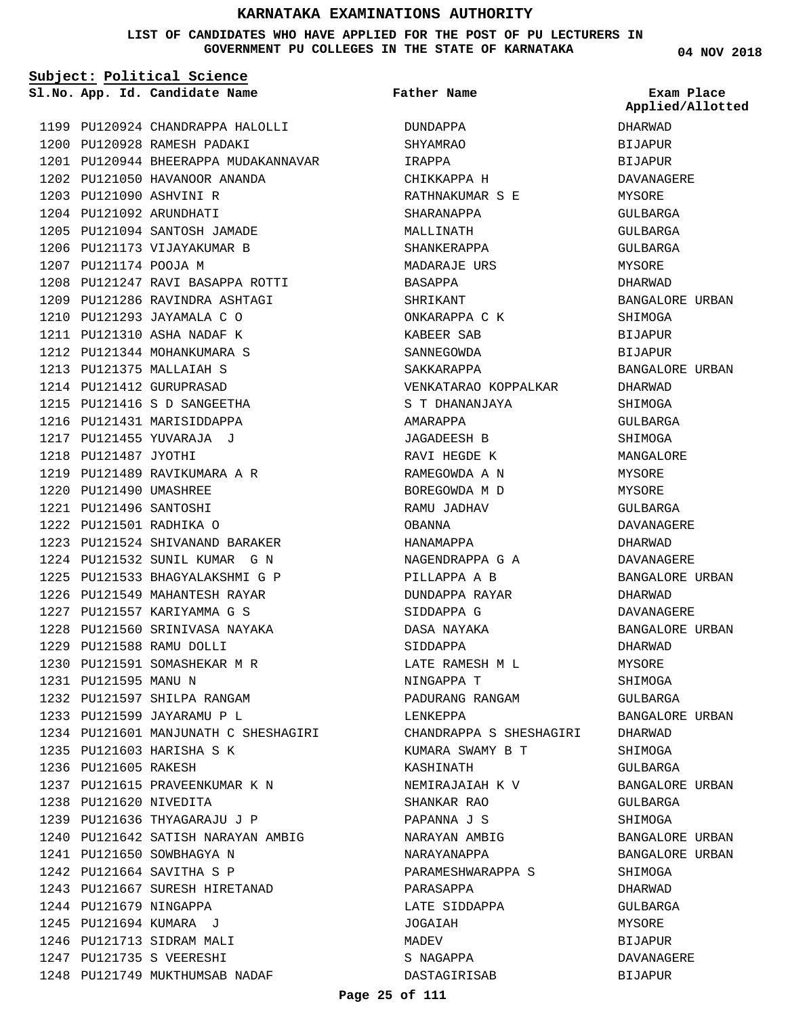#### **LIST OF CANDIDATES WHO HAVE APPLIED FOR THE POST OF PU LECTURERS IN GOVERNMENT PU COLLEGES IN THE STATE OF KARNATAKA**

**Subject: Political Science**

**App. Id. Candidate Name Sl.No. Exam Place**

1200 PU120928 RAMESH PADAKI

PU121090 ASHVINI R 1203 1204 PU121092 ARUNDHATI

1207 PU121174 POOJA M

1218 PU121487 JYOTHI

PU121490 UMASHREE 1220 PU121496 SANTOSHI 1221 PU121501 RADHIKA O 1222

PU121588 RAMU DOLLI 1229 1230 PU121591 SOMASHEKAR M R

1232 PU121597 SHILPA RANGAM 1233 PU121599 JAYARAMU P L

1235 PU121603 HARISHA S K

1237 PU121615 PRAVEENKUMAR K N

1243 PU121667 SURESH HIRETANAD

1248 PU121749 MUKTHUMSAB NADAF

1240 PU121642 SATISH NARAYAN AMBIG

1239 PU121636 THYAGARAJU J P

1241 PU121650 SOWBHAGYA N PU121664 SAVITHA S P 1242

PU121601 MANJUNATH C SHESHAGIRI 1234

1231 PU121595 MANU N

1236 PU121605 RAKESH

1238 PU121620 NIVEDITA

1244 PU121679 NINGAPPA 1245 PU121694 KUMARA J 1246 PU121713 SIDRAM MALI PU121735 S VEERESHI 1247

1219 PU121489 RAVIKUMARA A R

PU121524 SHIVANAND BARAKER 1223 1224 PU121532 SUNIL KUMAR G N PU121533 BHAGYALAKSHMI G P 1225 1226 PU121549 MAHANTESH RAYAR PU121557 KARIYAMMA G S 1227 1228 PU121560 SRINIVASA NAYAKA

1202 PU121050 HAVANOOR ANANDA

1205 PU121094 SANTOSH JAMADE 1206 PU121173 VIJAYAKUMAR B

PU121247 RAVI BASAPPA ROTTI 1208 1209 PU121286 RAVINDRA ASHTAGI 1210 PU121293 JAYAMALA C O PU121310 ASHA NADAF K 1211 1212 PU121344 MOHANKUMARA S 1213 PU121375 MALLAIAH S 1214 PU121412 GURUPRASAD 1215 PU121416 S D SANGEETHA 1216 PU121431 MARISIDDAPPA 1217 PU121455 YUVARAJA J

PU120924 CHANDRAPPA HALOLLI 1199

1201 PU120944 BHEERAPPA MUDAKANNAVAR

**Father Name**

DUNDAPPA SHYAMRAO IRAPPA CHIKKAPPA H RATHNAKUMAR S E SHARANAPPA MALLINATH SHANKERAPPA MADARAJE URS BASAPPA SHRIKANT ONKARAPPA C K KABEER SAB SANNEGOWDA SAKKARAPPA VENKATARAO KOPPALKAR S T DHANANJAYA AMARAPPA JAGADEESH B RAVI HEGDE K RAMEGOWDA A N BOREGOWDA M D RAMU JADHAV OBANNA HANAMAPPA NAGENDRAPPA G A PILLAPPA A B DUNDAPPA RAYAR SIDDAPPA G DASA NAYAKA SIDDAPPA LATE RAMESH M L NINGAPPA T PADURANG RANGAM LENKEPPA CHANDRAPPA S SHESHAGIRI KUMARA SWAMY B T KASHINATH NEMIRAJAIAH K V SHANKAR RAO PAPANNA J S NARAYAN AMBIG NARAYANAPPA PARAMESHWARAPPA S PARASAPPA LATE SIDDAPPA JOGAIAH MADEV S NAGAPPA DASTAGIRISAB

**04 NOV 2018**

DHARWAD **BIJAPUR** BIJAPUR DAVANAGERE MYSORE GULBARGA GULBARGA GULBARGA **MYSORE** DHARWAD BANGALORE URBAN SHIMOGA BIJAPUR BIJAPUR BANGALORE URBAN DHARWAD SHIMOGA GULBARGA SHIMOGA MANGALORE MYSORE MYSORE GULBARGA DAVANAGERE DHARWAD DAVANAGERE BANGALORE URBAN DHARWAD DAVANAGERE BANGALORE URBAN DHARWAD MYSORE SHIMOGA GULBARGA BANGALORE URBAN DHARWAD SHIMOGA GULBARGA BANGALORE URBAN GULBARGA SHIMOGA BANGALORE URBAN BANGALORE URBAN SHIMOGA DHARWAD GULBARGA MYSORE BIJAPUR DAVANAGERE BIJAPUR **Applied/Allotted**

#### **Page 25 of 111**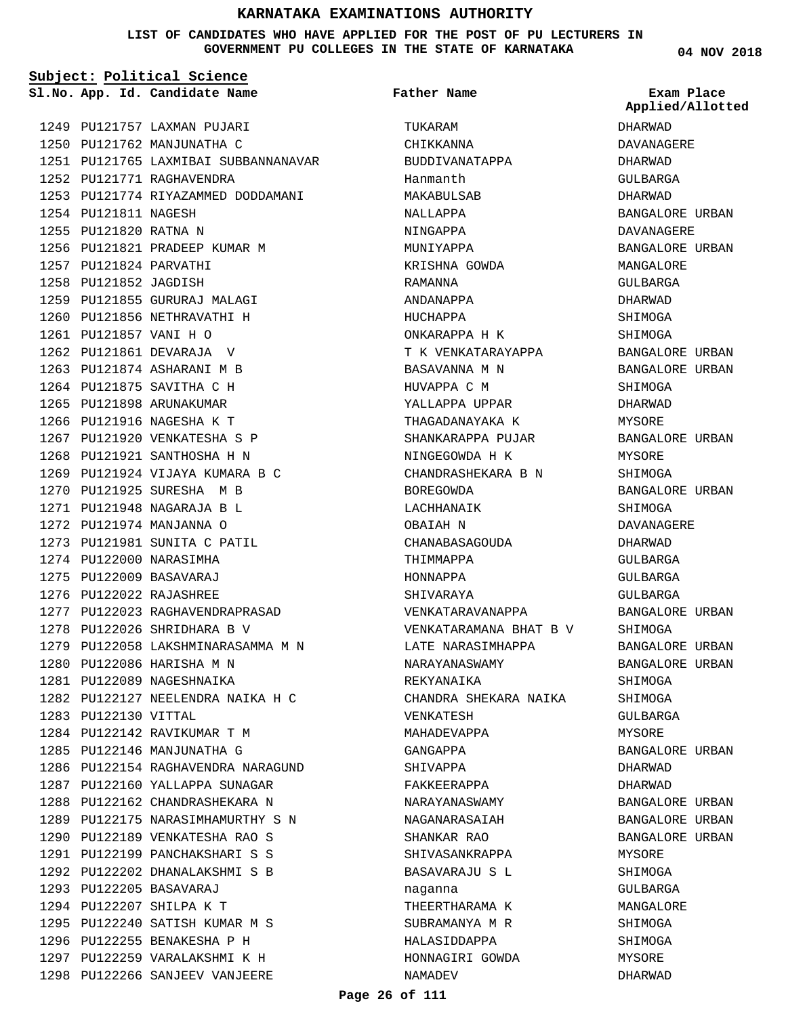#### **LIST OF CANDIDATES WHO HAVE APPLIED FOR THE POST OF PU LECTURERS IN GOVERNMENT PU COLLEGES IN THE STATE OF KARNATAKA**

**Subject: Political Science**

**App. Id. Candidate Name Sl.No. Exam Place**

1249 PU121757 LAXMAN PUJARI 1250 PU121762 MANJUNATHA C PU121765 LAXMIBAI SUBBANNANAVAR 1251 1252 PU121771 RAGHAVENDRA 1253 PU121774 RIYAZAMMED DODDAMANI 1254 PU121811 NAGESH 1255 PU121820 RATNA N 1256 PU121821 PRADEEP KUMAR M PU121824 PARVATHI 1257 1258 PU121852 JAGDISH 1259 PU121855 GURURAJ MALAGI 1260 PU121856 NETHRAVATHI H PU121857 VANI H O 1261 1262 PU121861 DEVARAJA V 1263 PU121874 ASHARANI M B 1264 PU121875 SAVITHA C H 1265 PU121898 ARUNAKUMAR 1266 PU121916 NAGESHA K T 1267 PU121920 VENKATESHA S P 1268 PU121921 SANTHOSHA H N 1269 PU121924 VIJAYA KUMARA B C 1270 PU121925 SURESHA M B PU121948 NAGARAJA B L 1271 1272 PU121974 MANJANNA O 1273 PU121981 SUNITA C PATIL 1274 PU122000 NARASIMHA PU122009 BASAVARAJ 1275 PU122022 RAJASHREE 1276 1277 PU122023 RAGHAVENDRAPRASAD 1278 PU122026 SHRIDHARA B V 1279 PU122058 LAKSHMINARASAMMA M N 1280 PU122086 HARISHA M N 1281 PU122089 NAGESHNAIKA PU122127 NEELENDRA NAIKA H C 1282 1283 PU122130 VITTAL 1284 PU122142 RAVIKUMAR T M 1285 PU122146 MANJUNATHA G 1286 PU122154 RAGHAVENDRA NARAGUND 1287 PU122160 YALLAPPA SUNAGAR 1288 PU122162 CHANDRASHEKARA N 1289 PU122175 NARASIMHAMURTHY S N 1290 PU122189 VENKATESHA RAO S PU122199 PANCHAKSHARI S S 1291 1292 PU122202 DHANALAKSHMI S B PU122205 BASAVARAJ 1293 1294 PU122207 SHILPA K T 1295 PU122240 SATISH KUMAR M S 1296 PU122255 BENAKESHA P H 1297 PU122259 VARALAKSHMI K H 1298 PU122266 SANJEEV VANJEERE

TIJKARAM CHIKKANNA BUDDIVANATAPPA Hanmanth MAKABULSAB NALLAPPA NINGAPPA MUNIYAPPA KRISHNA GOWDA RAMANNA ANDANAPPA HUCHAPPA ONKARAPPA H K T K VENKATARAYAPPA BASAVANNA M N HUVAPPA C M YALLAPPA UPPAR THAGADANAYAKA K SHANKARAPPA PUJAR NINGEGOWDA H K CHANDRASHEKARA B N BOREGOWDA LACHHANAIK OBAIAH N CHANABASAGOUDA THIMMAPPA HONNAPPA SHIVARAYA VENKATARAVANAPPA VENKATARAMANA BHAT B V LATE NARASIMHAPPA NARAYANASWAMY REKYANAIKA CHANDRA SHEKARA NAIKA VENKATESH MAHADEVAPPA GANGAPPA SHIVAPPA FAKKEERAPPA NARAYANASWAMY NAGANARASAIAH SHANKAR RAO SHIVASANKRAPPA BASAVARAJU S L naganna THEERTHARAMA K SUBRAMANYA M R HALASIDDAPPA HONNAGIRI GOWDA NAMADEV **Father Name**

**04 NOV 2018**

DHARWAD DAVANAGERE DHARWAD GULBARGA DHARWAD BANGALORE URBAN DAVANAGERE BANGALORE URBAN MANGALORE GULBARGA DHARWAD SHIMOGA SHIMOGA BANGALORE URBAN BANGALORE URBAN SHIMOGA DHARWAD MYSORE BANGALORE URBAN MYSORE SHIMOGA BANGALORE URBAN SHIMOGA DAVANAGERE DHARWAD GULBARGA GULBARGA GULBARGA BANGALORE URBAN SHIMOGA BANGALORE URBAN BANGALORE URBAN SHIMOGA SHIMOGA GULBARGA MYSORE BANGALORE URBAN DHARWAD DHARWAD BANGALORE URBAN BANGALORE URBAN BANGALORE URBAN MYSORE SHIMOGA GULBARGA MANGALORE SHIMOGA SHIMOGA MYSORE DHARWAD **Applied/Allotted**

#### **Page 26 of 111**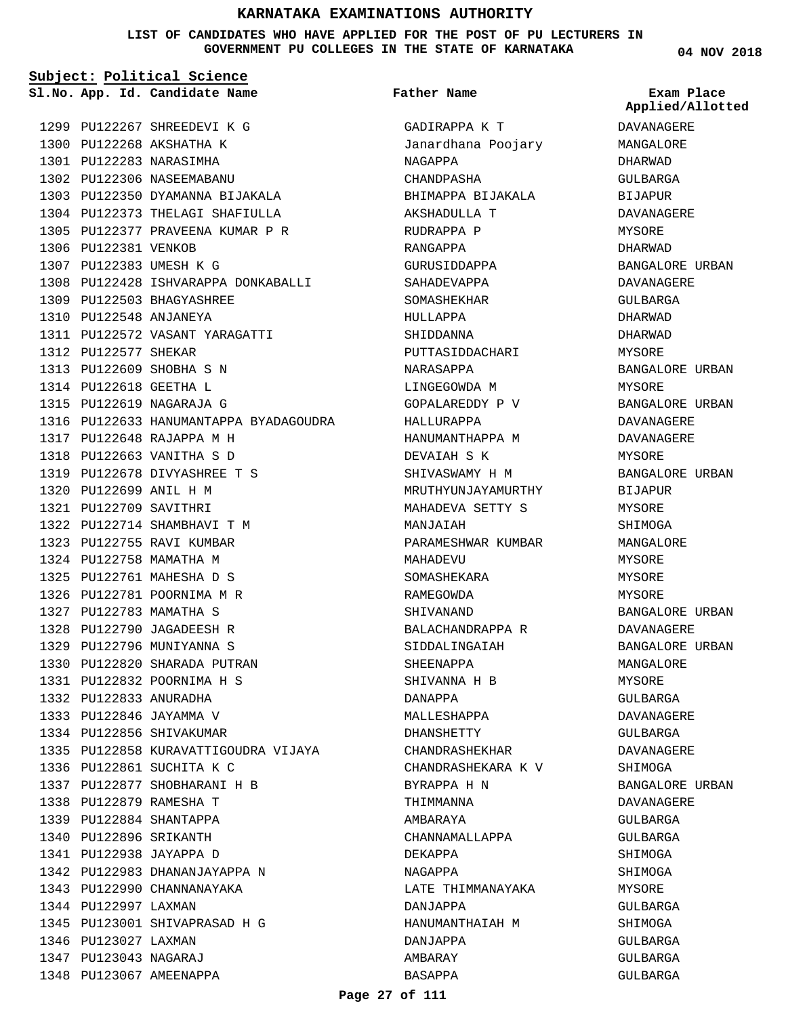**LIST OF CANDIDATES WHO HAVE APPLIED FOR THE POST OF PU LECTURERS IN GOVERNMENT PU COLLEGES IN THE STATE OF KARNATAKA**

**Subject: Political Science**

1299 PU122267 SHREEDEVI K G 1300 PU122268 AKSHATHA K PU122283 NARASIMHA 1301 1302 PU122306 NASEEMABANU 1303 PU122350 DYAMANNA BIJAKALA 1304 PU122373 THELAGI SHAFIULLA PU122377 PRAVEENA KUMAR P R 1305 1306 PU122381 VENKOB 1307 PU122383 UMESH K G 1308 PU122428 ISHVARAPPA DONKABALLI PU122503 BHAGYASHREE 1309 1310 PU122548 ANJANEYA PU122572 VASANT YARAGATTI 1311 1312 PU122577 SHEKAR 1313 PU122609 SHOBHA S N 1314 PU122618 GEETHA L PU122619 NAGARAJA G 1315 1316 PU122633 HANUMANTAPPA BYADAGOUDRA PU122648 RAJAPPA M H 1317 PU122663 VANITHA S D 1318 1319 PU122678 DIVYASHREE T S PU122699 ANIL H M 1320 PU122709 SAVITHRI 1321 PU122714 SHAMBHAVI T M 1322 1323 PU122755 RAVI KUMBAR 1324 PU122758 MAMATHA M PU122761 MAHESHA D S 1325 1326 PU122781 POORNIMA M R PU122783 MAMATHA S 1327 PU122790 JAGADEESH R 1328 PU122796 MUNIYANNA S 1329 1330 PU122820 SHARADA PUTRAN PU122832 POORNIMA H S 1331 PU122833 ANURADHA 1332 1333 PU122846 JAYAMMA V 1334 PU122856 SHIVAKUMAR 1335 PU122858 KURAVATTIGOUDRA VIJAYA 1336 PU122861 SUCHITA K C 1337 PU122877 SHOBHARANI H B PU122879 RAMESHA T 1338 PU122884 SHANTAPPA 1339 1340 PU122896 SRIKANTH PU122938 JAYAPPA D 1341 1342 PU122983 DHANANJAYAPPA N 1343 PU122990 CHANNANAYAKA 1344 PU122997 LAXMAN 1345 PU123001 SHIVAPRASAD H G 1346 PU123027 LAXMAN PU123043 NAGARAJ 1347 **App. Id. Candidate Name Sl.No. Exam Place**

1348 PU123067 AMEENAPPA

# **Father Name**

GADIRAPPA K T Janardhana Poojary NAGAPPA CHANDPASHA BHIMAPPA BIJAKALA AKSHADULLA T RUDRAPPA P RANGAPPA **GURUSIDDAPPA** SAHADEVAPPA SOMASHEKHAR HULLAPPA SHIDDANNA PUTTASIDDACHARI NARASAPPA LINGEGOWDA M GOPALAREDDY P V HALLURAPPA HANUMANTHAPPA M DEVAIAH S K SHIVASWAMY H M MRUTHYUNJAYAMURTHY MAHADEVA SETTY S MANJAIAH PARAMESHWAR KUMBAR MAHADEVU SOMASHEKARA RAMEGOWDA SHIVANAND BALACHANDRAPPA R SIDDALINGAIAH SHEENAPPA SHIVANNA H B DANAPPA MALLESHAPPA DHANSHETTY CHANDRASHEKHAR CHANDRASHEKARA K V BYRAPPA H N THIMMANNA AMBARAYA CHANNAMALLAPPA DEKAPPA NAGAPPA LATE THIMMANAYAKA DANJAPPA HANUMANTHAIAH M DANJAPPA AMBARAY BASAPPA

**04 NOV 2018**

# **Applied/Allotted**

DAVANAGERE MANGALORE DHARWAD GULBARGA BIJAPUR DAVANAGERE MYSORE DHARWAD BANGALORE URBAN DAVANAGERE GULBARGA DHARWAD DHARWAD MYSORE BANGALORE URBAN MYSORE BANGALORE URBAN DAVANAGERE DAVANAGERE MYSORE BANGALORE URBAN BIJAPUR MYSORE SHIMOGA MANGALORE MYSORE MYSORE MYSORE BANGALORE URBAN DAVANAGERE BANGALORE URBAN MANGALORE MYSORE GULBARGA DAVANAGERE  $CITIRARGA$ DAVANAGERE SHIMOGA BANGALORE URBAN DAVANAGERE GULBARGA GULBARGA SHIMOGA SHIMOGA MYSORE GULBARGA SHIMOGA GULBARGA GULBARGA GULBARGA

#### **Page 27 of 111**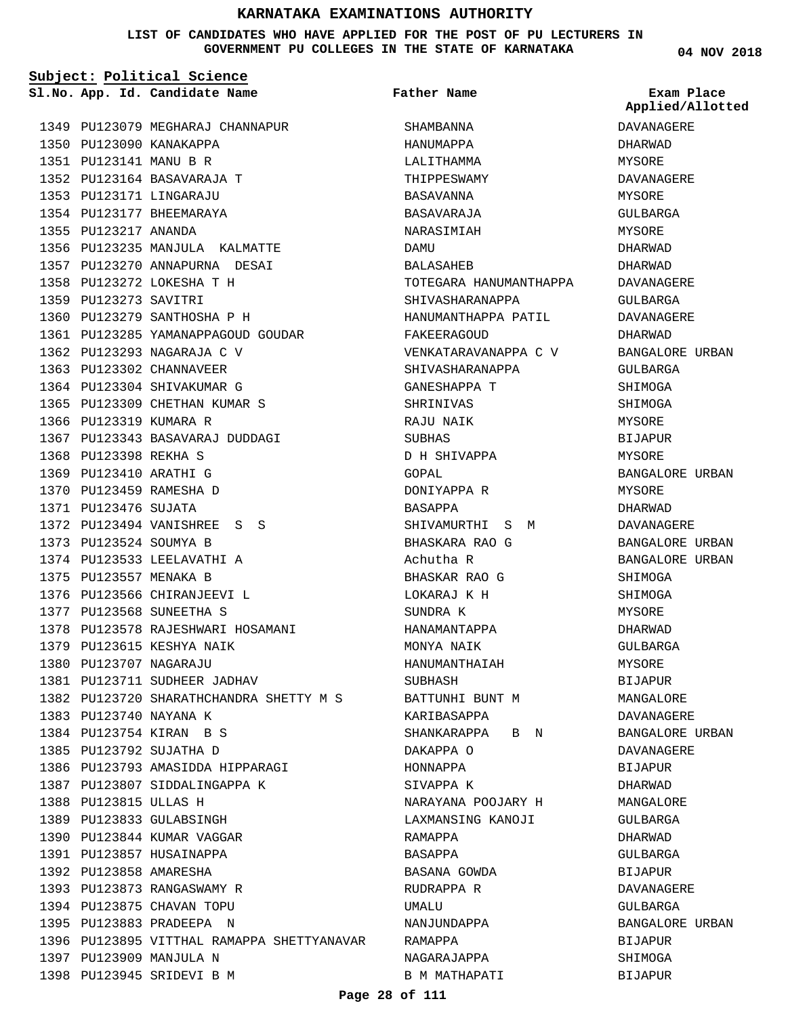### **LIST OF CANDIDATES WHO HAVE APPLIED FOR THE POST OF PU LECTURERS IN GOVERNMENT PU COLLEGES IN THE STATE OF KARNATAKA**

| Subject: Political Science |                                                             |                              |                                |  |
|----------------------------|-------------------------------------------------------------|------------------------------|--------------------------------|--|
|                            | Sl.No. App. Id. Candidate Name                              | Father Name                  | Exam Place<br>Applied/Allotted |  |
|                            | 1349 PU123079 MEGHARAJ CHANNAPUR                            | SHAMBANNA                    | DAVANAGERE                     |  |
|                            | 1350 PU123090 KANAKAPPA                                     | HANUMAPPA                    | DHARWAD                        |  |
| 1351 PU123141 MANU B R     |                                                             | LALITHAMMA                   | MYSORE                         |  |
|                            | 1352 PU123164 BASAVARAJA T                                  | THIPPESWAMY                  | DAVANAGERE                     |  |
|                            | 1353 PU123171 LINGARAJU                                     | BASAVANNA                    | MYSORE                         |  |
|                            | 1354 PU123177 BHEEMARAYA                                    | BASAVARAJA                   | GULBARGA                       |  |
| 1355 PU123217 ANANDA       |                                                             | NARASIMIAH                   | MYSORE                         |  |
|                            | 1356 PU123235 MANJULA KALMATTE                              | DAMU                         | DHARWAD                        |  |
|                            | 1357 PU123270 ANNAPURNA DESAI                               | BALASAHEB                    | DHARWAD                        |  |
|                            | 1358 PU123272 LOKESHA T H                                   | TOTEGARA HANUMANTHAPPA       | DAVANAGERE                     |  |
| 1359 PU123273 SAVITRI      |                                                             | SHIVASHARANAPPA              | GULBARGA                       |  |
|                            | 1360 PU123279 SANTHOSHA P H                                 | HANUMANTHAPPA PATIL          | DAVANAGERE                     |  |
|                            | 1361 PU123285 YAMANAPPAGOUD GOUDAR                          | FAKEERAGOUD                  | DHARWAD                        |  |
|                            | 1362 PU123293 NAGARAJA C V                                  | VENKATARAVANAPPA C V         | BANGALORE URBAN                |  |
|                            | 1363 PU123302 CHANNAVEER                                    | SHIVASHARANAPPA              | GULBARGA                       |  |
|                            | 1364 PU123304 SHIVAKUMAR G                                  | GANESHAPPA T                 | SHIMOGA                        |  |
|                            | 1365 PU123309 CHETHAN KUMAR S                               | SHRINIVAS                    | SHIMOGA                        |  |
| 1366 PU123319 KUMARA R     |                                                             | RAJU NAIK                    | MYSORE                         |  |
|                            | 1367 PU123343 BASAVARAJ DUDDAGI                             | SUBHAS                       | BIJAPUR                        |  |
| 1368 PU123398 REKHA S      |                                                             | D H SHIVAPPA                 | MYSORE                         |  |
| 1369 PU123410 ARATHI G     |                                                             | GOPAL                        | BANGALORE URBAN                |  |
|                            | 1370 PU123459 RAMESHA D                                     | DONIYAPPA R                  | MYSORE                         |  |
| 1371 PU123476 SUJATA       |                                                             | BASAPPA                      | DHARWAD                        |  |
|                            | 1372 PU123494 VANISHREE S S                                 | SHIVAMURTHI S M              | DAVANAGERE                     |  |
| 1373 PU123524 SOUMYA B     |                                                             | BHASKARA RAO G               | BANGALORE URBAN                |  |
|                            | 1374 PU123533 LEELAVATHI A                                  | Achutha R                    | BANGALORE URBAN                |  |
| 1375 PU123557 MENAKA B     |                                                             | BHASKAR RAO G                | SHIMOGA                        |  |
|                            | 1376 PU123566 CHIRANJEEVI L                                 | LOKARAJ K H                  | SHIMOGA                        |  |
|                            | 1377 PU123568 SUNEETHA S                                    | SUNDRA K                     | MYSORE                         |  |
|                            | 1378 PU123578 RAJESHWARI HOSAMANI                           | HANAMANTAPPA                 | DHARWAD                        |  |
|                            | 1379 PU123615 KESHYA NAIK                                   | MONYA NAIK                   | GULBARGA                       |  |
|                            | 1380 PU123707 NAGARAJU                                      | HANUMANTHAIAH                | MYSORE                         |  |
|                            | 1381 PU123711 SUDHEER JADHAV                                | SUBHASH                      | BIJAPUR                        |  |
|                            | 1382 PU123720 SHARATHCHANDRA SHETTY M S                     | BATTUNHI BUNT M              | MANGALORE                      |  |
|                            | 1383 PU123740 NAYANA K                                      | KARIBASAPPA                  | DAVANAGERE                     |  |
|                            | 1384 PU123754 KIRAN B S                                     |                              | BANGALORE URBAN                |  |
|                            |                                                             | SHANKARAPPA B N<br>DAKAPPA O |                                |  |
|                            | 1385 PU123792 SUJATHA D<br>1386 PU123793 AMASIDDA HIPPARAGI |                              | DAVANAGERE                     |  |
|                            | 1387 PU123807 SIDDALINGAPPA K                               | HONNAPPA                     | BIJAPUR                        |  |
|                            |                                                             | SIVAPPA K                    | DHARWAD                        |  |
| 1388 PU123815 ULLAS H      |                                                             | NARAYANA POOJARY H           | MANGALORE                      |  |
|                            | 1389 PU123833 GULABSINGH                                    | LAXMANSING KANOJI            | GULBARGA                       |  |
|                            | 1390 PU123844 KUMAR VAGGAR                                  | RAMAPPA                      | DHARWAD                        |  |
|                            | 1391 PU123857 HUSAINAPPA                                    | BASAPPA                      | GULBARGA                       |  |
|                            | 1392 PU123858 AMARESHA                                      | BASANA GOWDA                 | BIJAPUR                        |  |
|                            | 1393 PU123873 RANGASWAMY R                                  | RUDRAPPA R                   | DAVANAGERE                     |  |
|                            | 1394 PU123875 CHAVAN TOPU                                   | UMALU                        | GULBARGA                       |  |
|                            | 1395 PU123883 PRADEEPA N                                    | NANJUNDAPPA                  | BANGALORE URBAN                |  |
|                            | 1396 PU123895 VITTHAL RAMAPPA SHETTYANAVAR                  | RAMAPPA                      | BIJAPUR                        |  |
|                            | 1397 PU123909 MANJULA N                                     | NAGARAJAPPA                  | SHIMOGA                        |  |
|                            | 1398 PU123945 SRIDEVI B M                                   | B M MATHAPATI                | BIJAPUR                        |  |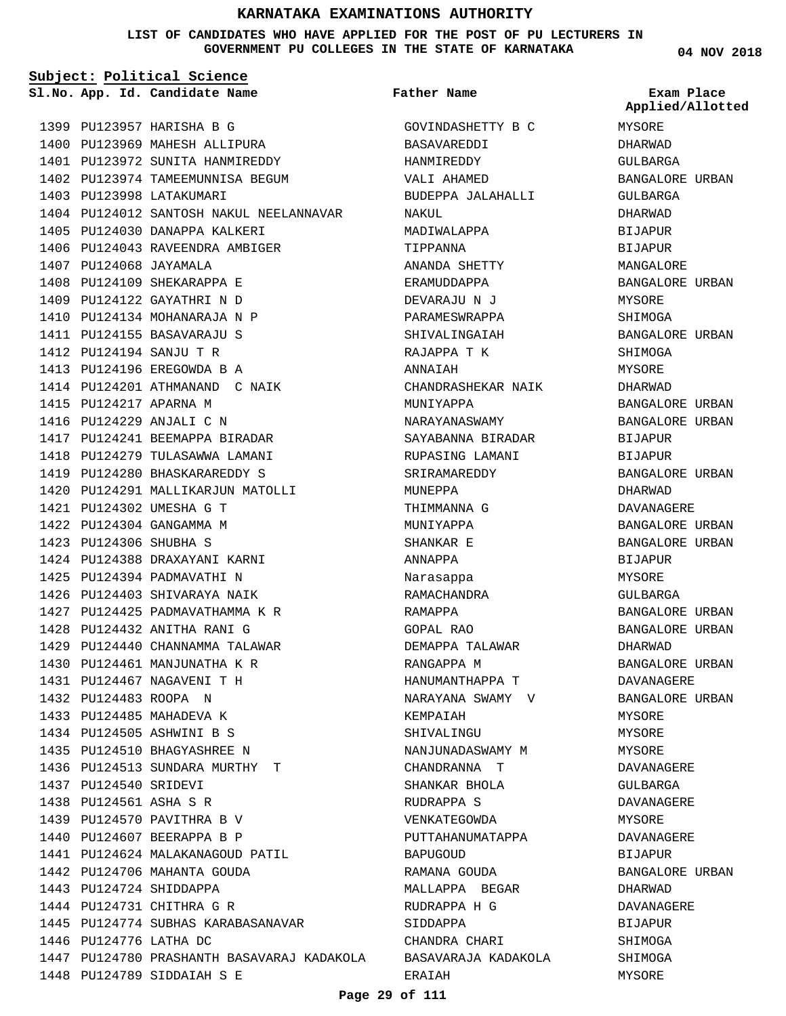#### **LIST OF CANDIDATES WHO HAVE APPLIED FOR THE POST OF PU LECTURERS IN GOVERNMENT PU COLLEGES IN THE STATE OF KARNATAKA**

**Subject: Political Science**

**App. Id. Candidate Name Sl.No. Exam Place**

1442 PU124706 MAHANTA GOUDA 1443 PU124724 SHIDDAPPA 1444 PU124731 CHITHRA G R

1446 PU124776 LATHA DC

PU124789 SIDDAIAH S E 1448

1445 PU124774 SUBHAS KARABASANAVAR

1447 PU124780 PRASHANTH BASAVARAJ KADAKOLA

1399 PU123957 HARISHA B G 1400 PU123969 MAHESH ALLIPURA 1401 PU123972 SUNITA HANMIREDDY 1402 PU123974 TAMEEMUNNISA BEGUM 1403 PU123998 LATAKUMARI 1404 PU124012 SANTOSH NAKUL NEELANNAVAR 1405 PU124030 DANAPPA KALKERI 1406 PU124043 RAVEENDRA AMBIGER 1407 PU124068 JAYAMALA 1408 PU124109 SHEKARAPPA E PU124122 GAYATHRI N D 1409 1410 PU124134 MOHANARAJA N P 1411 PU124155 BASAVARAJU S PU124194 SANJU T R 1412 PU124196 EREGOWDA B A 1413 1414 PU124201 ATHMANAND C NAIK 1415 PU124217 APARNA M 1416 PU124229 ANJALI C N 1417 PU124241 BEEMAPPA BIRADAR 1418 PU124279 TULASAWWA LAMANI 1419 PU124280 BHASKARAREDDY S 1420 PU124291 MALLIKARJUN MATOLLI PU124302 UMESHA G T 1421 1422 PU124304 GANGAMMA M PU124306 SHUBHA S 1423 1424 PU124388 DRAXAYANI KARNI 1425 PU124394 PADMAVATHI N 1426 PU124403 SHIVARAYA NAIK 1427 PU124425 PADMAVATHAMMA K R PU124432 ANITHA RANI G 1428 1429 PU124440 CHANNAMMA TALAWAR 1430 PU124461 MANJUNATHA K R PU124467 NAGAVENI T H 1431 PU124483 ROOPA N 1432 1433 PU124485 MAHADEVA K 1434 PU124505 ASHWINI B S 1435 PU124510 BHAGYASHREE N 1436 PU124513 SUNDARA MURTHY T 1437 PU124540 SRIDEVI 1438 PU124561 ASHA S R 1439 PU124570 PAVITHRA B V 1440 PU124607 BEERAPPA B P 1441 PU124624 MALAKANAGOUD PATIL

GOVINDASHETTY B C BASAVAREDDI HANMIREDDY VALI AHAMED BUDEPPA JALAHALLI NAKIII. MADIWALAPPA TIPPANNA ANANDA SHETTY ERAMUDDAPPA DEVARAJU N J PARAMESWRAPPA SHIVALINGAIAH RAJAPPA T K ANNAIAH CHANDRASHEKAR NAIK MUNIYAPPA NARAYANASWAMY SAYABANNA BIRADAR RUPASING LAMANI SRIRAMAREDDY MUNEPPA THIMMANNA G MUNIYAPPA SHANKAR E ANNAPPA Narasappa RAMACHANDRA RAMAPPA GOPAL RAO DEMAPPA TALAWAR RANGAPPA M HANUMANTHAPPA T NARAYANA SWAMY V KEMPAIAH SHIVALINGU NANJUNADASWAMY M CHANDRANNA T SHANKAR BHOLA RUDRAPPA S VENKATEGOWDA PUTTAHANUMATAPPA BAPUGOUD RAMANA GOUDA MALLAPPA BEGAR RUDRAPPA H G SIDDAPPA CHANDRA CHARI BASAVARAJA KADAKOLA ERAIAH **Father Name**

**04 NOV 2018**

MYSORE DHARWAD GULBARGA BANGALORE URBAN GULBARGA DHARWAD BIJAPUR BIJAPUR MANGALORE BANGALORE URBAN MYSORE SHIMOGA BANGALORE URBAN SHIMOGA MYSORE DHARWAD BANGALORE URBAN BANGALORE URBAN BIJAPUR BIJAPUR BANGALORE URBAN DHARWAD DAVANAGERE BANGALORE URBAN BANGALORE URBAN BIJAPUR MYSORE GULBARGA BANGALORE URBAN BANGALORE URBAN DHARWAD BANGALORE URBAN DAVANAGERE BANGALORE URBAN MYSORE MYSORE MYSORE DAVANAGERE GULBARGA DAVANAGERE MYSORE DAVANAGERE BIJAPUR BANGALORE URBAN DHARWAD DAVANAGERE BIJAPUR SHIMOGA SHIMOGA MYSORE **Applied/Allotted**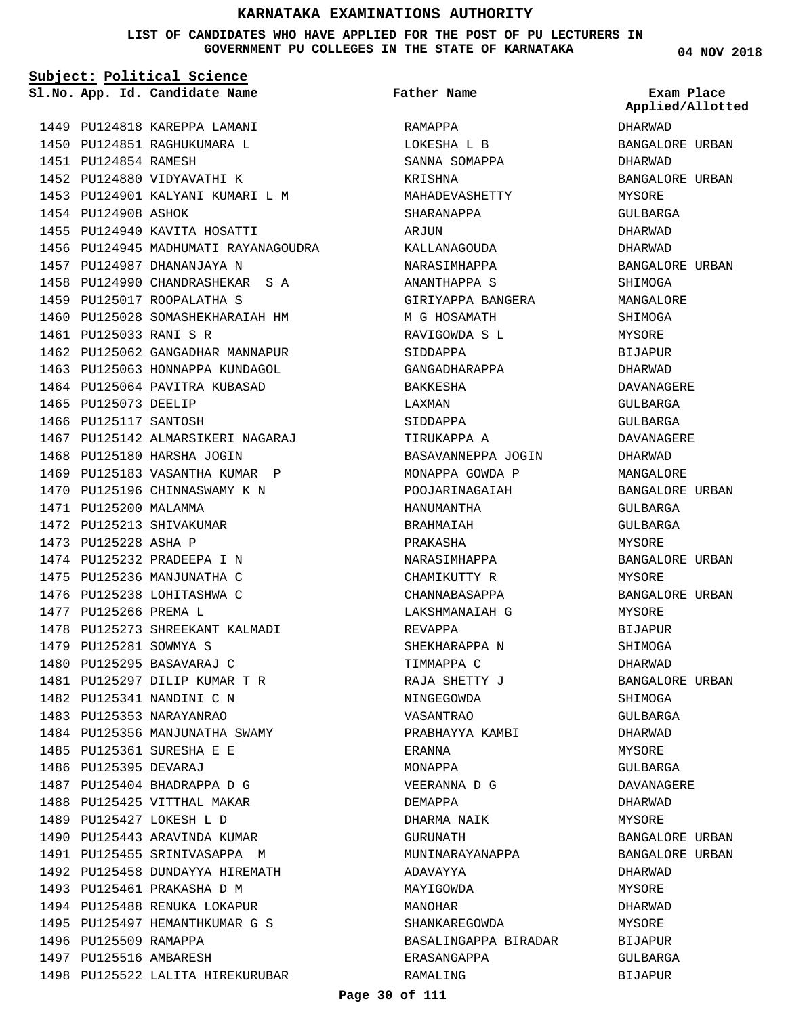#### **LIST OF CANDIDATES WHO HAVE APPLIED FOR THE POST OF PU LECTURERS IN GOVERNMENT PU COLLEGES IN THE STATE OF KARNATAKA**

**Subject: Political Science**

1449 PU124818 KAREPPA LAMANI 1450 PU124851 RAGHUKUMARA L 1451 PU124854 RAMESH 1452 PU124880 VIDYAVATHI K 1453 PU124901 KALYANI KUMARI L M 1454 PU124908 ASHOK 1455 PU124940 KAVITA HOSATTI 1456 PU124945 MADHUMATI RAYANAGOUDRA 1457 PU124987 DHANANJAYA N 1458 PU124990 CHANDRASHEKAR S A 1459 PU125017 ROOPALATHA S 1460 PU125028 SOMASHEKHARAIAH HM PU125033 RANI S R 1461 1462 PU125062 GANGADHAR MANNAPUR 1463 PU125063 HONNAPPA KUNDAGOL 1464 PU125064 PAVITRA KUBASAD 1465 PU125073 DEELIP 1466 PU125117 SANTOSH 1467 PU125142 ALMARSIKERI NAGARAJ 1468 PU125180 HARSHA JOGIN 1469 PU125183 VASANTHA KUMAR P 1470 PU125196 CHINNASWAMY K N 1471 PU125200 MALAMMA 1472 PU125213 SHIVAKUMAR 1473 PU125228 ASHA P 1474 PU125232 PRADEEPA I N 1475 PU125236 MANJUNATHA C 1476 PU125238 LOHITASHWA C 1477 PU125266 PREMA L 1478 PU125273 SHREEKANT KALMADI 1479 PU125281 SOWMYA S 1480 PU125295 BASAVARAJ C PU125297 DILIP KUMAR T R 1481 1482 PU125341 NANDINI C N 1483 PU125353 NARAYANRAO 1484 PU125356 MANJUNATHA SWAMY 1485 PU125361 SURESHA E E 1486 PU125395 DEVARAJ 1487 PU125404 BHADRAPPA D G 1488 PU125425 VITTHAL MAKAR 1489 PU125427 LOKESH L D 1490 PU125443 ARAVINDA KUMAR 1491 PU125455 SRINIVASAPPA M 1492 PU125458 DUNDAYYA HIREMATH 1493 PU125461 PRAKASHA D M 1494 PU125488 RENUKA LOKAPUR 1495 PU125497 HEMANTHKUMAR G S 1496 PU125509 RAMAPPA 1497 PU125516 AMBARESH 1498 PU125522 LALITA HIREKURUBAR **App. Id. Candidate Name Sl.No. Exam Place**

RAMAPPA LOKESHA L B SANNA SOMAPPA KRISHNA MAHADEVASHETTY SHARANAPPA ARJUN KALLANAGOUDA NARASIMHAPPA ANANTHAPPA S GIRIYAPPA BANGERA M G HOSAMATH RAVIGOWDA S L SIDDAPPA GANGADHARAPPA BAKKESHA LAXMAN SIDDAPPA TIRUKAPPA A BASAVANNEPPA JOGIN MONAPPA GOWDA P POOJARINAGAIAH HANUMANTHA BRAHMAIAH PRAKASHA NARASIMHAPPA CHAMIKUTTY R CHANNABASAPPA LAKSHMANAIAH G REVAPPA SHEKHARAPPA N TIMMAPPA C RAJA SHETTY J NINGEGOWDA VASANTRAO PRABHAYYA KAMBI ERANNA MONAPPA VEERANNA D G DEMAPPA DHARMA NAIK GURUNATH MUNINARAYANAPPA ADAVAYYA MAYIGOWDA MANOHAR SHANKAREGOWDA BASALINGAPPA BIRADAR ERASANGAPPA **Father Name**

**04 NOV 2018**

DHARWAD BANGALORE URBAN DHARWAD BANGALORE URBAN MYSORE GULBARGA DHARWAD DHARWAD BANGALORE URBAN SHIMOGA MANGALORE SHIMOGA MYSORE BIJAPUR DHARWAD DAVANAGERE GULBARGA GULBARGA DAVANAGERE DHARWAD MANGALORE BANGALORE URBAN GULBARGA GULBARGA MYSORE BANGALORE URBAN MYSORE BANGALORE URBAN MYSORE BIJAPUR SHIMOGA DHARWAD BANGALORE URBAN SHIMOGA GULBARGA DHARWAD MYSORE GULBARGA DAVANAGERE DHARWAD MYSORE BANGALORE URBAN BANGALORE URBAN DHARWAD MYSORE DHARWAD MYSORE BIJAPUR GULBARGA BIJAPUR **Applied/Allotted**

#### **Page 30 of 111**

RAMALING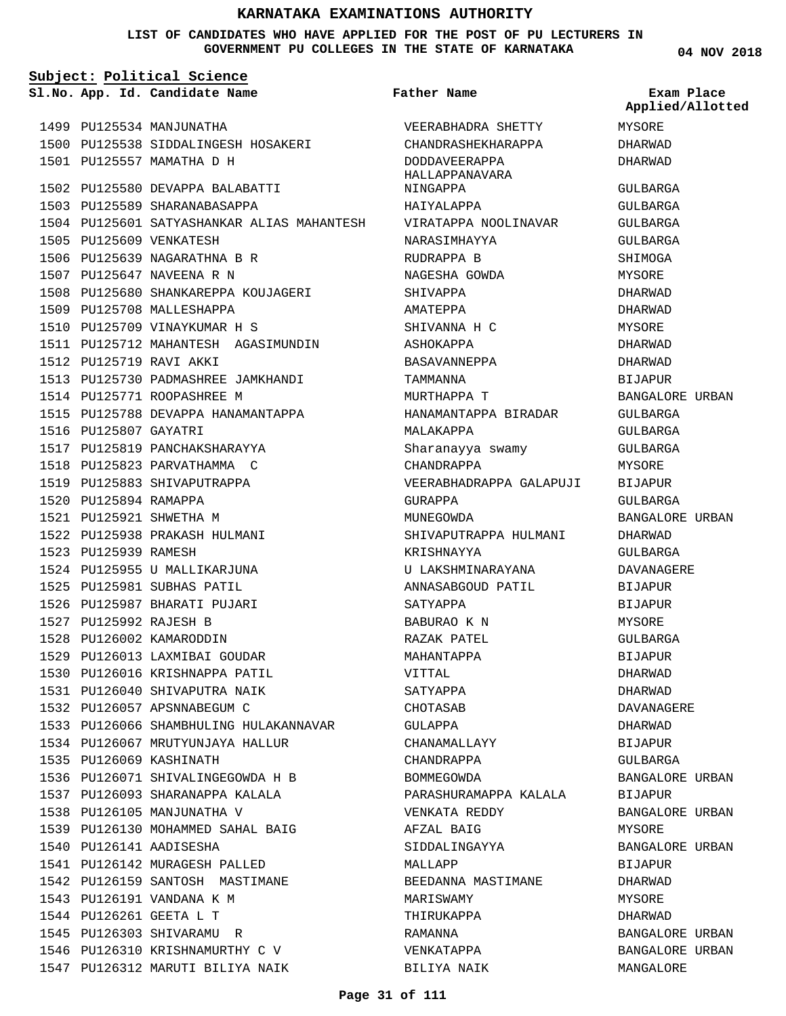### **LIST OF CANDIDATES WHO HAVE APPLIED FOR THE POST OF PU LECTURERS IN GOVERNMENT PU COLLEGES IN THE STATE OF KARNATAKA**

| Subject: Political Science |                                            |                                        |                                |  |  |
|----------------------------|--------------------------------------------|----------------------------------------|--------------------------------|--|--|
|                            | Sl.No. App. Id. Candidate Name             | Father Name                            | Exam Place<br>Applied/Allotted |  |  |
|                            | 1499 PU125534 MANJUNATHA                   | VEERABHADRA SHETTY                     | MYSORE                         |  |  |
|                            | 1500 PU125538 SIDDALINGESH HOSAKERI        | CHANDRASHEKHARAPPA                     | DHARWAD                        |  |  |
|                            | 1501 PU125557 MAMATHA D H                  | <b>DODDAVEERAPPA</b><br>HALLAPPANAVARA | DHARWAD                        |  |  |
|                            | 1502 PU125580 DEVAPPA BALABATTI            | NINGAPPA                               | GULBARGA                       |  |  |
|                            | 1503 PU125589 SHARANABASAPPA               | HAIYALAPPA                             | GULBARGA                       |  |  |
|                            | 1504 PU125601 SATYASHANKAR ALIAS MAHANTESH | VIRATAPPA NOOLINAVAR                   | GULBARGA                       |  |  |
|                            | 1505 PU125609 VENKATESH                    | NARASIMHAYYA                           | GULBARGA                       |  |  |
|                            | 1506 PU125639 NAGARATHNA B R               | RUDRAPPA B                             | SHIMOGA                        |  |  |
|                            | 1507 PU125647 NAVEENA R N                  | NAGESHA GOWDA                          | MYSORE                         |  |  |
|                            | 1508 PU125680 SHANKAREPPA KOUJAGERI        | SHIVAPPA                               | DHARWAD                        |  |  |
|                            | 1509 PU125708 MALLESHAPPA                  | AMATEPPA                               | DHARWAD                        |  |  |
|                            | 1510 PU125709 VINAYKUMAR H S               | SHIVANNA H C                           | MYSORE                         |  |  |
|                            | 1511 PU125712 MAHANTESH AGASIMUNDIN        | ASHOKAPPA                              | DHARWAD                        |  |  |
|                            | 1512 PU125719 RAVI AKKI                    | BASAVANNEPPA                           | DHARWAD                        |  |  |
|                            | 1513 PU125730 PADMASHREE JAMKHANDI         | TAMMANNA                               | <b>BIJAPUR</b>                 |  |  |
|                            | 1514 PU125771 ROOPASHREE M                 | MURTHAPPA T                            | BANGALORE URBAN                |  |  |
|                            | 1515 PU125788 DEVAPPA HANAMANTAPPA         | HANAMANTAPPA BIRADAR                   | <b>GULBARGA</b>                |  |  |
| 1516 PU125807 GAYATRI      |                                            | MALAKAPPA                              | GULBARGA                       |  |  |
|                            | 1517 PU125819 PANCHAKSHARAYYA              | Sharanayya swamy                       | GULBARGA                       |  |  |
|                            | 1518 PU125823 PARVATHAMMA C                | CHANDRAPPA                             | MYSORE                         |  |  |
|                            | 1519 PU125883 SHIVAPUTRAPPA                | VEERABHADRAPPA GALAPUJI                | BIJAPUR                        |  |  |
| 1520 PU125894 RAMAPPA      |                                            | GURAPPA                                | GULBARGA                       |  |  |
|                            | 1521 PU125921 SHWETHA M                    | MUNEGOWDA                              | BANGALORE URBAN                |  |  |
|                            | 1522 PU125938 PRAKASH HULMANI              | SHIVAPUTRAPPA HULMANI                  | DHARWAD                        |  |  |
| 1523 PU125939 RAMESH       |                                            | KRISHNAYYA                             | GULBARGA                       |  |  |
|                            | 1524 PU125955 U MALLIKARJUNA               | U LAKSHMINARAYANA                      | DAVANAGERE                     |  |  |
|                            | 1525 PU125981 SUBHAS PATIL                 | ANNASABGOUD PATIL                      | <b>BIJAPUR</b>                 |  |  |
|                            | 1526 PU125987 BHARATI PUJARI               | SATYAPPA                               | <b>BIJAPUR</b>                 |  |  |
| 1527 PU125992 RAJESH B     |                                            | BABURAO K N                            | MYSORE                         |  |  |
|                            | 1528 PU126002 KAMARODDIN                   | RAZAK PATEL                            | GULBARGA                       |  |  |
|                            | 1529 PU126013 LAXMIBAI GOUDAR              | MAHANTAPPA                             | <b>BIJAPUR</b>                 |  |  |
|                            | 1530 PU126016 KRISHNAPPA PATIL             |                                        |                                |  |  |
|                            |                                            | VITTAL                                 | DHARWAD                        |  |  |
|                            | 1531 PU126040 SHIVAPUTRA NAIK              | SATYAPPA                               | DHARWAD                        |  |  |
|                            | 1532 PU126057 APSNNABEGUM C                | CHOTASAB                               | DAVANAGERE                     |  |  |
|                            | 1533 PU126066 SHAMBHULING HULAKANNAVAR     | GULAPPA                                | DHARWAD                        |  |  |
|                            | 1534 PU126067 MRUTYUNJAYA HALLUR           | CHANAMALLAYY                           | BIJAPUR                        |  |  |
|                            | 1535 PU126069 KASHINATH                    | CHANDRAPPA                             | GULBARGA                       |  |  |
|                            | 1536 PU126071 SHIVALINGEGOWDA H B          | BOMMEGOWDA                             | BANGALORE URBAN                |  |  |
|                            | 1537 PU126093 SHARANAPPA KALALA            | PARASHURAMAPPA KALALA                  | BIJAPUR                        |  |  |
|                            | 1538 PU126105 MANJUNATHA V                 | VENKATA REDDY                          | BANGALORE URBAN                |  |  |
|                            | 1539 PU126130 MOHAMMED SAHAL BAIG          | AFZAL BAIG                             | MYSORE                         |  |  |
|                            | 1540 PU126141 AADISESHA                    | SIDDALINGAYYA                          | BANGALORE URBAN                |  |  |
|                            | 1541 PU126142 MURAGESH PALLED              | MALLAPP                                | BIJAPUR                        |  |  |
|                            | 1542 PU126159 SANTOSH MASTIMANE            | BEEDANNA MASTIMANE                     | DHARWAD                        |  |  |
|                            | 1543 PU126191 VANDANA K M                  | MARISWAMY                              | MYSORE                         |  |  |
|                            | 1544 PU126261 GEETA L T                    | THIRUKAPPA                             | DHARWAD                        |  |  |
|                            | 1545 PU126303 SHIVARAMU R                  | RAMANNA                                | BANGALORE URBAN                |  |  |
|                            | 1546 PU126310 KRISHNAMURTHY C V            | VENKATAPPA                             | BANGALORE URBAN                |  |  |
|                            | 1547 PU126312 MARUTI BILIYA NAIK           | BILIYA NAIK                            | MANGALORE                      |  |  |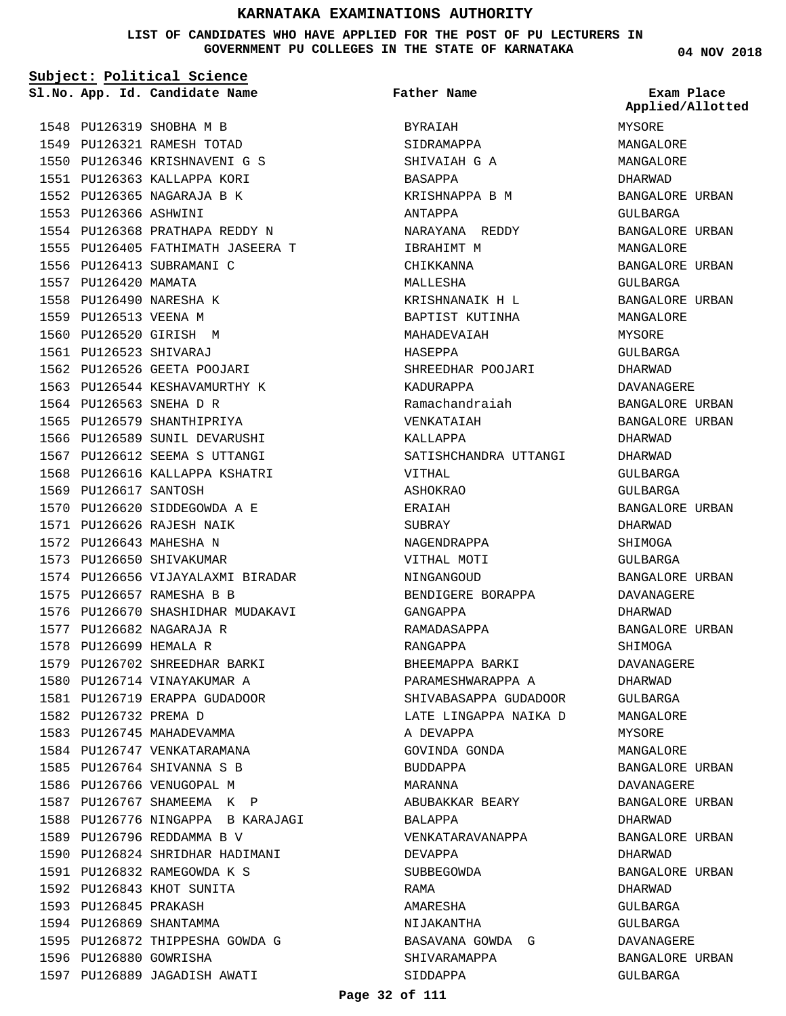**LIST OF CANDIDATES WHO HAVE APPLIED FOR THE POST OF PU LECTURERS IN GOVERNMENT PU COLLEGES IN THE STATE OF KARNATAKA**

**04 NOV 2018**

**Applied/Allotted**

|                        | Subject: Political Science        |                       |                             |
|------------------------|-----------------------------------|-----------------------|-----------------------------|
|                        | Sl.No. App. Id. Candidate Name    | Father Name           | Exam Place<br>Applied/Allot |
|                        | 1548 PU126319 SHOBHA M B          | BYRAIAH               | MYSORE                      |
|                        | 1549 PU126321 RAMESH TOTAD        | SIDRAMAPPA            | MANGALORE                   |
|                        | 1550 PU126346 KRISHNAVENI G S     | SHIVAIAH G A          | MANGALORE                   |
|                        | 1551 PU126363 KALLAPPA KORI       | BASAPPA               | DHARWAD                     |
|                        | 1552 PU126365 NAGARAJA B K        | KRISHNAPPA B M        | BANGALORE URBA              |
| 1553 PU126366 ASHWINI  |                                   | ANTAPPA               | GULBARGA                    |
|                        | 1554 PU126368 PRATHAPA REDDY N    | NARAYANA REDDY        | BANGALORE URBA              |
|                        | 1555 PU126405 FATHIMATH JASEERA T | IBRAHIMT M            | MANGALORE                   |
|                        | 1556 PU126413 SUBRAMANI C         | CHIKKANNA             | BANGALORE URBA              |
| 1557 PU126420 MAMATA   |                                   | MALLESHA              | GULBARGA                    |
|                        | 1558 PU126490 NARESHA K           | KRISHNANAIK H L       | BANGALORE URBA              |
| 1559 PU126513 VEENA M  |                                   | BAPTIST KUTINHA       | MANGALORE                   |
|                        | 1560 PU126520 GIRISH M            | MAHADEVAIAH           | MYSORE                      |
|                        | 1561 PU126523 SHIVARAJ            | HASEPPA               | GULBARGA                    |
|                        | 1562 PU126526 GEETA POOJARI       | SHREEDHAR POOJARI     | DHARWAD                     |
|                        | 1563 PU126544 KESHAVAMURTHY K     | KADURAPPA             | DAVANAGERE                  |
|                        | 1564 PU126563 SNEHA D R           | Ramachandraiah        | BANGALORE URBA              |
|                        | 1565 PU126579 SHANTHIPRIYA        | VENKATAIAH            | <b>BANGALORE URBA</b>       |
|                        | 1566 PU126589 SUNIL DEVARUSHI     | KALLAPPA              | DHARWAD                     |
|                        | 1567 PU126612 SEEMA S UTTANGI     | SATISHCHANDRA UTTANGI | DHARWAD                     |
|                        | 1568 PU126616 KALLAPPA KSHATRI    | VITHAL                | GULBARGA                    |
| 1569 PU126617 SANTOSH  |                                   | ASHOKRAO              | GULBARGA                    |
|                        | 1570 PU126620 SIDDEGOWDA A E      | ERAIAH                | BANGALORE URBA              |
|                        | 1571 PU126626 RAJESH NAIK         | SUBRAY                | DHARWAD                     |
|                        | 1572 PU126643 MAHESHA N           | NAGENDRAPPA           | SHIMOGA                     |
|                        | 1573 PU126650 SHIVAKUMAR          | VITHAL MOTI           | GULBARGA                    |
|                        | 1574 PU126656 VIJAYALAXMI BIRADAR | NINGANGOUD            | BANGALORE URBA              |
|                        | 1575 PU126657 RAMESHA B B         | BENDIGERE BORAPPA     | <b>DAVANAGERE</b>           |
|                        | 1576 PU126670 SHASHIDHAR MUDAKAVI | GANGAPPA              | DHARWAD                     |
|                        | 1577 PU126682 NAGARAJA R          | RAMADASAPPA           | BANGALORE URBA              |
| 1578 PU126699 HEMALA R |                                   | RANGAPPA              | SHIMOGA                     |
|                        | 1579 PU126702 SHREEDHAR BARKI     | BHEEMAPPA BARKI       | DAVANAGERE                  |
|                        | 1580 PU126714 VINAYAKUMAR A       | PARAMESHWARAPPA A     | DHARWAD                     |
|                        | 1581 PU126719 ERAPPA GUDADOOR     | SHIVABASAPPA GUDADOOR | GULBARGA                    |
| 1582 PU126732 PREMA D  |                                   | LATE LINGAPPA NAIKA D | MANGALORE                   |
|                        | 1583 PU126745 MAHADEVAMMA         | A DEVAPPA             | MYSORE                      |
|                        | 1584 PU126747 VENKATARAMANA       | GOVINDA GONDA         | MANGALORE                   |
|                        | 1585 PU126764 SHIVANNA S B        | BUDDAPPA              | BANGALORE URBA              |
|                        | 1586 PU126766 VENUGOPAL M         | MARANNA               | DAVANAGERE                  |
|                        | 1587 PU126767 SHAMEEMA K P        | ABUBAKKAR BEARY       | BANGALORE URBA              |
|                        | 1588 PU126776 NINGAPPA B KARAJAGI | BALAPPA               | DHARWAD                     |
|                        | 1589 PU126796 REDDAMMA B V        | VENKATARAVANAPPA      | BANGALORE URBA              |
|                        | 1590 PU126824 SHRIDHAR HADIMANI   | DEVAPPA               | DHARWAD                     |
|                        | 1591 PU126832 RAMEGOWDA K S       | SUBBEGOWDA            | BANGALORE URBA              |
|                        | 1592 PU126843 KHOT SUNITA         | RAMA                  | DHARWAD                     |
| 1593 PU126845 PRAKASH  |                                   | AMARESHA              | GULBARGA                    |
|                        | 1594 PU126869 SHANTAMMA           | NIJAKANTHA            | GULBARGA                    |
|                        | 1595 PU126872 THIPPESHA GOWDA G   | BASAVANA GOWDA G      | DAVANAGERE                  |
|                        | 1596 PU126880 GOWRISHA            | SHIVARAMAPPA          | BANGALORE URBA              |
|                        | 1597 PU126889 JAGADISH AWATI      | SIDDAPPA              | GULBARGA                    |

MYSORE MANGALORE MANGALORE DHARWAD BANGALORE URBAN GULBARGA BANGALORE URBAN MANGALORE BANGALORE URBAN GULBARGA BANGALORE URBAN MANGALORE MYSORE GULBARGA DHARWAD DAVANAGERE BANGALORE URBAN BANGALORE URBAN DHARWAD DHARWAD GULBARGA GULBARGA BANGALORE URBAN DHARWAD SHIMOGA GULBARGA BANGALORE URBAN DAVANAGERE DHARWAD BANGALORE URBAN SHIMOGA DAVANAGERE DHARWAD GULBARGA MANGALORE MYSORE MANGALORE BANGALORE URBAN DAVANAGERE BANGALORE URBAN DHARWAD BANGALORE URBAN DHARWAD BANGALORE URBAN DHARWAD GULBARGA GULBARGA DAVANAGERE BANGALORE URBAN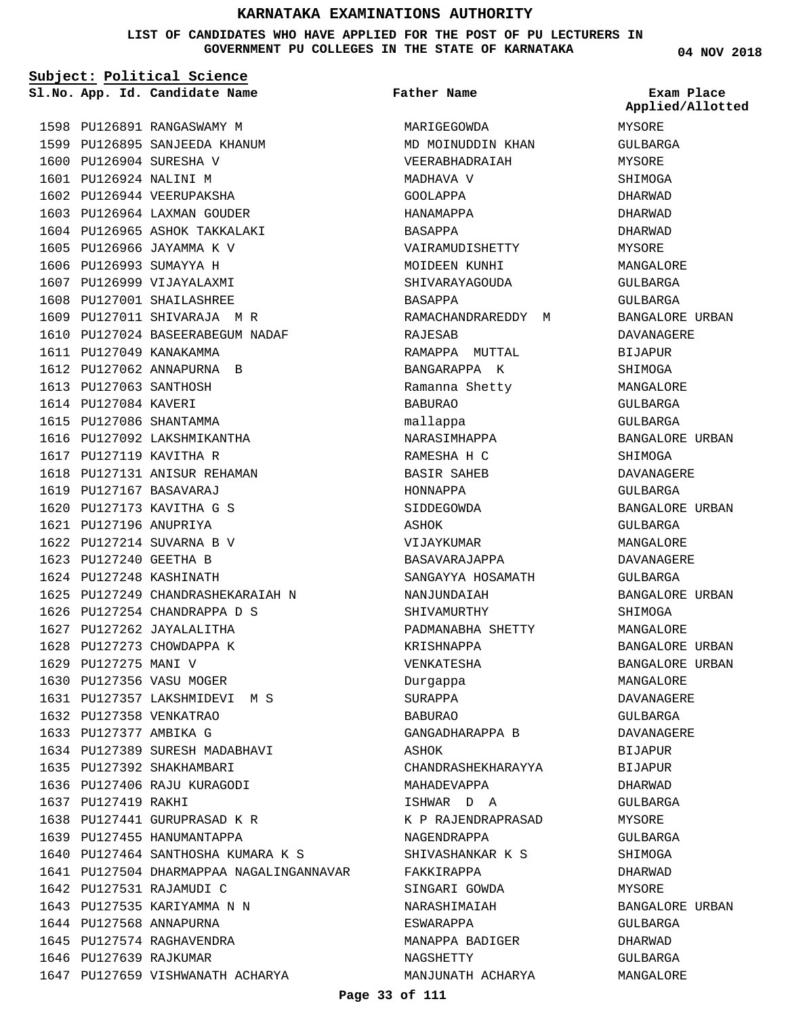**LIST OF CANDIDATES WHO HAVE APPLIED FOR THE POST OF PU LECTURERS IN GOVERNMENT PU COLLEGES IN THE STATE OF KARNATAKA**

**Subject: Political Science**

| Sl.No. App. Id. Candidate Name | Father Name | Exam Place    |
|--------------------------------|-------------|---------------|
|                                |             | Applied/Allot |

1598 PU126891 RANGASWAMY M 1599 PU126895 SANJEEDA KHANUM 1600 PU126904 SURESHA V PU126924 NALINI M 1601 1602 PU126944 VEERUPAKSHA 1603 PU126964 LAXMAN GOUDER 1604 PU126965 ASHOK TAKKALAKI 1605 PU126966 JAYAMMA K V 1606 PU126993 SUMAYYA H 1607 PU126999 VIJAYALAXMI 1608 PU127001 SHAILASHREE 1609 PU127011 SHIVARAJA M R PU127024 BASEERABEGUM NADAF 1610 1611 PU127049 KANAKAMMA 1612 PU127062 ANNAPURNA B 1613 PU127063 SANTHOSH 1614 PU127084 KAVERI 1615 PU127086 SHANTAMMA 1616 PU127092 LAKSHMIKANTHA 1617 PU127119 KAVITHA R 1618 PU127131 ANISUR REHAMAN PU127167 BASAVARAJ 1619 PU127173 KAVITHA G S 1620 PU127196 ANUPRIYA 1621 1622 PU127214 SUVARNA B V PU127240 GEETHA B 1623 1624 PU127248 KASHINATH 1625 PU127249 CHANDRASHEKARAIAH N 1626 PU127254 CHANDRAPPA D S 1627 PU127262 JAYALALITHA 1628 PU127273 CHOWDAPPA K 1629 PU127275 MANI V 1630 PU127356 VASU MOGER PU127357 LAKSHMIDEVI M S 1631 1632 PU127358 VENKATRAO 1633 PU127377 AMBIKA G 1634 PU127389 SURESH MADABHAVI 1635 PU127392 SHAKHAMBARI 1636 PU127406 RAJU KURAGODI 1637 PU127419 RAKHI 1638 PU127441 GURUPRASAD K R 1639 PU127455 HANUMANTAPPA 1640 PU127464 SANTHOSHA KUMARA K S 1641 PU127504 DHARMAPPAA NAGALINGANNAVAR 1642 PU127531 RAJAMUDI C 1643 PU127535 KARIYAMMA N N 1644 PU127568 ANNAPURNA 1645 PU127574 RAGHAVENDRA 1646 PU127639 RAJKUMAR 1647 PU127659 VISHWANATH ACHARYA

**MARIGEGOWDA** MD MOINUDDIN KHAN VEERABHADRAIAH MADHAVA V GOOLAPPA HANAMAPPA BASAPPA VAIRAMUDISHETTY MOIDEEN KUNHI SHIVARAYAGOUDA BASAPPA RAMACHANDRAREDDY M RAJESAB RAMAPPA MUTTAL BANGARAPPA K Ramanna Shetty BABURAO mallappa NARASIMHAPPA RAMESHA H C BASIR SAHEB HONNAPPA SIDDEGOWDA ASHOK VIJAYKUMAR BASAVARAJAPPA SANGAYYA HOSAMATH NANJUNDAIAH SHIVAMURTHY PADMANABHA SHETTY KRISHNAPPA VENKATESHA Durgappa SURAPPA BABURAO GANGADHARAPPA B ASHOK CHANDRASHEKHARAYYA MAHADEVAPPA ISHWAR D A K P RAJENDRAPRASAD NAGENDRAPPA SHIVASHANKAR K S FAKKIRAPPA SINGARI GOWDA NARASHIMAIAH ESWARAPPA MANAPPA BADIGER NAGSHETTY MANJUNATH ACHARYA

**04 NOV 2018**

MYSORE GULBARGA MYSORE SHIMOGA DHARWAD DHARWAD DHARWAD MYSORE MANGALORE GULBARGA GULBARGA BANGALORE URBAN DAVANAGERE BIJAPUR SHIMOGA MANGALORE GULBARGA GULBARGA BANGALORE URBAN **SHIMOGA** DAVANAGERE GULBARGA BANGALORE URBAN GULBARGA MANGALORE DAVANAGERE GULBARGA BANGALORE URBAN SHIMOGA MANGALORE BANGALORE URBAN BANGALORE URBAN MANGALORE DAVANAGERE GULBARGA DAVANAGERE **BIJAPUR** BIJAPUR DHARWAD GULBARGA MYSORE GULBARGA SHIMOGA DHARWAD MYSORE BANGALORE URBAN GULBARGA DHARWAD GULBARGA MANGALORE **Applied/Allotted**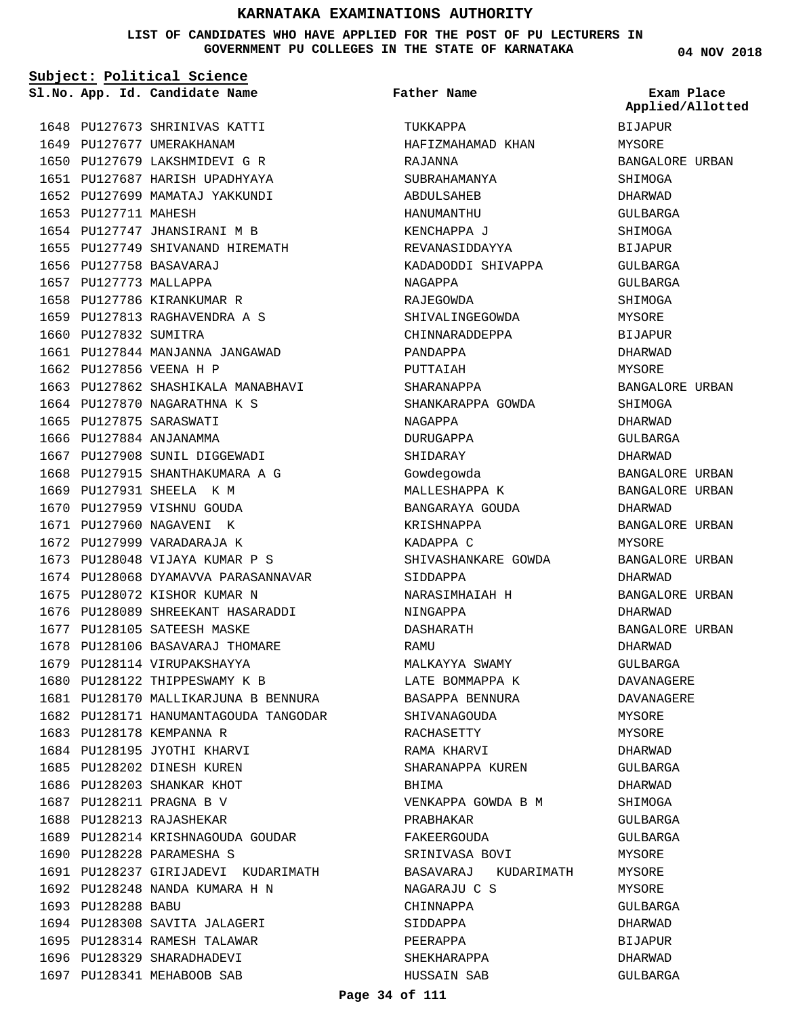**LIST OF CANDIDATES WHO HAVE APPLIED FOR THE POST OF PU LECTURERS IN GOVERNMENT PU COLLEGES IN THE STATE OF KARNATAKA**

**Subject: Political Science**

**04 NOV 2018**

#### 1648 PU127673 SHRINIVAS KATTI 1649 PU127677 UMERAKHANAM 1650 PU127679 LAKSHMIDEVI G R 1651 PU127687 HARISH UPADHYAYA 1652 PU127699 MAMATAJ YAKKUNDI 1653 PU127711 MAHESH 1654 PU127747 JHANSIRANI M B 1655 PU127749 SHIVANAND HIREMATH PU127758 BASAVARAJ 1656 1657 PU127773 MALLAPPA 1658 PU127786 KIRANKUMAR R PU127813 RAGHAVENDRA A S 1659 1660 PU127832 SUMITRA 1661 PU127844 MANJANNA JANGAWAD 1662 PU127856 VEENA H P 1663 PU127862 SHASHIKALA MANABHAVI 1664 PU127870 NAGARATHNA K S 1665 PU127875 SARASWATI 1666 PU127884 ANJANAMMA 1667 PU127908 SUNIL DIGGEWADI 1668 PU127915 SHANTHAKUMARA A G 1669 PU127931 SHEELA K M 1670 PU127959 VISHNU GOUDA 1671 PU127960 NAGAVENI K 1672 PU127999 VARADARAJA K 1673 PU128048 VIJAYA KUMAR P S 1674 PU128068 DYAMAVVA PARASANNAVAR 1675 PU128072 KISHOR KUMAR N PU128089 SHREEKANT HASARADDI 1676 1677 PU128105 SATEESH MASKE 1678 PU128106 BASAVARAJ THOMARE 1679 PU128114 VIRUPAKSHAYYA 1680 PU128122 THIPPESWAMY K B 1681 PU128170 MALLIKARJUNA B BENNURA 1682 PU128171 HANUMANTAGOUDA TANGODAR 1683 PU128178 KEMPANNA R 1684 PU128195 JYOTHI KHARVI 1685 PU128202 DINESH KUREN 1686 PU128203 SHANKAR KHOT 1687 PU128211 PRAGNA B V 1688 PU128213 RAJASHEKAR 1689 PU128214 KRISHNAGOUDA GOUDAR 1690 PU128228 PARAMESHA S 1691 PU128237 GIRIJADEVI KUDARIMATH PU128248 NANDA KUMARA H N 1692 1693 PU128288 BABU 1694 PU128308 SAVITA JALAGERI 1695 PU128314 RAMESH TALAWAR 1696 PU128329 SHARADHADEVI 1697 PU128341 MEHABOOB SAB **App. Id. Candidate Name Sl.No. Exam Place** TUKKAPPA HAFIZMAHAMAD KHAN RAJANNA SUBRAHAMANYA ABDULSAHEB HANUMANTHU KENCHAPPA J REVANASIDDAYYA KADADODDI SHIVAPPA NAGAPPA RAJEGOWDA SHIVALINGEGOWDA CHINNARADDEPPA PANDAPPA PUTTAIAH SHARANAPPA SHANKARAPPA GOWDA NAGAPPA DURUGAPPA SHIDARAY Gowdegowda MALLESHAPPA K BANGARAYA GOUDA KRISHNAPPA KADAPPA C SHIVASHANKARE GOWDA SIDDAPPA NARASIMHAIAH H NINGAPPA DASHARATH RAMU MALKAYYA SWAMY LATE BOMMAPPA K BASAPPA BENNURA SHIVANAGOUDA RACHASETTY RAMA KHARVI SHARANAPPA KUREN BHIMA VENKAPPA GOWDA B M PRABHAKAR FAKEERGOUDA SRINIVASA BOVI BASAVARAJ KUDARIMATH NAGARAJU C S CHINNAPPA SIDDAPPA PEERAPPA SHEKHARAPPA HUSSAIN SAB **Father Name** BIJAPUR MYSORE BANGALORE URBAN SHIMOGA DHARWAD GULBARGA SHIMOGA BIJAPUR GULBARGA GULBARGA SHIMOGA MYSORE BIJAPUR DHARWAD MYSORE BANGALORE URBAN SHIMOGA DHARWAD GULBARGA DHARWAD BANGALORE URBAN BANGALORE URBAN DHARWAD BANGALORE URBAN MYSORE BANGALORE URBAN DHARWAD BANGALORE URBAN DHARWAD BANGALORE URBAN DHARWAD GULBARGA DAVANAGERE DAVANAGERE MYSORE MYSORE DHARWAD GULBARGA DHARWAD SHIMOGA GULBARGA GULBARGA MYSORE **MYSORE MYSORE** GULBARGA DHARWAD BIJAPUR DHARWAD GULBARGA **Applied/Allotted**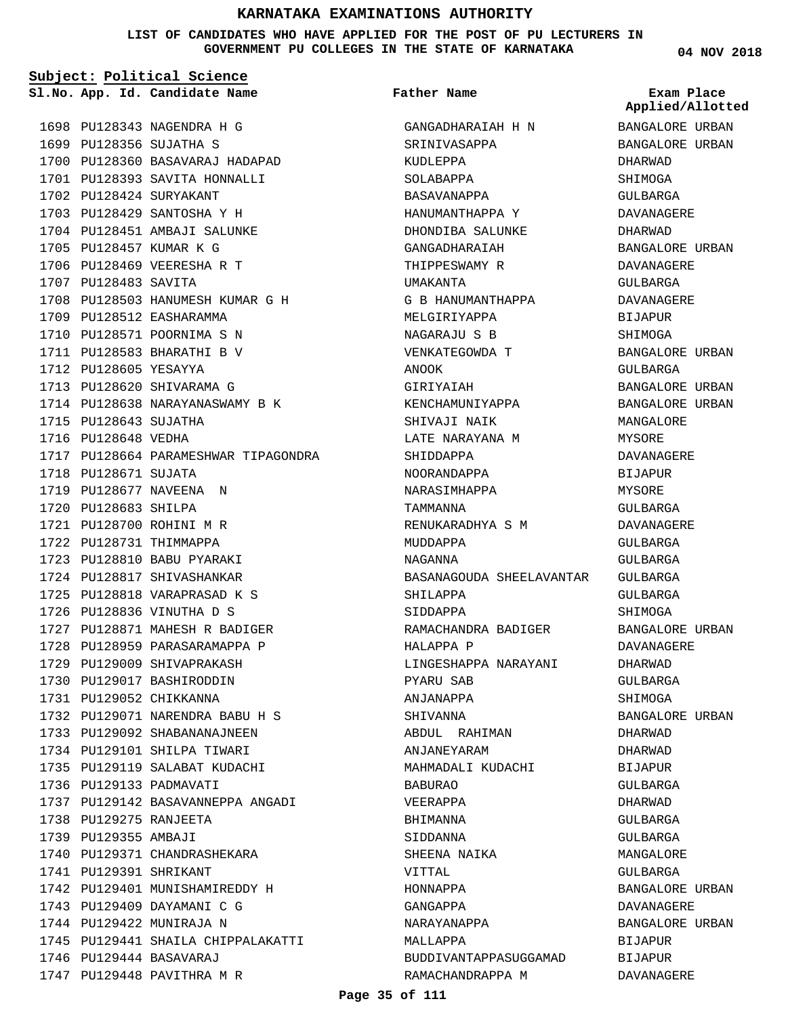**LIST OF CANDIDATES WHO HAVE APPLIED FOR THE POST OF PU LECTURERS IN GOVERNMENT PU COLLEGES IN THE STATE OF KARNATAKA**

**Subject: Political Science**

**App. Id. Candidate Name Sl.No. Exam Place**

PU128343 NAGENDRA H G 1698 1699 PU128356 SUJATHA S

PU128424 SURYAKANT 1702 1703 PU128429 SANTOSHA Y H 1704 PU128451 AMBAJI SALUNKE

1705 PU128457 KUMAR K G 1706 PU128469 VEERESHA R T

1709 PU128512 EASHARAMMA 1710 PU128571 POORNIMA S N 1711 PU128583 BHARATHI B V

1707 PU128483 SAVITA

1712 PU128605 YESAYYA 1713 PU128620 SHIVARAMA G

1715 PU128643 SUJATHA 1716 PU128648 VEDHA

1718 PU128671 SUJATA 1719 PU128677 NAVEENA N 1720 PU128683 SHILPA PU128700 ROHINI M R 1721 1722 PU128731 THIMMAPPA PU128810 BABU PYARAKI 1723 1724 PU128817 SHIVASHANKAR 1725 PU128818 VARAPRASAD K S 1726 PU128836 VINUTHA D S

1700 PU128360 BASAVARAJ HADAPAD 1701 PU128393 SAVITA HONNALLI

PU128503 HANUMESH KUMAR G H 1708

1714 PU128638 NARAYANASWAMY B K

1727 PU128871 MAHESH R BADIGER 1728 PU128959 PARASARAMAPPA P 1729 PU129009 SHIVAPRAKASH 1730 PU129017 BASHIRODDIN 1731 PU129052 CHIKKANNA

PU129071 NARENDRA BABU H S 1732 1733 PU129092 SHABANANAJNEEN 1734 PU129101 SHILPA TIWARI 1735 PU129119 SALABAT KUDACHI

PU129142 BASAVANNEPPA ANGADI 1737

1740 PU129371 CHANDRASHEKARA

1742 PU129401 MUNISHAMIREDDY H 1743 PU129409 DAYAMANI C G 1744 PU129422 MUNIRAJA N

1745 PU129441 SHAILA CHIPPALAKATTI

1736 PU129133 PADMAVATI

1738 PU129275 RANJEETA 1739 PU129355 AMBAJI

PU129391 SHRIKANT 1741

PU129444 BASAVARAJ 1746 1747 PU129448 PAVITHRA M R

1717 PU128664 PARAMESHWAR TIPAGONDRA

**Father Name**

GANGADHARAIAH H N SRINIVASAPPA KUDLEPPA SOLABAPPA BASAVANAPPA HANUMANTHAPPA Y DHONDIBA SALUNKE GANGADHARAIAH THIPPESWAMY R UMAKANTA G B HANUMANTHAPPA MELGIRIYAPPA NAGARAJU S B VENKATEGOWDA T ANOOK GIRIYAIAH KENCHAMUNIYAPPA SHIVAJI NAIK LATE NARAYANA M SHIDDAPPA NOORANDAPPA NARASIMHAPPA TAMMANNA RENUKARADHYA S M MUDDAPPA NAGANNA BASANAGOUDA SHEELAVANTAR SHILAPPA SIDDAPPA RAMACHANDRA BADIGER HALAPPA P LINGESHAPPA NARAYANI PYARU SAB ANJANAPPA SHIVANNA ABDUL RAHIMAN ANJANEYARAM MAHMADALI KUDACHI BABURAO VEERAPPA BHIMANNA SIDDANNA SHEENA NAIKA VITTAL HONNAPPA GANGAPPA NARAYANAPPA MALLAPPA BUDDIVANTAPPASUGGAMAD RAMACHANDRAPPA M

**04 NOV 2018**

BANGALORE URBAN BANGALORE URBAN DHARWAD SHIMOGA GULBARGA DAVANAGERE DHARWAD BANGALORE URBAN DAVANAGERE GULBARGA **Applied/Allotted**

DAVANAGERE BIJAPUR SHIMOGA

GULBARGA

BANGALORE URBAN

BANGALORE URBAN BANGALORE URBAN MANGALORE MYSORE DAVANAGERE BIJAPUR MYSORE GULBARGA DAVANAGERE GULBARGA GULBARGA GULBARGA GULBARGA SHIMOGA

BANGALORE URBAN DAVANAGERE DHARWAD GULBARGA SHIMOGA BANGALORE URBAN DHARWAD DHARWAD **BIJAPUR** GULBARGA DHARWAD GULBARGA GULBARGA MANGALORE GULBARGA BANGALORE URBAN DAVANAGERE BANGALORE URBAN BIJAPUR BIJAPUR DAVANAGERE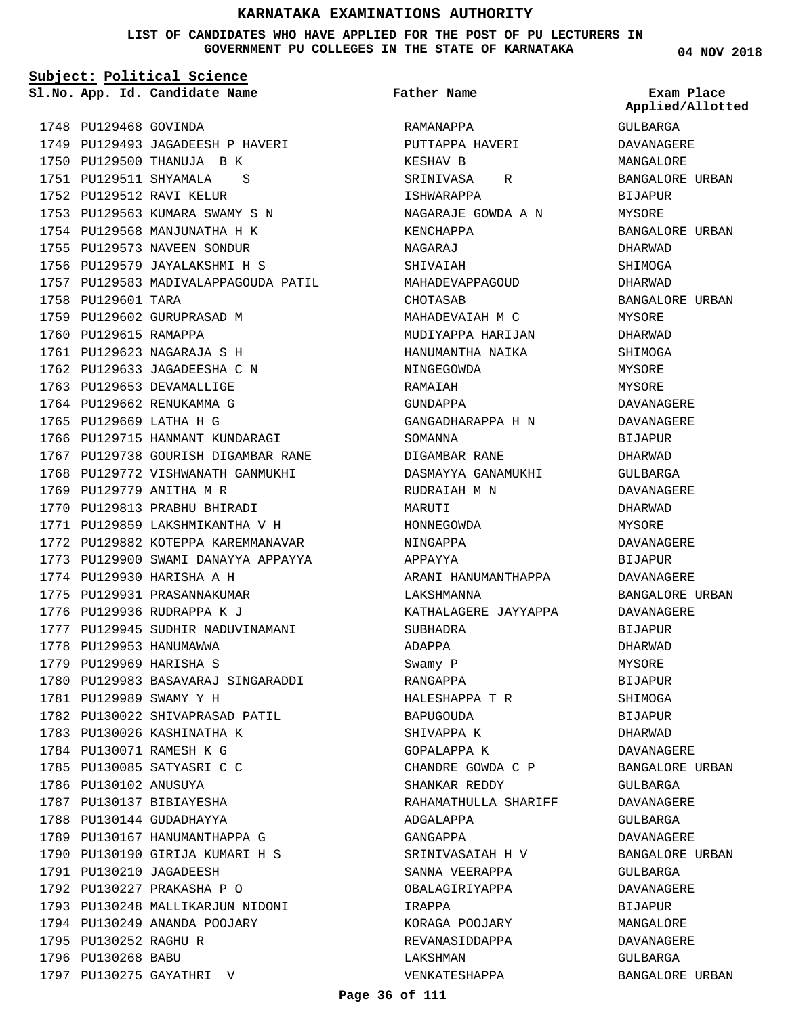**LIST OF CANDIDATES WHO HAVE APPLIED FOR THE POST OF PU LECTURERS IN GOVERNMENT PU COLLEGES IN THE STATE OF KARNATAKA**

**Subject: Political Science**

**App. Id. Candidate Name Sl.No. Exam Place**

**Father Name**

1748 PU129468 GOVINDA 1749 PU129493 JAGADEESH P HAVERI 1750 PU129500 THANUJA B K PU129511 SHYAMALA S 1751 1752 PU129512 RAVI KELUR 1753 PU129563 KUMARA SWAMY S N 1754 PU129568 MANJUNATHA H K 1755 PU129573 NAVEEN SONDUR 1756 PU129579 JAYALAKSHMI H S 1757 PU129583 MADIVALAPPAGOUDA PATIL 1758 PU129601 TARA 1759 PU129602 GURUPRASAD M 1760 PU129615 RAMAPPA PU129623 NAGARAJA S H 1761 1762 PU129633 JAGADEESHA C N 1763 PU129653 DEVAMALLIGE 1764 PU129662 RENUKAMMA G 1765 PU129669 LATHA H G 1766 PU129715 HANMANT KUNDARAGI 1767 PU129738 GOURISH DIGAMBAR RANE 1768 PU129772 VISHWANATH GANMUKHI 1769 PU129779 ANITHA M R 1770 PU129813 PRABHU BHIRADI 1771 PU129859 LAKSHMIKANTHA V H 1772 PU129882 KOTEPPA KAREMMANAVAR 1773 PU129900 SWAMI DANAYYA APPAYYA 1774 PU129930 HARISHA A H 1775 PU129931 PRASANNAKUMAR 1776 PU129936 RUDRAPPA K J 1777 PU129945 SUDHIR NADUVINAMANI 1778 PU129953 HANUMAWWA 1779 PU129969 HARISHA S 1780 PU129983 BASAVARAJ SINGARADDI 1781 PU129989 SWAMY Y H 1782 PU130022 SHIVAPRASAD PATIL 1783 PU130026 KASHINATHA K 1784 PU130071 RAMESH K G 1785 PU130085 SATYASRI C C 1786 PU130102 ANUSUYA 1787 PU130137 BIBIAYESHA 1788 PU130144 GUDADHAYYA 1789 PU130167 HANUMANTHAPPA G 1790 PU130190 GIRIJA KUMARI H S 1791 PU130210 JAGADEESH PU130227 PRAKASHA P O 1792 1793 PU130248 MALLIKARJUN NIDONI 1794 PU130249 ANANDA POOJARY 1795 PU130252 RAGHU R 1796 PU130268 BABU

1797 PU130275 GAYATHRI V

RAMANAPPA PUTTAPPA HAVERI KESHAV B SRINIVASA R ISHWARAPPA NAGARAJE GOWDA A N KENCHAPPA NAGARAJ **SHIVAIAH** MAHADEVAPPAGOUD CHOTASAB MAHADEVAIAH M C MUDIYAPPA HARIJAN HANUMANTHA NAIKA NINGEGOWDA RAMAIAH GUNDAPPA GANGADHARAPPA H N SOMANNA DIGAMBAR RANE DASMAYYA GANAMUKHI RUDRAIAH M N MARUTI HONNEGOWDA NINGAPPA APPAYYA ARANI HANUMANTHAPPA LAKSHMANNA KATHALAGERE JAYYAPPA SUBHADRA ADAPPA Swamy P RANGAPPA HALESHAPPA T R BAPUGOUDA SHIVAPPA K GOPALAPPA K CHANDRE GOWDA C P SHANKAR REDDY RAHAMATHULLA SHARIFF ADGALAPPA GANGAPPA SRINIVASAIAH H V SANNA VEERAPPA OBALAGIRIYAPPA IRAPPA KORAGA POOJARY REVANASIDDAPPA LAKSHMAN VENKATESHAPPA

**04 NOV 2018**

GULBARGA DAVANAGERE MANGALORE BANGALORE URBAN BIJAPUR MYSORE BANGALORE URBAN DHARWAD **SHIMOGA** DHARWAD BANGALORE URBAN MYSORE DHARWAD SHIMOGA MYSORE MYSORE DAVANAGERE DAVANAGERE **BIJAPUR** DHARWAD GULBARGA DAVANAGERE DHARWAD MYSORE DAVANAGERE BIJAPUR DAVANAGERE BANGALORE URBAN DAVANAGERE BIJAPUR DHARWAD MYSORE BIJAPUR SHIMOGA BIJAPUR DHARWAD DAVANAGERE BANGALORE URBAN GULBARGA DAVANAGERE GULBARGA DAVANAGERE BANGALORE URBAN GULBARGA DAVANAGERE BIJAPUR MANGALORE DAVANAGERE GULBARGA BANGALORE URBAN **Applied/Allotted**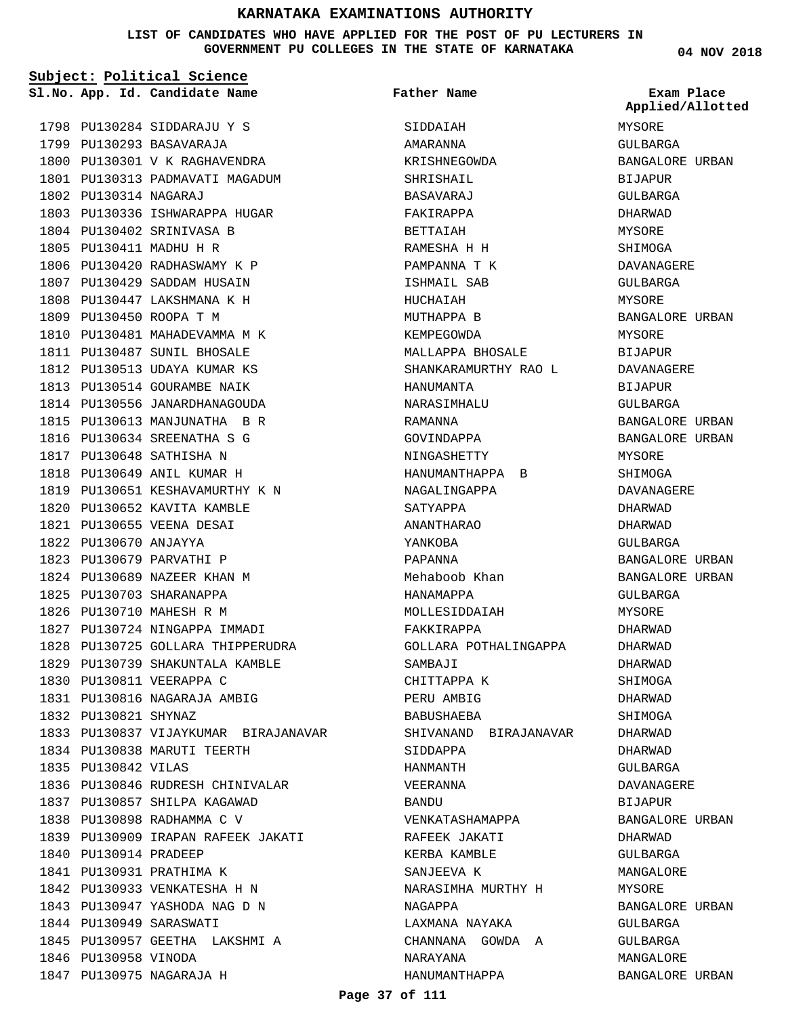#### **LIST OF CANDIDATES WHO HAVE APPLIED FOR THE POST OF PU LECTURERS IN GOVERNMENT PU COLLEGES IN THE STATE OF KARNATAKA**

| Subject: Political Science |                                      |                       |                                |
|----------------------------|--------------------------------------|-----------------------|--------------------------------|
|                            | Sl.No. App. Id. Candidate Name       | <b>Father Name</b>    | Exam Place<br>Applied/Allotted |
|                            | 1798 PU130284 SIDDARAJU Y S          | SIDDAIAH              | MYSORE                         |
|                            | 1799 PU130293 BASAVARAJA             | <b>AMARANNA</b>       | <b>GULBARGA</b>                |
|                            | 1800 PU130301 V K RAGHAVENDRA        | KRISHNEGOWDA          | BANGALORE URBAN                |
|                            | 1801 PU130313 PADMAVATI MAGADUM      | SHRISHAIL             | BIJAPUR                        |
| 1802 PU130314 NAGARAJ      |                                      | BASAVARAJ             | GULBARGA                       |
|                            | 1803 PU130336 ISHWARAPPA HUGAR       | FAKIRAPPA             | DHARWAD                        |
|                            | 1804 PU130402 SRINIVASA B            | BETTAIAH              | MYSORE                         |
|                            | 1805 PU130411 MADHU H R              | RAMESHA H H           | SHIMOGA                        |
|                            | 1806 PU130420 RADHASWAMY K P         | PAMPANNA T K          | DAVANAGERE                     |
|                            | 1807 PU130429 SADDAM HUSAIN          | ISHMAIL SAB           | GULBARGA                       |
|                            | 1808 PU130447 LAKSHMANA K H          | HUCHAIAH              | MYSORE                         |
|                            | 1809 PU130450 ROOPA T M              | MUTHAPPA B            | BANGALORE URBAN                |
|                            | 1810 PU130481 MAHADEVAMMA M K        | KEMPEGOWDA            | MYSORE                         |
|                            | 1811 PU130487 SUNIL BHOSALE          | MALLAPPA BHOSALE      | BIJAPUR                        |
|                            | 1812 PU130513 UDAYA KUMAR KS         | SHANKARAMURTHY RAO L  | <b>DAVANAGERE</b>              |
|                            | 1813 PU130514 GOURAMBE NAIK          | HANUMANTA             | BIJAPUR                        |
|                            | 1814 PU130556 JANARDHANAGOUDA        | NARASIMHALU           | GULBARGA                       |
|                            | 1815 PU130613 MANJUNATHA B R         | RAMANNA               | BANGALORE URBAN                |
|                            | 1816 PU130634 SREENATHA S G          | GOVINDAPPA            | BANGALORE URBAN                |
|                            | 1817 PU130648 SATHISHA N             | NINGASHETTY           | MYSORE                         |
|                            | 1818 PU130649 ANIL KUMAR H           | HANUMANTHAPPA B       | SHIMOGA                        |
|                            | 1819 PU130651 KESHAVAMURTHY K N      | NAGALINGAPPA          | DAVANAGERE                     |
|                            | 1820 PU130652 KAVITA KAMBLE          | SATYAPPA              | DHARWAD                        |
|                            | 1821 PU130655 VEENA DESAI            | ANANTHARAO            | DHARWAD                        |
| 1822 PU130670 ANJAYYA      |                                      | YANKOBA               | GULBARGA                       |
|                            | 1823 PU130679 PARVATHI P             | PAPANNA               | BANGALORE URBAN                |
|                            | 1824 PU130689 NAZEER KHAN M          | Mehaboob Khan         | BANGALORE URBAN                |
|                            | 1825 PU130703 SHARANAPPA             | HANAMAPPA             | GULBARGA                       |
|                            | 1826 PU130710 MAHESH R M             | MOLLESIDDAIAH         | MYSORE                         |
|                            | 1827 PU130724 NINGAPPA IMMADI        | FAKKIRAPPA            | DHARWAD                        |
|                            | 1828 PU130725 GOLLARA THIPPERUDRA    | GOLLARA POTHALINGAPPA | DHARWAD                        |
|                            | 1829 PU130739 SHAKUNTALA KAMBLE      | SAMBAJI               | DHARWAD                        |
|                            | 1830 PU130811 VEERAPPA C             | CHITTAPPA K           | SHIMOGA                        |
|                            | 1831 PU130816 NAGARAJA AMBIG         | PERU AMBIG            | DHARWAD                        |
| 1832 PU130821 SHYNAZ       |                                      | BABUSHAEBA            | SHIMOGA                        |
|                            | 1833 PU130837 VIJAYKUMAR BIRAJANAVAR | SHIVANAND BIRAJANAVAR | DHARWAD                        |
|                            | 1834 PU130838 MARUTI TEERTH          | SIDDAPPA              | DHARWAD                        |
| 1835 PU130842 VILAS        |                                      | HANMANTH              | GULBARGA                       |
|                            | 1836 PU130846 RUDRESH CHINIVALAR     | VEERANNA              | DAVANAGERE                     |
|                            | 1837 PU130857 SHILPA KAGAWAD         | BANDU                 | BIJAPUR                        |
|                            | 1838 PU130898 RADHAMMA C V           | VENKATASHAMAPPA       | BANGALORE URBAN                |
|                            | 1839 PU130909 IRAPAN RAFEEK JAKATI   | RAFEEK JAKATI         |                                |
|                            |                                      |                       | DHARWAD                        |
| 1840 PU130914 PRADEEP      |                                      | KERBA KAMBLE          | GULBARGA                       |
|                            | 1841 PU130931 PRATHIMA K             | SANJEEVA K            | MANGALORE                      |
|                            | 1842 PU130933 VENKATESHA H N         | NARASIMHA MURTHY H    | MYSORE                         |
|                            | 1843 PU130947 YASHODA NAG D N        | NAGAPPA               | BANGALORE URBAN                |
|                            | 1844 PU130949 SARASWATI              | LAXMANA NAYAKA        | GULBARGA                       |
|                            | 1845 PU130957 GEETHA LAKSHMI A       | CHANNANA GOWDA A      | GULBARGA                       |
| 1846 PU130958 VINODA       |                                      | NARAYANA              | MANGALORE                      |
|                            | 1847 PU130975 NAGARAJA H             | HANUMANTHAPPA         | BANGALORE URBAN                |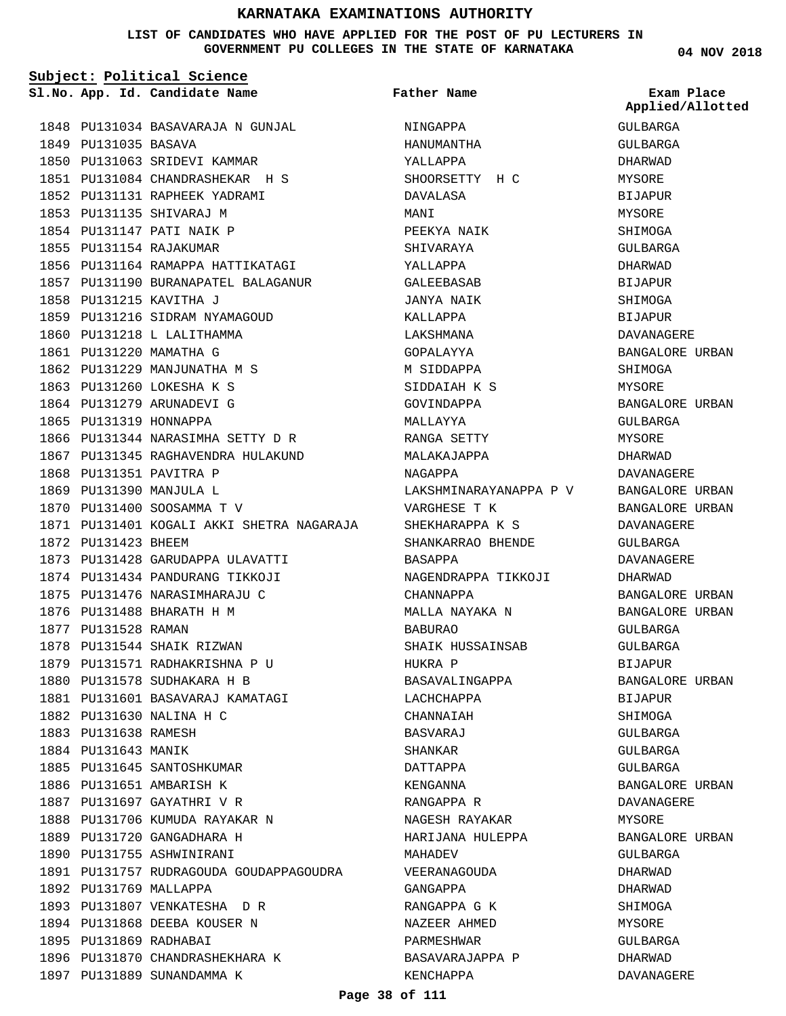#### **LIST OF CANDIDATES WHO HAVE APPLIED FOR THE POST OF PU LECTURERS IN GOVERNMENT PU COLLEGES IN THE STATE OF KARNATAKA**

**Subject: Political Science**

**App. Id. Candidate Name Sl.No. Exam Place**

**Father Name**

**Applied/Allotted**

|                        |                                                           |                                        | $A_{\nu}$ $A_{\nu}$ |
|------------------------|-----------------------------------------------------------|----------------------------------------|---------------------|
|                        | 1848 PU131034 BASAVARAJA N GUNJAL                         | NINGAPPA                               | GULBARGA            |
| 1849 PU131035 BASAVA   |                                                           | HANUMANTHA                             | GULBARGA            |
|                        | 1850 PU131063 SRIDEVI KAMMAR                              | YALLAPPA                               | DHARWAD             |
|                        | 1851 PU131084 CHANDRASHEKAR H S                           | SHOORSETTY H C                         | MYSORE              |
|                        | 1852 PU131131 RAPHEEK YADRAMI                             | DAVALASA                               | <b>BIJAPUR</b>      |
|                        | 1853 PU131135 SHIVARAJ M                                  | MANI                                   | MYSORE              |
|                        | 1854 PU131147 PATI NAIK P                                 | PEEKYA NAIK                            | SHIMOGA             |
|                        | 1855 PU131154 RAJAKUMAR                                   | SHIVARAYA                              | GULBARGA            |
|                        | 1856 PU131164 RAMAPPA HATTIKATAGI XALLAPPA                |                                        | DHARWAD             |
|                        | 1857 PU131190 BURANAPATEL BALAGANUR                       | GALEEBASAB                             | BIJAPUR             |
|                        | 1858 PU131215 KAVITHA J                                   | JANYA NAIK                             | SHIMOGA             |
|                        | 1859 PU131216 SIDRAM NYAMAGOUD                            | KALLAPPA                               | BIJAPUR             |
|                        | 1860 PU131218 L LALITHAMMA                                | LAKSHMANA                              | DAVANAGERE          |
|                        | 1861 PU131220 MAMATHA G                                   | GOPALAYYA                              | BANGALORE URBAN     |
|                        | 1862 PU131229 MANJUNATHA M S                              | M SIDDAPPA                             | SHIMOGA             |
|                        | 1863 PU131260 LOKESHA K S                                 | SIDDAIAH K S                           | MYSORE              |
|                        | 1864 PU131279 ARUNADEVI G                                 | GOVINDAPPA                             | BANGALORE URBAN     |
| 1865 PU131319 HONNAPPA |                                                           | MALLAYYA                               | GULBARGA            |
|                        | 1866 PU131344 NARASIMHA SETTY D R                         | RANGA SETTY                            | MYSORE              |
|                        | 1867 PU131345 RAGHAVENDRA HULAKUND MALAKAJAPPA            |                                        | DHARWAD             |
|                        | 1868 PU131351 PAVITRA P                                   | NAGAPPA                                | DAVANAGERE          |
|                        | 1869 PU131390 MANJULA L                                   | LAKSHMINARAYANAPPA P V BANGALORE URBAN |                     |
|                        | 1870 PU131400 SOOSAMMA T V                                | VARGHESE T K                           | BANGALORE URBAN     |
|                        | 1871 PU131401 KOGALI AKKI SHETRA NAGARAJA SHEKHARAPPA K S |                                        | DAVANAGERE          |
| 1872 PU131423 BHEEM    |                                                           | SHANKARRAO BHENDE GULBARGA             |                     |
|                        | 1873 PU131428 GARUDAPPA ULAVATTI                          | BASAPPA                                | DAVANAGERE          |
|                        | 1874 PU131434 PANDURANG TIKKOJI                           | NAGENDRAPPA TIKKOJI                    | DHARWAD             |
|                        | 1875 PU131476 NARASIMHARAJU C                             | CHANNAPPA                              | BANGALORE URBAN     |
|                        | 1876 PU131488 BHARATH H M                                 | MALLA NAYAKA N                         | BANGALORE URBAN     |
| 1877 PU131528 RAMAN    |                                                           | <b>BABURAO</b>                         | GULBARGA            |
|                        | 1878 PU131544 SHAIK RIZWAN                                | SHAIK HUSSAINSAB                       | GULBARGA            |
|                        | 1879 PU131571 RADHAKRISHNA P U                            | HUKRA P                                | <b>BIJAPUR</b>      |
|                        | 1880 PU131578 SUDHAKARA H B                               | BASAVALINGAPPA                         | BANGALORE URBAN     |
|                        | 1881 PU131601 BASAVARAJ KAMATAGI                          | LACHCHAPPA                             | <b>BIJAPUR</b>      |
|                        | 1882 PU131630 NALINA H C                                  | CHANNAIAH                              | SHIMOGA             |
| 1883 PU131638 RAMESH   |                                                           | BASVARAJ                               | GULBARGA            |
| 1884 PU131643 MANIK    |                                                           | SHANKAR                                | GULBARGA            |
|                        | 1885 PU131645 SANTOSHKUMAR                                | DATTAPPA                               | GULBARGA            |
|                        | 1886 PU131651 AMBARISH K                                  | KENGANNA                               | BANGALORE URBAN     |
|                        | 1887 PU131697 GAYATHRI V R                                | RANGAPPA R                             | DAVANAGERE          |
|                        | 1888 PU131706 KUMUDA RAYAKAR N                            | NAGESH RAYAKAR                         | MYSORE              |
|                        | 1889 PU131720 GANGADHARA H                                | HARIJANA HULEPPA                       | BANGALORE URBAN     |
|                        | 1890 PU131755 ASHWINIRANI                                 | MAHADEV                                | GULBARGA            |
|                        | 1891 PU131757 RUDRAGOUDA GOUDAPPAGOUDRA                   | VEERANAGOUDA                           | DHARWAD             |
| 1892 PU131769 MALLAPPA |                                                           | GANGAPPA                               | DHARWAD             |
|                        | 1893 PU131807 VENKATESHA DR                               | RANGAPPA G K                           | SHIMOGA             |
|                        | 1894 PU131868 DEEBA KOUSER N                              | NAZEER AHMED                           | MYSORE              |
| 1895 PU131869 RADHABAI |                                                           | PARMESHWAR                             | GULBARGA            |
|                        | 1896 PU131870 CHANDRASHEKHARA K                           | BASAVARAJAPPA P                        | DHARWAD             |
|                        | 1897 PU131889 SUNANDAMMA K                                | KENCHAPPA                              | DAVANAGERE          |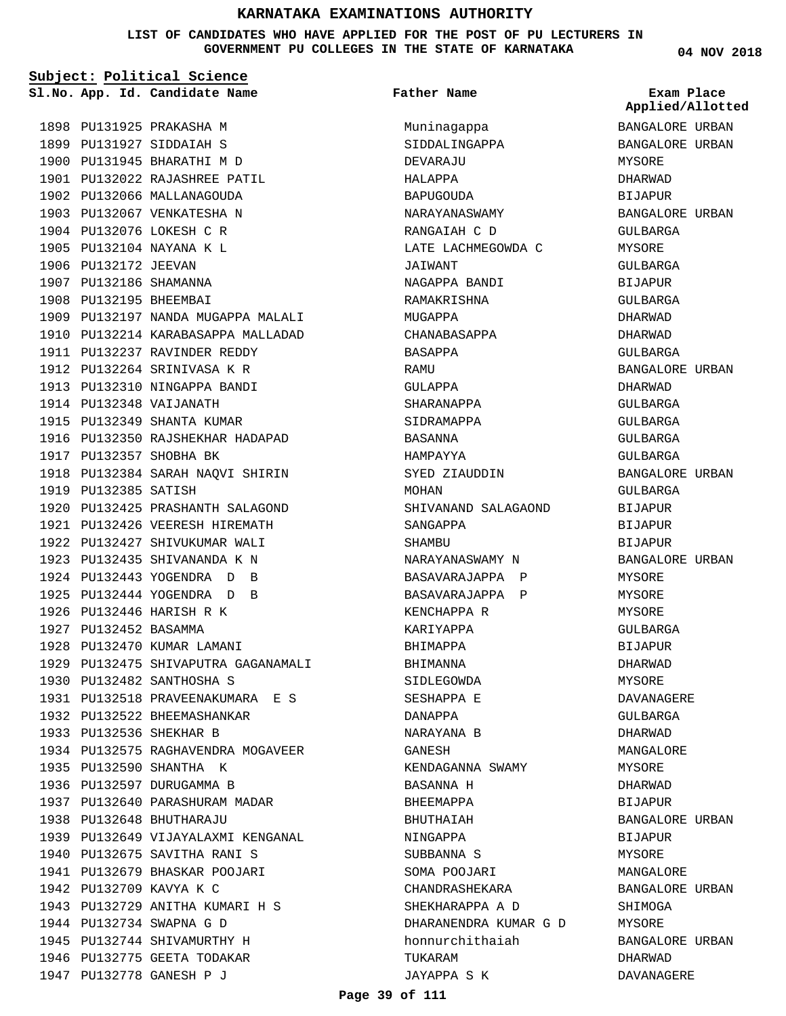**LIST OF CANDIDATES WHO HAVE APPLIED FOR THE POST OF PU LECTURERS IN GOVERNMENT PU COLLEGES IN THE STATE OF KARNATAKA**

**04 NOV 2018**

| Subject: Political Science |                                     |                       |                                |
|----------------------------|-------------------------------------|-----------------------|--------------------------------|
|                            | Sl.No. App. Id. Candidate Name      | Father Name           | Exam Place<br>Applied/Allotted |
|                            | 1898 PU131925 PRAKASHA M            | Muninagappa           | BANGALORE URBAN                |
|                            | 1899 PU131927 SIDDAIAH S            | SIDDALINGAPPA         | BANGALORE URBAN                |
|                            | 1900 PU131945 BHARATHI M D          | DEVARAJU              | MYSORE                         |
|                            | 1901 PU132022 RAJASHREE PATIL       | HALAPPA               | DHARWAD                        |
|                            | 1902 PU132066 MALLANAGOUDA          | <b>BAPUGOUDA</b>      | <b>BIJAPUR</b>                 |
|                            | 1903 PU132067 VENKATESHA N          | NARAYANASWAMY         | BANGALORE URBAN                |
|                            | 1904 PU132076 LOKESH C R            | RANGAIAH C D          | GULBARGA                       |
|                            | 1905 PU132104 NAYANA K L            | LATE LACHMEGOWDA C    | MYSORE                         |
| 1906 PU132172 JEEVAN       |                                     | JAIWANT               | GULBARGA                       |
| 1907 PU132186 SHAMANNA     |                                     | NAGAPPA BANDI         | BIJAPUR                        |
| 1908 PU132195 BHEEMBAI     |                                     | RAMAKRISHNA           | GULBARGA                       |
|                            | 1909 PU132197 NANDA MUGAPPA MALALI  | MUGAPPA               | DHARWAD                        |
|                            | 1910 PU132214 KARABASAPPA MALLADAD  | CHANABASAPPA          | DHARWAD                        |
|                            | 1911 PU132237 RAVINDER REDDY        | BASAPPA               | GULBARGA                       |
|                            | 1912 PU132264 SRINIVASA K R         | RAMU                  | BANGALORE URBAN                |
|                            | 1913 PU132310 NINGAPPA BANDI        | GULAPPA               | DHARWAD                        |
|                            | 1914 PU132348 VAIJANATH             | SHARANAPPA            | <b>GULBARGA</b>                |
|                            | 1915 PU132349 SHANTA KUMAR          | SIDRAMAPPA            | GULBARGA                       |
|                            | 1916 PU132350 RAJSHEKHAR HADAPAD    | BASANNA               | GULBARGA                       |
|                            | 1917 PU132357 SHOBHA BK             | HAMPAYYA              | GULBARGA                       |
|                            | 1918 PU132384 SARAH NAQVI SHIRIN    | SYED ZIAUDDIN         | BANGALORE URBAN                |
| 1919 PU132385 SATISH       |                                     | MOHAN                 | GULBARGA                       |
|                            | 1920 PU132425 PRASHANTH SALAGOND    | SHIVANAND SALAGAOND   | BIJAPUR                        |
|                            | 1921 PU132426 VEERESH HIREMATH      | SANGAPPA              | <b>BIJAPUR</b>                 |
|                            | 1922 PU132427 SHIVUKUMAR WALI       | SHAMBU                | <b>BIJAPUR</b>                 |
|                            | 1923 PU132435 SHIVANANDA K N        | NARAYANASWAMY N       | BANGALORE URBAN                |
|                            | 1924 PU132443 YOGENDRA D<br>B       |                       |                                |
|                            | 1925 PU132444 YOGENDRA D<br>B.      | BASAVARAJAPPA P       | MYSORE                         |
|                            |                                     | BASAVARAJAPPA P       | MYSORE                         |
| 1927 PU132452 BASAMMA      | 1926 PU132446 HARISH R K            | KENCHAPPA R           | MYSORE                         |
|                            |                                     | KARIYAPPA             | GULBARGA                       |
|                            | 1928 PU132470 KUMAR LAMANI          | BHIMAPPA              | <b>BIJAPUR</b>                 |
|                            | 1929 PU132475 SHIVAPUTRA GAGANAMALI | BHIMANNA              | DHARWAD                        |
|                            | 1930 PU132482 SANTHOSHA S           | SIDLEGOWDA            | MYSORE                         |
|                            | 1931 PU132518 PRAVEENAKUMARA E S    | SESHAPPA E            | DAVANAGERE                     |
|                            | 1932 PU132522 BHEEMASHANKAR         | DANAPPA               | GULBARGA                       |
|                            | 1933 PU132536 SHEKHAR B             | NARAYANA B            | DHARWAD                        |
|                            | 1934 PU132575 RAGHAVENDRA MOGAVEER  | GANESH                | MANGALORE                      |
|                            | 1935 PU132590 SHANTHA K             | KENDAGANNA SWAMY      | MYSORE                         |
|                            | 1936 PU132597 DURUGAMMA B           | BASANNA H             | DHARWAD                        |
|                            | 1937 PU132640 PARASHURAM MADAR      | BHEEMAPPA             | BIJAPUR                        |
|                            | 1938 PU132648 BHUTHARAJU            | BHUTHAIAH             | BANGALORE URBAN                |
|                            | 1939 PU132649 VIJAYALAXMI KENGANAL  | NINGAPPA              | BIJAPUR                        |
|                            | 1940 PU132675 SAVITHA RANI S        | SUBBANNA S            | MYSORE                         |
|                            | 1941 PU132679 BHASKAR POOJARI       | SOMA POOJARI          | MANGALORE                      |
|                            | 1942 PU132709 KAVYA K C             | CHANDRASHEKARA        | BANGALORE URBAN                |
|                            | 1943 PU132729 ANITHA KUMARI H S     | SHEKHARAPPA A D       | SHIMOGA                        |
|                            | 1944 PU132734 SWAPNA G D            | DHARANENDRA KUMAR G D | MYSORE                         |
|                            | 1945 PU132744 SHIVAMURTHY H         | honnurchithaiah       | BANGALORE URBAN                |
|                            | 1946 PU132775 GEETA TODAKAR         | TUKARAM               | DHARWAD                        |
|                            | 1947 PU132778 GANESH P J            | JAYAPPA S K           | DAVANAGERE                     |

**Page 39 of 111**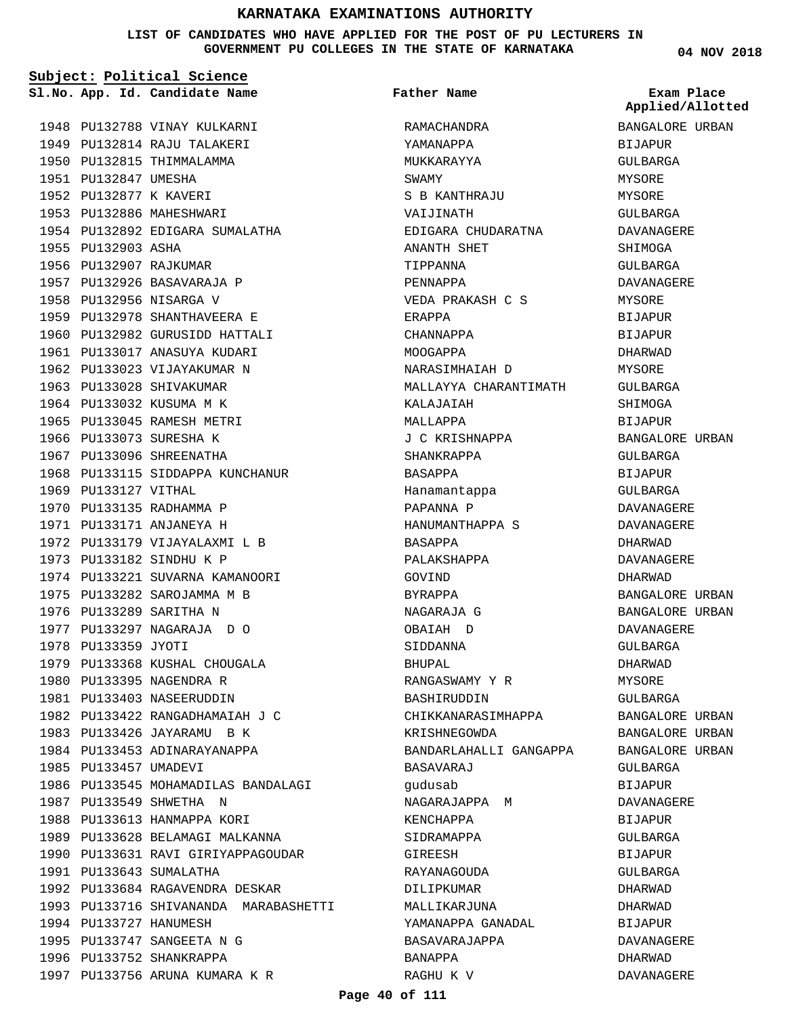**LIST OF CANDIDATES WHO HAVE APPLIED FOR THE POST OF PU LECTURERS IN GOVERNMENT PU COLLEGES IN THE STATE OF KARNATAKA**

**04 NOV 2018**

|                        | Sl.No. App. Id. Candidate Name        | Father Name            | Exam Place<br>Applied/Allotted |
|------------------------|---------------------------------------|------------------------|--------------------------------|
|                        | 1948 PU132788 VINAY KULKARNI          | RAMACHANDRA            | BANGALORE URBAN                |
|                        | 1949 PU132814 RAJU TALAKERI           | YAMANAPPA              | BIJAPUR                        |
|                        | 1950 PU132815 THIMMALAMMA             | MUKKARAYYA             | GULBARGA                       |
| 1951 PU132847 UMESHA   |                                       | SWAMY                  | MYSORE                         |
| 1952 PU132877 K KAVERI |                                       | S B KANTHRAJU          | MYSORE                         |
|                        | 1953 PU132886 MAHESHWARI              | VAIJINATH              | GULBARGA                       |
|                        | 1954 PU132892 EDIGARA SUMALATHA       | EDIGARA CHUDARATNA     | DAVANAGERE                     |
| 1955 PU132903 ASHA     |                                       | ANANTH SHET            | SHIMOGA                        |
|                        | 1956 PU132907 RAJKUMAR                | TIPPANNA               | GULBARGA                       |
|                        | 1957 PU132926 BASAVARAJA P            | PENNAPPA               | DAVANAGERE                     |
|                        | 1958 PU132956 NISARGA V               | VEDA PRAKASH C S       | MYSORE                         |
|                        | 1959 PU132978 SHANTHAVEERA E          | ERAPPA                 | <b>BIJAPUR</b>                 |
|                        | 1960 PU132982 GURUSIDD HATTALI        | CHANNAPPA              | <b>BIJAPUR</b>                 |
|                        | 1961 PU133017 ANASUYA KUDARI          | MOOGAPPA               | DHARWAD                        |
|                        | 1962 PU133023 VIJAYAKUMAR N           | NARASIMHAIAH D         | MYSORE                         |
|                        | 1963 PU133028 SHIVAKUMAR              | MALLAYYA CHARANTIMATH  | GULBARGA                       |
|                        | 1964 PU133032 KUSUMA M K              | KALAJAIAH              | SHIMOGA                        |
|                        | 1965 PU133045 RAMESH METRI            | MALLAPPA               | BIJAPUR                        |
|                        | 1966 PU133073 SURESHA K               | J C KRISHNAPPA         | BANGALORE URBAN                |
|                        | 1967 PU133096 SHREENATHA              | SHANKRAPPA             | GULBARGA                       |
|                        | 1968 PU133115 SIDDAPPA KUNCHANUR      | BASAPPA                | BIJAPUR                        |
| 1969 PU133127 VITHAL   |                                       | Hanamantappa           | GULBARGA                       |
|                        | 1970 PU133135 RADHAMMA P              | PAPANNA P              | DAVANAGERE                     |
|                        | 1971 PU133171 ANJANEYA H              | HANUMANTHAPPA S        | DAVANAGERE                     |
|                        | 1972 PU133179 VIJAYALAXMI L B         | BASAPPA                | DHARWAD                        |
|                        | 1973 PU133182 SINDHU K P              | PALAKSHAPPA            | DAVANAGERE                     |
|                        | 1974 PU133221 SUVARNA KAMANOORI       | GOVIND                 | DHARWAD                        |
|                        | 1975 PU133282 SAROJAMMA M B           | BYRAPPA                | BANGALORE URBAN                |
|                        | 1976 PU133289 SARITHA N               | NAGARAJA G             | BANGALORE URBAN                |
|                        | 1977 PU133297 NAGARAJA D O            | OBAIAH D               | DAVANAGERE                     |
| 1978 PU133359 JYOTI    |                                       | SIDDANNA               | GULBARGA                       |
|                        | 1979 PU133368 KUSHAL CHOUGALA         | BHUPAL                 | DHARWAD                        |
|                        | 1980 PU133395 NAGENDRA R              | RANGASWAMY Y R         | MYSORE                         |
|                        | 1981 PU133403 NASEERUDDIN             | <b>BASHIRUDDIN</b>     | GULBARGA                       |
|                        | 1982 PU133422 RANGADHAMAIAH J C       | CHIKKANARASIMHAPPA     | BANGALORE URBAN                |
|                        | 1983 PU133426 JAYARAMU B K            | KRISHNEGOWDA           | BANGALORE URBAN                |
|                        | 1984 PU133453 ADINARAYANAPPA          | BANDARLAHALLI GANGAPPA | BANGALORE URBAN                |
| 1985 PU133457 UMADEVI  |                                       | BASAVARAJ              | GULBARGA                       |
|                        | 1986 PU133545 MOHAMADILAS BANDALAGI   | qudusab                | BIJAPUR                        |
|                        | 1987 PU133549 SHWETHA N               | NAGARAJAPPA M          | DAVANAGERE                     |
|                        | 1988 PU133613 HANMAPPA KORI           | KENCHAPPA              | BIJAPUR                        |
|                        | 1989 PU133628 BELAMAGI MALKANNA       | SIDRAMAPPA             | GULBARGA                       |
|                        | 1990 PU133631 RAVI GIRIYAPPAGOUDAR    | GIREESH                | BIJAPUR                        |
|                        | 1991 PU133643 SUMALATHA               | RAYANAGOUDA            | GULBARGA                       |
|                        | 1992 PU133684 RAGAVENDRA DESKAR       | DILIPKUMAR             | DHARWAD                        |
|                        | 1993 PU133716 SHIVANANDA MARABASHETTI | MALLIKARJUNA           | DHARWAD                        |
|                        | 1994 PU133727 HANUMESH                | YAMANAPPA GANADAL      | BIJAPUR                        |
|                        | 1995 PU133747 SANGEETA N G            | BASAVARAJAPPA          | DAVANAGERE                     |
|                        |                                       |                        |                                |
|                        | 1996 PU133752 SHANKRAPPA              | BANAPPA                | DHARWAD                        |

RAGHU K V

DAVANAGERE

1997 PU133756 ARUNA KUMARA K R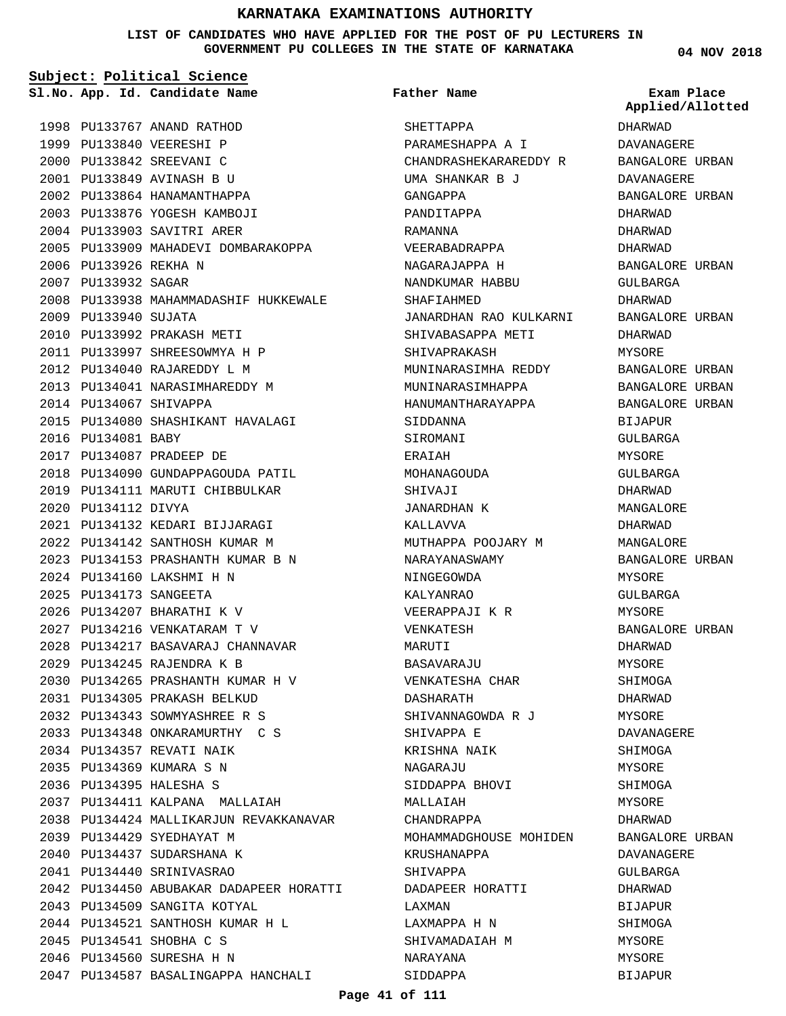**LIST OF CANDIDATES WHO HAVE APPLIED FOR THE POST OF PU LECTURERS IN GOVERNMENT PU COLLEGES IN THE STATE OF KARNATAKA**

**Subject: Political Science**

**App. Id. Candidate Name Sl.No. Exam Place**

1998 PU133767 ANAND RATHOD 1999 PU133840 VEERESHI P 2000 PU133842 SREEVANI C PU133849 AVINASH B U 2001 2002 PU133864 HANAMANTHAPPA 2003 PU133876 YOGESH KAMBOJI 2004 PU133903 SAVITRI ARER 2005 PU133909 MAHADEVI DOMBARAKOPPA 2006 PU133926 REKHA N 2007 PU133932 SAGAR 2008 PU133938 MAHAMMADASHIF HUKKEWALE 2009 PU133940 SUJATA PU133992 PRAKASH METI 2010 PU133997 SHREESOWMYA H P 2011 PU134040 RAJAREDDY L M 2012 2013 PU134041 NARASIMHAREDDY M 2014 PU134067 SHIVAPPA PU134080 SHASHIKANT HAVALAGI 2015 2016 PU134081 BABY PU134087 PRADEEP DE 2017 2018 PU134090 GUNDAPPAGOUDA PATIL 2019 PU134111 MARUTI CHIBBULKAR 2020 PU134112 DIVYA PU134132 KEDARI BIJJARAGI 2021 PU134142 SANTHOSH KUMAR M 2022 PU134153 PRASHANTH KUMAR B N 2023 PU134160 LAKSHMI H N 2024 PU134173 SANGEETA 2025 PU134207 BHARATHI K V 2026 PU134216 VENKATARAM T V 2027 PU134217 BASAVARAJ CHANNAVAR 2028 PU134245 RAJENDRA K B 2029 PU134265 PRASHANTH KUMAR H V 2030 PU134305 PRAKASH BELKUD 2031 PU134343 SOWMYASHREE R S 2032 PU134348 ONKARAMURTHY C S 2033 PU134357 REVATI NAIK 2034 PU134369 KUMARA S N 2035 PU134395 HALESHA S 2036 PU134411 KALPANA MALLAIAH 2037 2038 PU134424 MALLIKARJUN REVAKKANAVAR PU134429 SYEDHAYAT M 2039 2040 PU134437 SUDARSHANA K PU134440 SRINIVASRAO 2041 PU134450 ABUBAKAR DADAPEER HORATTI 2042 2043 PU134509 SANGITA KOTYAL PU134521 SANTHOSH KUMAR H L 2044 PU134541 SHOBHA C S 2045 PU134560 SURESHA H N 2046 2047 PU134587 BASALINGAPPA HANCHALI

**Father Name**

SHETTAPPA PARAMESHAPPA A I CHANDRASHEKARAREDDY R UMA SHANKAR B J GANGAPPA PANDITAPPA RAMANNA VEERABADRAPPA NAGARAJAPPA H NANDKUMAR HABBU SHAFIAHMED JANARDHAN RAO KULKARNI SHIVABASAPPA METI SHIVAPRAKASH MUNINARASIMHA REDDY MUNINARASIMHAPPA HANUMANTHARAYAPPA SIDDANNA **SIROMANI** ERAIAH MOHANAGOUDA SHIVAJI JANARDHAN K KALLAVVA MUTHAPPA POOJARY M NARAYANASWAMY NINGEGOWDA KALYANRAO VEERAPPAJI K R VENKATESH MARUTI BASAVARAJU VENKATESHA CHAR DASHARATH SHIVANNAGOWDA R J SHIVAPPA E KRISHNA NAIK NAGARAJU SIDDAPPA BHOVI MALLAIAH CHANDRAPPA MOHAMMADGHOUSE MOHIDEN KRUSHANAPPA SHIVAPPA DADAPEER HORATTI LAXMAN LAXMAPPA H N SHIVAMADAIAH M NARAYANA

**04 NOV 2018**

DHARWAD DAVANAGERE BANGALORE URBAN DAVANAGERE BANGALORE URBAN DHARWAD DHARWAD DHARWAD BANGALORE URBAN GULBARGA DHARWAD BANGALORE URBAN DHARWAD MYSORE BANGALORE URBAN BANGALORE URBAN BANGALORE URBAN **BIJAPUR** GULBARGA MYSORE GULBARGA DHARWAD MANGALORE DHARWAD MANGALORE BANGALORE URBAN **MYSORE** GULBARGA MYSORE BANGALORE URBAN DHARWAD MYSORE SHIMOGA DHARWAD MYSORE DAVANAGERE SHIMOGA MYSORE SHIMOGA MYSORE DHARWAD BANGALORE URBAN DAVANAGERE GULBARGA DHARWAD BIJAPUR **Applied/Allotted**

SHIMOGA MYSORE MYSORE BIJAPUR

SIDDAPPA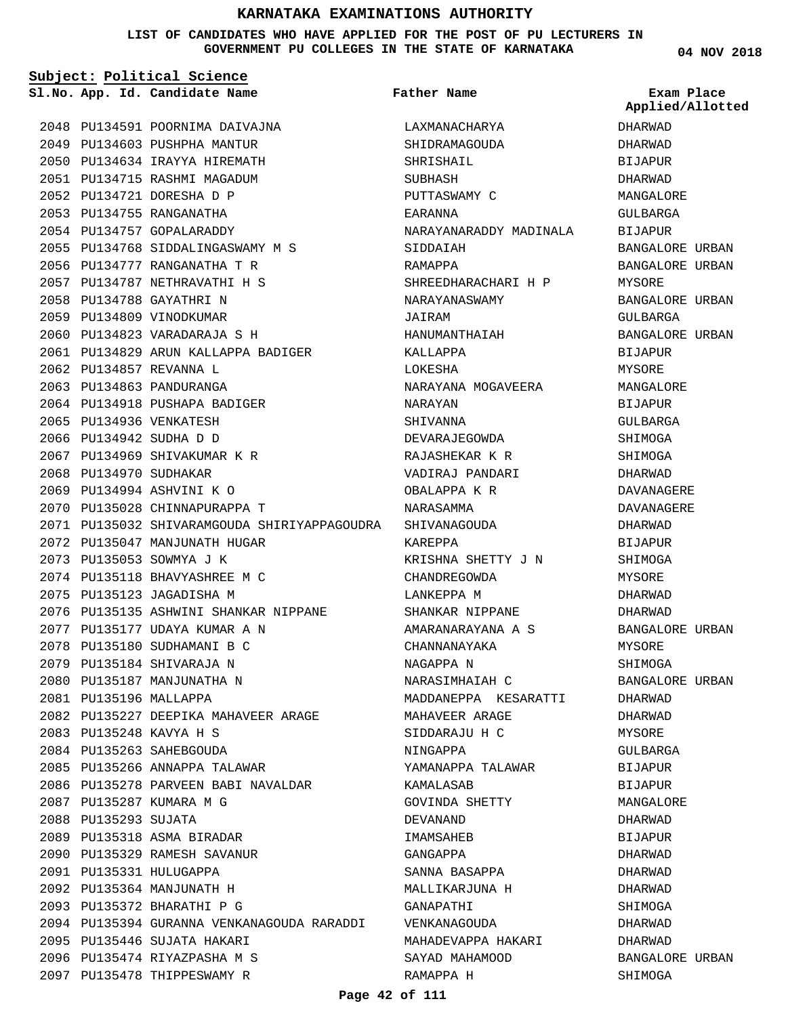#### **LIST OF CANDIDATES WHO HAVE APPLIED FOR THE POST OF PU LECTURERS IN GOVERNMENT PU COLLEGES IN THE STATE OF KARNATAKA**

| Subject: Political Science |                                              |                        |                                |  |
|----------------------------|----------------------------------------------|------------------------|--------------------------------|--|
|                            | Sl.No. App. Id. Candidate Name               | Father Name            | Exam Place<br>Applied/Allotted |  |
|                            | 2048 PU134591 POORNIMA DAIVAJNA              | LAXMANACHARYA          | DHARWAD                        |  |
|                            | 2049 PU134603 PUSHPHA MANTUR                 | SHIDRAMAGOUDA          | DHARWAD                        |  |
|                            | 2050 PU134634 IRAYYA HIREMATH                | SHRISHAIL              | BIJAPUR                        |  |
|                            | 2051 PU134715 RASHMI MAGADUM                 | SUBHASH                | DHARWAD                        |  |
|                            | 2052 PU134721 DORESHA D P                    | PUTTASWAMY C           | MANGALORE                      |  |
|                            | 2053 PU134755 RANGANATHA                     | EARANNA                | GULBARGA                       |  |
|                            | 2054 PU134757 GOPALARADDY                    | NARAYANARADDY MADINALA | BIJAPUR                        |  |
|                            | 2055 PU134768 SIDDALINGASWAMY M S            | SIDDAIAH               | BANGALORE URBAN                |  |
|                            | 2056 PU134777 RANGANATHA T R                 | RAMAPPA                | BANGALORE URBAN                |  |
|                            | 2057 PU134787 NETHRAVATHI H S                | SHREEDHARACHARI H P    | MYSORE                         |  |
|                            | 2058 PU134788 GAYATHRI N                     | NARAYANASWAMY          | BANGALORE URBAN                |  |
|                            | 2059 PU134809 VINODKUMAR                     | JAIRAM                 | GULBARGA                       |  |
|                            | 2060 PU134823 VARADARAJA S H                 | HANUMANTHAIAH          | BANGALORE URBAN                |  |
|                            | 2061 PU134829 ARUN KALLAPPA BADIGER          | KALLAPPA               | BIJAPUR                        |  |
|                            | 2062 PU134857 REVANNA L                      | LOKESHA                | MYSORE                         |  |
|                            | 2063 PU134863 PANDURANGA                     | NARAYANA MOGAVEERA     | MANGALORE                      |  |
|                            | 2064 PU134918 PUSHAPA BADIGER                | NARAYAN                | BIJAPUR                        |  |
|                            | 2065 PU134936 VENKATESH                      | SHIVANNA               | GULBARGA                       |  |
|                            | 2066 PU134942 SUDHA D D                      | DEVARAJEGOWDA          | SHIMOGA                        |  |
|                            | 2067 PU134969 SHIVAKUMAR K R                 | RAJASHEKAR K R         | SHIMOGA                        |  |
| 2068 PU134970 SUDHAKAR     |                                              | VADIRAJ PANDARI        | DHARWAD                        |  |
|                            | 2069 PU134994 ASHVINI K O                    | OBALAPPA K R           | DAVANAGERE                     |  |
|                            | 2070 PU135028 CHINNAPURAPPA T                | NARASAMMA              | DAVANAGERE                     |  |
|                            | 2071 PU135032 SHIVARAMGOUDA SHIRIYAPPAGOUDRA | SHIVANAGOUDA           | DHARWAD                        |  |
|                            | 2072 PU135047 MANJUNATH HUGAR                | KAREPPA                | BIJAPUR                        |  |
|                            | 2073 PU135053 SOWMYA J K                     | KRISHNA SHETTY J N     | SHIMOGA                        |  |
|                            | 2074 PU135118 BHAVYASHREE M C                | CHANDREGOWDA           | MYSORE                         |  |
|                            | 2075 PU135123 JAGADISHA M                    | LANKEPPA M             | DHARWAD                        |  |
|                            | 2076 PU135135 ASHWINI SHANKAR NIPPANE        | SHANKAR NIPPANE        | DHARWAD                        |  |
|                            | 2077 PU135177 UDAYA KUMAR A N                | AMARANARAYANA A S      | BANGALORE URBAN                |  |
|                            | 2078 PU135180 SUDHAMANI B C                  | CHANNANAYAKA           | MYSORE                         |  |
|                            | 2079 PU135184 SHIVARAJA N                    | NAGAPPA N              | SHIMOGA                        |  |
|                            | 2080 PU135187 MANJUNATHA N                   | NARASIMHAIAH C         | BANGALORE URBAN                |  |
| 2081 PU135196 MALLAPPA     |                                              | MADDANEPPA KESARATTI   | DHARWAD                        |  |
|                            | 2082 PU135227 DEEPIKA MAHAVEER ARAGE         | MAHAVEER ARAGE         | DHARWAD                        |  |
|                            | 2083 PU135248 KAVYA H S                      | SIDDARAJU H C          | MYSORE                         |  |
|                            | 2084 PU135263 SAHEBGOUDA                     | NINGAPPA               | GULBARGA                       |  |
|                            | 2085 PU135266 ANNAPPA TALAWAR                | YAMANAPPA TALAWAR      | BIJAPUR                        |  |
|                            | 2086 PU135278 PARVEEN BABI NAVALDAR          | KAMALASAB              | BIJAPUR                        |  |
|                            | 2087 PU135287 KUMARA M G                     | GOVINDA SHETTY         | MANGALORE                      |  |
|                            |                                              |                        |                                |  |
| 2088 PU135293 SUJATA       |                                              | DEVANAND               | DHARWAD                        |  |
|                            | 2089 PU135318 ASMA BIRADAR                   | IMAMSAHEB              | BIJAPUR                        |  |
|                            | 2090 PU135329 RAMESH SAVANUR                 | GANGAPPA               | DHARWAD                        |  |
|                            | 2091 PU135331 HULUGAPPA                      | SANNA BASAPPA          | DHARWAD                        |  |
|                            | 2092 PU135364 MANJUNATH H                    | MALLIKARJUNA H         | DHARWAD                        |  |
|                            | 2093 PU135372 BHARATHI P G                   | GANAPATHI              | SHIMOGA                        |  |
|                            | 2094 PU135394 GURANNA VENKANAGOUDA RARADDI   | VENKANAGOUDA           | DHARWAD                        |  |
|                            | 2095 PU135446 SUJATA HAKARI                  | MAHADEVAPPA HAKARI     | DHARWAD                        |  |
|                            | 2096 PU135474 RIYAZPASHA M S                 | SAYAD MAHAMOOD         | BANGALORE URBAN                |  |
|                            | 2097 PU135478 THIPPESWAMY R                  | RAMAPPA H              | SHIMOGA                        |  |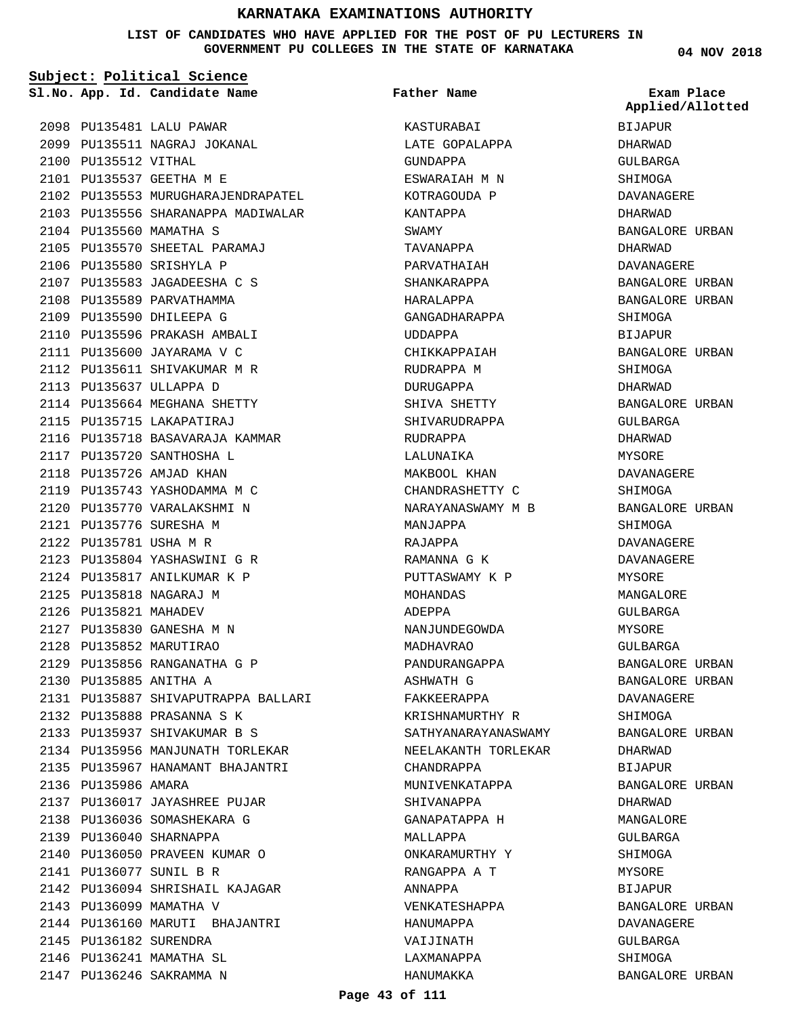**LIST OF CANDIDATES WHO HAVE APPLIED FOR THE POST OF PU LECTURERS IN GOVERNMENT PU COLLEGES IN THE STATE OF KARNATAKA**

**Subject: Political Science**

**App. Id. Candidate Name Sl.No. Exam Place**

**Father Name**

2098 PU135481 LALU PAWAR 2099 PU135511 NAGRAJ JOKANAL 2100 PU135512 VITHAL PU135537 GEETHA M E 2101 2102 PU135553 MURUGHARAJENDRAPATEL 2103 PU135556 SHARANAPPA MADIWALAR 2104 PU135560 MAMATHA S 2105 PU135570 SHEETAL PARAMAJ 2106 PU135580 SRISHYLA P PU135583 JAGADEESHA C S 2107 2108 PU135589 PARVATHAMMA 2109 PU135590 DHILEEPA G 2110 PU135596 PRAKASH AMBALI 2111 PU135600 JAYARAMA V C 2112 PU135611 SHIVAKUMAR M R PU135637 ULLAPPA D 2113 2114 PU135664 MEGHANA SHETTY 2115 PU135715 LAKAPATIRAJ 2116 PU135718 BASAVARAJA KAMMAR 2117 PU135720 SANTHOSHA L 2118 PU135726 AMJAD KHAN 2119 PU135743 YASHODAMMA M C 2120 PU135770 VARALAKSHMI N PU135776 SURESHA M 2121 2122 PU135781 USHA M R PU135804 YASHASWINI G R 2123 2124 PU135817 ANILKUMAR K P PU135818 NAGARAJ M 2125 2126 PU135821 MAHADEV PU135830 GANESHA M N 2127 PU135852 MARUTIRAO 2128 PU135856 RANGANATHA G P 2129 PU135885 ANITHA A 2130 PU135887 SHIVAPUTRAPPA BALLARI 2131 PU135888 PRASANNA S K 2132 PU135937 SHIVAKUMAR B S 2133 2134 PU135956 MANJUNATH TORLEKAR PU135967 HANAMANT BHAJANTRI 2135 2136 PU135986 AMARA 2137 PU136017 JAYASHREE PUJAR 2138 PU136036 SOMASHEKARA G PU136040 SHARNAPPA 2139 2140 PU136050 PRAVEEN KUMAR O PU136077 SUNIL B R 2141 PU136094 SHRISHAIL KAJAGAR 2142 2143 PU136099 MAMATHA V 2144 PU136160 MARUTI BHAJANTRI 2145 PU136182 SURENDRA 2146 PU136241 MAMATHA SL 2147 PU136246 SAKRAMMA N

KASTURABAI LATE GOPALAPPA GUNDAPPA ESWARAIAH M N KOTRAGOUDA P KANTAPPA SWAMY TAVANAPPA PARVATHAIAH SHANKARAPPA HARALAPPA GANGADHARAPPA UDDAPPA CHIKKAPPAIAH RUDRAPPA M DURUGAPPA SHIVA SHETTY SHIVARUDRAPPA RUDRAPPA LALUNAIKA MAKBOOL KHAN CHANDRASHETTY C NARAYANASWAMY M B MANJAPPA RAJAPPA RAMANNA G K PUTTASWAMY K P MOHANDAS ADEPPA NANJUNDEGOWDA MADHAVRAO PANDURANGAPPA ASHWATH G FAKKEERAPPA KRISHNAMURTHY R SATHYANARAYANASWAMY NEELAKANTH TORLEKAR CHANDRAPPA MUNIVENKATAPPA SHIVANAPPA GANAPATAPPA H MALLAPPA ONKARAMURTHY Y RANGAPPA A T ANNAPPA VENKATESHAPPA HANUMAPPA VAIJINATH LAXMANAPPA HANUMAKKA

**04 NOV 2018**

BIJAPUR DHARWAD GULBARGA SHIMOGA DAVANAGERE DHARWAD BANGALORE URBAN DHARWAD DAVANAGERE BANGALORE URBAN BANGALORE URBAN SHIMOGA BIJAPUR BANGALORE URBAN SHIMOGA DHARWAD BANGALORE URBAN GULBARGA DHARWAD MYSORE DAVANAGERE SHIMOGA BANGALORE URBAN SHIMOGA DAVANAGERE DAVANAGERE MYSORE MANGALORE GULBARGA MYSORE GULBARGA BANGALORE URBAN BANGALORE URBAN DAVANAGERE SHIMOGA BANGALORE URBAN DHARWAD BIJAPUR BANGALORE URBAN DHARWAD MANGALORE GULBARGA SHIMOGA MYSORE BIJAPUR BANGALORE URBAN DAVANAGERE GULBARGA SHIMOGA BANGALORE URBAN **Applied/Allotted**

**Page 43 of 111**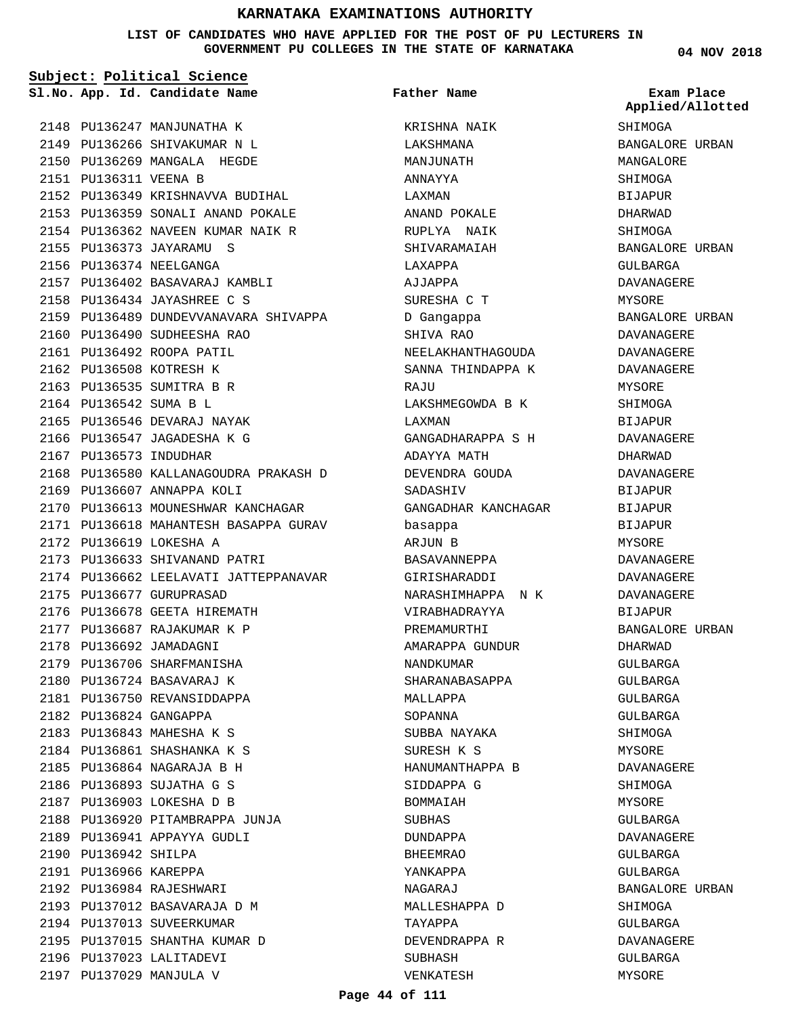**LIST OF CANDIDATES WHO HAVE APPLIED FOR THE POST OF PU LECTURERS IN GOVERNMENT PU COLLEGES IN THE STATE OF KARNATAKA**

**Subject: Political Science**

**App. Id. Candidate Name Sl.No. Exam Place**

**Father Name**

2148 PU136247 MANJUNATHA K PU136266 SHIVAKUMAR N L 2149 2150 PU136269 MANGALA HEGDE 2151 PU136311 VEENA B PU136349 KRISHNAVVA BUDIHAL 2152 2153 PU136359 SONALI ANAND POKALE 2154 PU136362 NAVEEN KUMAR NAIK R PU136373 JAYARAMU S 2155 2156 PU136374 NEELGANGA 2157 PU136402 BASAVARAJ KAMBLI PU136434 JAYASHREE C S 2158 2159 PU136489 DUNDEVVANAVARA SHIVAPPA 2160 PU136490 SUDHEESHA RAO 2161 PU136492 ROOPA PATIL 2162 PU136508 KOTRESH K 2163 PU136535 SUMITRA B R 2164 PU136542 SUMA B L 2165 PU136546 DEVARAJ NAYAK 2166 PU136547 JAGADESHA K G 2167 PU136573 INDUDHAR 2168 PU136580 KALLANAGOUDRA PRAKASH D 2169 PU136607 ANNAPPA KOLI 2170 PU136613 MOUNESHWAR KANCHAGAR 2171 PU136618 MAHANTESH BASAPPA GURAV PU136619 LOKESHA A 2172 2173 PU136633 SHIVANAND PATRI 2174 PU136662 LEELAVATI JATTEPPANAVAR 2175 PU136677 GURUPRASAD 2176 PU136678 GEETA HIREMATH PU136687 RAJAKUMAR K P 2177 2178 PU136692 JAMADAGNI 2179 PU136706 SHARFMANISHA 2180 PU136724 BASAVARAJ K 2181 PU136750 REVANSIDDAPPA 2182 PU136824 GANGAPPA 2183 PU136843 MAHESHA K S PU136861 SHASHANKA K S 2184 PU136864 NAGARAJA B H 2185 PU136893 SUJATHA G S 2186 PU136903 LOKESHA D B 2187 2188 PU136920 PITAMBRAPPA JUNJA 2189 PU136941 APPAYYA GUDLI 2190 PU136942 SHILPA 2191 PU136966 KAREPPA PU136984 RAJESHWARI 2192 PU137012 BASAVARAJA D M 2193 2194 PU137013 SUVEERKUMAR 2195 PU137015 SHANTHA KUMAR D 2196 PU137023 LALITADEVI PU137029 MANJULA V 2197

KRISHNA NAIK LAKSHMANA MANJUNATH ANNAYYA LAXMAN ANAND POKALE RUPLYA NAIK SHIVARAMAIAH LAXAPPA AJJAPPA SURESHA C T D Gangappa SHIVA RAO NEELAKHANTHAGOUDA SANNA THINDAPPA K **RAJU** LAKSHMEGOWDA B K LAXMAN GANGADHARAPPA S H ADAYYA MATH DEVENDRA GOUDA SADASHIV GANGADHAR KANCHAGAR basappa ARJUN B BASAVANNEPPA GIRISHARADDI NARASHIMHAPPA N K VIRABHADRAYYA PREMAMURTHI AMARAPPA GUNDUR NANDKUMAR SHARANABASAPPA MALLAPPA SOPANNA SUBBA NAYAKA SURESH K S HANUMANTHAPPA B SIDDAPPA G BOMMAIAH SUBHAS DUNDAPPA BHEEMRAO YANKAPPA NAGARAJ MALLESHAPPA D TAYAPPA DEVENDRAPPA R SUBHASH VENKATESH

**04 NOV 2018**

SHIMOGA BANGALORE URBAN MANGALORE SHIMOGA BIJAPUR DHARWAD SHIMOGA BANGALORE URBAN GULBARGA DAVANAGERE MYSORE BANGALORE URBAN DAVANAGERE DAVANAGERE DAVANAGERE MYSORE SHIMOGA BIJAPUR DAVANAGERE DHARWAD DAVANAGERE BIJAPUR BIJAPUR BIJAPUR MYSORE DAVANAGERE DAVANAGERE DAVANAGERE BIJAPUR BANGALORE URBAN DHARWAD GULBARGA GULBARGA GULBARGA GULBARGA **SHIMOGA** MYSORE DAVANAGERE SHIMOGA MYSORE GULBARGA DAVANAGERE GULBARGA GULBARGA BANGALORE URBAN SHIMOGA GULBARGA DAVANAGERE GULBARGA MYSORE **Applied/Allotted**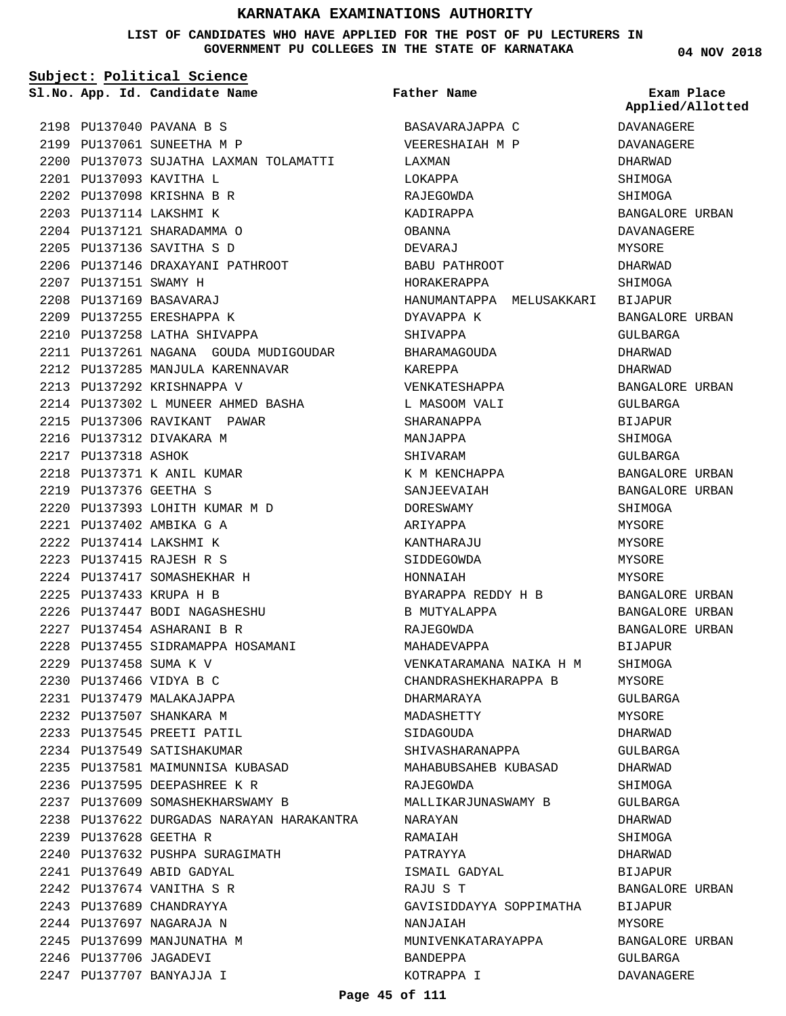**LIST OF CANDIDATES WHO HAVE APPLIED FOR THE POST OF PU LECTURERS IN GOVERNMENT PU COLLEGES IN THE STATE OF KARNATAKA**

#### **Subject: Political Science**

**App. Id. Candidate Name Sl.No. Exam Place**

2198 PU137040 PAVANA B S 2199 PU137061 SUNEETHA M P

PU137093 KAVITHA L 2201 PU137098 KRISHNA B R 2202 PU137114 LAKSHMI K 2203 PU137121 SHARADAMMA O 2204 PU137136 SAVITHA S D 2205

2207 PU137151 SWAMY H PU137169 BASAVARAJ 2208 2209 PU137255 ERESHAPPA K 2210 PU137258 LATHA SHIVAPPA

2200 PU137073 SUJATHA LAXMAN TOLAMATTI

2211 PU137261 NAGANA GOUDA MUDIGOUDAR

PU137146 DRAXAYANI PATHROOT 2206

PU137285 MANJULA KARENNAVAR 2212

PU137302 L MUNEER AHMED BASHA 2214

PU137292 KRISHNAPPA V 2213

2216 PU137312 DIVAKARA M

PU137402 AMBIKA G A 2221 PU137414 LAKSHMI K 2222 PU137415 RAJESH R S 2223 2224 PU137417 SOMASHEKHAR H PU137433 KRUPA H B 2225

PU137458 SUMA K V 2229 PU137466 VIDYA B C 2230 PU137479 MALAKAJAPPA 2231 PU137507 SHANKARA M 2232 PU137545 PREETI PATIL 2233 2234 PU137549 SATISHAKUMAR

PU137628 GEETHA R 2239

PU137649 ABID GADYAL 2241 PU137674 VANITHA S R 2242 2243 PU137689 CHANDRAYYA 2244 PU137697 NAGARAJA N 2245 PU137699 MANJUNATHA M 2246 PU137706 JAGADEVI PU137707 BANYAJJA I 2247

PU137371 K ANIL KUMAR 2218 PU137376 GEETHA S 2219

2217 PU137318 ASHOK

2215 PU137306 RAVIKANT PAWAR

PU137393 LOHITH KUMAR M D 2220

2226 PU137447 BODI NAGASHESHU PU137454 ASHARANI B R 2227

2228 PU137455 SIDRAMAPPA HOSAMANI

PU137581 MAIMUNNISA KUBASAD 2235 PU137595 DEEPASHREE K R 2236 PU137609 SOMASHEKHARSWAMY B 2237

2240 PU137632 PUSHPA SURAGIMATH

2238 PU137622 DURGADAS NARAYAN HARAKANTRA

**Father Name**

BASAVARAJAPPA C VEERESHAIAH M P LAXMAN LOKAPPA RAJEGOWDA KADIRAPPA OBANNA DEVARAJ BABU PATHROOT HORAKERAPPA HANUMANTAPPA MELUSAKKARI DYAVAPPA K SHIVAPPA BHARAMAGOUDA KAREPPA VENKATESHAPPA L MASOOM VALI SHARANAPPA MANJAPPA SHIVARAM K M KENCHAPPA SANJEEVAIAH DORESWAMY ARIYAPPA KANTHARAJU SIDDEGOWDA HONNAIAH BYARAPPA REDDY H B B MUTYALAPPA RAJEGOWDA MAHADEVAPPA VENKATARAMANA NAIKA H M CHANDRASHEKHARAPPA B DHARMARAYA MADASHETTY SIDAGOUDA SHIVASHARANAPPA MAHABUBSAHEB KUBASAD RAJEGOWDA MALLIKARJUNASWAMY B NARAYAN RAMAIAH PATRAYYA ISMAIL GADYAL RAJU S T GAVISIDDAYYA SOPPIMATHA NANJAIAH MUNIVENKATARAYAPPA BANDEPPA KOTRAPPA I

**04 NOV 2018**

**Applied/Allotted**

| DAVANAGERE             |       |
|------------------------|-------|
| DAVANAGERE             |       |
| DHARWAD                |       |
| SHIMOGA                |       |
| SHIMOGA                |       |
| BANGALORE URBAN        |       |
| DAVANAGERE             |       |
| MYSORE                 |       |
| DHARWAD                |       |
| SHIMOGA                |       |
| BIJAPUR                |       |
| BANGALORE URBAN        |       |
| GULBARGA               |       |
| DHARWAD                |       |
| DHARWAD                |       |
| <b>BANGALORE URBAN</b> |       |
| GULBARGA               |       |
| <b>BIJAPUR</b>         |       |
| SHIMOGA                |       |
| GULBARGA               |       |
| BANGALORE URBAN        |       |
| BANGALORE URBAN        |       |
| SHIMOGA                |       |
| MYSORE                 |       |
| MYSORE                 |       |
| MYSORE                 |       |
| MYSORE                 |       |
| BANGALORE URBAN        |       |
| BANGALORE              | URBAN |
| BANGALORE URBAN        |       |
| <b>BIJAPUR</b>         |       |
| SHIMOGA                |       |
| MYSORE                 |       |
| <b>GULBARGA</b>        |       |
| MYSORE                 |       |
| DHARWAD                |       |
| GULBARGA               |       |
| <b>DHARWAD</b>         |       |
| SHIMOGA                |       |
| GULBARGA               |       |
| DHARWAD                |       |
| SHIMOGA                |       |
| DHARWAD                |       |
| BIJAPUR                |       |
| BANGALORE URBAN        |       |
| BIJAPUR                |       |
| MYSORE                 |       |
| BANGALORE URBAN        |       |
| GULBARGA               |       |
| DAVANAGERE             |       |
|                        |       |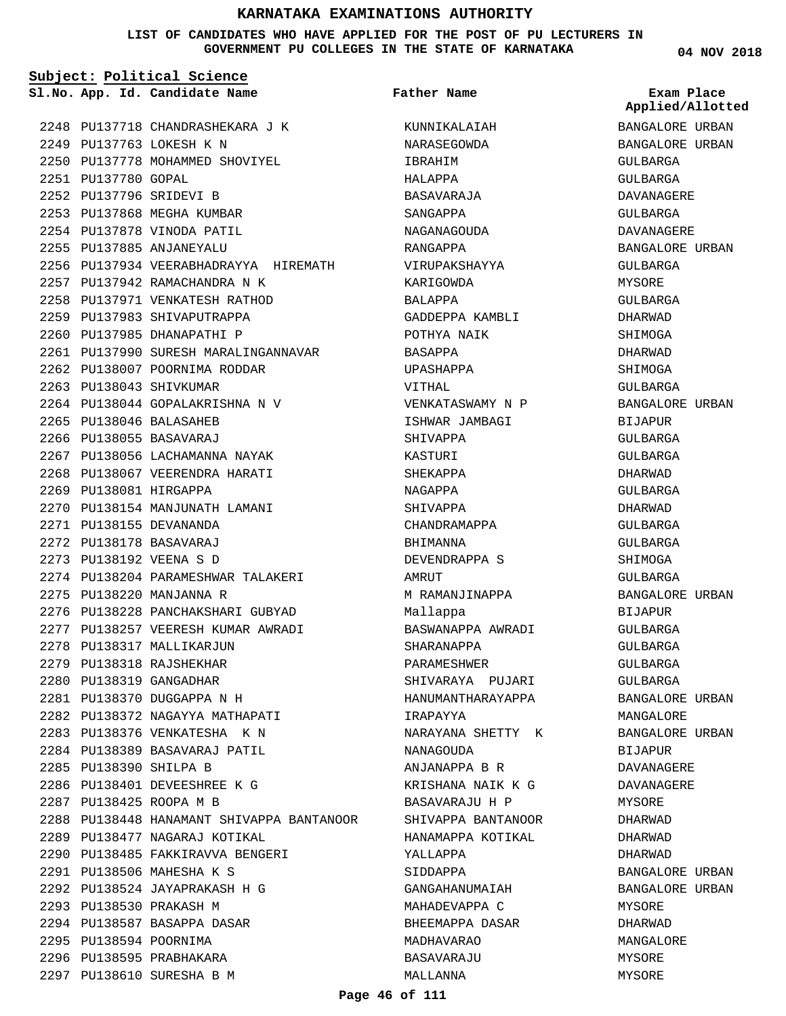**LIST OF CANDIDATES WHO HAVE APPLIED FOR THE POST OF PU LECTURERS IN GOVERNMENT PU COLLEGES IN THE STATE OF KARNATAKA**

**Subject: Political Science**

**App. Id. Candidate Name Sl.No. Exam Place**

**Father Name**

PU137718 CHANDRASHEKARA J K 2248 PU137763 LOKESH K N 2249 2250 PU137778 MOHAMMED SHOVIYEL PU137780 GOPAL 2251 PU137796 SRIDEVI B 2252 2253 PU137868 MEGHA KUMBAR 2254 PU137878 VINODA PATIL PU137885 ANJANEYALU 2255 2256 PU137934 VEERABHADRAYYA HIREMATH PU137942 RAMACHANDRA N K 2257 2258 PU137971 VENKATESH RATHOD 2259 PU137983 SHIVAPUTRAPPA 2260 PU137985 DHANAPATHI P 2261 PU137990 SURESH MARALINGANNAVAR 2262 PU138007 POORNIMA RODDAR 2263 PU138043 SHIVKUMAR PU138044 GOPALAKRISHNA N V 2264 PU138046 BALASAHEB 2265 2266 PU138055 BASAVARAJ 2267 PU138056 LACHAMANNA NAYAK 2268 PU138067 VEERENDRA HARATI 2269 PU138081 HIRGAPPA 2270 PU138154 MANJUNATH LAMANI PU138155 DEVANANDA 2271 PU138178 BASAVARAJ 2272 PU138192 VEENA S D 2273 2274 PU138204 PARAMESHWAR TALAKERI 2275 PU138220 MANJANNA R 2276 PU138228 PANCHAKSHARI GUBYAD 2277 PU138257 VEERESH KUMAR AWRADI 2278 PU138317 MALLIKARJUN 2279 PU138318 RAJSHEKHAR 2280 PU138319 GANGADHAR PU138370 DUGGAPPA N H 2281 PU138372 NAGAYYA MATHAPATI 2282 2283 PU138376 VENKATESHA K N 2284 PU138389 BASAVARAJ PATIL PU138390 SHILPA B 2285 PU138401 DEVEESHREE K G 2286 PU138425 ROOPA M B 2287 2288 PU138448 HANAMANT SHIVAPPA BANTANOOR 2289 PU138477 NAGARAJ KOTIKAL PU138485 FAKKIRAVVA BENGERI 2290 PU138506 MAHESHA K S 2291 PU138524 JAYAPRAKASH H G 2292 2293 PU138530 PRAKASH M 2294 PU138587 BASAPPA DASAR 2295 PU138594 POORNIMA 2296 PU138595 PRABHAKARA PU138610 SURESHA B M 2297

KUNNIKALAIAH NARASEGOWDA IBRAHIM HALAPPA BASAVARAJA SANGAPPA NAGANAGOUDA RANGAPPA VIRUPAKSHAYYA KARIGOWDA BALAPPA GADDEPPA KAMBLI POTHYA NAIK BASAPPA UPASHAPPA VITHAL VENKATASWAMY N P ISHWAR JAMBAGI SHIVAPPA KASTURI SHEKAPPA NAGAPPA SHIVAPPA CHANDRAMAPPA BHIMANNA DEVENDRAPPA S AMRITT M RAMANJINAPPA Mallappa BASWANAPPA AWRADI SHARANAPPA PARAMESHWER SHIVARAYA PUJARI HANUMANTHARAYAPPA IRAPAYYA NARAYANA SHETTY K NANAGOUDA ANJANAPPA B R KRISHANA NAIK K G BASAVARAJU H P SHIVAPPA BANTANOOR HANAMAPPA KOTIKAL YALLAPPA SIDDAPPA GANGAHANUMAIAH MAHADEVAPPA C BHEEMAPPA DASAR MADHAVARAO BASAVARAJU MALLANNA

**04 NOV 2018**

BANGALORE URBAN BANGALORE URBAN GULBARGA GULBARGA DAVANAGERE GULBARGA DAVANAGERE BANGALORE URBAN GULBARGA MYSORE GULBARGA DHARWAD SHIMOGA DHARWAD SHIMOGA GULBARGA BANGALORE URBAN **BIJAPUR** GULBARGA GULBARGA DHARWAD GULBARGA DHARWAD GULBARGA GULBARGA SHIMOGA GULBARGA BANGALORE URBAN BIJAPUR GULBARGA GULBARGA GULBARGA GULBARGA BANGALORE URBAN MANGALORE BANGALORE URBAN **BIJAPUR** DAVANAGERE DAVANAGERE MYSORE DHARWAD DHARWAD DHARWAD BANGALORE URBAN BANGALORE URBAN MYSORE DHARWAD MANGALORE MYSORE MYSORE **Applied/Allotted**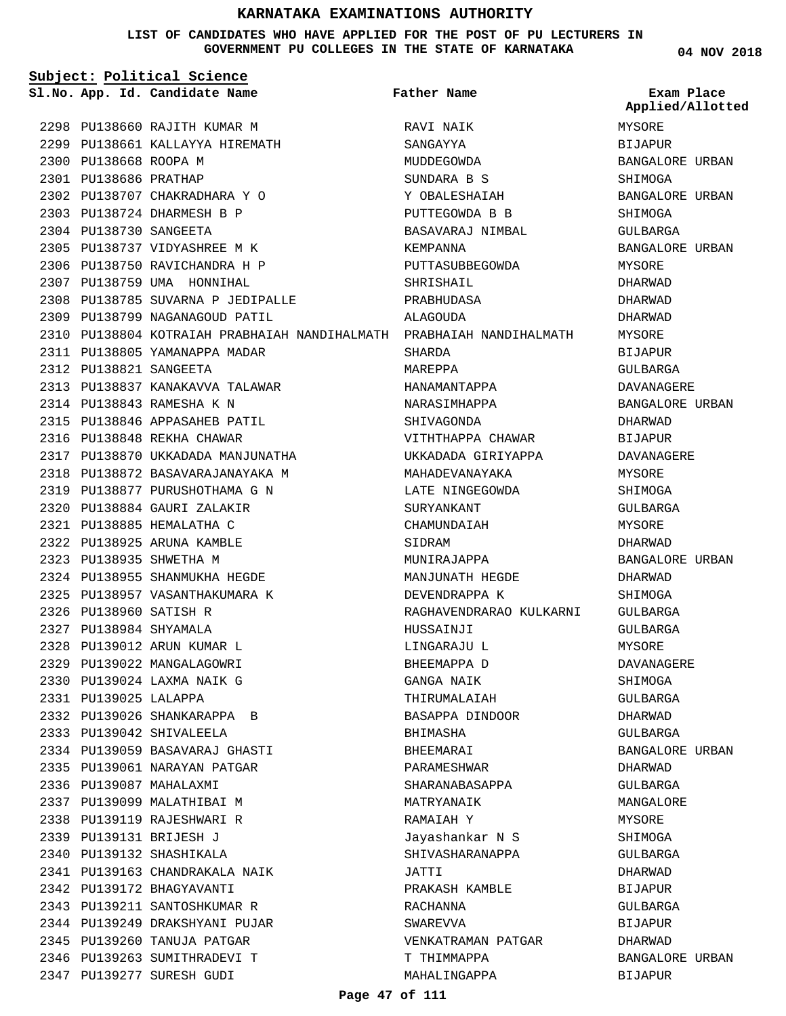#### **LIST OF CANDIDATES WHO HAVE APPLIED FOR THE POST OF PU LECTURERS IN GOVERNMENT PU COLLEGES IN THE STATE OF KARNATAKA**

**04 NOV 2018**

| Subject: Political Science |                                                                      |                         |                                |  |
|----------------------------|----------------------------------------------------------------------|-------------------------|--------------------------------|--|
|                            | Sl.No. App. Id. Candidate Name                                       | <b>Father Name</b>      | Exam Place<br>Applied/Allotted |  |
|                            | 2298 PU138660 RAJITH KUMAR M                                         | RAVI NAIK               | MYSORE                         |  |
|                            | 2299 PU138661 KALLAYYA HIREMATH                                      | SANGAYYA                | BIJAPUR                        |  |
| 2300 PU138668 ROOPA M      |                                                                      | MUDDEGOWDA              | BANGALORE URBAN                |  |
| 2301 PU138686 PRATHAP      |                                                                      | SUNDARA B S             | SHIMOGA                        |  |
|                            | 2302 PU138707 CHAKRADHARA Y O                                        | Y OBALESHAIAH           | BANGALORE URBAN                |  |
|                            | 2303 PU138724 DHARMESH B P                                           | PUTTEGOWDA B B          | SHIMOGA                        |  |
| 2304 PU138730 SANGEETA     |                                                                      | BASAVARAJ NIMBAL        | GULBARGA                       |  |
|                            | 2305 PU138737 VIDYASHREE M K                                         | KEMPANNA                | BANGALORE URBAN                |  |
|                            | 2306 PU138750 RAVICHANDRA H P                                        | PUTTASUBBEGOWDA         | MYSORE                         |  |
|                            | 2307 PU138759 UMA HONNIHAL                                           | SHRISHAIL               | DHARWAD                        |  |
|                            | 2308 PU138785 SUVARNA P JEDIPALLE                                    | PRABHUDASA              | DHARWAD                        |  |
|                            | 2309 PU138799 NAGANAGOUD PATIL                                       | ALAGOUDA                | DHARWAD                        |  |
|                            | 2310 PU138804 KOTRAIAH PRABHAIAH NANDIHALMATH PRABHAIAH NANDIHALMATH |                         | MYSORE                         |  |
|                            | 2311 PU138805 YAMANAPPA MADAR                                        | SHARDA                  | BIJAPUR                        |  |
| 2312 PU138821 SANGEETA     |                                                                      | MAREPPA                 | GULBARGA                       |  |
|                            | 2313 PU138837 KANAKAVVA TALAWAR                                      | HANAMANTAPPA            | DAVANAGERE                     |  |
|                            | 2314 PU138843 RAMESHA K N                                            | NARASIMHAPPA            | BANGALORE URBAN                |  |
|                            | 2315 PU138846 APPASAHEB PATIL                                        | SHIVAGONDA              | DHARWAD                        |  |
|                            | 2316 PU138848 REKHA CHAWAR                                           | VITHTHAPPA CHAWAR       | BIJAPUR                        |  |
|                            | 2317 PU138870 UKKADADA MANJUNATHA                                    | UKKADADA GIRIYAPPA      | DAVANAGERE                     |  |
|                            | 2318 PU138872 BASAVARAJANAYAKA M                                     | MAHADEVANAYAKA          | MYSORE                         |  |
|                            | 2319 PU138877 PURUSHOTHAMA G N                                       | LATE NINGEGOWDA         | SHIMOGA                        |  |
|                            | 2320 PU138884 GAURI ZALAKIR                                          | SURYANKANT              | GULBARGA                       |  |
|                            | 2321 PU138885 HEMALATHA C                                            | CHAMUNDAIAH             | MYSORE                         |  |
|                            | 2322 PU138925 ARUNA KAMBLE                                           | SIDRAM                  | DHARWAD                        |  |
|                            | 2323 PU138935 SHWETHA M                                              | MUNIRAJAPPA             | BANGALORE URBAN                |  |
|                            | 2324 PU138955 SHANMUKHA HEGDE                                        | MANJUNATH HEGDE         | DHARWAD                        |  |
|                            | 2325 PU138957 VASANTHAKUMARA K                                       | DEVENDRAPPA K           | SHIMOGA                        |  |
| 2326 PU138960 SATISH R     |                                                                      | RAGHAVENDRARAO KULKARNI | GULBARGA                       |  |
| 2327 PU138984 SHYAMALA     |                                                                      | HUSSAINJI               |                                |  |
|                            | 2328 PU139012 ARUN KUMAR L                                           |                         | GULBARGA                       |  |
|                            |                                                                      | LINGARAJU L             | MYSORE                         |  |
|                            | 2329 PU139022 MANGALAGOWRI                                           | BHEEMAPPA D             | DAVANAGERE                     |  |
|                            | 2330 PU139024 LAXMA NAIK G                                           | GANGA NAIK              | SHIMOGA                        |  |
| 2331 PU139025 LALAPPA      |                                                                      | THIRUMALAIAH            | GULBARGA                       |  |
|                            | 2332 PU139026 SHANKARAPPA B                                          | BASAPPA DINDOOR         | DHARWAD                        |  |
|                            | 2333 PU139042 SHIVALEELA                                             | BHIMASHA                | GULBARGA                       |  |
|                            | 2334 PU139059 BASAVARAJ GHASTI                                       | BHEEMARAI               | BANGALORE URBAN                |  |
|                            | 2335 PU139061 NARAYAN PATGAR                                         | PARAMESHWAR             | DHARWAD                        |  |
|                            | 2336 PU139087 MAHALAXMI                                              | SHARANABASAPPA          | GULBARGA                       |  |
|                            | 2337 PU139099 MALATHIBAI M                                           | MATRYANAIK              | MANGALORE                      |  |
|                            | 2338 PU139119 RAJESHWARI R                                           | RAMAIAH Y               | MYSORE                         |  |
|                            | 2339 PU139131 BRIJESH J                                              | Jayashankar N S         | SHIMOGA                        |  |
|                            | 2340 PU139132 SHASHIKALA                                             | SHIVASHARANAPPA         | GULBARGA                       |  |
|                            | 2341 PU139163 CHANDRAKALA NAIK                                       | JATTI                   | DHARWAD                        |  |
|                            | 2342 PU139172 BHAGYAVANTI                                            | PRAKASH KAMBLE          | BIJAPUR                        |  |
|                            | 2343 PU139211 SANTOSHKUMAR R                                         | RACHANNA                | GULBARGA                       |  |
|                            | 2344 PU139249 DRAKSHYANI PUJAR                                       | SWAREVVA                | BIJAPUR                        |  |
|                            | 2345 PU139260 TANUJA PATGAR                                          | VENKATRAMAN PATGAR      | DHARWAD                        |  |
|                            | 2346 PU139263 SUMITHRADEVI T                                         | T THIMMAPPA             | BANGALORE URBAN                |  |
|                            | 2347 PU139277 SURESH GUDI                                            | MAHALINGAPPA            | BIJAPUR                        |  |

#### **Page 47 of 111**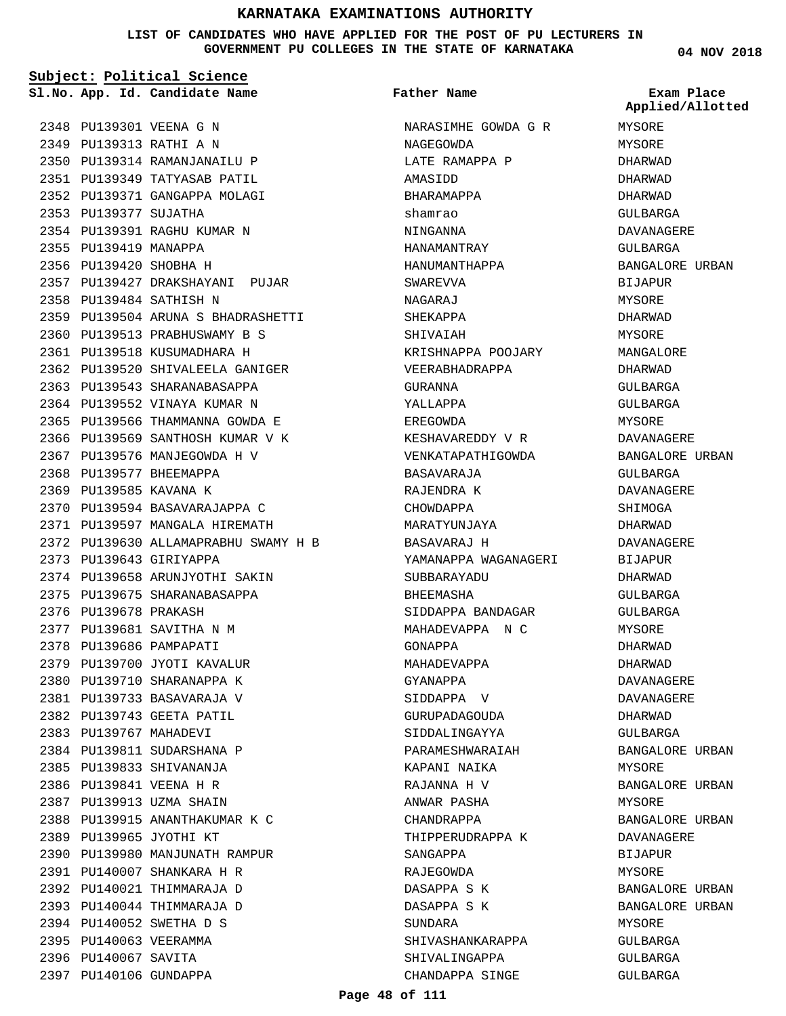**LIST OF CANDIDATES WHO HAVE APPLIED FOR THE POST OF PU LECTURERS IN GOVERNMENT PU COLLEGES IN THE STATE OF KARNATAKA**

|                        | Subject: Political Science           |                      |                                |
|------------------------|--------------------------------------|----------------------|--------------------------------|
|                        | Sl.No. App. Id. Candidate Name       | <b>Father Name</b>   | Exam Place<br>Applied/Allotted |
|                        | 2348 PU139301 VEENA G N              | NARASIMHE GOWDA G R  | MYSORE                         |
|                        | 2349 PU139313 RATHI A N              | NAGEGOWDA            | MYSORE                         |
|                        | 2350 PU139314 RAMANJANAILU P         | LATE RAMAPPA P       | DHARWAD                        |
|                        | 2351 PU139349 TATYASAB PATIL         | AMASIDD              | DHARWAD                        |
|                        | 2352 PU139371 GANGAPPA MOLAGI        | BHARAMAPPA           | DHARWAD                        |
| 2353 PU139377 SUJATHA  |                                      | shamrao              | GULBARGA                       |
|                        | 2354 PU139391 RAGHU KUMAR N          | NINGANNA             | DAVANAGERE                     |
| 2355 PU139419 MANAPPA  |                                      | HANAMANTRAY          | GULBARGA                       |
| 2356 PU139420 SHOBHA H |                                      | HANUMANTHAPPA        | BANGALORE URBAN                |
|                        | 2357 PU139427 DRAKSHAYANI PUJAR      | SWAREVVA             |                                |
|                        | 2358 PU139484 SATHISH N              |                      | BIJAPUR<br>MYSORE              |
|                        | 2359 PU139504 ARUNA S BHADRASHETTI   | NAGARAJ              |                                |
|                        | 2360 PU139513 PRABHUSWAMY B S        | SHEKAPPA             | DHARWAD                        |
|                        | 2361 PU139518 KUSUMADHARA H          | SHIVAIAH             | MYSORE                         |
|                        | 2362 PU139520 SHIVALEELA GANIGER     | KRISHNAPPA POOJARY   | MANGALORE                      |
|                        |                                      | VEERABHADRAPPA       | DHARWAD                        |
|                        | 2363 PU139543 SHARANABASAPPA         | GURANNA              | GULBARGA                       |
|                        | 2364 PU139552 VINAYA KUMAR N         | YALLAPPA             | GULBARGA                       |
|                        | 2365 PU139566 THAMMANNA GOWDA E      | EREGOWDA             | MYSORE                         |
|                        | 2366 PU139569 SANTHOSH KUMAR V K     | KESHAVAREDDY V R     | DAVANAGERE                     |
|                        | 2367 PU139576 MANJEGOWDA H V         | VENKATAPATHIGOWDA    | BANGALORE URBAN                |
|                        | 2368 PU139577 BHEEMAPPA              | BASAVARAJA           | GULBARGA                       |
| 2369 PU139585 KAVANA K |                                      | RAJENDRA K           | DAVANAGERE                     |
|                        | 2370 PU139594 BASAVARAJAPPA C        | CHOWDAPPA            | SHIMOGA                        |
|                        | 2371 PU139597 MANGALA HIREMATH       | MARATYUNJAYA         | DHARWAD                        |
|                        | 2372 PU139630 ALLAMAPRABHU SWAMY H B | BASAVARAJ H          | DAVANAGERE                     |
|                        | 2373 PU139643 GIRIYAPPA              | YAMANAPPA WAGANAGERI | <b>BIJAPUR</b>                 |
|                        | 2374 PU139658 ARUNJYOTHI SAKIN       | SUBBARAYADU          | DHARWAD                        |
|                        | 2375 PU139675 SHARANABASAPPA         | <b>BHEEMASHA</b>     | GULBARGA                       |
| 2376 PU139678 PRAKASH  |                                      | SIDDAPPA BANDAGAR    | GULBARGA                       |
|                        | 2377 PU139681 SAVITHA N M            | MAHADEVAPPA N C      | MYSORE                         |
|                        | 2378 PU139686 PAMPAPATI              | GONAPPA              | DHARWAD                        |
|                        | 2379 PU139700 JYOTI KAVALUR          | MAHADEVAPPA          | DHARWAD                        |
|                        | 2380 PU139710 SHARANAPPA K           | GYANAPPA             | DAVANAGERE                     |
|                        | 2381 PU139733 BASAVARAJA V           | SIDDAPPA V           | DAVANAGERE                     |
|                        | 2382 PU139743 GEETA PATIL            | GURUPADAGOUDA        | DHARWAD                        |
| 2383 PU139767 MAHADEVI |                                      | SIDDALINGAYYA        | GULBARGA                       |
|                        | 2384 PU139811 SUDARSHANA P           | PARAMESHWARAIAH      | BANGALORE URBAN                |
|                        | 2385 PU139833 SHIVANANJA             | KAPANI NAIKA         | MYSORE                         |
|                        | 2386 PU139841 VEENA H R              | RAJANNA H V          | BANGALORE URBAN                |
|                        | 2387 PU139913 UZMA SHAIN             | ANWAR PASHA          | MYSORE                         |
|                        | 2388 PU139915 ANANTHAKUMAR K C       | CHANDRAPPA           | BANGALORE URBAN                |
|                        | 2389 PU139965 JYOTHI KT              | THIPPERUDRAPPA K     | DAVANAGERE                     |
|                        | 2390 PU139980 MANJUNATH RAMPUR       | SANGAPPA             | BIJAPUR                        |
|                        | 2391 PU140007 SHANKARA H R           | RAJEGOWDA            | MYSORE                         |
|                        | 2392 PU140021 THIMMARAJA D           | DASAPPA S K          | BANGALORE URBAN                |
|                        | 2393 PU140044 THIMMARAJA D           | DASAPPA S K          | BANGALORE URBAN                |
|                        | 2394 PU140052 SWETHA D S             | SUNDARA              | MYSORE                         |
| 2395 PU140063 VEERAMMA |                                      | SHIVASHANKARAPPA     | GULBARGA                       |
| 2396 PU140067 SAVITA   |                                      | SHIVALINGAPPA        | GULBARGA                       |
| 2397 PU140106 GUNDAPPA |                                      | CHANDAPPA SINGE      | GULBARGA                       |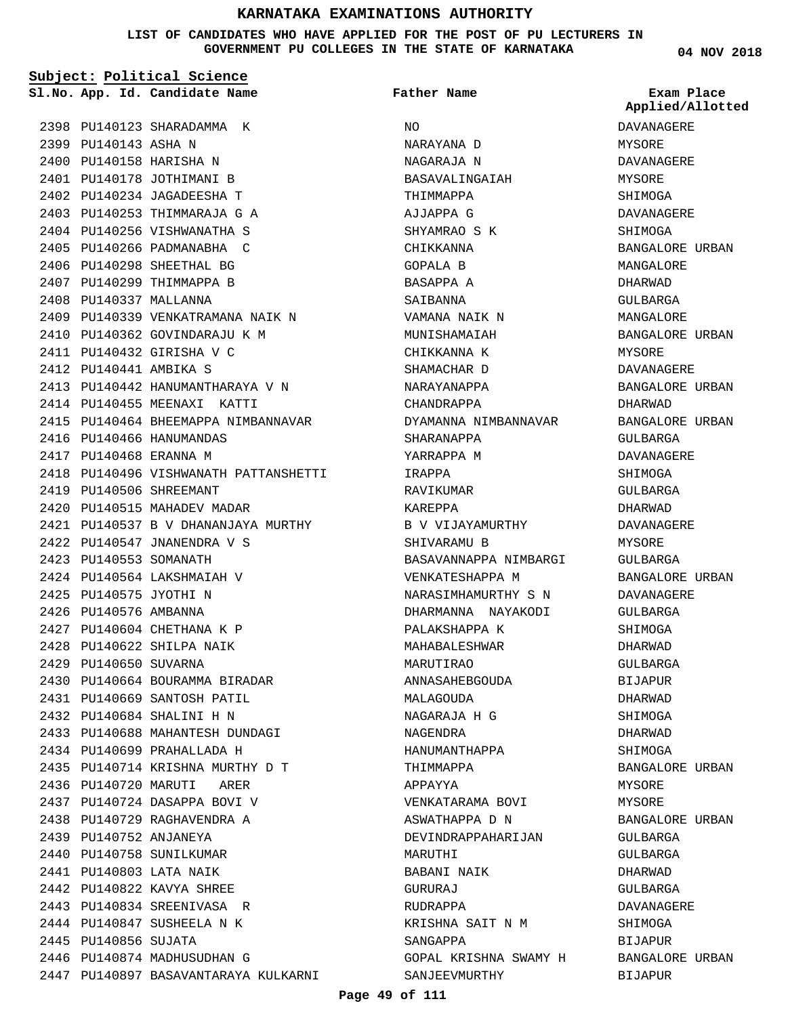#### **LIST OF CANDIDATES WHO HAVE APPLIED FOR THE POST OF PU LECTURERS IN GOVERNMENT PU COLLEGES IN THE STATE OF KARNATAKA**

**Subject: Political Science** 2398 PU140123 SHARADAMMA K 2399 PU140143 ASHA N 2400 PU140158 HARISHA N 2401 PU140178 JOTHIMANI B PU140234 JAGADEESHA T 2402 2403 PU140253 THIMMARAJA G A 2404 PU140256 VISHWANATHA S 2405 PU140266 PADMANABHA C 2406 PU140298 SHEETHAL BG 2407 PU140299 THIMMAPPA B 2408 PU140337 MALLANNA 2409 PU140339 VENKATRAMANA NAIK N 2410 PU140362 GOVINDARAJU K M PU140432 GIRISHA V C 2411 PU140441 AMBIKA S 2412 PU140442 HANUMANTHARAYA V N 2413 2414 PU140455 MEENAXI KATTI 2415 PU140464 BHEEMAPPA NIMBANNAVAR 2416 PU140466 HANUMANDAS 2417 PU140468 ERANNA M 2418 PU140496 VISHWANATH PATTANSHETTI 2419 PU140506 SHREEMANT 2420 PU140515 MAHADEV MADAR PU140537 B V DHANANJAYA MURTHY 2421 PU140547 JNANENDRA V S 2422 2423 PU140553 SOMANATH PU140564 LAKSHMAIAH V 2424 2425 PU140575 JYOTHI N 2426 PU140576 AMBANNA 2427 PU140604 CHETHANA K P PU140622 SHILPA NAIK 2428 2429 PU140650 SUVARNA 2430 PU140664 BOURAMMA BIRADAR PU140669 SANTOSH PATIL 2431 PU140684 SHALINI H N 2432 2433 PU140688 MAHANTESH DUNDAGI PU140699 PRAHALLADA H 2434 PU140714 KRISHNA MURTHY D T 2435 2436 PU140720 MARUTI ARER 2437 PU140724 DASAPPA BOVI V PU140729 RAGHAVENDRA A 2438 2439 PU140752 ANJANEYA 2440 PU140758 SUNILKUMAR PU140803 LATA NAIK 2441 PU140822 KAVYA SHREE 2442 2443 PU140834 SREENIVASA R 2444 PU140847 SUSHEELA N K 2445 PU140856 SUJATA 2446 PU140874 MADHUSUDHAN G 2447 PU140897 BASAVANTARAYA KULKARNI **App. Id. Candidate Name Sl.No. Exam Place**

 $M<sub>O</sub>$ NARAYANA D NAGARAJA N BASAVALINGAIAH THIMMAPPA AJJAPPA G SHYAMRAO S K CHIKKANNA GOPALA B BASAPPA A SAIRANNA VAMANA NAIK N MUNISHAMAIAH CHIKKANNA K SHAMACHAR D NARAYANAPPA CHANDRAPPA DYAMANNA NIMBANNAVAR SHARANAPPA YARRAPPA M IRAPPA RAVIKUMAR KAREPPA B V VIJAYAMURTHY SHIVARAMU B BASAVANNAPPA NIMBARGI VENKATESHAPPA M NARASIMHAMURTHY S N DHARMANNA NAYAKODI PALAKSHAPPA K MAHABALESHWAR MARUTIRAO ANNASAHEBGOUDA MALAGOUDA NAGARAJA H G NAGENDRA HANUMANTHAPPA THIMMAPPA APPAYYA VENKATARAMA BOVI ASWATHAPPA D N DEVINDRAPPAHARIJAN MARUTHI BABANI NAIK GURURAJ RUDRAPPA KRISHNA SAIT N M SANGAPPA GOPAL KRISHNA SWAMY H SANJEEVMURTHY **Father Name**

**04 NOV 2018** DAVANAGERE MYSORE DAVANAGERE MYSORE SHIMOGA DAVANAGERE SHIMOGA BANGALORE URBAN MANGALORE DHARWAD GULBARGA MANGALORE BANGALORE URBAN MYSORE DAVANAGERE BANGALORE URBAN DHARWAD BANGALORE URBAN GULBARGA DAVANAGERE SHIMOGA GULBARGA DHARWAD DAVANAGERE MYSORE GULBARGA BANGALORE URBAN DAVANAGERE GULBARGA SHIMOGA DHARWAD GULBARGA BIJAPUR DHARWAD SHIMOGA DHARWAD SHIMOGA BANGALORE URBAN MYSORE MYSORE BANGALORE URBAN **Applied/Allotted**

GULBARGA GULBARGA DHARWAD  $CITIRARCA$ DAVANAGERE SHIMOGA BIJAPUR

BANGALORE URBAN

BIJAPUR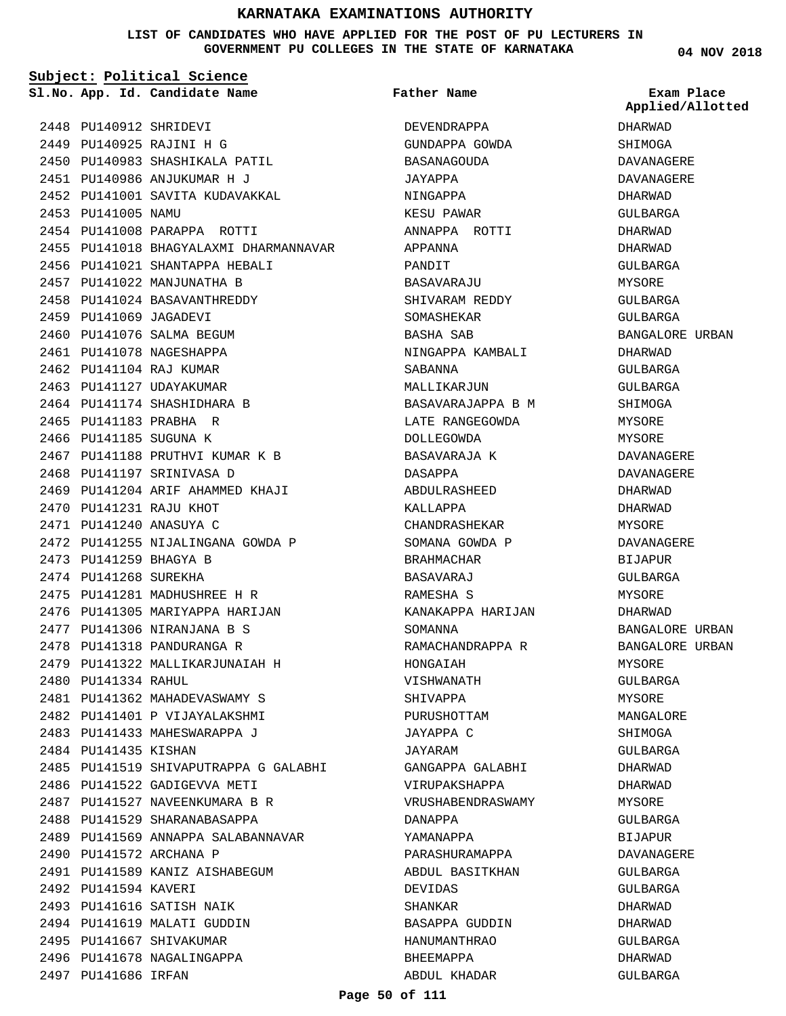**LIST OF CANDIDATES WHO HAVE APPLIED FOR THE POST OF PU LECTURERS IN GOVERNMENT PU COLLEGES IN THE STATE OF KARNATAKA**

**Subject: Political Science**

**App. Id. Candidate Name Sl.No. Exam Place**

**Father Name**

2448 PU140912 SHRIDEVI PU140925 RAJINI H G 2449 2450 PU140983 SHASHIKALA PATIL PU140986 ANJUKUMAR H J 2451 2452 PU141001 SAVITA KUDAVAKKAL 2453 PU141005 NAMU 2454 PU141008 PARAPPA ROTTI 2455 PU141018 BHAGYALAXMI DHARMANNAVAR 2456 PU141021 SHANTAPPA HEBALI 2457 PU141022 MANJUNATHA B 2458 PU141024 BASAVANTHREDDY 2459 PU141069 JAGADEVI 2460 PU141076 SALMA BEGUM 2461 PU141078 NAGESHAPPA 2462 PU141104 RAJ KUMAR 2463 PU141127 UDAYAKUMAR 2464 PU141174 SHASHIDHARA B 2465 PU141183 PRABHA R 2466 PU141185 SUGUNA K 2467 PU141188 PRUTHVI KUMAR K B 2468 PU141197 SRINIVASA D 2469 PU141204 ARIF AHAMMED KHAJI 2470 PU141231 RAJU KHOT PU141240 ANASUYA C 2471 2472 PU141255 NIJALINGANA GOWDA P 2473 PU141259 BHAGYA B 2474 PU141268 SUREKHA PU141281 MADHUSHREE H R 2475 2476 PU141305 MARIYAPPA HARIJAN PU141306 NIRANJANA B S 2477 2478 PU141318 PANDURANGA R PU141322 MALLIKARJUNAIAH H 2479 PU141334 RAHUL 2480 2481 PU141362 MAHADEVASWAMY S 2482 PU141401 P VIJAYALAKSHMI 2483 PU141433 MAHESWARAPPA J 2484 PU141435 KISHAN 2485 PU141519 SHIVAPUTRAPPA G GALABHI 2486 PU141522 GADIGEVVA METI 2487 PU141527 NAVEENKUMARA B R 2488 PU141529 SHARANABASAPPA 2489 PU141569 ANNAPPA SALABANNAVAR 2490 PU141572 ARCHANA P 2491 PU141589 KANIZ AISHABEGUM 2492 PU141594 KAVERI 2493 PU141616 SATISH NAIK 2494 PU141619 MALATI GUDDIN 2495 PU141667 SHIVAKUMAR 2496 PU141678 NAGALINGAPPA 2497 PU141686 IRFAN

DEVENDRAPPA GUNDAPPA GOWDA BASANAGOUDA JAYAPPA NINGAPPA KESU PAWAR ANNAPPA ROTTI APPANNA PANDIT BASAVARAJU SHIVARAM REDDY SOMASHEKAR BASHA SAB NINGAPPA KAMBALI SABANNA MALLIKARJUN BASAVARAJAPPA B M LATE RANGEGOWDA DOLLEGOWDA BASAVARAJA K DASAPPA ABDULRASHEED KALLAPPA CHANDRASHEKAR SOMANA GOWDA P BRAHMACHAR BASAVARAJ RAMESHA S KANAKAPPA HARIJAN SOMANNA RAMACHANDRAPPA R HONGAIAH VISHWANATH SHIVAPPA PURUSHOTTAM JAYAPPA C JAYARAM GANGAPPA GALABHI VIRUPAKSHAPPA VRUSHABENDRASWAMY DANAPPA YAMANAPPA PARASHURAMAPPA ABDUL BASITKHAN DEVIDAS SHANKAR BASAPPA GUDDIN HANUMANTHRAO BHEEMAPPA ABDUL KHADAR

**04 NOV 2018**

**Applied/Allotted**

DHARWAD SHIMOGA DAVANAGERE DAVANAGERE DHARWAD GULBARGA DHARWAD DHARWAD GULBARGA MYSORE GULBARGA GULBARGA BANGALORE URBAN DHARWAD GULBARGA GULBARGA SHIMOGA **MYSORE** MYSORE DAVANAGERE DAVANAGERE DHARWAD DHARWAD **MYSORE** DAVANAGERE BIJAPUR CIILBARGA MYSORE DHARWAD BANGALORE URBAN BANGALORE URBAN MYSORE GULBARGA MYSORE MANGALORE **SHIMOGA** GULBARGA DHARWAD DHARWAD MYSORE GULBARGA BIJAPUR DAVANAGERE GIILBARGA GULBARGA DHARWAD DHARWAD GULBARGA DHARWAD GULBARGA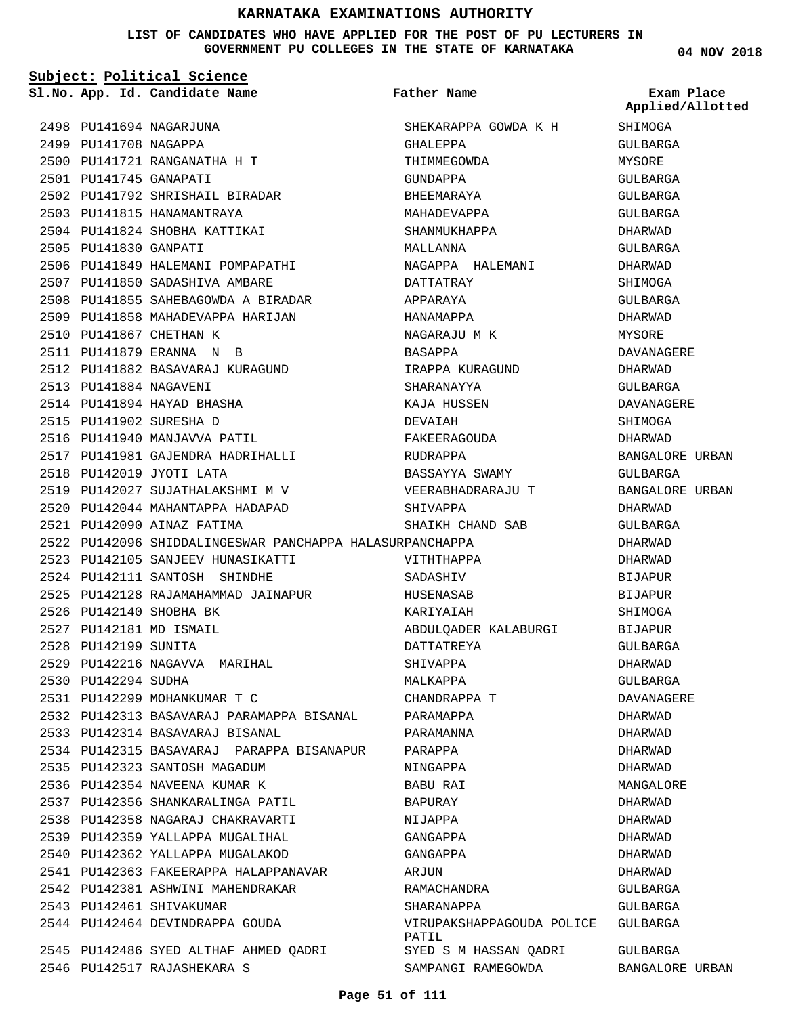**LIST OF CANDIDATES WHO HAVE APPLIED FOR THE POST OF PU LECTURERS IN GOVERNMENT PU COLLEGES IN THE STATE OF KARNATAKA**

**04 NOV 2018**

| Subject: Political Science |                                                          |                                    |                                |  |
|----------------------------|----------------------------------------------------------|------------------------------------|--------------------------------|--|
|                            | Sl.No. App. Id. Candidate Name                           | Father Name                        | Exam Place<br>Applied/Allotted |  |
|                            | 2498 PU141694 NAGARJUNA                                  | SHEKARAPPA GOWDA K H               | SHIMOGA                        |  |
| 2499 PU141708 NAGAPPA      |                                                          | GHALEPPA                           | GULBARGA                       |  |
|                            | 2500 PU141721 RANGANATHA H T                             | THIMMEGOWDA                        | MYSORE                         |  |
| 2501 PU141745 GANAPATI     |                                                          | GUNDAPPA                           | GULBARGA                       |  |
|                            | 2502 PU141792 SHRISHAIL BIRADAR                          | BHEEMARAYA                         | GULBARGA                       |  |
|                            | 2503 PU141815 HANAMANTRAYA                               | MAHADEVAPPA                        | GULBARGA                       |  |
|                            | 2504 PU141824 SHOBHA KATTIKAI                            | SHANMUKHAPPA                       | DHARWAD                        |  |
| 2505 PU141830 GANPATI      |                                                          | MALLANNA                           | GULBARGA                       |  |
|                            | 2506 PU141849 HALEMANI POMPAPATHI                        | NAGAPPA HALEMANI                   | DHARWAD                        |  |
|                            | 2507 PU141850 SADASHIVA AMBARE                           | DATTATRAY                          | SHIMOGA                        |  |
|                            | 2508 PU141855 SAHEBAGOWDA A BIRADAR                      | APPARAYA                           | GULBARGA                       |  |
|                            | 2509 PU141858 MAHADEVAPPA HARIJAN                        | HANAMAPPA                          | DHARWAD                        |  |
|                            | 2510 PU141867 CHETHAN K                                  | NAGARAJU M K                       | MYSORE                         |  |
|                            | 2511 PU141879 ERANNA N B                                 | BASAPPA                            | DAVANAGERE                     |  |
|                            | 2512 PU141882 BASAVARAJ KURAGUND                         | IRAPPA KURAGUND                    | DHARWAD                        |  |
| 2513 PU141884 NAGAVENI     |                                                          | SHARANAYYA                         | GULBARGA                       |  |
|                            | 2514 PU141894 HAYAD BHASHA                               | KAJA HUSSEN                        | DAVANAGERE                     |  |
|                            | 2515 PU141902 SURESHA D                                  | DEVAIAH                            | SHIMOGA                        |  |
|                            | 2516 PU141940 MANJAVVA PATIL                             | FAKEERAGOUDA                       | DHARWAD                        |  |
|                            | 2517 PU141981 GAJENDRA HADRIHALLI                        | RUDRAPPA                           | BANGALORE URBAN                |  |
|                            | 2518 PU142019 JYOTI LATA                                 | BASSAYYA SWAMY                     | GULBARGA                       |  |
|                            | 2519 PU142027 SUJATHALAKSHMI M V                         | VEERABHADRARAJU T                  | BANGALORE URBAN                |  |
|                            | 2520 PU142044 MAHANTAPPA HADAPAD                         | SHIVAPPA                           | DHARWAD                        |  |
|                            | 2521 PU142090 AINAZ FATIMA                               | SHAIKH CHAND SAB                   | GULBARGA                       |  |
|                            | 2522 PU142096 SHIDDALINGESWAR PANCHAPPA HALASURPANCHAPPA |                                    | DHARWAD                        |  |
|                            | 2523 PU142105 SANJEEV HUNASIKATTI                        | VITHTHAPPA                         | DHARWAD                        |  |
|                            | 2524 PU142111 SANTOSH SHINDHE                            | SADASHIV                           | BIJAPUR                        |  |
|                            |                                                          |                                    | BIJAPUR                        |  |
|                            | 2526 PU142140 SHOBHA BK                                  | KARIYAIAH                          | SHIMOGA                        |  |
|                            | 2527 PU142181 MD ISMAIL                                  | ABDULQADER KALABURGI               | BIJAPUR                        |  |
| 2528 PU142199 SUNITA       |                                                          | DATTATREYA                         | GULBARGA                       |  |
|                            | 2529 PU142216 NAGAVVA  MARIHAL                           | SHIVAPPA                           | DHARWAD                        |  |
| 2530 PU142294 SUDHA        |                                                          | MALKAPPA                           | GULBARGA                       |  |
|                            | 2531 PU142299 MOHANKUMAR T C                             |                                    | DAVANAGERE                     |  |
|                            |                                                          | CHANDRAPPA T                       |                                |  |
|                            | 2532 PU142313 BASAVARAJ PARAMAPPA BISANAL                | PARAMAPPA                          | DHARWAD                        |  |
|                            | 2533 PU142314 BASAVARAJ BISANAL                          | PARAMANNA                          | DHARWAD                        |  |
|                            | 2534 PU142315 BASAVARAJ  PARAPPA BISANAPUR               | PARAPPA                            | DHARWAD                        |  |
|                            | 2535 PU142323 SANTOSH MAGADUM                            | NINGAPPA                           | DHARWAD                        |  |
|                            | 2536 PU142354 NAVEENA KUMAR K                            | BABU RAI                           | MANGALORE                      |  |
|                            | 2537 PU142356 SHANKARALINGA PATIL                        | BAPURAY                            | DHARWAD                        |  |
|                            | 2538 PU142358 NAGARAJ CHAKRAVARTI                        | NIJAPPA                            | DHARWAD                        |  |
|                            | 2539 PU142359 YALLAPPA MUGALIHAL                         | GANGAPPA                           | DHARWAD                        |  |
|                            | 2540 PU142362 YALLAPPA MUGALAKOD                         | GANGAPPA                           | DHARWAD                        |  |
|                            | 2541 PU142363 FAKEERAPPA HALAPPANAVAR                    | ARJUN                              | DHARWAD                        |  |
|                            | 2542 PU142381 ASHWINI MAHENDRAKAR                        | RAMACHANDRA                        | GULBARGA                       |  |
|                            | 2543 PU142461 SHIVAKUMAR                                 | SHARANAPPA                         | GULBARGA                       |  |
|                            | 2544 PU142464 DEVINDRAPPA GOUDA                          | VIRUPAKSHAPPAGOUDA POLICE<br>PATIL | GULBARGA                       |  |
|                            | 2545 PU142486 SYED ALTHAF AHMED QADRI                    | SYED S M HASSAN QADRI              | GULBARGA                       |  |
|                            | 2546 PU142517 RAJASHEKARA S                              | SAMPANGI RAMEGOWDA                 | BANGALORE URBAN                |  |

#### **Page 51 of 111**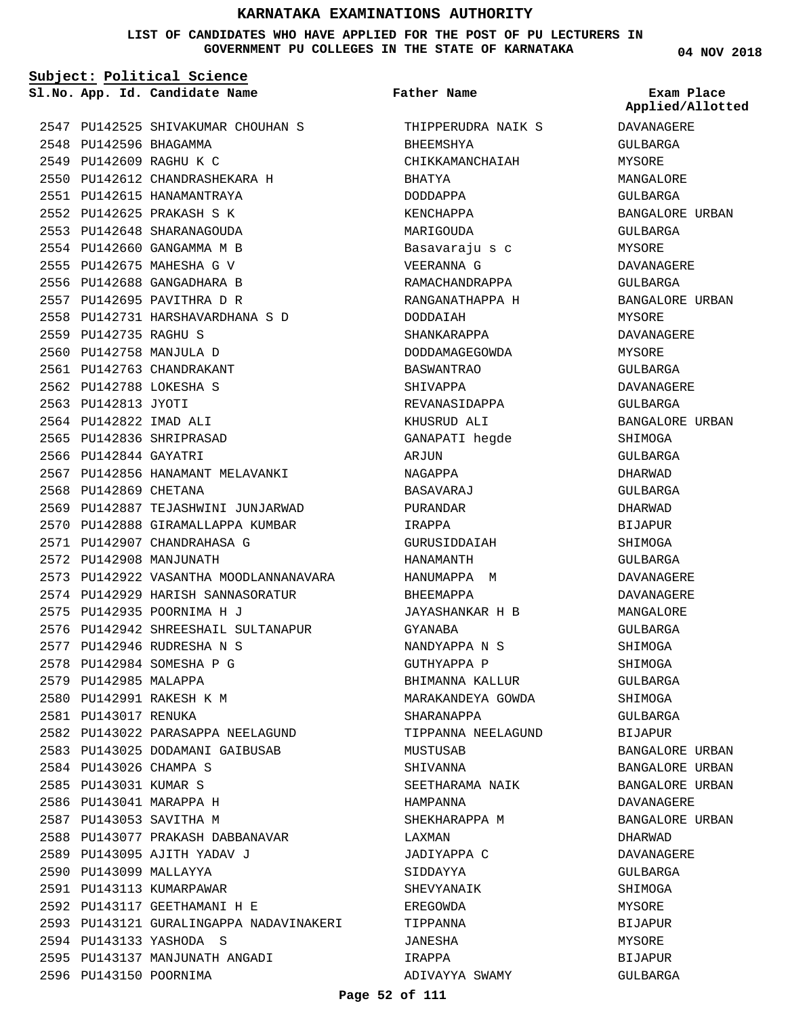**LIST OF CANDIDATES WHO HAVE APPLIED FOR THE POST OF PU LECTURERS IN GOVERNMENT PU COLLEGES IN THE STATE OF KARNATAKA**

**Subject: Political Science**

**App. Id. Candidate Name Sl.No. Exam Place**

2547 PU142525 SHIVAKUMAR CHOUHAN S 2548 PU142596 BHAGAMMA 2549 PU142609 RAGHU K C PU142612 CHANDRASHEKARA H 2550 2551 PU142615 HANAMANTRAYA PU142625 PRAKASH S K 2552 2553 PU142648 SHARANAGOUDA 2554 PU142660 GANGAMMA M B 2555 PU142675 MAHESHA G V 2556 PU142688 GANGADHARA B 2557 PU142695 PAVITHRA D R PU142731 HARSHAVARDHANA S D 2558 2559 PU142735 RAGHU S 2560 PU142758 MANJULA D 2561 PU142763 CHANDRAKANT PU142788 LOKESHA S 2562 2563 PU142813 JYOTI PU142822 IMAD ALI 2564 2565 PU142836 SHRIPRASAD 2566 PU142844 GAYATRI 2567 PU142856 HANAMANT MELAVANKI 2568 PU142869 CHETANA 2569 PU142887 TEJASHWINI JUNJARWAD 2570 PU142888 GIRAMALLAPPA KUMBAR 2571 PU142907 CHANDRAHASA G 2572 PU142908 MANJUNATH 2573 PU142922 VASANTHA MOODLANNANAVARA 2574 PU142929 HARISH SANNASORATUR PU142935 POORNIMA H J 2575 2576 PU142942 SHREESHAIL SULTANAPUR PU142946 RUDRESHA N S 2577 2578 PU142984 SOMESHA P G 2579 PU142985 MALAPPA 2580 PU142991 RAKESH K M 2581 PU143017 RENUKA 2582 PU143022 PARASAPPA NEELAGUND 2583 PU143025 DODAMANI GAIBUSAB 2584 PU143026 CHAMPA S 2585 PU143031 KUMAR S 2586 PU143041 MARAPPA H 2587 PU143053 SAVITHA M 2588 PU143077 PRAKASH DABBANAVAR 2589 PU143095 AJITH YADAV J 2590 PU143099 MALLAYYA 2591 PU143113 KUMARPAWAR PU143117 GEETHAMANI H E 2592 2593 PU143121 GURALINGAPPA NADAVINAKERI 2594 PU143133 YASHODA S 2595 PU143137 MANJUNATH ANGADI 2596 PU143150 POORNIMA

THIPPERUDRA NAIK S BHEEMSHYA CHIKKAMANCHAIAH BHATYA DODDAPPA KENCHAPPA MARIGOUDA Basavaraju s c VEERANNA G RAMACHANDRAPPA RANGANATHAPPA H DODDAIAH SHANKARAPPA DODDAMAGEGOWDA BASWANTRAO SHIVAPPA REVANASIDAPPA KHUSRUD ALI GANAPATI hegde ARJUN NAGAPPA BASAVARAJ PURANDAR IRAPPA GURUSIDDAIAH HANAMANTH HANUMAPPA M BHEEMAPPA JAYASHANKAR H B GYANABA NANDYAPPA N S GUTHYAPPA P BHIMANNA KALLUR MARAKANDEYA GOWDA SHARANAPPA TIPPANNA NEELAGUND MUSTUSAB SHIVANNA SEETHARAMA NAIK HAMPANNA SHEKHARAPPA M LAXMAN JADIYAPPA C SIDDAYYA SHEVYANAIK EREGOWDA TIPPANNA JANESHA IRAPPA ADIVAYYA SWAMY **Father Name**

**04 NOV 2018**

**Applied/Allotted**

DAVANAGERE GULBARGA MYSORE MANGALORE GULBARGA BANGALORE URBAN GULBARGA MYSORE DAVANAGERE GULBARGA BANGALORE URBAN MYSORE DAVANAGERE MYSORE GULBARGA DAVANAGERE GULBARGA BANGALORE URBAN SHIMOGA GULBARGA DHARWAD GULBARGA DHARWAD BIJAPUR SHIMOGA GULBARGA DAVANAGERE DAVANAGERE MANGALORE GULBARGA SHIMOGA SHIMOGA GULBARGA SHIMOGA GULBARGA BIJAPUR BANGALORE URBAN BANGALORE URBAN BANGALORE URBAN DAVANAGERE BANGALORE URBAN DHARWAD DAVANAGERE GULBARGA **SHIMOGA** MYSORE BIJAPUR MYSORE BIJAPUR

GULBARGA

**Page 52 of 111**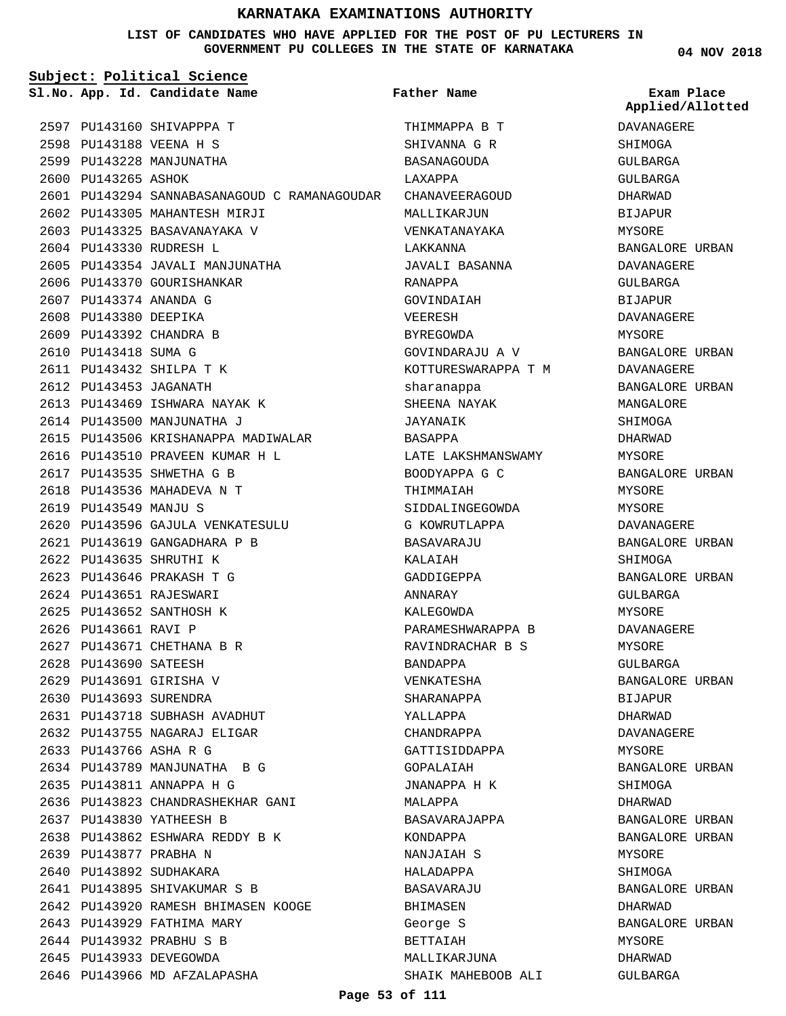**LIST OF CANDIDATES WHO HAVE APPLIED FOR THE POST OF PU LECTURERS IN GOVERNMENT PU COLLEGES IN THE STATE OF KARNATAKA**

|                        | Subject: Political Science                   |                     |                                |
|------------------------|----------------------------------------------|---------------------|--------------------------------|
|                        | Sl.No. App. Id. Candidate Name               | Father Name         | Exam Place<br>Applied/Allotted |
|                        | 2597 PU143160 SHIVAPPPA T                    | THIMMAPPA B T       | DAVANAGERE                     |
|                        | 2598 PU143188 VEENA H S                      | SHIVANNA G R        | SHIMOGA                        |
|                        | 2599 PU143228 MANJUNATHA                     | BASANAGOUDA         | GULBARGA                       |
| 2600 PU143265 ASHOK    |                                              | LAXAPPA             | GULBARGA                       |
|                        | 2601 PU143294 SANNABASANAGOUD C RAMANAGOUDAR | CHANAVEERAGOUD      | DHARWAD                        |
|                        | 2602 PU143305 MAHANTESH MIRJI                | MALLIKARJUN         | BIJAPUR                        |
|                        | 2603 PU143325 BASAVANAYAKA V                 | VENKATANAYAKA       | MYSORE                         |
|                        | 2604 PU143330 RUDRESH L                      | LAKKANNA            | BANGALORE URBAN                |
|                        | 2605 PU143354 JAVALI MANJUNATHA              | JAVALI BASANNA      | DAVANAGERE                     |
|                        | 2606 PU143370 GOURISHANKAR                   | RANAPPA             | GULBARGA                       |
| 2607 PU143374 ANANDA G |                                              | GOVINDAIAH          | <b>BIJAPUR</b>                 |
| 2608 PU143380 DEEPIKA  |                                              | VEERESH             | DAVANAGERE                     |
|                        | 2609 PU143392 CHANDRA B                      | <b>BYREGOWDA</b>    | MYSORE                         |
| 2610 PU143418 SUMA G   |                                              | GOVINDARAJU A V     | BANGALORE URBAN                |
|                        | 2611 PU143432 SHILPA T K                     | KOTTURESWARAPPA T M | <b>DAVANAGERE</b>              |
| 2612 PU143453 JAGANATH |                                              | sharanappa          | BANGALORE URBAN                |
|                        | 2613 PU143469 ISHWARA NAYAK K                | SHEENA NAYAK        | MANGALORE                      |
|                        | 2614 PU143500 MANJUNATHA J                   | JAYANAIK            | SHIMOGA                        |
|                        | 2615 PU143506 KRISHANAPPA MADIWALAR          | <b>BASAPPA</b>      | DHARWAD                        |
|                        | 2616 PU143510 PRAVEEN KUMAR H L              | LATE LAKSHMANSWAMY  | MYSORE                         |
|                        | 2617 PU143535 SHWETHA G B                    | BOODYAPPA G C       | BANGALORE URBAN                |
|                        | 2618 PU143536 MAHADEVA N T                   | THIMMAIAH           | MYSORE                         |
| 2619 PU143549 MANJU S  |                                              | SIDDALINGEGOWDA     | MYSORE                         |
|                        | 2620 PU143596 GAJULA VENKATESULU             | G KOWRUTLAPPA       | DAVANAGERE                     |
|                        | 2621 PU143619 GANGADHARA P B                 | BASAVARAJU          | BANGALORE URBAN                |
|                        | 2622 PU143635 SHRUTHI K                      | KALAIAH             | SHIMOGA                        |
|                        | 2623 PU143646 PRAKASH T G                    | GADDIGEPPA          | BANGALORE URBAN                |
|                        | 2624 PU143651 RAJESWARI                      | ANNARAY             | <b>GULBARGA</b>                |
|                        | 2625 PU143652 SANTHOSH K                     | KALEGOWDA           | MYSORE                         |
| 2626 PU143661 RAVI P   |                                              | PARAMESHWARAPPA B   | DAVANAGERE                     |
|                        | 2627 PU143671 CHETHANA B R                   | RAVINDRACHAR B S    | <b>MYSORE</b>                  |
| 2628 PU143690 SATEESH  |                                              | BANDAPPA            | GULBARGA                       |
|                        | 2629 PU143691 GIRISHA V                      | VENKATESHA          | BANGALORE URBAN                |
| 2630 PU143693 SURENDRA |                                              | SHARANAPPA          | BIJAPUR                        |
|                        | 2631 PU143718 SUBHASH AVADHUT                | YALLAPPA            | DHARWAD                        |
|                        | 2632 PU143755 NAGARAJ ELIGAR                 | CHANDRAPPA          | <b>DAVANAGERE</b>              |
| 2633 PU143766 ASHA R G |                                              | GATTISIDDAPPA       | MYSORE                         |
|                        | 2634 PU143789 MANJUNATHA B G                 | GOPALAIAH           | BANGALORE URBAN                |
|                        | 2635 PU143811 ANNAPPA H G                    | JNANAPPA H K        | SHIMOGA                        |
|                        | 2636 PU143823 CHANDRASHEKHAR GANI            | MALAPPA             | DHARWAD                        |
|                        | 2637 PU143830 YATHEESH B                     | BASAVARAJAPPA       | BANGALORE URBAN                |
|                        | 2638 PU143862 ESHWARA REDDY B K              | KONDAPPA            | BANGALORE URBAN                |
| 2639 PU143877 PRABHA N |                                              | NANJAIAH S          | MYSORE                         |
|                        | 2640 PU143892 SUDHAKARA                      |                     |                                |
|                        | 2641 PU143895 SHIVAKUMAR S B                 | HALADAPPA           | SHIMOGA                        |
|                        |                                              | BASAVARAJU          | BANGALORE URBAN                |
|                        | 2642 PU143920 RAMESH BHIMASEN KOOGE          | BHIMASEN            | DHARWAD                        |
|                        | 2643 PU143929 FATHIMA MARY                   | George S            | BANGALORE URBAN                |
|                        | 2644 PU143932 PRABHU S B                     | BETTAIAH            | MYSORE                         |
|                        | 2645 PU143933 DEVEGOWDA                      | MALLIKARJUNA        | DHARWAD                        |
|                        | 2646 PU143966 MD AFZALAPASHA                 | SHAIK MAHEBOOB ALI  | GULBARGA                       |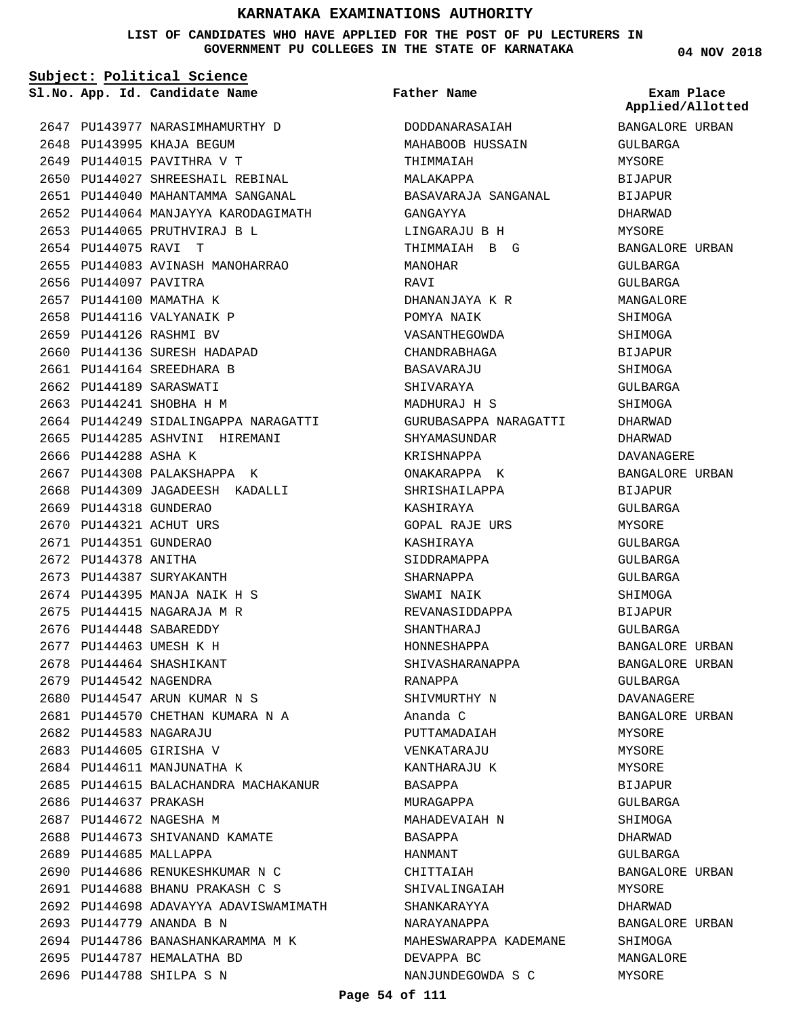**LIST OF CANDIDATES WHO HAVE APPLIED FOR THE POST OF PU LECTURERS IN GOVERNMENT PU COLLEGES IN THE STATE OF KARNATAKA**

**Subject: Political Science**

**App. Id. Candidate Name Sl.No. Exam Place**

**Father Name**

|                        |                                       |                       | Applied/Allotted |
|------------------------|---------------------------------------|-----------------------|------------------|
|                        | 2647 PU143977 NARASIMHAMURTHY D       | DODDANARASAIAH        | BANGALORE URBAN  |
|                        | 2648 PU143995 KHAJA BEGUM             | MAHABOOB HUSSAIN      | GULBARGA         |
|                        | 2649 PU144015 PAVITHRA V T            | THIMMAIAH             | MYSORE           |
|                        | 2650 PU144027 SHREESHAIL REBINAL      | MALAKAPPA             | <b>BIJAPUR</b>   |
|                        | 2651 PU144040 MAHANTAMMA SANGANAL     | BASAVARAJA SANGANAL   | BIJAPUR          |
|                        | 2652 PU144064 MANJAYYA KARODAGIMATH   | GANGAYYA              | DHARWAD          |
|                        | 2653 PU144065 PRUTHVIRAJ B L          | LINGARAJU B H         | MYSORE           |
| 2654 PU144075 RAVI T   |                                       | THIMMAIAH B G         | BANGALORE URBAN  |
|                        | 2655 PU144083 AVINASH MANOHARRAO      | MANOHAR               | GULBARGA         |
| 2656 PU144097 PAVITRA  |                                       | RAVI                  | GULBARGA         |
|                        | 2657 PU144100 MAMATHA K               | DHANANJAYA K R        | MANGALORE        |
|                        | 2658 PU144116 VALYANAIK P             | POMYA NAIK            | SHIMOGA          |
|                        | 2659 PU144126 RASHMI BV               | VASANTHEGOWDA         | SHIMOGA          |
|                        | 2660 PU144136 SURESH HADAPAD          | CHANDRABHAGA          | BIJAPUR          |
|                        | 2661 PU144164 SREEDHARA B             | BASAVARAJU            | SHIMOGA          |
|                        | 2662 PU144189 SARASWATI               | SHIVARAYA             | GULBARGA         |
|                        | 2663 PU144241 SHOBHA H M              | MADHURAJ H S          | SHIMOGA          |
|                        | 2664 PU144249 SIDALINGAPPA NARAGATTI  | GURUBASAPPA NARAGATTI | DHARWAD          |
|                        | 2665 PU144285 ASHVINI HIREMANI        | SHYAMASUNDAR          | DHARWAD          |
| 2666 PU144288 ASHA K   |                                       | KRISHNAPPA            | DAVANAGERE       |
|                        | 2667 PU144308 PALAKSHAPPA K           | ONAKARAPPA K          | BANGALORE URBAN  |
|                        | 2668 PU144309 JAGADEESH KADALLI       | SHRISHAILAPPA         | BIJAPUR          |
| 2669 PU144318 GUNDERAO |                                       | KASHIRAYA             | GULBARGA         |
|                        | 2670 PU144321 ACHUT URS               | GOPAL RAJE URS        | MYSORE           |
| 2671 PU144351 GUNDERAO |                                       | KASHIRAYA             | GULBARGA         |
| 2672 PU144378 ANITHA   |                                       | SIDDRAMAPPA           | GULBARGA         |
|                        | 2673 PU144387 SURYAKANTH              | SHARNAPPA             | GULBARGA         |
|                        | 2674 PU144395 MANJA NAIK H S          | SWAMI NAIK            | SHIMOGA          |
|                        | 2675 PU144415 NAGARAJA M R            | REVANASIDDAPPA        | <b>BIJAPUR</b>   |
|                        | 2676 PU144448 SABAREDDY               | SHANTHARAJ            | GULBARGA         |
|                        | 2677 PU144463 UMESH K H               | HONNESHAPPA           | BANGALORE URBAN  |
|                        | 2678 PU144464 SHASHIKANT              | SHIVASHARANAPPA       | BANGALORE URBAN  |
| 2679 PU144542 NAGENDRA |                                       | RANAPPA               | GULBARGA         |
|                        | 2680 PU144547 ARUN KUMAR N S          | SHIVMURTHY N          | DAVANAGERE       |
|                        | 2681 PU144570 CHETHAN KUMARA N A      | Ananda C              | BANGALORE URBAN  |
| 2682 PU144583 NAGARAJU |                                       | PUTTAMADAIAH          | MYSORE           |
|                        | 2683 PU144605 GIRISHA V               | VENKATARAJU           | MYSORE           |
|                        | 2684 PU144611 MANJUNATHA K            | KANTHARAJU K          | MYSORE           |
|                        | 2685 PU144615 BALACHANDRA MACHAKANUR  | BASAPPA               | BIJAPUR          |
| 2686 PU144637 PRAKASH  |                                       | MURAGAPPA             | GULBARGA         |
|                        | 2687 PU144672 NAGESHA M               | MAHADEVAIAH N         | SHIMOGA          |
|                        | 2688 PU144673 SHIVANAND KAMATE        | BASAPPA               | DHARWAD          |
| 2689 PU144685 MALLAPPA |                                       | HANMANT               | GULBARGA         |
|                        | 2690 PU144686 RENUKESHKUMAR N C       | CHITTAIAH             | BANGALORE URBAN  |
|                        | 2691 PU144688 BHANU PRAKASH C S       | SHIVALINGAIAH         | MYSORE           |
|                        | 2692 PU144698 ADAVAYYA ADAVISWAMIMATH | SHANKARAYYA           | DHARWAD          |
|                        | 2693 PU144779 ANANDA B N              | NARAYANAPPA           | BANGALORE URBAN  |
|                        | 2694 PU144786 BANASHANKARAMMA M K     | MAHESWARAPPA KADEMANE | SHIMOGA          |
|                        | 2695 PU144787 HEMALATHA BD            | DEVAPPA BC            | MANGALORE        |
|                        | 2696 PU144788 SHILPA S N              | NANJUNDEGOWDA S C     | MYSORE           |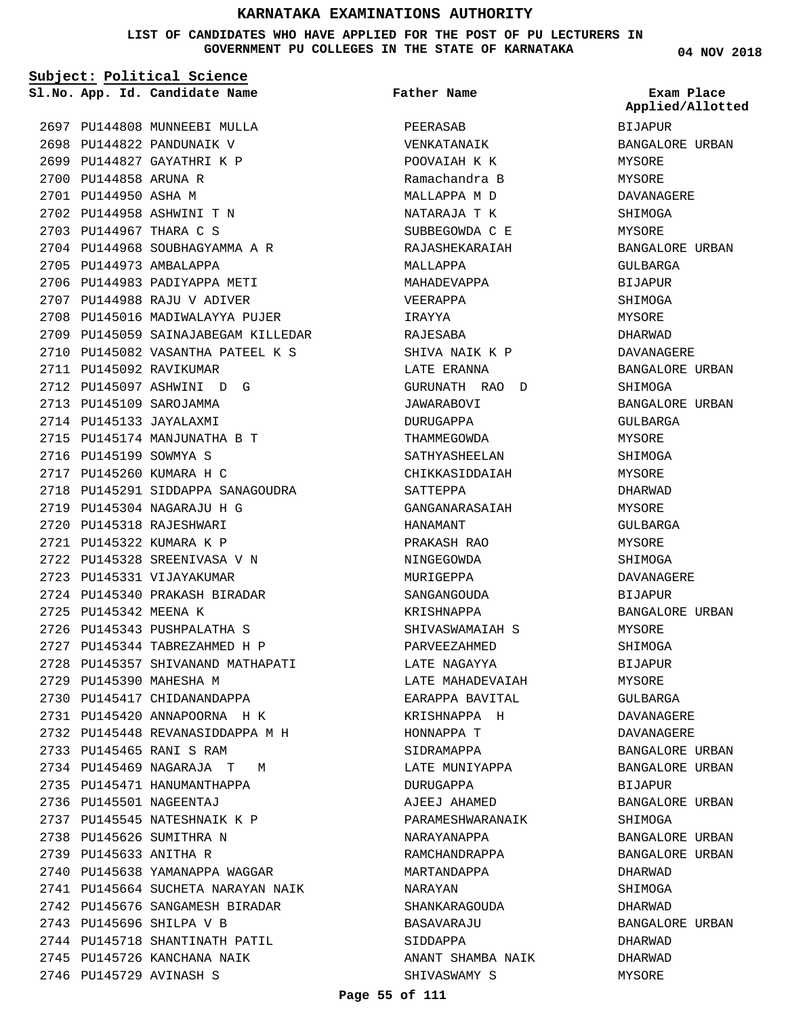**LIST OF CANDIDATES WHO HAVE APPLIED FOR THE POST OF PU LECTURERS IN GOVERNMENT PU COLLEGES IN THE STATE OF KARNATAKA**

**Subject: Political Science**

**App. Id. Candidate Name Sl.No. Exam Place**

2697 PU144808 MUNNEEBI MULLA 2698 PU144822 PANDUNAIK V 2699 PU144827 GAYATHRI K P 2700 PU144858 ARUNA R 2701 PU144950 ASHA M 2702 PU144958 ASHWINI T N PU144967 THARA C S 2703 2704 PU144968 SOUBHAGYAMMA A R 2705 PU144973 AMBALAPPA 2706 PU144983 PADIYAPPA METI 2707 PU144988 RAJU V ADIVER 2708 PU145016 MADIWALAYYA PUJER 2709 PU145059 SAINAJABEGAM KILLEDAR 2710 PU145082 VASANTHA PATEEL K S 2711 PU145092 RAVIKUMAR 2712 PU145097 ASHWINI D G 2713 PU145109 SAROJAMMA 2714 PU145133 JAYALAXMI 2715 PU145174 MANJUNATHA B T 2716 PU145199 SOWMYA S 2717 PU145260 KUMARA H C 2718 PU145291 SIDDAPPA SANAGOUDRA PU145304 NAGARAJU H G 2719 2720 PU145318 RAJESHWARI PU145322 KUMARA K P 2721 2722 PU145328 SREENIVASA V N 2723 PU145331 VIJAYAKUMAR 2724 PU145340 PRAKASH BIRADAR 2725 PU145342 MEENA K 2726 PU145343 PUSHPALATHA S PU145344 TABREZAHMED H P 2727 2728 PU145357 SHIVANAND MATHAPATI 2729 PU145390 MAHESHA M 2730 PU145417 CHIDANANDAPPA PU145420 ANNAPOORNA H K 2731 PU145448 REVANASIDDAPPA M H 2732 2733 PU145465 RANI S RAM PU145469 NAGARAJA T M 2734 2735 PU145471 HANUMANTHAPPA 2736 PU145501 NAGEENTAJ 2737 PU145545 NATESHNAIK K P 2738 PU145626 SUMITHRA N 2739 PU145633 ANITHA R 2740 PU145638 YAMANAPPA WAGGAR 2741 PU145664 SUCHETA NARAYAN NAIK 2742 PU145676 SANGAMESH BIRADAR 2743 PU145696 SHILPA V B 2744 PU145718 SHANTINATH PATIL 2745 PU145726 KANCHANA NAIK 2746 PU145729 AVINASH S

PEERASAB VENKATANAIK POOVAIAH K K Ramachandra B MALLAPPA M D NATARAJA T K SUBBEGOWDA C E RAJASHEKARAIAH MALLAPPA MAHADEVAPPA VEERAPPA IRAYYA RAJESABA SHIVA NAIK K P LATE ERANNA GURUNATH RAO D JAWARABOVI DURUGAPPA THAMMEGOWDA SATHYASHEELAN CHIKKASIDDAIAH SATTEPPA GANGANARASAIAH HANAMANT PRAKASH RAO NINGEGOWDA MURIGEPPA SANGANGOUDA KRISHNAPPA SHIVASWAMAIAH S PARVEEZAHMED LATE NAGAYYA LATE MAHADEVAIAH EARAPPA BAVITAL KRISHNAPPA H HONNAPPA T SIDRAMAPPA LATE MUNIYAPPA DURUGAPPA AJEEJ AHAMED PARAMESHWARANAIK NARAYANAPPA RAMCHANDRAPPA MARTANDAPPA NARAYAN SHANKARAGOUDA BASAVARAJU SIDDAPPA ANANT SHAMBA NAIK SHIVASWAMY S **Father Name**

**04 NOV 2018**

BIJAPUR BANGALORE URBAN MYSORE MYSORE DAVANAGERE SHIMOGA MYSORE BANGALORE URBAN GULBARGA BIJAPUR SHIMOGA MYSORE DHARWAD DAVANAGERE BANGALORE URBAN SHIMOGA BANGALORE URBAN GULBARGA MYSORE SHIMOGA MYSORE DHARWAD MYSORE GULBARGA MYSORE SHIMOGA DAVANAGERE BIJAPUR BANGALORE URBAN MYSORE SHIMOGA BIJAPUR MYSORE GULBARGA DAVANAGERE DAVANAGERE BANGALORE URBAN BANGALORE URBAN BIJAPUR BANGALORE URBAN SHIMOGA BANGALORE URBAN BANGALORE URBAN DHARWAD **SHIMOGA** DHARWAD BANGALORE URBAN DHARWAD DHARWAD MYSORE **Applied/Allotted**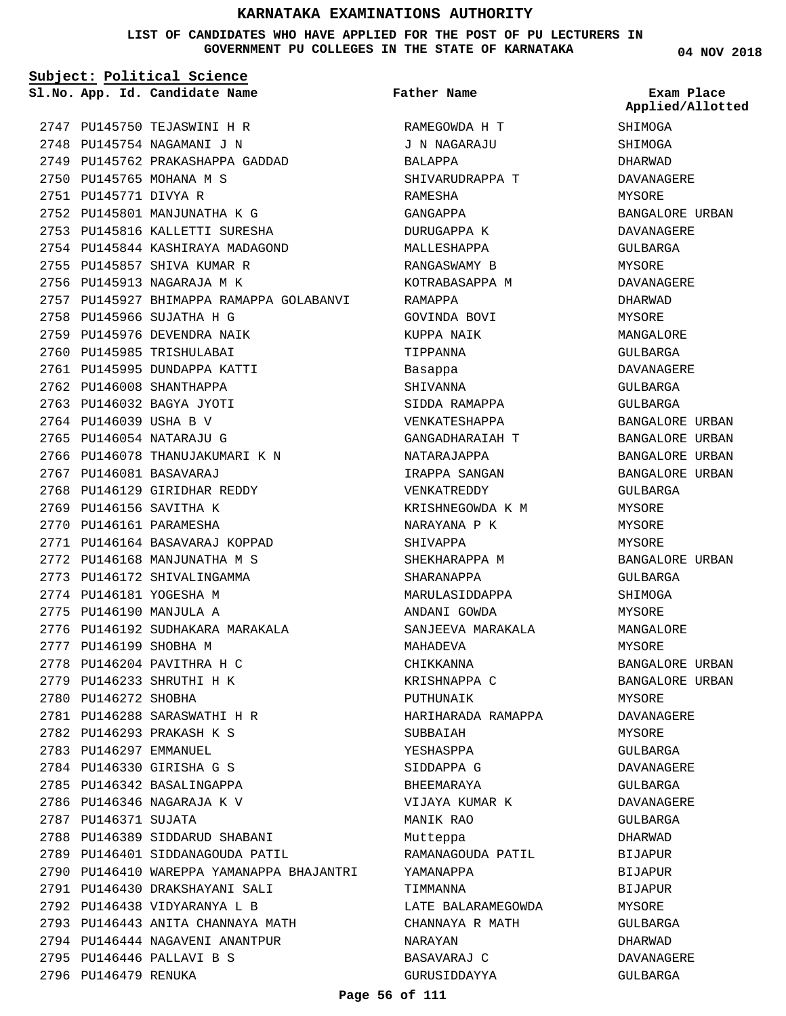#### **LIST OF CANDIDATES WHO HAVE APPLIED FOR THE POST OF PU LECTURERS IN GOVERNMENT PU COLLEGES IN THE STATE OF KARNATAKA**

**Subject: Political Science**

**App. Id. Candidate Name Sl.No. Exam Place**

PU145750 TEJASWINI H R 2747 2748 PU145754 NAGAMANI J N 2749 PU145762 PRAKASHAPPA GADDAD 2750 PU145765 MOHANA M S 2751 PU145771 DIVYA R 2752 PU145801 MANJUNATHA K G 2753 PU145816 KALLETTI SURESHA 2754 PU145844 KASHIRAYA MADAGOND 2755 PU145857 SHIVA KUMAR R 2756 PU145913 NAGARAJA M K 2757 PU145927 BHIMAPPA RAMAPPA GOLABANVI 2758 PU145966 SUJATHA H G 2759 PU145976 DEVENDRA NAIK 2760 PU145985 TRISHULABAI 2761 PU145995 DUNDAPPA KATTI 2762 PU146008 SHANTHAPPA 2763 PU146032 BAGYA JYOTI 2764 PU146039 USHA B V 2765 PU146054 NATARAJU G 2766 PU146078 THANUJAKUMARI K N 2767 PU146081 BASAVARAJ 2768 PU146129 GIRIDHAR REDDY 2769 PU146156 SAVITHA K 2770 PU146161 PARAMESHA 2771 PU146164 BASAVARAJ KOPPAD 2772 PU146168 MANJUNATHA M S 2773 PU146172 SHIVALINGAMMA 2774 PU146181 YOGESHA M 2775 PU146190 MANJULA A 2776 PU146192 SUDHAKARA MARAKALA 2777 PU146199 SHOBHA M 2778 PU146204 PAVITHRA H C 2779 PU146233 SHRUTHI H K 2780 PU146272 SHOBHA PU146288 SARASWATHI H R 2781 PU146293 PRAKASH K S 2782 2783 PU146297 EMMANUEL PU146330 GIRISHA G S 2784 2785 PU146342 BASALINGAPPA 2786 PU146346 NAGARAJA K V 2787 PU146371 SUJATA 2788 PU146389 SIDDARUD SHABANI 2789 PU146401 SIDDANAGOUDA PATIL 2790 PU146410 WAREPPA YAMANAPPA BHAJANTRI 2791 PU146430 DRAKSHAYANI SALI 2792 PU146438 VIDYARANYA L B 2793 PU146443 ANITA CHANNAYA MATH 2794 PU146444 NAGAVENI ANANTPUR PU146446 PALLAVI B S 2795 2796 PU146479 RENUKA

RAMEGOWDA H T J N NAGARAJU BALAPPA SHIVARUDRAPPA T RAMESHA GANGAPPA DURUGAPPA K MALLESHAPPA RANGASWAMY B KOTRABASAPPA M RAMAPPA GOVINDA BOVI KUPPA NAIK TIPPANNA Basappa SHIVANNA SIDDA RAMAPPA VENKATESHAPPA GANGADHARAIAH T NATARAJAPPA IRAPPA SANGAN VENKATREDDY KRISHNEGOWDA K M NARAYANA P K SHIVAPPA SHEKHARAPPA M SHARANAPPA MARULASIDDAPPA ANDANI GOWDA SANJEEVA MARAKALA MAHADEVA CHIKKANNA KRISHNAPPA C PUTHUNAIK HARIHARADA RAMAPPA **SUBBAIAH** YESHASPPA SIDDAPPA G BHEEMARAYA VIJAYA KUMAR K MANIK RAO Mutteppa RAMANAGOUDA PATIL YAMANAPPA **TIMMANNA** LATE BALARAMEGOWDA CHANNAYA R MATH NARAYAN BASAVARAJ C **Father Name**

**04 NOV 2018**

**SHIMOGA** SHIMOGA DHARWAD DAVANAGERE MYSORE BANGALORE URBAN DAVANAGERE GULBARGA MYSORE DAVANAGERE DHARWAD MYSORE MANGALORE GULBARGA DAVANAGERE GULBARGA GULBARGA BANGALORE URBAN BANGALORE URBAN BANGALORE URBAN BANGALORE URBAN GULBARGA MYSORE MYSORE MYSORE BANGALORE URBAN GULBARGA SHIMOGA MYSORE MANGALORE MYSORE BANGALORE URBAN BANGALORE URBAN MYSORE DAVANAGERE MYSORE GULBARGA DAVANAGERE GULBARGA DAVANAGERE GULBARGA DHARWAD BIJAPUR **BIJAPUR** BIJAPUR MYSORE GULBARGA DHARWAD DAVANAGERE GULBARGA **Applied/Allotted**

GURUSIDDAYYA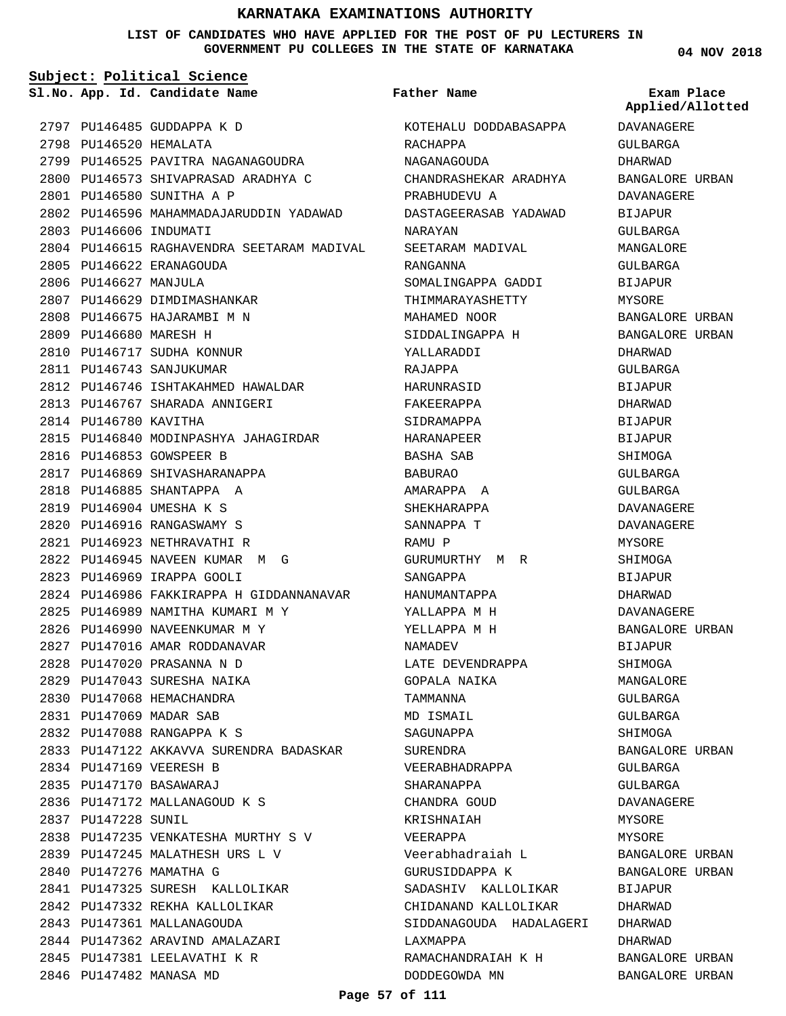**LIST OF CANDIDATES WHO HAVE APPLIED FOR THE POST OF PU LECTURERS IN GOVERNMENT PU COLLEGES IN THE STATE OF KARNATAKA**

**Subject: Political Science**

**App. Id. Candidate Name Sl.No. Exam Place**

**Father Name**

2797 PU146485 GUDDAPPA K D 2798 PU146520 HEMALATA 2799 PU146525 PAVITRA NAGANAGOUDRA 2800 PU146573 SHIVAPRASAD ARADHYA C PU146580 SUNITHA A P 2801 2802 PU146596 MAHAMMADAJARUDDIN YADAWAD 2803 PU146606 INDUMATI 2804 PU146615 RAGHAVENDRA SEETARAM MADIVAL 2805 PU146622 ERANAGOUDA 2806 PU146627 MANJULA 2807 PU146629 DIMDIMASHANKAR 2808 PU146675 HAJARAMBI M N 2809 PU146680 MARESH H 2810 PU146717 SUDHA KONNUR 2811 PU146743 SANJUKUMAR 2812 PU146746 ISHTAKAHMED HAWALDAR 2813 PU146767 SHARADA ANNIGERI 2814 PU146780 KAVITHA 2815 PU146840 MODINPASHYA JAHAGIRDAR 2816 PU146853 GOWSPEER B 2817 PU146869 SHIVASHARANAPPA PU146885 SHANTAPPA A 2818 PU146904 UMESHA K S 2819 PU146916 RANGASWAMY S 2820 PU146923 NETHRAVATHI R 2821 PU146945 NAVEEN KUMAR M G 2822 PU146969 IRAPPA GOOLI 2823 2824 PU146986 FAKKIRAPPA H GIDDANNANAVAR 2825 PU146989 NAMITHA KUMARI M Y 2826 PU146990 NAVEENKUMAR M Y 2827 PU147016 AMAR RODDANAVAR PU147020 PRASANNA N D 2828 2829 PU147043 SURESHA NAIKA 2830 PU147068 HEMACHANDRA PU147069 MADAR SAB 2831 PU147088 RANGAPPA K S 2832 2833 PU147122 AKKAVVA SURENDRA BADASKAR 2834 PU147169 VEERESH B PU147170 BASAWARAJ 2835 2836 PU147172 MALLANAGOUD K S PU147228 SUNIL 2837 2838 PU147235 VENKATESHA MURTHY S V PU147245 MALATHESH URS L V 2839 2840 PU147276 MAMATHA G PU147325 SURESH KALLOLIKAR 2841 2842 PU147332 REKHA KALLOLIKAR 2843 PU147361 MALLANAGOUDA 2844 PU147362 ARAVIND AMALAZARI 2845 PU147381 LEELAVATHI K R 2846 PU147482 MANASA MD

KOTEHALU DODDABASAPPA RACHAPPA NAGANAGOUDA CHANDRASHEKAR ARADHYA PRABHUDEVU A DASTAGEERASAB YADAWAD NARAYAN SEETARAM MADIVAL RANGANNA SOMALINGAPPA GADDI THIMMARAYASHETTY MAHAMED NOOR SIDDALINGAPPA H YALLARADDI RAJAPPA HARUNRASID FAKEERAPPA SIDRAMAPPA HARANAPEER BASHA SAB BABURAO AMARAPPA A SHEKHARAPPA SANNAPPA T RAMU P GURUMURTHY M R SANGAPPA HANUMANTAPPA YALLAPPA M H YELLAPPA M H NAMADEV LATE DEVENDRAPPA GOPALA NAIKA TAMMANNA MD ISMAIL SAGUNAPPA SURENDRA VEERABHADRAPPA SHARANAPPA CHANDRA GOUD KRISHNAIAH VEERAPPA Veerabhadraiah L GURUSIDDAPPA K SADASHIV KALLOLIKAR CHIDANAND KALLOLIKAR SIDDANAGOUDA HADALAGERI LAXMAPPA RAMACHANDRAIAH K H DODDEGOWDA MN

**04 NOV 2018**

DAVANAGERE **Applied/Allotted**

GULBARGA DHARWAD BANGALORE URBAN DAVANAGERE BIJAPUR GULBARGA MANGALORE GULBARGA BIJAPUR MYSORE BANGALORE URBAN BANGALORE URBAN DHARWAD GULBARGA BIJAPUR DHARWAD **BIJAPUR BIJAPUR SHIMOGA** GULBARGA GULBARGA DAVANAGERE DAVANAGERE MYSORE SHIMOGA BIJAPUR DHARWAD DAVANAGERE BANGALORE URBAN BIJAPUR SHIMOGA MANGALORE GULBARGA GULBARGA SHIMOGA BANGALORE URBAN GULBARGA GULBARGA DAVANAGERE MYSORE MYSORE BANGALORE URBAN BANGALORE URBAN BIJAPUR DHARWAD DHARWAD DHARWAD BANGALORE URBAN BANGALORE URBAN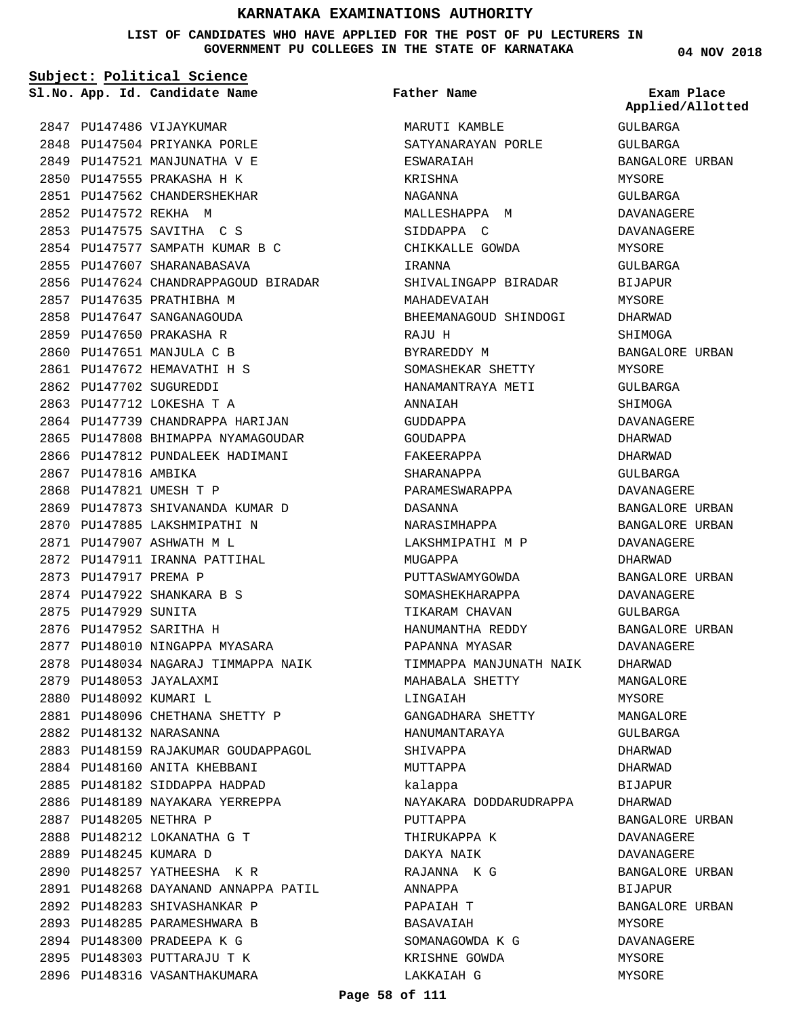**LIST OF CANDIDATES WHO HAVE APPLIED FOR THE POST OF PU LECTURERS IN GOVERNMENT PU COLLEGES IN THE STATE OF KARNATAKA**

**Subject: Political Science**

**App. Id. Candidate Name Sl.No. Exam Place**

2847 PU147486 VIJAYKUMAR 2848 PU147504 PRIYANKA PORLE 2849 PU147521 MANJUNATHA V E PU147555 PRAKASHA H K 2850 2851 PU147562 CHANDERSHEKHAR 2852 PU147572 REKHA M PU147575 SAVITHA C S 2853 PU147577 SAMPATH KUMAR B C 2854 2855 PU147607 SHARANABASAVA 2856 PU147624 CHANDRAPPAGOUD BIRADAR 2857 PU147635 PRATHIBHA M 2858 PU147647 SANGANAGOUDA 2859 PU147650 PRAKASHA R 2860 PU147651 MANJULA C B PU147672 HEMAVATHI H S 2861 2862 PU147702 SUGUREDDI 2863 PU147712 LOKESHA T A 2864 PU147739 CHANDRAPPA HARIJAN 2865 PU147808 BHIMAPPA NYAMAGOUDAR 2866 PU147812 PUNDALEEK HADIMANI 2867 PU147816 AMBIKA 2868 PU147821 UMESH T P 2869 PU147873 SHIVANANDA KUMAR D 2870 PU147885 LAKSHMIPATHI N PU147907 ASHWATH M L 2871 2872 PU147911 IRANNA PATTIHAL 2873 PU147917 PREMA P PU147922 SHANKARA B S 2874 2875 PU147929 SUNITA 2876 PU147952 SARITHA H 2877 PU148010 NINGAPPA MYASARA 2878 PU148034 NAGARAJ TIMMAPPA NAIK 2879 PU148053 JAYALAXMI 2880 PU148092 KUMARI L PU148096 CHETHANA SHETTY P 2881 2882 PU148132 NARASANNA 2883 PU148159 RAJAKUMAR GOUDAPPAGOL 2884 PU148160 ANITA KHEBBANI 2885 PU148182 SIDDAPPA HADPAD 2886 PU148189 NAYAKARA YERREPPA 2887 PU148205 NETHRA P PU148212 LOKANATHA G T 2888 2889 PU148245 KUMARA D 2890 PU148257 YATHEESHA K R PU148268 DAYANAND ANNAPPA PATIL 2891 2892 PU148283 SHIVASHANKAR P 2893 PU148285 PARAMESHWARA B 2894 PU148300 PRADEEPA K G 2895 PU148303 PUTTARAJU T K 2896 PU148316 VASANTHAKUMARA

MARUTI KAMBLE SATYANARAYAN PORLE ESWARAIAH KRISHNA NAGANNA MALLESHAPPA M SIDDAPPA C CHIKKALLE GOWDA IRANNA SHIVALINGAPP BIRADAR MAHADEVAIAH BHEEMANAGOUD SHINDOGI RAJU H BYRAREDDY M SOMASHEKAR SHETTY HANAMANTRAYA METI ANNAIAH GIIDDAPPA GOUDAPPA FAKEERAPPA SHARANAPPA PARAMESWARAPPA DASANNA NARASIMHAPPA LAKSHMIPATHI M P MUGAPPA PUTTASWAMYGOWDA SOMASHEKHARAPPA TIKARAM CHAVAN HANUMANTHA REDDY PAPANNA MYASAR TIMMAPPA MANJUNATH NAIK MAHABALA SHETTY LINGAIAH GANGADHARA SHETTY HANUMANTARAYA SHIVAPPA MUTTAPPA kalappa NAYAKARA DODDARUDRAPPA PUTTAPPA THIRUKAPPA K DAKYA NAIK RAJANNA K G ANNAPPA PAPAIAH T **BASAVAIAH** SOMANAGOWDA K G KRISHNE GOWDA LAKKAIAH G **Father Name**

**04 NOV 2018**

**Applied/Allotted**

GULBARGA

# GULBARGA BANGALORE URBAN MYSORE GULBARGA DAVANAGERE DAVANAGERE MYSORE GULBARGA BIJAPUR MYSORE DHARWAD SHIMOGA BANGALORE URBAN MYSORE GULBARGA SHIMOGA DAVANAGERE DHARWAD DHARWAD GULBARGA DAVANAGERE BANGALORE URBAN BANGALORE URBAN DAVANAGERE DHARWAD BANGALORE URBAN DAVANAGERE GULBARGA BANGALORE URBAN DAVANAGERE DHARWAD MANGALORE MYSORE MANGALORE GULBARGA DHARWAD DHARWAD BIJAPUR DHARWAD BANGALORE URBAN DAVANAGERE DAVANAGERE BANGALORE URBAN BIJAPUR BANGALORE URBAN MYSORE DAVANAGERE MYSORE

MYSORE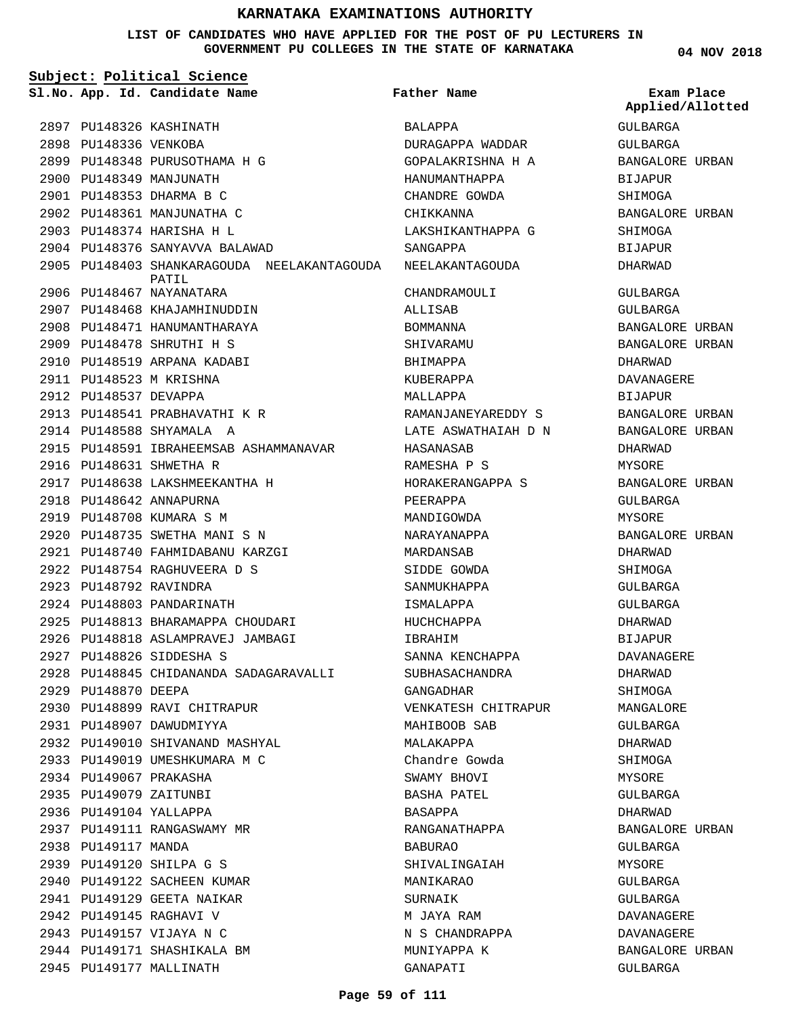**LIST OF CANDIDATES WHO HAVE APPLIED FOR THE POST OF PU LECTURERS IN GOVERNMENT PU COLLEGES IN THE STATE OF KARNATAKA**

**Subject: Political Science**

**App. Id. Candidate Name Sl.No. Exam Place**

**Father Name**

2897 PU148326 KASHINATH 2898 PU148336 VENKOBA 2899 PU148348 PURUSOTHAMA H G 2900 PU148349 MANJUNATH PU148353 DHARMA B C 2901 2902 PU148361 MANJUNATHA C 2903 PU148374 HARISHA H L 2904 PU148376 SANYAVVA BALAWAD 2905 PU148403 SHANKARAGOUDA NEELAKANTAGOUDA 2906 PU148467 NAYANATARA 2907 PU148468 KHAJAMHINUDDIN 2908 PU148471 HANUMANTHARAYA PU148478 SHRUTHI H S 2909 2910 PU148519 ARPANA KADABI 2911 PU148523 M KRISHNA 2912 PU148537 DEVAPPA 2913 PU148541 PRABHAVATHI K R 2914 PU148588 SHYAMALA A 2915 PU148591 IBRAHEEMSAB ASHAMMANAVAR 2916 PU148631 SHWETHA R PU148638 LAKSHMEEKANTHA H 2917 2918 PU148642 ANNAPURNA 2919 PU148708 KUMARA S M 2920 PU148735 SWETHA MANI S N PU148740 FAHMIDABANU KARZGI 2921 PU148754 RAGHUVEERA D S 2922 2923 PU148792 RAVINDRA 2924 PU148803 PANDARINATH 2925 PU148813 BHARAMAPPA CHOUDARI 2926 PU148818 ASLAMPRAVEJ JAMBAGI PU148826 SIDDESHA S 2927 PU148845 CHIDANANDA SADAGARAVALLI 2928 2929 PU148870 DEEPA 2930 PU148899 RAVI CHITRAPUR 2931 PU148907 DAWUDMIYYA PU149010 SHIVANAND MASHYAL 2932 2933 PU149019 UMESHKUMARA M C 2934 PU149067 PRAKASHA 2935 PU149079 ZAITUNBI 2936 PU149104 YALLAPPA 2937 PU149111 RANGASWAMY MR 2938 PU149117 MANDA PU149120 SHILPA G S 2939 2940 PU149122 SACHEEN KUMAR 2941 PU149129 GEETA NAIKAR 2942 PU149145 RAGHAVI V 2943 PU149157 VIJAYA N C 2944 PU149171 SHASHIKALA BM 2945 PU149177 MALLINATH PATIL

BALAPPA DURAGAPPA WADDAR GOPALAKRISHNA H A HANUMANTHAPPA CHANDRE GOWDA CHIKKANNA LAKSHIKANTHAPPA G SANGAPPA NEELAKANTAGOUDA CHANDRAMOULI ALLISAB BOMMANNA SHIVARAMU BHIMAPPA KUBERAPPA MALLAPPA RAMANJANEYAREDDY S LATE ASWATHAIAH D N HASANASAB RAMESHA P S HORAKERANGAPPA S PEERAPPA MANDIGOWDA NARAYANAPPA MARDANSAB SIDDE GOWDA SANMUKHAPPA ISMALAPPA HUCHCHAPPA IBRAHIM SANNA KENCHAPPA SUBHASACHANDRA GANGADHAR VENKATESH CHITRAPUR MAHIBOOB SAB MALAKAPPA Chandre Gowda SWAMY BHOVI BASHA PATEL BASAPPA RANGANATHAPPA BABURAO SHIVALINGAIAH MANIKARAO SURNAIK M JAYA RAM N S CHANDRAPPA MUNIYAPPA K

**04 NOV 2018**

GULBARGA GULBARGA BANGALORE URBAN BIJAPUR SHIMOGA BANGALORE URBAN SHIMOGA BIJAPUR DHARWAD GULBARGA GULBARGA BANGALORE URBAN BANGALORE URBAN DHARWAD DAVANAGERE BIJAPUR BANGALORE URBAN BANGALORE URBAN DHARWAD MYSORE BANGALORE URBAN GULBARGA MYSORE BANGALORE URBAN DHARWAD SHIMOGA GULBARGA GULBARGA DHARWAD BIJAPUR DAVANAGERE DHARWAD SHIMOGA MANGALORE GULBARGA DHARWAD SHIMOGA MYSORE GULBARGA DHARWAD BANGALORE URBAN GULBARGA MYSORE GULBARGA GULBARGA DAVANAGERE DAVANAGERE BANGALORE URBAN GULBARGA **Applied/Allotted**

GANAPATI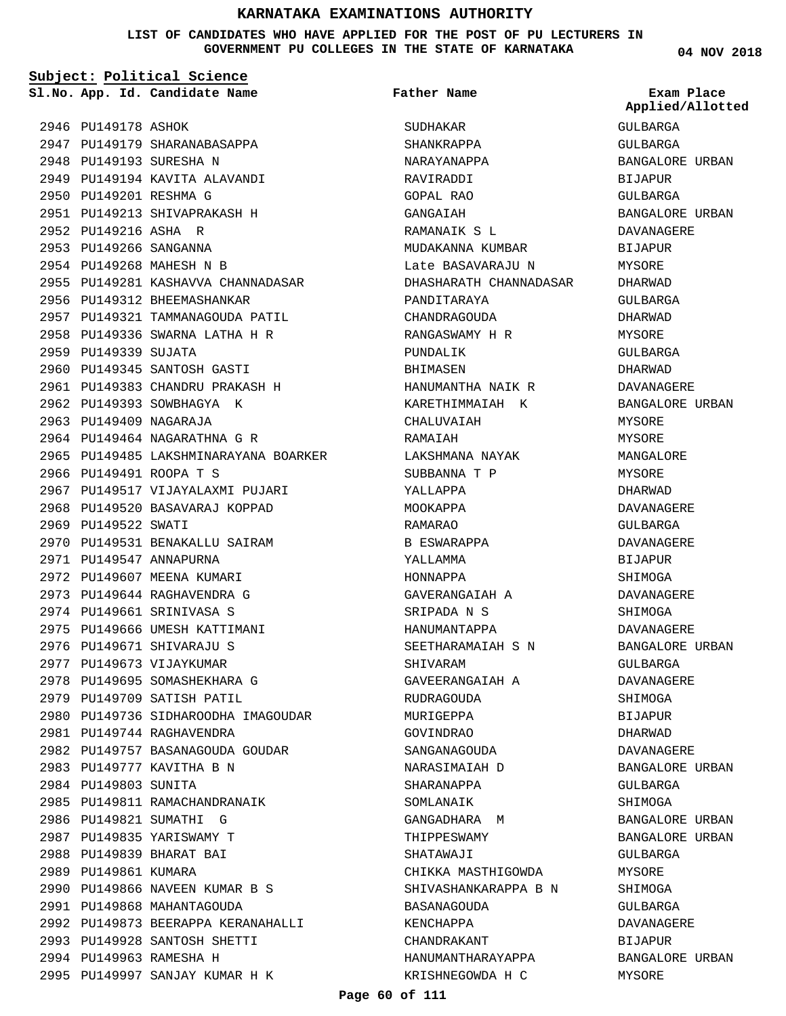#### **LIST OF CANDIDATES WHO HAVE APPLIED FOR THE POST OF PU LECTURERS IN GOVERNMENT PU COLLEGES IN THE STATE OF KARNATAKA**

**Subject: Political Science**

**App. Id. Candidate Name Sl.No. Exam Place**

**Father Name**

2946 PU149178 ASHOK 2947 PU149179 SHARANABASAPPA 2948 PU149193 SURESHA N 2949 PU149194 KAVITA ALAVANDI 2950 PU149201 RESHMA G PU149213 SHIVAPRAKASH H 2951 2952 PU149216 ASHA R 2953 PU149266 SANGANNA 2954 PU149268 MAHESH N B 2955 PU149281 KASHAVVA CHANNADASAR 2956 PU149312 BHEEMASHANKAR 2957 PU149321 TAMMANAGOUDA PATIL PU149336 SWARNA LATHA H R 2958 2959 PU149339 SUJATA 2960 PU149345 SANTOSH GASTI PU149383 CHANDRU PRAKASH H 2961 2962 PU149393 SOWBHAGYA K 2963 PU149409 NAGARAJA 2964 PU149464 NAGARATHNA G R 2965 PU149485 LAKSHMINARAYANA BOARKER 2966 PU149491 ROOPA T S 2967 PU149517 VIJAYALAXMI PUJARI 2968 PU149520 BASAVARAJ KOPPAD 2969 PU149522 SWATI 2970 PU149531 BENAKALLU SAIRAM 2971 PU149547 ANNAPURNA 2972 PU149607 MEENA KUMARI PU149644 RAGHAVENDRA G 2973 2974 PU149661 SRINIVASA S 2975 PU149666 UMESH KATTIMANI 2976 PU149671 SHIVARAJU S 2977 PU149673 VIJAYKUMAR 2978 PU149695 SOMASHEKHARA G 2979 PU149709 SATISH PATIL 2980 PU149736 SIDHAROODHA IMAGOUDAR 2981 PU149744 RAGHAVENDRA 2982 PU149757 BASANAGOUDA GOUDAR 2983 PU149777 KAVITHA B N 2984 PU149803 SUNITA 2985 PU149811 RAMACHANDRANAIK 2986 PU149821 SUMATHI G 2987 PU149835 YARISWAMY T 2988 PU149839 BHARAT BAI 2989 PU149861 KUMARA 2990 PU149866 NAVEEN KUMAR B S 2991 PU149868 MAHANTAGOUDA 2992 PU149873 BEERAPPA KERANAHALLI 2993 PU149928 SANTOSH SHETTI 2994 PU149963 RAMESHA H 2995 PU149997 SANJAY KUMAR H K

SUDHAKAR SHANKRAPPA NARAYANAPPA RAVIRADDI GOPAL RAO GANGAIAH RAMANAIK S L MUDAKANNA KUMBAR Late BASAVARAJU N DHASHARATH CHANNADASAR PANDITARAYA CHANDRAGOUDA RANGASWAMY H R PUNDALIK BHIMASEN HANUMANTHA NAIK R KARETHIMMAIAH K CHALINAIAH RAMAIAH LAKSHMANA NAYAK SUBBANNA T P YALLAPPA MOOKAPPA RAMARAO B ESWARAPPA YALLAMMA HONNAPPA GAVERANGAIAH A SRIPADA N S HANUMANTAPPA SEETHARAMAIAH S N SHIVARAM GAVEERANGAIAH A RUDRAGOUDA MURIGEPPA GOVINDRAO SANGANAGOUDA NARASIMAIAH D SHARANAPPA SOMLANAIK GANGADHARA M THIPPESWAMY SHATAWAJI CHIKKA MASTHIGOWDA SHIVASHANKARAPPA B N BASANAGOUDA KENCHAPPA CHANDRAKANT HANUMANTHARAYAPPA KRISHNEGOWDA H C

**04 NOV 2018**

GULBARGA GULBARGA BANGALORE URBAN BIJAPUR GULBARGA BANGALORE URBAN DAVANAGERE BIJAPUR MYSORE DHARWAD GULBARGA DHARWAD MYSORE GULBARGA DHARWAD DAVANAGERE BANGALORE URBAN MYSORE MYSORE MANGALORE MYSORE DHARWAD DAVANAGERE GIILBARGA DAVANAGERE BIJAPUR **SHIMOGA** DAVANAGERE SHIMOGA DAVANAGERE BANGALORE URBAN GULBARGA DAVANAGERE SHIMOGA BIJAPUR DHARWAD DAVANAGERE BANGALORE URBAN GULBARGA SHIMOGA BANGALORE URBAN BANGALORE URBAN GULBARGA **MYSORE** SHIMOGA GULBARGA DAVANAGERE BIJAPUR BANGALORE URBAN MYSORE **Applied/Allotted**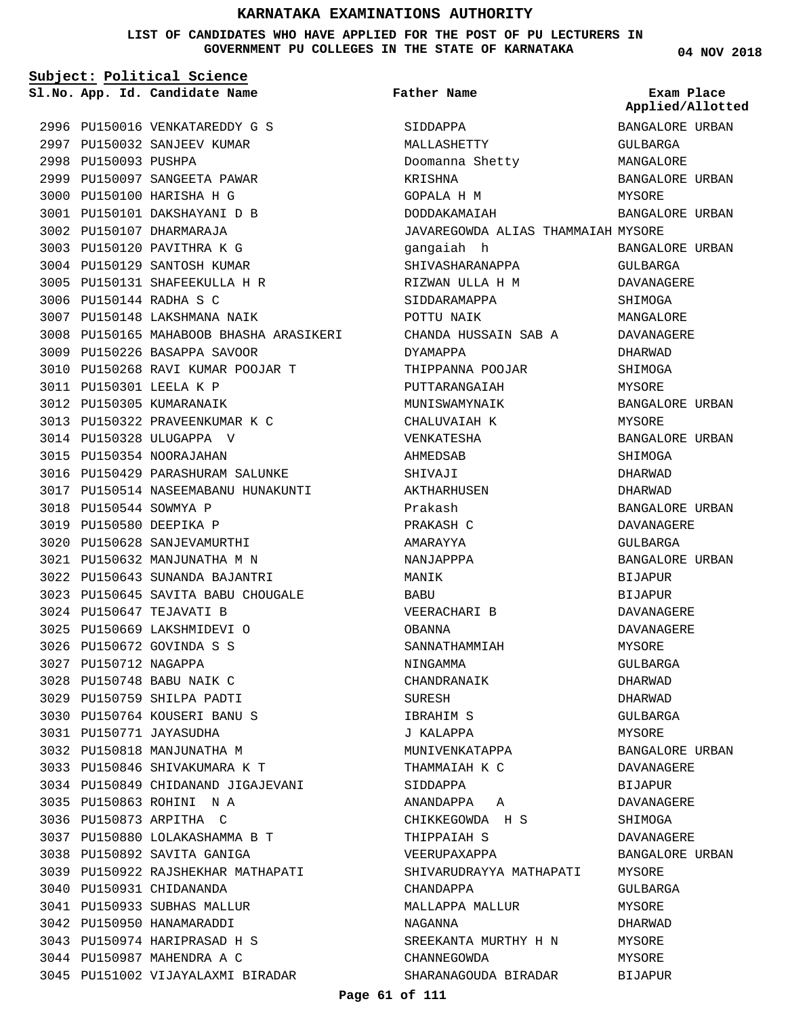#### **LIST OF CANDIDATES WHO HAVE APPLIED FOR THE POST OF PU LECTURERS IN GOVERNMENT PU COLLEGES IN THE STATE OF KARNATAKA**

|                        | Sl.No. App. Id. Candidate Name          | <b>Father Name</b>                 | Exam Place<br>Applied/Allotted |
|------------------------|-----------------------------------------|------------------------------------|--------------------------------|
|                        | 2996 PU150016 VENKATAREDDY G S          | SIDDAPPA                           | BANGALORE URBAN                |
|                        | 2997 PU150032 SANJEEV KUMAR             | MALLASHETTY                        | GULBARGA                       |
| 2998 PU150093 PUSHPA   |                                         | Doomanna Shetty                    | MANGALORE                      |
|                        | 2999 PU150097 SANGEETA PAWAR            | KRISHNA                            | BANGALORE URBAN                |
|                        | 3000 PU150100 HARISHA H G               | GOPALA H M                         | MYSORE                         |
|                        | 3001 PU150101 DAKSHAYANI D B            | DODDAKAMAIAH                       | BANGALORE URBAN                |
|                        | 3002 PU150107 DHARMARAJA                | JAVAREGOWDA ALIAS THAMMAIAH MYSORE |                                |
|                        | 3003 PU150120 PAVITHRA K G              | gangaiah h                         | BANGALORE URBAN                |
|                        | 3004 PU150129 SANTOSH KUMAR             | SHIVASHARANAPPA                    | GULBARGA                       |
|                        | 3005 PU150131 SHAFEEKULLA H R           | RIZWAN ULLA H M                    | DAVANAGERE                     |
|                        | 3006 PU150144 RADHA S C                 | SIDDARAMAPPA                       | SHIMOGA                        |
|                        | 3007 PU150148 LAKSHMANA NAIK            | POTTU NAIK                         | MANGALORE                      |
|                        | 3008 PU150165 MAHABOOB BHASHA ARASIKERI | CHANDA HUSSAIN SAB A               | DAVANAGERE                     |
|                        | 3009 PU150226 BASAPPA SAVOOR            | DYAMAPPA                           | DHARWAD                        |
|                        | 3010 PU150268 RAVI KUMAR POOJAR T       | THIPPANNA POOJAR                   | SHIMOGA                        |
|                        | 3011 PU150301 LEELA K P                 | PUTTARANGAIAH                      | MYSORE                         |
|                        | 3012 PU150305 KUMARANAIK                | MUNISWAMYNAIK                      | BANGALORE URBAN                |
|                        | 3013 PU150322 PRAVEENKUMAR K C          | CHALUVAIAH K                       | MYSORE                         |
|                        | 3014 PU150328 ULUGAPPA V                | VENKATESHA                         | BANGALORE URBAN                |
|                        | 3015 PU150354 NOORAJAHAN                | AHMEDSAB                           | SHIMOGA                        |
|                        | 3016 PU150429 PARASHURAM SALUNKE        | SHIVAJI                            | DHARWAD                        |
|                        | 3017 PU150514 NASEEMABANU HUNAKUNTI     | AKTHARHUSEN                        | DHARWAD                        |
| 3018 PU150544 SOWMYA P |                                         | Prakash                            | BANGALORE URBAN                |
|                        | 3019 PU150580 DEEPIKA P                 | PRAKASH C                          | DAVANAGERE                     |
|                        | 3020 PU150628 SANJEVAMURTHI             | AMARAYYA                           | GULBARGA                       |
|                        | 3021 PU150632 MANJUNATHA M N            | NANJAPPPA                          | BANGALORE URBAN                |
|                        | 3022 PU150643 SUNANDA BAJANTRI          | MANIK                              |                                |
|                        |                                         |                                    | BIJAPUR                        |
|                        | 3023 PU150645 SAVITA BABU CHOUGALE      | BABU                               | <b>BIJAPUR</b>                 |
|                        | 3024 PU150647 TEJAVATI B                | VEERACHARI B                       | DAVANAGERE                     |
|                        | 3025 PU150669 LAKSHMIDEVI O             | OBANNA                             | DAVANAGERE                     |
|                        | 3026 PU150672 GOVINDA S S               | SANNATHAMMIAH                      | MYSORE                         |
| 3027 PU150712 NAGAPPA  |                                         | NINGAMMA                           | GULBARGA                       |
|                        | 3028 PU150748 BABU NAIK C               | CHANDRANAIK                        | DHARWAD                        |
|                        | 3029 PU150759 SHILPA PADTI              | SURESH                             | DHARWAD                        |
|                        | 3030 PU150764 KOUSERI BANU S            | IBRAHIM S                          | GULBARGA                       |
|                        | 3031 PU150771 JAYASUDHA                 | J KALAPPA                          | MYSORE                         |
|                        | 3032 PU150818 MANJUNATHA M              | MUNIVENKATAPPA                     | BANGALORE URBAN                |
|                        | 3033 PU150846 SHIVAKUMARA K T           | THAMMAIAH K C                      | DAVANAGERE                     |
|                        | 3034 PU150849 CHIDANAND JIGAJEVANI      | SIDDAPPA                           | BIJAPUR                        |
|                        | 3035 PU150863 ROHINI N A                | ANANDAPPA A                        | DAVANAGERE                     |
|                        | 3036 PU150873 ARPITHA C                 | CHIKKEGOWDA H S                    | SHIMOGA                        |
|                        | 3037 PU150880 LOLAKASHAMMA B T          | THIPPAIAH S                        | DAVANAGERE                     |
|                        | 3038 PU150892 SAVITA GANIGA             | VEERUPAXAPPA                       | BANGALORE URBAN                |
|                        | 3039 PU150922 RAJSHEKHAR MATHAPATI      | SHIVARUDRAYYA MATHAPATI            | MYSORE                         |
|                        | 3040 PU150931 CHIDANANDA                | CHANDAPPA                          | GULBARGA                       |
|                        | 3041 PU150933 SUBHAS MALLUR             | MALLAPPA MALLUR                    | MYSORE                         |
|                        | 3042 PU150950 HANAMARADDI               | NAGANNA                            | DHARWAD                        |
|                        | 3043 PU150974 HARIPRASAD H S            | SREEKANTA MURTHY H N               | MYSORE                         |
|                        | 3044 PU150987 MAHENDRA A C              | CHANNEGOWDA                        | MYSORE                         |
|                        | 3045 PU151002 VIJAYALAXMI BIRADAR       | SHARANAGOUDA BIRADAR               | <b>BIJAPUR</b>                 |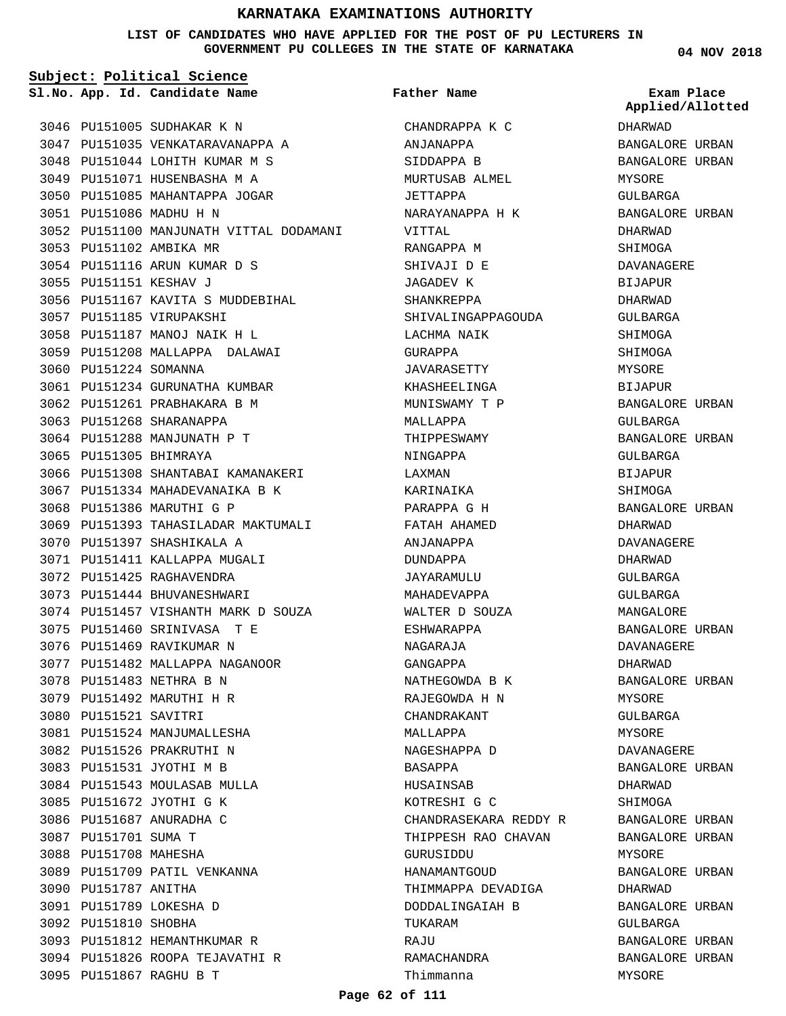**LIST OF CANDIDATES WHO HAVE APPLIED FOR THE POST OF PU LECTURERS IN GOVERNMENT PU COLLEGES IN THE STATE OF KARNATAKA**

**Subject: Political Science**

**App. Id. Candidate Name Sl.No. Exam Place**

3046 PU151005 SUDHAKAR K N 3047 PU151035 VENKATARAVANAPPA A 3048 PU151044 LOHITH KUMAR M S 3049 PU151071 HUSENBASHA M A 3050 PU151085 MAHANTAPPA JOGAR PU151086 MADHU H N 3051 3052 PU151100 MANJUNATH VITTAL DODAMANI 3053 PU151102 AMBIKA MR 3054 PU151116 ARUN KUMAR D S 3055 PU151151 KESHAV J 3056 PU151167 KAVITA S MUDDEBIHAL 3057 PU151185 VIRUPAKSHI PU151187 MANOJ NAIK H L 3058 3059 PU151208 MALLAPPA DALAWAI 3060 PU151224 SOMANNA 3061 PU151234 GURUNATHA KUMBAR 3062 PU151261 PRABHAKARA B M 3063 PU151268 SHARANAPPA 3064 PU151288 MANJUNATH P T 3065 PU151305 BHIMRAYA 3066 PU151308 SHANTABAI KAMANAKERI 3067 PU151334 MAHADEVANAIKA B K 3068 PU151386 MARUTHI G P 3069 PU151393 TAHASILADAR MAKTUMALI 3070 PU151397 SHASHIKALA A 3071 PU151411 KALLAPPA MUGALI 3072 PU151425 RAGHAVENDRA 3073 PU151444 BHUVANESHWARI 3074 PU151457 VISHANTH MARK D SOUZA 3075 PU151460 SRINIVASA T E 3076 PU151469 RAVIKUMAR N PU151482 MALLAPPA NAGANOOR 3077 3078 PU151483 NETHRA B N 3079 PU151492 MARUTHI H R 3080 PU151521 SAVITRI 3081 PU151524 MANJUMALLESHA 3082 PU151526 PRAKRUTHI N 3083 PU151531 JYOTHI M B 3084 PU151543 MOULASAB MULLA 3085 PU151672 JYOTHI G K 3086 PU151687 ANURADHA C 3087 PU151701 SUMA T 3088 PU151708 MAHESHA 3089 PU151709 PATIL VENKANNA 3090 PU151787 ANITHA PU151789 LOKESHA D 3091 3092 PU151810 SHOBHA 3093 PU151812 HEMANTHKUMAR R PU151826 ROOPA TEJAVATHI R 3094 PU151867 RAGHU B T 3095

CHANDRAPPA K C ANJANAPPA SIDDAPPA B MURTUSAB ALMEL JETTAPPA NARAYANAPPA H K VITTAL RANGAPPA M SHIVAJI D E JAGADEV K SHANKREPPA SHIVALINGAPPAGOUDA LACHMA NAIK GURAPPA JAVARASETTY KHASHEELINGA MUNISWAMY T P MAT.T.ADDA THIPPESWAMY NINGAPPA LAXMAN KARINAIKA PARAPPA G H FATAH AHAMED ANJANAPPA DUNDAPPA **JAYARAMULU** MAHADEVAPPA WALTER D SOUZA ESHWARAPPA NAGARAJA GANGAPPA NATHEGOWDA B K RAJEGOWDA H N CHANDRAKANT MALLAPPA NAGESHAPPA D BASAPPA HUSAINSAB KOTRESHI G C CHANDRASEKARA REDDY R THIPPESH RAO CHAVAN GURUSIDDU HANAMANTGOUD THIMMAPPA DEVADIGA DODDALINGAIAH B TUKARAM **RAJU** RAMACHANDRA Thimmanna **Father Name**

**04 NOV 2018**

DHARWAD BANGALORE URBAN BANGALORE URBAN MYSORE GULBARGA BANGALORE URBAN DHARWAD SHIMOGA DAVANAGERE BIJAPUR DHARWAD GULBARGA SHIMOGA SHIMOGA MYSORE BIJAPUR BANGALORE URBAN CIII.RARCA BANGALORE URBAN GULBARGA BIJAPUR SHIMOGA BANGALORE URBAN DHARWAD DAVANAGERE DHARWAD GULBARGA GULBARGA MANGALORE BANGALORE URBAN DAVANAGERE DHARWAD BANGALORE URBAN MYSORE GULBARGA MYSORE DAVANAGERE BANGALORE URBAN DHARWAD SHIMOGA BANGALORE URBAN BANGALORE URBAN MYSORE BANGALORE URBAN DHARWAD BANGALORE URBAN GULBARGA BANGALORE URBAN BANGALORE URBAN MYSORE **Applied/Allotted**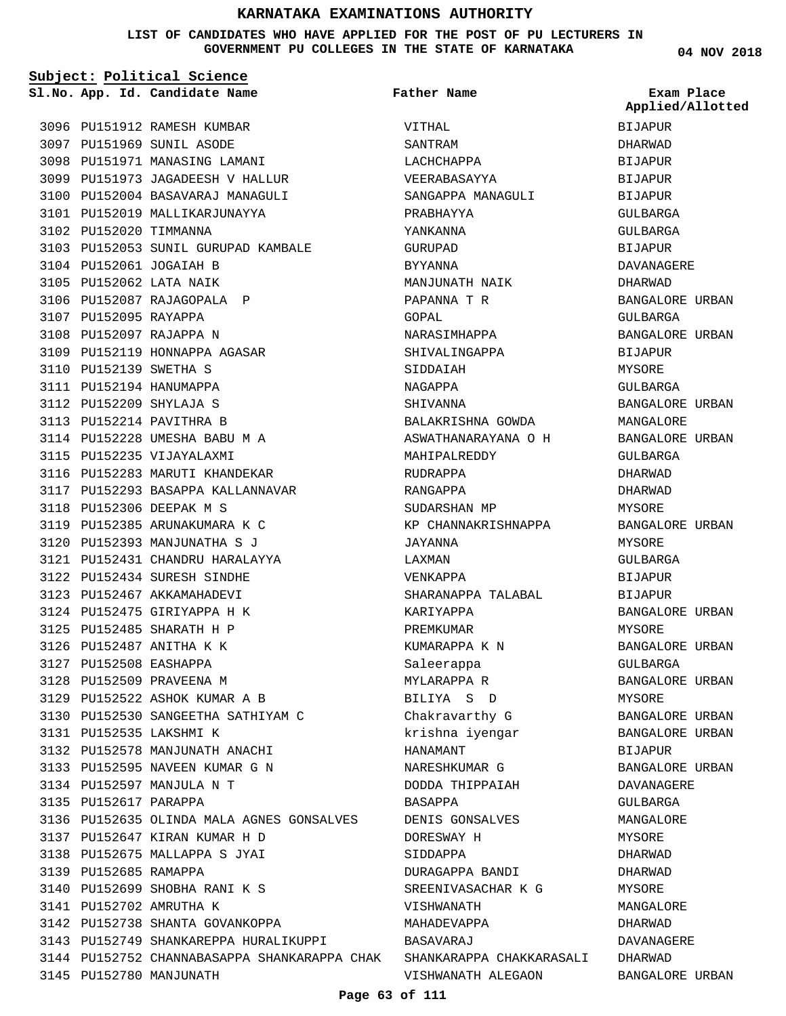#### **LIST OF CANDIDATES WHO HAVE APPLIED FOR THE POST OF PU LECTURERS IN GOVERNMENT PU COLLEGES IN THE STATE OF KARNATAKA**

**Subject: Political Science**

**App. Id. Candidate Name Sl.No. Exam Place**

**Father Name**

**04 NOV 2018**  $\overline{\mathsf{D}}$ BIJAPUR GULBARGA GA GERE  $\overline{\mathbf{D}}$ ORE URBAN GA ORE URBAN  $\mathsf R$  $AA$ ORE URBAN  $\overline{\rm ORE}$ ORE URBAN GA  $\mathsf D$ ORE URBAN **Applied/Allotted**

|                        | 3096 PU151912 RAMESH KUMBAR                                           | VITHAL              | <b>BIJAPUR</b>  |
|------------------------|-----------------------------------------------------------------------|---------------------|-----------------|
|                        | 3097 PU151969 SUNIL ASODE                                             | SANTRAM             | DHARWAD         |
|                        | 3098 PU151971 MANASING LAMANI                                         | LACHCHAPPA          | <b>BIJAPUR</b>  |
|                        | 3099 PU151973 JAGADEESH V HALLUR                                      | VEERABASAYYA        | BIJAPUR         |
|                        | 3100 PU152004 BASAVARAJ MANAGULI                                      | SANGAPPA MANAGULI   | <b>BIJAPUR</b>  |
|                        | 3101 PU152019 MALLIKARJUNAYYA                                         | PRABHAYYA           | GULBARGA        |
|                        | 3102 PU152020 TIMMANNA                                                | YANKANNA            | GULBARGA        |
|                        | 3103 PU152053 SUNIL GURUPAD KAMBALE                                   | GURUPAD             | BIJAPUR         |
|                        | 3104 PU152061 JOGAIAH B                                               | BYYANNA             | DAVANAGERE      |
|                        | 3105 PU152062 LATA NAIK                                               | MANJUNATH NAIK      | DHARWAD         |
|                        | 3106 PU152087 RAJAGOPALA P                                            | PAPANNA T R         | BANGALORE URBAN |
| 3107 PU152095 RAYAPPA  |                                                                       | GOPAL               | GULBARGA        |
|                        | 3108 PU152097 RAJAPPA N                                               | NARASIMHAPPA        | BANGALORE URBAN |
|                        | 3109 PU152119 HONNAPPA AGASAR                                         | SHIVALINGAPPA       | <b>BIJAPUR</b>  |
| 3110 PU152139 SWETHA S |                                                                       | SIDDAIAH            | MYSORE          |
|                        | 3111 PU152194 HANUMAPPA                                               | NAGAPPA             | GULBARGA        |
|                        | 3112 PU152209 SHYLAJA S                                               | SHIVANNA            | BANGALORE URBAN |
|                        | 3113 PU152214 PAVITHRA B                                              | BALAKRISHNA GOWDA   | MANGALORE       |
|                        | 3114 PU152228 UMESHA BABU M A                                         | ASWATHANARAYANA O H | BANGALORE URBAN |
|                        | 3115 PU152235 VIJAYALAXMI                                             | MAHIPALREDDY        | GULBARGA        |
|                        | 3116 PU152283 MARUTI KHANDEKAR                                        | RUDRAPPA            | DHARWAD         |
|                        | 3117 PU152293 BASAPPA KALLANNAVAR                                     | RANGAPPA            | DHARWAD         |
|                        | 3118 PU152306 DEEPAK M S                                              | SUDARSHAN MP        | MYSORE          |
|                        | 3119 PU152385 ARUNAKUMARA K C                                         | KP CHANNAKRISHNAPPA | BANGALORE URBAN |
|                        | 3120 PU152393 MANJUNATHA S J                                          | JAYANNA             | MYSORE          |
|                        | 3121 PU152431 CHANDRU HARALAYYA                                       | LAXMAN              | GULBARGA        |
|                        | 3122 PU152434 SURESH SINDHE                                           | VENKAPPA            | <b>BIJAPUR</b>  |
|                        | 3123 PU152467 AKKAMAHADEVI                                            | SHARANAPPA TALABAL  | BIJAPUR         |
|                        | 3124 PU152475 GIRIYAPPA H K                                           | KARIYAPPA           | BANGALORE URBAN |
|                        | 3125 PU152485 SHARATH H P                                             | PREMKUMAR           | MYSORE          |
|                        | 3126 PU152487 ANITHA K K                                              | KUMARAPPA K N       | BANGALORE URBAN |
| 3127 PU152508 EASHAPPA |                                                                       | Saleerappa          | GULBARGA        |
|                        | 3128 PU152509 PRAVEENA M                                              | MYLARAPPA R         | BANGALORE URBAN |
|                        | 3129 PU152522 ASHOK KUMAR A B                                         | BILIYA S D          | MYSORE          |
|                        | 3130 PU152530 SANGEETHA SATHIYAM C                                    | Chakravarthy G      | BANGALORE URBAN |
|                        | 3131 PU152535 LAKSHMI K                                               | krishna iyengar     | BANGALORE URBAN |
|                        | 3132 PU152578 MANJUNATH ANACHI                                        | HANAMANT            | BIJAPUR         |
|                        | 3133 PU152595 NAVEEN KUMAR G N                                        | NARESHKUMAR G       | BANGALORE URBAN |
|                        | 3134 PU152597 MANJULA N T                                             | DODDA THIPPAIAH     | DAVANAGERE      |
| 3135 PU152617 PARAPPA  |                                                                       | BASAPPA             | GULBARGA        |
|                        | 3136 PU152635 OLINDA MALA AGNES GONSALVES                             | DENIS GONSALVES     | MANGALORE       |
|                        | 3137 PU152647 KIRAN KUMAR H D                                         | DORESWAY H          | MYSORE          |
|                        | 3138 PU152675 MALLAPPA S JYAI                                         | SIDDAPPA            | DHARWAD         |
| 3139 PU152685 RAMAPPA  |                                                                       | DURAGAPPA BANDI     | DHARWAD         |
|                        | 3140 PU152699 SHOBHA RANI K S                                         | SREENIVASACHAR K G  | MYSORE          |
|                        | 3141 PU152702 AMRUTHA K                                               | VISHWANATH          | MANGALORE       |
|                        | 3142 PU152738 SHANTA GOVANKOPPA                                       | MAHADEVAPPA         | DHARWAD         |
|                        | 3143 PU152749 SHANKAREPPA HURALIKUPPI                                 | BASAVARAJ           | DAVANAGERE      |
|                        | 3144 PU152752 CHANNABASAPPA SHANKARAPPA CHAK SHANKARAPPA CHAKKARASALI |                     | DHARWAD         |
|                        | 3145 PU152780 MANJUNATH                                               | VISHWANATH ALEGAON  | BANGALORE URBAN |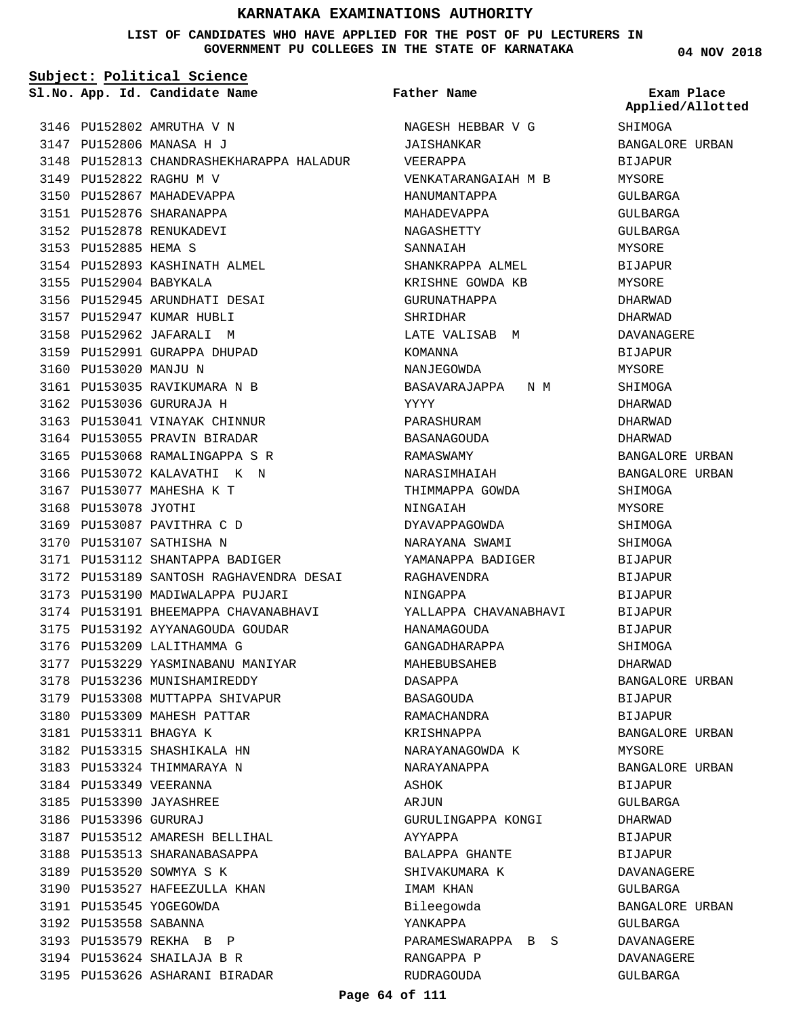**LIST OF CANDIDATES WHO HAVE APPLIED FOR THE POST OF PU LECTURERS IN GOVERNMENT PU COLLEGES IN THE STATE OF KARNATAKA**

**Subject: Political Science**

**App. Id. Candidate Name Sl.No. Exam Place**

3146 PU152802 AMRUTHA V N 3147 PU152806 MANASA H J

PU152822 RAGHU M V 3149 3150 PU152867 MAHADEVAPPA 3151 PU152876 SHARANAPPA 3152 PU152878 RENUKADEVI 3153 PU152885 HEMA S

3155 PU152904 BABYKALA

3160 PU153020 MANJU N

3168 PU153078 JYOTHI

3169 PU153087 PAVITHRA C D 3170 PU153107 SATHISHA N

3176 PU153209 LALITHAMMA G

3181 PU153311 BHAGYA K

3178 PU153236 MUNISHAMIREDDY 3179 PU153308 MUTTAPPA SHIVAPUR 3180 PU153309 MAHESH PATTAR

3182 PU153315 SHASHIKALA HN 3183 PU153324 THIMMARAYA N 3184 PU153349 VEERANNA 3185 PU153390 JAYASHREE 3186 PU153396 GURURAJ

3187 PU153512 AMARESH BELLIHAL 3188 PU153513 SHARANABASAPPA 3189 PU153520 SOWMYA S K

3190 PU153527 HAFEEZULLA KHAN

PU153545 YOGEGOWDA 3191 3192 PU153558 SABANNA 3193 PU153579 REKHA B P PU153624 SHAILAJA B R 3194 3195 PU153626 ASHARANI BIRADAR

PU153112 SHANTAPPA BADIGER 3171

3173 PU153190 MADIWALAPPA PUJARI 3174 PU153191 BHEEMAPPA CHAVANABHAVI PU153192 AYYANAGOUDA GOUDAR 3175

3177 PU153229 YASMINABANU MANIYAR

3172 PU153189 SANTOSH RAGHAVENDRA DESAI

3154 PU152893 KASHINATH ALMEL

3156 PU152945 ARUNDHATI DESAI 3157 PU152947 KUMAR HUBLI 3158 PU152962 JAFARALI M 3159 PU152991 GURAPPA DHUPAD

3161 PU153035 RAVIKUMARA N B 3162 PU153036 GURURAJA H

3163 PU153041 VINAYAK CHINNUR 3164 PU153055 PRAVIN BIRADAR 3165 PU153068 RAMALINGAPPA S R 3166 PU153072 KALAVATHI K N 3167 PU153077 MAHESHA K T

3148 PU152813 CHANDRASHEKHARAPPA HALADUR

**Father Name**

NAGESH HEBBAR V G JAISHANKAR VEERAPPA

SHANKRAPPA ALMEL KRISHNE GOWDA KB GURUNATHAPPA

LATE VALISAB M

BASAVARAJAPPA N M

HANUMANTAPPA MAHADEVAPPA NAGASHETTY SANNAIAH

SHRIDHAR

KOMANNA NANJEGOWDA

PARASHURAM BASANAGOUDA RAMASWAMY NARASIMHAIAH THIMMAPPA GOWDA

NINGAIAH

RAGHAVENDRA NINGAPPA

HANAMAGOUDA GANGADHARAPPA MAHEBUBSAHEB

DASAPPA BASAGOUDA RAMACHANDRA KRISHNAPPA

ASHOK ARJUN

AYYAPPA

IMAM KHAN Bileegowda YANKAPPA

RANGAPPA P RUDRAGOUDA

DYAVAPPAGOWDA NARAYANA SWAMI YAMANAPPA BADIGER

YALLAPPA CHAVANABHAVI

NARAYANAGOWDA K

GURULINGAPPA KONGI

PARAMESWARAPPA B S

NARAYANAPPA

BALAPPA GHANTE SHIVAKUMARA K

YYYY

VENKATARANGAIAH M B

SHIMOGA BANGALORE URBAN BIJAPUR MYSORE GULBARGA GULBARGA GULBARGA MYSORE **BIJAPUR** MYSORE DHARWAD DHARWAD DAVANAGERE BIJAPUR MYSORE SHIMOGA DHARWAD DHARWAD DHARWAD BANGALORE URBAN BANGALORE URBAN SHIMOGA MYSORE SHIMOGA SHIMOGA BIJAPUR BIJAPUR **BIJAPUR** BIJAPUR BIJAPUR SHIMOGA DHARWAD BANGALORE URBAN BIJAPUR BIJAPUR BANGALORE URBAN MYSORE BANGALORE URBAN BIJAPUR GULBARGA DHARWAD BIJAPUR BIJAPUR DAVANAGERE GULBARGA BANGALORE URBAN GULBARGA DAVANAGERE

DAVANAGERE GULBARGA

**Applied/Allotted**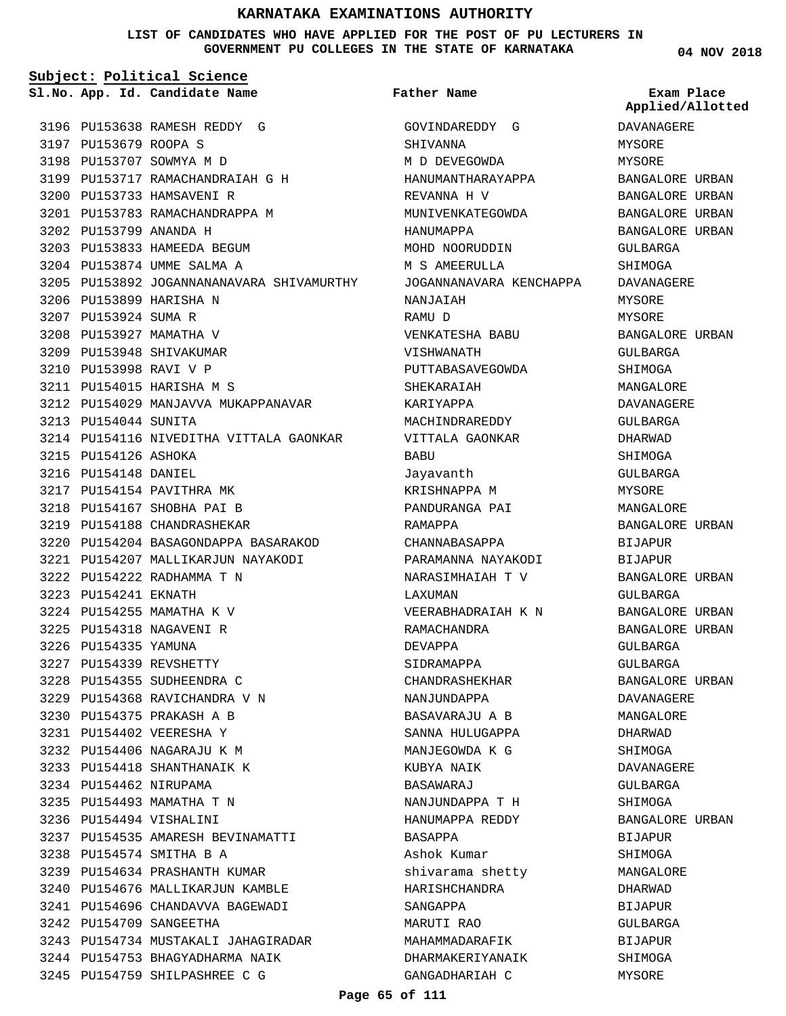**LIST OF CANDIDATES WHO HAVE APPLIED FOR THE POST OF PU LECTURERS IN GOVERNMENT PU COLLEGES IN THE STATE OF KARNATAKA**

**Subject: Political Science**

3196 PU153638 RAMESH REDDY G 3197 PU153679 ROOPA S 3198 PU153707 SOWMYA M D PU153717 RAMACHANDRAIAH G H 3199 3200 PU153733 HAMSAVENI R 3201 PU153783 RAMACHANDRAPPA M PU153799 ANANDA H 3202 3203 PU153833 HAMEEDA BEGUM 3204 PU153874 UMME SALMA A 3205 PU153892 JOGANNANANAVARA SHIVAMURTHY 3206 PU153899 HARISHA N 3207 PU153924 SUMA R 3208 PU153927 MAMATHA V 3209 PU153948 SHIVAKUMAR 3210 PU153998 RAVI V P PU154015 HARISHA M S 3211 3212 PU154029 MANJAVVA MUKAPPANAVAR 3213 PU154044 SUNITA 3214 PU154116 NIVEDITHA VITTALA GAONKAR 3215 PU154126 ASHOKA 3216 PU154148 DANIEL 3217 PU154154 PAVITHRA MK 3218 PU154167 SHOBHA PAI B 3219 PU154188 CHANDRASHEKAR PU154204 BASAGONDAPPA BASARAKOD 3220 3221 PU154207 MALLIKARJUN NAYAKODI PU154222 RADHAMMA T N 3222 3223 PU154241 EKNATH 3224 PU154255 MAMATHA K V 3225 PU154318 NAGAVENI R 3226 PU154335 YAMUNA 3227 PU154339 REVSHETTY 3228 PU154355 SUDHEENDRA C 3229 PU154368 RAVICHANDRA V N PU154375 PRAKASH A B 3230 PU154402 VEERESHA Y 3231 PU154406 NAGARAJU K M 3232 3233 PU154418 SHANTHANAIK K 3234 PU154462 NIRUPAMA 3235 PU154493 MAMATHA T N 3236 PU154494 VISHALINI PU154535 AMARESH BEVINAMATTI 3237 3238 PU154574 SMITHA B A 3239 PU154634 PRASHANTH KUMAR 3240 PU154676 MALLIKARJUN KAMBLE 3241 PU154696 CHANDAVVA BAGEWADI 3242 PU154709 SANGEETHA 3243 PU154734 MUSTAKALI JAHAGIRADAR 3244 PU154753 BHAGYADHARMA NAIK

3245 PU154759 SHILPASHREE C G

**App. Id. Candidate Name Sl.No. Exam Place** GOVINDAREDDY G SHIVANNA M D DEVEGOWDA HANUMANTHARAYAPPA REVANNA H V MUNIVENKATEGOWDA HANUMAPPA MOHD NOORUDDIN M S AMEERIILLA JOGANNANAVARA KENCHAPPA NANJAIAH RAMU D VENKATESHA BABU VISHWANATH PUTTABASAVEGOWDA SHEKARAIAH KARIYAPPA MACHINDRAREDDY VITTALA GAONKAR **BABU** Jayavanth KRISHNAPPA M PANDURANGA PAI RAMAPPA CHANNABASAPPA PARAMANNA NAYAKODI NARASIMHAIAH T V LAXUMAN VEERABHADRAIAH K N RAMACHANDRA DEVAPPA SIDRAMAPPA CHANDRASHEKHAR NANJUNDAPPA BASAVARAJU A B SANNA HULUGAPPA MANJEGOWDA K G KUBYA NAIK BASAWARAJ NANJUNDAPPA T H HANUMAPPA REDDY BASAPPA Ashok Kumar shivarama shetty HARISHCHANDRA SANGAPPA MARUTI RAO MAHAMMADARAFIK DHARMAKERIYANAIK GANGADHARIAH C **Father Name**

**04 NOV 2018**

DAVANAGERE MYSORE MYSORE BANGALORE URBAN BANGALORE URBAN BANGALORE URBAN BANGALORE URBAN GULBARGA SHIMOGA DAVANAGERE MYSORE MYSORE BANGALORE URBAN GULBARGA SHIMOGA MANGALORE DAVANAGERE GULBARGA DHARWAD SHIMOGA GULBARGA MYSORE MANGALORE BANGALORE URBAN BIJAPUR BIJAPUR BANGALORE URBAN GULBARGA BANGALORE URBAN BANGALORE URBAN GULBARGA GULBARGA BANGALORE URBAN DAVANAGERE MANGALORE DHARWAD SHIMOGA DAVANAGERE GULBARGA SHIMOGA BANGALORE URBAN BIJAPUR SHIMOGA MANGALORE DHARWAD BIJAPUR GULBARGA BIJAPUR SHIMOGA MYSORE **Applied/Allotted**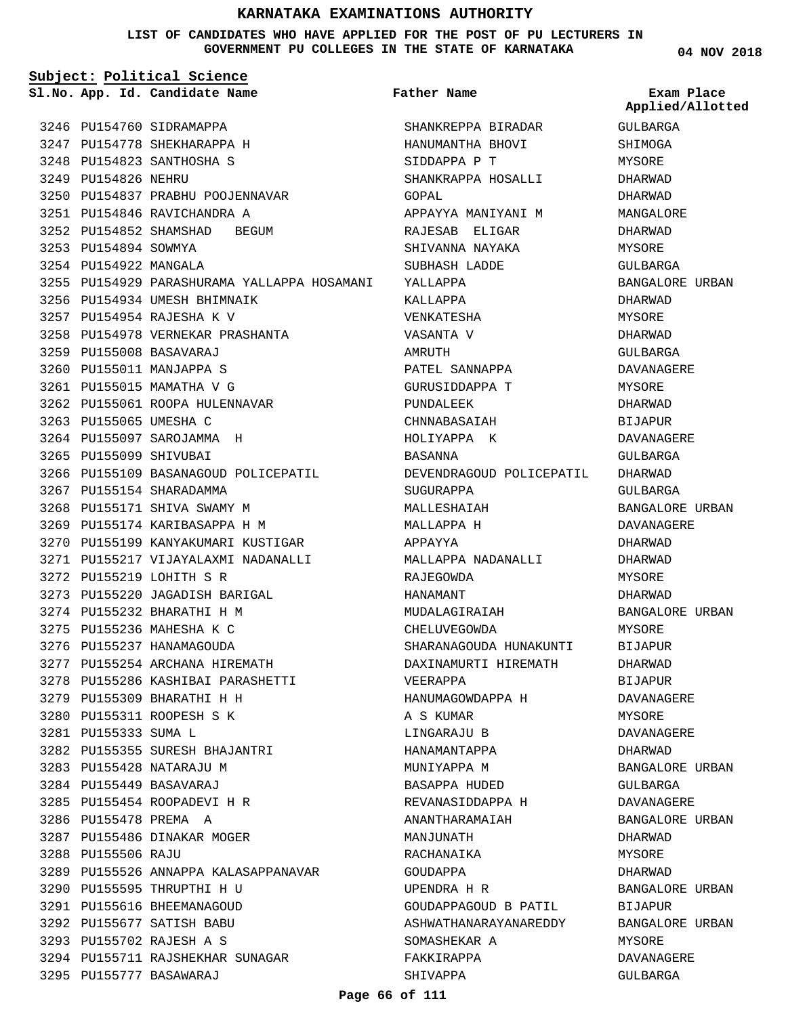**LIST OF CANDIDATES WHO HAVE APPLIED FOR THE POST OF PU LECTURERS IN GOVERNMENT PU COLLEGES IN THE STATE OF KARNATAKA**

**Subject: Political Science**

**App. Id. Candidate Name Sl.No. Exam Place**

3246 PU154760 SIDRAMAPPA 3247 PU154778 SHEKHARAPPA H 3248 PU154823 SANTHOSHA S

PU154846 RAVICHANDRA A 3251

3256 PU154934 UMESH BHIMNAIK PU154954 RAJESHA K V 3257

PU155008 BASAVARAJ 3259 3260 PU155011 MANJAPPA S 3261 PU155015 MAMATHA V G

3263 PU155065 UMESHA C 3264 PU155097 SAROJAMMA H 3265 PU155099 SHIVUBAI

3267 PU155154 SHARADAMMA 3268 PU155171 SHIVA SWAMY M

PU155219 LOHITH S R 3272

3274 PU155232 BHARATHI H M 3275 PU155236 MAHESHA K C 3276 PU155237 HANAMAGOUDA

PU155309 BHARATHI H H 3279 3280 PU155311 ROOPESH S K

3283 PU155428 NATARAJU M PU155449 BASAVARAJ 3284 3285 PU155454 ROOPADEVI H R

3286 PU155478 PREMA A

3288 PU155506 RAJU

3287 PU155486 DINAKAR MOGER

3290 PU155595 THRUPTHI H U 3291 PU155616 BHEEMANAGOUD PU155677 SATISH BABU 3292 PU155702 RAJESH A S 3293

PU155777 BASAWARAJ 3295

3281 PU155333 SUMA L

3249 PU154826 NEHRU

3253 PU154894 SOWMYA 3254 PU154922 MANGALA **Father Name**

3250 PU154837 PRABHU POOJENNAVAR 3252 PU154852 SHAMSHAD BEGUM 3255 PU154929 PARASHURAMA YALLAPPA HOSAMANI 3258 PU154978 VERNEKAR PRASHANTA 3262 PU155061 ROOPA HULENNAVAR 3266 PU155109 BASANAGOUD POLICEPATIL 3269 PU155174 KARIBASAPPA H M 3270 PU155199 KANYAKUMARI KUSTIGAR 3271 PU155217 VIJAYALAXMI NADANALLI 3273 PU155220 JAGADISH BARIGAL 3277 PU155254 ARCHANA HIREMATH 3278 PU155286 KASHIBAI PARASHETTI 3282 PU155355 SURESH BHAJANTRI 3289 PU155526 ANNAPPA KALASAPPANAVAR 3294 PU155711 RAJSHEKHAR SUNAGAR SHANKREPPA BIRADAR HANUMANTHA BHOVI SIDDAPPA P T SHANKRAPPA HOSALLI GOPAL APPAYYA MANIYANI M RAJESAB ELIGAR SHIVANNA NAYAKA SUBHASH LADDE YALLAPPA KALLAPPA VENKATESHA VASANTA V AMRUTH PATEL SANNAPPA GURUSIDDAPPA T PUNDALEEK CHNNABASAIAH HOLIYAPPA K BASANNA DEVENDRAGOUD POLICEPATIL SUGURAPPA MALLESHAIAH MALLAPPA H APPAYYA MALLAPPA NADANALLI RAJEGOWDA HANAMANT MUDALAGIRAIAH CHELUVEGOWDA SHARANAGOUDA HUNAKUNTI DAXINAMURTI HIREMATH VEERAPPA HANUMAGOWDAPPA H A S KUMAR LINGARAJU B HANAMANTAPPA MUNIYAPPA M BASAPPA HUDED REVANASIDDAPPA H ANANTHARAMAIAH MANJUNATH RACHANAIKA GOUDAPPA UPENDRA H R GOUDAPPAGOUD B PATIL ASHWATHANARAYANAREDDY SOMASHEKAR A FAKKIRAPPA SHIVAPPA

GULBARGA SHIMOGA MYSORE DHARWAD DHARWAD MANGALORE DHARWAD MYSORE GULBARGA BANGALORE URBAN DHARWAD MYSORE DHARWAD GULBARGA DAVANAGERE MYSORE DHARWAD **BIJAPUR** DAVANAGERE GULBARGA DHARWAD GULBARGA BANGALORE URBAN DAVANAGERE DHARWAD DHARWAD MYSORE DHARWAD BANGALORE URBAN MYSORE BIJAPUR DHARWAD BIJAPUR DAVANAGERE MYSORE DAVANAGERE DHARWAD BANGALORE URBAN GULBARGA DAVANAGERE BANGALORE URBAN DHARWAD MYSORE DHARWAD BANGALORE URBAN BIJAPUR BANGALORE URBAN MYSORE DAVANAGERE GULBARGA

**Applied/Allotted**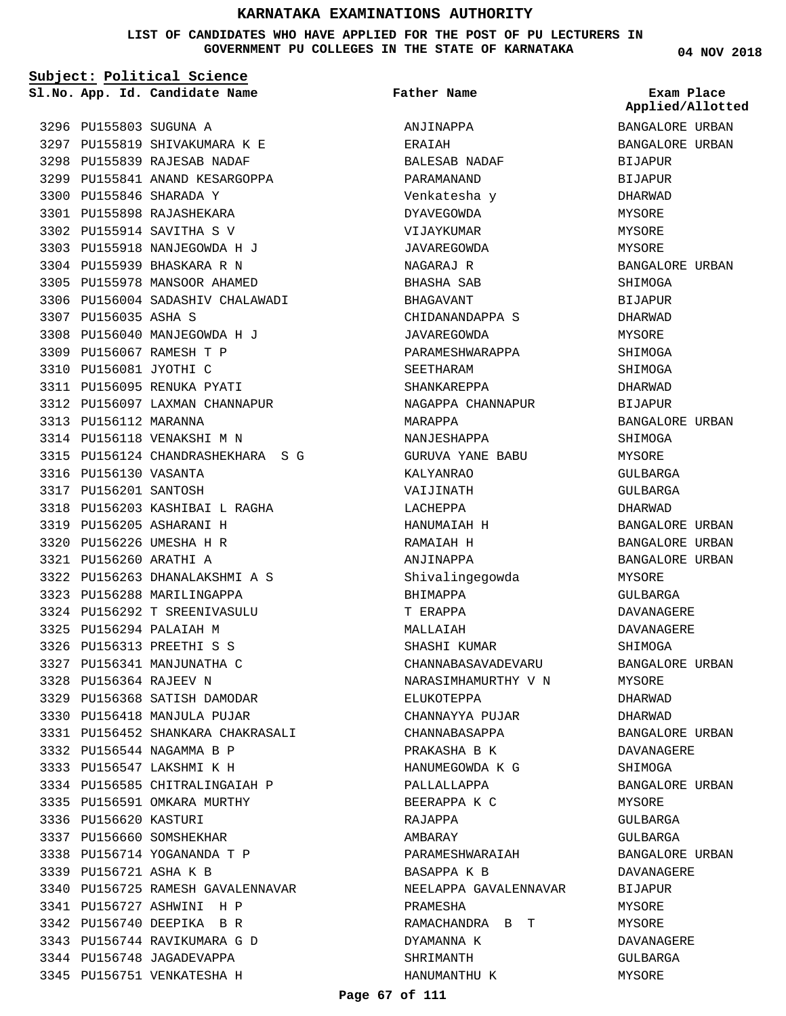**LIST OF CANDIDATES WHO HAVE APPLIED FOR THE POST OF PU LECTURERS IN GOVERNMENT PU COLLEGES IN THE STATE OF KARNATAKA**

**Subject: Political Science**

**App. Id. Candidate Name Sl.No. Exam Place**

3345 PU156751 VENKATESHA H

**Father Name**

|                        |                                   |                       | Applied/Allotted |
|------------------------|-----------------------------------|-----------------------|------------------|
| 3296 PU155803 SUGUNA A |                                   | ANJINAPPA             | BANGALORE URBAN  |
|                        | 3297 PU155819 SHIVAKUMARA K E     | ERAIAH                | BANGALORE URBAN  |
|                        | 3298 PU155839 RAJESAB NADAF       | BALESAB NADAF         | BIJAPUR          |
|                        | 3299 PU155841 ANAND KESARGOPPA    | PARAMANAND            | BIJAPUR          |
|                        | 3300 PU155846 SHARADA Y           | Venkatesha y          | DHARWAD          |
|                        | 3301 PU155898 RAJASHEKARA         | <b>DYAVEGOWDA</b>     | MYSORE           |
|                        | 3302 PU155914 SAVITHA S V         | VIJAYKUMAR            | MYSORE           |
|                        | 3303 PU155918 NANJEGOWDA H J      | JAVAREGOWDA           | MYSORE           |
|                        | 3304 PU155939 BHASKARA R N        | NAGARAJ R             | BANGALORE URBAN  |
|                        | 3305 PU155978 MANSOOR AHAMED      | BHASHA SAB            | SHIMOGA          |
|                        | 3306 PU156004 SADASHIV CHALAWADI  | BHAGAVANT             | BIJAPUR          |
| 3307 PU156035 ASHA S   |                                   | CHIDANANDAPPA S       | DHARWAD          |
|                        | 3308 PU156040 MANJEGOWDA H J      | JAVAREGOWDA           | MYSORE           |
|                        | 3309 PU156067 RAMESH T P          | PARAMESHWARAPPA       | SHIMOGA          |
| 3310 PU156081 JYOTHI C |                                   | SEETHARAM             | SHIMOGA          |
|                        | 3311 PU156095 RENUKA PYATI        | SHANKAREPPA           | DHARWAD          |
|                        | 3312 PU156097 LAXMAN CHANNAPUR    | NAGAPPA CHANNAPUR     | <b>BIJAPUR</b>   |
| 3313 PU156112 MARANNA  |                                   | MARAPPA               | BANGALORE URBAN  |
|                        | 3314 PU156118 VENAKSHI M N        | NANJESHAPPA           | SHIMOGA          |
|                        | 3315 PU156124 CHANDRASHEKHARA SG  | GURUVA YANE BABU      | MYSORE           |
| 3316 PU156130 VASANTA  |                                   | KALYANRAO             | GULBARGA         |
| 3317 PU156201 SANTOSH  |                                   | VAIJINATH             | GULBARGA         |
|                        | 3318 PU156203 KASHIBAI L RAGHA    | LACHEPPA              | DHARWAD          |
|                        | 3319 PU156205 ASHARANI H          | HANUMAIAH H           | BANGALORE URBAN  |
|                        | 3320 PU156226 UMESHA H R          | RAMAIAH H             | BANGALORE URBAN  |
| 3321 PU156260 ARATHI A |                                   | ANJINAPPA             | BANGALORE URBAN  |
|                        | 3322 PU156263 DHANALAKSHMI A S    | Shivalingegowda       | MYSORE           |
|                        | 3323 PU156288 MARILINGAPPA        | BHIMAPPA              | GULBARGA         |
|                        | 3324 PU156292 T SREENIVASULU      | T ERAPPA              | DAVANAGERE       |
|                        | 3325 PU156294 PALAIAH M           | MALLAIAH              | DAVANAGERE       |
|                        | 3326 PU156313 PREETHI S S         | SHASHI KUMAR          | SHIMOGA          |
|                        | 3327 PU156341 MANJUNATHA C        | CHANNABASAVADEVARU    | BANGALORE URBAN  |
| 3328 PU156364 RAJEEV N |                                   | NARASIMHAMURTHY V N   | MYSORE           |
|                        | 3329 PU156368 SATISH DAMODAR      | ELUKOTEPPA            | DHARWAD          |
|                        | 3330 PU156418 MANJULA PUJAR       | CHANNAYYA PUJAR       | DHARWAD          |
|                        | 3331 PU156452 SHANKARA CHAKRASALI | CHANNABASAPPA         | BANGALORE URBAN  |
|                        | 3332 PU156544 NAGAMMA B P         | PRAKASHA B K          | DAVANAGERE       |
|                        | 3333 PU156547 LAKSHMI K H         | HANUMEGOWDA K G       | SHIMOGA          |
|                        | 3334 PU156585 CHITRALINGAIAH P    | PALLALLAPPA           | BANGALORE URBAN  |
|                        | 3335 PU156591 OMKARA MURTHY       | BEERAPPA K C          | MYSORE           |
| 3336 PU156620 KASTURI  |                                   | RAJAPPA               | GULBARGA         |
|                        | 3337 PU156660 SOMSHEKHAR          | AMBARAY               | GULBARGA         |
|                        | 3338 PU156714 YOGANANDA T P       | PARAMESHWARAIAH       | BANGALORE URBAN  |
| 3339 PU156721 ASHA K B |                                   | BASAPPA K B           | DAVANAGERE       |
|                        | 3340 PU156725 RAMESH GAVALENNAVAR | NEELAPPA GAVALENNAVAR | BIJAPUR          |
|                        | 3341 PU156727 ASHWINI  H P        | PRAMESHA              | MYSORE           |
|                        | 3342 PU156740 DEEPIKA BR          | RAMACHANDRA B T       | MYSORE           |
|                        | 3343 PU156744 RAVIKUMARA G D      | DYAMANNA K            | DAVANAGERE       |
|                        | 3344 PU156748 JAGADEVAPPA         | SHRIMANTH             | GULBARGA         |
|                        | 3345 PU156751 VENKATESHA H        | HANUMANTHU K          | MYSORE           |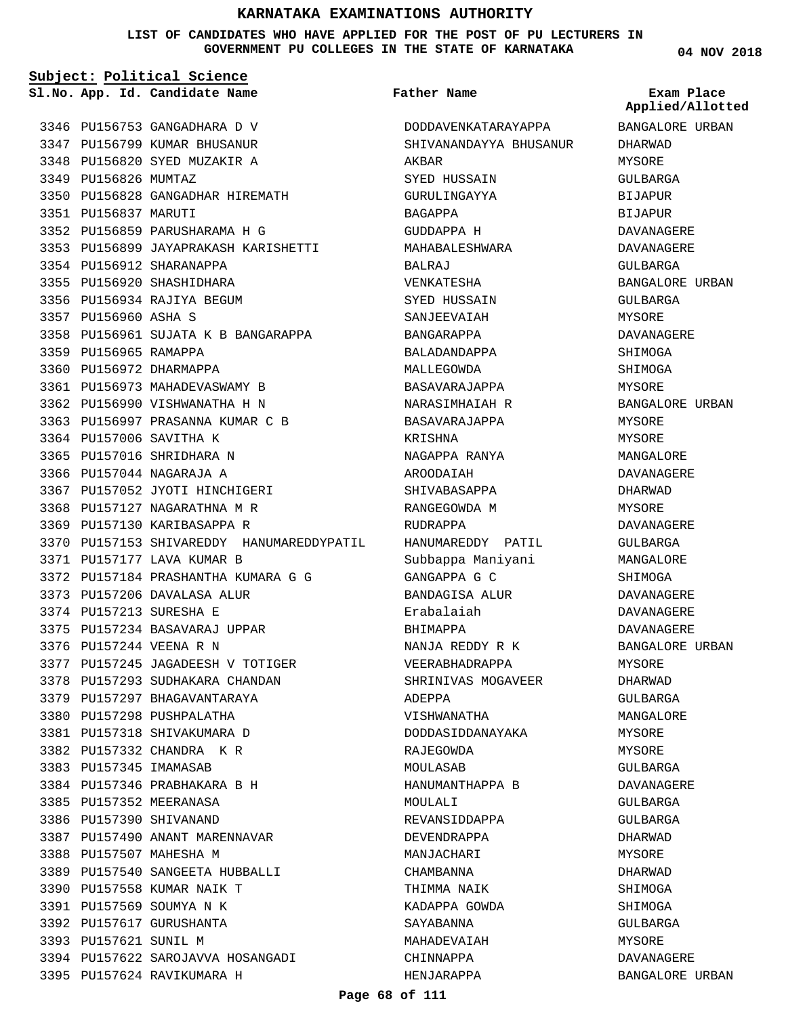**LIST OF CANDIDATES WHO HAVE APPLIED FOR THE POST OF PU LECTURERS IN GOVERNMENT PU COLLEGES IN THE STATE OF KARNATAKA**

**Subject: Political Science**

**App. Id. Candidate Name Sl.No. Exam Place**

3349 PU156826 MUMTAZ

3351 PU156837 MARUTI

3357 PU156960 ASHA S

3359 PU156965 RAMAPPA 3360 PU156972 DHARMAPPA

3364 PU157006 SAVITHA K 3365 PU157016 SHRIDHARA N 3366 PU157044 NAGARAJA A

3354 PU156912 SHARANAPPA 3355 PU156920 SHASHIDHARA 3356 PU156934 RAJIYA BEGUM

3346 PU156753 GANGADHARA D V 3347 PU156799 KUMAR BHUSANUR 3348 PU156820 SYED MUZAKIR A

PU156828 GANGADHAR HIREMATH 3350

PU156899 JAYAPRAKASH KARISHETTI 3353

3358 PU156961 SUJATA K B BANGARAPPA

3352 PU156859 PARUSHARAMA H G

3361 PU156973 MAHADEVASWAMY B 3362 PU156990 VISHWANATHA H N 3363 PU156997 PRASANNA KUMAR C B

3367 PU157052 JYOTI HINCHIGERI 3368 PU157127 NAGARATHNA M R 3369 PU157130 KARIBASAPPA R

3372 PU157184 PRASHANTHA KUMARA G G

PU157177 LAVA KUMAR B 3371

3373 PU157206 DAVALASA ALUR 3374 PU157213 SURESHA E

3376 PU157244 VEENA R N

3375 PU157234 BASAVARAJ UPPAR

PU157346 PRABHAKARA B H 3384

3387 PU157490 ANANT MARENNAVAR

3389 PU157540 SANGEETA HUBBALLI

3394 PU157622 SAROJAVVA HOSANGADI

3385 PU157352 MEERANASA 3386 PU157390 SHIVANAND

3388 PU157507 MAHESHA M

3390 PU157558 KUMAR NAIK T PU157569 SOUMYA N K 3391 3392 PU157617 GURUSHANTA 3393 PU157621 SUNIL M

3395 PU157624 RAVIKUMARA H

3377 PU157245 JAGADEESH V TOTIGER 3378 PU157293 SUDHAKARA CHANDAN 3379 PU157297 BHAGAVANTARAYA 3380 PU157298 PUSHPALATHA 3381 PU157318 SHIVAKUMARA D 3382 PU157332 CHANDRA K R 3383 PU157345 IMAMASAB

**Father Name**

3370 PU157153 SHIVAREDDY HANUMAREDDYPATIL HANUMAREDDY PATIL DODDAVENKATARAYAPPA SHIVANANDAYYA BHUSANUR AKBAR SYED HUSSAIN GURULINGAYYA BAGAPPA GUDDAPPA H MAHABALESHWARA BALRAJ VENKATESHA SYED HUSSAIN SANJEEVAIAH BANGARAPPA BALADANDAPPA MALLEGOWDA BASAVARAJAPPA NARASIMHAIAH R BASAVARAJAPPA KRISHNA NAGAPPA RANYA AROODAIAH SHIVABASAPPA RANGEGOWDA M RUDRAPPA Subbappa Maniyani GANGAPPA G C BANDAGISA ALUR Erabalaiah BHIMAPPA NANJA REDDY R K VEERABHADRAPPA SHRINIVAS MOGAVEER ADEPPA VISHWANATHA DODDASIDDANAYAKA RAJEGOWDA MOULASAB HANUMANTHAPPA B MOULALI REVANSIDDAPPA DEVENDRAPPA MANJACHARI CHAMBANNA THIMMA NAIK KADAPPA GOWDA SAYABANNA MAHADEVAIAH CHINNAPPA HENJARAPPA

**04 NOV 2018**

**Applied/Allotted**

BANGALORE URBAN DHARWAD MYSORE GULBARGA BIJAPUR BIJAPUR DAVANAGERE DAVANAGERE GULBARGA BANGALORE URBAN GULBARGA MYSORE DAVANAGERE SHIMOGA SHIMOGA MYSORE BANGALORE URBAN MYSORE MYSORE MANGALORE DAVANAGERE DHARWAD MYSORE DAVANAGERE GULBARGA MANGALORE **SHIMOGA** DAVANAGERE DAVANAGERE DAVANAGERE BANGALORE URBAN MYSORE DHARWAD GULBARGA MANGALORE MYSORE MYSORE GULBARGA DAVANAGERE GULBARGA GULBARGA DHARWAD MYSORE DHARWAD **SHIMOGA** SHIMOGA GULBARGA MYSORE DAVANAGERE

BANGALORE URBAN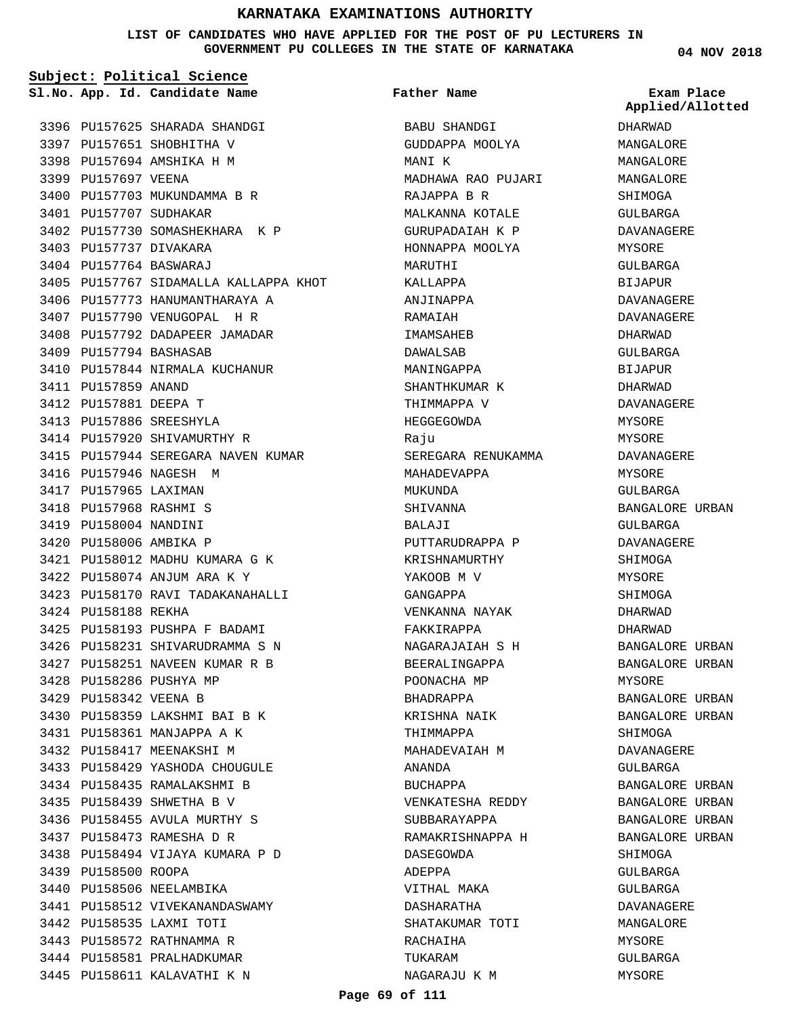**LIST OF CANDIDATES WHO HAVE APPLIED FOR THE POST OF PU LECTURERS IN GOVERNMENT PU COLLEGES IN THE STATE OF KARNATAKA**

**Subject: Political Science** 3396 PU157625 SHARADA SHANDGI 3397 PU157651 SHOBHITHA V 3398 PU157694 AMSHIKA H M 3399 PU157697 VEENA 3400 PU157703 MUKUNDAMMA B R 3401 PU157707 SUDHAKAR 3402 PU157730 SOMASHEKHARA K P 3403 PU157737 DIVAKARA PU157764 BASWARAJ 3404 3405 PU157767 SIDAMALLA KALLAPPA KHOT 3406 PU157773 HANUMANTHARAYA A 3407 PU157790 VENUGOPAL H R 3408 PU157792 DADAPEER JAMADAR 3409 PU157794 BASHASAB 3410 PU157844 NIRMALA KUCHANUR 3411 PU157859 ANAND 3412 PU157881 DEEPA T 3413 PU157886 SREESHYLA 3414 PU157920 SHIVAMURTHY R 3415 PU157944 SEREGARA NAVEN KUMAR 3416 PU157946 NAGESH M 3417 PU157965 LAXIMAN PU157968 RASHMI S 3418 3419 PU158004 NANDINI 3420 PU158006 AMBIKA P PU158012 MADHU KUMARA G K 3421 PU158074 ANJUM ARA K Y 3422 3423 PU158170 RAVI TADAKANAHALLI 3424 PU158188 REKHA 3425 PU158193 PUSHPA F BADAMI PU158231 SHIVARUDRAMMA S N 3426 PU158251 NAVEEN KUMAR R B 3427 3428 PU158286 PUSHYA MP 3429 PU158342 VEENA B 3430 PU158359 LAKSHMI BAI B K PU158361 MANJAPPA A K 3431 3432 PU158417 MEENAKSHI M 3433 PU158429 YASHODA CHOUGULE 3434 PU158435 RAMALAKSHMI B PU158439 SHWETHA B V 3435 3436 PU158455 AVULA MURTHY S PU158473 RAMESHA D R 3437 PU158494 VIJAYA KUMARA P D 3438 **App. Id. Candidate Name Sl.No. Exam Place**

3439 PU158500 ROOPA

3440 PU158506 NEELAMBIKA

3442 PU158535 LAXMI TOTI 3443 PU158572 RATHNAMMA R 3444 PU158581 PRALHADKUMAR 3445 PU158611 KALAVATHI K N

3441 PU158512 VIVEKANANDASWAMY

BABU SHANDGI GUDDAPPA MOOLYA MANI K MADHAWA RAO PUJARI RAJAPPA B R MALKANNA KOTALE GURUPADAIAH K P HONNAPPA MOOLYA MARITTHI KALLAPPA ANJINAPPA RAMAIAH IMAMSAHEB DAWALSAB MANINGAPPA SHANTHKUMAR K THIMMAPPA V HEGGEGOWDA Raju SEREGARA RENUKAMMA MAHADEVAPPA MUKUNDA SHIVANNA BALAJI PUTTARUDRAPPA P KRISHNAMURTHY YAKOOB M V GANGAPPA VENKANNA NAYAK FAKKIRAPPA NAGARAJAIAH S H BEERALINGAPPA POONACHA MP BHADRAPPA KRISHNA NAIK THIMMAPPA MAHADEVAIAH M ANANDA BUCHAPPA VENKATESHA REDDY SUBBARAYAPPA RAMAKRISHNAPPA H DASEGOWDA ADEPPA VITHAL MAKA DASHARATHA SHATAKUMAR TOTI RACHAIHA TUKARAM NAGARAJU K M **Father Name**

**04 NOV 2018**

**Applied/Allotted**

DHARWAD MANGALORE MANGALORE MANGALORE SHIMOGA GULBARGA DAVANAGERE MYSORE GULBARGA BIJAPUR DAVANAGERE DAVANAGERE DHARWAD GULBARGA BIJAPUR DHARWAD DAVANAGERE MYSORE MYSORE DAVANAGERE MYSORE GULBARGA BANGALORE URBAN GULBARGA DAVANAGERE SHIMOGA MYSORE SHIMOGA DHARWAD DHARWAD BANGALORE URBAN BANGALORE URBAN MYSORE BANGALORE URBAN BANGALORE URBAN **SHIMOGA** DAVANAGERE GULBARGA BANGALORE URBAN BANGALORE URBAN BANGALORE URBAN BANGALORE URBAN SHIMOGA GULBARGA GULBARGA DAVANAGERE MANGALORE MYSORE GULBARGA

MYSORE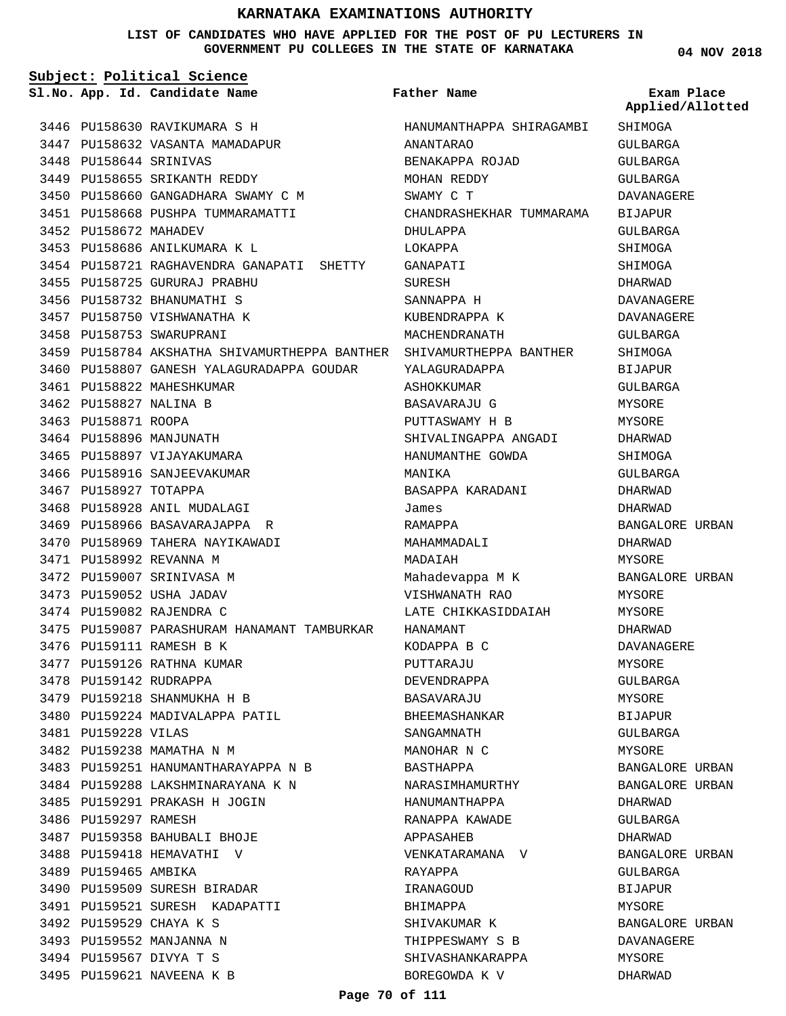**LIST OF CANDIDATES WHO HAVE APPLIED FOR THE POST OF PU LECTURERS IN GOVERNMENT PU COLLEGES IN THE STATE OF KARNATAKA**

| Subject: Political Science |                        |                                                                      |                          |                                |
|----------------------------|------------------------|----------------------------------------------------------------------|--------------------------|--------------------------------|
|                            |                        | Sl.No. App. Id. Candidate Name                                       | <b>Father Name</b>       | Exam Place<br>Applied/Allotted |
|                            |                        | 3446 PU158630 RAVIKUMARA S H                                         | HANUMANTHAPPA SHIRAGAMBI | SHIMOGA                        |
|                            |                        | 3447 PU158632 VASANTA MAMADAPUR                                      | ANANTARAO                | GULBARGA                       |
|                            | 3448 PU158644 SRINIVAS |                                                                      | BENAKAPPA ROJAD          | GULBARGA                       |
|                            |                        | 3449 PU158655 SRIKANTH REDDY                                         | MOHAN REDDY              | GULBARGA                       |
|                            |                        | 3450 PU158660 GANGADHARA SWAMY C M                                   | SWAMY C T                | <b>DAVANAGERE</b>              |
|                            |                        | 3451 PU158668 PUSHPA TUMMARAMATTI                                    | CHANDRASHEKHAR TUMMARAMA | BIJAPUR                        |
|                            | 3452 PU158672 MAHADEV  |                                                                      | DHULAPPA                 | GULBARGA                       |
|                            |                        | 3453 PU158686 ANILKUMARA K L                                         | LOKAPPA                  | SHIMOGA                        |
|                            |                        | 3454 PU158721 RAGHAVENDRA GANAPATI SHETTY                            | GANAPATI                 | SHIMOGA                        |
|                            |                        | 3455 PU158725 GURURAJ PRABHU                                         | SURESH                   | DHARWAD                        |
|                            |                        | 3456 PU158732 BHANUMATHI S                                           | SANNAPPA H               | DAVANAGERE                     |
|                            |                        | 3457 PU158750 VISHWANATHA K                                          | KUBENDRAPPA K            | DAVANAGERE                     |
|                            |                        | 3458 PU158753 SWARUPRANI                                             | MACHENDRANATH            | GULBARGA                       |
|                            |                        | 3459 PU158784 AKSHATHA SHIVAMURTHEPPA BANTHER SHIVAMURTHEPPA BANTHER |                          | SHIMOGA                        |
|                            |                        | 3460 PU158807 GANESH YALAGURADAPPA GOUDAR YALAGURADAPPA              |                          | BIJAPUR                        |
|                            |                        | 3461 PU158822 MAHESHKUMAR                                            | ASHOKKUMAR               | GULBARGA                       |
|                            | 3462 PU158827 NALINA B |                                                                      | BASAVARAJU G             | MYSORE                         |
|                            | 3463 PU158871 ROOPA    |                                                                      | PUTTASWAMY H B           | MYSORE                         |
|                            |                        | 3464 PU158896 MANJUNATH                                              | SHIVALINGAPPA ANGADI     | DHARWAD                        |
|                            |                        | 3465 PU158897 VIJAYAKUMARA                                           | HANUMANTHE GOWDA         | SHIMOGA                        |
|                            |                        | 3466 PU158916 SANJEEVAKUMAR                                          | MANIKA                   | GULBARGA                       |
|                            | 3467 PU158927 TOTAPPA  |                                                                      | BASAPPA KARADANI         | DHARWAD                        |
|                            |                        | 3468 PU158928 ANIL MUDALAGI                                          | James                    | DHARWAD                        |
|                            |                        | 3469 PU158966 BASAVARAJAPPA R                                        | RAMAPPA                  | BANGALORE URBAN                |
|                            |                        | 3470 PU158969 TAHERA NAYIKAWADI                                      | MAHAMMADALI              | DHARWAD                        |
|                            |                        | 3471 PU158992 REVANNA M                                              | MADAIAH                  | MYSORE                         |
|                            |                        | 3472 PU159007 SRINIVASA M                                            | Mahadevappa M K          | BANGALORE URBAN                |
|                            |                        | 3473 PU159052 USHA JADAV                                             | VISHWANATH RAO           | MYSORE                         |
|                            |                        | 3474 PU159082 RAJENDRA C                                             | LATE CHIKKASIDDAIAH      | MYSORE                         |
|                            |                        | 3475 PU159087 PARASHURAM HANAMANT TAMBURKAR                          | HANAMANT                 | DHARWAD                        |
|                            |                        | 3476 PU159111 RAMESH B K                                             | KODAPPA B C              | DAVANAGERE                     |
|                            |                        | 3477 PU159126 RATHNA KUMAR                                           | PUTTARAJU                | MYSORE                         |
|                            |                        | 3478 PU159142 RUDRAPPA                                               | DEVENDRAPPA              | GULBARGA                       |
|                            |                        | 3479 PU159218 SHANMUKHA H B                                          | BASAVARAJU               | MYSORE                         |
|                            |                        | 3480 PU159224 MADIVALAPPA PATIL                                      | BHEEMASHANKAR            | BIJAPUR                        |
|                            | 3481 PU159228 VILAS    |                                                                      | SANGAMNATH               | GULBARGA                       |
|                            |                        | 3482 PU159238 MAMATHA N M                                            | MANOHAR N C              | MYSORE                         |
|                            |                        | 3483 PU159251 HANUMANTHARAYAPPA N B                                  | BASTHAPPA                | BANGALORE URBAN                |
|                            |                        | 3484 PU159288 LAKSHMINARAYANA K N                                    | NARASIMHAMURTHY          | BANGALORE URBAN                |
|                            |                        | 3485 PU159291 PRAKASH H JOGIN                                        | HANUMANTHAPPA            | DHARWAD                        |
|                            | 3486 PU159297 RAMESH   |                                                                      | RANAPPA KAWADE           | GULBARGA                       |
|                            |                        | 3487 PU159358 BAHUBALI BHOJE                                         | APPASAHEB                | DHARWAD                        |
|                            |                        | 3488 PU159418 HEMAVATHI V                                            | VENKATARAMANA V          | BANGALORE URBAN                |
|                            | 3489 PU159465 AMBIKA   |                                                                      | RAYAPPA                  | GULBARGA                       |
|                            |                        | 3490 PU159509 SURESH BIRADAR                                         | IRANAGOUD                | BIJAPUR                        |
|                            |                        | 3491 PU159521 SURESH KADAPATTI                                       | BHIMAPPA                 | MYSORE                         |
|                            |                        | 3492 PU159529 CHAYA K S                                              | SHIVAKUMAR K             | BANGALORE URBAN                |
|                            |                        | 3493 PU159552 MANJANNA N                                             | THIPPESWAMY S B          | DAVANAGERE                     |
|                            |                        | 3494 PU159567 DIVYA T S                                              | SHIVASHANKARAPPA         | MYSORE                         |
|                            |                        | 3495 PU159621 NAVEENA K B                                            | BOREGOWDA K V            | DHARWAD                        |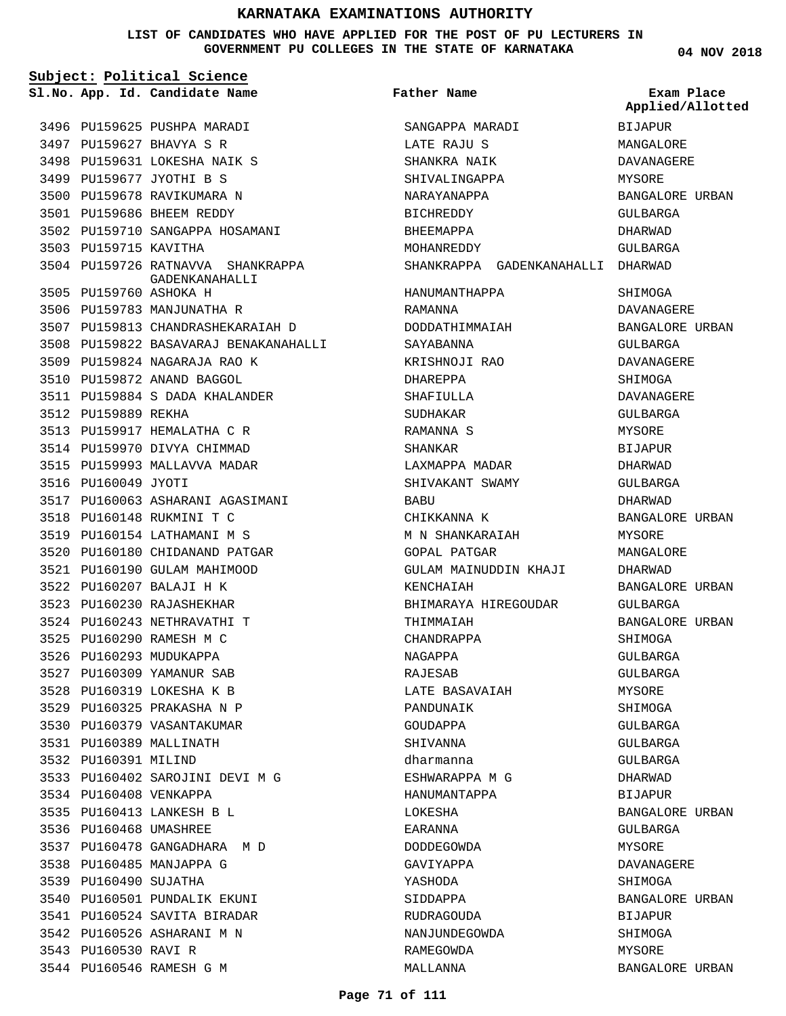**LIST OF CANDIDATES WHO HAVE APPLIED FOR THE POST OF PU LECTURERS IN GOVERNMENT PU COLLEGES IN THE STATE OF KARNATAKA**

**04 NOV 2018**

| Subject: Political Science |                        |                                       |                                   |                                |
|----------------------------|------------------------|---------------------------------------|-----------------------------------|--------------------------------|
|                            |                        | Sl.No. App. Id. Candidate Name        | <b>Father Name</b>                | Exam Place<br>Applied/Allotted |
|                            |                        | 3496 PU159625 PUSHPA MARADI           | SANGAPPA MARADI                   | BIJAPUR                        |
|                            |                        | 3497 PU159627 BHAVYA S R              | LATE RAJU S                       | MANGALORE                      |
|                            |                        | 3498 PU159631 LOKESHA NAIK S          | SHANKRA NAIK                      | <b>DAVANAGERE</b>              |
|                            |                        | 3499 PU159677 JYOTHI B S              | SHIVALINGAPPA                     | MYSORE                         |
|                            |                        | 3500 PU159678 RAVIKUMARA N            | NARAYANAPPA                       | BANGALORE URBAN                |
|                            |                        | 3501 PU159686 BHEEM REDDY             | <b>BICHREDDY</b>                  | GULBARGA                       |
|                            |                        | 3502 PU159710 SANGAPPA HOSAMANI       | BHEEMAPPA                         | DHARWAD                        |
|                            | 3503 PU159715 KAVITHA  |                                       | MOHANREDDY                        | GULBARGA                       |
|                            |                        | 3504 PU159726 RATNAVVA SHANKRAPPA     | SHANKRAPPA GADENKANAHALLI DHARWAD |                                |
|                            | 3505 PU159760 ASHOKA H | GADENKANAHALLI                        | HANUMANTHAPPA                     | SHIMOGA                        |
|                            |                        | 3506 PU159783 MANJUNATHA R            | RAMANNA                           | DAVANAGERE                     |
|                            |                        | 3507 PU159813 CHANDRASHEKARAIAH D     | DODDATHIMMAIAH                    | BANGALORE URBAN                |
|                            |                        | 3508 PU159822 BASAVARAJ BENAKANAHALLI | SAYABANNA                         | GULBARGA                       |
|                            |                        | 3509 PU159824 NAGARAJA RAO K          | KRISHNOJI RAO                     | DAVANAGERE                     |
|                            |                        | 3510 PU159872 ANAND BAGGOL            | DHAREPPA                          | SHIMOGA                        |
|                            |                        | 3511 PU159884 S DADA KHALANDER        | SHAFIULLA                         | DAVANAGERE                     |
|                            | 3512 PU159889 REKHA    |                                       | SUDHAKAR                          | GULBARGA                       |
|                            |                        | 3513 PU159917 HEMALATHA C R           | RAMANNA S                         | MYSORE                         |
|                            |                        | 3514 PU159970 DIVYA CHIMMAD           | SHANKAR                           | BIJAPUR                        |
|                            |                        | 3515 PU159993 MALLAVVA MADAR          | LAXMAPPA MADAR                    | DHARWAD                        |
|                            | 3516 PU160049 JYOTI    |                                       | SHIVAKANT SWAMY                   | GULBARGA                       |
|                            |                        | 3517 PU160063 ASHARANI AGASIMANI      | BABU                              | DHARWAD                        |
|                            |                        | 3518 PU160148 RUKMINI T C             | CHIKKANNA K                       | BANGALORE URBAN                |
|                            |                        | 3519 PU160154 LATHAMANI M S           | M N SHANKARAIAH                   | MYSORE                         |
|                            |                        | 3520 PU160180 CHIDANAND PATGAR        | GOPAL PATGAR                      | MANGALORE                      |
|                            |                        | 3521 PU160190 GULAM MAHIMOOD          | GULAM MAINUDDIN KHAJI             | DHARWAD                        |
|                            |                        | 3522 PU160207 BALAJI H K              | KENCHAIAH                         | BANGALORE URBAN                |
|                            |                        | 3523 PU160230 RAJASHEKHAR             | BHIMARAYA HIREGOUDAR              | GULBARGA                       |
|                            |                        | 3524 PU160243 NETHRAVATHI T           | THIMMAIAH                         | BANGALORE URBAN                |
|                            |                        | 3525 PU160290 RAMESH M C              | CHANDRAPPA                        | SHIMOGA                        |
|                            |                        | 3526 PU160293 MUDUKAPPA               | NAGAPPA                           | GULBARGA                       |
|                            |                        | 3527 PU160309 YAMANUR SAB             | RAJESAB                           | GULBARGA                       |
|                            |                        | 3528 PU160319 LOKESHA K B             | LATE BASAVAIAH                    | MYSORE                         |
|                            |                        | 3529 PU160325 PRAKASHA N P            | PANDUNAIK                         | SHIMOGA                        |
|                            |                        | 3530 PU160379 VASANTAKUMAR            | GOUDAPPA                          | GULBARGA                       |
|                            |                        | 3531 PU160389 MALLINATH               | SHIVANNA                          | GULBARGA                       |
|                            | 3532 PU160391 MILIND   |                                       | dharmanna                         | GULBARGA                       |
|                            |                        | 3533 PU160402 SAROJINI DEVI M G       | ESHWARAPPA M G                    | DHARWAD                        |
|                            | 3534 PU160408 VENKAPPA |                                       | HANUMANTAPPA                      | BIJAPUR                        |
|                            |                        | 3535 PU160413 LANKESH B L             | LOKESHA                           | BANGALORE URBAN                |
|                            | 3536 PU160468 UMASHREE |                                       | EARANNA                           | GULBARGA                       |
|                            |                        | 3537 PU160478 GANGADHARA M D          | DODDEGOWDA                        | MYSORE                         |
|                            |                        | 3538 PU160485 MANJAPPA G              | GAVIYAPPA                         | DAVANAGERE                     |
|                            | 3539 PU160490 SUJATHA  |                                       | YASHODA                           | SHIMOGA                        |
|                            |                        | 3540 PU160501 PUNDALIK EKUNI          | SIDDAPPA                          | BANGALORE URBAN                |
|                            |                        | 3541 PU160524 SAVITA BIRADAR          | RUDRAGOUDA                        | BIJAPUR                        |
|                            |                        | 3542 PU160526 ASHARANI M N            | NANJUNDEGOWDA                     | SHIMOGA                        |
|                            | 3543 PU160530 RAVI R   |                                       | RAMEGOWDA                         | MYSORE                         |
|                            |                        | 3544 PU160546 RAMESH G M              | MALLANNA                          | BANGALORE URBAN                |
|                            |                        |                                       |                                   |                                |

3544 PU160546 RAMESH G M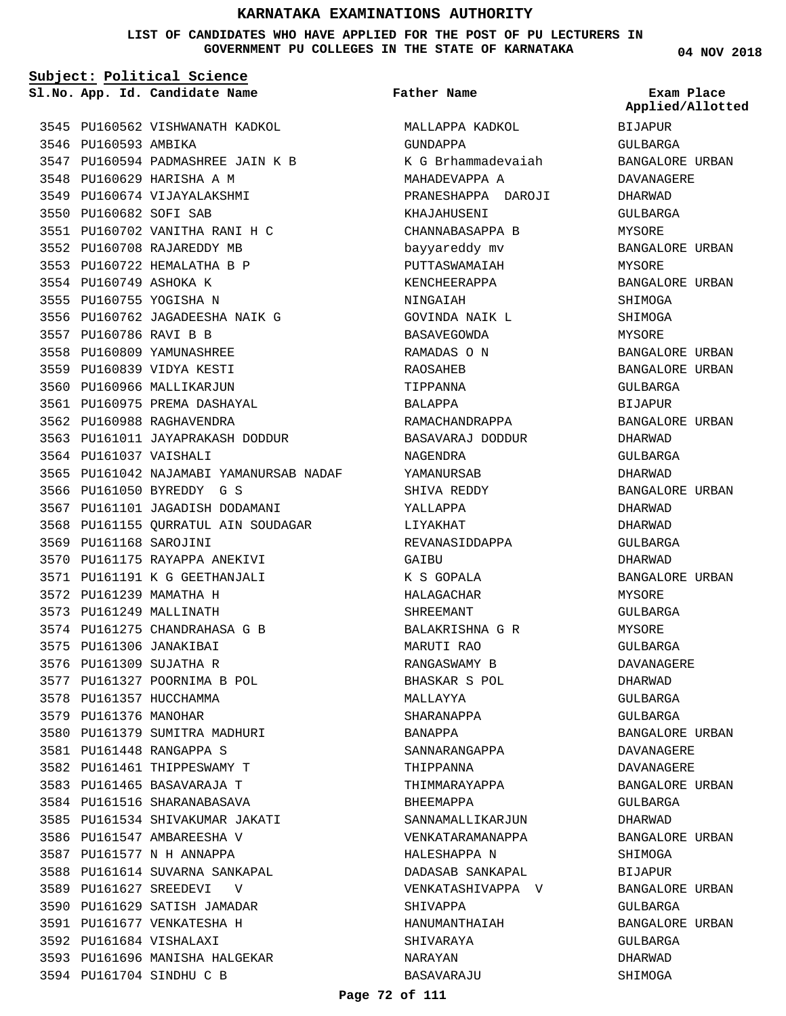**LIST OF CANDIDATES WHO HAVE APPLIED FOR THE POST OF PU LECTURERS IN GOVERNMENT PU COLLEGES IN THE STATE OF KARNATAKA**

**Subject: Political Science**

**App. Id. Candidate Name Sl.No. Exam Place**

3545 PU160562 VISHWANATH KADKOL 3546 PU160593 AMBIKA 3547 PU160594 PADMASHREE JAIN K B 3548 PU160629 HARISHA A M 3549 PU160674 VIJAYALAKSHMI 3550 PU160682 SOFI SAB PU160702 VANITHA RANI H C 3551 3552 PU160708 RAJAREDDY MB 3553 PU160722 HEMALATHA B P 3554 PU160749 ASHOKA K 3555 PU160755 YOGISHA N 3556 PU160762 JAGADEESHA NAIK G 3557 PU160786 RAVI B B 3558 PU160809 YAMUNASHREE 3559 PU160839 VIDYA KESTI 3560 PU160966 MALLIKARJUN 3561 PU160975 PREMA DASHAYAL 3562 PU160988 RAGHAVENDRA 3563 PU161011 JAYAPRAKASH DODDUR 3564 PU161037 VAISHALI 3565 PU161042 NAJAMABI YAMANURSAB NADAF 3566 PU161050 BYREDDY G S 3567 PU161101 JAGADISH DODAMANI 3568 PU161155 QURRATUL AIN SOUDAGAR 3569 PU161168 SAROJINI 3570 PU161175 RAYAPPA ANEKIVI 3571 PU161191 K G GEETHANJALI 3572 PU161239 MAMATHA H 3573 PU161249 MALLINATH 3574 PU161275 CHANDRAHASA G B 3575 PU161306 JANAKIBAI 3576 PU161309 SUJATHA R 3577 PU161327 POORNIMA B POL 3578 PU161357 HUCCHAMMA 3579 PU161376 MANOHAR 3580 PU161379 SUMITRA MADHURI PU161448 RANGAPPA S 3581 3582 PU161461 THIPPESWAMY T 3583 PU161465 BASAVARAJA T 3584 PU161516 SHARANABASAVA 3585 PU161534 SHIVAKUMAR JAKATI 3586 PU161547 AMBAREESHA V 3587 PU161577 N H ANNAPPA 3588 PU161614 SUVARNA SANKAPAL 3589 PU161627 SREEDEVI V 3590 PU161629 SATISH JAMADAR PU161677 VENKATESHA H 3591 3592 PU161684 VISHALAXI 3593 PU161696 MANISHA HALGEKAR 3594 PU161704 SINDHU C B

# **Father Name**

MALLAPPA KADKOL GUNDAPPA K G Brhammadevaiah MAHADEVAPPA A PRANESHAPPA DAROJI KHAJAHUSENI CHANNABASAPPA B bayyareddy mv PUTTASWAMAIAH KENCHEERAPPA NINGAIAH GOVINDA NAIK L BASAVEGOWDA RAMADAS O N RAOSAHEB TIPPANNA BALAPPA RAMACHANDRAPPA BASAVARAJ DODDUR NAGENDRA YAMANURSAB SHIVA REDDY YALLAPPA LIYAKHAT REVANASIDDAPPA GAIBU K S GOPALA HALAGACHAR SHREEMANT BALAKRISHNA G R MARUTI RAO RANGASWAMY B BHASKAR S POL MALLAYYA SHARANAPPA BANAPPA SANNARANGAPPA THIPPANNA THIMMARAYAPPA BHEEMAPPA SANNAMALLIKARJUN VENKATARAMANAPPA HALESHAPPA N DADASAB SANKAPAL VENKATASHIVAPPA V SHIVAPPA HANUMANTHAIAH SHIVARAYA NARAYAN BASAVARAJU

**04 NOV 2018**

**Applied/Allotted**

BIJAPUR GULBARGA BANGALORE URBAN DAVANAGERE DHARWAD GULBARGA MYSORE BANGALORE URBAN MYSORE BANGALORE URBAN SHIMOGA SHIMOGA MYSORE BANGALORE URBAN BANGALORE URBAN GULBARGA BIJAPUR BANGALORE URBAN DHARWAD GULBARGA DHARWAD BANGALORE URBAN DHARWAD DHARWAD GULBARGA DHARWAD BANGALORE URBAN MYSORE GULBARGA MYSORE GULBARGA DAVANAGERE DHARWAD GULBARGA GULBARGA BANGALORE URBAN DAVANAGERE DAVANAGERE BANGALORE URBAN GULBARGA DHARWAD BANGALORE URBAN SHIMOGA BIJAPUR BANGALORE URBAN GULBARGA BANGALORE URBAN GULBARGA DHARWAD SHIMOGA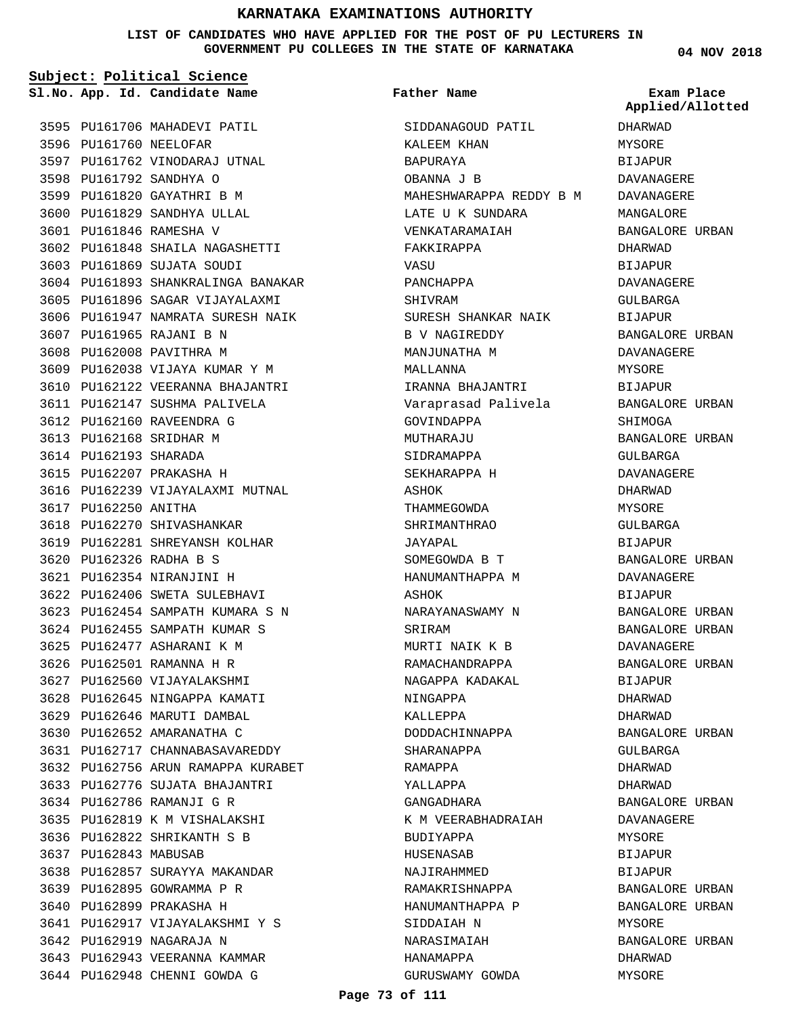**LIST OF CANDIDATES WHO HAVE APPLIED FOR THE POST OF PU LECTURERS IN GOVERNMENT PU COLLEGES IN THE STATE OF KARNATAKA**

**Subject: Political Science**

3595 PU161706 MAHADEVI PATIL 3596 PU161760 NEELOFAR 3597 PU161762 VINODARAJ UTNAL 3598 PU161792 SANDHYA O 3599 PU161820 GAYATHRI B M 3600 PU161829 SANDHYA ULLAL PU161846 RAMESHA V 3601 PU161848 SHAILA NAGASHETTI 3602 PU161869 SUJATA SOUDI 3603 3604 PU161893 SHANKRALINGA BANAKAR 3605 PU161896 SAGAR VIJAYALAXMI 3606 PU161947 NAMRATA SURESH NAIK 3607 PU161965 RAJANI B N 3608 PU162008 PAVITHRA M 3609 PU162038 VIJAYA KUMAR Y M 3610 PU162122 VEERANNA BHAJANTRI 3611 PU162147 SUSHMA PALIVELA 3612 PU162160 RAVEENDRA G 3613 PU162168 SRIDHAR M 3614 PU162193 SHARADA 3615 PU162207 PRAKASHA H 3616 PU162239 VIJAYALAXMI MUTNAL 3617 PU162250 ANITHA 3618 PU162270 SHIVASHANKAR 3619 PU162281 SHREYANSH KOLHAR PU162326 RADHA B S 3620 PU162354 NIRANJINI H 3621 3622 PU162406 SWETA SULEBHAVI PU162454 SAMPATH KUMARA S N 3623 3624 PU162455 SAMPATH KUMAR S PU162477 ASHARANI K M 3625 3626 PU162501 RAMANNA H R 3627 PU162560 VIJAYALAKSHMI 3628 PU162645 NINGAPPA KAMATI 3629 PU162646 MARUTI DAMBAL 3630 PU162652 AMARANATHA C PU162717 CHANNABASAVAREDDY 3631 PU162756 ARUN RAMAPPA KURABET 3632 3633 PU162776 SUJATA BHAJANTRI 3634 PU162786 RAMANJI G R 3635 PU162819 K M VISHALAKSHI PU162822 SHRIKANTH S B 3636 3637 PU162843 MABUSAB 3638 PU162857 SURAYYA MAKANDAR 3639 PU162895 GOWRAMMA P R 3640 PU162899 PRAKASHA H PU162917 VIJAYALAKSHMI Y S 3641 3642 PU162919 NAGARAJA N 3643 PU162943 VEERANNA KAMMAR 3644 PU162948 CHENNI GOWDA G

**App. Id. Candidate Name Sl.No. Exam Place** SIDDANAGOUD PATIL KALEEM KHAN BAPURAYA OBANNA J B MAHESHWARAPPA REDDY B M LATE U K SUNDARA VENKATARAMAIAH FAKKIRAPPA **VASU** PANCHAPPA SHIVRAM SURESH SHANKAR NAIK B V NAGIREDDY MANJUNATHA M MALLANNA IRANNA BHAJANTRI Varaprasad Palivela GOVINDAPPA MUTHARAJU SIDRAMAPPA SEKHARAPPA H ASHOK THAMMEGOWDA SHRIMANTHRAO JAYAPAL SOMEGOWDA B T HANUMANTHAPPA M ASHOK NARAYANASWAMY N SRIRAM MURTI NAIK K B RAMACHANDRAPPA NAGAPPA KADAKAL NINGAPPA KALLEPPA DODDACHINNAPPA SHARANAPPA RAMAPPA YALLAPPA GANGADHARA K M VEERABHADRAIAH BUDIYAPPA HUSENASAB NAJIRAHMMED RAMAKRISHNAPPA HANUMANTHAPPA P SIDDAIAH N NARASIMAIAH HANAMAPPA GURUSWAMY GOWDA **Father Name**

**04 NOV 2018**

DHARWAD MYSORE BIJAPUR DAVANAGERE DAVANAGERE MANGALORE BANGALORE URBAN DHARWAD **BIJAPUR** DAVANAGERE GULBARGA BIJAPUR BANGALORE URBAN DAVANAGERE MYSORE BIJAPUR BANGALORE URBAN **SHIMOGA** BANGALORE URBAN GULBARGA DAVANAGERE DHARWAD MYSORE GULBARGA BIJAPUR BANGALORE URBAN DAVANAGERE BIJAPUR BANGALORE URBAN BANGALORE URBAN DAVANAGERE BANGALORE URBAN BIJAPUR DHARWAD DHARWAD BANGALORE URBAN GULBARGA DHARWAD DHARWAD BANGALORE URBAN DAVANAGERE MYSORE BIJAPUR **BIJAPUR** BANGALORE URBAN BANGALORE URBAN MYSORE BANGALORE URBAN DHARWAD MYSORE **Applied/Allotted**

**Page 73 of 111**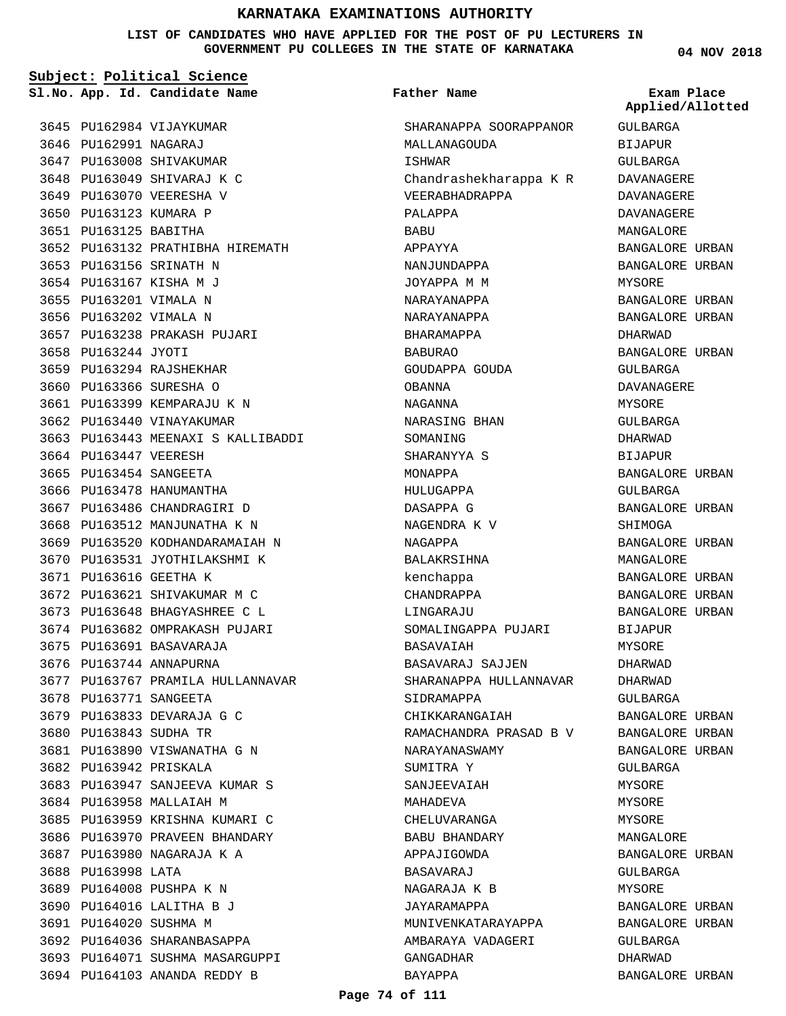**LIST OF CANDIDATES WHO HAVE APPLIED FOR THE POST OF PU LECTURERS IN GOVERNMENT PU COLLEGES IN THE STATE OF KARNATAKA**

**Subject: Political Science**

**App. Id. Candidate Name Sl.No. Exam Place**

3645 PU162984 VIJAYKUMAR 3646 PU162991 NAGARAJ 3647 PU163008 SHIVAKUMAR 3648 PU163049 SHIVARAJ K C 3649 PU163070 VEERESHA V 3650 PU163123 KUMARA P 3651 PU163125 BABITHA

3653 PU163156 SRINATH N 3654 PU163167 KISHA M J 3655 PU163201 VIMALA N 3656 PU163202 VIMALA N

3658 PU163244 JYOTI

3664 PU163447 VEERESH 3665 PU163454 SANGEETA 3666 PU163478 HANUMANTHA 3667 PU163486 CHANDRAGIRI D 3668 PU163512 MANJUNATHA K N 3669 PU163520 KODHANDARAMAIAH N 3670 PU163531 JYOTHILAKSHMI K

3671 PU163616 GEETHA K

3675 PU163691 BASAVARAJA 3676 PU163744 ANNAPURNA

3678 PU163771 SANGEETA 3679 PU163833 DEVARAJA G C PU163843 SUDHA TR 3680

3682 PU163942 PRISKALA

3688 PU163998 LATA

3684 PU163958 MALLAIAH M

3689 PU164008 PUSHPA K N 3690 PU164016 LALITHA B J 3691 PU164020 SUSHMA M

3692 PU164036 SHARANBASAPPA 3693 PU164071 SUSHMA MASARGUPPI 3694 PU164103 ANANDA REDDY B

3672 PU163621 SHIVAKUMAR M C PU163648 BHAGYASHREE C L 3673 3674 PU163682 OMPRAKASH PUJARI

3681 PU163890 VISWANATHA G N

3683 PU163947 SANJEEVA KUMAR S

3685 PU163959 KRISHNA KUMARI C 3686 PU163970 PRAVEEN BHANDARY 3687 PU163980 NAGARAJA K A

3677 PU163767 PRAMILA HULLANNAVAR

PU163132 PRATHIBHA HIREMATH 3652

3657 PU163238 PRAKASH PUJARI

3663 PU163443 MEENAXI S KALLIBADDI

3659 PU163294 RAJSHEKHAR 3660 PU163366 SURESHA O 3661 PU163399 KEMPARAJU K N 3662 PU163440 VINAYAKUMAR

**Father Name**

SHARANAPPA SOORAPPANOR MALLANAGOUDA ISHWAR Chandrashekharappa K R VEERABHADRAPPA PALAPPA BABU APPAYYA NANJUNDAPPA JOYAPPA M M NARAYANAPPA NARAYANAPPA BHARAMAPPA BABURAO GOUDAPPA GOUDA OBANNA NAGANNA NARASING BHAN SOMANING SHARANYYA S MONAPPA HULUGAPPA DASAPPA G NAGENDRA K V NAGAPPA BALAKRSIHNA kenchappa CHANDRAPPA LINGARAJU SOMALINGAPPA PUJARI BASAVAIAH BASAVARAJ SAJJEN SHARANAPPA HULLANNAVAR SIDRAMAPPA CHIKKARANGAIAH RAMACHANDRA PRASAD B V NARAYANASWAMY SUMITRA Y SANJEEVAIAH MAHADEVA CHELUVARANGA BABU BHANDARY APPAJIGOWDA BASAVARAJ NAGARAJA K B JAYARAMAPPA MUNIVENKATARAYAPPA AMBARAYA VADAGERI GANGADHAR

**04 NOV 2018**

GULBARGA BIJAPUR GULBARGA DAVANAGERE DAVANAGERE DAVANAGERE MANGALORE BANGALORE URBAN BANGALORE URBAN MYSORE BANGALORE URBAN BANGALORE URBAN DHARWAD BANGALORE URBAN GULBARGA DAVANAGERE MYSORE GULBARGA DHARWAD BIJAPUR BANGALORE URBAN GULBARGA BANGALORE URBAN SHIMOGA BANGALORE URBAN MANGALORE BANGALORE URBAN BANGALORE URBAN BANGALORE URBAN BIJAPUR MYSORE DHARWAD DHARWAD GULBARGA BANGALORE URBAN BANGALORE URBAN BANGALORE URBAN GULBARGA MYSORE MYSORE MYSORE MANGALORE BANGALORE URBAN GULBARGA MYSORE BANGALORE URBAN BANGALORE URBAN GULBARGA DHARWAD BANGALORE URBAN **Applied/Allotted**

### **Page 74 of 111**

BAYAPPA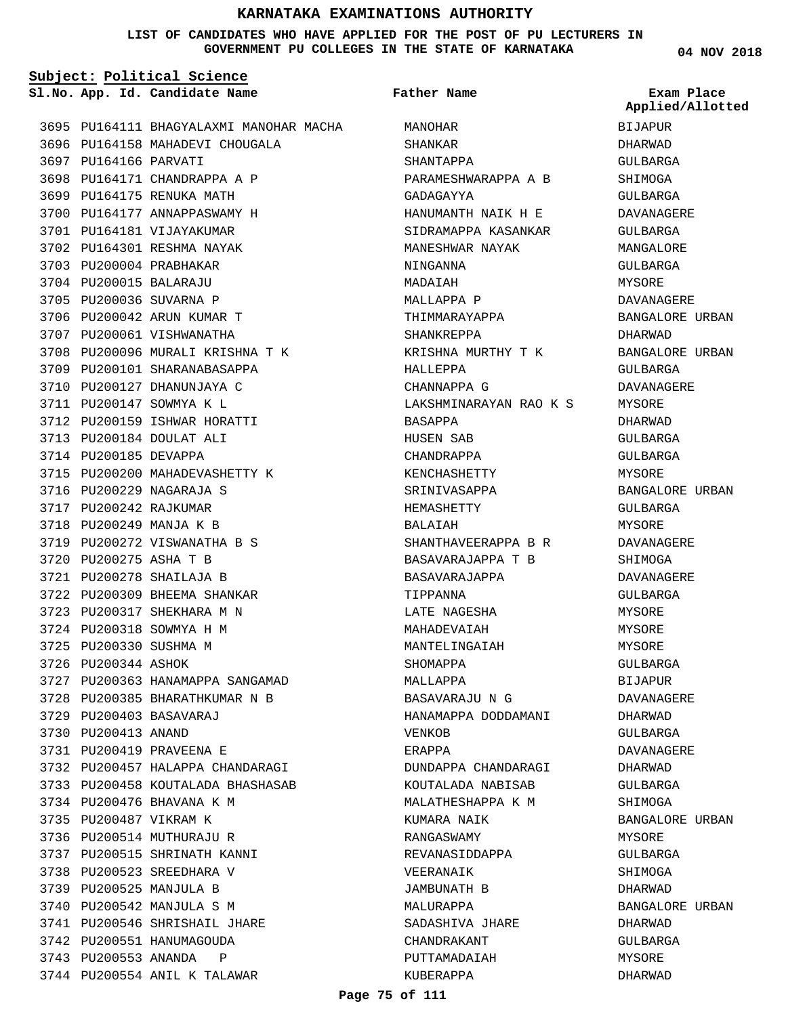### **LIST OF CANDIDATES WHO HAVE APPLIED FOR THE POST OF PU LECTURERS IN GOVERNMENT PU COLLEGES IN THE STATE OF KARNATAKA**

**Subject: Political Science**

**App. Id. Candidate Name Sl.No. Exam Place**

3695 PU164111 BHAGYALAXMI MANOHAR MACHA 3696 PU164158 MAHADEVI CHOUGALA 3697 PU164166 PARVATI 3698 PU164171 CHANDRAPPA A P 3699 PU164175 RENUKA MATH 3700 PU164177 ANNAPPASWAMY H 3701 PU164181 VIJAYAKUMAR 3702 PU164301 RESHMA NAYAK 3703 PU200004 PRABHAKAR 3704 PU200015 BALARAJU 3705 PU200036 SUVARNA P 3706 PU200042 ARUN KUMAR T 3707 PU200061 VISHWANATHA 3708 PU200096 MURALI KRISHNA T K 3709 PU200101 SHARANABASAPPA 3710 PU200127 DHANUNJAYA C 3711 PU200147 SOWMYA K L 3712 PU200159 ISHWAR HORATTI 3713 PU200184 DOULAT ALI 3714 PU200185 DEVAPPA 3715 PU200200 MAHADEVASHETTY K 3716 PU200229 NAGARAJA S 3717 PU200242 RAJKUMAR 3718 PU200249 MANJA K B 3719 PU200272 VISWANATHA B S PU200275 ASHA T B 3720 PU200278 SHAILAJA B 3721 3722 PU200309 BHEEMA SHANKAR PU200317 SHEKHARA M N 3723 3724 PU200318 SOWMYA H M 3725 PU200330 SUSHMA M 3726 PU200344 ASHOK 3727 PU200363 HANAMAPPA SANGAMAD 3728 PU200385 BHARATHKUMAR N B PU200403 BASAVARAJ 3729 3730 PU200413 ANAND PU200419 PRAVEENA E 3731 3732 PU200457 HALAPPA CHANDARAGI 3733 PU200458 KOUTALADA BHASHASAB 3734 PU200476 BHAVANA K M 3735 PU200487 VIKRAM K 3736 PU200514 MUTHURAJU R 3737 PU200515 SHRINATH KANNI 3738 PU200523 SREEDHARA V 3739 PU200525 MANJULA B 3740 PU200542 MANJULA S M 3741 PU200546 SHRISHAIL JHARE 3742 PU200551 HANUMAGOUDA 3743 PU200553 ANANDA P 3744 PU200554 ANIL K TALAWAR

MANOHAR SHANKAR SHANTAPPA PARAMESHWARAPPA A B GADAGAYYA HANUMANTH NAIK H E SIDRAMAPPA KASANKAR MANESHWAR NAYAK NINGANNA MADAIAH MALLAPPA P THIMMARAYAPPA SHANKREPPA KRISHNA MURTHY T K HALLEPPA CHANNAPPA G LAKSHMINARAYAN RAO K S BASAPPA HUSEN SAB CHANDRAPPA KENCHASHETTY SRINIVASAPPA HEMASHETTY BALAIAH SHANTHAVEERAPPA B R BASAVARAJAPPA T B BASAVARAJAPPA TIPPANNA LATE NAGESHA MAHADEVAIAH MANTELINGAIAH SHOMAPPA MALLAPPA BASAVARAJU N G HANAMAPPA DODDAMANI VENKOB ERAPPA DUNDAPPA CHANDARAGI KOUTALADA NABISAB MALATHESHAPPA K M KUMARA NAIK RANGASWAMY REVANASIDDAPPA VEERANAIK JAMBUNATH B MALURAPPA SADASHIVA JHARE CHANDRAKANT PUTTAMADAIAH KUBERAPPA **Father Name**

**04 NOV 2018**

BIJAPUR DHARWAD GULBARGA SHIMOGA GULBARGA DAVANAGERE GULBARGA MANGALORE GULBARGA MYSORE DAVANAGERE BANGALORE URBAN DHARWAD BANGALORE URBAN GULBARGA DAVANAGERE MYSORE DHARWAD GULBARGA GULBARGA MYSORE BANGALORE URBAN GULBARGA MYSORE DAVANAGERE SHIMOGA DAVANAGERE GULBARGA MYSORE MYSORE MYSORE GULBARGA BIJAPUR DAVANAGERE DHARWAD GULBARGA DAVANAGERE DHARWAD GULBARGA SHIMOGA BANGALORE URBAN MYSORE GULBARGA **Applied/Allotted**

SHIMOGA DHARWAD

DHARWAD GULBARGA MYSORE DHARWAD

BANGALORE URBAN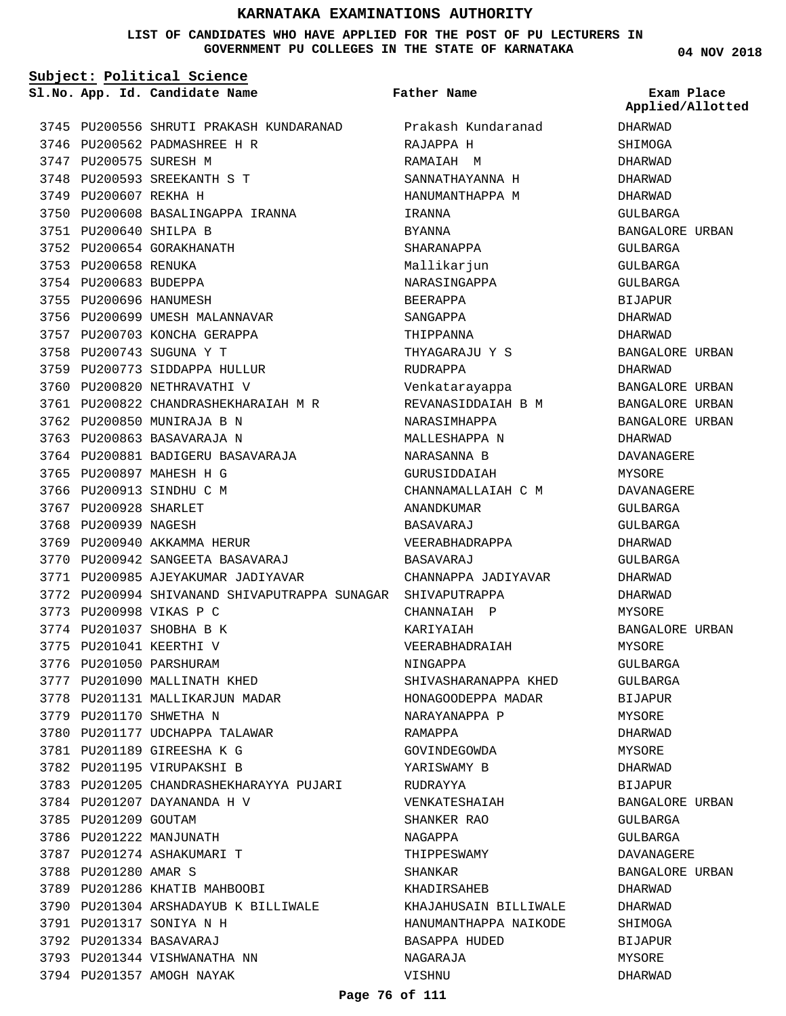### **LIST OF CANDIDATES WHO HAVE APPLIED FOR THE POST OF PU LECTURERS IN GOVERNMENT PU COLLEGES IN THE STATE OF KARNATAKA**

**Father Name**

**Subject: Political Science**

**App. Id. Candidate Name Sl.No. Exam Place**

**04 NOV 2018**

| 3745 |                        | PU200556 SHRUTI PRAKASH KUNDARANAD            |
|------|------------------------|-----------------------------------------------|
| 3746 |                        | PU200562 PADMASHREE H R                       |
|      | 3747 PU200575 SURESH M |                                               |
|      |                        | 3748 PU200593 SREEKANTH S T                   |
|      | 3749 PU200607 REKHA H  |                                               |
|      |                        | 3750 PU200608 BASALINGAPPA IRANNA             |
|      | 3751 PU200640 SHILPA B |                                               |
|      |                        | 3752 PU200654 GORAKHANATH                     |
|      | 3753 PU200658 RENUKA   |                                               |
|      | 3754 PU200683 BUDEPPA  |                                               |
|      | 3755 PU200696 HANUMESH |                                               |
|      |                        | 3756 PU200699 UMESH MALANNAVAR                |
|      |                        | 3757 PU200703 KONCHA GERAPPA                  |
|      |                        | 3758 PU200743 SUGUNA Y T                      |
|      |                        | 3759 PU200773 SIDDAPPA HULLUR                 |
|      |                        | 3760 PU200820 NETHRAVATHI V                   |
|      |                        | 3761 PU200822 CHANDRASHEKHARAIAH M R          |
| 3762 |                        | PU200850 MUNIRAJA B N                         |
| 3763 |                        | PU200863 BASAVARAJA N                         |
|      |                        | 3764 PU200881 BADIGERU BASAVARAJA             |
|      |                        | 3765 PU200897 MAHESH H G                      |
| 3766 |                        | PU200913 SINDHU C M                           |
| 3767 | PU200928 SHARLET       |                                               |
| 3768 | PU200939 NAGESH        |                                               |
|      |                        | 3769 PU200940 AKKAMMA HERUR                   |
| 3770 |                        | PU200942 SANGEETA BASAVARAJ                   |
| 3771 |                        | PU200985 AJEYAKUMAR JADIYAVAR                 |
|      |                        | 3772 PU200994 SHIVANAND SHIVAPUTRAPPA SUNAGAR |
|      |                        | 3773 PU200998 VIKAS P C                       |
|      |                        | 3774 PU201037 SHOBHA B K                      |
|      |                        | 3775 PU201041 KEERTHI V                       |
|      |                        | 3776 PU201050 PARSHURAM                       |
|      |                        | 3777 PU201090 MALLINATH KHED                  |
|      |                        | 3778 PU201131 MALLIKARJUN MADAR               |
|      |                        | 3779 PU201170 SHWETHA N                       |
|      |                        | 3780 PU201177 UDCHAPPA TALAWAR                |
|      |                        | 3781 PU201189 GIREESHA K G                    |
|      |                        | 3782 PU201195 VIRUPAKSHI B                    |
|      |                        | 3783 PU201205 CHANDRASHEKHARAYYA PUJARI       |
|      |                        | 3784 PU201207 DAYANANDA H V                   |
|      | 3785 PU201209 GOUTAM   |                                               |
|      |                        | 3786 PU201222 MANJUNATH                       |
|      |                        | 3787 PU201274 ASHAKUMARI T                    |
|      | 3788 PU201280 AMAR S   |                                               |
|      |                        | 3789 PU201286 KHATIB MAHBOOBI                 |
|      |                        | 3790 PU201304 ARSHADAYUB K BILLIWALE          |
|      |                        |                                               |
|      |                        | 3791 PU201317 SONIYA N H                      |
|      |                        | 3792 PU201334 BASAVARAJ                       |
|      |                        | 3793 PU201344 VISHWANATHA NN                  |
|      |                        | 3794 PU201357 AMOGH NAYAK                     |

Prakash Kundaranad RAJAPPA H RAMAIAH M SANNATHAYANNA H HANUMANTHAPPA M IRANNA BYANNA SHARANAPPA Mallikarjun NARASINGAPPA BEERAPPA SANGAPPA THIPPANNA THYAGARAJU Y S RUDRAPPA Venkatarayappa REVANASIDDAIAH B M NARASIMHAPPA MALLESHAPPA N NARASANNA B GURUSIDDAIAH CHANNAMALLAIAH C M ANANDKUMAR BASAVARAJ VEERABHADRAPPA BASAVARAJ CHANNAPPA JADIYAVAR GAR SHIVAPUTRAPPA CHANNAIAH P KARIYAIAH VEERABHADRAIAH NINGAPPA SHIVASHARANAPPA KHED HONAGOODEPPA MADAR NARAYANAPPA P RAMAPPA GOVINDEGOWDA YARISWAMY B RUDRAYYA VENKATESHAIAH SHANKER RAO NAGAPPA THIPPESWAMY SHANKAR KHADIRSAHEB KHAJAHUSAIN BILLIWALE HANUMANTHAPPA NAIKODE BASAPPA HUDED NAGARAJA VISHNU

DHARWAD **SHIMOGA** DHARWAD DHARWAD DHARWAD GULBARGA BANGALORE URBAN GULBARGA GULBARGA GULBARGA BIJAPUR DHARWAD DHARWAD BANGALORE URBAN DHARWAD BANGALORE URBAN BANGALORE URBAN BANGALORE URBAN DHARWAD DAVANAGERE MYSORE DAVANAGERE GULBARGA GULBARGA DHARWAD GULBARGA DHARWAD DHARWAD MYSORE BANGALORE URBAN MYSORE GULBARGA GULBARGA BIJAPUR MYSORE DHARWAD MYSORE DHARWAD BIJAPUR BANGALORE URBAN GULBARGA GULBARGA DAVANAGERE BANGALORE URBAN DHARWAD DHARWAD SHIMOGA BIJAPUR MYSORE DHARWAD **Applied/Allotted**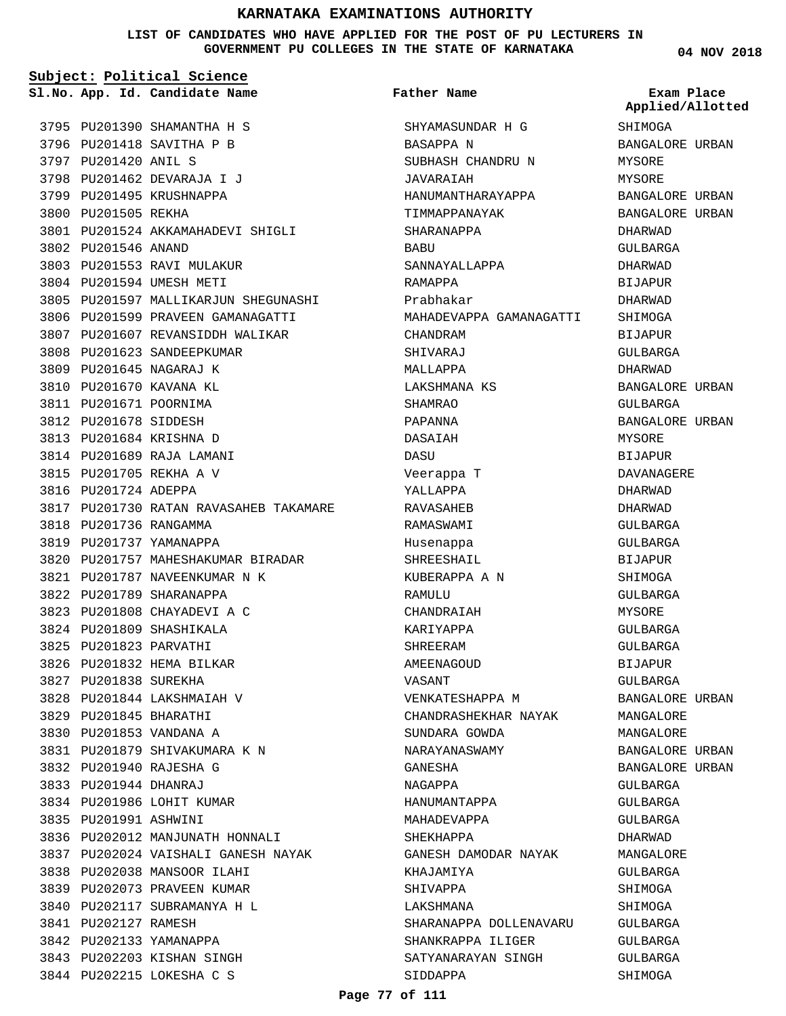**LIST OF CANDIDATES WHO HAVE APPLIED FOR THE POST OF PU LECTURERS IN GOVERNMENT PU COLLEGES IN THE STATE OF KARNATAKA**

| Subject: Political Science |                                        |                         |                                |  |
|----------------------------|----------------------------------------|-------------------------|--------------------------------|--|
|                            | Sl.No. App. Id. Candidate Name         | <b>Father Name</b>      | Exam Place<br>Applied/Allotted |  |
|                            | 3795 PU201390 SHAMANTHA H S            | SHYAMASUNDAR H G        | SHIMOGA                        |  |
|                            | 3796 PU201418 SAVITHA P B              | BASAPPA N               | BANGALORE URBAN                |  |
| 3797 PU201420 ANIL S       |                                        | SUBHASH CHANDRU N       | MYSORE                         |  |
|                            | 3798 PU201462 DEVARAJA I J             | JAVARAIAH               | MYSORE                         |  |
|                            | 3799 PU201495 KRUSHNAPPA               | HANUMANTHARAYAPPA       | BANGALORE URBAN                |  |
| 3800 PU201505 REKHA        |                                        | TIMMAPPANAYAK           | BANGALORE URBAN                |  |
|                            | 3801 PU201524 AKKAMAHADEVI SHIGLI      | SHARANAPPA              | DHARWAD                        |  |
| 3802 PU201546 ANAND        |                                        | BABU                    | GULBARGA                       |  |
|                            | 3803 PU201553 RAVI MULAKUR             | SANNAYALLAPPA           | DHARWAD                        |  |
|                            | 3804 PU201594 UMESH METI               | RAMAPPA                 | <b>BIJAPUR</b>                 |  |
|                            | 3805 PU201597 MALLIKARJUN SHEGUNASHI   | Prabhakar               | DHARWAD                        |  |
|                            | 3806 PU201599 PRAVEEN GAMANAGATTI      | MAHADEVAPPA GAMANAGATTI | SHIMOGA                        |  |
|                            | 3807 PU201607 REVANSIDDH WALIKAR       | CHANDRAM                | <b>BIJAPUR</b>                 |  |
|                            | 3808 PU201623 SANDEEPKUMAR             | SHIVARAJ                | GULBARGA                       |  |
|                            | 3809 PU201645 NAGARAJ K                | MALLAPPA                | DHARWAD                        |  |
|                            | 3810 PU201670 KAVANA KL                | LAKSHMANA KS            | BANGALORE URBAN                |  |
| 3811 PU201671 POORNIMA     |                                        | SHAMRAO                 | GULBARGA                       |  |
| 3812 PU201678 SIDDESH      |                                        | PAPANNA                 | BANGALORE URBAN                |  |
|                            | 3813 PU201684 KRISHNA D                | DASAIAH                 | MYSORE                         |  |
|                            | 3814 PU201689 RAJA LAMANI              | DASU                    | <b>BIJAPUR</b>                 |  |
|                            | 3815 PU201705 REKHA A V                | Veerappa T              | DAVANAGERE                     |  |
| 3816 PU201724 ADEPPA       |                                        | YALLAPPA                | DHARWAD                        |  |
|                            | 3817 PU201730 RATAN RAVASAHEB TAKAMARE | RAVASAHEB               | DHARWAD                        |  |
| 3818 PU201736 RANGAMMA     |                                        | RAMASWAMI               | GULBARGA                       |  |
|                            | 3819 PU201737 YAMANAPPA                | Husenappa               | GULBARGA                       |  |
|                            | 3820 PU201757 MAHESHAKUMAR BIRADAR     | SHREESHAIL              | <b>BIJAPUR</b>                 |  |
|                            | 3821 PU201787 NAVEENKUMAR N K          | KUBERAPPA A N           | SHIMOGA                        |  |
|                            | 3822 PU201789 SHARANAPPA               | RAMULU                  | GULBARGA                       |  |
|                            | 3823 PU201808 CHAYADEVI A C            | CHANDRAIAH              | MYSORE                         |  |
|                            | 3824 PU201809 SHASHIKALA               | KARIYAPPA               | GULBARGA                       |  |
| 3825 PU201823 PARVATHI     |                                        | SHREERAM                | GULBARGA                       |  |
|                            | 3826 PU201832 HEMA BILKAR              | AMEENAGOUD              | BIJAPUR                        |  |
| 3827 PU201838 SUREKHA      |                                        | VASANT                  | GULBARGA                       |  |
|                            | 3828 PU201844 LAKSHMAIAH V             | VENKATESHAPPA M         | BANGALORE URBAN                |  |
| 3829 PU201845 BHARATHI     |                                        | CHANDRASHEKHAR NAYAK    | MANGALORE                      |  |
|                            | 3830 PU201853 VANDANA A                | SUNDARA GOWDA           | MANGALORE                      |  |
|                            | 3831 PU201879 SHIVAKUMARA K N          | NARAYANASWAMY           | BANGALORE URBAN                |  |
|                            | 3832 PU201940 RAJESHA G                | GANESHA                 | BANGALORE URBAN                |  |
| 3833 PU201944 DHANRAJ      |                                        | NAGAPPA                 | GULBARGA                       |  |
|                            | 3834 PU201986 LOHIT KUMAR              | HANUMANTAPPA            | GULBARGA                       |  |
| 3835 PU201991 ASHWINI      |                                        | MAHADEVAPPA             | GULBARGA                       |  |
|                            | 3836 PU202012 MANJUNATH HONNALI        | SHEKHAPPA               | DHARWAD                        |  |
|                            | 3837 PU202024 VAISHALI GANESH NAYAK    | GANESH DAMODAR NAYAK    | MANGALORE                      |  |
|                            | 3838 PU202038 MANSOOR ILAHI            | KHAJAMIYA               | GULBARGA                       |  |
|                            | 3839 PU202073 PRAVEEN KUMAR            | SHIVAPPA                | SHIMOGA                        |  |
|                            | 3840 PU202117 SUBRAMANYA H L           | LAKSHMANA               | SHIMOGA                        |  |
| 3841 PU202127 RAMESH       |                                        | SHARANAPPA DOLLENAVARU  | GULBARGA                       |  |
|                            | 3842 PU202133 YAMANAPPA                | SHANKRAPPA ILIGER       | GULBARGA                       |  |
|                            | 3843 PU202203 KISHAN SINGH             | SATYANARAYAN SINGH      | GULBARGA                       |  |
|                            | 3844 PU202215 LOKESHA C S              | SIDDAPPA                | SHIMOGA                        |  |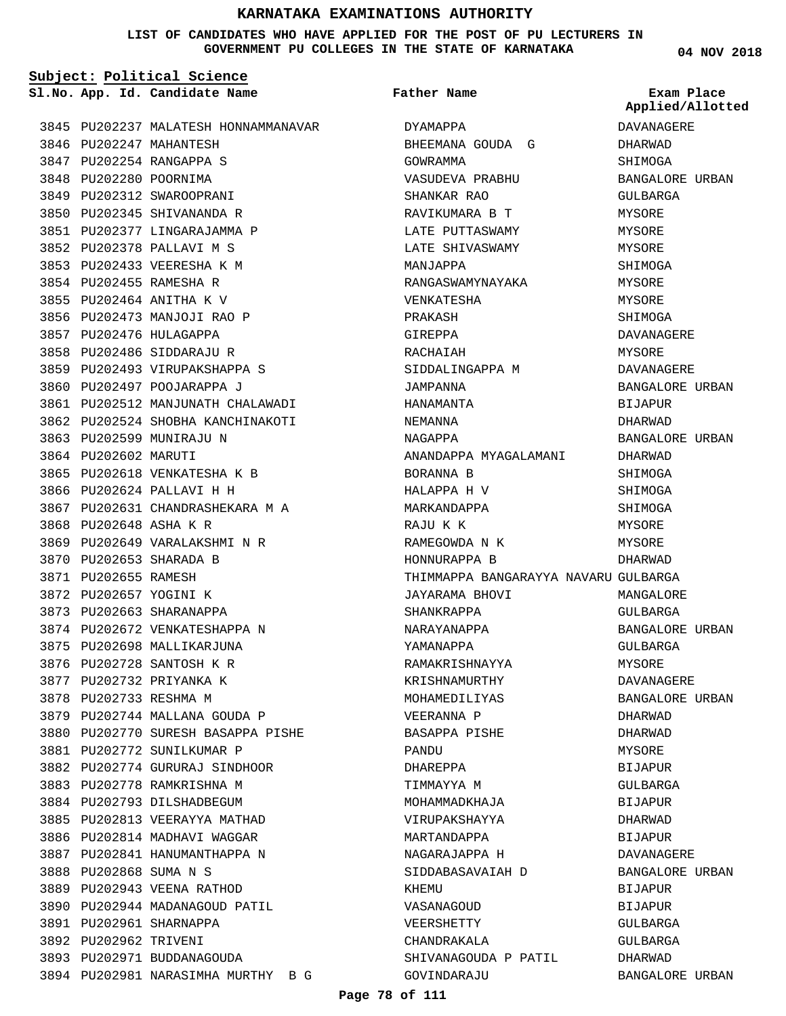### **LIST OF CANDIDATES WHO HAVE APPLIED FOR THE POST OF PU LECTURERS IN GOVERNMENT PU COLLEGES IN THE STATE OF KARNATAKA**

**04 NOV 2018**

|                        | Subject: Political Science           |                                      |                                |
|------------------------|--------------------------------------|--------------------------------------|--------------------------------|
|                        | Sl.No. App. Id. Candidate Name       | Father Name                          | Exam Place<br>Applied/Allotted |
|                        | 3845 PU202237 MALATESH HONNAMMANAVAR | DYAMAPPA                             | DAVANAGERE                     |
|                        | 3846 PU202247 MAHANTESH              | BHEEMANA GOUDA G                     | DHARWAD                        |
|                        | 3847 PU202254 RANGAPPA S             | GOWRAMMA                             | SHIMOGA                        |
| 3848 PU202280 POORNIMA |                                      | VASUDEVA PRABHU                      | BANGALORE URBAN                |
|                        | 3849 PU202312 SWAROOPRANI            | SHANKAR RAO                          | GULBARGA                       |
|                        | 3850 PU202345 SHIVANANDA R           | RAVIKUMARA B T                       | MYSORE                         |
|                        | 3851 PU202377 LINGARAJAMMA P         | LATE PUTTASWAMY                      | MYSORE                         |
|                        | 3852 PU202378 PALLAVI M S            | LATE SHIVASWAMY                      | MYSORE                         |
|                        | 3853 PU202433 VEERESHA K M           | MANJAPPA                             | SHIMOGA                        |
|                        | 3854 PU202455 RAMESHA R              | RANGASWAMYNAYAKA                     | MYSORE                         |
|                        | 3855 PU202464 ANITHA K V             | VENKATESHA                           | MYSORE                         |
|                        | 3856 PU202473 MANJOJI RAO P          | PRAKASH                              | SHIMOGA                        |
|                        | 3857 PU202476 HULAGAPPA              | GIREPPA                              | DAVANAGERE                     |
|                        | 3858 PU202486 SIDDARAJU R            | RACHAIAH                             | MYSORE                         |
|                        | 3859 PU202493 VIRUPAKSHAPPA S        | SIDDALINGAPPA M                      | DAVANAGERE                     |
|                        | 3860 PU202497 POOJARAPPA J           | JAMPANNA                             | BANGALORE URBAN                |
|                        | 3861 PU202512 MANJUNATH CHALAWADI    | HANAMANTA                            | BIJAPUR                        |
|                        | 3862 PU202524 SHOBHA KANCHINAKOTI    | NEMANNA                              | DHARWAD                        |
|                        | 3863 PU202599 MUNIRAJU N             | NAGAPPA                              | BANGALORE URBAN                |
| 3864 PU202602 MARUTI   |                                      | ANANDAPPA MYAGALAMANI                | DHARWAD                        |
|                        | 3865 PU202618 VENKATESHA K B         | BORANNA B                            | SHIMOGA                        |
|                        | 3866 PU202624 PALLAVI H H            | HALAPPA H V                          | SHIMOGA                        |
|                        | 3867 PU202631 CHANDRASHEKARA M A     | MARKANDAPPA                          | SHIMOGA                        |
| 3868 PU202648 ASHA K R |                                      | RAJU K K                             | MYSORE                         |
|                        | 3869 PU202649 VARALAKSHMI N R        | RAMEGOWDA N K                        | MYSORE                         |
|                        | 3870 PU202653 SHARADA B              | HONNURAPPA B                         | DHARWAD                        |
| 3871 PU202655 RAMESH   |                                      | THIMMAPPA BANGARAYYA NAVARU GULBARGA |                                |
| 3872 PU202657 YOGINI K |                                      | JAYARAMA BHOVI                       | MANGALORE                      |
|                        | 3873 PU202663 SHARANAPPA             | SHANKRAPPA                           | GULBARGA                       |
|                        | 3874 PU202672 VENKATESHAPPA N        | NARAYANAPPA                          | BANGALORE URBAN                |
|                        | 3875 PU202698 MALLIKARJUNA           | YAMANAPPA                            | GULBARGA                       |
|                        | 3876 PU202728 SANTOSH K R            | RAMAKRISHNAYYA                       | MYSORE                         |
|                        | 3877 PU202732 PRIYANKA K             | KRISHNAMURTHY                        | DAVANAGERE                     |
| 3878 PU202733 RESHMA M |                                      | MOHAMEDILIYAS                        | BANGALORE URBAN                |
|                        | 3879 PU202744 MALLANA GOUDA P        | VEERANNA P                           | DHARWAD                        |
|                        | 3880 PU202770 SURESH BASAPPA PISHE   | BASAPPA PISHE                        | DHARWAD                        |
|                        | 3881 PU202772 SUNILKUMAR P           | PANDU                                | MYSORE                         |
|                        | 3882 PU202774 GURURAJ SINDHOOR       | DHAREPPA                             | BIJAPUR                        |
|                        | 3883 PU202778 RAMKRISHNA M           | TIMMAYYA M                           | GULBARGA                       |
|                        | 3884 PU202793 DILSHADBEGUM           | MOHAMMADKHAJA                        | BIJAPUR                        |
|                        | 3885 PU202813 VEERAYYA MATHAD        | VIRUPAKSHAYYA                        | DHARWAD                        |
|                        | 3886 PU202814 MADHAVI WAGGAR         | MARTANDAPPA                          | BIJAPUR                        |
|                        | 3887 PU202841 HANUMANTHAPPA N        | NAGARAJAPPA H                        | DAVANAGERE                     |
| 3888 PU202868 SUMA N S |                                      | SIDDABASAVAIAH D                     | BANGALORE URBAN                |
|                        | 3889 PU202943 VEENA RATHOD           | KHEMU                                | BIJAPUR                        |
|                        | 3890 PU202944 MADANAGOUD PATIL       | VASANAGOUD                           | BIJAPUR                        |
|                        | 3891 PU202961 SHARNAPPA              | VEERSHETTY                           | GULBARGA                       |
| 3892 PU202962 TRIVENI  |                                      | CHANDRAKALA                          | GULBARGA                       |
|                        | 3893 PU202971 BUDDANAGOUDA           | SHIVANAGOUDA P PATIL                 | DHARWAD                        |
|                        | 3894 PU202981 NARASIMHA MURTHY B G   | GOVINDARAJU                          | BANGALORE URBAN                |
|                        |                                      |                                      |                                |

## **Page 78 of 111**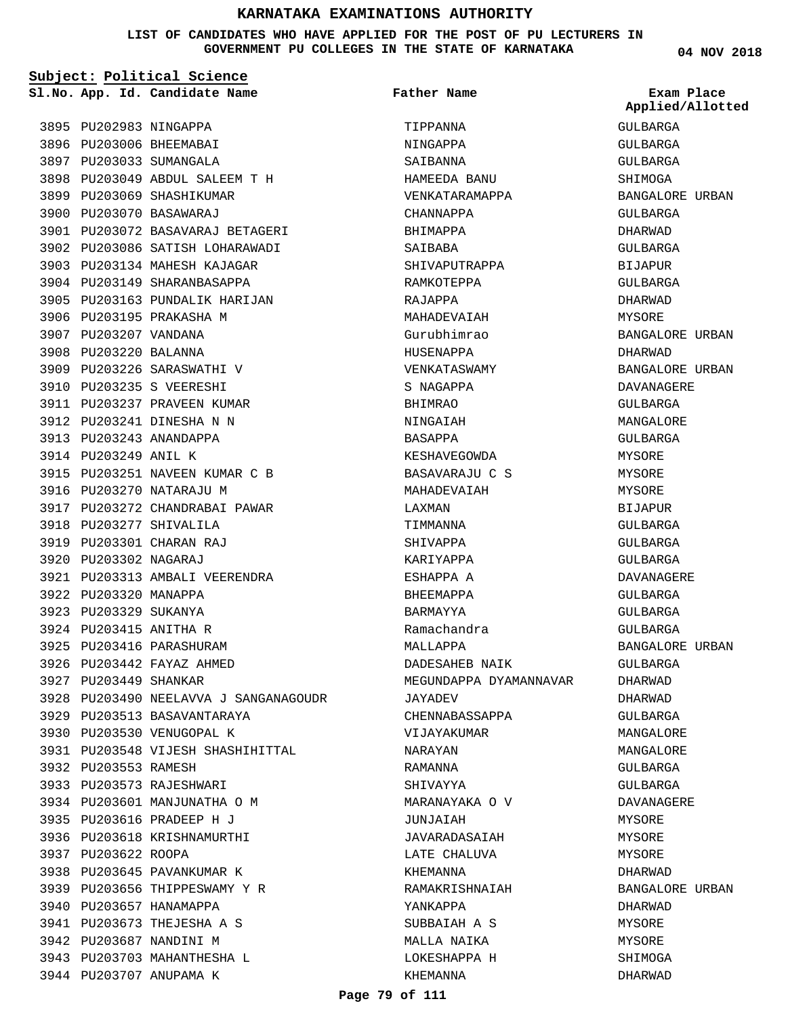### **LIST OF CANDIDATES WHO HAVE APPLIED FOR THE POST OF PU LECTURERS IN GOVERNMENT PU COLLEGES IN THE STATE OF KARNATAKA**

| Subject: Political Science |                                       |                        |                                |  |
|----------------------------|---------------------------------------|------------------------|--------------------------------|--|
|                            | Sl.No. App. Id. Candidate Name        | <b>Father Name</b>     | Exam Place<br>Applied/Allotted |  |
| 3895 PU202983 NINGAPPA     |                                       | TIPPANNA               | GULBARGA                       |  |
|                            | 3896 PU203006 BHEEMABAI               | NINGAPPA               | GULBARGA                       |  |
|                            | 3897 PU203033 SUMANGALA               | SAIBANNA               | GULBARGA                       |  |
|                            | 3898 PU203049 ABDUL SALEEM T H        | HAMEEDA BANU           | SHIMOGA                        |  |
|                            | 3899 PU203069 SHASHIKUMAR             | VENKATARAMAPPA         | BANGALORE URBAN                |  |
|                            | 3900 PU203070 BASAWARAJ               | CHANNAPPA              | GULBARGA                       |  |
|                            | 3901 PU203072 BASAVARAJ BETAGERI      | BHIMAPPA               | DHARWAD                        |  |
|                            | 3902 PU203086 SATISH LOHARAWADI       | SAIBABA                | <b>GULBARGA</b>                |  |
|                            | 3903 PU203134 MAHESH KAJAGAR          | SHIVAPUTRAPPA          | <b>BIJAPUR</b>                 |  |
|                            | 3904 PU203149 SHARANBASAPPA           | RAMKOTEPPA             | GULBARGA                       |  |
|                            | 3905 PU203163 PUNDALIK HARIJAN        | RAJAPPA                | <b>DHARWAD</b>                 |  |
|                            | 3906 PU203195 PRAKASHA M              | MAHADEVAIAH            | MYSORE                         |  |
| 3907 PU203207 VANDANA      |                                       | Gurubhimrao            | BANGALORE URBAN                |  |
| 3908 PU203220 BALANNA      |                                       | HUSENAPPA              | DHARWAD                        |  |
|                            | 3909 PU203226 SARASWATHI V            | VENKATASWAMY           | BANGALORE URBAN                |  |
|                            | 3910 PU203235 S VEERESHI              | S NAGAPPA              | DAVANAGERE                     |  |
|                            | 3911 PU203237 PRAVEEN KUMAR           | <b>BHIMRAO</b>         | GULBARGA                       |  |
|                            | 3912 PU203241 DINESHA N N             | NINGAIAH               | MANGALORE                      |  |
|                            | 3913 PU203243 ANANDAPPA               | BASAPPA                | GULBARGA                       |  |
| 3914 PU203249 ANIL K       |                                       | KESHAVEGOWDA           | MYSORE                         |  |
|                            | 3915 PU203251 NAVEEN KUMAR C B        | BASAVARAJU C S         | MYSORE                         |  |
|                            | 3916 PU203270 NATARAJU M              | MAHADEVAIAH            | MYSORE                         |  |
|                            | 3917 PU203272 CHANDRABAI PAWAR        | LAXMAN                 | <b>BIJAPUR</b>                 |  |
|                            | 3918 PU203277 SHIVALILA               | TIMMANNA               | GULBARGA                       |  |
|                            | 3919 PU203301 CHARAN RAJ              | SHIVAPPA               | GULBARGA                       |  |
| 3920 PU203302 NAGARAJ      |                                       | KARIYAPPA              | GULBARGA                       |  |
|                            | 3921 PU203313 AMBALI VEERENDRA        | ESHAPPA A              | DAVANAGERE                     |  |
| 3922 PU203320 MANAPPA      |                                       | BHEEMAPPA              | <b>GULBARGA</b>                |  |
| 3923 PU203329 SUKANYA      |                                       | BARMAYYA               | GULBARGA                       |  |
| 3924 PU203415 ANITHA R     |                                       | Ramachandra            | GULBARGA                       |  |
|                            | 3925 PU203416 PARASHURAM              | MALLAPPA               | BANGALORE URBAN                |  |
|                            | 3926 PU203442 FAYAZ AHMED             | DADESAHEB NAIK         | GULBARGA                       |  |
| 3927 PU203449 SHANKAR      |                                       | MEGUNDAPPA DYAMANNAVAR | DHARWAD                        |  |
|                            | 3928 PU203490 NEELAVVA J SANGANAGOUDR | JAYADEV                | DHARWAD                        |  |
|                            | 3929 PU203513 BASAVANTARAYA           | CHENNABASSAPPA         | GULBARGA                       |  |
|                            | 3930 PU203530 VENUGOPAL K             | VIJAYAKUMAR            | MANGALORE                      |  |
|                            | 3931 PU203548 VIJESH SHASHIHITTAL     | NARAYAN                | MANGALORE                      |  |
| 3932 PU203553 RAMESH       |                                       | RAMANNA                | GULBARGA                       |  |
|                            | 3933 PU203573 RAJESHWARI              | SHIVAYYA               | GULBARGA                       |  |
|                            | 3934 PU203601 MANJUNATHA O M          | MARANAYAKA O V         | DAVANAGERE                     |  |
|                            | 3935 PU203616 PRADEEP H J             | JUNJAIAH               | MYSORE                         |  |
|                            | 3936 PU203618 KRISHNAMURTHI           | JAVARADASAIAH          | MYSORE                         |  |
| 3937 PU203622 ROOPA        |                                       | LATE CHALUVA           | MYSORE                         |  |
|                            | 3938 PU203645 PAVANKUMAR K            | KHEMANNA               | DHARWAD                        |  |
|                            | 3939 PU203656 THIPPESWAMY Y R         | RAMAKRISHNAIAH         | BANGALORE URBAN                |  |
|                            | 3940 PU203657 HANAMAPPA               | YANKAPPA               | DHARWAD                        |  |
|                            | 3941 PU203673 THEJESHA A S            | SUBBAIAH A S           | MYSORE                         |  |
|                            | 3942 PU203687 NANDINI M               | MALLA NAIKA            | MYSORE                         |  |
|                            | 3943 PU203703 MAHANTHESHA L           | LOKESHAPPA H           | SHIMOGA                        |  |
|                            | 3944 PU203707 ANUPAMA K               | KHEMANNA               | DHARWAD                        |  |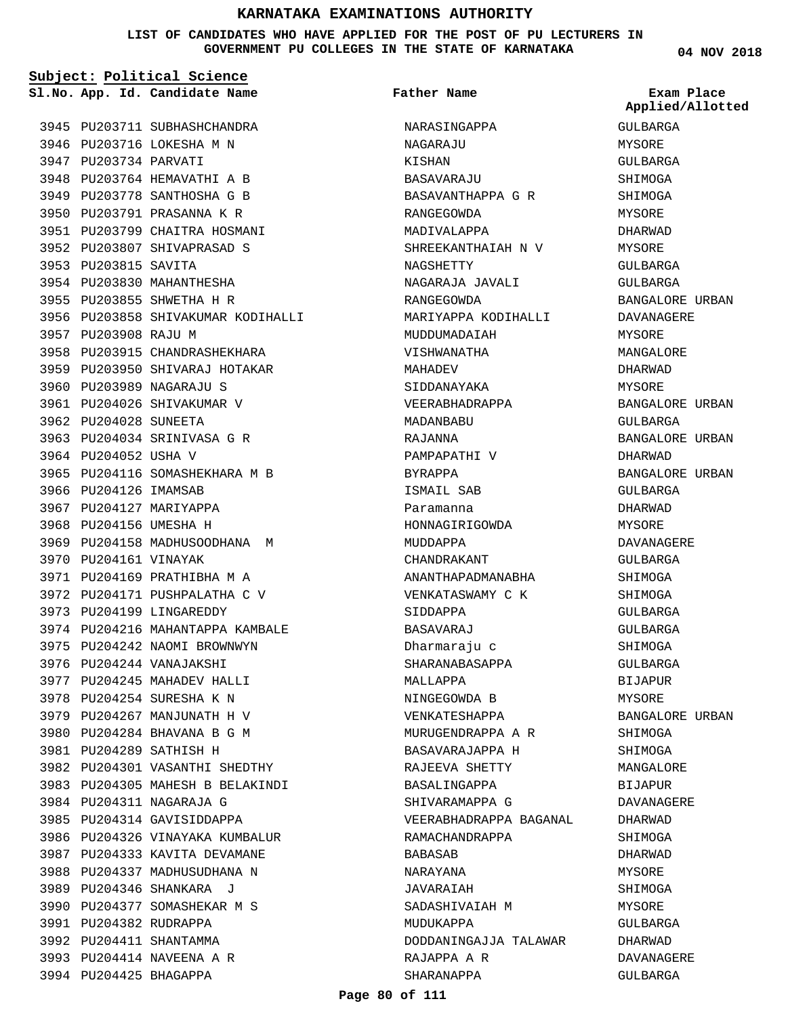### **LIST OF CANDIDATES WHO HAVE APPLIED FOR THE POST OF PU LECTURERS IN GOVERNMENT PU COLLEGES IN THE STATE OF KARNATAKA**

**04 NOV 2018**

|                        | Subject: Political Science         |                        |                             |
|------------------------|------------------------------------|------------------------|-----------------------------|
|                        | Sl.No. App. Id. Candidate Name     | Father Name            | Exam Place<br>Applied/Allot |
|                        | 3945 PU203711 SUBHASHCHANDRA       | NARASINGAPPA           | GULBARGA                    |
|                        | 3946 PU203716 LOKESHA M N          | NAGARAJU               | MYSORE                      |
| 3947 PU203734 PARVATI  |                                    | KISHAN                 | GULBARGA                    |
|                        | 3948 PU203764 HEMAVATHI A B        | BASAVARAJU             | SHIMOGA                     |
|                        | 3949 PU203778 SANTHOSHA G B        | BASAVANTHAPPA G R      | SHIMOGA                     |
|                        | 3950 PU203791 PRASANNA K R         | RANGEGOWDA             | MYSORE                      |
|                        | 3951 PU203799 CHAITRA HOSMANI      | MADIVALAPPA            | DHARWAD                     |
|                        | 3952 PU203807 SHIVAPRASAD S        | SHREEKANTHAIAH N V     | MYSORE                      |
| 3953 PU203815 SAVITA   |                                    | NAGSHETTY              | GULBARGA                    |
|                        | 3954 PU203830 MAHANTHESHA          | NAGARAJA JAVALI        | GULBARGA                    |
|                        | 3955 PU203855 SHWETHA H R          | RANGEGOWDA             | BANGALORE URBA              |
|                        | 3956 PU203858 SHIVAKUMAR KODIHALLI | MARIYAPPA KODIHALLI    | DAVANAGERE                  |
| 3957 PU203908 RAJU M   |                                    | MUDDUMADAIAH           | MYSORE                      |
|                        | 3958 PU203915 CHANDRASHEKHARA      | VISHWANATHA            | MANGALORE                   |
|                        | 3959 PU203950 SHIVARAJ HOTAKAR     | MAHADEV                | DHARWAD                     |
|                        | 3960 PU203989 NAGARAJU S           | SIDDANAYAKA            | MYSORE                      |
|                        | 3961 PU204026 SHIVAKUMAR V         | VEERABHADRAPPA         | <b>BANGALORE URBA</b>       |
| 3962 PU204028 SUNEETA  |                                    | MADANBABU              | GULBARGA                    |
|                        | 3963 PU204034 SRINIVASA G R        | RAJANNA                | BANGALORE URBA              |
| 3964 PU204052 USHA V   |                                    | PAMPAPATHI V           | DHARWAD                     |
|                        | 3965 PU204116 SOMASHEKHARA M B     | BYRAPPA                | BANGALORE URBA              |
| 3966 PU204126 IMAMSAB  |                                    | ISMAIL SAB             | GULBARGA                    |
|                        | 3967 PU204127 MARIYAPPA            | Paramanna              | DHARWAD                     |
| 3968 PU204156 UMESHA H |                                    | HONNAGIRIGOWDA         | MYSORE                      |
|                        | 3969 PU204158 MADHUSOODHANA M      | MUDDAPPA               | DAVANAGERE                  |
| 3970 PU204161 VINAYAK  |                                    | CHANDRAKANT            | GULBARGA                    |
|                        | 3971 PU204169 PRATHIBHA M A        | ANANTHAPADMANABHA      | SHIMOGA                     |
|                        | 3972 PU204171 PUSHPALATHA C V      | VENKATASWAMY C K       | SHIMOGA                     |
|                        | 3973 PU204199 LINGAREDDY           | SIDDAPPA               | GULBARGA                    |
|                        | 3974 PU204216 MAHANTAPPA KAMBALE   | BASAVARAJ              | GULBARGA                    |
|                        | 3975 PU204242 NAOMI BROWNWYN       | Dharmaraju c           | SHIMOGA                     |
|                        | 3976 PU204244 VANAJAKSHI           |                        | GULBARGA                    |
|                        | 3977 PU204245 MAHADEV HALLI        | SHARANABASAPPA         |                             |
|                        |                                    | MALLAPPA               | BIJAPUR<br>MYSORE           |
|                        | 3978 PU204254 SURESHA K N          | NINGEGOWDA B           |                             |
|                        | 3979 PU204267 MANJUNATH H V        | VENKATESHAPPA          | BANGALORE URBA              |
|                        | 3980 PU204284 BHAVANA B G M        | MURUGENDRAPPA A R      | SHIMOGA                     |
|                        | 3981 PU204289 SATHISH H            | BASAVARAJAPPA H        | SHIMOGA                     |
|                        | 3982 PU204301 VASANTHI SHEDTHY     | RAJEEVA SHETTY         | MANGALORE                   |
|                        | 3983 PU204305 MAHESH B BELAKINDI   | BASALINGAPPA           | BIJAPUR                     |
|                        | 3984 PU204311 NAGARAJA G           | SHIVARAMAPPA G         | DAVANAGERE                  |
|                        | 3985 PU204314 GAVISIDDAPPA         | VEERABHADRAPPA BAGANAL | DHARWAD                     |
|                        | 3986 PU204326 VINAYAKA KUMBALUR    | RAMACHANDRAPPA         | SHIMOGA                     |
|                        | 3987 PU204333 KAVITA DEVAMANE      | BABASAB                | DHARWAD                     |
|                        | 3988 PU204337 MADHUSUDHANA N       | NARAYANA               | MYSORE                      |
|                        | 3989 PU204346 SHANKARA J           | JAVARAIAH              | SHIMOGA                     |
|                        | 3990 PU204377 SOMASHEKAR M S       | SADASHIVAIAH M         | MYSORE                      |
|                        | 3991 PU204382 RUDRAPPA             | MUDUKAPPA              | GULBARGA                    |
|                        | 3992 PU204411 SHANTAMMA            | DODDANINGAJJA TALAWAR  | DHARWAD                     |
|                        | 3993 PU204414 NAVEENA A R          | RAJAPPA A R            | DAVANAGERE                  |
|                        | 3994 PU204425 BHAGAPPA             | SHARANAPPA             | GULBARGA                    |

**Applied/Allotted**

MYSORE GULBARGA SHIMOGA SHIMOGA MYSORE DHARWAD MYSORE GULBARGA GULBARGA BANGALORE URBAN DAVANAGERE MYSORE MANGALORE DHARWAD MYSORE BANGALORE URBAN GULBARGA BANGALORE URBAN DHARWAD BANGALORE URBAN GULBARGA DHARWAD MYSORE DAVANAGERE GULBARGA SHIMOGA SHIMOGA GULBARGA GULBARGA SHIMOGA GULBARGA BIJAPUR MYSORE BANGALORE URBAN SHIMOGA SHIMOGA MANGALORE BIJAPUR DAVANAGERE DHARWAD SHIMOGA DHARWAD MYSORE SHIMOGA MYSORE GULBARGA DHARWAD DAVANAGERE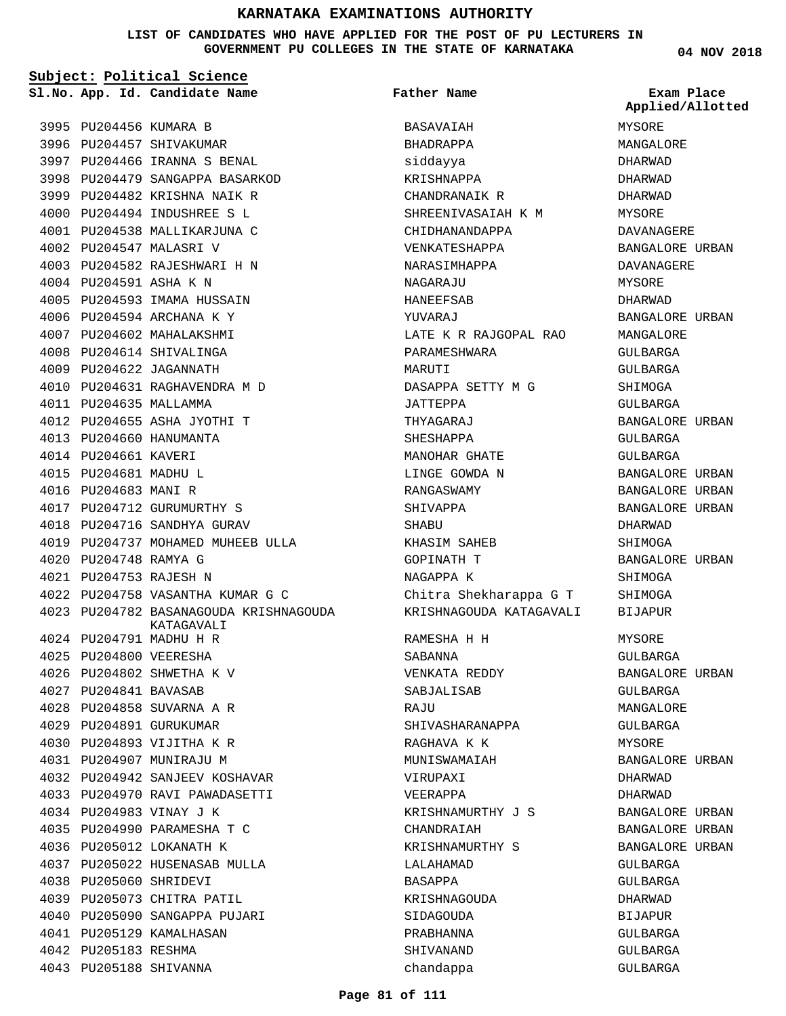## **LIST OF CANDIDATES WHO HAVE APPLIED FOR THE POST OF PU LECTURERS IN GOVERNMENT PU COLLEGES IN THE STATE OF KARNATAKA**

| Subject: Political Science |                                                      |                         |                                |  |
|----------------------------|------------------------------------------------------|-------------------------|--------------------------------|--|
|                            | Sl.No. App. Id. Candidate Name                       | <b>Father Name</b>      | Exam Place<br>Applied/Allotted |  |
| 3995 PU204456 KUMARA B     |                                                      | BASAVAIAH               | MYSORE                         |  |
|                            | 3996 PU204457 SHIVAKUMAR                             | BHADRAPPA               | MANGALORE                      |  |
|                            | 3997 PU204466 IRANNA S BENAL                         | siddayya                | DHARWAD                        |  |
|                            | 3998 PU204479 SANGAPPA BASARKOD                      | KRISHNAPPA              | DHARWAD                        |  |
|                            | 3999 PU204482 KRISHNA NAIK R                         | CHANDRANAIK R           | DHARWAD                        |  |
|                            | 4000 PU204494 INDUSHREE S L                          | SHREENIVASAIAH K M      | MYSORE                         |  |
|                            | 4001 PU204538 MALLIKARJUNA C                         | CHIDHANANDAPPA          | DAVANAGERE                     |  |
|                            | 4002 PU204547 MALASRI V                              | VENKATESHAPPA           | BANGALORE URBAN                |  |
|                            | 4003 PU204582 RAJESHWARI H N                         | NARASIMHAPPA            | DAVANAGERE                     |  |
| 4004 PU204591 ASHA K N     |                                                      | NAGARAJU                | MYSORE                         |  |
|                            | 4005 PU204593 IMAMA HUSSAIN                          | HANEEFSAB               | DHARWAD                        |  |
|                            | 4006 PU204594 ARCHANA K Y                            | YUVARAJ                 | BANGALORE URBAN                |  |
|                            | 4007 PU204602 MAHALAKSHMI                            | LATE K R RAJGOPAL RAO   | MANGALORE                      |  |
|                            | 4008 PU204614 SHIVALINGA                             | PARAMESHWARA            | GULBARGA                       |  |
|                            | 4009 PU204622 JAGANNATH                              | MARUTI                  | GULBARGA                       |  |
|                            | 4010 PU204631 RAGHAVENDRA M D                        | DASAPPA SETTY M G       | SHIMOGA                        |  |
| 4011 PU204635 MALLAMMA     |                                                      | JATTEPPA                | GULBARGA                       |  |
|                            | 4012 PU204655 ASHA JYOTHI T                          | THYAGARAJ               | BANGALORE URBAN                |  |
|                            | 4013 PU204660 HANUMANTA                              | SHESHAPPA               | GULBARGA                       |  |
| 4014 PU204661 KAVERI       |                                                      | MANOHAR GHATE           | GULBARGA                       |  |
| 4015 PU204681 MADHU L      |                                                      | LINGE GOWDA N           | BANGALORE URBAN                |  |
| 4016 PU204683 MANI R       |                                                      | RANGASWAMY              | BANGALORE URBAN                |  |
|                            | 4017 PU204712 GURUMURTHY S                           | SHIVAPPA                | BANGALORE URBAN                |  |
|                            | 4018 PU204716 SANDHYA GURAV                          | SHABU                   | DHARWAD                        |  |
|                            | 4019 PU204737 MOHAMED MUHEEB ULLA                    | KHASIM SAHEB            | SHIMOGA                        |  |
| 4020 PU204748 RAMYA G      |                                                      | <b>GOPINATH T</b>       | BANGALORE URBAN                |  |
| 4021 PU204753 RAJESH N     |                                                      | NAGAPPA K               | SHIMOGA                        |  |
|                            | 4022 PU204758 VASANTHA KUMAR G C                     | Chitra Shekharappa G T  | SHIMOGA                        |  |
|                            | 4023 PU204782 BASANAGOUDA KRISHNAGOUDA<br>KATAGAVALI | KRISHNAGOUDA KATAGAVALI | <b>BIJAPUR</b>                 |  |
|                            | 4024 PU204791 MADHU H R                              | RAMESHA H H             | MYSORE                         |  |
| 4025 PU204800 VEERESHA     |                                                      | SABANNA                 | GULBARGA                       |  |
|                            | 4026 PU204802 SHWETHA K V                            | VENKATA REDDY           | BANGALORE URBAN                |  |
| 4027 PU204841 BAVASAB      |                                                      | SABJALISAB              | GULBARGA                       |  |
|                            | 4028 PU204858 SUVARNA A R                            | RAJU                    | MANGALORE                      |  |
|                            | 4029 PU204891 GURUKUMAR                              | SHIVASHARANAPPA         | GULBARGA                       |  |
|                            | 4030 PU204893 VIJITHA K R                            | RAGHAVA K K             | <b>MYSORE</b>                  |  |
|                            | 4031 PU204907 MUNIRAJU M                             | MUNISWAMAIAH            | BANGALORE URBAN                |  |
|                            | 4032 PU204942 SANJEEV KOSHAVAR                       | VIRUPAXI                | DHARWAD                        |  |
|                            | 4033 PU204970 RAVI PAWADASETTI                       | VEERAPPA                | DHARWAD                        |  |
|                            | 4034 PU204983 VINAY J K                              | KRISHNAMURTHY J S       | BANGALORE URBAN                |  |
|                            | 4035 PU204990 PARAMESHA T C                          | CHANDRAIAH              | BANGALORE URBAN                |  |
|                            | 4036 PU205012 LOKANATH K                             | KRISHNAMURTHY S         | BANGALORE URBAN                |  |
|                            | 4037 PU205022 HUSENASAB MULLA                        | LALAHAMAD               | GULBARGA                       |  |
| 4038 PU205060 SHRIDEVI     |                                                      | BASAPPA                 | GULBARGA                       |  |
|                            | 4039 PU205073 CHITRA PATIL                           | KRISHNAGOUDA            | DHARWAD                        |  |
|                            | 4040 PU205090 SANGAPPA PUJARI                        | SIDAGOUDA               | BIJAPUR                        |  |
|                            | 4041 PU205129 KAMALHASAN                             | PRABHANNA               | GULBARGA                       |  |
| 4042 PU205183 RESHMA       |                                                      | SHIVANAND               | GULBARGA                       |  |
| 4043 PU205188 SHIVANNA     |                                                      | chandappa               | GULBARGA                       |  |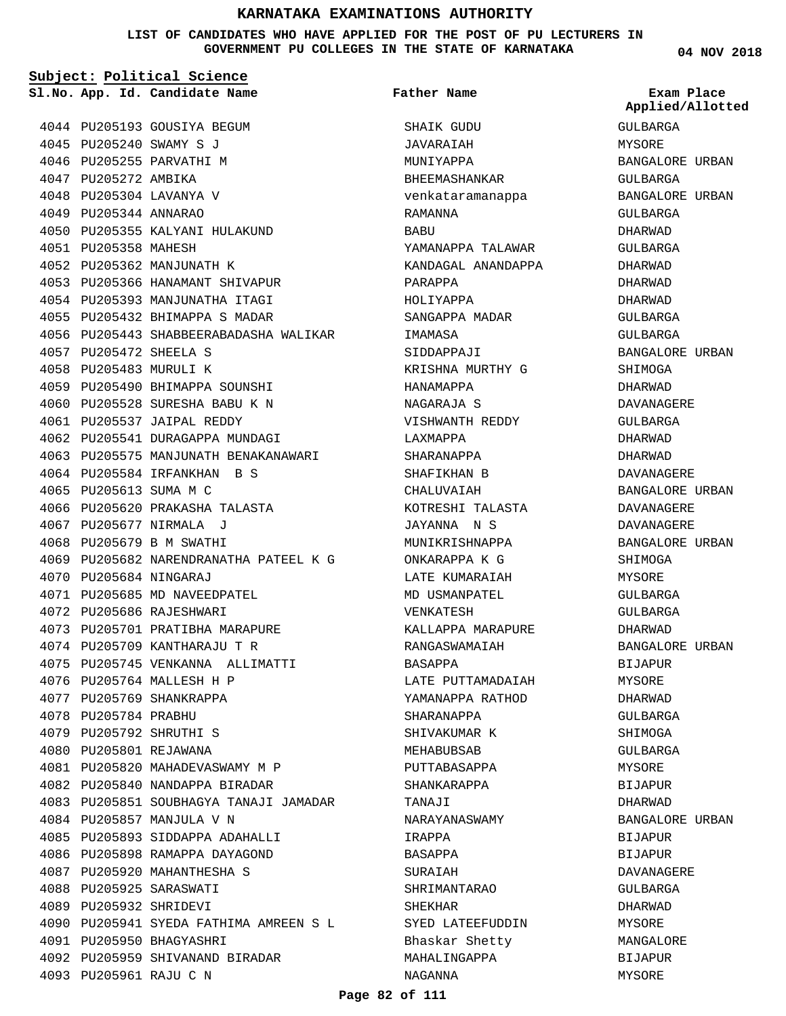### **LIST OF CANDIDATES WHO HAVE APPLIED FOR THE POST OF PU LECTURERS IN GOVERNMENT PU COLLEGES IN THE STATE OF KARNATAKA**

**Subject: Political Science**

4044 PU205193 GOUSIYA BEGUM PU205240 SWAMY S J 4045 4046 PU205255 PARVATHI M 4047 PU205272 AMBIKA PU205304 LAVANYA V 4048 4049 PU205344 ANNARAO 4050 PU205355 KALYANI HULAKUND 4051 PU205358 MAHESH 4052 PU205362 MANJUNATH K PU205366 HANAMANT SHIVAPUR 4053 4054 PU205393 MANJUNATHA ITAGI 4055 PU205432 BHIMAPPA S MADAR 4056 PU205443 SHABBEERABADASHA WALIKAR PU205472 SHEELA S 4057 4058 PU205483 MURULI K 4059 PU205490 BHIMAPPA SOUNSHI PU205528 SURESHA BABU K N 4060 PU205537 JAIPAL REDDY 4061 4062 PU205541 DURAGAPPA MUNDAGI 4063 PU205575 MANJUNATH BENAKANAWARI 4064 PU205584 IRFANKHAN B S 4065 PU205613 SUMA M C 4066 PU205620 PRAKASHA TALASTA PU205677 NIRMALA J 4067 4068 PU205679 B M SWATHI PU205682 NARENDRANATHA PATEEL K G 4069 PU205684 NINGARAJ 4070 4071 PU205685 MD NAVEEDPATEL 4072 PU205686 RAJESHWARI 4073 PU205701 PRATIBHA MARAPURE 4074 PU205709 KANTHARAJU T R PU205745 VENKANNA ALLIMATTI 4075 4076 PU205764 MALLESH H P 4077 PU205769 SHANKRAPPA 4078 PU205784 PRABHU PU205792 SHRUTHI S 4079 4080 PU205801 REJAWANA PU205820 MAHADEVASWAMY M P 4081 4082 PU205840 NANDAPPA BIRADAR 4083 PU205851 SOUBHAGYA TANAJI JAMADAR 4084 PU205857 MANJULA V N 4085 PU205893 SIDDAPPA ADAHALLI 4086 PU205898 RAMAPPA DAYAGOND 4087 PU205920 MAHANTHESHA S PU205925 SARASWATI 4088 PU205932 SHRIDEVI 4089 4090 PU205941 SYEDA FATHIMA AMREEN S L 4091 PU205950 BHAGYASHRI PU205959 SHIVANAND BIRADAR 4092 **App. Id. Candidate Name Sl.No. Exam Place**

PU205961 RAJU C N 4093

SHAIK GUDU JAVARAIAH MUNIYAPPA BHEEMASHANKAR venkataramanappa RAMANNA BABU YAMANAPPA TALAWAR KANDAGAL ANANDAPPA PARAPPA HOLIYAPPA SANGAPPA MADAR IMAMASA SIDDAPPAJI KRISHNA MURTHY G HANAMAPPA NAGARAJA S VISHWANTH REDDY LAXMAPPA SHARANAPPA SHAFIKHAN B CHALUVAIAH KOTRESHI TALASTA JAYANNA N S MUNIKRISHNAPPA ONKARAPPA K G LATE KUMARAIAH MD USMANPATEL VENKATESH KALLAPPA MARAPURE RANGASWAMAIAH BASAPPA LATE PUTTAMADAIAH YAMANAPPA RATHOD SHARANAPPA SHIVAKUMAR K MEHABUBSAB PUTTABASAPPA SHANKARAPPA TANAJI NARAYANASWAMY IRAPPA BASAPPA SURAIAH SHRIMANTARAO SHEKHAR SYED LATEEFUDDIN Bhaskar Shetty MAHALINGAPPA NAGANNA **Father Name**

**04 NOV 2018**

GULBARGA MYSORE BANGALORE URBAN GULBARGA BANGALORE URBAN GULBARGA DHARWAD GULBARGA DHARWAD DHARWAD DHARWAD GULBARGA GULBARGA BANGALORE URBAN SHIMOGA DHARWAD DAVANAGERE GULBARGA DHARWAD DHARWAD DAVANAGERE BANGALORE URBAN DAVANAGERE DAVANAGERE BANGALORE URBAN SHIMOGA **MYSORE** GULBARGA GULBARGA DHARWAD BANGALORE URBAN BIJAPUR MYSORE DHARWAD GULBARGA **SHIMOGA** GULBARGA MYSORE BIJAPUR DHARWAD BANGALORE URBAN BIJAPUR BIJAPUR DAVANAGERE GULBARGA DHARWAD MYSORE MANGALORE BIJAPUR MYSORE **Applied/Allotted**

### **Page 82 of 111**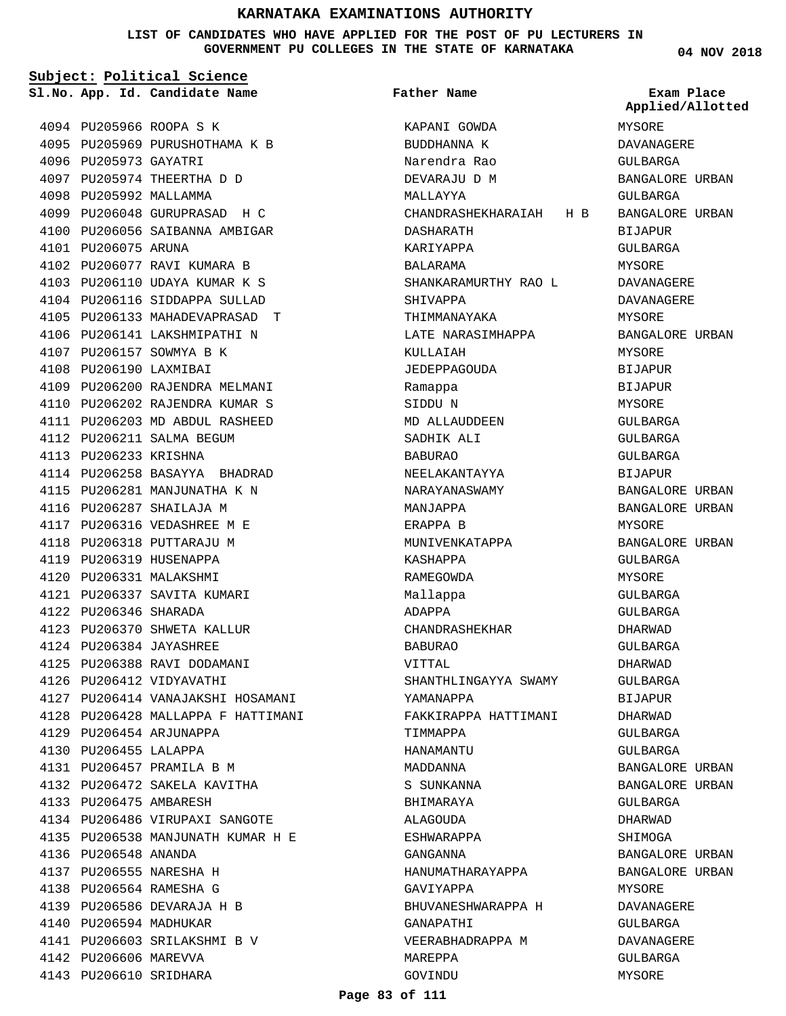## **LIST OF CANDIDATES WHO HAVE APPLIED FOR THE POST OF PU LECTURERS IN GOVERNMENT PU COLLEGES IN THE STATE OF KARNATAKA**

**04 NOV 2018**

| Subject: Political Science |                                    |                                   |                                |  |
|----------------------------|------------------------------------|-----------------------------------|--------------------------------|--|
|                            | Sl.No. App. Id. Candidate Name     | Father Name                       | Exam Place<br>Applied/Allotted |  |
|                            | 4094 PU205966 ROOPA S K            | KAPANI GOWDA                      | MYSORE                         |  |
|                            | 4095 PU205969 PURUSHOTHAMA K B     | BUDDHANNA K                       | DAVANAGERE                     |  |
| 4096 PU205973 GAYATRI      |                                    | Narendra Rao                      | GULBARGA                       |  |
|                            | 4097 PU205974 THEERTHA D D         | DEVARAJU D M                      | BANGALORE URBAN                |  |
| 4098 PU205992 MALLAMMA     |                                    | MALLAYYA                          | GULBARGA                       |  |
|                            | 4099 PU206048 GURUPRASAD H C       | CHANDRASHEKHARAIAH H B            | BANGALORE URBAN                |  |
|                            | 4100 PU206056 SAIBANNA AMBIGAR     | DASHARATH                         | <b>BIJAPUR</b>                 |  |
| 4101 PU206075 ARUNA        |                                    | KARIYAPPA                         | GULBARGA                       |  |
|                            | 4102 PU206077 RAVI KUMARA B        | BALARAMA                          | MYSORE                         |  |
|                            | 4103 PU206110 UDAYA KUMAR K S      | SHANKARAMURTHY RAO L              | DAVANAGERE                     |  |
|                            | 4104 PU206116 SIDDAPPA SULLAD      | SHIVAPPA                          | DAVANAGERE                     |  |
|                            | 4105 PU206133 MAHADEVAPRASAD T     | THIMMANAYAKA                      | MYSORE                         |  |
|                            | 4106 PU206141 LAKSHMIPATHI N       | LATE NARASIMHAPPA                 | BANGALORE URBAN                |  |
|                            | 4107 PU206157 SOWMYA B K           | KULLAIAH                          | MYSORE                         |  |
| 4108 PU206190 LAXMIBAI     |                                    | JEDEPPAGOUDA                      | <b>BIJAPUR</b>                 |  |
|                            | 4109 PU206200 RAJENDRA MELMANI     | Ramappa                           | <b>BIJAPUR</b>                 |  |
|                            | 4110 PU206202 RAJENDRA KUMAR S     | SIDDU N                           | MYSORE                         |  |
|                            | 4111 PU206203 MD ABDUL RASHEED     | MD ALLAUDDEEN                     | GULBARGA                       |  |
|                            | 4112 PU206211 SALMA BEGUM          | SADHIK ALI                        | GULBARGA                       |  |
| 4113 PU206233 KRISHNA      |                                    | <b>BABURAO</b>                    | GULBARGA                       |  |
|                            | 4114 PU206258 BASAYYA BHADRAD      | NEELAKANTAYYA                     | <b>BIJAPUR</b>                 |  |
|                            | 4115 PU206281 MANJUNATHA K N       | NARAYANASWAMY                     | BANGALORE URBAN                |  |
|                            | 4116 PU206287 SHAILAJA M           | MANJAPPA                          | BANGALORE URBAN                |  |
|                            | 4117 PU206316 VEDASHREE M E        | ERAPPA B                          | MYSORE                         |  |
|                            | 4118 PU206318 PUTTARAJU M          | MUNIVENKATAPPA                    | BANGALORE URBAN                |  |
|                            | 4119 PU206319 HUSENAPPA            | KASHAPPA                          | GULBARGA                       |  |
|                            | 4120 PU206331 MALAKSHMI            | RAMEGOWDA                         | MYSORE                         |  |
|                            | 4121 PU206337 SAVITA KUMARI        |                                   | <b>GULBARGA</b>                |  |
| 4122 PU206346 SHARADA      |                                    | Mallappa<br>ADAPPA                | GULBARGA                       |  |
|                            | 4123 PU206370 SHWETA KALLUR        | CHANDRASHEKHAR                    | DHARWAD                        |  |
|                            | 4124 PU206384 JAYASHREE            |                                   |                                |  |
|                            | 4125 PU206388 RAVI DODAMANI        | BABURAO                           | GULBARGA<br>DHARWAD            |  |
|                            | 4126 PU206412 VIDYAVATHI           | VITTAL                            |                                |  |
|                            |                                    | SHANTHLINGAYYA SWAMY<br>YAMANAPPA | GULBARGA                       |  |
|                            | 4127 PU206414 VANAJAKSHI HOSAMANI  | FAKKIRAPPA HATTIMANI              | BIJAPUR                        |  |
|                            | 4128 PU206428 MALLAPPA F HATTIMANI |                                   | DHARWAD                        |  |
|                            | 4129 PU206454 ARJUNAPPA            | TIMMAPPA                          | GULBARGA                       |  |
| 4130 PU206455 LALAPPA      |                                    | HANAMANTU                         | GULBARGA                       |  |
|                            | 4131 PU206457 PRAMILA B M          | MADDANNA                          | BANGALORE URBAN                |  |
|                            | 4132 PU206472 SAKELA KAVITHA       | S SUNKANNA                        | BANGALORE URBAN                |  |
| 4133 PU206475 AMBARESH     |                                    | BHIMARAYA                         | GULBARGA                       |  |
|                            | 4134 PU206486 VIRUPAXI SANGOTE     | ALAGOUDA                          | DHARWAD                        |  |
|                            | 4135 PU206538 MANJUNATH KUMAR H E  | ESHWARAPPA                        | SHIMOGA                        |  |
| 4136 PU206548 ANANDA       |                                    | GANGANNA                          | BANGALORE URBAN                |  |
|                            | 4137 PU206555 NARESHA H            | HANUMATHARAYAPPA                  | BANGALORE URBAN                |  |
|                            | 4138 PU206564 RAMESHA G            | GAVIYAPPA                         | MYSORE                         |  |
|                            | 4139 PU206586 DEVARAJA H B         | BHUVANESHWARAPPA H                | DAVANAGERE                     |  |
| 4140 PU206594 MADHUKAR     |                                    | GANAPATHI                         | GULBARGA                       |  |
|                            | 4141 PU206603 SRILAKSHMI B V       | VEERABHADRAPPA M                  | DAVANAGERE                     |  |
| 4142 PU206606 MAREVVA      |                                    | MAREPPA                           | GULBARGA                       |  |

GOVINDU

MYSORE

4143 PU206610 SRIDHARA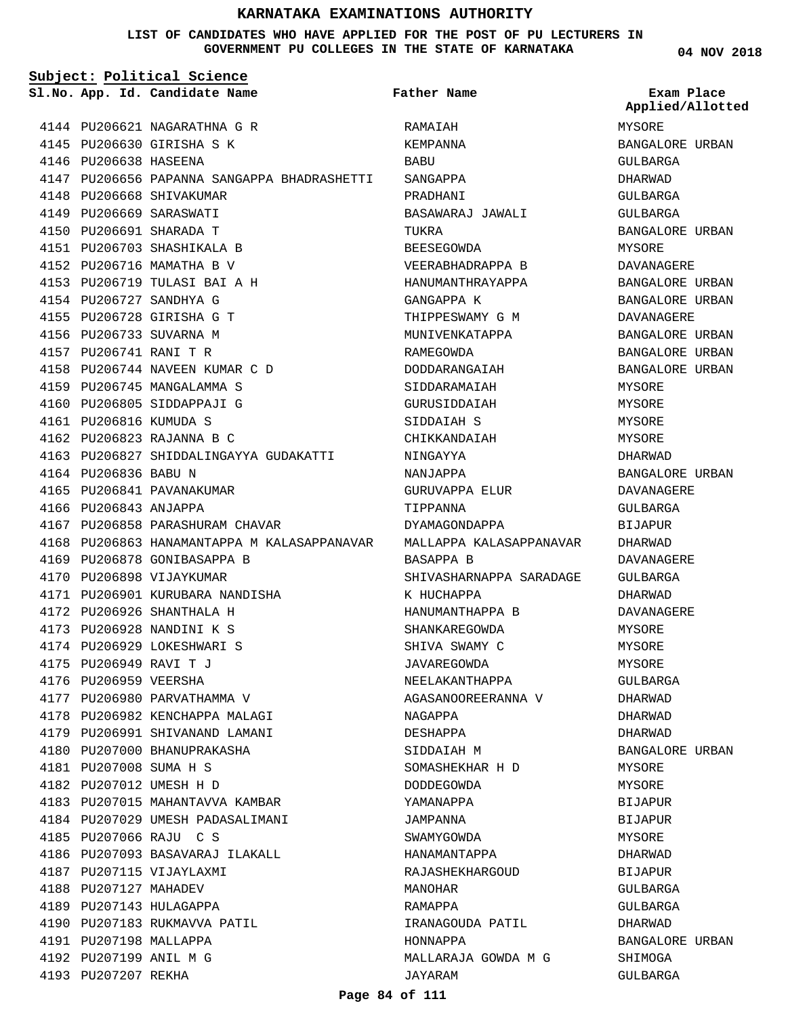## **LIST OF CANDIDATES WHO HAVE APPLIED FOR THE POST OF PU LECTURERS IN GOVERNMENT PU COLLEGES IN THE STATE OF KARNATAKA**

**04 NOV 2018**

| Subject: Political Science |                        |                                                                     |                         |                                |
|----------------------------|------------------------|---------------------------------------------------------------------|-------------------------|--------------------------------|
|                            |                        | Sl.No. App. Id. Candidate Name                                      | Father Name             | Exam Place<br>Applied/Allotted |
|                            |                        | 4144 PU206621 NAGARATHNA G R                                        | RAMAIAH                 | MYSORE                         |
|                            |                        | 4145 PU206630 GIRISHA S K                                           | KEMPANNA                | BANGALORE URBAN                |
|                            | 4146 PU206638 HASEENA  |                                                                     | BABU                    | GULBARGA                       |
|                            |                        | 4147 PU206656 PAPANNA SANGAPPA BHADRASHETTI                         | SANGAPPA                | DHARWAD                        |
|                            |                        | 4148 PU206668 SHIVAKUMAR                                            | PRADHANI                | GULBARGA                       |
|                            |                        | 4149 PU206669 SARASWATI                                             | BASAWARAJ JAWALI        | GULBARGA                       |
|                            |                        | 4150 PU206691 SHARADA T                                             | TUKRA                   | BANGALORE URBAN                |
|                            |                        | 4151 PU206703 SHASHIKALA B                                          | BEESEGOWDA              | MYSORE                         |
|                            |                        | 4152 PU206716 MAMATHA B V                                           | VEERABHADRAPPA B        | DAVANAGERE                     |
|                            |                        | 4153 PU206719 TULASI BAI A H                                        | HANUMANTHRAYAPPA        | BANGALORE URBAN                |
|                            |                        | 4154 PU206727 SANDHYA G                                             | GANGAPPA K              | BANGALORE URBAN                |
|                            |                        | 4155 PU206728 GIRISHA G T                                           | THIPPESWAMY G M         | DAVANAGERE                     |
|                            |                        | 4156 PU206733 SUVARNA M                                             | MUNIVENKATAPPA          | BANGALORE URBAN                |
|                            | 4157 PU206741 RANI T R |                                                                     | RAMEGOWDA               | BANGALORE URBAN                |
|                            |                        | 4158 PU206744 NAVEEN KUMAR C D                                      | DODDARANGAIAH           | BANGALORE URBAN                |
|                            |                        | 4159 PU206745 MANGALAMMA S                                          | SIDDARAMAIAH            | <b>MYSORE</b>                  |
|                            |                        | 4160 PU206805 SIDDAPPAJI G                                          | GURUSIDDAIAH            | MYSORE                         |
|                            | 4161 PU206816 KUMUDA S |                                                                     | SIDDAIAH S              | MYSORE                         |
|                            |                        | 4162 PU206823 RAJANNA B C                                           | CHIKKANDAIAH            | MYSORE                         |
|                            |                        | 4163 PU206827 SHIDDALINGAYYA GUDAKATTI                              | NINGAYYA                | DHARWAD                        |
|                            | 4164 PU206836 BABU N   |                                                                     | NANJAPPA                | BANGALORE URBAN                |
|                            |                        | 4165 PU206841 PAVANAKUMAR                                           | GURUVAPPA ELUR          | DAVANAGERE                     |
|                            | 4166 PU206843 ANJAPPA  |                                                                     | TIPPANNA                | GULBARGA                       |
|                            |                        | 4167 PU206858 PARASHURAM CHAVAR                                     | DYAMAGONDAPPA           | <b>BIJAPUR</b>                 |
|                            |                        | 4168 PU206863 HANAMANTAPPA M KALASAPPANAVAR MALLAPPA KALASAPPANAVAR |                         |                                |
|                            |                        |                                                                     |                         | DHARWAD                        |
|                            |                        | 4169 PU206878 GONIBASAPPA B                                         | BASAPPA B               | DAVANAGERE                     |
|                            |                        | 4170 PU206898 VIJAYKUMAR                                            | SHIVASHARNAPPA SARADAGE | GULBARGA                       |
|                            |                        | 4171 PU206901 KURUBARA NANDISHA                                     | K HUCHAPPA              | DHARWAD                        |
|                            |                        | 4172 PU206926 SHANTHALA H                                           | HANUMANTHAPPA B         | DAVANAGERE                     |
|                            |                        | 4173 PU206928 NANDINI K S                                           | SHANKAREGOWDA           | MYSORE                         |
|                            |                        | 4174 PU206929 LOKESHWARI S                                          | SHIVA SWAMY C           | MYSORE                         |
|                            | 4175 PU206949 RAVI T J |                                                                     | JAVAREGOWDA             | MYSORE                         |
|                            | 4176 PU206959 VEERSHA  |                                                                     | NEELAKANTHAPPA          | GULBARGA                       |
|                            |                        | 4177 PU206980 PARVATHAMMA V                                         | AGASANOOREERANNA V      | DHARWAD                        |
|                            |                        | 4178 PU206982 KENCHAPPA MALAGI                                      | NAGAPPA                 | DHARWAD                        |
|                            |                        | 4179 PU206991 SHIVANAND LAMANI                                      | DESHAPPA                | DHARWAD                        |
|                            |                        | 4180 PU207000 BHANUPRAKASHA                                         | SIDDAIAH M              | BANGALORE URBAN                |
|                            | 4181 PU207008 SUMA H S |                                                                     | SOMASHEKHAR H D         | MYSORE                         |
|                            |                        | 4182 PU207012 UMESH H D                                             | DODDEGOWDA              | MYSORE                         |
|                            |                        | 4183 PU207015 MAHANTAVVA KAMBAR                                     | YAMANAPPA               | BIJAPUR                        |
|                            |                        | 4184 PU207029 UMESH PADASALIMANI                                    | JAMPANNA                | BIJAPUR                        |
|                            |                        | 4185 PU207066 RAJU C S                                              | SWAMYGOWDA              | MYSORE                         |
|                            |                        | 4186 PU207093 BASAVARAJ ILAKALL                                     | HANAMANTAPPA            | DHARWAD                        |
|                            |                        | 4187 PU207115 VIJAYLAXMI                                            | RAJASHEKHARGOUD         | BIJAPUR                        |
|                            | 4188 PU207127 MAHADEV  |                                                                     | MANOHAR                 | GULBARGA                       |
|                            |                        | 4189 PU207143 HULAGAPPA                                             | RAMAPPA                 | GULBARGA                       |
|                            |                        | 4190 PU207183 RUKMAVVA PATIL                                        | IRANAGOUDA PATIL        | DHARWAD                        |
|                            | 4191 PU207198 MALLAPPA |                                                                     | HONNAPPA                | BANGALORE URBAN                |
|                            | 4192 PU207199 ANIL M G |                                                                     | MALLARAJA GOWDA M G     | SHIMOGA                        |
|                            | 4193 PU207207 REKHA    |                                                                     | JAYARAM                 | GULBARGA                       |

## **Page 84 of 111**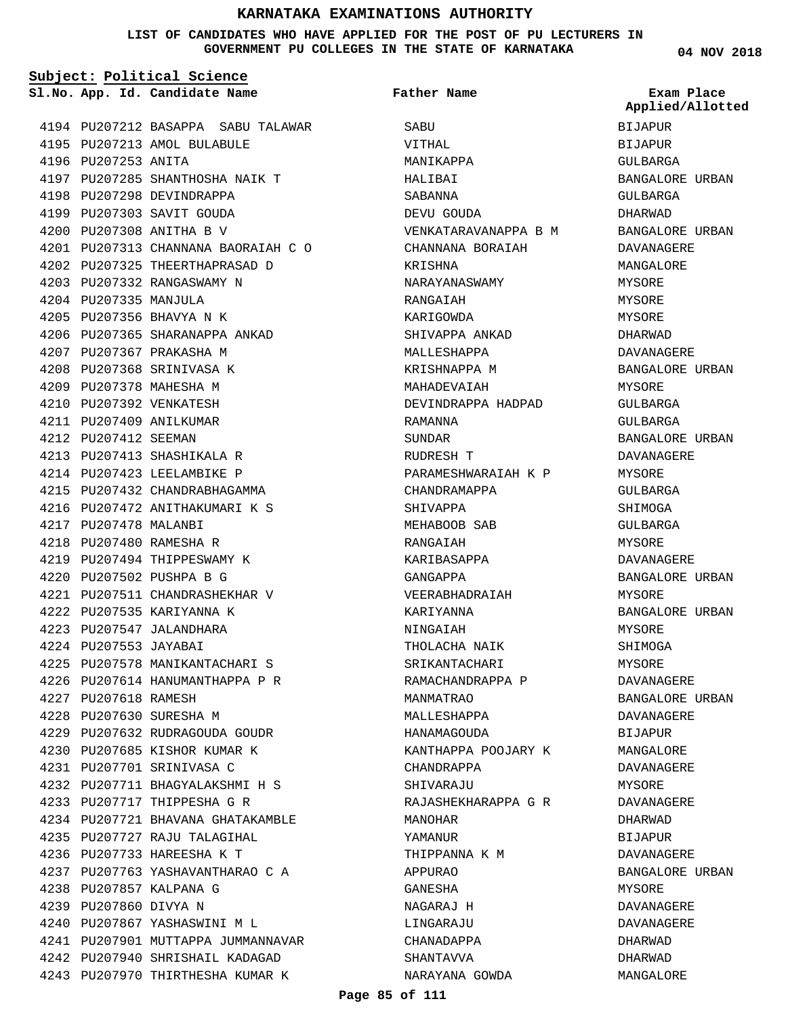### **LIST OF CANDIDATES WHO HAVE APPLIED FOR THE POST OF PU LECTURERS IN GOVERNMENT PU COLLEGES IN THE STATE OF KARNATAKA**

**Subject: Political Science**

**App. Id. Candidate Name Sl.No. Exam Place**

4195 PU207213 AMOL BULABULE

4198 PU207298 DEVINDRAPPA PU207303 SAVIT GOUDA 4199 PU207308 ANITHA B V 4200

4197 PU207285 SHANTHOSHA NAIK T

4202 PU207325 THEERTHAPRASAD D PU207332 RANGASWAMY N 4203

4206 PU207365 SHARANAPPA ANKAD

4196 PU207253 ANITA

4204 PU207335 MANJULA PU207356 BHAVYA N K 4205

PU207367 PRAKASHA M 4207 4208 PU207368 SRINIVASA K 4209 PU207378 MAHESHA M 4210 PU207392 VENKATESH 4211 PU207409 ANILKUMAR 4212 PU207412 SEEMAN

4213 PU207413 SHASHIKALA R 4214 PU207423 LEELAMBIKE P 4215 PU207432 CHANDRABHAGAMMA 4216 PU207472 ANITHAKUMARI K S

PU207511 CHANDRASHEKHAR V 4221

4225 PU207578 MANIKANTACHARI S PU207614 HANUMANTHAPPA P R 4226

PU207632 RUDRAGOUDA GOUDR 4229 4230 PU207685 KISHOR KUMAR K PU207701 SRINIVASA C 4231

PU207711 BHAGYALAKSHMI H S 4232 PU207717 THIPPESHA G R 4233

4235 PU207727 RAJU TALAGIHAL 4236 PU207733 HAREESHA K T

4240 PU207867 YASHASWINI M L

4238 PU207857 KALPANA G 4239 PU207860 DIVYA N

PU207721 BHAVANA GHATAKAMBLE 4234

PU207763 YASHAVANTHARAO C A 4237

4241 PU207901 MUTTAPPA JUMMANNAVAR PU207940 SHRISHAIL KADAGAD 4242 4243 PU207970 THIRTHESHA KUMAR K

4222 PU207535 KARIYANNA K PU207547 JALANDHARA 4223 4224 PU207553 JAYABAI

4227 PU207618 RAMESH PU207630 SURESHA M 4228

4217 PU207478 MALANBI PU207480 RAMESHA R 4218 4219 PU207494 THIPPESWAMY K PU207502 PUSHPA B G 4220

PU207212 BASAPPA SABU TALAWAR 4194

PU207313 CHANNANA BAORAIAH C O 4201

**Father Name**

**SABU** VITHAL MANIKAPPA HALIBAI SABANNA DEVU GOUDA VENKATARAVANAPPA B M CHANNANA BORAIAH KRISHNA NARAYANASWAMY RANGAIAH KARIGOWDA SHIVAPPA ANKAD MALLESHAPPA KRISHNAPPA M MAHADEVAIAH DEVINDRAPPA HADPAD RAMANNA SUNDAR RUDRESH T PARAMESHWARAIAH K P CHANDRAMAPPA SHIVAPPA MEHABOOB SAB RANGAIAH KARIBASAPPA GANGAPPA VEERABHADRAIAH KARIYANNA NINGAIAH THOLACHA NAIK SRIKANTACHARI RAMACHANDRAPPA P MANMATRAO MALLESHAPPA HANAMAGOUDA KANTHAPPA POOJARY K CHANDRAPPA SHIVARAJU RAJASHEKHARAPPA G R MANOHAR YAMANUR THIPPANNA K M APPURAO GANESHA NAGARAJ H LINGARAJU CHANADAPPA SHANTAVVA NARAYANA GOWDA

**04 NOV 2018**

BIJAPUR **BIJAPUR** GULBARGA BANGALORE URBAN GULBARGA DHARWAD BANGALORE URBAN DAVANAGERE MANGALORE MYSORE MYSORE MYSORE DHARWAD DAVANAGERE BANGALORE URBAN MYSORE GULBARGA CIILBARGA BANGALORE URBAN DAVANAGERE MYSORE GULBARGA SHIMOGA GULBARGA MYSORE DAVANAGERE BANGALORE URBAN MYSORE BANGALORE URBAN MYSORE SHIMOGA MYSORE DAVANAGERE BANGALORE URBAN DAVANAGERE BIJAPUR MANGALORE DAVANAGERE **MYSORE** DAVANAGERE DHARWAD BIJAPUR DAVANAGERE BANGALORE URBAN MYSORE DAVANAGERE DAVANAGERE DHARWAD DHARWAD MANGALORE **Applied/Allotted**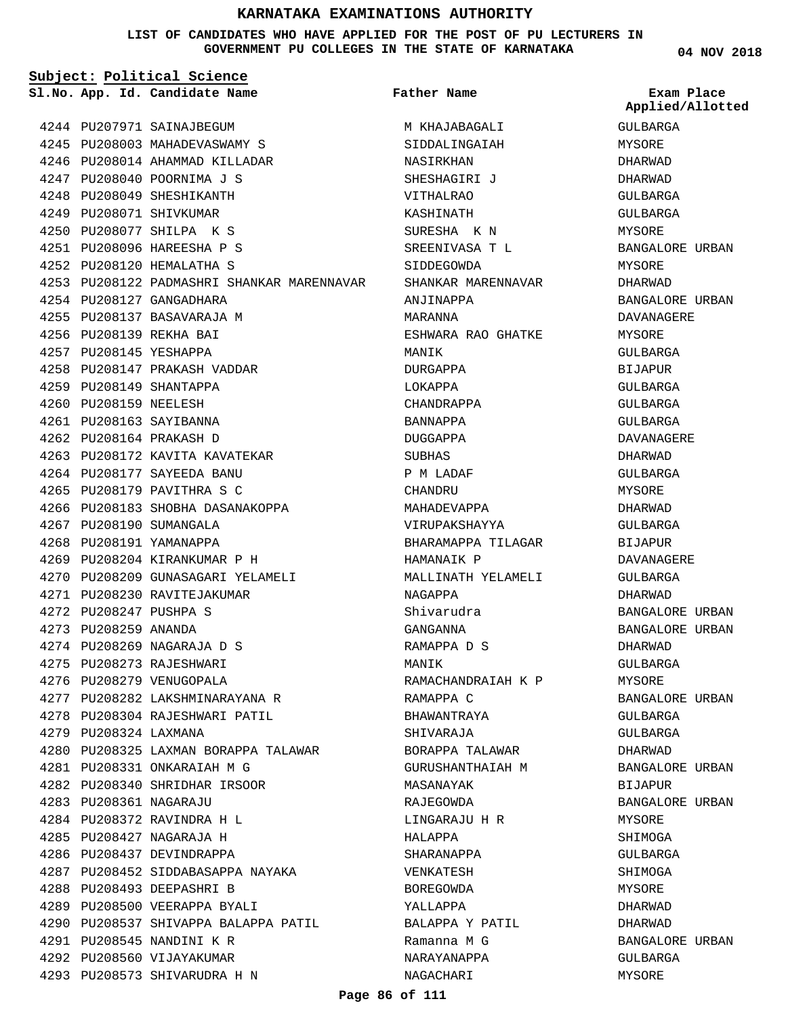**LIST OF CANDIDATES WHO HAVE APPLIED FOR THE POST OF PU LECTURERS IN GOVERNMENT PU COLLEGES IN THE STATE OF KARNATAKA**

**Subject: Political Science**

**App. Id. Candidate Name Sl.No. Exam Place**

4244 PU207971 SAINAJBEGUM 4245 PU208003 MAHADEVASWAMY S 4246 PU208014 AHAMMAD KILLADAR PU208040 POORNIMA J S 4247 PU208049 SHESHIKANTH 4248 4249 PU208071 SHIVKUMAR PU208077 SHILPA K S 4250 PU208096 HAREESHA P S 4251 PU208120 HEMALATHA S 4252

4254 PU208127 GANGADHARA 4255 PU208137 BASAVARAJA M PU208139 REKHA BAI 4256 4257 PU208145 YESHAPPA

PU208149 SHANTAPPA 4259 4260 PU208159 NEELESH PU208163 SAYIBANNA 4261 PU208164 PRAKASH D 4262

4267 PU208190 SUMANGALA 4268 PU208191 YAMANAPPA

PU208247 PUSHPA S 4272 PU208259 ANANDA 4273

4279 PU208324 LAXMANA

PU208361 NAGARAJU 4283 PU208372 RAVINDRA H L 4284 PU208427 NAGARAJA H 4285 4286 PU208437 DEVINDRAPPA

PU208493 DEEPASHRI B 4288 4289 PU208500 VEERAPPA BYALI

PU208545 NANDINI K R 4291 4292 PU208560 VIJAYAKUMAR 4293 PU208573 SHIVARUDRA H N

4258 PU208147 PRAKASH VADDAR

4263 PU208172 KAVITA KAVATEKAR 4264 PU208177 SAYEEDA BANU PU208179 PAVITHRA S C 4265

4266 PU208183 SHOBHA DASANAKOPPA

4270 PU208209 GUNASAGARI YELAMELI

4269 PU208204 KIRANKUMAR P H

4271 PU208230 RAVITEJAKUMAR

PU208269 NAGARAJA D S 4274 4275 PU208273 RAJESHWARI 4276 PU208279 VENUGOPALA

PU208331 ONKARAIAH M G 4281 4282 PU208340 SHRIDHAR IRSOOR

4277 PU208282 LAKSHMINARAYANA R 4278 PU208304 RAJESHWARI PATIL

4280 PU208325 LAXMAN BORAPPA TALAWAR

4287 PU208452 SIDDABASAPPA NAYAKA

4290 PU208537 SHIVAPPA BALAPPA PATIL

4253 PU208122 PADMASHRI SHANKAR MARENNAVAR

**Father Name**

M KHAJABAGALI SIDDALINGAIAH NASIRKHAN SHESHAGIRI J VITHALRAO KASHINATH SURESHA K N SREENIVASA T L SIDDEGOWDA SHANKAR MARENNAVAR ANJINAPPA MARANNA ESHWARA RAO GHATKE MANIK DURGAPPA LOKAPPA CHANDRAPPA BANNAPPA DUGGAPPA SUBHAS P M LADAF CHANDRU MAHADEVAPPA VIRUPAKSHAYYA BHARAMAPPA TILAGAR HAMANAIK P MALLINATH YELAMELI NAGAPPA Shivarudra GANGANNA RAMAPPA D S MANIK RAMACHANDRAIAH K P RAMAPPA C BHAWANTRAYA SHIVARAJA BORAPPA TALAWAR GURUSHANTHAIAH M MASANAYAK RAJEGOWDA LINGARAJU H R HALAPPA SHARANAPPA VENKATESH BOREGOWDA YALLAPPA BALAPPA Y PATIL Ramanna M G NARAYANAPPA NAGACHARI

**04 NOV 2018**

GULBARGA MYSORE DHARWAD DHARWAD GULBARGA GULBARGA MYSORE BANGALORE URBAN **MYSORE** DHARWAD BANGALORE URBAN DAVANAGERE MYSORE GULBARGA BIJAPUR GULBARGA GULBARGA GULBARGA DAVANAGERE DHARWAD GULBARGA MYSORE DHARWAD GULBARGA BIJAPUR DAVANAGERE GULBARGA DHARWAD BANGALORE URBAN BANGALORE URBAN DHARWAD GULBARGA MYSORE BANGALORE URBAN GULBARGA GULBARGA DHARWAD BANGALORE URBAN BIJAPUR BANGALORE URBAN MYSORE SHIMOGA GULBARGA SHIMOGA MYSORE DHARWAD DHARWAD BANGALORE URBAN GULBARGA MYSORE **Applied/Allotted**

**Page 86 of 111**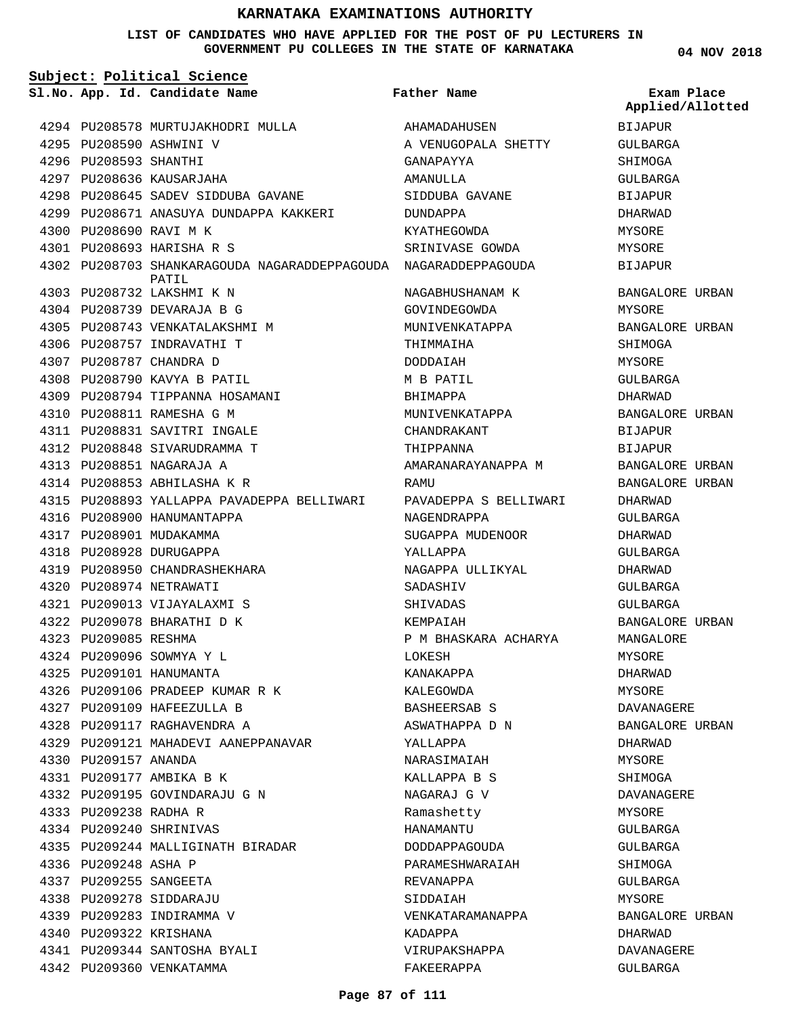## **LIST OF CANDIDATES WHO HAVE APPLIED FOR THE POST OF PU LECTURERS IN GOVERNMENT PU COLLEGES IN THE STATE OF KARNATAKA**

**04 NOV 2018**

| Subject: Political Science |                                                                          |                       |                                |  |
|----------------------------|--------------------------------------------------------------------------|-----------------------|--------------------------------|--|
|                            | Sl.No. App. Id. Candidate Name                                           | <b>Father Name</b>    | Exam Place<br>Applied/Allotted |  |
|                            | 4294 PU208578 MURTUJAKHODRI MULLA                                        | AHAMADAHUSEN          | BIJAPUR                        |  |
|                            | 4295 PU208590 ASHWINI V                                                  | A VENUGOPALA SHETTY   | GULBARGA                       |  |
| 4296 PU208593 SHANTHI      |                                                                          | GANAPAYYA             | SHIMOGA                        |  |
|                            | 4297 PU208636 KAUSARJAHA                                                 | AMANULLA              | GULBARGA                       |  |
|                            | 4298 PU208645 SADEV SIDDUBA GAVANE                                       | SIDDUBA GAVANE        | BIJAPUR                        |  |
|                            | 4299 PU208671 ANASUYA DUNDAPPA KAKKERI                                   | DUNDAPPA              | DHARWAD                        |  |
|                            | 4300 PU208690 RAVI M K                                                   | KYATHEGOWDA           | MYSORE                         |  |
|                            | 4301 PU208693 HARISHA R S                                                | SRINIVASE GOWDA       | MYSORE                         |  |
|                            | 4302 PU208703 SHANKARAGOUDA NAGARADDEPPAGOUDA NAGARADDEPPAGOUDA<br>PATIL |                       | BIJAPUR                        |  |
|                            | 4303 PU208732 LAKSHMI K N                                                | NAGABHUSHANAM K       | BANGALORE URBAN                |  |
|                            | 4304 PU208739 DEVARAJA B G                                               | GOVINDEGOWDA          | MYSORE                         |  |
|                            | 4305 PU208743 VENKATALAKSHMI M                                           | MUNIVENKATAPPA        | BANGALORE URBAN                |  |
|                            | 4306 PU208757 INDRAVATHI T                                               | THIMMAIHA             | SHIMOGA                        |  |
|                            | 4307 PU208787 CHANDRA D                                                  | DODDAIAH              | MYSORE                         |  |
|                            | 4308 PU208790 KAVYA B PATIL                                              | M B PATIL             | GULBARGA                       |  |
|                            | 4309 PU208794 TIPPANNA HOSAMANI                                          | BHIMAPPA              | DHARWAD                        |  |
|                            | 4310 PU208811 RAMESHA G M                                                | MUNIVENKATAPPA        | BANGALORE URBAN                |  |
|                            | 4311 PU208831 SAVITRI INGALE                                             | CHANDRAKANT           | <b>BIJAPUR</b>                 |  |
|                            | 4312 PU208848 SIVARUDRAMMA T                                             | THIPPANNA             | <b>BIJAPUR</b>                 |  |
|                            | 4313 PU208851 NAGARAJA A                                                 | AMARANARAYANAPPA M    | BANGALORE URBAN                |  |
|                            | 4314 PU208853 ABHILASHA K R                                              | RAMU                  | BANGALORE URBAN                |  |
|                            | 4315 PU208893 YALLAPPA PAVADEPPA BELLIWARI                               | PAVADEPPA S BELLIWARI | DHARWAD                        |  |
|                            | 4316 PU208900 HANUMANTAPPA                                               | NAGENDRAPPA           | GULBARGA                       |  |
|                            | 4317 PU208901 MUDAKAMMA                                                  | SUGAPPA MUDENOOR      | DHARWAD                        |  |
|                            | 4318 PU208928 DURUGAPPA                                                  | YALLAPPA              | GULBARGA                       |  |
|                            | 4319 PU208950 CHANDRASHEKHARA                                            | NAGAPPA ULLIKYAL      | DHARWAD                        |  |
|                            | 4320 PU208974 NETRAWATI                                                  | SADASHIV              | GULBARGA                       |  |
|                            | 4321 PU209013 VIJAYALAXMI S                                              | SHIVADAS              | GULBARGA                       |  |
|                            | 4322 PU209078 BHARATHI D K                                               | KEMPAIAH              | BANGALORE URBAN                |  |
| 4323 PU209085 RESHMA       |                                                                          | P M BHASKARA ACHARYA  | MANGALORE                      |  |
|                            | 4324 PU209096 SOWMYA Y L                                                 | LOKESH                | MYSORE                         |  |
|                            | 4325 PU209101 HANUMANTA                                                  | KANAKAPPA             | DHARWAD                        |  |
|                            | 4326 PU209106 PRADEEP KUMAR R K                                          | KALEGOWDA             | MYSORE                         |  |
|                            | 4327 PU209109 HAFEEZULLA B                                               | BASHEERSAB S          | DAVANAGERE                     |  |
|                            | 4328 PU209117 RAGHAVENDRA A                                              | ASWATHAPPA D N        | BANGALORE URBAN                |  |
|                            | 4329 PU209121 MAHADEVI AANEPPANAVAR                                      | YALLAPPA              | DHARWAD                        |  |
| 4330 PU209157 ANANDA       |                                                                          | NARASIMAIAH           | MYSORE                         |  |
|                            | 4331 PU209177 AMBIKA B K                                                 | KALLAPPA B S          | SHIMOGA                        |  |
|                            | 4332 PU209195 GOVINDARAJU G N                                            | NAGARAJ G V           | DAVANAGERE                     |  |
| 4333 PU209238 RADHA R      |                                                                          | Ramashetty            | MYSORE                         |  |
|                            | 4334 PU209240 SHRINIVAS                                                  | HANAMANTU             | GULBARGA                       |  |
|                            | 4335 PU209244 MALLIGINATH BIRADAR                                        | DODDAPPAGOUDA         | GULBARGA                       |  |
| 4336 PU209248 ASHA P       |                                                                          | PARAMESHWARAIAH       | SHIMOGA                        |  |
|                            | 4337 PU209255 SANGEETA                                                   | REVANAPPA             | GULBARGA                       |  |
|                            | 4338 PU209278 SIDDARAJU                                                  | SIDDAIAH              | MYSORE                         |  |
|                            | 4339 PU209283 INDIRAMMA V                                                | VENKATARAMANAPPA      | BANGALORE URBAN                |  |
|                            | 4340 PU209322 KRISHANA                                                   | KADAPPA               | DHARWAD                        |  |
|                            | 4341 PU209344 SANTOSHA BYALI                                             | VIRUPAKSHAPPA         | DAVANAGERE                     |  |

FAKEERAPPA

GULBARGA

4342 PU209360 VENKATAMMA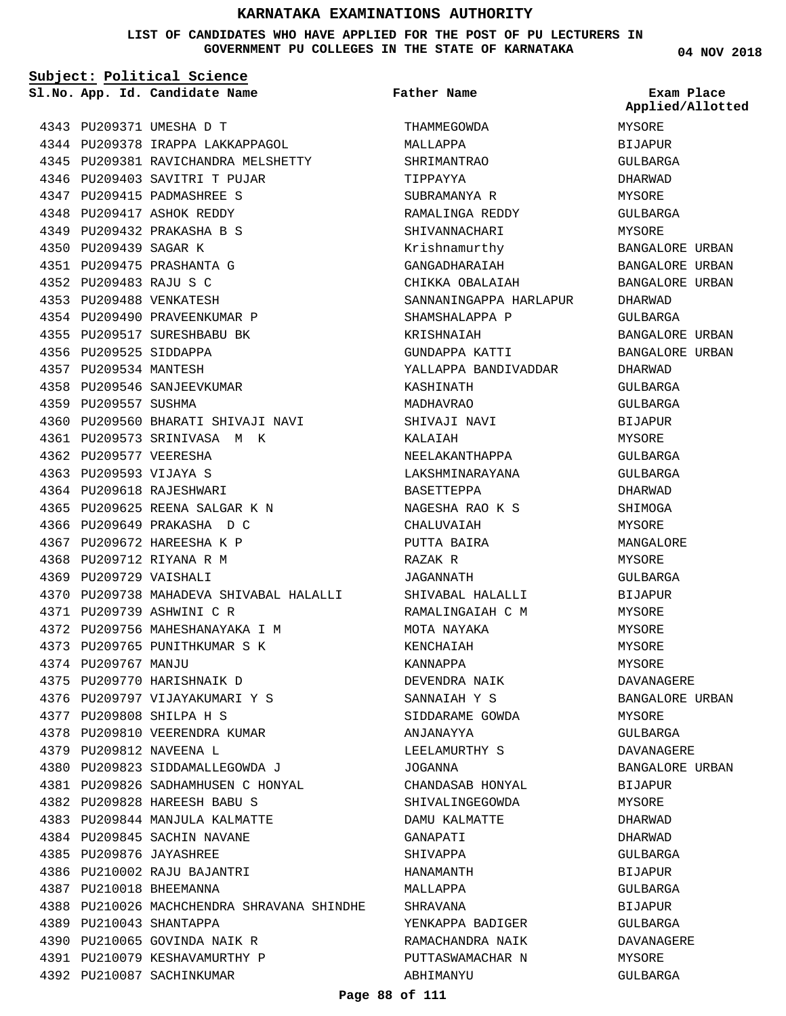### **LIST OF CANDIDATES WHO HAVE APPLIED FOR THE POST OF PU LECTURERS IN GOVERNMENT PU COLLEGES IN THE STATE OF KARNATAKA**

**Subject: Political Science**

**App. Id. Candidate Name Sl.No. Exam Place**

4343 PU209371 UMESHA D T

4350 PU209439 SAGAR K PU209475 PRASHANTA G 4351 PU209483 RAJU S C 4352 PU209488 VENKATESH 4353

4356 PU209525 SIDDAPPA 4357 PU209534 MANTESH

4359 PU209557 SUSHMA

4362 PU209577 VEERESHA PU209593 VIJAYA S 4363 4364 PU209618 RAJESHWARI

4344 PU209378 IRAPPA LAKKAPPAGOL 4345 PU209381 RAVICHANDRA MELSHETTY

4346 PU209403 SAVITRI T PUJAR PU209415 PADMASHREE S 4347 4348 PU209417 ASHOK REDDY PU209432 PRAKASHA B S 4349

4354 PU209490 PRAVEENKUMAR P 4355 PU209517 SURESHBABU BK

4358 PU209546 SANJEEVKUMAR

4361 PU209573 SRINIVASA M K

PU209625 REENA SALGAR K N 4365 4366 PU209649 PRAKASHA D C 4367 PU209672 HAREESHA K P 4368 PU209712 RIYANA R M 4369 PU209729 VAISHALI

PU209739 ASHWINI C R 4371

4375 PU209770 HARISHNAIK D 4376 PU209797 VIJAYAKUMARI Y S

4378 PU209810 VEERENDRA KUMAR

PU209828 HAREESH BABU S 4382 PU209844 MANJULA KALMATTE 4383 4384 PU209845 SACHIN NAVANE PU209876 JAYASHREE 4385 4386 PU210002 RAJU BAJANTRI 4387 PU210018 BHEEMANNA

PU209823 SIDDAMALLEGOWDA J 4380 PU209826 SADHAMHUSEN C HONYAL 4381

4388 PU210026 MACHCHENDRA SHRAVANA SHINDHE

PU209808 SHILPA H S 4377

4379 PU209812 NAVEENA L

PU210043 SHANTAPPA 4389

4390 PU210065 GOVINDA NAIK R 4391 PU210079 KESHAVAMURTHY P 4392 PU210087 SACHINKUMAR

4374 PU209767 MANJU

PU209756 MAHESHANAYAKA I M 4372 4373 PU209765 PUNITHKUMAR S K

4370 PU209738 MAHADEVA SHIVABAL HALALLI

4360 PU209560 BHARATI SHIVAJI NAVI

**Father Name**

THAMMEGOWDA MALLAPPA SHRIMANTRAO TIPPAYYA SUBRAMANYA R RAMALINGA REDDY SHIVANNACHARI Krishnamurthy GANGADHARAIAH CHIKKA OBALAIAH

SANNANINGAPPA HARLAPUR

YALLAPPA BANDIVADDAR

SHAMSHALAPPA P

GUNDAPPA KATTI

NEELAKANTHAPPA LAKSHMINARAYANA

SHIVABAL HALALLI RAMALINGAIAH C M MOTA NAYAKA

KENCHAIAH KANNAPPA

ANJANAYYA

JOGANNA

GANAPATI SHIVAPPA HANAMANTH MALLAPPA SHRAVANA

ABHIMANYU

DEVENDRA NAIK SANNAIAH Y S SIDDARAME GOWDA

LEELAMURTHY S

CHANDASAB HONYAL SHIVALINGEGOWDA DAMU KALMATTE

YENKAPPA BADIGER RAMACHANDRA NAIK PUTTASWAMACHAR N

BASETTEPPA NAGESHA RAO K S CHALUVAIAH PUTTA BAIRA RAZAK R JAGANNATH

KRISHNAIAH

KASHINATH MADHAVRAO SHIVAJI NAVI KALAIAH

MYSORE BIJAPUR GULBARGA DHARWAD MYSORE GULBARGA MYSORE BANGALORE URBAN BANGALORE URBAN BANGALORE URBAN DHARWAD GULBARGA BANGALORE URBAN BANGALORE URBAN DHARWAD GULBARGA GULBARGA **BIJAPUR** MYSORE GULBARGA GULBARGA DHARWAD SHIMOGA MYSORE MANGALORE MYSORE CIILRARCA BIJAPUR MYSORE MYSORE MYSORE MYSORE DAVANAGERE BANGALORE URBAN MYSORE GULBARGA DAVANAGERE BANGALORE URBAN BIJAPUR MYSORE DHARWAD DHARWAD GULBARGA BIJAPUR **Applied/Allotted**

GULBARGA BIJAPUR GULBARGA DAVANAGERE MYSORE GULBARGA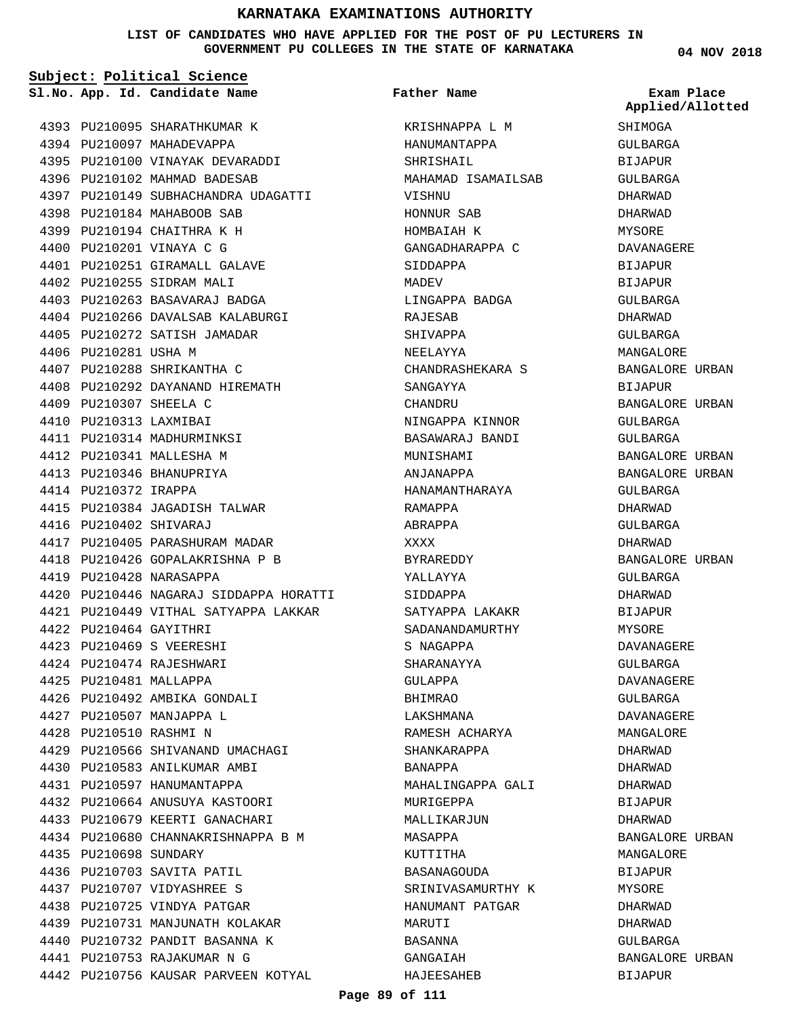**LIST OF CANDIDATES WHO HAVE APPLIED FOR THE POST OF PU LECTURERS IN GOVERNMENT PU COLLEGES IN THE STATE OF KARNATAKA**

**Subject: Political Science** 4393 PU210095 SHARATHKUMAR K 4394 PU210097 MAHADEVAPPA 4395 PU210100 VINAYAK DEVARADDI 4396 PU210102 MAHMAD BADESAB PU210149 SUBHACHANDRA UDAGATTI 4397 PU210184 MAHABOOB SAB 4398 4399 PU210194 CHAITHRA K H 4400 PU210201 VINAYA C G 4401 PU210251 GIRAMALL GALAVE 4402 PU210255 SIDRAM MALI 4403 PU210263 BASAVARAJ BADGA 4404 PU210266 DAVALSAB KALABURGI 4405 PU210272 SATISH JAMADAR 4406 PU210281 USHA M 4407 PU210288 SHRIKANTHA C 4408 PU210292 DAYANAND HIREMATH PU210307 SHEELA C 4409 PU210313 LAXMIBAI 4410 4411 PU210314 MADHURMINKSI 4412 PU210341 MALLESHA M 4413 PU210346 BHANUPRIYA 4414 PU210372 IRAPPA 4415 PU210384 JAGADISH TALWAR PU210402 SHIVARAJ 4416 4417 PU210405 PARASHURAM MADAR PU210426 GOPALAKRISHNA P B 4418 PU210428 NARASAPPA 4419 PU210446 NAGARAJ SIDDAPPA HORATTI 4420 PU210449 VITHAL SATYAPPA LAKKAR 4421 PU210464 GAYITHRI 4422 PU210469 S VEERESHI 4423 PU210474 RAJESHWARI 4424 **App. Id. Candidate Name Sl.No. Exam Place**

4425 PU210481 MALLAPPA

4435 PU210698 SUNDARY

4436 PU210703 SAVITA PATIL PU210707 VIDYASHREE S 4437 4438 PU210725 VINDYA PATGAR 4439 PU210731 MANJUNATH KOLAKAR 4440 PU210732 PANDIT BASANNA K PU210753 RAJAKUMAR N G 4441

4442 PU210756 KAUSAR PARVEEN KOTYAL

4426 PU210492 AMBIKA GONDALI 4427 PU210507 MANJAPPA L PU210510 RASHMI N 4428

4429 PU210566 SHIVANAND UMACHAGI 4430 PU210583 ANILKUMAR AMBI 4431 PU210597 HANUMANTAPPA PU210664 ANUSUYA KASTOORI 4432 4433 PU210679 KEERTI GANACHARI PU210680 CHANNAKRISHNAPPA B M 4434

KRISHNAPPA L M HANUMANTAPPA SHRISHAIL MAHAMAD ISAMAILSAB VISHNU HONNUR SAB HOMBAIAH K GANGADHARAPPA C SIDDAPPA **MADEV** LINGAPPA BADGA RAJESAB SHIVAPPA NEELAYYA CHANDRASHEKARA S SANGAYYA CHANDRU NINGAPPA KINNOR BASAWARAJ BANDI MUNISHAMI ANJANAPPA HANAMANTHARAYA RAMAPPA ABRAPPA XXXX BYRAREDDY YALLAYYA SIDDAPPA SATYAPPA LAKAKR SADANANDAMURTHY S NAGAPPA SHARANAYYA GULAPPA BHIMRAO LAKSHMANA RAMESH ACHARYA SHANKARAPPA BANAPPA MAHALINGAPPA GALI MURIGEPPA MALLIKARJUN MASAPPA KUTTITHA RASANAGOUDA SRINIVASAMURTHY K HANUMANT PATGAR MARUTI BASANNA GANGAIAH HAJEESAHEB **Father Name**

**04 NOV 2018 SHIMOGA** GULBARGA BIJAPUR GULBARGA DHARWAD DHARWAD MYSORE DAVANAGERE **BIJAPUR** BIJAPUR GULBARGA DHARWAD GULBARGA MANGALORE BANGALORE URBAN BIJAPUR BANGALORE URBAN GULBARGA GULBARGA BANGALORE URBAN BANGALORE URBAN GULBARGA DHARWAD GULBARGA DHARWAD BANGALORE URBAN GULBARGA DHARWAD BIJAPUR MYSORE DAVANAGERE GULBARGA DAVANAGERE GULBARGA DAVANAGERE MANCALORF DHARWAD DHARWAD DHARWAD BIJAPUR DHARWAD BANGALORE URBAN **Applied/Allotted**

MANGALORE **BIJAPUR** MYSORE DHARWAD DHARWAD GULBARGA

BANGALORE URBAN

BIJAPUR

## **Page 89 of 111**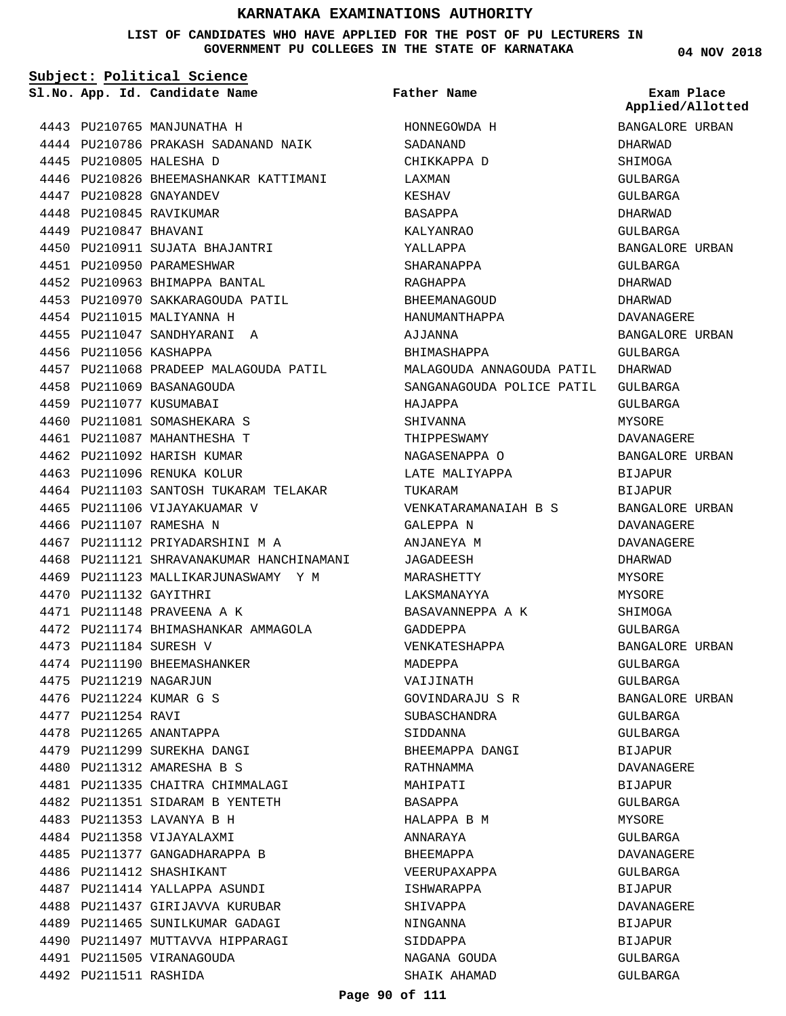## **LIST OF CANDIDATES WHO HAVE APPLIED FOR THE POST OF PU LECTURERS IN GOVERNMENT PU COLLEGES IN THE STATE OF KARNATAKA**

| Subject: Political Science |                                          |                           |                                |  |
|----------------------------|------------------------------------------|---------------------------|--------------------------------|--|
|                            | Sl.No. App. Id. Candidate Name           | Father Name               | Exam Place<br>Applied/Allotted |  |
|                            | 4443 PU210765 MANJUNATHA H               | HONNEGOWDA H              | BANGALORE URBAN                |  |
|                            | 4444 PU210786 PRAKASH SADANAND NAIK      | SADANAND                  | DHARWAD                        |  |
|                            | 4445 PU210805 HALESHA D                  | CHIKKAPPA D               | SHIMOGA                        |  |
|                            | 4446 PU210826 BHEEMASHANKAR KATTIMANI    | LAXMAN                    | GULBARGA                       |  |
|                            | 4447 PU210828 GNAYANDEV                  | KESHAV                    | GULBARGA                       |  |
|                            | 4448 PU210845 RAVIKUMAR                  | BASAPPA                   | DHARWAD                        |  |
| 4449 PU210847 BHAVANI      |                                          | KALYANRAO                 | GULBARGA                       |  |
|                            | 4450 PU210911 SUJATA BHAJANTRI           | YALLAPPA                  | BANGALORE URBAN                |  |
|                            | 4451 PU210950 PARAMESHWAR                | SHARANAPPA                | GULBARGA                       |  |
|                            | 4452 PU210963 BHIMAPPA BANTAL            | RAGHAPPA                  | DHARWAD                        |  |
|                            | 4453 PU210970 SAKKARAGOUDA PATIL         | BHEEMANAGOUD              | DHARWAD                        |  |
|                            | 4454 PU211015 MALIYANNA H                | HANUMANTHAPPA             | DAVANAGERE                     |  |
|                            | 4455 PU211047 SANDHYARANI A              | AJJANNA                   | BANGALORE URBAN                |  |
| 4456 PU211056 KASHAPPA     |                                          | BHIMASHAPPA               | GULBARGA                       |  |
|                            | 4457 PU211068 PRADEEP MALAGOUDA PATIL    | MALAGOUDA ANNAGOUDA PATIL | DHARWAD                        |  |
|                            | 4458 PU211069 BASANAGOUDA                | SANGANAGOUDA POLICE PATIL | GULBARGA                       |  |
|                            | 4459 PU211077 KUSUMABAI                  | HAJAPPA                   | GULBARGA                       |  |
|                            | 4460 PU211081 SOMASHEKARA S              | SHIVANNA                  | MYSORE                         |  |
|                            | 4461 PU211087 MAHANTHESHA T              | THIPPESWAMY               | DAVANAGERE                     |  |
|                            | 4462 PU211092 HARISH KUMAR               | NAGASENAPPA O             | BANGALORE URBAN                |  |
|                            | 4463 PU211096 RENUKA KOLUR               | LATE MALIYAPPA            | BIJAPUR                        |  |
|                            | 4464 PU211103 SANTOSH TUKARAM TELAKAR    | TUKARAM                   | BIJAPUR                        |  |
|                            | 4465 PU211106 VIJAYAKUAMAR V             | VENKATARAMANAIAH B S      | BANGALORE URBAN                |  |
|                            | 4466 PU211107 RAMESHA N                  | GALEPPA N                 | DAVANAGERE                     |  |
|                            | 4467 PU211112 PRIYADARSHINI M A          | ANJANEYA M                | DAVANAGERE                     |  |
|                            | 4468 PU211121 SHRAVANAKUMAR HANCHINAMANI | JAGADEESH                 | DHARWAD                        |  |
|                            | 4469 PU211123 MALLIKARJUNASWAMY Y M      | MARASHETTY                | MYSORE                         |  |
| 4470 PU211132 GAYITHRI     |                                          | LAKSMANAYYA               | MYSORE                         |  |
|                            | 4471 PU211148 PRAVEENA A K               | BASAVANNEPPA A K          | SHIMOGA                        |  |
|                            | 4472 PU211174 BHIMASHANKAR AMMAGOLA      | GADDEPPA                  | GULBARGA                       |  |
|                            | 4473 PU211184 SURESH V                   | VENKATESHAPPA             | BANGALORE URBAN                |  |
|                            | 4474 PU211190 BHEEMASHANKER              | MADEPPA                   | GULBARGA                       |  |
|                            | 4475 PU211219 NAGARJUN                   | VAIJINATH                 | GULBARGA                       |  |
|                            | 4476 PU211224 KUMAR G S                  | GOVINDARAJU S R           | BANGALORE URBAN                |  |
| 4477 PU211254 RAVI         |                                          | SUBASCHANDRA              | GULBARGA                       |  |
|                            | 4478 PU211265 ANANTAPPA                  | SIDDANNA                  | GULBARGA                       |  |
|                            | 4479 PU211299 SUREKHA DANGI              | BHEEMAPPA DANGI           | BIJAPUR                        |  |
|                            | 4480 PU211312 AMARESHA B S               | RATHNAMMA                 | DAVANAGERE                     |  |
|                            | 4481 PU211335 CHAITRA CHIMMALAGI         | MAHIPATI                  | <b>BIJAPUR</b>                 |  |
|                            | 4482 PU211351 SIDARAM B YENTETH          | BASAPPA                   | GULBARGA                       |  |
|                            | 4483 PU211353 LAVANYA B H                | HALAPPA B M               | MYSORE                         |  |
|                            | 4484 PU211358 VIJAYALAXMI                | ANNARAYA                  | GULBARGA                       |  |
|                            | 4485 PU211377 GANGADHARAPPA B            | BHEEMAPPA                 | DAVANAGERE                     |  |
|                            | 4486 PU211412 SHASHIKANT                 | VEERUPAXAPPA              | GULBARGA                       |  |
|                            | 4487 PU211414 YALLAPPA ASUNDI            | ISHWARAPPA                | BIJAPUR                        |  |
|                            | 4488 PU211437 GIRIJAVVA KURUBAR          | SHIVAPPA                  | DAVANAGERE                     |  |
|                            | 4489 PU211465 SUNILKUMAR GADAGI          | NINGANNA                  | BIJAPUR                        |  |
|                            | 4490 PU211497 MUTTAVVA HIPPARAGI         | SIDDAPPA                  | BIJAPUR                        |  |
|                            | 4491 PU211505 VIRANAGOUDA                | NAGANA GOUDA              | GULBARGA                       |  |
| 4492 PU211511 RASHIDA      |                                          | SHAIK AHAMAD              | GULBARGA                       |  |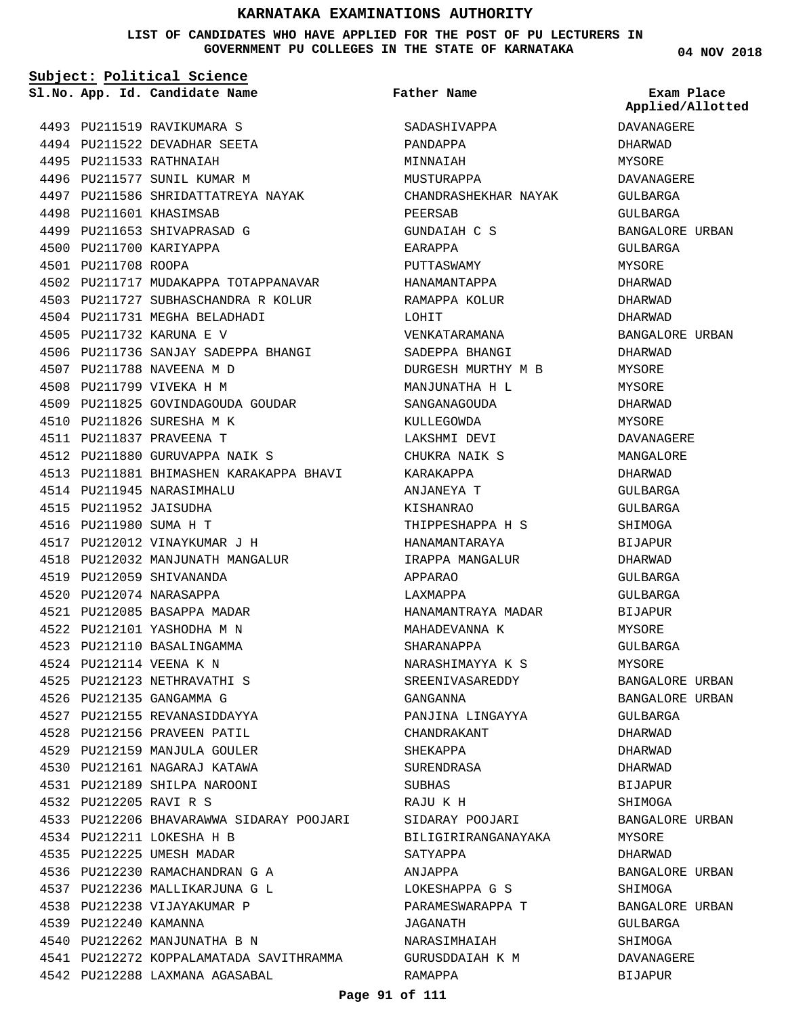### **LIST OF CANDIDATES WHO HAVE APPLIED FOR THE POST OF PU LECTURERS IN GOVERNMENT PU COLLEGES IN THE STATE OF KARNATAKA**

**Subject: Political Science**

**App. Id. Candidate Name Sl.No. Exam Place Father Name**

**04 NOV 2018**

**Applied/Allotted**

|      |                        | 4493 PU211519 RAVIKUMARA S              |
|------|------------------------|-----------------------------------------|
|      |                        | 4494 PU211522 DEVADHAR SEETA            |
|      |                        | 4495 PU211533 RATHNAIAH                 |
|      |                        | 4496 PU211577 SUNIL KUMAR M             |
|      |                        | 4497 PU211586 SHRIDATTATREYA NAYAK      |
|      |                        | 4498 PU211601 KHASIMSAB                 |
|      |                        | 4499 PU211653 SHIVAPRASAD G             |
|      |                        | 4500 PU211700 KARIYAPPA                 |
|      | 4501 PU211708 ROOPA    |                                         |
|      |                        | 4502 PU211717 MUDAKAPPA TOTAPPANAVAR    |
|      |                        | 4503 PU211727 SUBHASCHANDRA R KOLUR     |
|      |                        | 4504 PU211731 MEGHA BELADHADI           |
|      |                        | 4505 PU211732 KARUNA E V                |
|      |                        | 4506 PU211736 SANJAY SADEPPA BHANGI     |
|      |                        | 4507 PU211788 NAVEENA M D               |
|      |                        | 4508 PU211799 VIVEKA H M                |
|      |                        | 4509 PU211825 GOVINDAGOUDA GOUDAR       |
|      |                        | 4510 PU211826 SURESHA M K               |
|      |                        | 4511 PU211837 PRAVEENA T                |
|      |                        | 4512 PU211880 GURUVAPPA NAIK S          |
|      |                        | 4513 PU211881 BHIMASHEN KARAKAPPA BHAVI |
|      |                        | 4514 PU211945 NARASIMHALU               |
|      | 4515 PU211952 JAISUDHA |                                         |
|      | 4516 PU211980 SUMA H T |                                         |
|      |                        | 4517 PU212012 VINAYKUMAR J H            |
|      |                        | 4518 PU212032 MANJUNATH MANGALUR        |
|      |                        | 4519 PU212059 SHIVANANDA                |
|      |                        | 4520 PU212074 NARASAPPA                 |
|      |                        | 4521 PU212085 BASAPPA MADAR             |
|      |                        | 4522 PU212101 YASHODHA M N              |
|      |                        | 4523 PU212110 BASALINGAMMA              |
|      |                        | 4524 PU212114 VEENA K N                 |
| 4525 |                        | PU212123 NETHRAVATHI S                  |
| 4526 |                        | PU212135 GANGAMMA G                     |
|      |                        | 4527 PU212155 REVANASIDDAYYA            |
|      |                        | 4528 PU212156 PRAVEEN PATIL             |
|      |                        | 4529 PU212159 MANJULA GOULER            |
|      |                        | 4530 PU212161 NAGARAJ KATAWA            |
|      |                        | 4531 PU212189 SHILPA NAROONI            |
|      | 4532 PU212205 RAVI R S |                                         |
| 4533 |                        | PU212206 BHAVARAWWA SIDARAY POOJARI     |
| 4534 |                        | PU212211 LOKESHA H B                    |
| 4535 |                        | PU212225 UMESH MADAR                    |
|      |                        | 4536 PU212230 RAMACHANDRAN G A          |
|      |                        | 4537 PU212236 MALLIKARJUNA G L          |
| 4538 |                        | PU212238 VIJAYAKUMAR P                  |
|      | 4539 PU212240 KAMANNA  |                                         |
|      |                        | 4540 PU212262 MANJUNATHA B N            |
| 4541 |                        | PU212272 KOPPALAMATADA SAVITHRAMMA      |
|      |                        | 4542 PU212288 LAXMANA AGASABAL          |

SADASHIVAPPA PANDAPPA MINNAIAH MUSTURAPPA CHANDRASHEKHAR NAYAK PEERSAB GUNDAIAH C S EARAPPA PUTTASWAMY HANAMANTAPPA RAMAPPA KOLUR LOHIT VENKATARAMANA SADEPPA BHANGI DURGESH MURTHY M B MANJUNATHA H L SANGANAGOUDA KULLEGOWDA LAKSHMI DEVI CHUKRA NAIK S KARAKAPPA ANJANEYA T KISHANRAO THIPPESHAPPA H S HANAMANTARAYA IRAPPA MANGALUR APPARAO LAXMAPPA HANAMANTRAYA MADAR MAHADEVANNA K SHARANAPPA NARASHIMAYYA K S SREENIVASAREDDY GANGANNA PANJINA LINGAYYA CHANDRAKANT SHEKAPPA SURENDRASA SUBHAS RAJU K H SIDARAY POOJARI BILIGIRIRANGANAYAKA SATYAPPA ANJAPPA LOKESHAPPA G S PARAMESWARAPPA T JAGANATH NARASIMHAIAH GURUSDDAIAH K M RAMAPPA

DAVANAGERE DHARWAD MYSORE DAVANAGERE GULBARGA GULBARGA BANGALORE URBAN GULBARGA MYSORE DHARWAD DHARWAD DHARWAD BANGALORE URBAN DHARWAD MYSORE MYSORE DHARWAD MYSORE DAVANAGERE MANGALORE DHARWAD GULBARGA GULBARGA SHIMOGA BIJAPUR DHARWAD  $CITIRARCA$ GULBARGA BIJAPUR MYSORE GULBARGA MYSORE BANGALORE URBAN BANGALORE URBAN GULBARGA DHARWAD DHARWAD DHARWAD BIJAPUR SHIMOGA BANGALORE URBAN MYSORE DHARWAD BANGALORE URBAN SHIMOGA BANGALORE URBAN GULBARGA SHIMOGA

DAVANAGERE BIJAPUR

### **Page 91 of 111**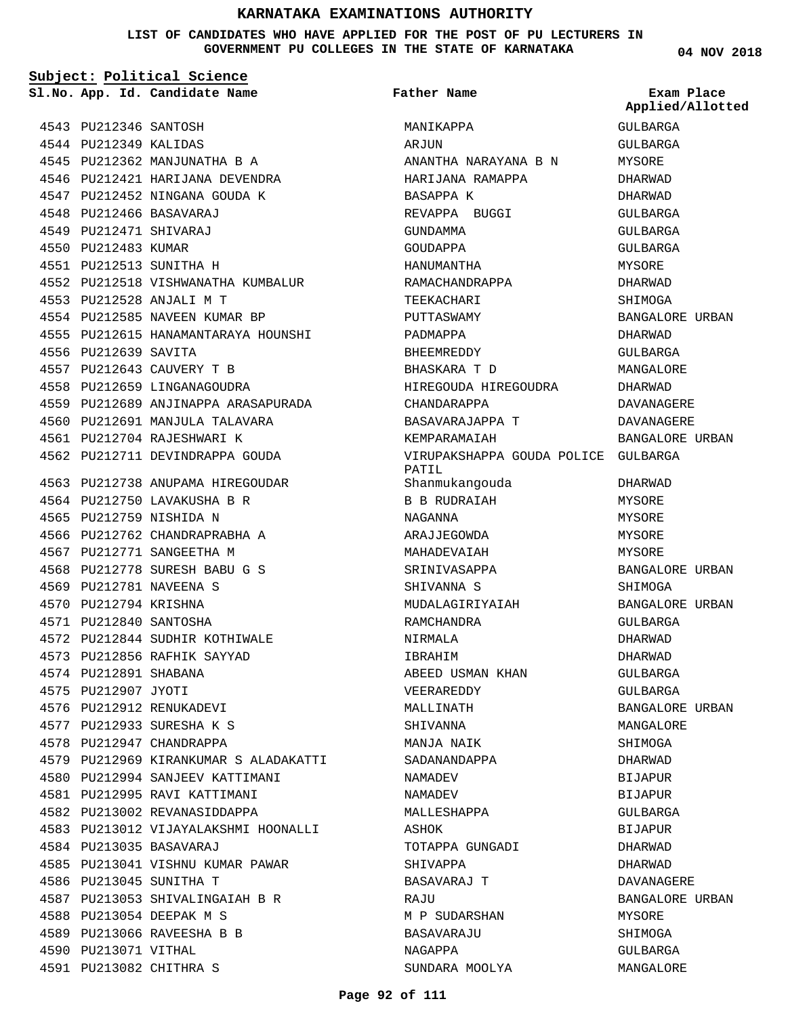**LIST OF CANDIDATES WHO HAVE APPLIED FOR THE POST OF PU LECTURERS IN GOVERNMENT PU COLLEGES IN THE STATE OF KARNATAKA**

**Subject: Political Science**

**Father Name**

|                       | Sl.No. App. Id. Candidate Name        | Father Name                                  | Exam Place<br>Applied/Allotted |
|-----------------------|---------------------------------------|----------------------------------------------|--------------------------------|
| 4543 PU212346 SANTOSH |                                       | MANIKAPPA                                    | GULBARGA                       |
| 4544 PU212349 KALIDAS |                                       | ARJUN                                        | GULBARGA                       |
|                       | 4545 PU212362 MANJUNATHA B A          | ANANTHA NARAYANA B N                         | MYSORE                         |
|                       | 4546 PU212421 HARIJANA DEVENDRA       | HARIJANA RAMAPPA                             | DHARWAD                        |
|                       | 4547 PU212452 NINGANA GOUDA K         | BASAPPA K                                    | DHARWAD                        |
|                       | 4548 PU212466 BASAVARAJ               | REVAPPA BUGGI                                | GULBARGA                       |
|                       | 4549 PU212471 SHIVARAJ                | GUNDAMMA                                     | GULBARGA                       |
| 4550 PU212483 KUMAR   |                                       | GOUDAPPA                                     | GULBARGA                       |
|                       | 4551 PU212513 SUNITHA H               | HANUMANTHA                                   | MYSORE                         |
|                       | 4552 PU212518 VISHWANATHA KUMBALUR    | RAMACHANDRAPPA                               | DHARWAD                        |
|                       | 4553 PU212528 ANJALI M T              | TEEKACHARI                                   | SHIMOGA                        |
|                       | 4554 PU212585 NAVEEN KUMAR BP         | PUTTASWAMY                                   | BANGALORE URBAN                |
|                       | 4555 PU212615 HANAMANTARAYA HOUNSHI   | PADMAPPA                                     | DHARWAD                        |
| 4556 PU212639 SAVITA  |                                       | BHEEMREDDY                                   | GULBARGA                       |
|                       | 4557 PU212643 CAUVERY T B             | BHASKARA T D                                 | MANGALORE                      |
|                       | 4558 PU212659 LINGANAGOUDRA           | HIREGOUDA HIREGOUDRA                         | DHARWAD                        |
|                       | 4559 PU212689 ANJINAPPA ARASAPURADA   | CHANDARAPPA                                  | DAVANAGERE                     |
|                       | 4560 PU212691 MANJULA TALAVARA        | BASAVARAJAPPA T                              | <b>DAVANAGERE</b>              |
|                       | 4561 PU212704 RAJESHWARI K            | KEMPARAMAIAH                                 | BANGALORE URBAN                |
|                       | 4562 PU212711 DEVINDRAPPA GOUDA       | VIRUPAKSHAPPA GOUDA POLICE GULBARGA<br>PATIL |                                |
|                       | 4563 PU212738 ANUPAMA HIREGOUDAR      | Shanmukangouda                               | DHARWAD                        |
|                       | 4564 PU212750 LAVAKUSHA B R           | B B RUDRAIAH                                 | MYSORE                         |
|                       | 4565 PU212759 NISHIDA N               | NAGANNA                                      | MYSORE                         |
|                       | 4566 PU212762 CHANDRAPRABHA A         | ARAJJEGOWDA                                  | MYSORE                         |
|                       | 4567 PU212771 SANGEETHA M             | MAHADEVAIAH                                  | MYSORE                         |
|                       | 4568 PU212778 SURESH BABU G S         | SRINIVASAPPA                                 | BANGALORE URBAN                |
|                       | 4569 PU212781 NAVEENA S               | SHIVANNA S                                   | SHIMOGA                        |
| 4570 PU212794 KRISHNA |                                       | MUDALAGIRIYAIAH                              | BANGALORE URBAN                |
|                       | 4571 PU212840 SANTOSHA                | RAMCHANDRA                                   | GULBARGA                       |
|                       | 4572 PU212844 SUDHIR KOTHIWALE        | NIRMALA                                      | DHARWAD                        |
|                       | 4573 PU212856 RAFHIK SAYYAD           | IBRAHIM                                      | DHARWAD                        |
| 4574 PU212891 SHABANA |                                       | ABEED USMAN KHAN                             | GULBARGA                       |
| 4575 PU212907 JYOTI   |                                       | VEERAREDDY                                   | GULBARGA                       |
|                       | 4576 PU212912 RENUKADEVI              | MALLINATH                                    | BANGALORE URBAN                |
|                       | 4577 PU212933 SURESHA K S             | SHIVANNA                                     | MANGALORE                      |
|                       | 4578 PU212947 CHANDRAPPA              | MANJA NAIK                                   | SHIMOGA                        |
|                       | 4579 PU212969 KIRANKUMAR S ALADAKATTI | SADANANDAPPA                                 | DHARWAD                        |
|                       | 4580 PU212994 SANJEEV KATTIMANI       | NAMADEV                                      | BIJAPUR                        |
|                       | 4581 PU212995 RAVI KATTIMANI          | NAMADEV                                      | BIJAPUR                        |
|                       | 4582 PU213002 REVANASIDDAPPA          | MALLESHAPPA                                  | GULBARGA                       |
|                       | 4583 PU213012 VIJAYALAKSHMI HOONALLI  | ASHOK                                        | BIJAPUR                        |
|                       | 4584 PU213035 BASAVARAJ               | TOTAPPA GUNGADI                              | DHARWAD                        |
|                       | 4585 PU213041 VISHNU KUMAR PAWAR      | SHIVAPPA                                     | DHARWAD                        |
|                       | 4586 PU213045 SUNITHA T               | BASAVARAJ T                                  | DAVANAGERE                     |
|                       | 4587 PU213053 SHIVALINGAIAH B R       | RAJU                                         | BANGALORE URBAN                |
|                       | 4588 PU213054 DEEPAK M S              | M P SUDARSHAN                                | MYSORE                         |
|                       | 4589 PU213066 RAVEESHA B B            | BASAVARAJU                                   | SHIMOGA                        |
| 4590 PU213071 VITHAL  |                                       | NAGAPPA                                      | GULBARGA                       |
|                       | 4591 PU213082 CHITHRA S               | SUNDARA MOOLYA                               | MANGALORE                      |
|                       |                                       |                                              |                                |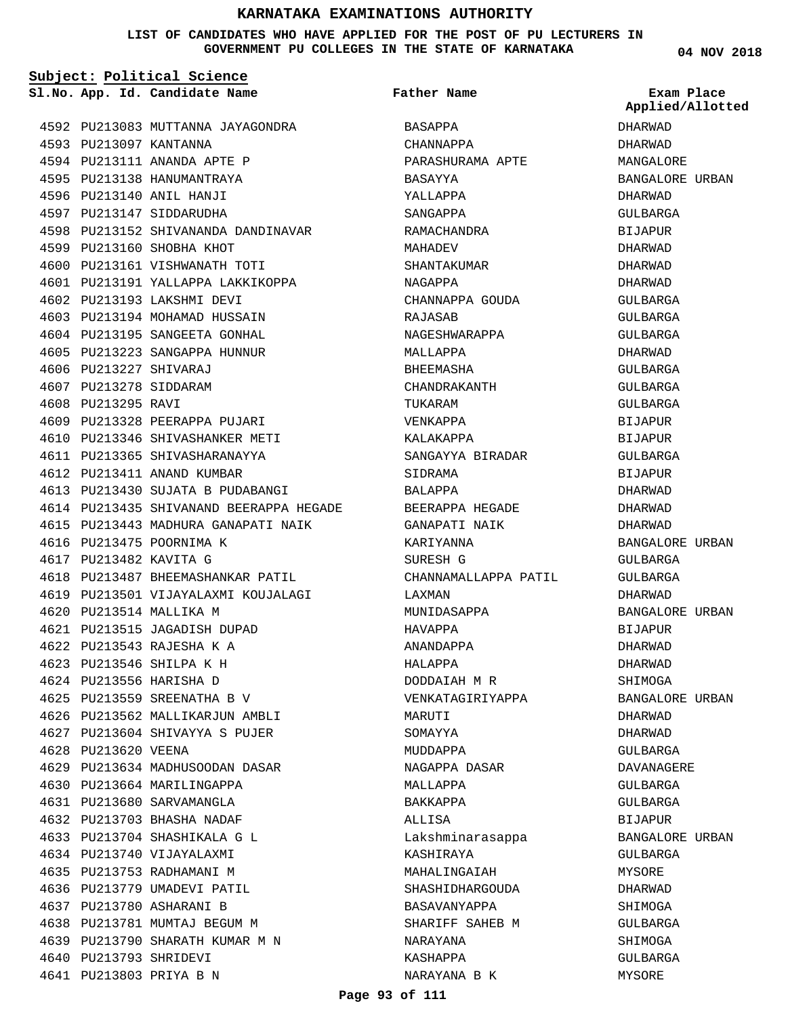## **LIST OF CANDIDATES WHO HAVE APPLIED FOR THE POST OF PU LECTURERS IN GOVERNMENT PU COLLEGES IN THE STATE OF KARNATAKA**

**04 NOV 2018**

| Subject: Political Science |                        |                                         |                      |                                |
|----------------------------|------------------------|-----------------------------------------|----------------------|--------------------------------|
|                            |                        | Sl.No. App. Id. Candidate Name          | <b>Father Name</b>   | Exam Place<br>Applied/Allotted |
|                            |                        | 4592 PU213083 MUTTANNA JAYAGONDRA       | BASAPPA              | DHARWAD                        |
|                            | 4593 PU213097 KANTANNA |                                         | CHANNAPPA            | DHARWAD                        |
|                            |                        | 4594 PU213111 ANANDA APTE P             | PARASHURAMA APTE     | MANGALORE                      |
|                            |                        | 4595 PU213138 HANUMANTRAYA              | BASAYYA              | BANGALORE URBAN                |
|                            |                        | 4596 PU213140 ANIL HANJI                | YALLAPPA             | DHARWAD                        |
|                            |                        | 4597 PU213147 SIDDARUDHA                | SANGAPPA             | GULBARGA                       |
|                            |                        | 4598 PU213152 SHIVANANDA DANDINAVAR     | RAMACHANDRA          | <b>BIJAPUR</b>                 |
|                            |                        | 4599 PU213160 SHOBHA KHOT               | MAHADEV              | DHARWAD                        |
|                            |                        | 4600 PU213161 VISHWANATH TOTI           | SHANTAKUMAR          | DHARWAD                        |
|                            |                        | 4601 PU213191 YALLAPPA LAKKIKOPPA       | NAGAPPA              | DHARWAD                        |
|                            |                        | 4602 PU213193 LAKSHMI DEVI              | CHANNAPPA GOUDA      | GULBARGA                       |
|                            |                        | 4603 PU213194 MOHAMAD HUSSAIN           | RAJASAB              | GULBARGA                       |
|                            |                        | 4604 PU213195 SANGEETA GONHAL           | NAGESHWARAPPA        | GULBARGA                       |
|                            |                        | 4605 PU213223 SANGAPPA HUNNUR           | MALLAPPA             | DHARWAD                        |
|                            | 4606 PU213227 SHIVARAJ |                                         | BHEEMASHA            | GULBARGA                       |
|                            | 4607 PU213278 SIDDARAM |                                         | CHANDRAKANTH         | GULBARGA                       |
|                            | 4608 PU213295 RAVI     |                                         | TUKARAM              | GULBARGA                       |
|                            |                        | 4609 PU213328 PEERAPPA PUJARI           | VENKAPPA             | <b>BIJAPUR</b>                 |
|                            |                        | 4610 PU213346 SHIVASHANKER METI         | KALAKAPPA            | BIJAPUR                        |
|                            |                        | 4611 PU213365 SHIVASHARANAYYA           | SANGAYYA BIRADAR     | GULBARGA                       |
|                            |                        | 4612 PU213411 ANAND KUMBAR              | SIDRAMA              | BIJAPUR                        |
|                            |                        | 4613 PU213430 SUJATA B PUDABANGI        | BALAPPA              | DHARWAD                        |
|                            |                        | 4614 PU213435 SHIVANAND BEERAPPA HEGADE | BEERAPPA HEGADE      | DHARWAD                        |
|                            |                        | 4615 PU213443 MADHURA GANAPATI NAIK     | GANAPATI NAIK        | DHARWAD                        |
|                            |                        | 4616 PU213475 POORNIMA K                | KARIYANNA            | BANGALORE URBAN                |
|                            | 4617 PU213482 KAVITA G |                                         | SURESH G             | GULBARGA                       |
|                            |                        | 4618 PU213487 BHEEMASHANKAR PATIL       | CHANNAMALLAPPA PATIL | <b>GULBARGA</b>                |
|                            |                        | 4619 PU213501 VIJAYALAXMI KOUJALAGI     | LAXMAN               | DHARWAD                        |
|                            |                        | 4620 PU213514 MALLIKA M                 | MUNIDASAPPA          | BANGALORE URBAN                |
|                            |                        | 4621 PU213515 JAGADISH DUPAD            | HAVAPPA              | <b>BIJAPUR</b>                 |
|                            |                        | 4622 PU213543 RAJESHA K A               |                      |                                |
|                            |                        | 4623 PU213546 SHILPA K H                | ANANDAPPA<br>HALAPPA | DHARWAD                        |
|                            |                        | 4624 PU213556 HARISHA D                 | DODDAIAH M R         | DHARWAD                        |
|                            |                        |                                         |                      | SHIMOGA                        |
|                            |                        | 4625 PU213559 SREENATHA B V             | VENKATAGIRIYAPPA     | BANGALORE URBAN                |
|                            |                        | 4626 PU213562 MALLIKARJUN AMBLI         | MARUTI               | DHARWAD                        |
|                            |                        | 4627 PU213604 SHIVAYYA S PUJER          | SOMAYYA              | DHARWAD                        |
|                            | 4628 PU213620 VEENA    |                                         | MUDDAPPA             | GULBARGA                       |
|                            |                        | 4629 PU213634 MADHUSOODAN DASAR         | NAGAPPA DASAR        | <b>DAVANAGERE</b>              |
|                            |                        | 4630 PU213664 MARILINGAPPA              | MALLAPPA             | GULBARGA                       |
|                            |                        | 4631 PU213680 SARVAMANGLA               | BAKKAPPA             | GULBARGA                       |
|                            |                        | 4632 PU213703 BHASHA NADAF              | ALLISA               | BIJAPUR                        |
|                            |                        | 4633 PU213704 SHASHIKALA G L            | Lakshminarasappa     | BANGALORE URBAN                |
|                            |                        | 4634 PU213740 VIJAYALAXMI               | KASHIRAYA            | GULBARGA                       |
|                            |                        | 4635 PU213753 RADHAMANI M               | MAHALINGAIAH         | MYSORE                         |
|                            |                        | 4636 PU213779 UMADEVI PATIL             | SHASHIDHARGOUDA      | DHARWAD                        |
|                            |                        | 4637 PU213780 ASHARANI B                | BASAVANYAPPA         | SHIMOGA                        |
|                            |                        | 4638 PU213781 MUMTAJ BEGUM M            | SHARIFF SAHEB M      | GULBARGA                       |
|                            |                        | 4639 PU213790 SHARATH KUMAR M N         | NARAYANA             | SHIMOGA                        |
|                            | 4640 PU213793 SHRIDEVI |                                         | KASHAPPA             | GULBARGA                       |

## **Page 93 of 111**

NARAYANA B K

MYSORE

PU213803 PRIYA B N 4641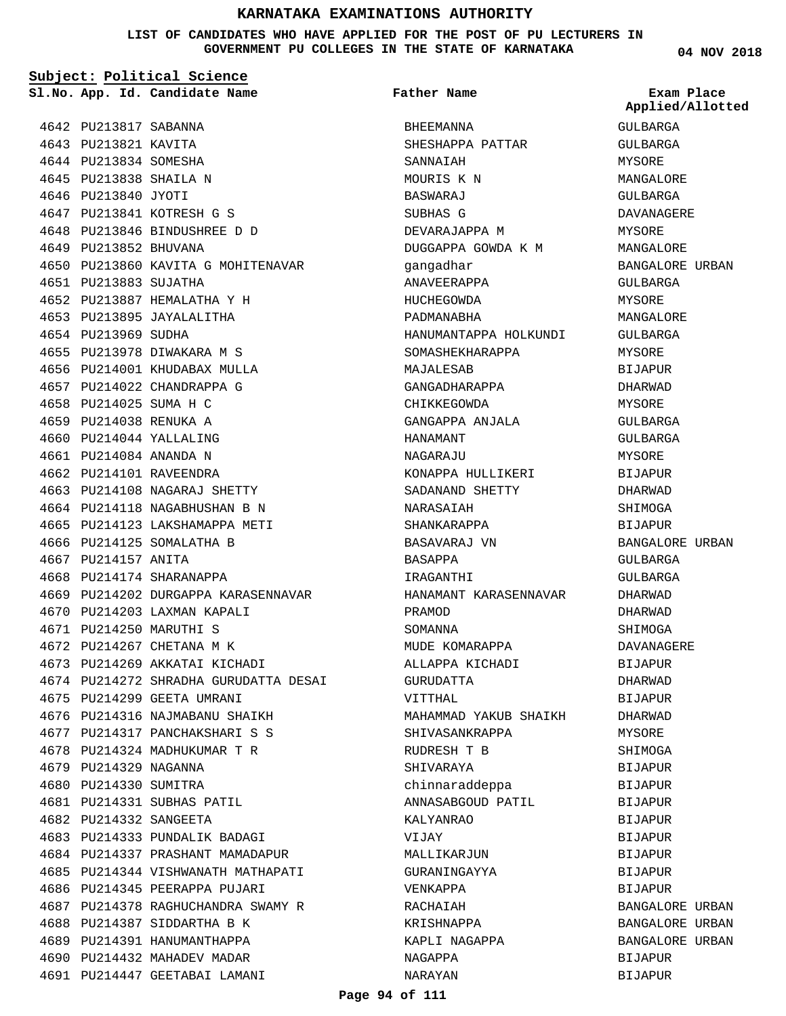**LIST OF CANDIDATES WHO HAVE APPLIED FOR THE POST OF PU LECTURERS IN GOVERNMENT PU COLLEGES IN THE STATE OF KARNATAKA**

**Subject: Political Science**

**App. Id. Candidate Name Sl.No. Exam Place**

PU213841 KOTRESH G S 4647 PU213846 BINDUSHREE D D 4648

PU213887 HEMALATHA Y H 4652 4653 PU213895 JAYALALITHA

4655 PU213978 DIWAKARA M S 4656 PU214001 KHUDABAX MULLA 4657 PU214022 CHANDRAPPA G 4658 PU214025 SUMA H C PU214038 RENUKA A 4659 4660 PU214044 YALLALING PU214084 ANANDA N 4661 4662 PU214101 RAVEENDRA

4663 PU214108 NAGARAJ SHETTY 4664 PU214118 NAGABHUSHAN B N 4665 PU214123 LAKSHAMAPPA METI

4666 PU214125 SOMALATHA B

4668 PU214174 SHARANAPPA

4670 PU214203 LAXMAN KAPALI PU214250 MARUTHI S 4671 4672 PU214267 CHETANA M K 4673 PU214269 AKKATAI KICHADI

4675 PU214299 GEETA UMRANI 4676 PU214316 NAJMABANU SHAIKH 4677 PU214317 PANCHAKSHARI S S PU214324 MADHUKUMAR T R 4678

4681 PU214331 SUBHAS PATIL PU214332 SANGEETA 4682

4683 PU214333 PUNDALIK BADAGI 4684 PU214337 PRASHANT MAMADAPUR 4685 PU214344 VISHWANATH MATHAPATI

4686 PU214345 PEERAPPA PUJARI

4688 PU214387 SIDDARTHA B K 4689 PU214391 HANUMANTHAPPA 4690 PU214432 MAHADEV MADAR 4691 PU214447 GEETABAI LAMANI

4687 PU214378 RAGHUCHANDRA SWAMY R

4679 PU214329 NAGANNA 4680 PU214330 SUMITRA

4669 PU214202 DURGAPPA KARASENNAVAR

4674 PU214272 SHRADHA GURUDATTA DESAI

4667 PU214157 ANITA

4650 PU213860 KAVITA G MOHITENAVAR

4649 PU213852 BHUVANA

PU213883 SUJATHA 4651

4654 PU213969 SUDHA

4642 PU213817 SABANNA 4643 PU213821 KAVITA 4644 PU213834 SOMESHA 4645 PU213838 SHAILA N 4646 PU213840 JYOTI

**Father Name**

BHEEMANNA SHESHAPPA PATTAR SANNAIAH MOURIS K N BASWARAJ SUBHAS G DEVARAJAPPA M DUGGAPPA GOWDA K M gangadhar ANAVEERAPPA HUCHEGOWDA PADMANABHA HANUMANTAPPA HOLKUNDI SOMASHEKHARAPPA MAJALESAB GANGADHARAPPA CHIKKEGOWDA GANGAPPA ANJALA HANAMANT NAGARAJU KONAPPA HULLIKERI SADANAND SHETTY NARASAIAH SHANKARAPPA BASAVARAJ VN BASAPPA IRAGANTHI HANAMANT KARASENNAVAR PRAMOD SOMANNA MUDE KOMARAPPA ALLAPPA KICHADI GURUDATTA VITTHAL MAHAMMAD YAKUB SHAIKH SHIVASANKRAPPA RUDRESH T B SHIVARAYA chinnaraddeppa ANNASABGOUD PATIL KALYANRAO V AT. TIV MALLIKARJUN GURANINGAYYA VENKAPPA RACHAIAH KRISHNAPPA KAPLI NAGAPPA NAGAPPA NARAYAN

**04 NOV 2018**

**Applied/Allotted**

GULBARGA GULBARGA MYSORE

MANGALORE GULBARGA DAVANAGERE MYSORE MANGALORE BANGALORE URBAN GULBARGA **MYSORE** MANGALORE GULBARGA MYSORE BIJAPUR DHARWAD MYSORE GULBARGA GULBARGA MYSORE BIJAPUR DHARWAD SHIMOGA BIJAPUR BANGALORE URBAN GULBARGA GULBARGA DHARWAD DHARWAD SHIMOGA DAVANAGERE BIJAPUR DHARWAD BIJAPUR DHARWAD MYSORE SHIMOGA **BIJAPUR** BIJAPUR BIJAPUR **BIJAPUR** BIJAPUR BIJAPUR BIJAPUR BIJAPUR BANGALORE URBAN BANGALORE URBAN BANGALORE URBAN BIJAPUR BIJAPUR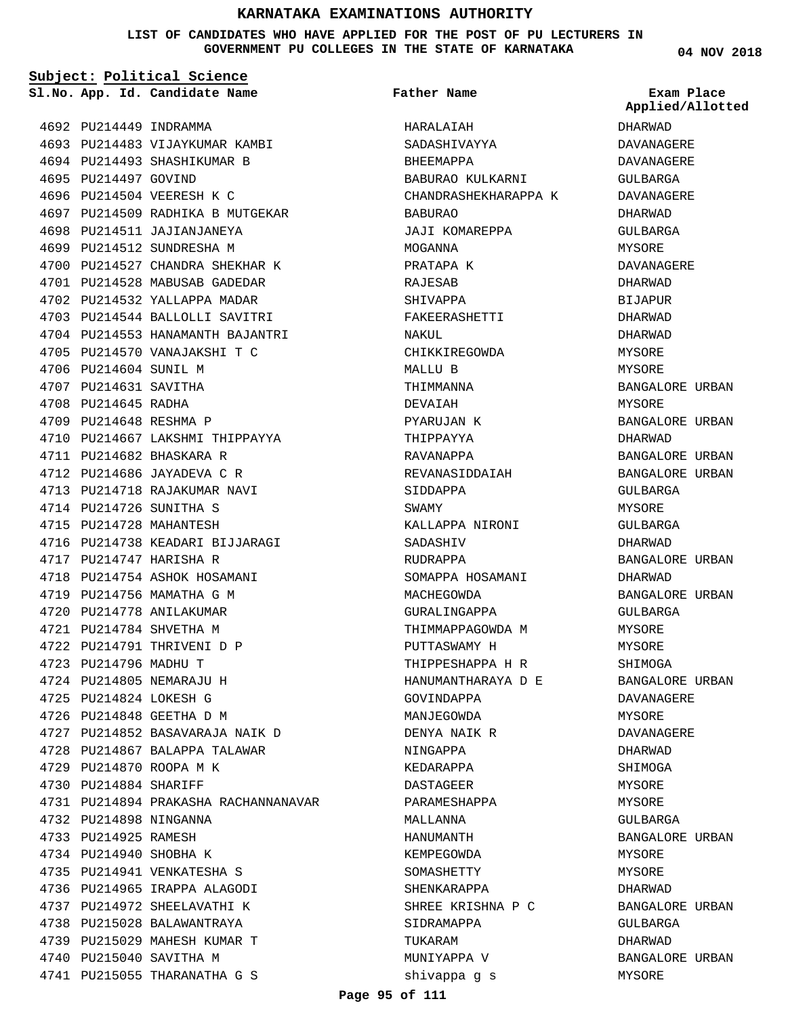### **LIST OF CANDIDATES WHO HAVE APPLIED FOR THE POST OF PU LECTURERS IN GOVERNMENT PU COLLEGES IN THE STATE OF KARNATAKA**

**Subject: Political Science**

**App. Id. Candidate Name Sl.No. Exam Place**

4696 PU214504 VEERESH K C

4698 PU214511 JAJIANJANEYA 4699 PU214512 SUNDRESHA M

4693 PU214483 VIJAYKUMAR KAMBI 4694 PU214493 SHASHIKUMAR B

4697 PU214509 RADHIKA B MUTGEKAR

4700 PU214527 CHANDRA SHEKHAR K 4701 PU214528 MABUSAB GADEDAR 4702 PU214532 YALLAPPA MADAR 4703 PU214544 BALLOLLI SAVITRI 4704 PU214553 HANAMANTH BAJANTRI 4705 PU214570 VANAJAKSHI T C

4710 PU214667 LAKSHMI THIPPAYYA

4716 PU214738 KEADARI BIJJARAGI

4727 PU214852 BASAVARAJA NAIK D 4728 PU214867 BALAPPA TALAWAR

PU214894 PRAKASHA RACHANNANAVAR 4731

4718 PU214754 ASHOK HOSAMANI 4719 PU214756 MAMATHA G M 4720 PU214778 ANILAKUMAR PU214784 SHVETHA M 4721 4722 PU214791 THRIVENI D P

4692 PU214449 INDRAMMA

4695 PU214497 GOVIND

4706 PU214604 SUNIL M 4707 PU214631 SAVITHA 4708 PU214645 RADHA 4709 PU214648 RESHMA P

PU214682 BHASKARA R 4711 4712 PU214686 JAYADEVA C R 4713 PU214718 RAJAKUMAR NAVI

4714 PU214726 SUNITHA S 4715 PU214728 MAHANTESH

4717 PU214747 HARISHA R

4723 PU214796 MADHU T 4724 PU214805 NEMARAJU H PU214824 LOKESH G 4725 PU214848 GEETHA D M 4726

4729 PU214870 ROOPA M K 4730 PU214884 SHARIFF

4732 PU214898 NINGANNA 4733 PU214925 RAMESH 4734 PU214940 SHOBHA K 4735 PU214941 VENKATESHA S 4736 PU214965 IRAPPA ALAGODI 4737 PU214972 SHEELAVATHI K 4738 PU215028 BALAWANTRAYA 4739 PU215029 MAHESH KUMAR T

4740 PU215040 SAVITHA M

4741 PU215055 THARANATHA G S

**Father Name**

HARALAIAH SADASHIVAYYA BHEEMAPPA

BABURAO

MOGANNA PRATAPA K RAJESAB SHIVAPPA

NAKUL

MALLU B THIMMANNA DEVAIAH PYARUJAN K THIPPAYYA RAVANAPPA

SIDDAPPA SWAMY

SADASHIV RUDRAPPA

MACHEGOWDA GURALINGAPPA THIMMAPPAGOWDA M PUTTASWAMY H THIPPESHAPPA H R HANUMANTHARAYA D E

GOVINDAPPA MANJEGOWDA DENYA NAIK R NINGAPPA KEDARAPPA DASTAGEER PARAMESHAPPA MALLANNA HANUMANTH KEMPEGOWDA SOMASHETTY SHENKARAPPA

SHREE KRISHNA P C SIDRAMAPPA

TUKARAM MUNIYAPPA V shivappa g s

BABURAO KULKARNI CHANDRASHEKHARAPPA K

JAJI KOMAREPPA

FAKEERASHETTI

CHIKKIREGOWDA

REVANASIDDAIAH

KALLAPPA NIRONI

SOMAPPA HOSAMANI

**04 NOV 2018** DHARWAD DAVANAGERE DAVANAGERE GULBARGA DAVANAGERE DHARWAD GULBARGA MYSORE DAVANAGERE DHARWAD **BIJAPUR** DHARWAD DHARWAD MYSORE MYSORE BANGALORE URBAN MYSORE BANGALORE URBAN DHARWAD BANGALORE URBAN BANGALORE URBAN GULBARGA MYSORE GULBARGA DHARWAD BANGALORE URBAN DHARWAD BANGALORE URBAN GULBARGA MYSORE MYSORE SHIMOGA BANGALORE URBAN DAVANAGERE MYSORE DAVANAGERE DHARWAD SHIMOGA MYSORE MYSORE GULBARGA BANGALORE URBAN MYSORE **Applied/Allotted**

**MYSORE** DHARWAD

GULBARGA DHARWAD

MYSORE

BANGALORE URBAN

BANGALORE URBAN

### **Page 95 of 111**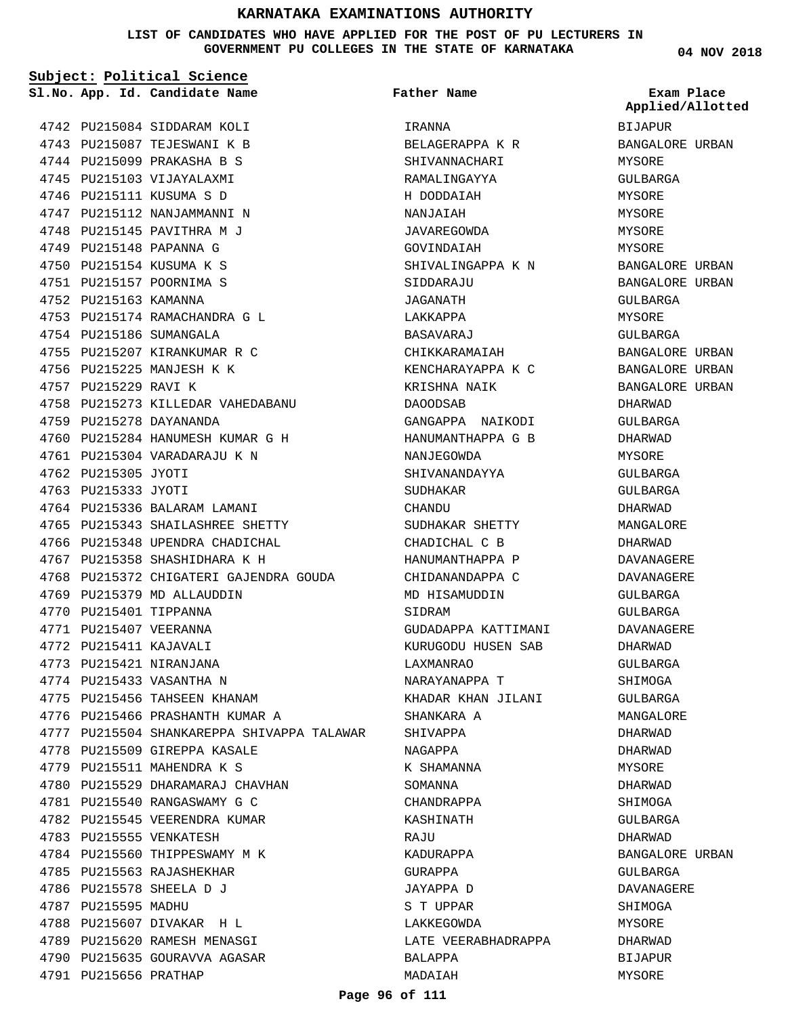**LIST OF CANDIDATES WHO HAVE APPLIED FOR THE POST OF PU LECTURERS IN GOVERNMENT PU COLLEGES IN THE STATE OF KARNATAKA**

|                       | Sl.No. App. Id. Candidate Name             | <b>Father Name</b>  | Exam Place<br>Applied/Allotted |
|-----------------------|--------------------------------------------|---------------------|--------------------------------|
|                       | 4742 PU215084 SIDDARAM KOLI                | IRANNA              | BIJAPUR                        |
|                       | 4743 PU215087 TEJESWANI K B                | BELAGERAPPA K R     | BANGALORE URBAN                |
|                       | 4744 PU215099 PRAKASHA B S                 | SHIVANNACHARI       | MYSORE                         |
|                       | 4745 PU215103 VIJAYALAXMI                  | RAMALINGAYYA        | GULBARGA                       |
|                       | 4746 PU215111 KUSUMA S D                   | H DODDAIAH          | MYSORE                         |
|                       | 4747 PU215112 NANJAMMANNI N                | NANJAIAH            | MYSORE                         |
|                       | 4748 PU215145 PAVITHRA M J                 | JAVAREGOWDA         | MYSORE                         |
|                       | 4749 PU215148 PAPANNA G                    | GOVINDAIAH          | MYSORE                         |
|                       | 4750 PU215154 KUSUMA K S                   | SHIVALINGAPPA K N   | BANGALORE URBAN                |
|                       | 4751 PU215157 POORNIMA S                   | SIDDARAJU           | BANGALORE URBAN                |
| 4752 PU215163 KAMANNA |                                            | JAGANATH            | GULBARGA                       |
|                       | 4753 PU215174 RAMACHANDRA G L              | LAKKAPPA            | MYSORE                         |
|                       | 4754 PU215186 SUMANGALA                    | BASAVARAJ           | GULBARGA                       |
|                       | 4755 PU215207 KIRANKUMAR R C               | CHIKKARAMAIAH       | BANGALORE URBAN                |
|                       | 4756 PU215225 MANJESH K K                  | KENCHARAYAPPA K C   | <b>BANGALORE URBAN</b>         |
| 4757 PU215229 RAVI K  |                                            | KRISHNA NAIK        | BANGALORE URBAN                |
|                       | 4758 PU215273 KILLEDAR VAHEDABANU          | DAOODSAB            | DHARWAD                        |
|                       | 4759 PU215278 DAYANANDA                    | GANGAPPA NAIKODI    | GULBARGA                       |
|                       | 4760 PU215284 HANUMESH KUMAR G H           | HANUMANTHAPPA G B   | DHARWAD                        |
|                       | 4761 PU215304 VARADARAJU K N               | NANJEGOWDA          | MYSORE                         |
| 4762 PU215305 JYOTI   |                                            | SHIVANANDAYYA       |                                |
| 4763 PU215333 JYOTI   |                                            |                     | GULBARGA                       |
|                       |                                            | SUDHAKAR            | GULBARGA                       |
|                       | 4764 PU215336 BALARAM LAMANI               | CHANDU              | DHARWAD                        |
|                       | 4765 PU215343 SHAILASHREE SHETTY           | SUDHAKAR SHETTY     | MANGALORE                      |
|                       | 4766 PU215348 UPENDRA CHADICHAL            | CHADICHAL C B       | DHARWAD                        |
|                       | 4767 PU215358 SHASHIDHARA K H              | HANUMANTHAPPA P     | DAVANAGERE                     |
|                       | 4768 PU215372 CHIGATERI GAJENDRA GOUDA     | CHIDANANDAPPA C     | DAVANAGERE                     |
|                       | 4769 PU215379 MD ALLAUDDIN                 | MD HISAMUDDIN       | <b>GULBARGA</b>                |
|                       | 4770 PU215401 TIPPANNA                     | SIDRAM              | GULBARGA                       |
|                       | 4771 PU215407 VEERANNA                     | GUDADAPPA KATTIMANI | <b>DAVANAGERE</b>              |
|                       | 4772 PU215411 KAJAVALI                     | KURUGODU HUSEN SAB  | DHARWAD                        |
|                       | 4773 PU215421 NIRANJANA                    | LAXMANRAO           | GULBARGA                       |
|                       | 4774 PU215433 VASANTHA N                   | NARAYANAPPA T       | SHIMOGA                        |
|                       | 4775 PU215456 TAHSEEN KHANAM               | KHADAR KHAN JILANI  | GULBARGA                       |
|                       | 4776 PU215466 PRASHANTH KUMAR A            | SHANKARA A          | MANGALORE                      |
|                       | 4777 PU215504 SHANKAREPPA SHIVAPPA TALAWAR | SHIVAPPA            | DHARWAD                        |
|                       | 4778 PU215509 GIREPPA KASALE               | NAGAPPA             | DHARWAD                        |
|                       | 4779 PU215511 MAHENDRA K S                 | K SHAMANNA          | MYSORE                         |
|                       | 4780 PU215529 DHARAMARAJ CHAVHAN           | SOMANNA             | DHARWAD                        |
|                       | 4781 PU215540 RANGASWAMY G C               | CHANDRAPPA          | SHIMOGA                        |
|                       | 4782 PU215545 VEERENDRA KUMAR              | KASHINATH           | GULBARGA                       |
|                       | 4783 PU215555 VENKATESH                    | RAJU                | DHARWAD                        |
|                       | 4784 PU215560 THIPPESWAMY M K              | KADURAPPA           | BANGALORE URBAN                |
|                       | 4785 PU215563 RAJASHEKHAR                  | GURAPPA             | GULBARGA                       |
|                       | 4786 PU215578 SHEELA D J                   | JAYAPPA D           | DAVANAGERE                     |
| 4787 PU215595 MADHU   |                                            | S T UPPAR           | SHIMOGA                        |
|                       | 4788 PU215607 DIVAKAR H L                  | LAKKEGOWDA          | MYSORE                         |
|                       | 4789 PU215620 RAMESH MENASGI               | LATE VEERABHADRAPPA | DHARWAD                        |
|                       | 4790 PU215635 GOURAVVA AGASAR              | BALAPPA             | BIJAPUR                        |
| 4791 PU215656 PRATHAP |                                            | MADAIAH             | MYSORE                         |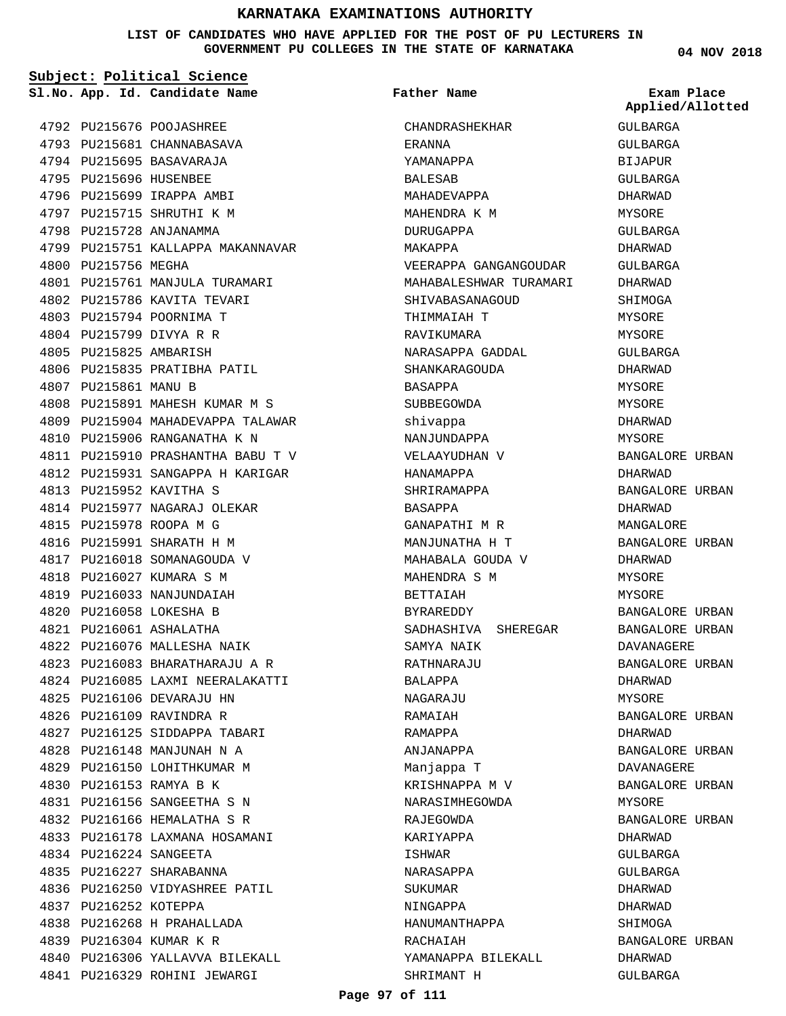**LIST OF CANDIDATES WHO HAVE APPLIED FOR THE POST OF PU LECTURERS IN GOVERNMENT PU COLLEGES IN THE STATE OF KARNATAKA**

| Subject: Political Science |                        |                                   |                        |                                |
|----------------------------|------------------------|-----------------------------------|------------------------|--------------------------------|
|                            |                        | Sl.No. App. Id. Candidate Name    | Father Name            | Exam Place<br>Applied/Allotted |
|                            |                        | 4792 PU215676 POOJASHREE          | CHANDRASHEKHAR         | GULBARGA                       |
|                            |                        | 4793 PU215681 CHANNABASAVA        | ERANNA                 | GULBARGA                       |
|                            |                        | 4794 PU215695 BASAVARAJA          | YAMANAPPA              | <b>BIJAPUR</b>                 |
|                            | 4795 PU215696 HUSENBEE |                                   | <b>BALESAB</b>         | GULBARGA                       |
|                            |                        | 4796 PU215699 IRAPPA AMBI         | MAHADEVAPPA            | DHARWAD                        |
|                            |                        | 4797 PU215715 SHRUTHI K M         | MAHENDRA K M           | <b>MYSORE</b>                  |
|                            |                        | 4798 PU215728 ANJANAMMA           | DURUGAPPA              | GULBARGA                       |
|                            |                        | 4799 PU215751 KALLAPPA MAKANNAVAR | MAKAPPA                | DHARWAD                        |
|                            | 4800 PU215756 MEGHA    |                                   | VEERAPPA GANGANGOUDAR  | GULBARGA                       |
|                            |                        | 4801 PU215761 MANJULA TURAMARI    | MAHABALESHWAR TURAMARI | DHARWAD                        |
|                            |                        | 4802 PU215786 KAVITA TEVARI       | SHIVABASANAGOUD        | SHIMOGA                        |
|                            |                        | 4803 PU215794 POORNIMA T          | THIMMAIAH T            | MYSORE                         |
|                            |                        | 4804 PU215799 DIVYA R R           | RAVIKUMARA             | MYSORE                         |
|                            | 4805 PU215825 AMBARISH |                                   | NARASAPPA GADDAL       | GULBARGA                       |
|                            |                        | 4806 PU215835 PRATIBHA PATIL      | SHANKARAGOUDA          | DHARWAD                        |
|                            | 4807 PU215861 MANU B   |                                   | BASAPPA                | MYSORE                         |
|                            |                        | 4808 PU215891 MAHESH KUMAR M S    | SUBBEGOWDA             | MYSORE                         |
|                            |                        | 4809 PU215904 MAHADEVAPPA TALAWAR | shivappa               | DHARWAD                        |
|                            |                        | 4810 PU215906 RANGANATHA K N      | NANJUNDAPPA            | MYSORE                         |
|                            |                        | 4811 PU215910 PRASHANTHA BABU T V | VELAAYUDHAN V          | BANGALORE URBAN                |
|                            |                        | 4812 PU215931 SANGAPPA H KARIGAR  | HANAMAPPA              | DHARWAD                        |
|                            |                        | 4813 PU215952 KAVITHA S           | SHRIRAMAPPA            | BANGALORE URBAN                |
|                            |                        | 4814 PU215977 NAGARAJ OLEKAR      | BASAPPA                | DHARWAD                        |
|                            |                        | 4815 PU215978 ROOPA M G           | GANAPATHI M R          | MANGALORE                      |
|                            |                        | 4816 PU215991 SHARATH H M         | MANJUNATHA H T         | BANGALORE URBAN                |
|                            |                        | 4817 PU216018 SOMANAGOUDA V       | MAHABALA GOUDA V       | DHARWAD                        |
|                            |                        | 4818 PU216027 KUMARA S M          | MAHENDRA S M           | MYSORE                         |
|                            |                        | 4819 PU216033 NANJUNDAIAH         | BETTAIAH               | MYSORE                         |
|                            |                        | 4820 PU216058 LOKESHA B           | BYRAREDDY              | BANGALORE URBAN                |
|                            |                        | 4821 PU216061 ASHALATHA           |                        |                                |
|                            |                        |                                   | SADHASHIVA SHEREGAR    | BANGALORE URBAN                |
|                            |                        | 4822 PU216076 MALLESHA NAIK       | SAMYA NAIK             | DAVANAGERE                     |
|                            |                        | 4823 PU216083 BHARATHARAJU A R    | RATHNARAJU             | BANGALORE URBAN                |
|                            |                        | 4824 PU216085 LAXMI NEERALAKATTI  | BALAPPA                | DHARWAD                        |
|                            |                        | 4825 PU216106 DEVARAJU HN         | NAGARAJU               | <b>MYSORE</b>                  |
|                            |                        | 4826 PU216109 RAVINDRA R          | RAMAIAH                | BANGALORE URBAN                |
|                            |                        | 4827 PU216125 SIDDAPPA TABARI     | RAMAPPA                | DHARWAD                        |
|                            |                        | 4828 PU216148 MANJUNAH N A        | ANJANAPPA              | BANGALORE URBAN                |
|                            |                        | 4829 PU216150 LOHITHKUMAR M       | Manjappa T             | DAVANAGERE                     |
|                            |                        | 4830 PU216153 RAMYA B K           | KRISHNAPPA M V         | BANGALORE URBAN                |
|                            |                        | 4831 PU216156 SANGEETHA S N       | NARASIMHEGOWDA         | MYSORE                         |
|                            |                        | 4832 PU216166 HEMALATHA S R       | RAJEGOWDA              | BANGALORE URBAN                |
|                            |                        | 4833 PU216178 LAXMANA HOSAMANI    | KARIYAPPA              | DHARWAD                        |
|                            | 4834 PU216224 SANGEETA |                                   | ISHWAR                 | GULBARGA                       |
|                            |                        | 4835 PU216227 SHARABANNA          | NARASAPPA              | GULBARGA                       |
|                            |                        | 4836 PU216250 VIDYASHREE PATIL    | SUKUMAR                | DHARWAD                        |
|                            | 4837 PU216252 KOTEPPA  |                                   | NINGAPPA               | DHARWAD                        |
|                            |                        | 4838 PU216268 H PRAHALLADA        | HANUMANTHAPPA          | SHIMOGA                        |
|                            |                        | 4839 PU216304 KUMAR K R           | RACHAIAH               | BANGALORE URBAN                |
|                            |                        | 4840 PU216306 YALLAVVA BILEKALL   | YAMANAPPA BILEKALL     | DHARWAD                        |
|                            |                        | 4841 PU216329 ROHINI JEWARGI      | SHRIMANT H             | GULBARGA                       |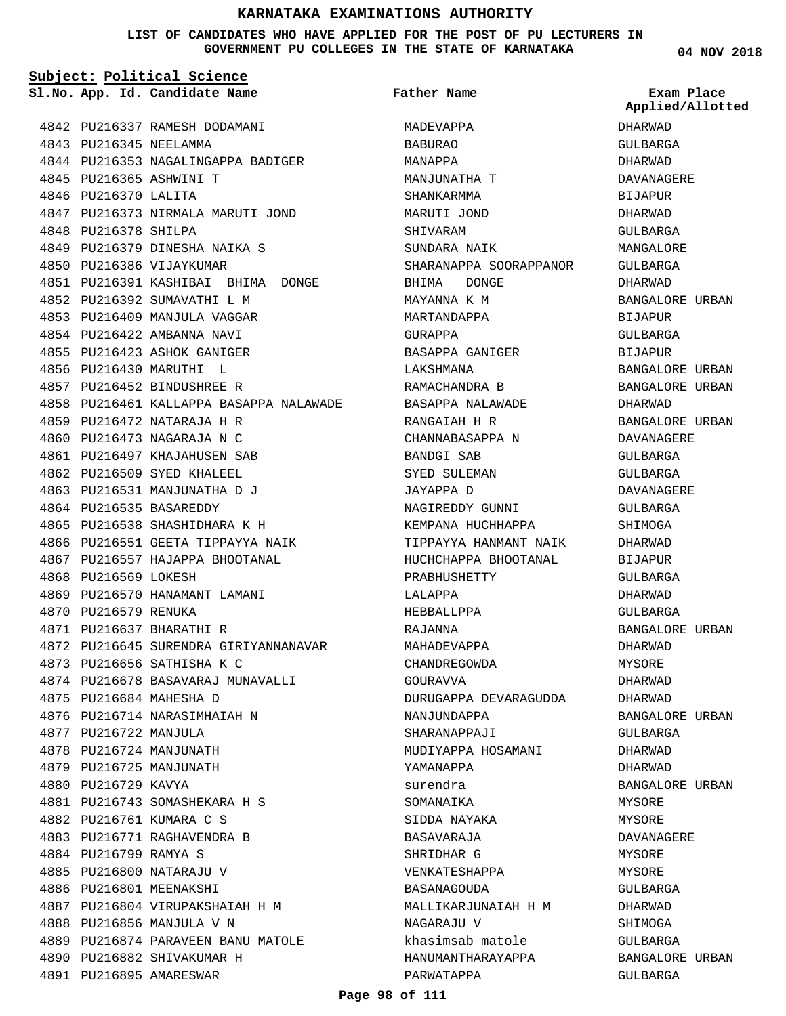### **LIST OF CANDIDATES WHO HAVE APPLIED FOR THE POST OF PU LECTURERS IN GOVERNMENT PU COLLEGES IN THE STATE OF KARNATAKA**

**Subject: Political Science**

**App. Id. Candidate Name Sl.No. Exam Place**

**Father Name**

**04 NOV 2018**

|                        | 4842 PU216337 RAMESH DODAMANI           | MADEVAPPA              |
|------------------------|-----------------------------------------|------------------------|
| 4843 PU216345 NEELAMMA |                                         | <b>BABURAO</b>         |
|                        | 4844 PU216353 NAGALINGAPPA BADIGER      | MANAPPA                |
|                        | 4845 PU216365 ASHWINI T                 | MANJUNATHA T           |
| 4846 PU216370 LALITA   |                                         | SHANKARMMA             |
|                        | 4847 PU216373 NIRMALA MARUTI JOND       | MARUTI JOND            |
| 4848 PU216378 SHILPA   |                                         | SHIVARAM               |
|                        | 4849 PU216379 DINESHA NAIKA S           | SUNDARA NAIK           |
|                        | 4850 PU216386 VIJAYKUMAR                | SHARANAPPA SOORAPPANOR |
|                        | 4851 PU216391 KASHIBAI BHIMA DONGE      | BHIMA DONGE            |
|                        | 4852 PU216392 SUMAVATHI L M             | MAYANNA K M            |
|                        | 4853 PU216409 MANJULA VAGGAR            | MARTANDAPPA            |
|                        | 4854 PU216422 AMBANNA NAVI              | GURAPPA                |
|                        | 4855 PU216423 ASHOK GANIGER             | BASAPPA GANIGER        |
| 4856 PU216430 MARUTHI  | . т.                                    | LAKSHMANA              |
|                        | 4857 PU216452 BINDUSHREE R              | RAMACHANDRA B          |
|                        | 4858 PU216461 KALLAPPA BASAPPA NALAWADE | BASAPPA NALAWADE       |
|                        | 4859 PU216472 NATARAJA H R              | RANGAIAH H R           |
|                        | 4860 PU216473 NAGARAJA N C              | CHANNABASAPPA N        |
|                        | 4861 PU216497 KHAJAHUSEN SAB            | <b>BANDGI SAB</b>      |
|                        | 4862 PU216509 SYED KHALEEL              | SYED SULEMAN           |
|                        | 4863 PU216531 MANJUNATHA D J            | JAYAPPA D              |
|                        | 4864 PU216535 BASAREDDY                 | NAGIREDDY GUNNI        |
|                        | 4865 PU216538 SHASHIDHARA K H           | KEMPANA HUCHHAPPA      |
|                        | 4866 PU216551 GEETA TIPPAYYA NAIK       | TIPPAYYA HANMANT NAIK  |
|                        | 4867 PU216557 HAJAPPA BHOOTANAL         | HUCHCHAPPA BHOOTANAL   |
| 4868 PU216569 LOKESH   |                                         | PRABHUSHETTY           |
|                        | 4869 PU216570 HANAMANT LAMANI           | LALAPPA                |
| 4870 PU216579 RENUKA   |                                         | HEBBALLPPA             |
|                        | 4871 PU216637 BHARATHI R                | RAJANNA                |
|                        | 4872 PU216645 SURENDRA GIRIYANNANAVAR   | MAHADEVAPPA            |
|                        | 4873 PU216656 SATHISHA K C              | CHANDREGOWDA           |
|                        | 4874 PU216678 BASAVARAJ MUNAVALLI       | GOURAVVA               |
|                        | 4875 PU216684 MAHESHA D                 | DURUGAPPA DEVARAGUDDA  |
|                        | 4876 PU216714 NARASIMHAIAH N            | NANJUNDAPPA            |
| 4877 PU216722 MANJULA  |                                         | SHARANAPPAJI           |
|                        | 4878 PU216724 MANJUNATH                 | MUDIYAPPA HOSAMANI     |
|                        | 4879 PU216725 MANJUNATH                 | YAMANAPPA              |
| 4880 PU216729 KAVYA    |                                         | surendra               |
|                        | 4881 PU216743 SOMASHEKARA H S           | SOMANAIKA              |
|                        | 4882 PU216761 KUMARA C S                | SIDDA NAYAKA           |
|                        | 4883 PU216771 RAGHAVENDRA B             | BASAVARAJA             |
| 4884 PU216799 RAMYA S  |                                         | SHRIDHAR G             |
|                        | 4885 PU216800 NATARAJU V                | VENKATESHAPPA          |
|                        | 4886 PU216801 MEENAKSHI                 | BASANAGOUDA            |
|                        | 4887 PU216804 VIRUPAKSHAIAH H M         | MALLIKARJUNAIAH H M    |
|                        | 4888 PU216856 MANJULA V N               | NAGARAJU V             |
|                        | 4889 PU216874 PARAVEEN BANU MATOLE      | khasimsab matole       |
|                        | 4890 PU216882 SHIVAKUMAR H              | HANUMANTHARAYAPPA      |
|                        | 4891 PU216895 AMARESWAR                 | PARWATAPPA             |

DHARWAD GULBARGA DHARWAD DAVANAGERE BIJAPUR DHARWAD GULBARGA MANGALORE GULBARGA DHARWAD BANGALORE URBAN BIJAPUR GULBARGA BIJAPUR BANGALORE URBAN BANGALORE URBAN DHARWAD BANGALORE URBAN DAVANAGERE GULBARGA GULBARGA DAVANAGERE GULBARGA SHIMOGA DHARWAD BIJAPUR GULBARGA DHARWAD GULBARGA BANGALORE URBAN DHARWAD MYSORE DHARWAD DHARWAD BANGALORE URBAN GULBARGA DHARWAD DHARWAD BANGALORE URBAN MYSORE MYSORE DAVANAGERE MYSORE MYSORE GULBARGA DHARWAD SHIMOGA GULBARGA BANGALORE URBAN GULBARGA **Applied/Allotted**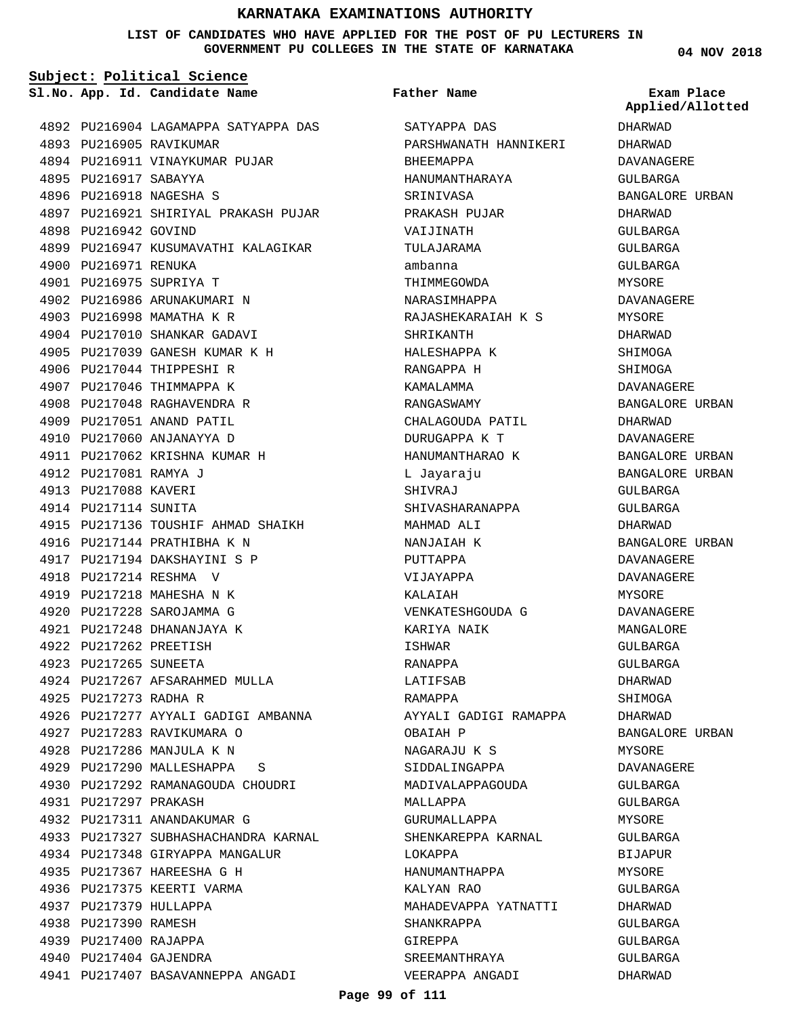### **LIST OF CANDIDATES WHO HAVE APPLIED FOR THE POST OF PU LECTURERS IN GOVERNMENT PU COLLEGES IN THE STATE OF KARNATAKA**

**Subject: Political Science**

**App. Id. Candidate Name Sl.No. Exam Place**

**Father Name**

PU216904 LAGAMAPPA SATYAPPA DAS 4892 4893 PU216905 RAVIKUMAR 4894 PU216911 VINAYKUMAR PUJAR 4895 PU216917 SABAYYA 4896 PU216918 NAGESHA S PU216921 SHIRIYAL PRAKASH PUJAR 4897 4898 PU216942 GOVIND 4899 PU216947 KUSUMAVATHI KALAGIKAR 4900 PU216971 RENUKA PU216975 SUPRIYA T 4901 4902 PU216986 ARUNAKUMARI N 4903 PU216998 MAMATHA K R 4904 PU217010 SHANKAR GADAVI PU217039 GANESH KUMAR K H 4905 4906 PU217044 THIPPESHI R 4907 PU217046 THIMMAPPA K 4908 PU217048 RAGHAVENDRA R 4909 PU217051 ANAND PATIL 4910 PU217060 ANJANAYYA D 4911 PU217062 KRISHNA KUMAR H 4912 PU217081 RAMYA J 4913 PU217088 KAVERI 4914 PU217114 SUNITA 4915 PU217136 TOUSHIF AHMAD SHAIKH 4916 PU217144 PRATHIBHA K N 4917 PU217194 DAKSHAYINI S P PU217214 RESHMA V 4918 4919 PU217218 MAHESHA N K PU217228 SAROJAMMA G 4920 PU217248 DHANANJAYA K 4921 PU217262 PREETISH 4922 4923 PU217265 SUNEETA 4924 PU217267 AFSARAHMED MULLA 4925 PU217273 RADHA R 4926 PU217277 AYYALI GADIGI AMBANNA PU217283 RAVIKUMARA O 4927 4928 PU217286 MANJULA K N 4929 PU217290 MALLESHAPPA S 4930 PU217292 RAMANAGOUDA CHOUDRI 4931 PU217297 PRAKASH 4932 PU217311 ANANDAKUMAR G 4933 PU217327 SUBHASHACHANDRA KARNAL 4934 PU217348 GIRYAPPA MANGALUR PU217367 HAREESHA G H 4935 4936 PU217375 KEERTI VARMA 4937 PU217379 HULLAPPA 4938 PU217390 RAMESH 4939 PU217400 RAJAPPA 4940 PU217404 GAJENDRA 4941 PU217407 BASAVANNEPPA ANGADI

SATYAPPA DAS PARSHWANATH HANNIKERI BHEEMAPPA HANUMANTHARAYA SRINIVASA PRAKASH PUJAR VAIJINATH TULAJARAMA ambanna THIMMEGOWDA NARASIMHAPPA RAJASHEKARAIAH K S SHRIKANTH HALESHAPPA K RANGAPPA H KAMALAMMA RANGASWAMY CHALAGOUDA PATIL DURUGAPPA K T HANUMANTHARAO K L Jayaraju SHIVRAJ SHIVASHARANAPPA MAHMAD ALI NANJAIAH K PUTTAPPA VIJAYAPPA KALAIAH VENKATESHGOUDA G KARIYA NAIK ISHWAR RANAPPA LATIFSAB RAMAPPA AYYALI GADIGI RAMAPPA OBAIAH P NAGARAJU K S SIDDALINGAPPA MADIVALAPPAGOUDA MALLAPPA GURUMALLAPPA SHENKAREPPA KARNAL LOKAPPA HANUMANTHAPPA KALYAN RAO MAHADEVAPPA YATNATTI SHANKRAPPA GIREPPA SREEMANTHRAYA VEERAPPA ANGADI

**04 NOV 2018**

DHARWAD DHARWAD DAVANAGERE GULBARGA BANGALORE URBAN DHARWAD GULBARGA GULBARGA GULBARGA MYSORE DAVANAGERE MYSORE DHARWAD SHIMOGA SHIMOGA DAVANAGERE BANGALORE URBAN DHARWAD DAVANAGERE BANGALORE URBAN BANGALORE URBAN GULBARGA GULBARGA DHARWAD BANGALORE URBAN DAVANAGERE DAVANAGERE MYSORE DAVANAGERE MANGALORE GULBARGA GULBARGA DHARWAD SHIMOGA DHARWAD BANGALORE URBAN MYSORE DAVANAGERE GULBARGA GULBARGA MYSORE GULBARGA BIJAPUR MYSORE GULBARGA DHARWAD GULBARGA GULBARGA GULBARGA DHARWAD **Applied/Allotted**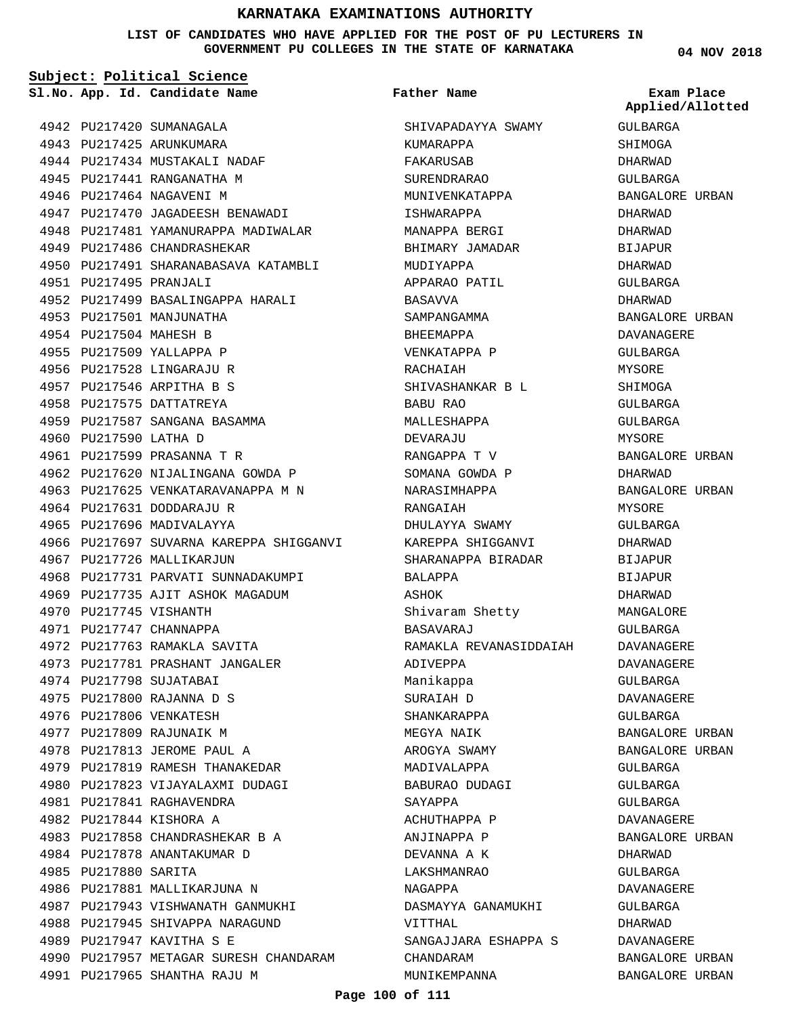**LIST OF CANDIDATES WHO HAVE APPLIED FOR THE POST OF PU LECTURERS IN GOVERNMENT PU COLLEGES IN THE STATE OF KARNATAKA**

**Subject: Political Science**

4942 PU217420 SUMANAGALA 4943 PU217425 ARUNKUMARA

4944 PU217434 MUSTAKALI NADAF 4945 PU217441 RANGANATHA M 4946 PU217464 NAGAVENI M

4949 PU217486 CHANDRASHEKAR

PU217495 PRANJALI 4951

4953 PU217501 MANJUNATHA 4954 PU217504 MAHESH B 4955 PU217509 YALLAPPA P 4956 PU217528 LINGARAJU R PU217546 ARPITHA B S 4957 4958 PU217575 DATTATREYA

4947 PU217470 JAGADEESH BENAWADI 4948 PU217481 YAMANURAPPA MADIWALAR

4950 PU217491 SHARANABASAVA KATAMBLI

4952 PU217499 BASALINGAPPA HARALI

4959 PU217587 SANGANA BASAMMA

4962 PU217620 NIJALINGANA GOWDA P 4963 PU217625 VENKATARAVANAPPA M N

4968 PU217731 PARVATI SUNNADAKUMPI 4969 PU217735 AJIT ASHOK MAGADUM

4966 PU217697 SUVARNA KAREPPA SHIGGANVI

PU217599 PRASANNA T R 4961

4964 PU217631 DODDARAJU R 4965 PU217696 MADIVALAYYA

4967 PU217726 MALLIKARJUN

4972 PU217763 RAMAKLA SAVITA 4973 PU217781 PRASHANT JANGALER

4970 PU217745 VISHANTH 4971 PU217747 CHANNAPPA

4974 PU217798 SUJATABAI PU217800 RAJANNA D S 4975 4976 PU217806 VENKATESH 4977 PU217809 RAJUNAIK M 4978 PU217813 JEROME PAUL A 4979 PU217819 RAMESH THANAKEDAR 4980 PU217823 VIJAYALAXMI DUDAGI

4981 PU217841 RAGHAVENDRA 4982 PU217844 KISHORA A

4985 PU217880 SARITA

PU217858 CHANDRASHEKAR B A 4983 4984 PU217878 ANANTAKUMAR D

4987 PU217943 VISHWANATH GANMUKHI 4988 PU217945 SHIVAPPA NARAGUND

4990 PU217957 METAGAR SURESH CHANDARAM

4986 PU217881 MALLIKARJUNA N

4991 PU217965 SHANTHA RAJU M

4989 PU217947 KAVITHA S E

4960 PU217590 LATHA D

**App. Id. Candidate Name Sl.No. Exam Place**

**Father Name**

SHIVAPADAYYA SWAMY KUMARAPPA FAKARUSAB SURENDRARAO MUNIVENKATAPPA ISHWARAPPA MANAPPA BERGI BHIMARY JAMADAR MUDIYAPPA APPARAO PATIL BASAVVA SAMPANGAMMA BHEEMAPPA VENKATAPPA P RACHAIAH SHIVASHANKAR B L BABU RAO MALLESHAPPA DEVARAJU RANGAPPA T V SOMANA GOWDA P NARASIMHAPPA RANGAIAH DHULAYYA SWAMY KAREPPA SHIGGANVI SHARANAPPA BIRADAR BALAPPA ASHOK Shivaram Shetty BASAVARAJ RAMAKLA REVANASIDDAIAH ADIVEPPA Manikappa SURAIAH D SHANKARAPPA MEGYA NAIK AROGYA SWAMY MADIVALAPPA BABURAO DUDAGI SAYAPPA ACHUTHAPPA P ANJINAPPA P DEVANNA A K LAKSHMANRAO NAGAPPA DASMAYYA GANAMUKHI VITTHAL SANGAJJARA ESHAPPA S CHANDARAM MUNIKEMPANNA

**04 NOV 2018**

GULBARGA **SHIMOGA** DHARWAD GULBARGA BANGALORE URBAN DHARWAD DHARWAD BIJAPUR DHARWAD GULBARGA DHARWAD BANGALORE URBAN DAVANAGERE GULBARGA MYSORE SHIMOGA GULBARGA GULBARGA MYSORE BANGALORE URBAN DHARWAD BANGALORE URBAN MYSORE GULBARGA DHARWAD BIJAPUR BIJAPUR DHARWAD MANGALORE GULBARGA DAVANAGERE DAVANAGERE GULBARGA DAVANAGERE GULBARGA BANGALORE URBAN BANGALORE URBAN GULBARGA GULBARGA GULBARGA DAVANAGERE BANGALORE URBAN DHARWAD GULBARGA DAVANAGERE GULBARGA DHARWAD DAVANAGERE BANGALORE URBAN BANGALORE URBAN **Applied/Allotted**

#### **Page 100 of 111**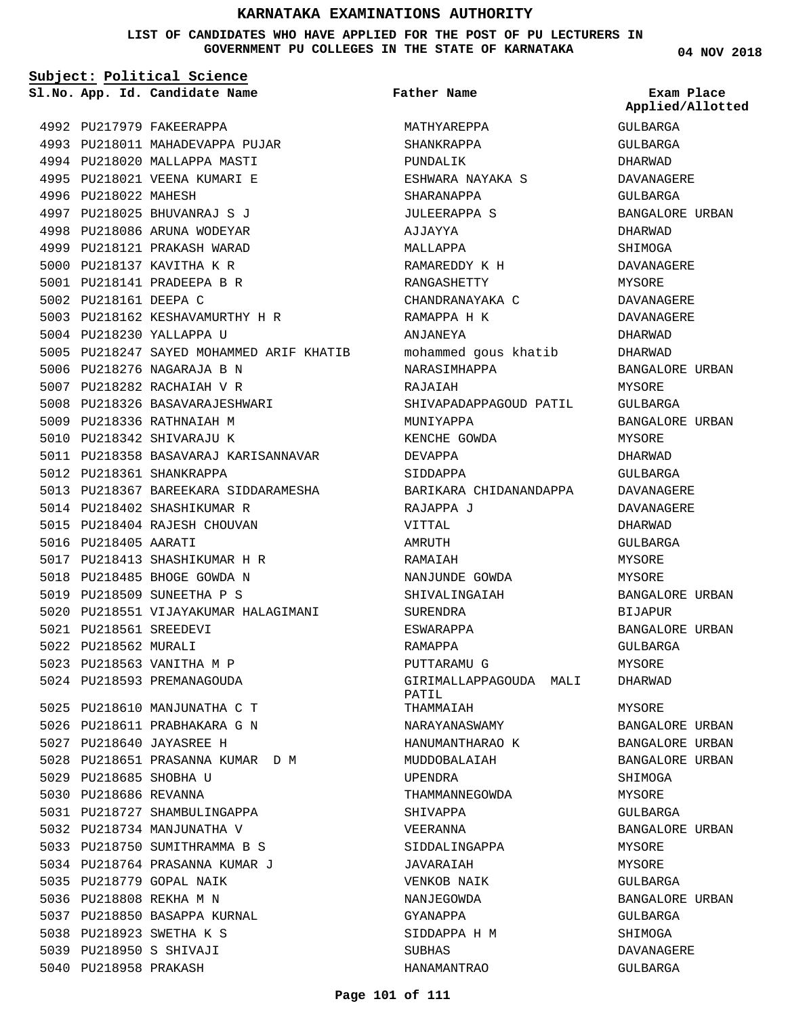**LIST OF CANDIDATES WHO HAVE APPLIED FOR THE POST OF PU LECTURERS IN GOVERNMENT PU COLLEGES IN THE STATE OF KARNATAKA**

**Subject: Political Science**

**App. Id. Candidate Name Sl.No. Exam Place**

4992 PU217979 FAKEERAPPA

PU218025 BHUVANRAJ S J 4997 4998 PU218086 ARUNA WODEYAR 4999 PU218121 PRAKASH WARAD 5000 PU218137 KAVITHA K R 5001 PU218141 PRADEEPA B R

4996 PU218022 MAHESH

5002 PU218161 DEEPA C

5004 PU218230 YALLAPPA U

5006 PU218276 NAGARAJA B N 5007 PU218282 RACHAIAH V R 5008 PU218326 BASAVARAJESHWARI

5009 PU218336 RATHNAIAH M 5010 PU218342 SHIVARAJU K

5012 PU218361 SHANKRAPPA

5016 PU218405 AARATI

PU218561 SREEDEVI 5021 5022 PU218562 MURALI

5029 PU218685 SHOBHA U 5030 PU218686 REVANNA

5035 PU218779 GOPAL NAIK 5036 PU218808 REKHA M N

5023 PU218563 VANITHA M P 5024 PU218593 PREMANAGOUDA

5025 PU218610 MANJUNATHA C T 5026 PU218611 PRABHAKARA G N PU218640 JAYASREE H 5027

5031 PU218727 SHAMBULINGAPPA 5032 PU218734 MANJUNATHA V 5033 PU218750 SUMITHRAMMA B S 5034 PU218764 PRASANNA KUMAR J

5037 PU218850 BASAPPA KURNAL 5038 PU218923 SWETHA K S PU218950 S SHIVAJI 5039 5040 PU218958 PRAKASH

5028 PU218651 PRASANNA KUMAR D M

5014 PU218402 SHASHIKUMAR R 5015 PU218404 RAJESH CHOUVAN

5017 PU218413 SHASHIKUMAR H R 5018 PU218485 BHOGE GOWDA N 5019 PU218509 SUNEETHA P S

4993 PU218011 MAHADEVAPPA PUJAR 4994 PU218020 MALLAPPA MASTI 4995 PU218021 VEENA KUMARI E

5003 PU218162 KESHAVAMURTHY H R

5005 PU218247 SAYED MOHAMMED ARIF KHATIB

5011 PU218358 BASAVARAJ KARISANNAVAR

5013 PU218367 BAREEKARA SIDDARAMESHA

5020 PU218551 VIJAYAKUMAR HALAGIMANI

**Father Name**

MATHYAREPPA SHANKRAPPA PUNDALIK ESHWARA NAYAKA S SHARANAPPA JULEERAPPA S AJJAYYA MALLAPPA RAMAREDDY K H RANGASHETTY CHANDRANAYAKA C RAMAPPA H K ANJANEYA mohammed gous khatib NARASIMHAPPA RAJAIAH SHIVAPADAPPAGOUD PATIL MUNIYAPPA KENCHE GOWDA DEVAPPA SIDDAPPA BARIKARA CHIDANANDAPPA RAJAPPA J VITTAL AMRUTH RAMAIAH NANJUNDE GOWDA SHIVALINGAIAH SURENDRA ESWARAPPA RAMAPPA PUTTARAMU G GIRIMALLAPPAGOUDA MALI PATIL THAMMAIAH NARAYANASWAMY HANUMANTHARAO K MUDDOBALAIAH UPENDRA THAMMANNEGOWDA SHIVAPPA VEERANNA SIDDALINGAPPA JAVARAIAH VENKOB NAIK NANJEGOWDA GYANAPPA SIDDAPPA H M SUBHAS HANAMANTRAO

**04 NOV 2018**

GULBARGA GULBARGA DHARWAD DAVANAGERE GULBARGA BANGALORE URBAN DHARWAD SHIMOGA DAVANAGERE MYSORE DAVANAGERE DAVANAGERE DHARWAD DHARWAD BANGALORE URBAN MYSORE GULBARGA BANGALORE URBAN MYSORE DHARWAD GULBARGA DAVANAGERE DAVANAGERE DHARWAD GULBARGA MYSORE MYSORE BANGALORE URBAN BIJAPUR BANGALORE URBAN GULBARGA MYSORE DHARWAD MYSORE BANGALORE URBAN BANGALORE URBAN BANGALORE URBAN SHIMOGA MYSORE GULBARGA BANGALORE URBAN MYSORE MYSORE GULBARGA BANGALORE URBAN GULBARGA SHIMOGA DAVANAGERE GULBARGA **Applied/Allotted**

### **Page 101 of 111**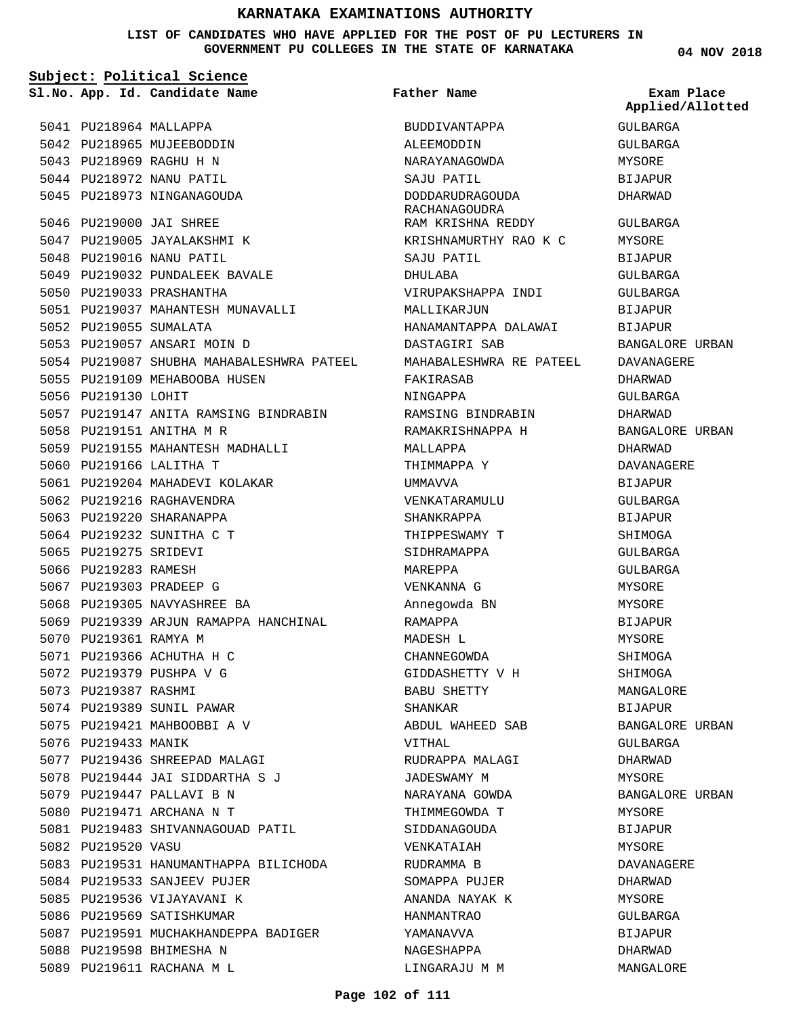**LIST OF CANDIDATES WHO HAVE APPLIED FOR THE POST OF PU LECTURERS IN GOVERNMENT PU COLLEGES IN THE STATE OF KARNATAKA**

**04 NOV 2018**

| Subject: Political Science |                        |                                           |                                  |                                |
|----------------------------|------------------------|-------------------------------------------|----------------------------------|--------------------------------|
|                            |                        | Sl.No. App. Id. Candidate Name            | <b>Father Name</b>               | Exam Place<br>Applied/Allotted |
|                            | 5041 PU218964 MALLAPPA |                                           | BUDDIVANTAPPA                    | GULBARGA                       |
|                            |                        | 5042 PU218965 MUJEEBODDIN                 | ALEEMODDIN                       | GULBARGA                       |
|                            |                        | 5043 PU218969 RAGHU H N                   | NARAYANAGOWDA                    | MYSORE                         |
|                            |                        | 5044 PU218972 NANU PATIL                  | SAJU PATIL                       | <b>BIJAPUR</b>                 |
|                            |                        | 5045 PU218973 NINGANAGOUDA                | DODDARUDRAGOUDA<br>RACHANAGOUDRA | DHARWAD                        |
|                            |                        | 5046 PU219000 JAI SHREE                   | RAM KRISHNA REDDY                | GULBARGA                       |
|                            |                        | 5047 PU219005 JAYALAKSHMI K               | KRISHNAMURTHY RAO K C            | MYSORE                         |
|                            |                        | 5048 PU219016 NANU PATIL                  | SAJU PATIL                       | BIJAPUR                        |
|                            |                        | 5049 PU219032 PUNDALEEK BAVALE            | DHULABA                          | GULBARGA                       |
|                            |                        | 5050 PU219033 PRASHANTHA                  | VIRUPAKSHAPPA INDI               | GULBARGA                       |
|                            |                        | 5051 PU219037 MAHANTESH MUNAVALLI         | MALLIKARJUN                      | <b>BIJAPUR</b>                 |
|                            | 5052 PU219055 SUMALATA |                                           | HANAMANTAPPA DALAWAI             | BIJAPUR                        |
|                            |                        | 5053 PU219057 ANSARI MOIN D               | DASTAGIRI SAB                    | BANGALORE URBAN                |
|                            |                        | 5054 PU219087 SHUBHA MAHABALESHWRA PATEEL | MAHABALESHWRA RE PATEEL          | <b>DAVANAGERE</b>              |
|                            |                        | 5055 PU219109 MEHABOOBA HUSEN             | FAKIRASAB                        | DHARWAD                        |
|                            | 5056 PU219130 LOHIT    |                                           | NINGAPPA                         | GULBARGA                       |
|                            |                        | 5057 PU219147 ANITA RAMSING BINDRABIN     | RAMSING BINDRABIN                | DHARWAD                        |
|                            |                        | 5058 PU219151 ANITHA M R                  | RAMAKRISHNAPPA H                 | BANGALORE URBAN                |
|                            |                        | 5059 PU219155 MAHANTESH MADHALLI          | MALLAPPA                         | DHARWAD                        |
|                            |                        | 5060 PU219166 LALITHA T                   | THIMMAPPA Y                      | DAVANAGERE                     |
|                            |                        | 5061 PU219204 MAHADEVI KOLAKAR            | UMMAVVA                          | BIJAPUR                        |
|                            |                        | 5062 PU219216 RAGHAVENDRA                 | VENKATARAMULU                    | GULBARGA                       |
|                            |                        | 5063 PU219220 SHARANAPPA                  | SHANKRAPPA                       | <b>BIJAPUR</b>                 |
|                            |                        | 5064 PU219232 SUNITHA C T                 | THIPPESWAMY T                    | SHIMOGA                        |
|                            | 5065 PU219275 SRIDEVI  |                                           | SIDHRAMAPPA                      | GULBARGA                       |
|                            | 5066 PU219283 RAMESH   |                                           | MAREPPA                          | GULBARGA                       |
|                            |                        | 5067 PU219303 PRADEEP G                   | VENKANNA G                       | MYSORE                         |
|                            |                        | 5068 PU219305 NAVYASHREE BA               |                                  |                                |
|                            |                        | 5069 PU219339 ARJUN RAMAPPA HANCHINAL     | Annegowda BN                     | MYSORE                         |
|                            |                        |                                           | RAMAPPA                          | BIJAPUR                        |
|                            | 5070 PU219361 RAMYA M  |                                           | MADESH L                         | <b>MYSORE</b>                  |
|                            |                        | 5071 PU219366 ACHUTHA H C                 | CHANNEGOWDA                      | SHIMOGA                        |
|                            |                        | 5072 PU219379 PUSHPA V G                  | GIDDASHETTY V H                  | SHIMOGA                        |
|                            | 5073 PU219387 RASHMI   |                                           | BABU SHETTY                      | MANGALORE                      |
|                            |                        | 5074 PU219389 SUNIL PAWAR                 | SHANKAR                          | BIJAPUR                        |
|                            |                        | 5075 PU219421 MAHBOOBBI A V               | ABDUL WAHEED SAB                 | BANGALORE URBAN                |
|                            | 5076 PU219433 MANIK    |                                           | VITHAL                           | GULBARGA                       |
|                            |                        | 5077 PU219436 SHREEPAD MALAGI             | RUDRAPPA MALAGI                  | DHARWAD                        |
|                            |                        | 5078 PU219444 JAI SIDDARTHA S J           | JADESWAMY M                      | MYSORE                         |
|                            |                        | 5079 PU219447 PALLAVI B N                 | NARAYANA GOWDA                   | BANGALORE URBAN                |
|                            |                        | 5080 PU219471 ARCHANA N T                 | THIMMEGOWDA T                    | MYSORE                         |
|                            |                        | 5081 PU219483 SHIVANNAGOUAD PATIL         | SIDDANAGOUDA                     | BIJAPUR                        |
|                            | 5082 PU219520 VASU     |                                           | VENKATAIAH                       | MYSORE                         |
|                            |                        | 5083 PU219531 HANUMANTHAPPA BILICHODA     | RUDRAMMA B                       | DAVANAGERE                     |
|                            |                        | 5084 PU219533 SANJEEV PUJER               | SOMAPPA PUJER                    | DHARWAD                        |
|                            |                        | 5085 PU219536 VIJAYAVANI K                | ANANDA NAYAK K                   | MYSORE                         |
|                            |                        | 5086 PU219569 SATISHKUMAR                 | HANMANTRAO                       | GULBARGA                       |
|                            |                        | 5087 PU219591 MUCHAKHANDEPPA BADIGER      | YAMANAVVA                        | BIJAPUR                        |
|                            |                        | 5088 PU219598 BHIMESHA N                  | NAGESHAPPA                       | DHARWAD                        |
|                            |                        | 5089 PU219611 RACHANA M L                 | LINGARAJU M M                    | MANGALORE                      |

### **Page 102 of 111**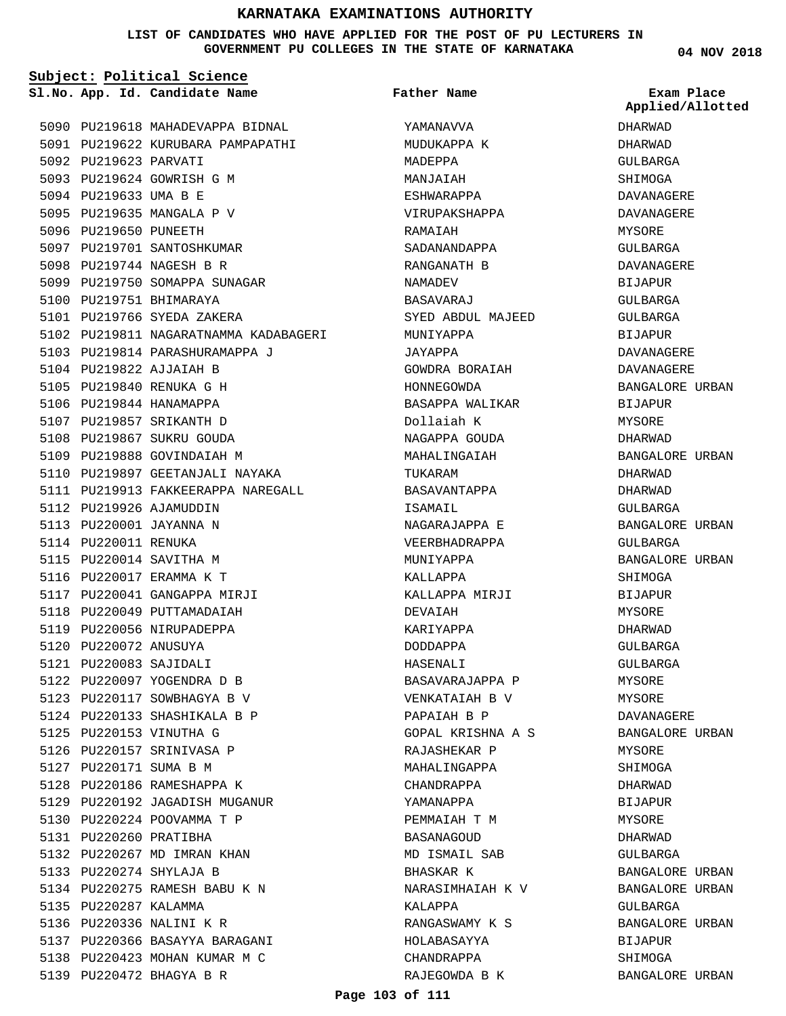### **LIST OF CANDIDATES WHO HAVE APPLIED FOR THE POST OF PU LECTURERS IN GOVERNMENT PU COLLEGES IN THE STATE OF KARNATAKA**

**Subject: Political Science**

**App. Id. Candidate Name Sl.No. Exam Place**

5090 PU219618 MAHADEVAPPA BIDNAL 5091 PU219622 KURUBARA PAMPAPATHI

5092 PU219623 PARVATI 5093 PU219624 GOWRISH G M 5094 PU219633 UMA B E 5095 PU219635 MANGALA P V 5096 PU219650 PUNEETH 5097 PU219701 SANTOSHKUMAR 5098 PU219744 NAGESH B R 5099 PU219750 SOMAPPA SUNAGAR 5100 PU219751 BHIMARAYA 5101 PU219766 SYEDA ZAKERA 5102 PU219811 NAGARATNAMMA KADABAGERI 5103 PU219814 PARASHURAMAPPA J 5104 PU219822 AJJAIAH B 5105 PU219840 RENUKA G H 5106 PU219844 HANAMAPPA 5107 PU219857 SRIKANTH D 5108 PU219867 SUKRU GOUDA 5109 PU219888 GOVINDAIAH M 5110 PU219897 GEETANJALI NAYAKA 5111 PU219913 FAKKEERAPPA NAREGALL 5112 PU219926 AJAMUDDIN 5113 PU220001 JAYANNA N 5114 PU220011 RENUKA 5115 PU220014 SAVITHA M 5116 PU220017 ERAMMA K T 5117 PU220041 GANGAPPA MIRJI 5118 PU220049 PUTTAMADAIAH 5119 PU220056 NIRUPADEPPA 5120 PU220072 ANUSUYA PU220083 SAJIDALI 5121 5122 PU220097 YOGENDRA D B 5123 PU220117 SOWBHAGYA B V 5124 PU220133 SHASHIKALA B P 5125 PU220153 VINUTHA G 5126 PU220157 SRINIVASA P 5127 PU220171 SUMA B M 5128 PU220186 RAMESHAPPA K 5129 PU220192 JAGADISH MUGANUR 5130 PU220224 POOVAMMA T P 5131 PU220260 PRATIBHA 5132 PU220267 MD IMRAN KHAN PU220274 SHYLAJA B 5133 5134 PU220275 RAMESH BABU K N 5135 PU220287 KALAMMA 5136 PU220336 NALINI K R 5137 PU220366 BASAYYA BARAGANI 5138 PU220423 MOHAN KUMAR M C 5139 PU220472 BHAGYA B R

YAMANAVVA MUDUKAPPA K MADEPPA MANJAIAH ESHWARAPPA VIRUPAKSHAPPA RAMAIAH SADANANDAPPA RANGANATH B NAMADEV BASAVARAJ SYED ABDUL MAJEED MUNIYAPPA JAYAPPA GOWDRA BORAIAH HONNEGOWDA BASAPPA WALIKAR Dollaiah K NAGAPPA GOUDA MAHALINGAIAH TUKARAM BASAVANTAPPA ISAMAIL NAGARAJAPPA E VEERBHADRAPPA MUNIYAPPA KALLAPPA KALLAPPA MIRJI DEVAIAH KARIYAPPA DODDAPPA HASENALI BASAVARAJAPPA P VENKATAIAH B V PAPAIAH B P GOPAL KRISHNA A S RAJASHEKAR P MAHALINGAPPA CHANDRAPPA YAMANAPPA PEMMAIAH T M BASANAGOUD MD ISMAIL SAB BHASKAR K NARASIMHAIAH K V KALAPPA RANGASWAMY K S HOLABASAYYA CHANDRAPPA RAJEGOWDA B K **Father Name**

**04 NOV 2018**

DHARWAD DHARWAD GULBARGA SHIMOGA DAVANAGERE DAVANAGERE MYSORE GULBARGA DAVANAGERE BIJAPUR GULBARGA GULBARGA BIJAPUR DAVANAGERE DAVANAGERE BANGALORE URBAN BIJAPUR MYSORE DHARWAD BANGALORE URBAN DHARWAD DHARWAD GULBARGA BANGALORE URBAN GULBARGA BANGALORE URBAN **SHIMOGA** BIJAPUR MYSORE DHARWAD GULBARGA GULBARGA MYSORE MYSORE DAVANAGERE BANGALORE URBAN MYSORE SHIMOGA DHARWAD BIJAPUR MYSORE DHARWAD GULBARGA BANGALORE URBAN BANGALORE URBAN GULBARGA BANGALORE URBAN BIJAPUR SHIMOGA BANGALORE URBAN **Applied/Allotted**

### **Page 103 of 111**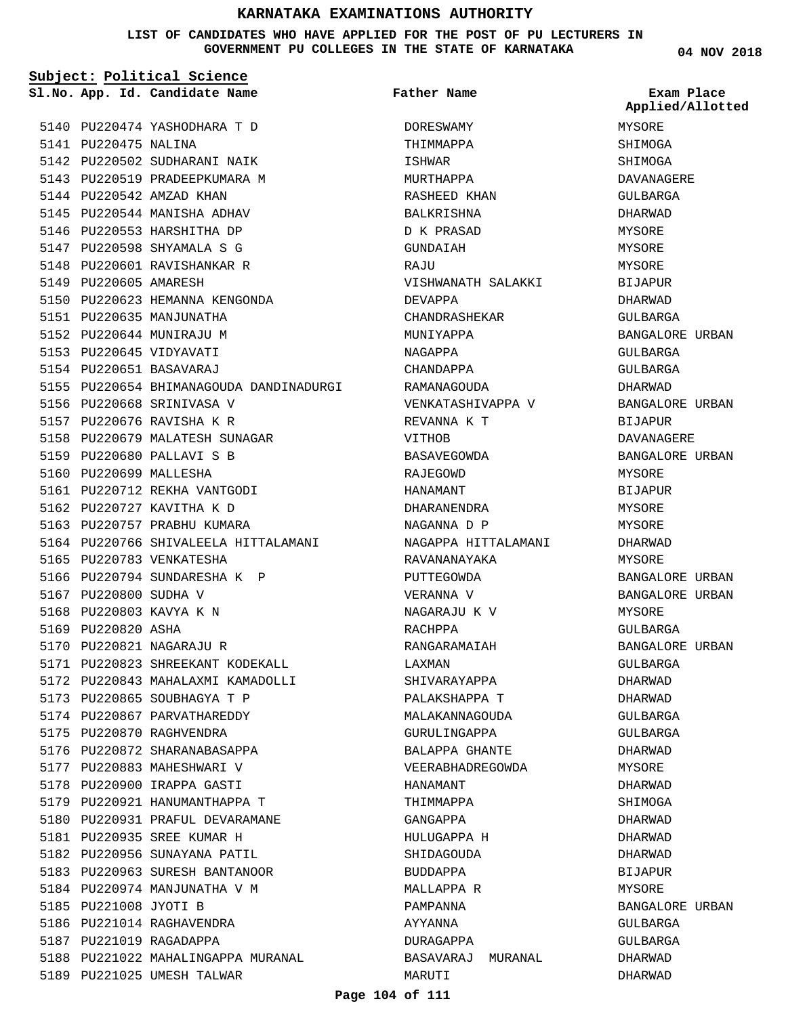## **LIST OF CANDIDATES WHO HAVE APPLIED FOR THE POST OF PU LECTURERS IN GOVERNMENT PU COLLEGES IN THE STATE OF KARNATAKA**

| Subject: Political Science |                        |                                         |                     |                                |
|----------------------------|------------------------|-----------------------------------------|---------------------|--------------------------------|
|                            |                        | Sl.No. App. Id. Candidate Name          | <b>Father Name</b>  | Exam Place<br>Applied/Allotted |
|                            |                        | 5140 PU220474 YASHODHARA T D            | DORESWAMY           | MYSORE                         |
|                            | 5141 PU220475 NALINA   |                                         | THIMMAPPA           | SHIMOGA                        |
|                            |                        | 5142 PU220502 SUDHARANI NAIK            | ISHWAR              | SHIMOGA                        |
|                            |                        | 5143 PU220519 PRADEEPKUMARA M           | MURTHAPPA           | DAVANAGERE                     |
|                            |                        | 5144 PU220542 AMZAD KHAN                | RASHEED KHAN        | <b>GULBARGA</b>                |
|                            |                        | 5145 PU220544 MANISHA ADHAV             | BALKRISHNA          | DHARWAD                        |
|                            |                        | 5146 PU220553 HARSHITHA DP              | D K PRASAD          | MYSORE                         |
|                            |                        | 5147 PU220598 SHYAMALA S G              | GUNDAIAH            | MYSORE                         |
|                            |                        | 5148 PU220601 RAVISHANKAR R             | RAJU                | MYSORE                         |
|                            | 5149 PU220605 AMARESH  |                                         | VISHWANATH SALAKKI  | <b>BIJAPUR</b>                 |
|                            |                        | 5150 PU220623 HEMANNA KENGONDA          | DEVAPPA             | DHARWAD                        |
|                            |                        | 5151 PU220635 MANJUNATHA                | CHANDRASHEKAR       | GULBARGA                       |
|                            |                        | 5152 PU220644 MUNIRAJU M                | MUNIYAPPA           | BANGALORE URBAN                |
|                            |                        | 5153 PU220645 VIDYAVATI                 | NAGAPPA             | GULBARGA                       |
|                            |                        | 5154 PU220651 BASAVARAJ                 | CHANDAPPA           | GULBARGA                       |
|                            |                        | 5155 PU220654 BHIMANAGOUDA DANDINADURGI | RAMANAGOUDA         | DHARWAD                        |
|                            |                        | 5156 PU220668 SRINIVASA V               | VENKATASHIVAPPA V   | BANGALORE URBAN                |
|                            |                        | 5157 PU220676 RAVISHA K R               | REVANNA K T         | BIJAPUR                        |
|                            |                        | 5158 PU220679 MALATESH SUNAGAR          | VITHOB              | DAVANAGERE                     |
|                            |                        | 5159 PU220680 PALLAVI S B               | BASAVEGOWDA         | BANGALORE URBAN                |
|                            | 5160 PU220699 MALLESHA |                                         | RAJEGOWD            | MYSORE                         |
|                            |                        | 5161 PU220712 REKHA VANTGODI            |                     |                                |
|                            |                        |                                         | HANAMANT            | BIJAPUR                        |
|                            |                        | 5162 PU220727 KAVITHA K D               | DHARANENDRA         | MYSORE                         |
|                            |                        | 5163 PU220757 PRABHU KUMARA             | NAGANNA D P         | MYSORE                         |
|                            |                        | 5164 PU220766 SHIVALEELA HITTALAMANI    | NAGAPPA HITTALAMANI | DHARWAD                        |
|                            |                        | 5165 PU220783 VENKATESHA                | RAVANANAYAKA        | MYSORE                         |
|                            |                        | 5166 PU220794 SUNDARESHA K P            | PUTTEGOWDA          | BANGALORE URBAN                |
|                            | 5167 PU220800 SUDHA V  |                                         | VERANNA V           | BANGALORE URBAN                |
|                            |                        | 5168 PU220803 KAVYA K N                 | NAGARAJU K V        | MYSORE                         |
|                            | 5169 PU220820 ASHA     |                                         | RACHPPA             | GULBARGA                       |
|                            |                        | 5170 PU220821 NAGARAJU R                | RANGARAMAIAH        | BANGALORE URBAN                |
|                            |                        | 5171 PU220823 SHREEKANT KODEKALL        | LAXMAN              | GULBARGA                       |
|                            |                        | 5172 PU220843 MAHALAXMI KAMADOLLI       | SHIVARAYAPPA        | DHARWAD                        |
|                            |                        | 5173 PU220865 SOUBHAGYA T P             | PALAKSHAPPA T       | DHARWAD                        |
|                            |                        | 5174 PU220867 PARVATHAREDDY             | MALAKANNAGOUDA      | GULBARGA                       |
|                            |                        | 5175 PU220870 RAGHVENDRA                | GURULINGAPPA        | GULBARGA                       |
|                            |                        | 5176 PU220872 SHARANABASAPPA            | BALAPPA GHANTE      | DHARWAD                        |
|                            |                        | 5177 PU220883 MAHESHWARI V              | VEERABHADREGOWDA    | MYSORE                         |
|                            |                        | 5178 PU220900 IRAPPA GASTI              | HANAMANT            | DHARWAD                        |
|                            |                        | 5179 PU220921 HANUMANTHAPPA T           | THIMMAPPA           | SHIMOGA                        |
|                            |                        | 5180 PU220931 PRAFUL DEVARAMANE         | GANGAPPA            | DHARWAD                        |
|                            |                        | 5181 PU220935 SREE KUMAR H              | HULUGAPPA H         | DHARWAD                        |
|                            |                        | 5182 PU220956 SUNAYANA PATIL            | SHIDAGOUDA          | DHARWAD                        |
|                            |                        | 5183 PU220963 SURESH BANTANOOR          | BUDDAPPA            | BIJAPUR                        |
|                            |                        | 5184 PU220974 MANJUNATHA V M            | MALLAPPA R          | MYSORE                         |
|                            | 5185 PU221008 JYOTI B  |                                         | PAMPANNA            | BANGALORE URBAN                |
|                            |                        | 5186 PU221014 RAGHAVENDRA               | AYYANNA             | GULBARGA                       |
|                            |                        | 5187 PU221019 RAGADAPPA                 | DURAGAPPA           | GULBARGA                       |
|                            |                        | 5188 PU221022 MAHALINGAPPA MURANAL      | BASAVARAJ MURANAL   | DHARWAD                        |
|                            |                        | 5189 PU221025 UMESH TALWAR              | MARUTI              | DHARWAD                        |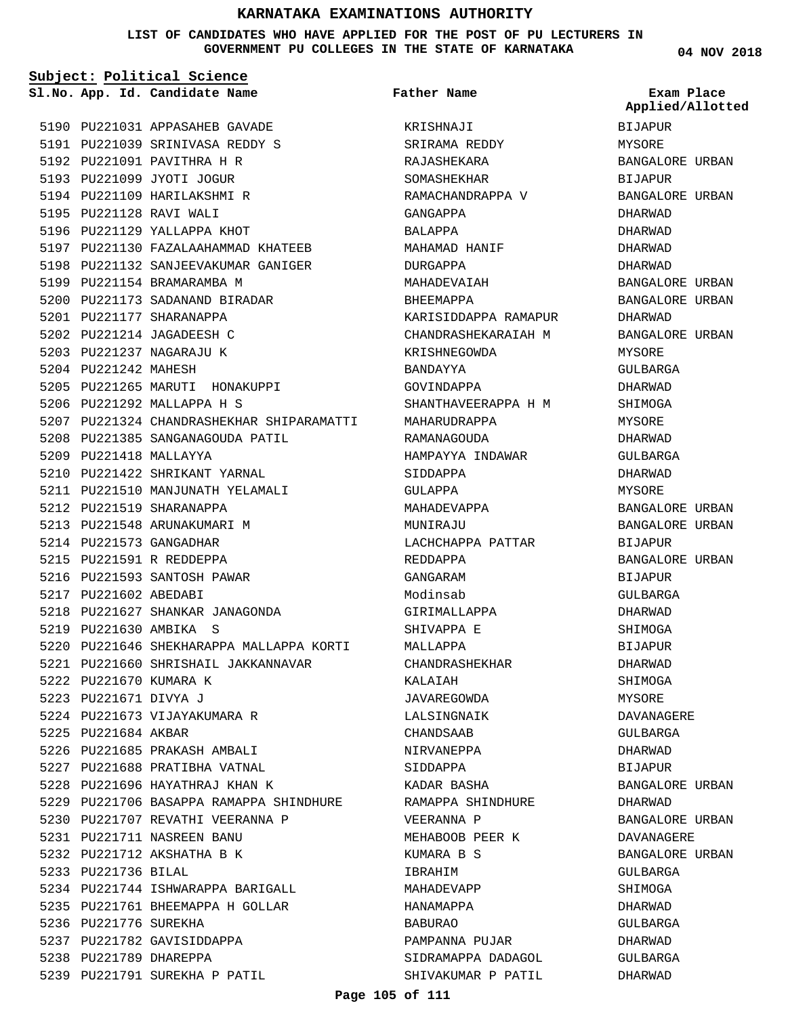**LIST OF CANDIDATES WHO HAVE APPLIED FOR THE POST OF PU LECTURERS IN GOVERNMENT PU COLLEGES IN THE STATE OF KARNATAKA**

**Subject: Political Science**

**04 NOV 2018**

|                        | Sl.No. App. Id. Candidate Name                                  | Father Name               | Exam Place<br>Applied/Allotted |
|------------------------|-----------------------------------------------------------------|---------------------------|--------------------------------|
|                        | 5190 PU221031 APPASAHEB GAVADE                                  | KRISHNAJI                 | <b>BIJAPUR</b>                 |
|                        | 5191 PU221039 SRINIVASA REDDY S                                 | SRIRAMA REDDY             | MYSORE                         |
|                        | 5192 PU221091 PAVITHRA H R                                      | RAJASHEKARA               | BANGALORE URBAN                |
|                        | 5193 PU221099 JYOTI JOGUR                                       | SOMASHEKHAR               | BIJAPUR                        |
|                        | 5194 PU221109 HARILAKSHMI R                                     | RAMACHANDRAPPA V          | BANGALORE URBAN                |
|                        | 5195 PU221128 RAVI WALI                                         | GANGAPPA                  | DHARWAD                        |
|                        | 5196 PU221129 YALLAPPA KHOT                                     | BALAPPA                   | DHARWAD                        |
|                        | 5197 PU221130 FAZALAAHAMMAD KHATEEB                             |                           | DHARWAD                        |
|                        | 5198 PU221132 SANJEEVAKUMAR GANIGER                             | MAHAMAD HANIF<br>DURGAPPA | DHARWAD                        |
|                        | 5199 PU221154 BRAMARAMBA M                                      | MAHADEVAIAH               |                                |
|                        |                                                                 |                           | BANGALORE URBAN                |
|                        | 5200 PU221173 SADANAND BIRADAR                                  | BHEEMAPPA                 | BANGALORE URBAN                |
|                        | 5201 PU221177 SHARANAPPA                                        | KARISIDDAPPA RAMAPUR      | DHARWAD                        |
|                        | 5202 PU221214 JAGADEESH C                                       | CHANDRASHEKARAIAH M       | BANGALORE URBAN                |
|                        | 5203 PU221237 NAGARAJU K                                        | KRISHNEGOWDA              | MYSORE                         |
| 5204 PU221242 MAHESH   |                                                                 | BANDAYYA                  | GULBARGA                       |
|                        | 5205 PU221265 MARUTI HONAKUPPI                                  | GOVINDAPPA                | DHARWAD                        |
|                        | 5206 PU221292 MALLAPPA H S                                      | SHANTHAVEERAPPA H M       | SHIMOGA                        |
|                        | 5207 PU221324 CHANDRASHEKHAR SHIPARAMATTI MAHARUDRAPPA          |                           | MYSORE                         |
|                        | 5208 PU221385 SANGANAGOUDA PATIL                                | RAMANAGOUDA               | DHARWAD                        |
|                        | 5209 PU221418 MALLAYYA                                          | HAMPAYYA INDAWAR          | GULBARGA                       |
|                        | 5210 PU221422 SHRIKANT YARNAL                                   | SIDDAPPA                  | DHARWAD                        |
|                        | 5211 PU221510 MANJUNATH YELAMALI                                | GULAPPA                   | MYSORE                         |
|                        | 5212 PU221519 SHARANAPPA                                        | MAHADEVAPPA               | BANGALORE URBAN                |
|                        | 5213 PU221548 ARUNAKUMARI M                                     | MUNIRAJU                  | BANGALORE URBAN                |
|                        | 5214 PU221573 GANGADHAR                                         | LACHCHAPPA PATTAR         | BIJAPUR                        |
|                        | 5215 PU221591 R REDDEPPA                                        | REDDAPPA                  | BANGALORE URBAN                |
|                        | 5216 PU221593 SANTOSH PAWAR                                     | GANGARAM                  | BIJAPUR                        |
| 5217 PU221602 ABEDABI  |                                                                 | Modinsab                  | GULBARGA                       |
|                        | 5218 PU221627 SHANKAR JANAGONDA                                 | GIRIMALLAPPA              | DHARWAD                        |
|                        | 5219 PU221630 AMBIKA S                                          | SHIVAPPA E                | SHIMOGA                        |
|                        | 5220 PU221646 SHEKHARAPPA MALLAPPA KORTI                        | MALLAPPA                  | <b>BIJAPUR</b>                 |
|                        | 5221 PU221660 SHRISHAIL JAKKANNAVAR                             | CHANDRASHEKHAR            | DHARWAD                        |
| 5222 PU221670 KUMARA K |                                                                 | KALAIAH                   | SHIMOGA                        |
| 5223 PU221671 DIVYA J  |                                                                 | JAVAREGOWDA               | MYSORE                         |
|                        | 5224 PU221673 VIJAYAKUMARA R                                    | LALSINGNAIK               | DAVANAGERE                     |
| 5225 PU221684 AKBAR    |                                                                 | CHANDSAAB                 | GULBARGA                       |
|                        | 5226 PU221685 PRAKASH AMBALI                                    | NIRVANEPPA                | DHARWAD                        |
|                        | 5227 PU221688 PRATIBHA VATNAL                                   | SIDDAPPA                  | BIJAPUR                        |
|                        | 5228 PU221696 HAYATHRAJ KHAN K                                  | KADAR BASHA               | BANGALORE URBAN                |
|                        | 5229 PU221706 BASAPPA RAMAPPA SHINDHURE       RAMAPPA SHINDHURE |                           | DHARWAD                        |
|                        | 5230 PU221707 REVATHI VEERANNA P                                | VEERANNA P                | BANGALORE URBAN                |
|                        | 5231 PU221711 NASREEN BANU                                      | MEHABOOB PEER K           | DAVANAGERE                     |
|                        | 5232 PU221712 AKSHATHA B K                                      | KUMARA B S                | BANGALORE URBAN                |
| 5233 PU221736 BILAL    |                                                                 | IBRAHIM                   | GULBARGA                       |
|                        | 5234 PU221744 ISHWARAPPA BARIGALL                               | MAHADEVAPP                | SHIMOGA                        |
|                        | 5235 PU221761 BHEEMAPPA H GOLLAR                                | HANAMAPPA                 | DHARWAD                        |
| 5236 PU221776 SUREKHA  |                                                                 | BABURAO                   | GULBARGA                       |
|                        | 5237 PU221782 GAVISIDDAPPA                                      | PAMPANNA PUJAR            | DHARWAD                        |
| 5238 PU221789 DHAREPPA |                                                                 | SIDRAMAPPA DADAGOL        | GULBARGA                       |
|                        | 5239 PU221791 SUREKHA P PATIL                                   | SHIVAKUMAR P PATIL        | DHARWAD                        |

# **Page 105 of 111**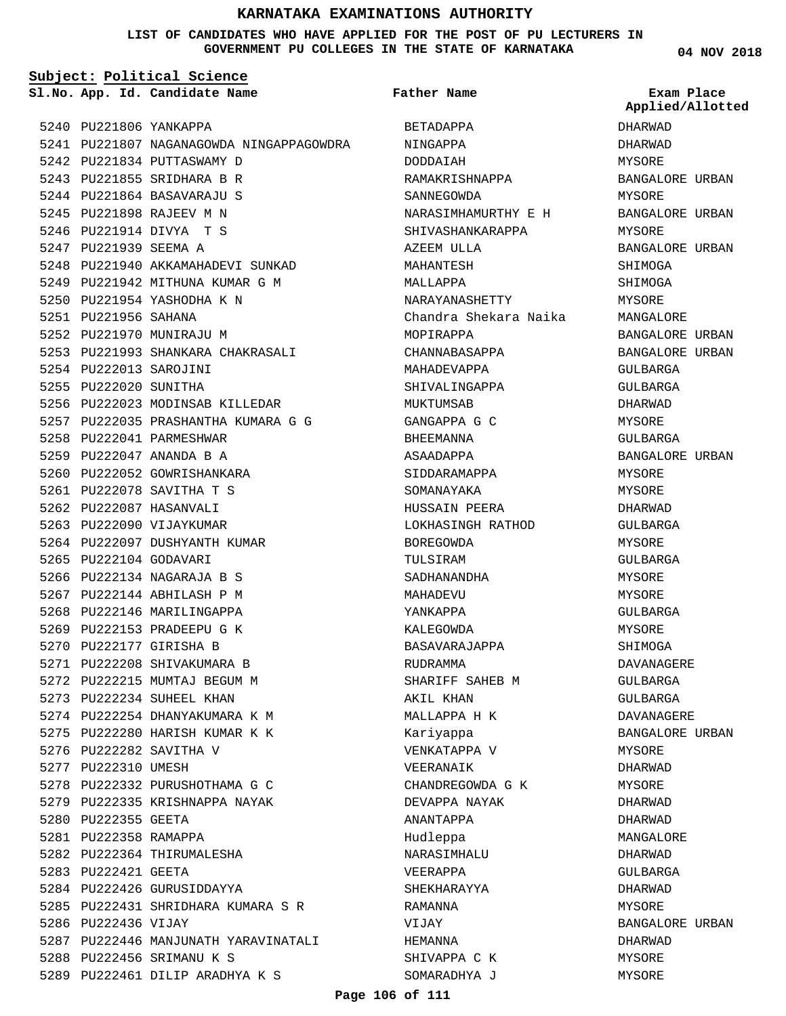### **LIST OF CANDIDATES WHO HAVE APPLIED FOR THE POST OF PU LECTURERS IN GOVERNMENT PU COLLEGES IN THE STATE OF KARNATAKA**

**Subject: Political Science**

**App. Id. Candidate Name Sl.No. Exam Place**

5242 PU221834 PUTTASWAMY D 5243 PU221855 SRIDHARA B R 5244 PU221864 BASAVARAJU S 5245 PU221898 RAJEEV M N 5246 PU221914 DIVYA T S 5247 PU221939 SEEMA A

5250 PU221954 YASHODHA K N

5251 PU221956 SAHANA 5252 PU221970 MUNIRAJU M

5254 PU222013 SAROJINI 5255 PU222020 SUNITHA

5258 PU222041 PARMESHWAR 5259 PU222047 ANANDA B A 5260 PU222052 GOWRISHANKARA 5261 PU222078 SAVITHA T S 5262 PU222087 HASANVALI 5263 PU222090 VIJAYKUMAR

5264 PU222097 DUSHYANTH KUMAR

5274 PU222254 DHANYAKUMARA K M 5275 PU222280 HARISH KUMAR K K

5278 PU222332 PURUSHOTHAMA G C 5279 PU222335 KRISHNAPPA NAYAK

5282 PU222364 THIRUMALESHA

5284 PU222426 GURUSIDDAYYA

5288 PU222456 SRIMANU K S

5289 PU222461 DILIP ARADHYA K S

5276 PU222282 SAVITHA V 5277 PU222310 UMESH

5280 PU222355 GEETA 5281 PU222358 RAMAPPA

5283 PU222421 GEETA

5286 PU222436 VIJAY

5265 PU222104 GODAVARI 5266 PU222134 NAGARAJA B S 5267 PU222144 ABHILASH P M 5268 PU222146 MARILINGAPPA 5269 PU222153 PRADEEPU G K 5270 PU222177 GIRISHA B 5271 PU222208 SHIVAKUMARA B 5272 PU222215 MUMTAJ BEGUM M 5273 PU222234 SUHEEL KHAN

5240 PU221806 YANKAPPA

5241 PU221807 NAGANAGOWDA NINGAPPAGOWDRA 5248 PU221940 AKKAMAHADEVI SUNKAD 5249 PU221942 MITHUNA KUMAR G M 5253 PU221993 SHANKARA CHAKRASALI 5256 PU222023 MODINSAB KILLEDAR 5257 PU222035 PRASHANTHA KUMARA G G 5285 PU222431 SHRIDHARA KUMARA S R 5287 PU222446 MANJUNATH YARAVINATALI DODDAIAH MAHANTESH MALLAPPA MOPIRAPPA MUKTUMSAB BHEEMANNA ASAADAPPA BOREGOWDA TULSIRAM MAHADEVU YANKAPPA KALEGOWDA RUDRAMMA AKIL KHAN Kariyappa VEERANAIK ANANTAPPA Hudleppa VEERAPPA RAMANNA VIJAY HEMANNA

BETADAPPA NINGAPPA RAMAKRISHNAPPA SANNEGOWDA NARASIMHAMURTHY E H SHIVASHANKARAPPA AZEEM ULLA NARAYANASHETTY Chandra Shekara Naika CHANNABASAPPA MAHADEVAPPA SHIVALINGAPPA GANGAPPA G C SIDDARAMAPPA SOMANAYAKA HUSSAIN PEERA LOKHASINGH RATHOD SADHANANDHA BASAVARAJAPPA SHARIFF SAHEB M MALLAPPA H K VENKATAPPA V CHANDREGOWDA G K DEVAPPA NAYAK NARASIMHALU SHEKHARAYYA SHIVAPPA C K SOMARADHYA J **Father Name**

**04 NOV 2018**

DHARWAD DHARWAD MYSORE BANGALORE URBAN MYSORE BANGALORE URBAN MYSORE BANGALORE URBAN SHIMOGA SHIMOGA MYSORE MANGALORE BANGALORE URBAN BANGALORE URBAN GULBARGA GULBARGA DHARWAD MYSORE GULBARGA BANGALORE URBAN MYSORE MYSORE DHARWAD GULBARGA MYSORE GULBARGA **MYSORE** MYSORE GULBARGA MYSORE SHIMOGA DAVANAGERE GULBARGA GULBARGA DAVANAGERE BANGALORE URBAN MYSORE DHARWAD MYSORE DHARWAD DHARWAD MANGALORE DHARWAD GULBARGA DHARWAD MYSORE BANGALORE URBAN DHARWAD MYSORE MYSORE **Applied/Allotted**

### **Page 106 of 111**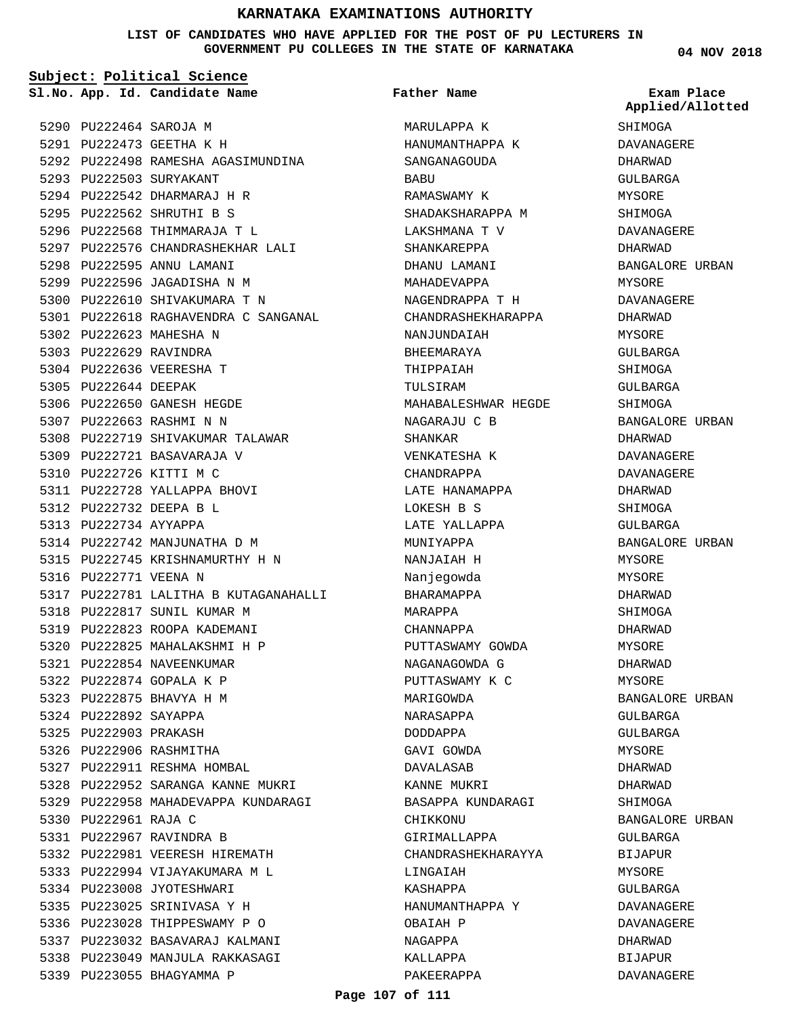**LIST OF CANDIDATES WHO HAVE APPLIED FOR THE POST OF PU LECTURERS IN GOVERNMENT PU COLLEGES IN THE STATE OF KARNATAKA**

#### **Subject: Political Science**

**App. Id. Candidate Name Sl.No. Exam Place**

5290 PU222464 SAROJA M 5291 PU222473 GEETHA K H 5292 PU222498 RAMESHA AGASIMUNDINA 5293 PU222503 SURYAKANT 5294 PU222542 DHARMARAJ H R 5295 PU222562 SHRUTHI B S 5296 PU222568 THIMMARAJA T L 5297 PU222576 CHANDRASHEKHAR LALI 5298 PU222595 ANNU LAMANI 5299 PU222596 JAGADISHA N M 5300 PU222610 SHIVAKUMARA T N 5301 PU222618 RAGHAVENDRA C SANGANAL 5302 PU222623 MAHESHA N 5303 PU222629 RAVINDRA 5304 PU222636 VEERESHA T 5305 PU222644 DEEPAK 5306 PU222650 GANESH HEGDE 5307 PU222663 RASHMI N N 5308 PU222719 SHIVAKUMAR TALAWAR 5309 PU222721 BASAVARAJA V 5310 PU222726 KITTI M C 5311 PU222728 YALLAPPA BHOVI PU222732 DEEPA B L 5312 5313 PU222734 AYYAPPA 5314 PU222742 MANJUNATHA D M 5315 PU222745 KRISHNAMURTHY H N 5316 PU222771 VEENA N 5317 PU222781 LALITHA B KUTAGANAHALLI 5318 PU222817 SUNIL KUMAR M 5319 PU222823 ROOPA KADEMANI 5320 PU222825 MAHALAKSHMI H P 5321 PU222854 NAVEENKUMAR 5322 PU222874 GOPALA K P 5323 PU222875 BHAVYA H M 5324 PU222892 SAYAPPA 5325 PU222903 PRAKASH 5326 PU222906 RASHMITHA 5327 PU222911 RESHMA HOMBAL 5328 PU222952 SARANGA KANNE MUKRI 5329 PU222958 MAHADEVAPPA KUNDARAGI 5330 PU222961 RAJA C 5331 PU222967 RAVINDRA B 5332 PU222981 VEERESH HIREMATH 5333 PU222994 VIJAYAKUMARA M L 5334 PU223008 JYOTESHWARI PU223025 SRINIVASA Y H 5335 5336 PU223028 THIPPESWAMY P O 5337 PU223032 BASAVARAJ KALMANI 5338 PU223049 MANJULA RAKKASAGI 5339 PU223055 BHAGYAMMA P

**Father Name**

MARULAPPA K HANUMANTHAPPA K SANGANAGOUDA BABU RAMASWAMY K SHADAKSHARAPPA M LAKSHMANA T V SHANKAREPPA DHANU LAMANI MAHADEVAPPA NAGENDRAPPA T H CHANDRASHEKHARAPPA NANJUNDAIAH BHEEMARAYA THIPPAIAH TULSIRAM MAHABALESHWAR HEGDE NAGARAJU C B SHANKAR VENKATESHA K CHANDRAPPA LATE HANAMAPPA LOKESH B S LATE YALLAPPA MUNIYAPPA NANJAIAH H Nanjegowda BHARAMAPPA MARAPPA CHANNAPPA PUTTASWAMY GOWDA NAGANAGOWDA G PUTTASWAMY K C MARIGOWDA NARASAPPA DODDAPPA GAVI GOWDA DAVALASAB KANNE MUKRI BASAPPA KUNDARAGI CHIKKONU GIRIMALLAPPA CHANDRASHEKHARAYYA LINGAIAH KASHAPPA HANUMANTHAPPA Y OBAIAH P NAGAPPA KALLAPPA PAKEERAPPA

**04 NOV 2018**

**Applied/Allotted**

SHIMOGA DAVANAGERE DHARWAD GULBARGA MYSORE SHIMOGA DAVANAGERE DHARWAD BANGALORE URBAN MYSORE DAVANAGERE DHARWAD MYSORE GULBARGA SHIMOGA GULBARGA SHIMOGA BANGALORE URBAN DHARWAD DAVANAGERE DAVANAGERE DHARWAD SHIMOGA GULBARGA BANGALORE URBAN MYSORE **MYSORE** DHARWAD SHIMOGA DHARWAD MYSORE DHARWAD MYSORE BANGALORE URBAN GULBARGA GULBARGA MYSORE DHARWAD DHARWAD SHIMOGA BANGALORE URBAN GULBARGA BIJAPUR MYSORE GULBARGA DAVANAGERE DAVANAGERE DHARWAD BIJAPUR

DAVANAGERE

#### **Page 107 of 111**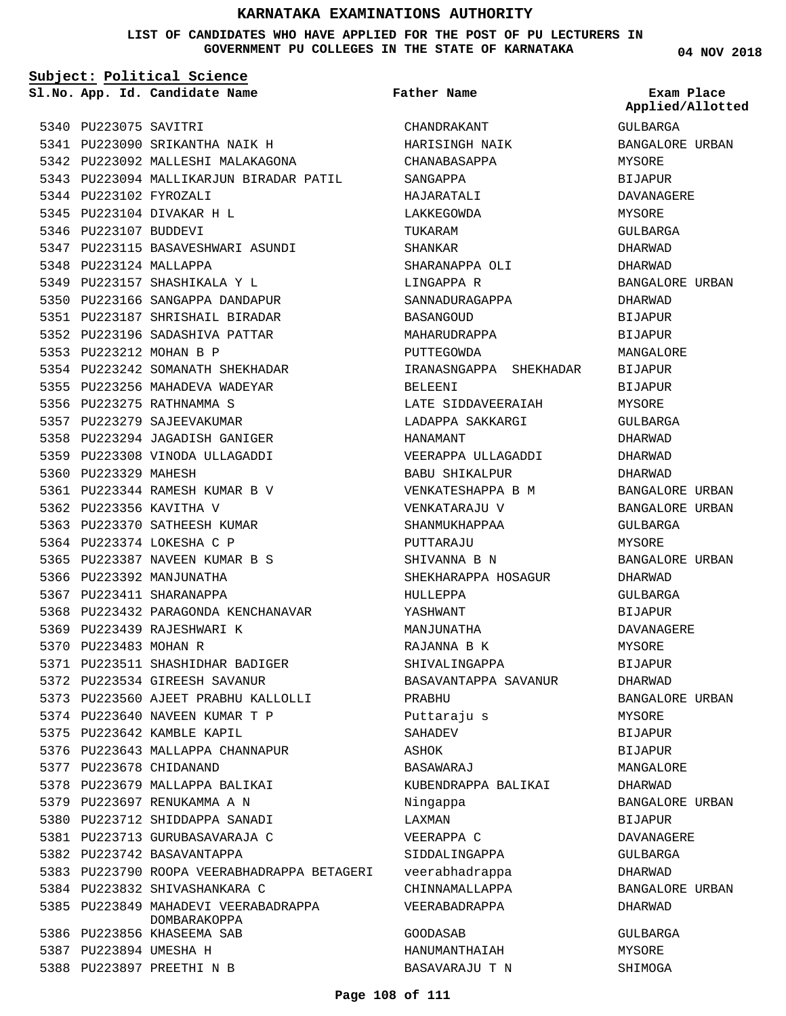### **LIST OF CANDIDATES WHO HAVE APPLIED FOR THE POST OF PU LECTURERS IN GOVERNMENT PU COLLEGES IN THE STATE OF KARNATAKA**

**Subject: Political Science**

**App. Id. Candidate Name Sl.No. Exam Place**

**Father Name**

5340 PU223075 SAVITRI 5341 PU223090 SRIKANTHA NAIK H 5342 PU223092 MALLESHI MALAKAGONA 5343 PU223094 MALLIKARJUN BIRADAR PATIL 5344 PU223102 FYROZALI 5345 PU223104 DIVAKAR H L 5346 PU223107 BUDDEVI 5347 PU223115 BASAVESHWARI ASUNDI 5348 PU223124 MALLAPPA 5349 PU223157 SHASHIKALA Y L 5350 PU223166 SANGAPPA DANDAPUR 5351 PU223187 SHRISHAIL BIRADAR 5352 PU223196 SADASHIVA PATTAR 5353 PU223212 MOHAN B P 5354 PU223242 SOMANATH SHEKHADAR 5355 PU223256 MAHADEVA WADEYAR 5356 PU223275 RATHNAMMA S 5357 PU223279 SAJEEVAKUMAR 5358 PU223294 JAGADISH GANIGER 5359 PU223308 VINODA ULLAGADDI 5360 PU223329 MAHESH PU223344 RAMESH KUMAR B V 5361 5362 PU223356 KAVITHA V 5363 PU223370 SATHEESH KUMAR 5364 PU223374 LOKESHA C P 5365 PU223387 NAVEEN KUMAR B S 5366 PU223392 MANJUNATHA 5367 PU223411 SHARANAPPA 5368 PU223432 PARAGONDA KENCHANAVAR 5369 PU223439 RAJESHWARI K 5370 PU223483 MOHAN R 5371 PU223511 SHASHIDHAR BADIGER 5372 PU223534 GIREESH SAVANUR 5373 PU223560 AJEET PRABHU KALLOLLI 5374 PU223640 NAVEEN KUMAR T P 5375 PU223642 KAMBLE KAPIL 5376 PU223643 MALLAPPA CHANNAPUR 5377 PU223678 CHIDANAND 5378 PU223679 MALLAPPA BALIKAI 5379 PU223697 RENUKAMMA A N 5380 PU223712 SHIDDAPPA SANADI 5381 PU223713 GURUBASAVARAJA C 5382 PU223742 BASAVANTAPPA 5383 PU223790 ROOPA VEERABHADRAPPA BETAGERI veerabhadrappa 5384 PU223832 SHIVASHANKARA C 5385 PU223849 MAHADEVI VEERABADRAPPA 5386 PU223856 KHASEEMA SAB 5387 PU223894 UMESHA H 5388 PU223897 PREETHI N B DOMBARAKOPPA

CHANDRAKANT HARISINGH NAIK CHANABASAPPA SANGAPPA HAJARATALI LAKKEGOWDA TUKARAM SHANKAR SHARANAPPA OLI LINGAPPA R SANNADURAGAPPA BASANGOUD MAHARUDRAPPA PUTTEGOWDA IRANASNGAPPA SHEKHADAR BELEENI LATE SIDDAVEERAIAH LADAPPA SAKKARGI HANAMANT VEERAPPA ULLAGADDI BABU SHIKALPUR VENKATESHAPPA B M VENKATARAJU V SHANMUKHAPPAA PUTTARAJU SHIVANNA B N SHEKHARAPPA HOSAGUR HULLEPPA YASHWANT MANJUNATHA RAJANNA B K SHIVALINGAPPA BASAVANTAPPA SAVANUR PRABHU Puttaraju s SAHADEV ASHOK BASAWARAJ KUBENDRAPPA BALIKAI Ningappa LAXMAN VEERAPPA C SIDDALINGAPPA CHINNAMALLAPPA VEERABADRAPPA GOODASAB

**04 NOV 2018**

**Applied/Allotted**

GULBARGA

BANGALORE URBAN MYSORE BIJAPUR DAVANAGERE MYSORE GULBARGA DHARWAD DHARWAD BANGALORE URBAN DHARWAD **BIJAPUR** BIJAPUR MANGALORE **BIJAPUR** BIJAPUR MYSORE GULBARGA DHARWAD DHARWAD DHARWAD BANGALORE URBAN BANGALORE URBAN GULBARGA MYSORE BANGALORE URBAN DHARWAD GULBARGA BIJAPUR DAVANAGERE MYSORE BIJAPUR DHARWAD BANGALORE URBAN MYSORE BIJAPUR **BIJAPUR** MANGALORE DHARWAD BANGALORE URBAN BIJAPUR DAVANAGERE GULBARGA DHARWAD BANGALORE URBAN DHARWAD GULBARGA MYSORE

SHIMOGA

#### **Page 108 of 111**

HANUMANTHAIAH BASAVARAJU T N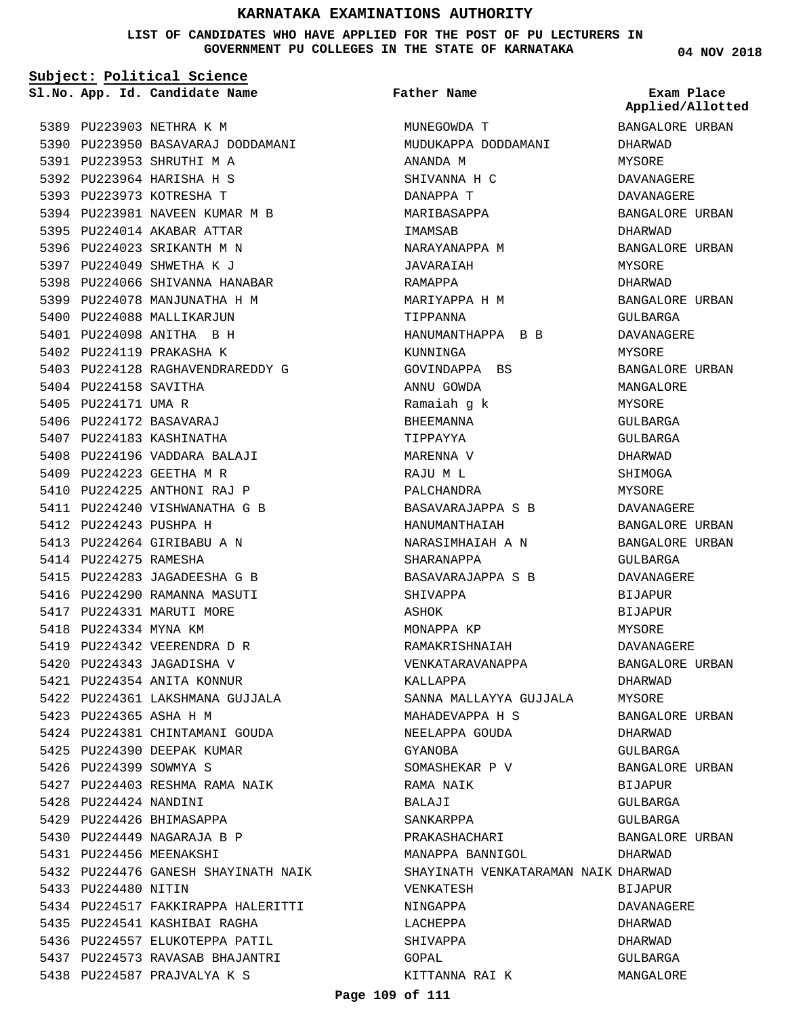## **KARNATAKA EXAMINATIONS AUTHORITY**

**LIST OF CANDIDATES WHO HAVE APPLIED FOR THE POST OF PU LECTURERS IN GOVERNMENT PU COLLEGES IN THE STATE OF KARNATAKA**

**Subject: Political Science**

**App. Id. Candidate Name Sl.No. Exam Place**

5389 PU223903 NETHRA K M 5390 PU223950 BASAVARAJ DODDAMANI 5391 PU223953 SHRUTHI M A 5392 PU223964 HARISHA H S 5393 PU223973 KOTRESHA T 5394 PU223981 NAVEEN KUMAR M B 5395 PU224014 AKABAR ATTAR 5396 PU224023 SRIKANTH M N 5397 PU224049 SHWETHA K J 5398 PU224066 SHIVANNA HANABAR 5399 PU224078 MANJUNATHA H M 5400 PU224088 MALLIKARJUN 5401 PU224098 ANITHA B H 5402 PU224119 PRAKASHA K 5403 PU224128 RAGHAVENDRAREDDY G 5404 PU224158 SAVITHA 5405 PU224171 UMA R 5406 PU224172 BASAVARAJ 5407 PU224183 KASHINATHA 5408 PU224196 VADDARA BALAJI 5409 PU224223 GEETHA M R 5410 PU224225 ANTHONI RAJ P 5411 PU224240 VISHWANATHA G B 5412 PU224243 PUSHPA H 5413 PU224264 GIRIBABU A N 5414 PU224275 RAMESHA 5415 PU224283 JAGADEESHA G B 5416 PU224290 RAMANNA MASUTI 5417 PU224331 MARUTI MORE 5418 PU224334 MYNA KM 5419 PU224342 VEERENDRA D R 5420 PU224343 JAGADISHA V 5421 PU224354 ANITA KONNUR 5422 PU224361 LAKSHMANA GUJJALA 5423 PU224365 ASHA H M 5424 PU224381 CHINTAMANI GOUDA 5425 PU224390 DEEPAK KUMAR 5426 PU224399 SOWMYA S 5427 PU224403 RESHMA RAMA NAIK 5428 PU224424 NANDINI 5429 PU224426 BHIMASAPPA PU224449 NAGARAJA B P 5430 5431 PU224456 MEENAKSHI 5432 PU224476 GANESH SHAYINATH NAIK 5433 PU224480 NITIN 5434 PU224517 FAKKIRAPPA HALERITTI 5435 PU224541 KASHIBAI RAGHA 5436 PU224557 ELUKOTEPPA PATIL 5437 PU224573 RAVASAB BHAJANTRI 5438 PU224587 PRAJVALYA K S

### **Father Name**

MUNEGOWDA T MUDUKAPPA DODDAMANI ANANDA M SHIVANNA H C DANAPPA T MARIBASAPPA IMAMSAB NARAYANAPPA M JAVARAIAH RAMAPPA MARIYAPPA H M TIPPANNA HANUMANTHAPPA B B KUNNINGA GOVINDAPPA BS ANNU GOWDA Ramaiah g k BHEEMANNA TIPPAYYA MARENNA V RAJU M L PALCHANDRA BASAVARAJAPPA S B HANUMANTHAIAH NARASIMHAIAH A N SHARANAPPA BASAVARAJAPPA S B SHIVAPPA ASHOK MONAPPA KP RAMAKRISHNAIAH VENKATARAVANAPPA KALLAPPA SANNA MALLAYYA GUJJALA MAHADEVAPPA H S NEELAPPA GOUDA GYANOBA SOMASHEKAR P V RAMA NAIK BALAJI SANKARPPA PRAKASHACHARI MANAPPA BANNIGOL SHAYINATH VENKATARAMAN NAIK DHARWAD VENKATESH NINGAPPA LACHEPPA SHIVAPPA GOPAL KITTANNA RAI K

**04 NOV 2018**

**Applied/Allotted**

BANGALORE URBAN DHARWAD MYSORE DAVANAGERE DAVANAGERE BANGALORE URBAN DHARWAD BANGALORE URBAN MYSORE DHARWAD BANGALORE URBAN GULBARGA DAVANAGERE MYSORE BANGALORE URBAN MANGALORE MYSORE GULBARGA GULBARGA DHARWAD SHIMOGA MYSORE DAVANAGERE BANGALORE URBAN BANGALORE URBAN GULBARGA DAVANAGERE BIJAPUR BIJAPUR MYSORE DAVANAGERE BANGALORE URBAN DHARWAD MYSORE BANGALORE URBAN DHARWAD GULBARGA BANGALORE URBAN BIJAPUR GULBARGA GULBARGA BANGALORE URBAN DHARWAD BIJAPUR DAVANAGERE DHARWAD DHARWAD GULBARGA

MANGALORE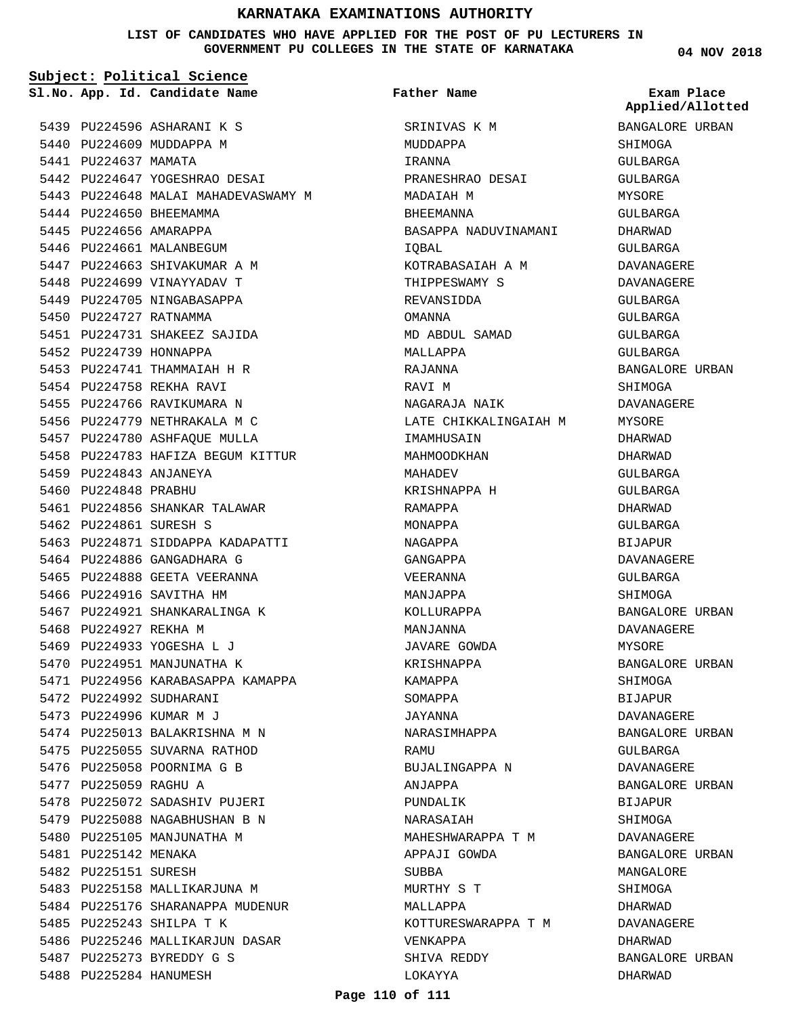## **KARNATAKA EXAMINATIONS AUTHORITY**

**LIST OF CANDIDATES WHO HAVE APPLIED FOR THE POST OF PU LECTURERS IN GOVERNMENT PU COLLEGES IN THE STATE OF KARNATAKA**

SRINIVAS K M

**Father Name**

**Subject: Political Science**

5439 PU224596 ASHARANI K S 5440 PU224609 MUDDAPPA M 5441 PU224637 MAMATA 5442 PU224647 YOGESHRAO DESAI 5443 PU224648 MALAI MAHADEVASWAMY M 5444 PU224650 BHEEMAMMA 5445 PU224656 AMARAPPA 5446 PU224661 MALANBEGUM 5447 PU224663 SHIVAKUMAR A M 5448 PU224699 VINAYYADAV T 5449 PU224705 NINGABASAPPA 5450 PU224727 RATNAMMA 5451 PU224731 SHAKEEZ SAJIDA 5452 PU224739 HONNAPPA 5453 PU224741 THAMMAIAH H R 5454 PU224758 REKHA RAVI 5455 PU224766 RAVIKUMARA N 5456 PU224779 NETHRAKALA M C 5457 PU224780 ASHFAQUE MULLA 5458 PU224783 HAFIZA BEGUM KITTUR 5459 PU224843 ANJANEYA 5460 PU224848 PRABHU 5461 PU224856 SHANKAR TALAWAR 5462 PU224861 SURESH S 5463 PU224871 SIDDAPPA KADAPATTI 5464 PU224886 GANGADHARA G 5465 PU224888 GEETA VEERANNA 5466 PU224916 SAVITHA HM 5467 PU224921 SHANKARALINGA K 5468 PU224927 REKHA M 5469 PU224933 YOGESHA L J 5470 PU224951 MANJUNATHA K 5471 PU224956 KARABASAPPA KAMAPPA 5472 PU224992 SUDHARANI 5473 PU224996 KUMAR M J 5474 PU225013 BALAKRISHNA M N 5475 PU225055 SUVARNA RATHOD 5476 PU225058 POORNIMA G B 5477 PU225059 RAGHU A 5478 PU225072 SADASHIV PUJERI 5479 PU225088 NAGABHUSHAN B N 5480 PU225105 MANJUNATHA M 5481 PU225142 MENAKA 5482 PU225151 SURESH 5483 PU225158 MALLIKARJUNA M 5484 PU225176 SHARANAPPA MUDENUR 5485 PU225243 SHILPA T K 5486 PU225246 MALLIKARJUN DASAR 5487 PU225273 BYREDDY G S 5488 PU225284 HANUMESH

MUDDAPPA IRANNA PRANESHRAO DESAI MADAIAH M BHEEMANNA BASAPPA NADUVINAMANI IQBAL KOTRABASAIAH A M THIPPESWAMY S REVANSIDDA OMANNA MD ABDUL SAMAD MALLAPPA RAJANNA RAVI M NAGARAJA NAIK LATE CHIKKALINGAIAH M IMAMHUSAIN MAHMOODKHAN MAHADEV KRISHNAPPA H RAMAPPA MONAPPA NAGAPPA GANGAPPA VEERANNA MANJAPPA KOLLURAPPA MANJANNA JAVARE GOWDA KRISHNAPPA KAMAPPA SOMAPPA JAYANNA NARASIMHAPPA **RAMIT** BUJALINGAPPA N ANJAPPA PUNDALIK NARASAIAH MAHESHWARAPPA T M APPAJI GOWDA SUBBA MURTHY S T MALLAPPA KOTTURESWARAPPA T M

**04 NOV 2018**

**App. Id. Candidate Name Sl.No. Exam Place Applied/Allotted**

BANGALORE URBAN

SHIMOGA

# GULBARGA GULBARGA MYSORE GULBARGA DHARWAD GULBARGA DAVANAGERE DAVANAGERE GULBARGA GULBARGA GULBARGA GULBARGA BANGALORE URBAN SHIMOGA DAVANAGERE MYSORE DHARWAD DHARWAD GULBARGA GULBARGA DHARWAD GULBARGA BIJAPUR DAVANAGERE GULBARGA SHIMOGA BANGALORE URBAN DAVANAGERE MYSORE BANGALORE URBAN SHIMOGA BIJAPUR DAVANAGERE BANGALORE URBAN GULBARGA DAVANAGERE BANGALORE URBAN BIJAPUR SHIMOGA DAVANAGERE BANGALORE URBAN MANGALORE **SHIMOGA** DHARWAD DAVANAGERE DHARWAD BANGALORE URBAN DHARWAD

#### **Page 110 of 111**

VENKAPPA SHIVA REDDY LOKAYYA